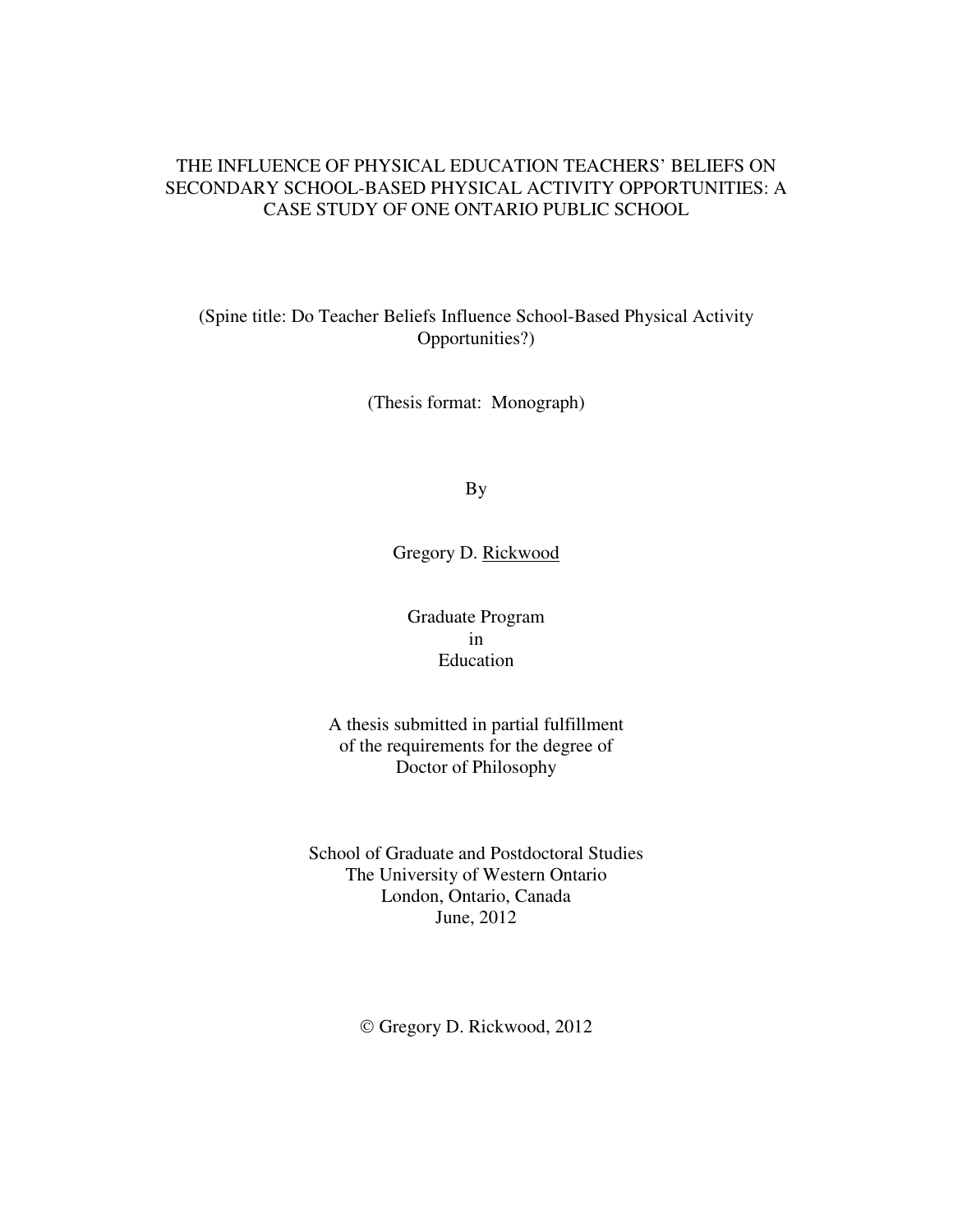# THE INFLUENCE OF PHYSICAL EDUCATION TEACHERS' BELIEFS ON SECONDARY SCHOOL-BASED PHYSICAL ACTIVITY OPPORTUNITIES: A CASE STUDY OF ONE ONTARIO PUBLIC SCHOOL

(Spine title: Do Teacher Beliefs Influence School-Based Physical Activity Opportunities?)

(Thesis format: Monograph)

By

Gregory D. Rickwood

Graduate Program in Education

A thesis submitted in partial fulfillment of the requirements for the degree of Doctor of Philosophy

School of Graduate and Postdoctoral Studies The University of Western Ontario London, Ontario, Canada June, 2012

Gregory D. Rickwood, 2012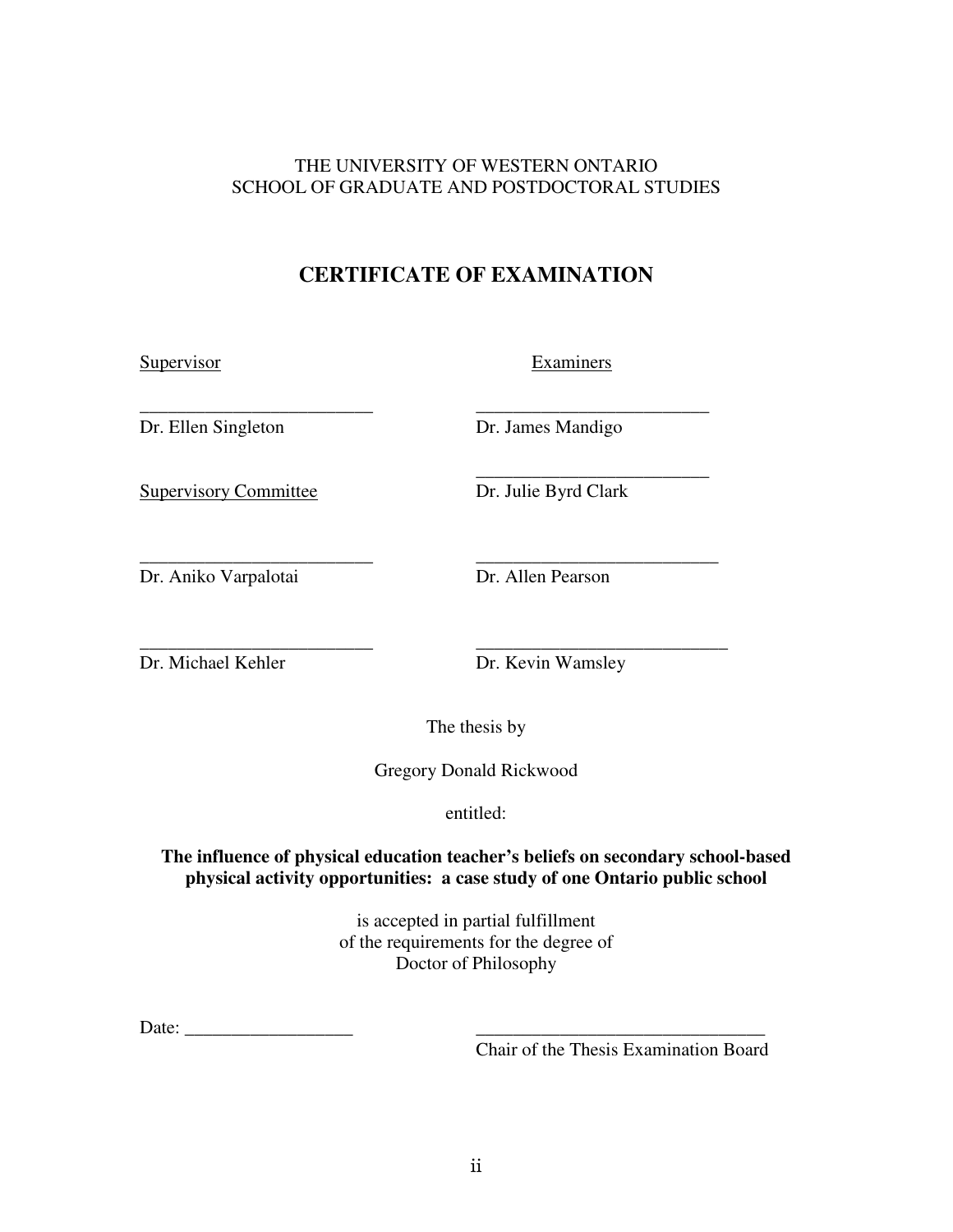# THE UNIVERSITY OF WESTERN ONTARIO SCHOOL OF GRADUATE AND POSTDOCTORAL STUDIES

# **CERTIFICATE OF EXAMINATION**

| <b>Supervisor</b>            | Examiners            |
|------------------------------|----------------------|
| Dr. Ellen Singleton          | Dr. James Mandigo    |
| <b>Supervisory Committee</b> | Dr. Julie Byrd Clark |
| Dr. Aniko Varpalotai         | Dr. Allen Pearson    |
| Dr. Michael Kehler           | Dr. Kevin Wamsley    |

The thesis by

Gregory Donald Rickwood

entitled:

# **The influence of physical education teacher's beliefs on secondary school-based physical activity opportunities: a case study of one Ontario public school**

is accepted in partial fulfillment of the requirements for the degree of Doctor of Philosophy

Date:

Chair of the Thesis Examination Board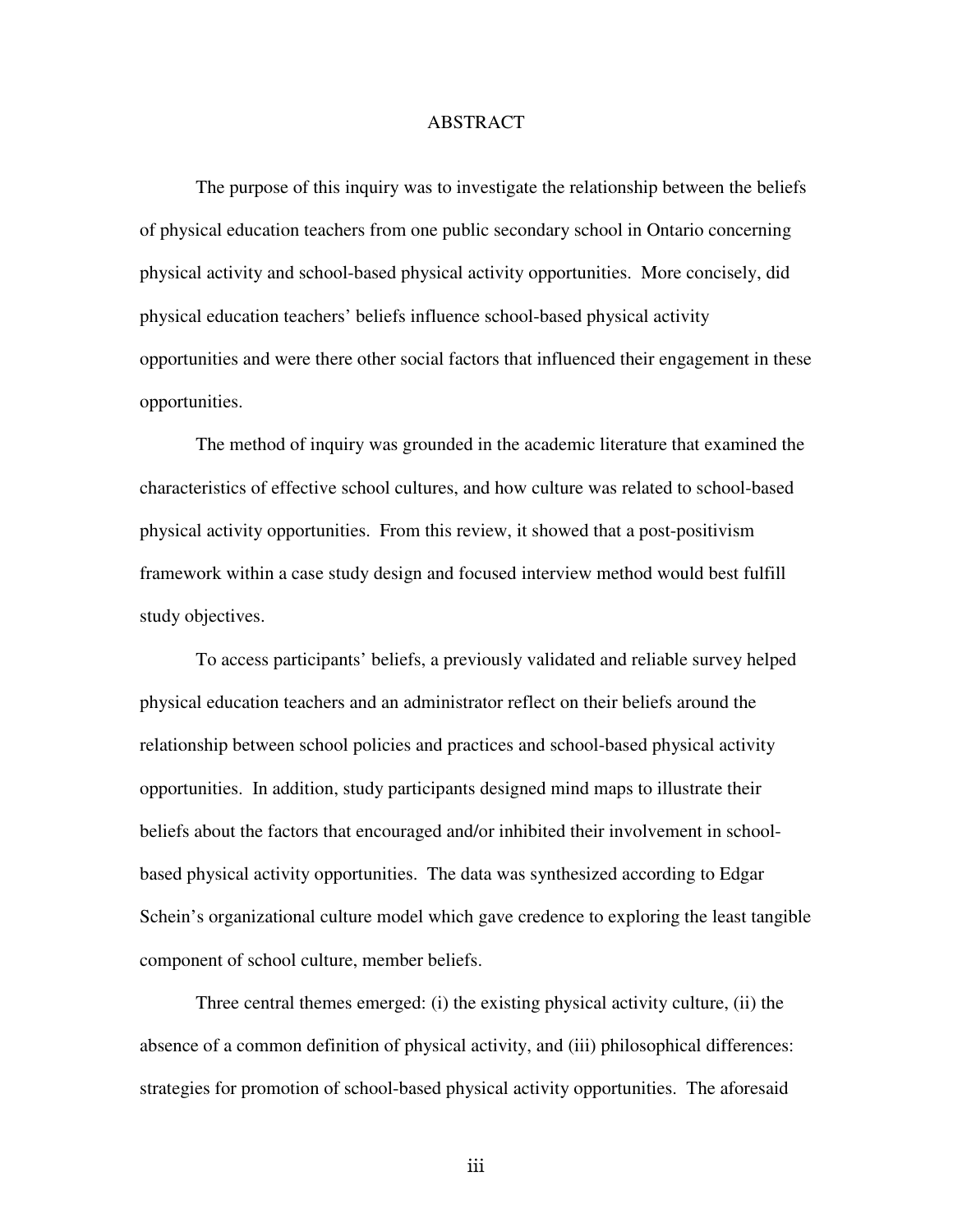### ABSTRACT

 The purpose of this inquiry was to investigate the relationship between the beliefs of physical education teachers from one public secondary school in Ontario concerning physical activity and school-based physical activity opportunities. More concisely, did physical education teachers' beliefs influence school-based physical activity opportunities and were there other social factors that influenced their engagement in these opportunities.

The method of inquiry was grounded in the academic literature that examined the characteristics of effective school cultures, and how culture was related to school-based physical activity opportunities. From this review, it showed that a post-positivism framework within a case study design and focused interview method would best fulfill study objectives.

To access participants' beliefs, a previously validated and reliable survey helped physical education teachers and an administrator reflect on their beliefs around the relationship between school policies and practices and school-based physical activity opportunities. In addition, study participants designed mind maps to illustrate their beliefs about the factors that encouraged and/or inhibited their involvement in schoolbased physical activity opportunities. The data was synthesized according to Edgar Schein's organizational culture model which gave credence to exploring the least tangible component of school culture, member beliefs.

Three central themes emerged: (i) the existing physical activity culture, (ii) the absence of a common definition of physical activity, and (iii) philosophical differences: strategies for promotion of school-based physical activity opportunities. The aforesaid

iii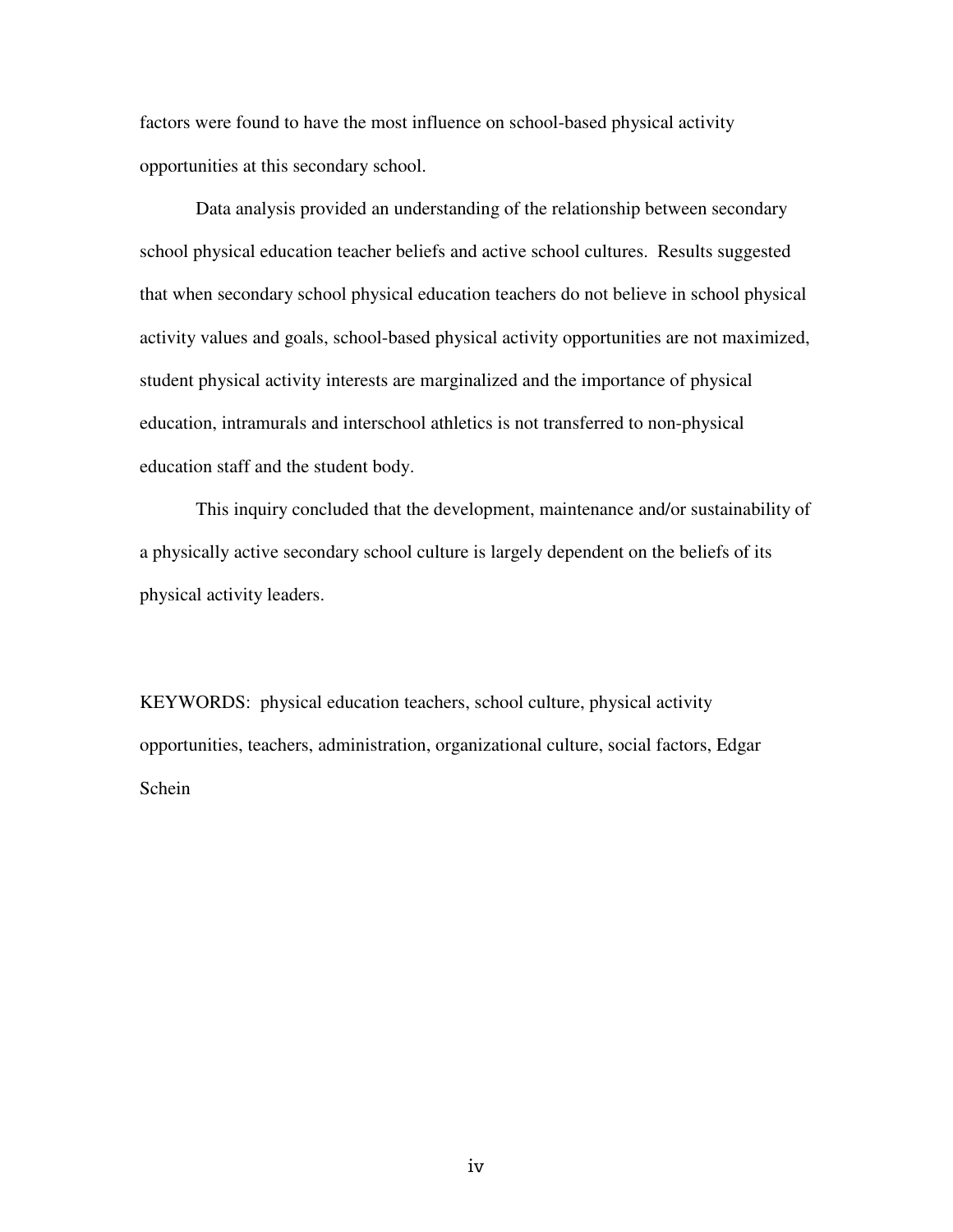factors were found to have the most influence on school-based physical activity opportunities at this secondary school.

Data analysis provided an understanding of the relationship between secondary school physical education teacher beliefs and active school cultures. Results suggested that when secondary school physical education teachers do not believe in school physical activity values and goals, school-based physical activity opportunities are not maximized, student physical activity interests are marginalized and the importance of physical education, intramurals and interschool athletics is not transferred to non-physical education staff and the student body.

This inquiry concluded that the development, maintenance and/or sustainability of a physically active secondary school culture is largely dependent on the beliefs of its physical activity leaders.

KEYWORDS: physical education teachers, school culture, physical activity opportunities, teachers, administration, organizational culture, social factors, Edgar Schein

iv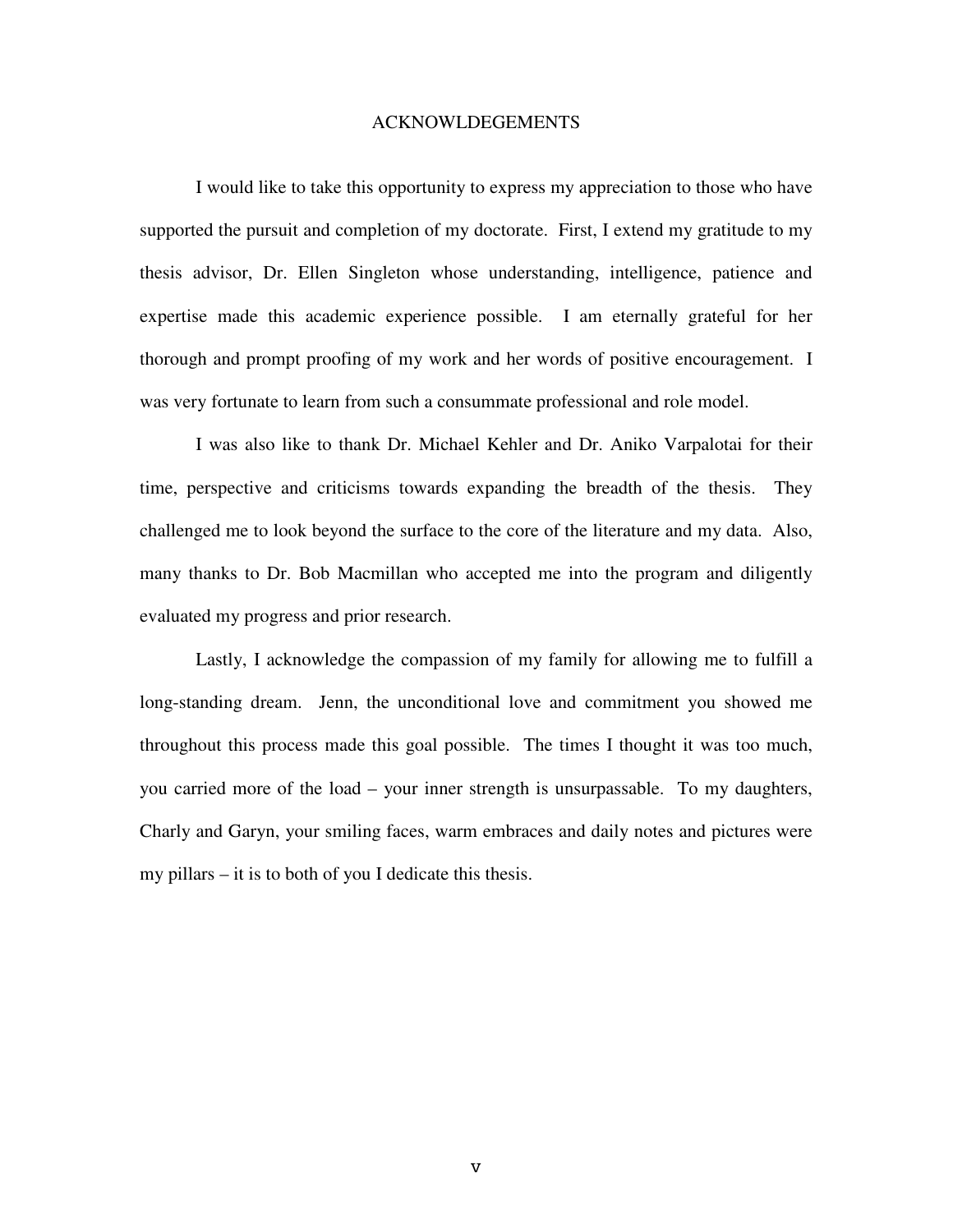### ACKNOWLDEGEMENTS

I would like to take this opportunity to express my appreciation to those who have supported the pursuit and completion of my doctorate. First, I extend my gratitude to my thesis advisor, Dr. Ellen Singleton whose understanding, intelligence, patience and expertise made this academic experience possible. I am eternally grateful for her thorough and prompt proofing of my work and her words of positive encouragement. I was very fortunate to learn from such a consummate professional and role model.

I was also like to thank Dr. Michael Kehler and Dr. Aniko Varpalotai for their time, perspective and criticisms towards expanding the breadth of the thesis. They challenged me to look beyond the surface to the core of the literature and my data. Also, many thanks to Dr. Bob Macmillan who accepted me into the program and diligently evaluated my progress and prior research.

Lastly, I acknowledge the compassion of my family for allowing me to fulfill a long-standing dream. Jenn, the unconditional love and commitment you showed me throughout this process made this goal possible. The times I thought it was too much, you carried more of the load – your inner strength is unsurpassable. To my daughters, Charly and Garyn, your smiling faces, warm embraces and daily notes and pictures were my pillars – it is to both of you I dedicate this thesis.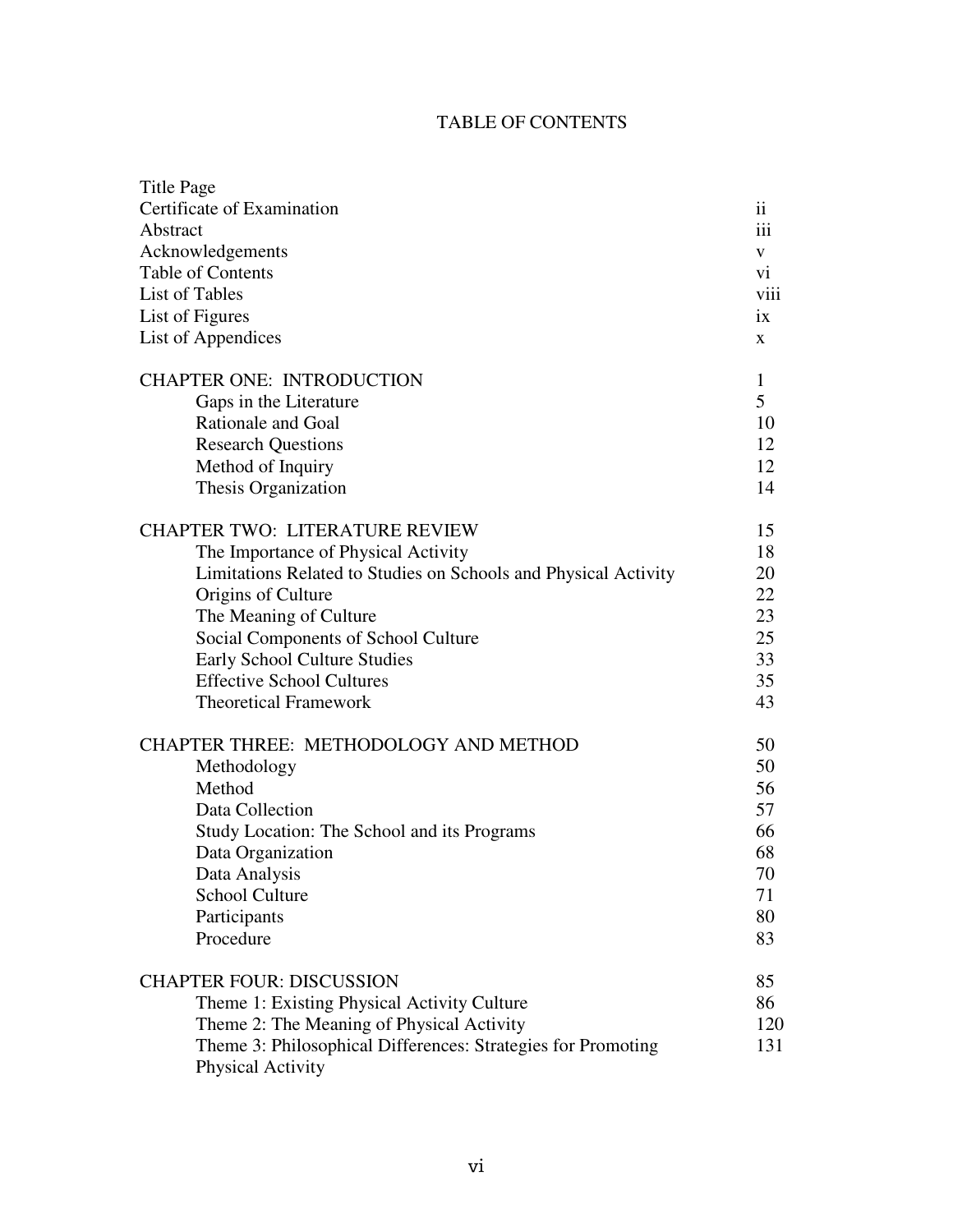# TABLE OF CONTENTS

| Title Page<br>Certificate of Examination<br>Abstract<br>Acknowledgements<br><b>Table of Contents</b><br>List of Tables<br>List of Figures<br>List of Appendices                                                         | ii<br>iii<br>V<br>Vİ.<br>viii<br>ix<br>$\mathbf{x}$ |
|-------------------------------------------------------------------------------------------------------------------------------------------------------------------------------------------------------------------------|-----------------------------------------------------|
| <b>CHAPTER ONE: INTRODUCTION</b>                                                                                                                                                                                        | 1                                                   |
| Gaps in the Literature                                                                                                                                                                                                  | 5                                                   |
| Rationale and Goal                                                                                                                                                                                                      | 10                                                  |
| <b>Research Questions</b>                                                                                                                                                                                               | 12                                                  |
| Method of Inquiry                                                                                                                                                                                                       | 12                                                  |
| Thesis Organization                                                                                                                                                                                                     | 14                                                  |
| <b>CHAPTER TWO: LITERATURE REVIEW</b>                                                                                                                                                                                   | 15                                                  |
| The Importance of Physical Activity                                                                                                                                                                                     | 18                                                  |
| Limitations Related to Studies on Schools and Physical Activity                                                                                                                                                         | 20                                                  |
| Origins of Culture                                                                                                                                                                                                      | 22                                                  |
| The Meaning of Culture                                                                                                                                                                                                  | 23                                                  |
| Social Components of School Culture                                                                                                                                                                                     | 25                                                  |
| Early School Culture Studies                                                                                                                                                                                            | 33                                                  |
| <b>Effective School Cultures</b>                                                                                                                                                                                        | 35                                                  |
| <b>Theoretical Framework</b>                                                                                                                                                                                            | 43                                                  |
| <b>CHAPTER THREE: METHODOLOGY AND METHOD</b>                                                                                                                                                                            | 50                                                  |
| Methodology                                                                                                                                                                                                             | 50                                                  |
| Method                                                                                                                                                                                                                  | 56                                                  |
| Data Collection                                                                                                                                                                                                         | 57                                                  |
| Study Location: The School and its Programs                                                                                                                                                                             | 66                                                  |
| Data Organization                                                                                                                                                                                                       | 68                                                  |
| Data Analysis                                                                                                                                                                                                           | 70                                                  |
| <b>School Culture</b>                                                                                                                                                                                                   | 71                                                  |
| Participants                                                                                                                                                                                                            | 80                                                  |
| Procedure                                                                                                                                                                                                               | 83                                                  |
| <b>CHAPTER FOUR: DISCUSSION</b><br>Theme 1: Existing Physical Activity Culture<br>Theme 2: The Meaning of Physical Activity<br>Theme 3: Philosophical Differences: Strategies for Promoting<br><b>Physical Activity</b> | 85<br>86<br>120<br>131                              |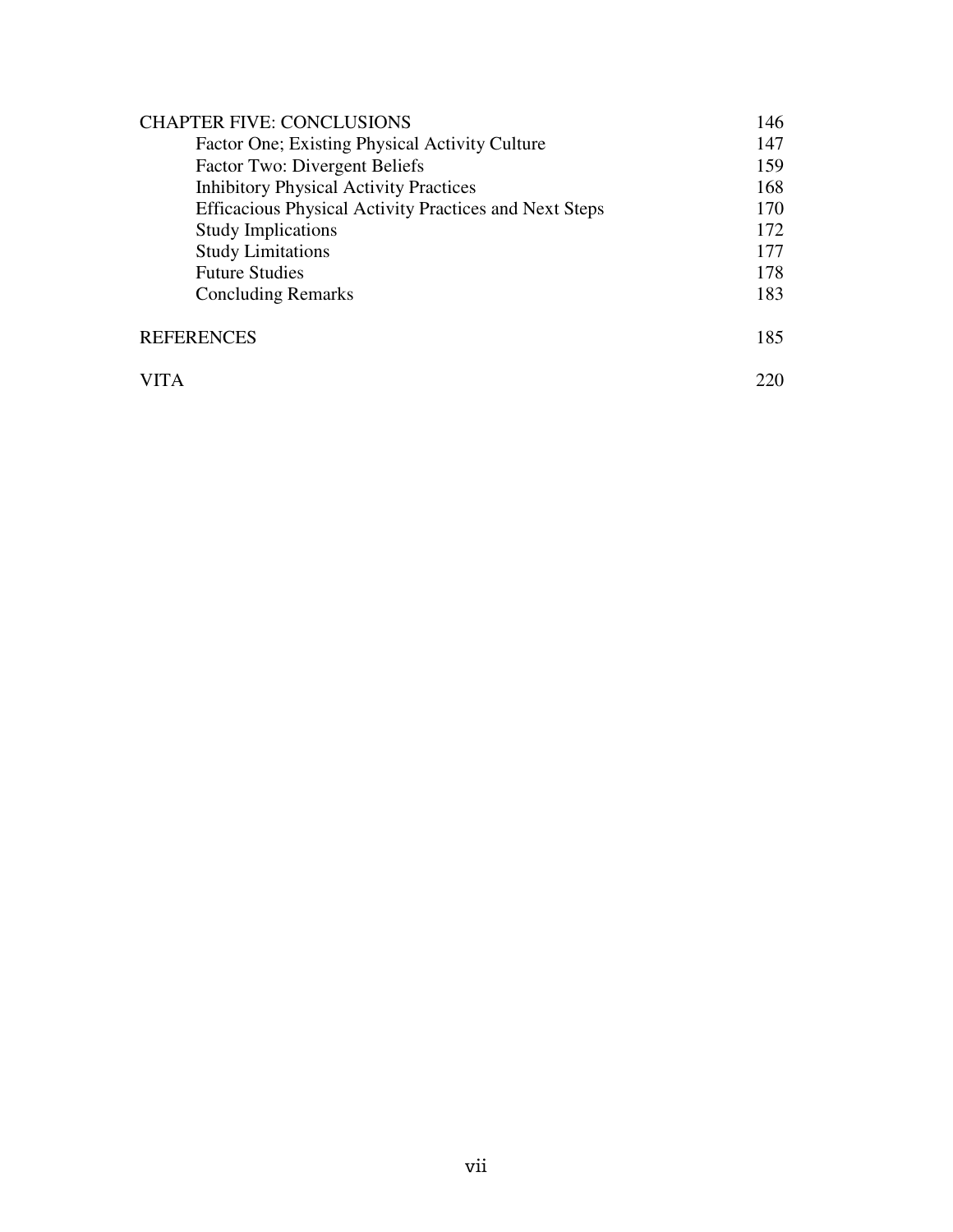| <b>CHAPTER FIVE: CONCLUSIONS</b>                              | 146 |
|---------------------------------------------------------------|-----|
| Factor One; Existing Physical Activity Culture                | 147 |
| Factor Two: Divergent Beliefs                                 | 159 |
| <b>Inhibitory Physical Activity Practices</b>                 | 168 |
| <b>Efficacious Physical Activity Practices and Next Steps</b> | 170 |
| <b>Study Implications</b>                                     | 172 |
| <b>Study Limitations</b>                                      | 177 |
| <b>Future Studies</b>                                         | 178 |
| <b>Concluding Remarks</b>                                     | 183 |
| <b>REFERENCES</b>                                             | 185 |
|                                                               | 220 |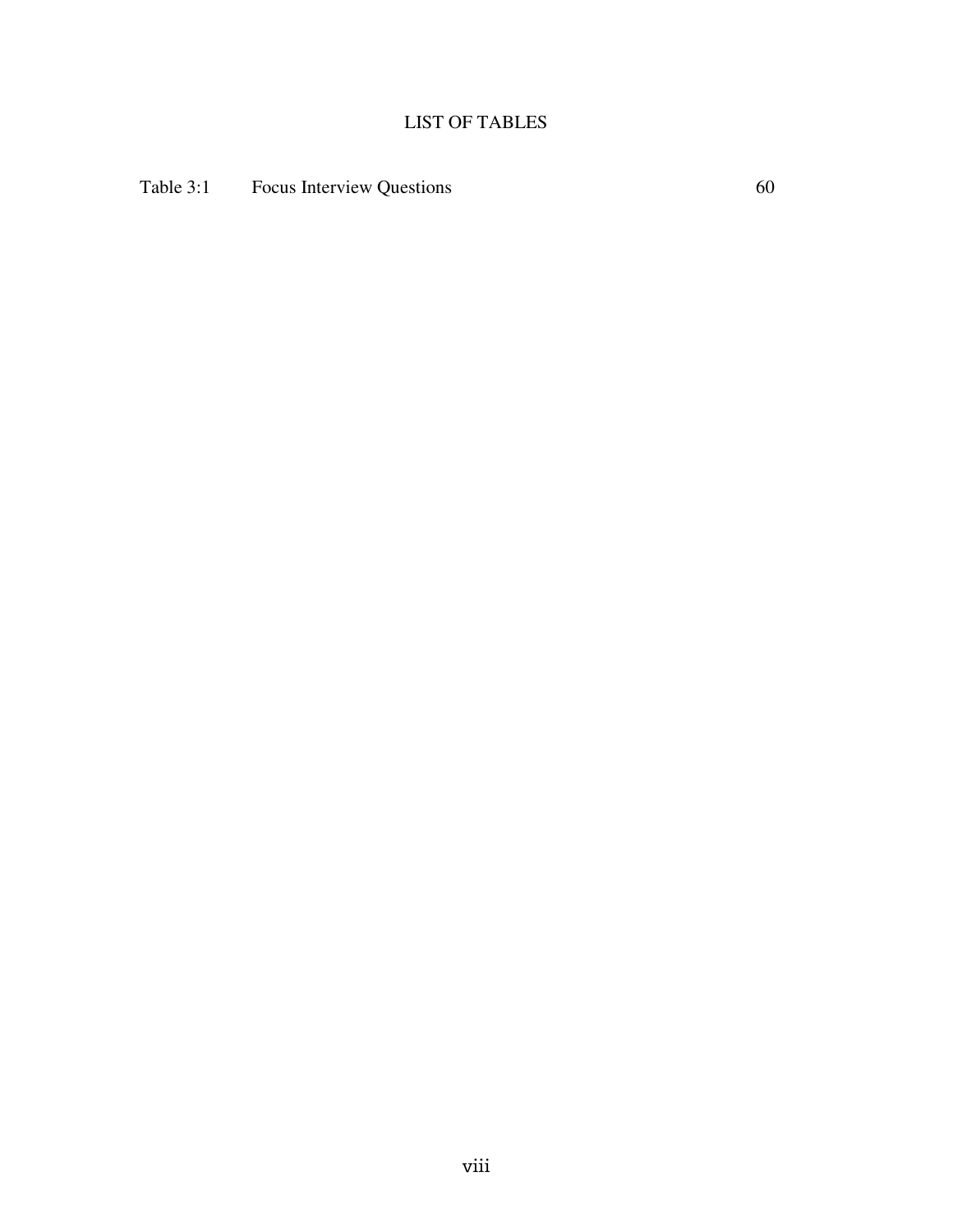# LIST OF TABLES

Table 3:1 Focus Interview Questions 60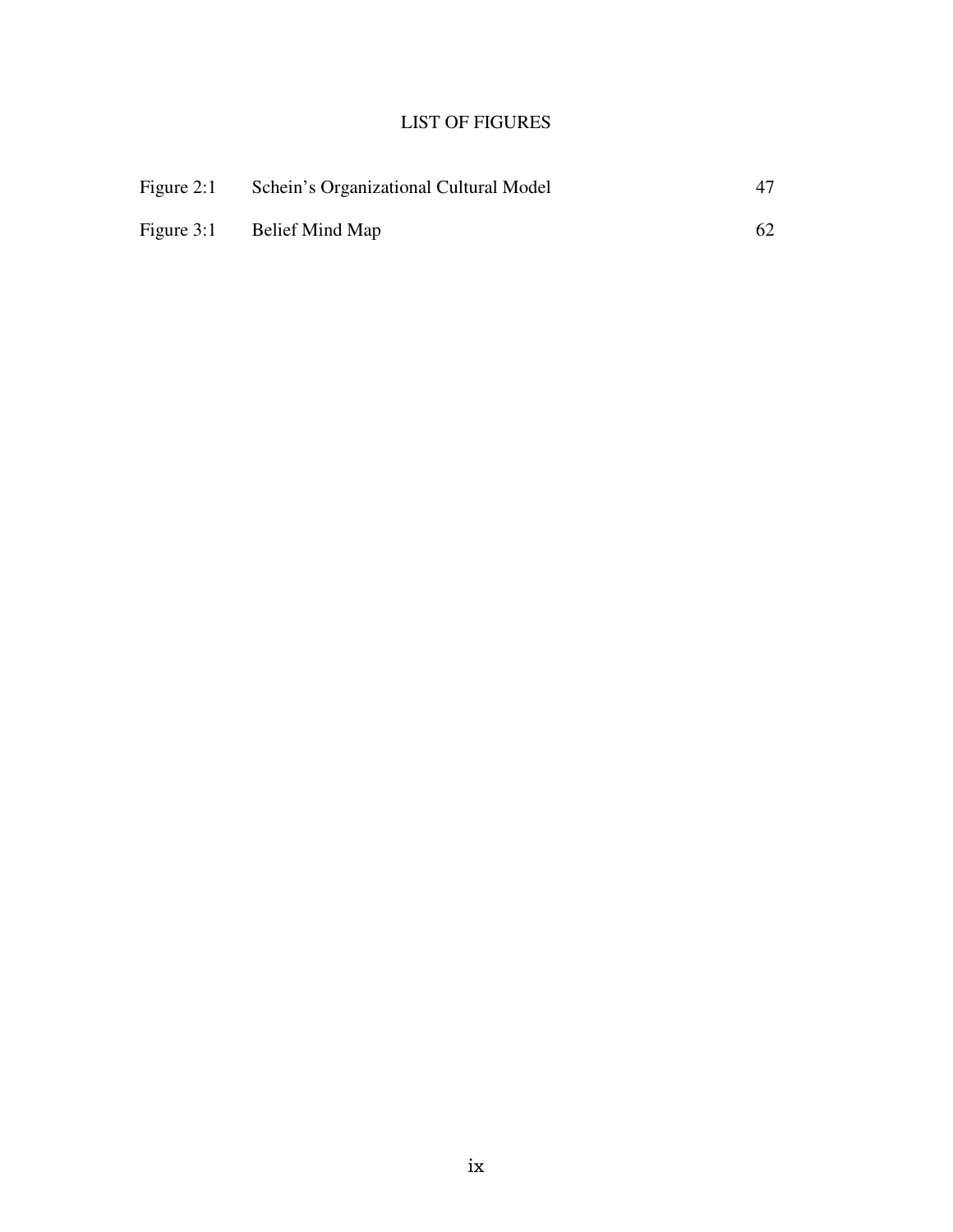# LIST OF FIGURES

| Figure $2:1$ | Schein's Organizational Cultural Model |    |
|--------------|----------------------------------------|----|
| Figure $3:1$ | Belief Mind Map                        | 62 |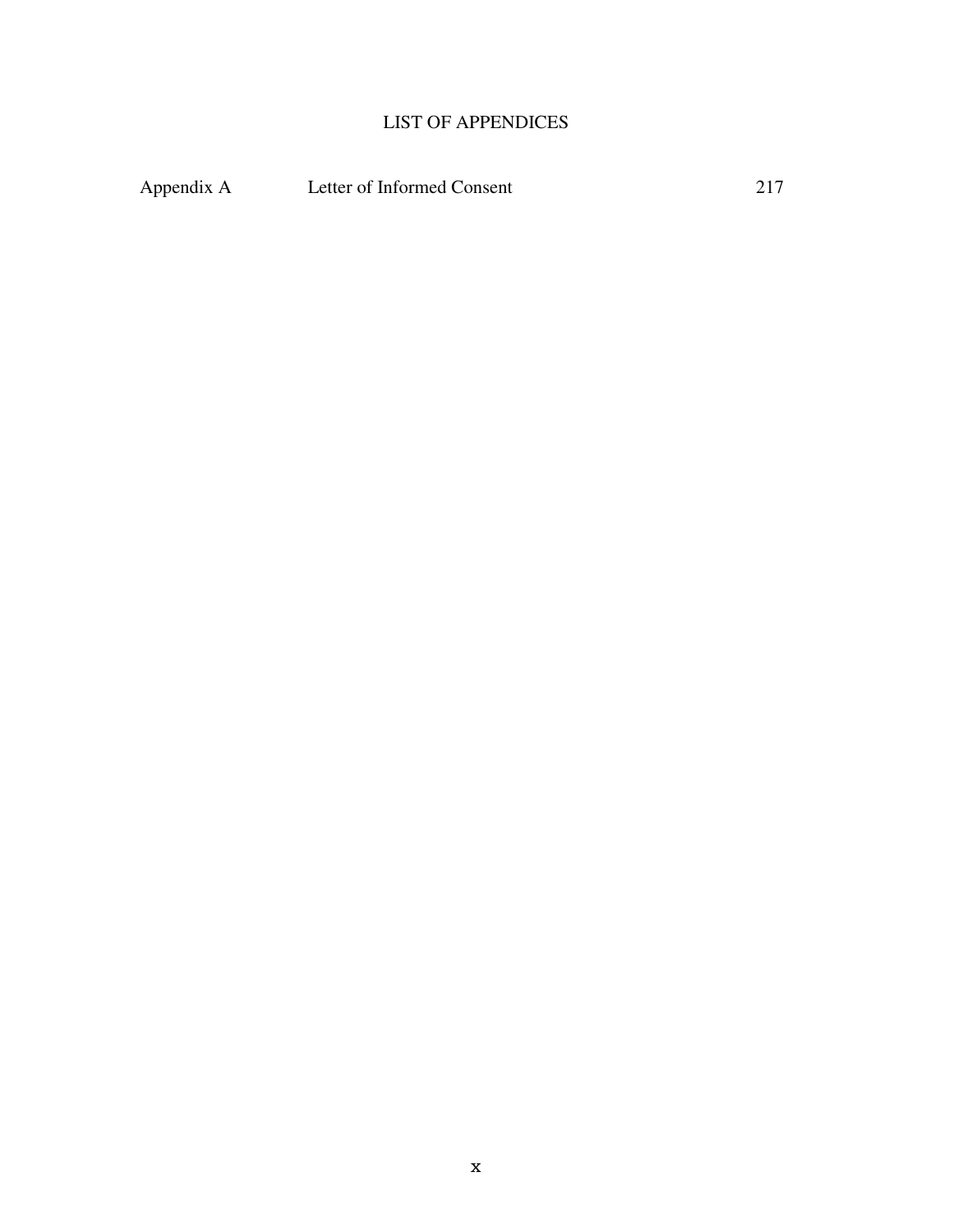# LIST OF APPENDICES

Appendix A Letter of Informed Consent 217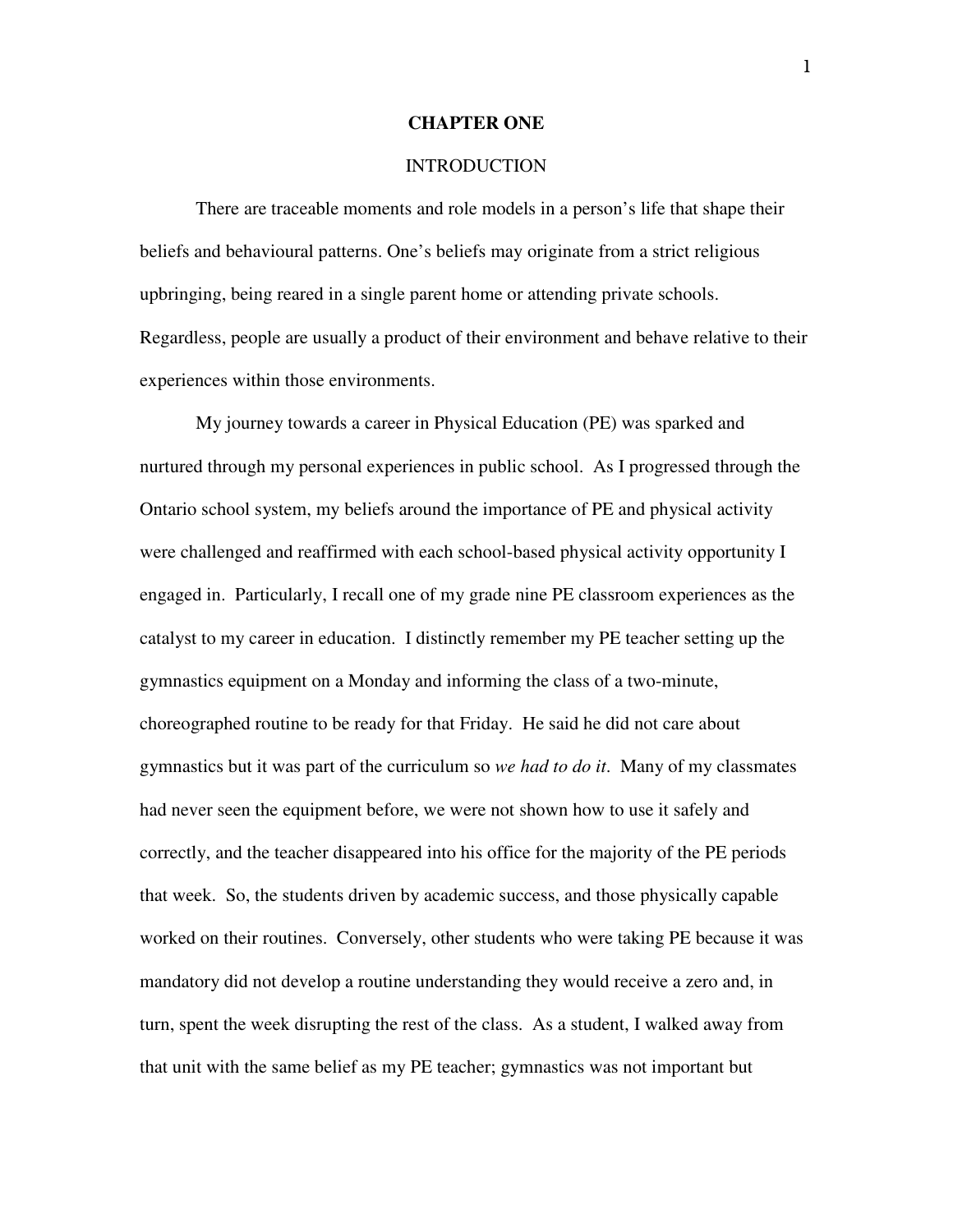#### **CHAPTER ONE**

#### **INTRODUCTION**

There are traceable moments and role models in a person's life that shape their beliefs and behavioural patterns. One's beliefs may originate from a strict religious upbringing, being reared in a single parent home or attending private schools. Regardless, people are usually a product of their environment and behave relative to their experiences within those environments.

My journey towards a career in Physical Education (PE) was sparked and nurtured through my personal experiences in public school. As I progressed through the Ontario school system, my beliefs around the importance of PE and physical activity were challenged and reaffirmed with each school-based physical activity opportunity I engaged in. Particularly, I recall one of my grade nine PE classroom experiences as the catalyst to my career in education. I distinctly remember my PE teacher setting up the gymnastics equipment on a Monday and informing the class of a two-minute, choreographed routine to be ready for that Friday. He said he did not care about gymnastics but it was part of the curriculum so *we had to do it*. Many of my classmates had never seen the equipment before, we were not shown how to use it safely and correctly, and the teacher disappeared into his office for the majority of the PE periods that week. So, the students driven by academic success, and those physically capable worked on their routines. Conversely, other students who were taking PE because it was mandatory did not develop a routine understanding they would receive a zero and, in turn, spent the week disrupting the rest of the class. As a student, I walked away from that unit with the same belief as my PE teacher; gymnastics was not important but

1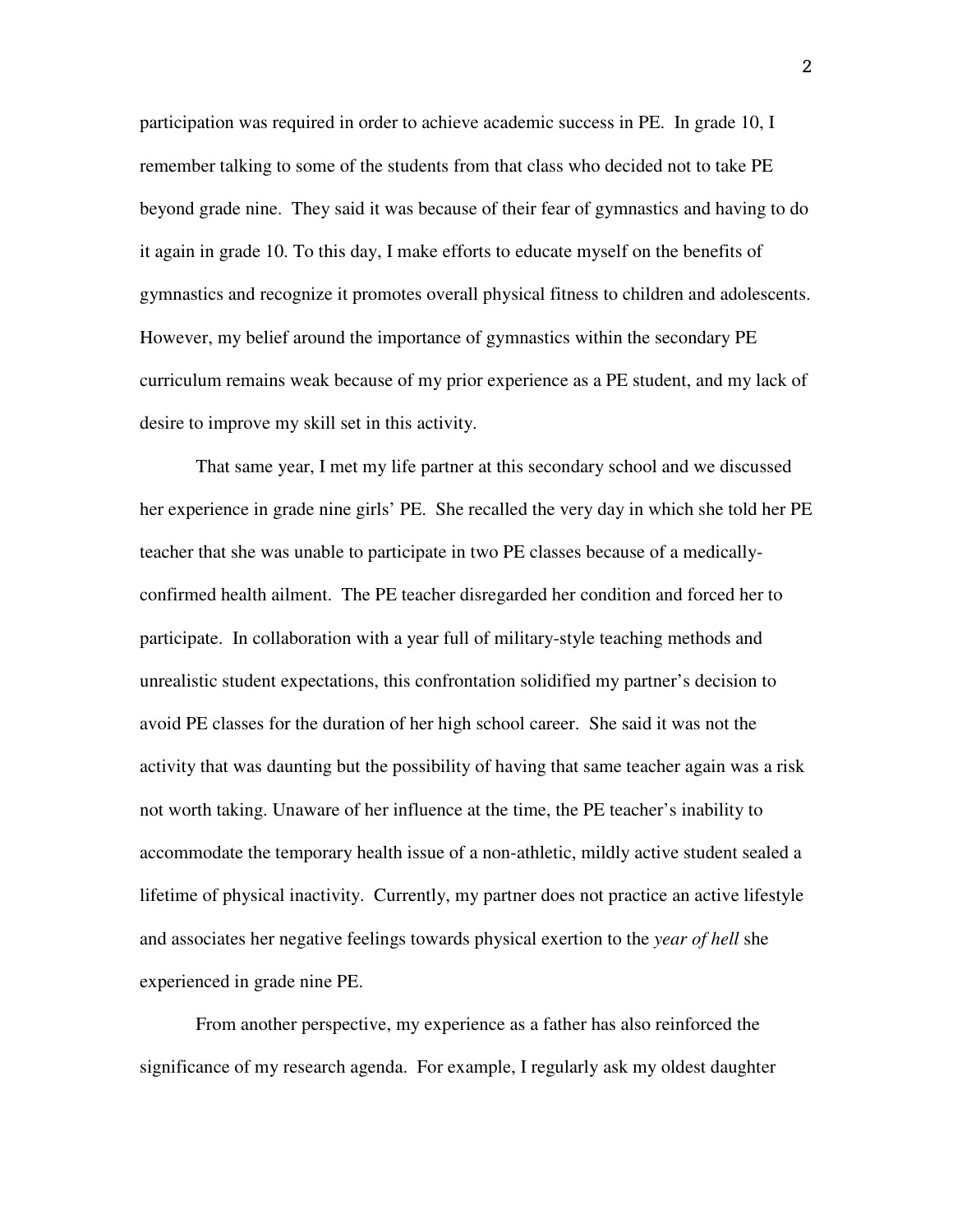participation was required in order to achieve academic success in PE. In grade 10, I remember talking to some of the students from that class who decided not to take PE beyond grade nine. They said it was because of their fear of gymnastics and having to do it again in grade 10. To this day, I make efforts to educate myself on the benefits of gymnastics and recognize it promotes overall physical fitness to children and adolescents. However, my belief around the importance of gymnastics within the secondary PE curriculum remains weak because of my prior experience as a PE student, and my lack of desire to improve my skill set in this activity.

That same year, I met my life partner at this secondary school and we discussed her experience in grade nine girls' PE. She recalled the very day in which she told her PE teacher that she was unable to participate in two PE classes because of a medicallyconfirmed health ailment. The PE teacher disregarded her condition and forced her to participate. In collaboration with a year full of military-style teaching methods and unrealistic student expectations, this confrontation solidified my partner's decision to avoid PE classes for the duration of her high school career. She said it was not the activity that was daunting but the possibility of having that same teacher again was a risk not worth taking. Unaware of her influence at the time, the PE teacher's inability to accommodate the temporary health issue of a non-athletic, mildly active student sealed a lifetime of physical inactivity. Currently, my partner does not practice an active lifestyle and associates her negative feelings towards physical exertion to the *year of hell* she experienced in grade nine PE.

From another perspective, my experience as a father has also reinforced the significance of my research agenda. For example, I regularly ask my oldest daughter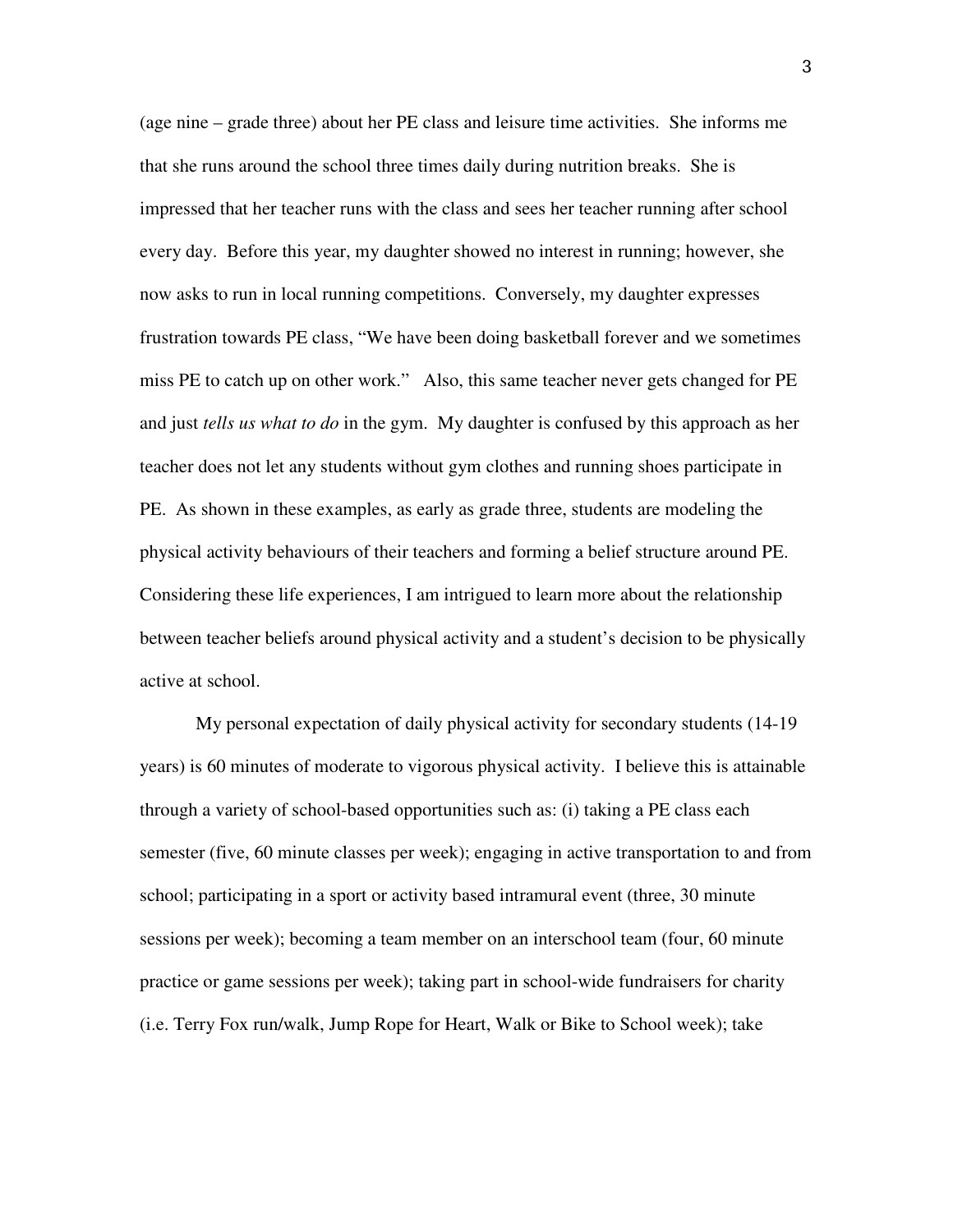(age nine – grade three) about her PE class and leisure time activities. She informs me that she runs around the school three times daily during nutrition breaks. She is impressed that her teacher runs with the class and sees her teacher running after school every day. Before this year, my daughter showed no interest in running; however, she now asks to run in local running competitions. Conversely, my daughter expresses frustration towards PE class, "We have been doing basketball forever and we sometimes miss PE to catch up on other work." Also, this same teacher never gets changed for PE and just *tells us what to do* in the gym. My daughter is confused by this approach as her teacher does not let any students without gym clothes and running shoes participate in PE. As shown in these examples, as early as grade three, students are modeling the physical activity behaviours of their teachers and forming a belief structure around PE. Considering these life experiences, I am intrigued to learn more about the relationship between teacher beliefs around physical activity and a student's decision to be physically active at school.

My personal expectation of daily physical activity for secondary students (14-19 years) is 60 minutes of moderate to vigorous physical activity. I believe this is attainable through a variety of school-based opportunities such as: (i) taking a PE class each semester (five, 60 minute classes per week); engaging in active transportation to and from school; participating in a sport or activity based intramural event (three, 30 minute sessions per week); becoming a team member on an interschool team (four, 60 minute practice or game sessions per week); taking part in school-wide fundraisers for charity (i.e. Terry Fox run/walk, Jump Rope for Heart, Walk or Bike to School week); take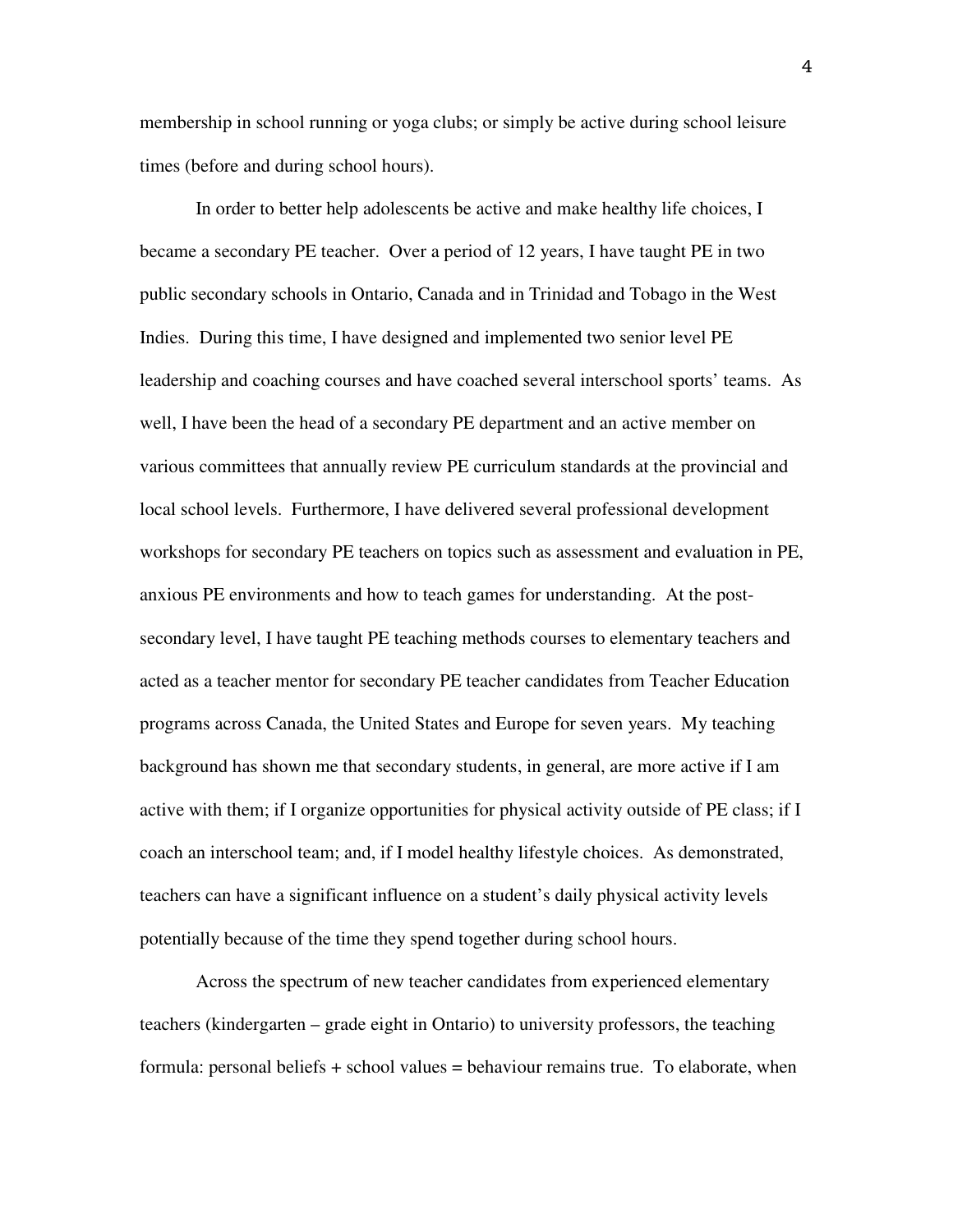membership in school running or yoga clubs; or simply be active during school leisure times (before and during school hours).

In order to better help adolescents be active and make healthy life choices, I became a secondary PE teacher. Over a period of 12 years, I have taught PE in two public secondary schools in Ontario, Canada and in Trinidad and Tobago in the West Indies. During this time, I have designed and implemented two senior level PE leadership and coaching courses and have coached several interschool sports' teams. As well, I have been the head of a secondary PE department and an active member on various committees that annually review PE curriculum standards at the provincial and local school levels. Furthermore, I have delivered several professional development workshops for secondary PE teachers on topics such as assessment and evaluation in PE, anxious PE environments and how to teach games for understanding. At the postsecondary level, I have taught PE teaching methods courses to elementary teachers and acted as a teacher mentor for secondary PE teacher candidates from Teacher Education programs across Canada, the United States and Europe for seven years. My teaching background has shown me that secondary students, in general, are more active if I am active with them; if I organize opportunities for physical activity outside of PE class; if I coach an interschool team; and, if I model healthy lifestyle choices. As demonstrated, teachers can have a significant influence on a student's daily physical activity levels potentially because of the time they spend together during school hours.

Across the spectrum of new teacher candidates from experienced elementary teachers (kindergarten – grade eight in Ontario) to university professors, the teaching formula: personal beliefs + school values = behaviour remains true. To elaborate, when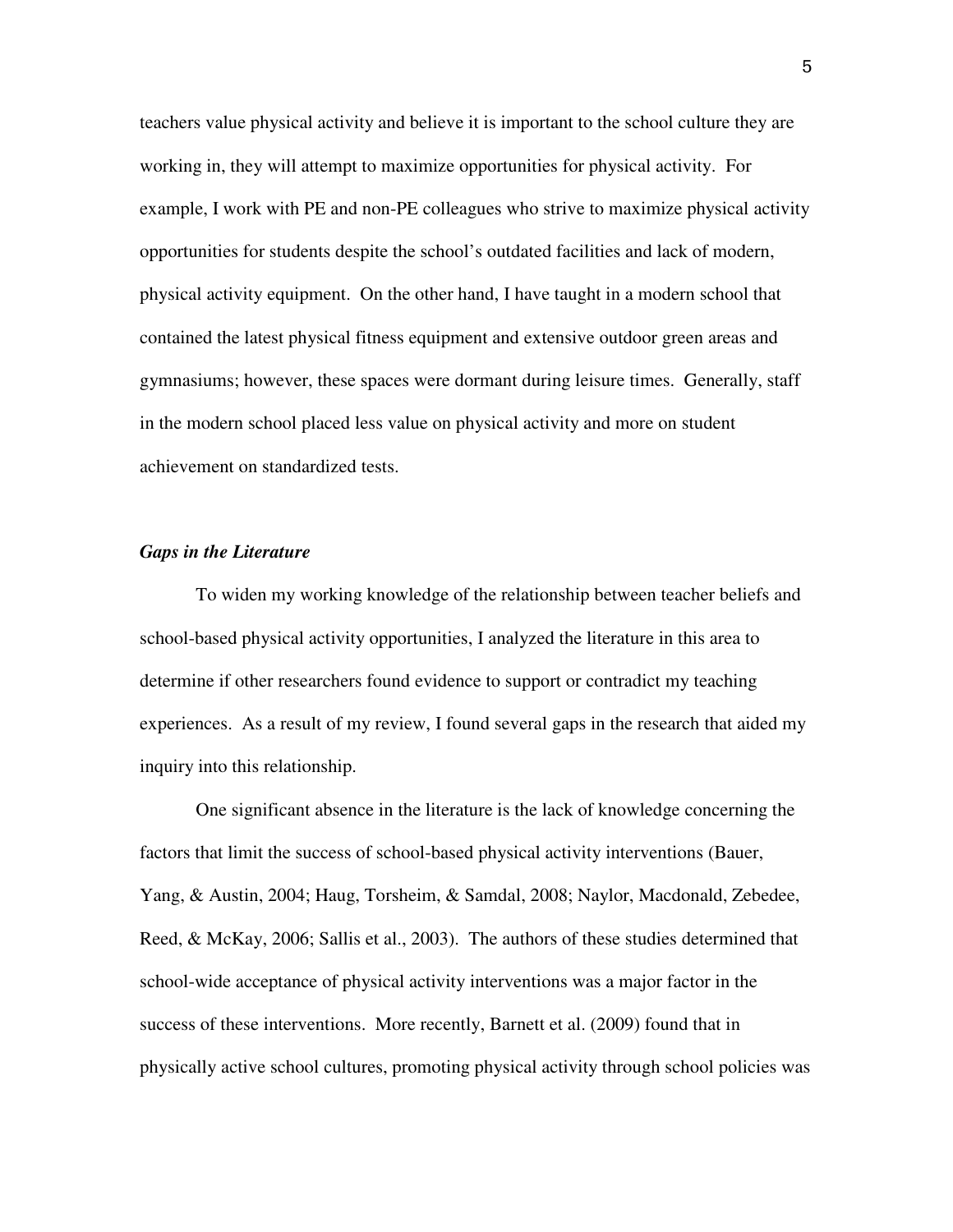teachers value physical activity and believe it is important to the school culture they are working in, they will attempt to maximize opportunities for physical activity. For example, I work with PE and non-PE colleagues who strive to maximize physical activity opportunities for students despite the school's outdated facilities and lack of modern, physical activity equipment. On the other hand, I have taught in a modern school that contained the latest physical fitness equipment and extensive outdoor green areas and gymnasiums; however, these spaces were dormant during leisure times. Generally, staff in the modern school placed less value on physical activity and more on student achievement on standardized tests.

### *Gaps in the Literature*

To widen my working knowledge of the relationship between teacher beliefs and school-based physical activity opportunities, I analyzed the literature in this area to determine if other researchers found evidence to support or contradict my teaching experiences. As a result of my review, I found several gaps in the research that aided my inquiry into this relationship.

One significant absence in the literature is the lack of knowledge concerning the factors that limit the success of school-based physical activity interventions (Bauer, Yang, & Austin, 2004; Haug, Torsheim, & Samdal, 2008; Naylor, Macdonald, Zebedee, Reed, & McKay, 2006; Sallis et al., 2003). The authors of these studies determined that school-wide acceptance of physical activity interventions was a major factor in the success of these interventions. More recently, Barnett et al. (2009) found that in physically active school cultures, promoting physical activity through school policies was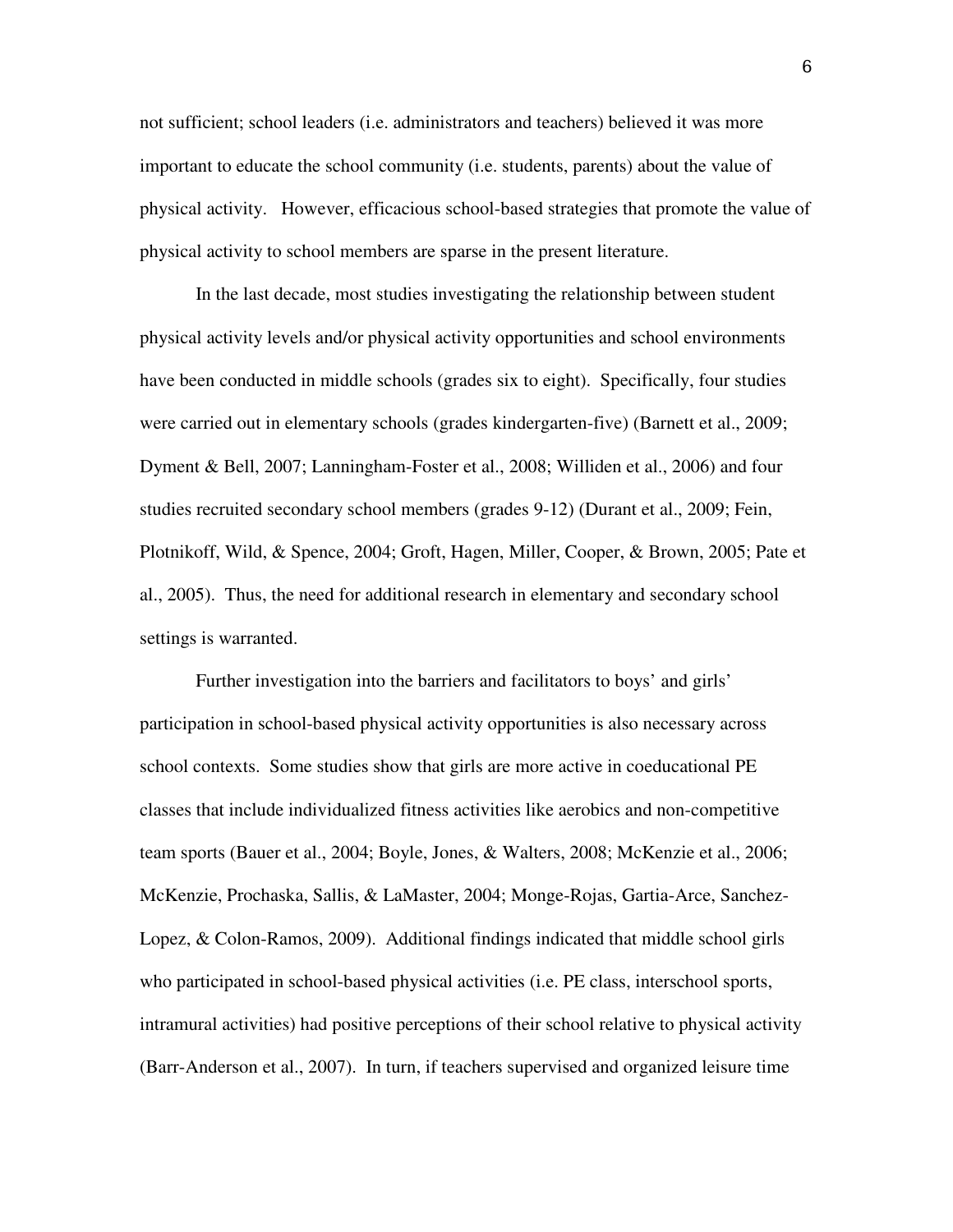not sufficient; school leaders (i.e. administrators and teachers) believed it was more important to educate the school community (i.e. students, parents) about the value of physical activity. However, efficacious school-based strategies that promote the value of physical activity to school members are sparse in the present literature.

In the last decade, most studies investigating the relationship between student physical activity levels and/or physical activity opportunities and school environments have been conducted in middle schools (grades six to eight). Specifically, four studies were carried out in elementary schools (grades kindergarten-five) (Barnett et al., 2009; Dyment & Bell, 2007; Lanningham-Foster et al., 2008; Williden et al., 2006) and four studies recruited secondary school members (grades 9-12) (Durant et al., 2009; Fein, Plotnikoff, Wild, & Spence, 2004; Groft, Hagen, Miller, Cooper, & Brown, 2005; Pate et al., 2005). Thus, the need for additional research in elementary and secondary school settings is warranted.

Further investigation into the barriers and facilitators to boys' and girls' participation in school-based physical activity opportunities is also necessary across school contexts. Some studies show that girls are more active in coeducational PE classes that include individualized fitness activities like aerobics and non-competitive team sports (Bauer et al., 2004; Boyle, Jones, & Walters, 2008; McKenzie et al., 2006; McKenzie, Prochaska, Sallis, & LaMaster, 2004; Monge-Rojas, Gartia-Arce, Sanchez-Lopez, & Colon-Ramos, 2009). Additional findings indicated that middle school girls who participated in school-based physical activities (i.e. PE class, interschool sports, intramural activities) had positive perceptions of their school relative to physical activity (Barr-Anderson et al., 2007). In turn, if teachers supervised and organized leisure time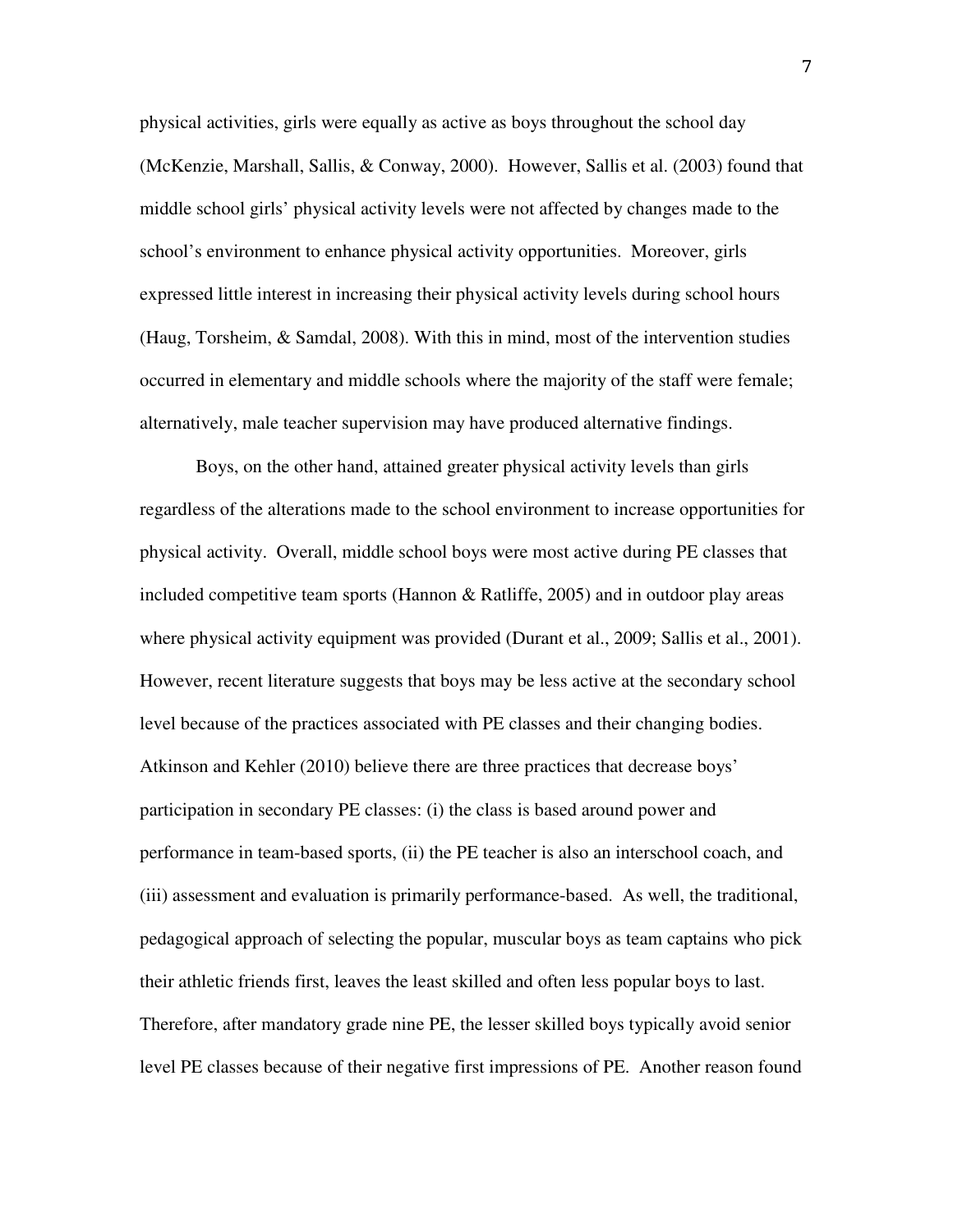physical activities, girls were equally as active as boys throughout the school day (McKenzie, Marshall, Sallis, & Conway, 2000). However, Sallis et al. (2003) found that middle school girls' physical activity levels were not affected by changes made to the school's environment to enhance physical activity opportunities. Moreover, girls expressed little interest in increasing their physical activity levels during school hours (Haug, Torsheim, & Samdal, 2008). With this in mind, most of the intervention studies occurred in elementary and middle schools where the majority of the staff were female; alternatively, male teacher supervision may have produced alternative findings.

 Boys, on the other hand, attained greater physical activity levels than girls regardless of the alterations made to the school environment to increase opportunities for physical activity. Overall, middle school boys were most active during PE classes that included competitive team sports (Hannon & Ratliffe, 2005) and in outdoor play areas where physical activity equipment was provided (Durant et al., 2009; Sallis et al., 2001). However, recent literature suggests that boys may be less active at the secondary school level because of the practices associated with PE classes and their changing bodies. Atkinson and Kehler (2010) believe there are three practices that decrease boys' participation in secondary PE classes: (i) the class is based around power and performance in team-based sports, (ii) the PE teacher is also an interschool coach, and (iii) assessment and evaluation is primarily performance-based. As well, the traditional, pedagogical approach of selecting the popular, muscular boys as team captains who pick their athletic friends first, leaves the least skilled and often less popular boys to last. Therefore, after mandatory grade nine PE, the lesser skilled boys typically avoid senior level PE classes because of their negative first impressions of PE. Another reason found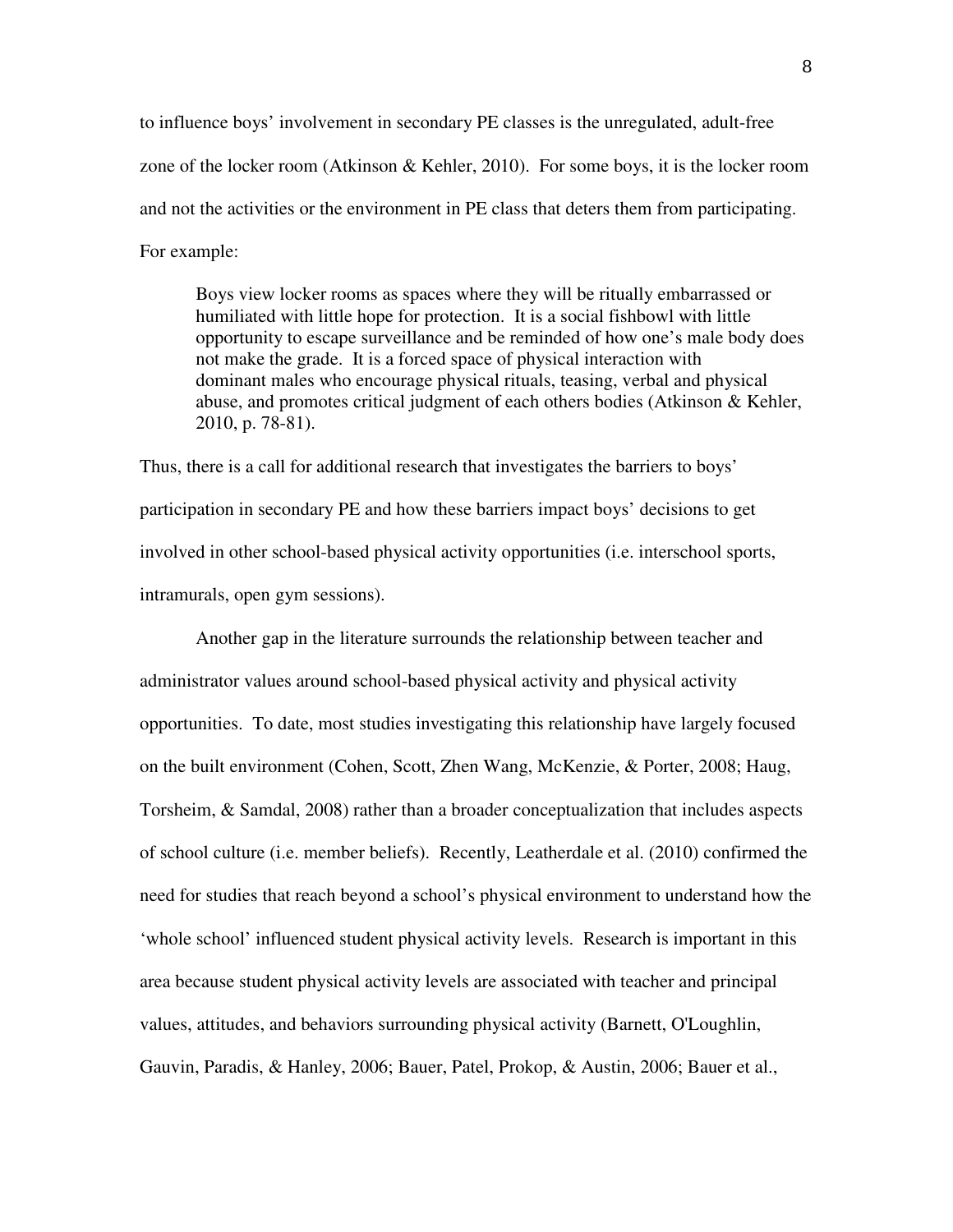to influence boys' involvement in secondary PE classes is the unregulated, adult-free zone of the locker room (Atkinson & Kehler, 2010). For some boys, it is the locker room and not the activities or the environment in PE class that deters them from participating. For example:

Boys view locker rooms as spaces where they will be ritually embarrassed or humiliated with little hope for protection. It is a social fishbowl with little opportunity to escape surveillance and be reminded of how one's male body does not make the grade. It is a forced space of physical interaction with dominant males who encourage physical rituals, teasing, verbal and physical abuse, and promotes critical judgment of each others bodies (Atkinson & Kehler, 2010, p. 78-81).

Thus, there is a call for additional research that investigates the barriers to boys' participation in secondary PE and how these barriers impact boys' decisions to get involved in other school-based physical activity opportunities (i.e. interschool sports, intramurals, open gym sessions).

Another gap in the literature surrounds the relationship between teacher and administrator values around school-based physical activity and physical activity opportunities. To date, most studies investigating this relationship have largely focused on the built environment (Cohen, Scott, Zhen Wang, McKenzie, & Porter, 2008; Haug, Torsheim, & Samdal, 2008) rather than a broader conceptualization that includes aspects of school culture (i.e. member beliefs). Recently, Leatherdale et al. (2010) confirmed the need for studies that reach beyond a school's physical environment to understand how the 'whole school' influenced student physical activity levels. Research is important in this area because student physical activity levels are associated with teacher and principal values, attitudes, and behaviors surrounding physical activity (Barnett, O'Loughlin, Gauvin, Paradis, & Hanley, 2006; Bauer, Patel, Prokop, & Austin, 2006; Bauer et al.,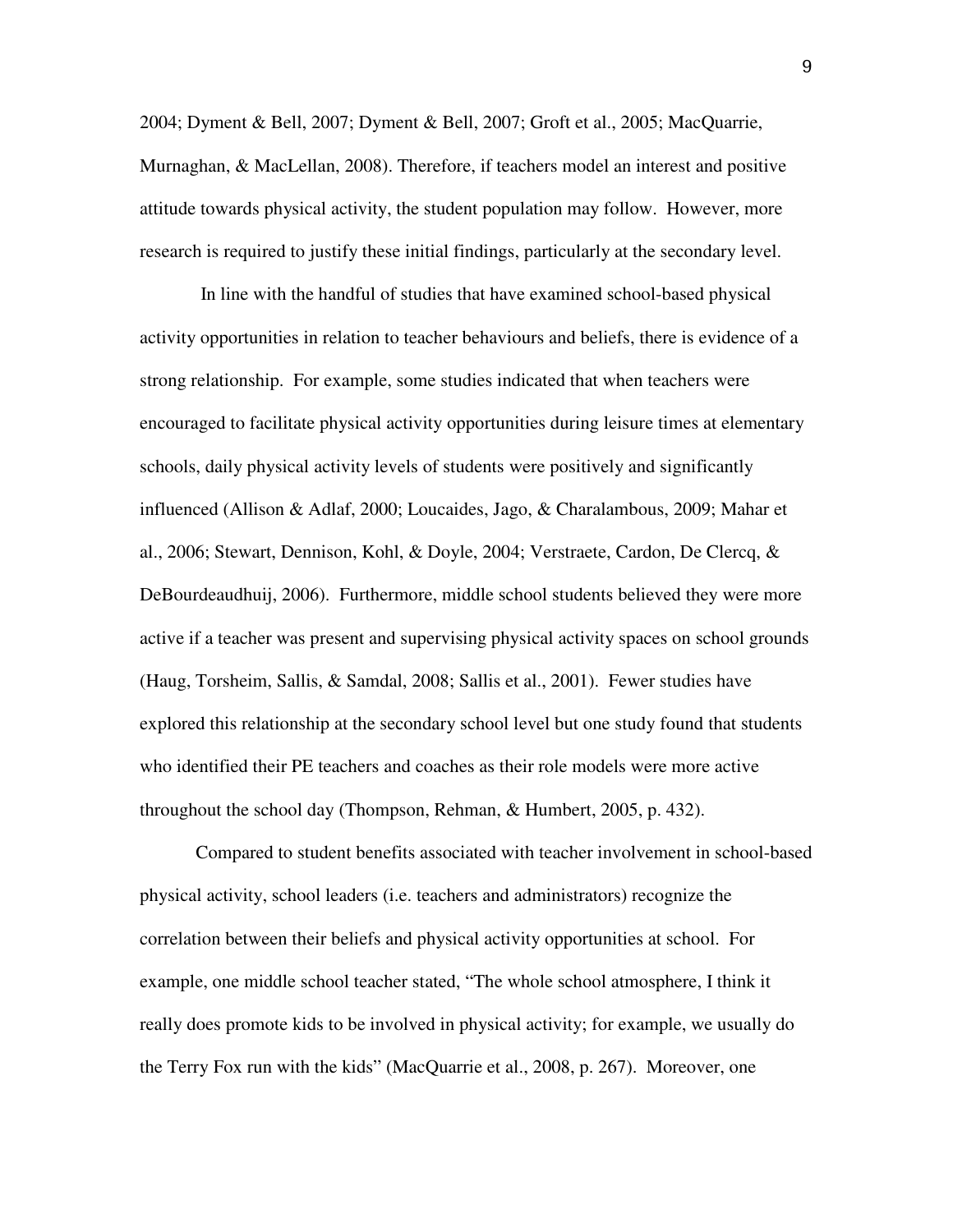2004; Dyment & Bell, 2007; Dyment & Bell, 2007; Groft et al., 2005; MacQuarrie, Murnaghan, & MacLellan, 2008). Therefore, if teachers model an interest and positive attitude towards physical activity, the student population may follow. However, more research is required to justify these initial findings, particularly at the secondary level.

 In line with the handful of studies that have examined school-based physical activity opportunities in relation to teacher behaviours and beliefs, there is evidence of a strong relationship. For example, some studies indicated that when teachers were encouraged to facilitate physical activity opportunities during leisure times at elementary schools, daily physical activity levels of students were positively and significantly influenced (Allison & Adlaf, 2000; Loucaides, Jago, & Charalambous, 2009; Mahar et al., 2006; Stewart, Dennison, Kohl, & Doyle, 2004; Verstraete, Cardon, De Clercq, & DeBourdeaudhuij, 2006). Furthermore, middle school students believed they were more active if a teacher was present and supervising physical activity spaces on school grounds (Haug, Torsheim, Sallis, & Samdal, 2008; Sallis et al., 2001). Fewer studies have explored this relationship at the secondary school level but one study found that students who identified their PE teachers and coaches as their role models were more active throughout the school day (Thompson, Rehman, & Humbert, 2005, p. 432).

Compared to student benefits associated with teacher involvement in school-based physical activity, school leaders (i.e. teachers and administrators) recognize the correlation between their beliefs and physical activity opportunities at school. For example, one middle school teacher stated, "The whole school atmosphere, I think it really does promote kids to be involved in physical activity; for example, we usually do the Terry Fox run with the kids" (MacQuarrie et al., 2008, p. 267). Moreover, one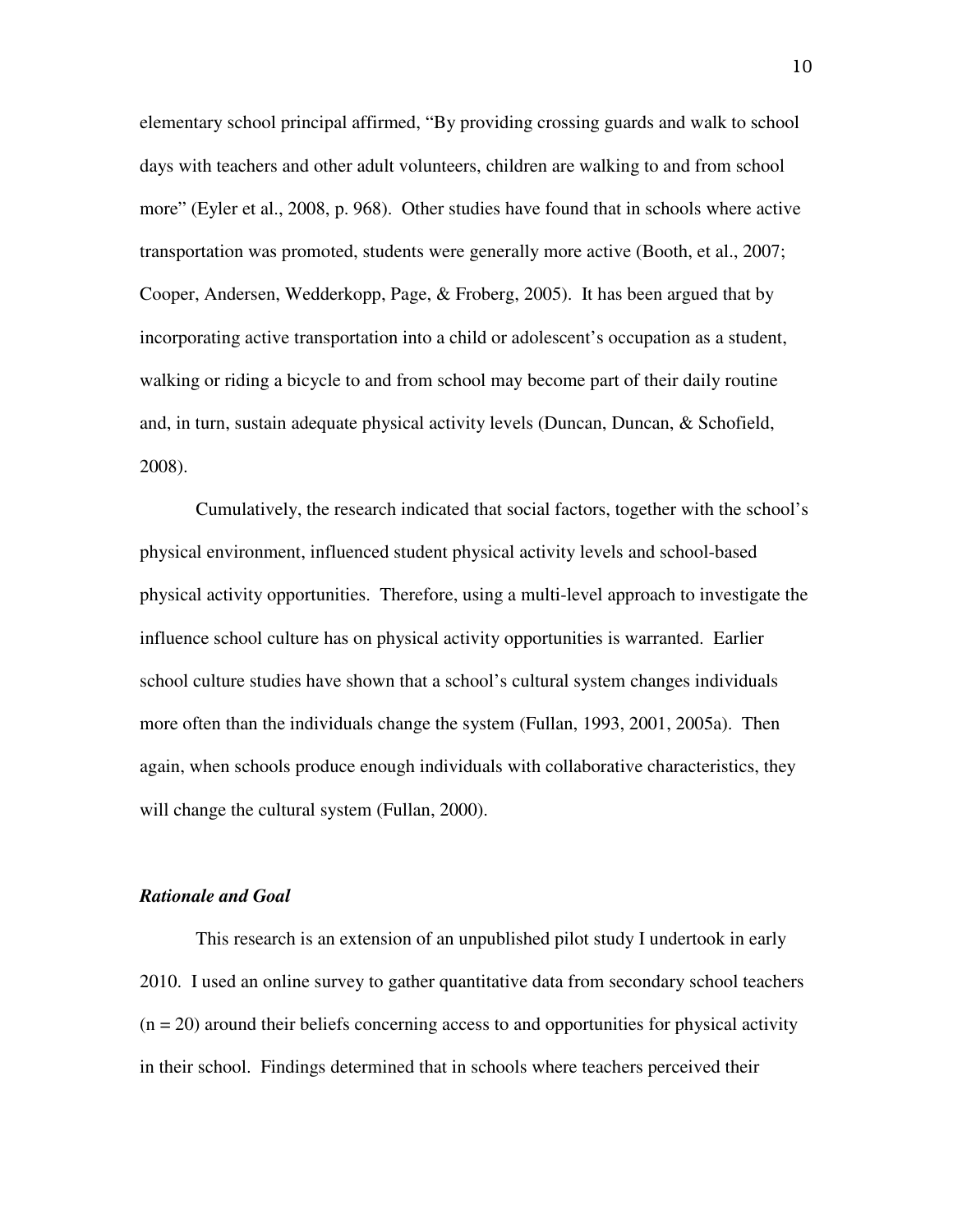elementary school principal affirmed, "By providing crossing guards and walk to school days with teachers and other adult volunteers, children are walking to and from school more" (Eyler et al., 2008, p. 968). Other studies have found that in schools where active transportation was promoted, students were generally more active (Booth, et al., 2007; Cooper, Andersen, Wedderkopp, Page, & Froberg, 2005). It has been argued that by incorporating active transportation into a child or adolescent's occupation as a student, walking or riding a bicycle to and from school may become part of their daily routine and, in turn, sustain adequate physical activity levels (Duncan, Duncan, & Schofield, 2008).

Cumulatively, the research indicated that social factors, together with the school's physical environment, influenced student physical activity levels and school-based physical activity opportunities. Therefore, using a multi-level approach to investigate the influence school culture has on physical activity opportunities is warranted. Earlier school culture studies have shown that a school's cultural system changes individuals more often than the individuals change the system (Fullan, 1993, 2001, 2005a). Then again, when schools produce enough individuals with collaborative characteristics, they will change the cultural system (Fullan, 2000).

#### *Rationale and Goal*

This research is an extension of an unpublished pilot study I undertook in early 2010. I used an online survey to gather quantitative data from secondary school teachers  $(n = 20)$  around their beliefs concerning access to and opportunities for physical activity in their school. Findings determined that in schools where teachers perceived their

10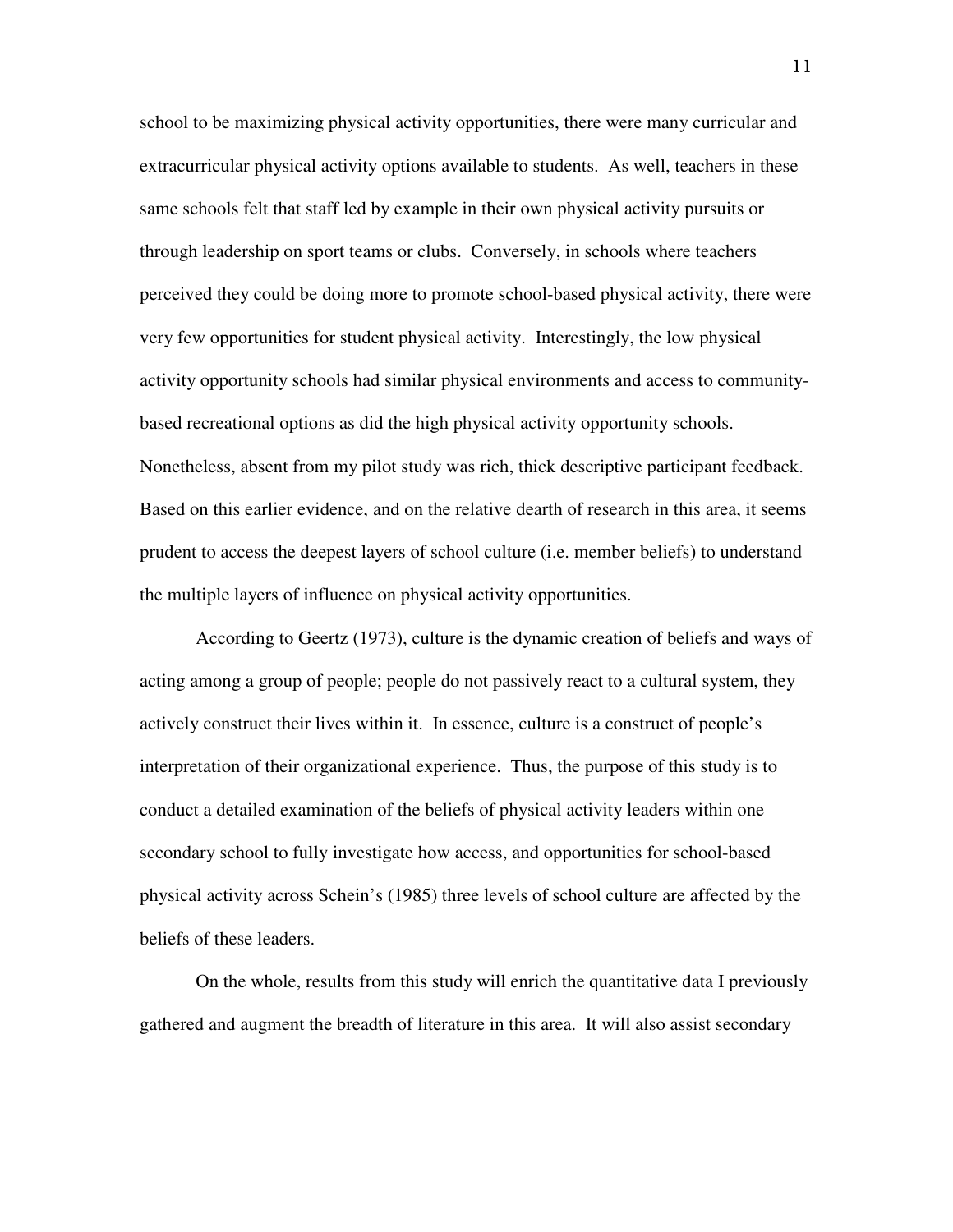school to be maximizing physical activity opportunities, there were many curricular and extracurricular physical activity options available to students. As well, teachers in these same schools felt that staff led by example in their own physical activity pursuits or through leadership on sport teams or clubs. Conversely, in schools where teachers perceived they could be doing more to promote school-based physical activity, there were very few opportunities for student physical activity. Interestingly, the low physical activity opportunity schools had similar physical environments and access to communitybased recreational options as did the high physical activity opportunity schools. Nonetheless, absent from my pilot study was rich, thick descriptive participant feedback. Based on this earlier evidence, and on the relative dearth of research in this area, it seems prudent to access the deepest layers of school culture (i.e. member beliefs) to understand the multiple layers of influence on physical activity opportunities.

According to Geertz (1973), culture is the dynamic creation of beliefs and ways of acting among a group of people; people do not passively react to a cultural system, they actively construct their lives within it. In essence, culture is a construct of people's interpretation of their organizational experience. Thus, the purpose of this study is to conduct a detailed examination of the beliefs of physical activity leaders within one secondary school to fully investigate how access, and opportunities for school-based physical activity across Schein's (1985) three levels of school culture are affected by the beliefs of these leaders.

On the whole, results from this study will enrich the quantitative data I previously gathered and augment the breadth of literature in this area. It will also assist secondary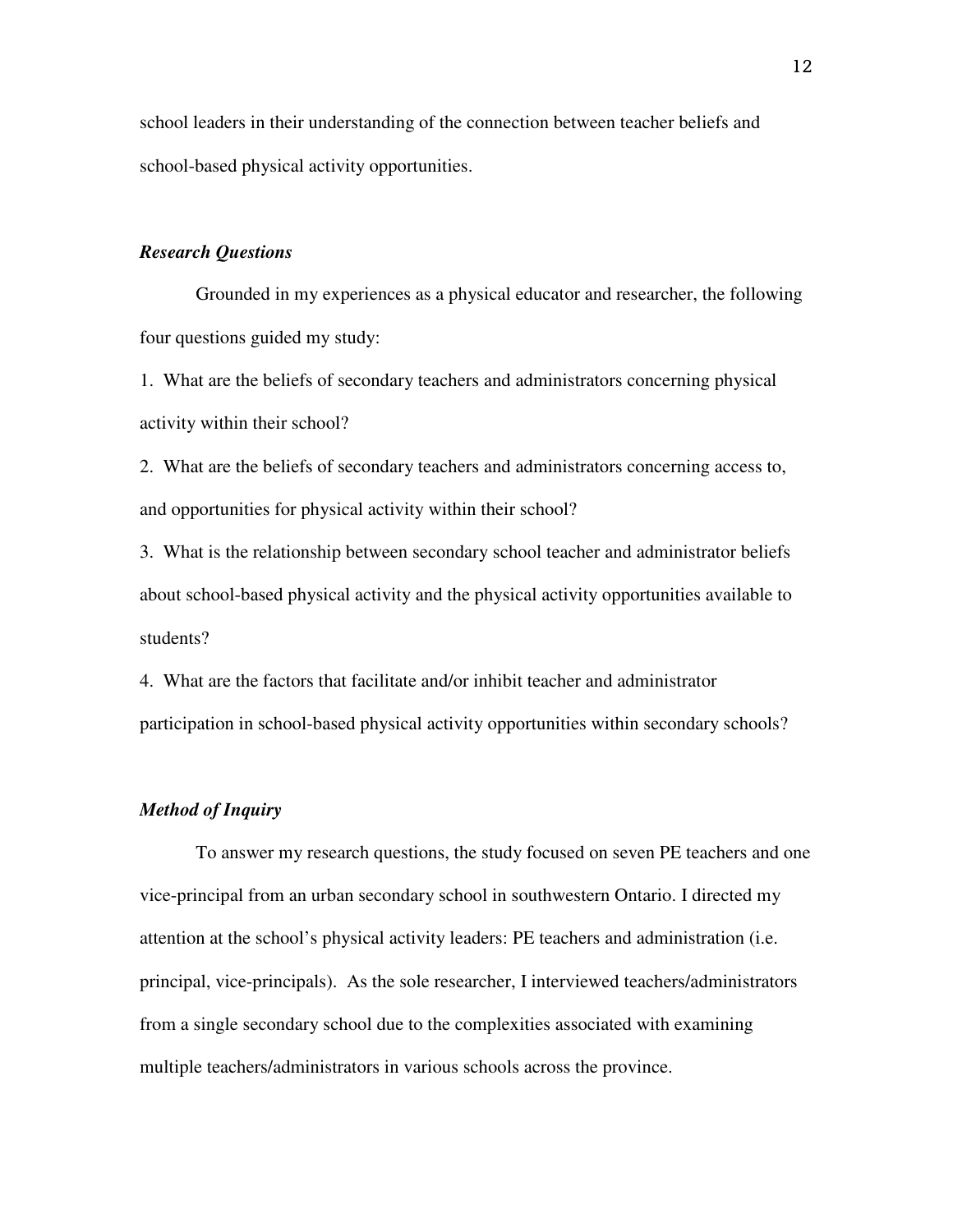school leaders in their understanding of the connection between teacher beliefs and school-based physical activity opportunities.

#### *Research Questions*

 Grounded in my experiences as a physical educator and researcher, the following four questions guided my study:

1. What are the beliefs of secondary teachers and administrators concerning physical activity within their school?

2. What are the beliefs of secondary teachers and administrators concerning access to, and opportunities for physical activity within their school?

3. What is the relationship between secondary school teacher and administrator beliefs about school-based physical activity and the physical activity opportunities available to students?

4. What are the factors that facilitate and/or inhibit teacher and administrator participation in school-based physical activity opportunities within secondary schools?

### *Method of Inquiry*

To answer my research questions, the study focused on seven PE teachers and one vice-principal from an urban secondary school in southwestern Ontario. I directed my attention at the school's physical activity leaders: PE teachers and administration (i.e. principal, vice-principals). As the sole researcher, I interviewed teachers/administrators from a single secondary school due to the complexities associated with examining multiple teachers/administrators in various schools across the province.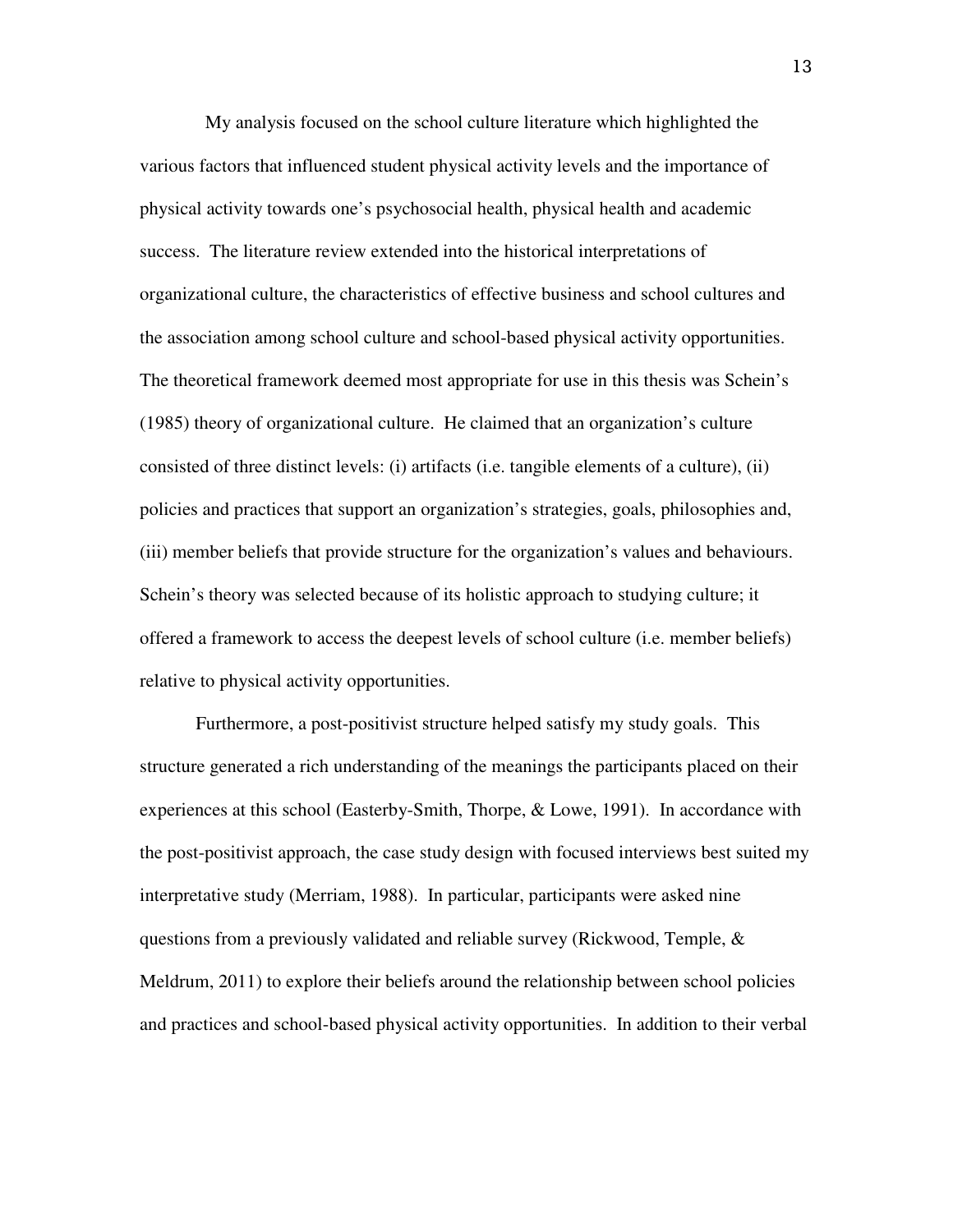My analysis focused on the school culture literature which highlighted the various factors that influenced student physical activity levels and the importance of physical activity towards one's psychosocial health, physical health and academic success. The literature review extended into the historical interpretations of organizational culture, the characteristics of effective business and school cultures and the association among school culture and school-based physical activity opportunities. The theoretical framework deemed most appropriate for use in this thesis was Schein's (1985) theory of organizational culture. He claimed that an organization's culture consisted of three distinct levels: (i) artifacts (i.e. tangible elements of a culture), (ii) policies and practices that support an organization's strategies, goals, philosophies and, (iii) member beliefs that provide structure for the organization's values and behaviours. Schein's theory was selected because of its holistic approach to studying culture; it offered a framework to access the deepest levels of school culture (i.e. member beliefs) relative to physical activity opportunities.

Furthermore, a post-positivist structure helped satisfy my study goals. This structure generated a rich understanding of the meanings the participants placed on their experiences at this school (Easterby-Smith, Thorpe, & Lowe, 1991). In accordance with the post-positivist approach, the case study design with focused interviews best suited my interpretative study (Merriam, 1988). In particular, participants were asked nine questions from a previously validated and reliable survey (Rickwood, Temple, & Meldrum, 2011) to explore their beliefs around the relationship between school policies and practices and school-based physical activity opportunities. In addition to their verbal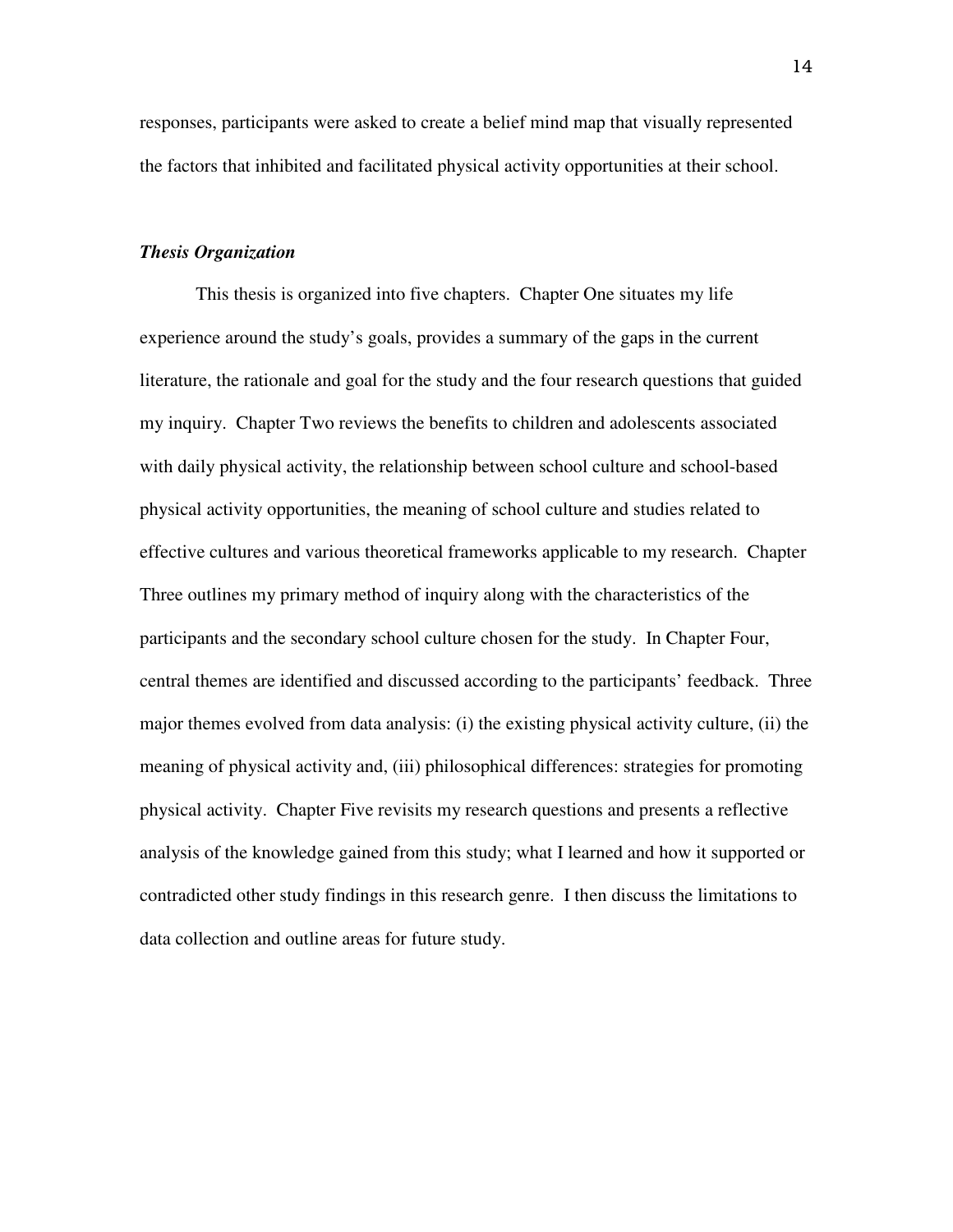responses, participants were asked to create a belief mind map that visually represented the factors that inhibited and facilitated physical activity opportunities at their school.

#### *Thesis Organization*

 This thesis is organized into five chapters. Chapter One situates my life experience around the study's goals, provides a summary of the gaps in the current literature, the rationale and goal for the study and the four research questions that guided my inquiry. Chapter Two reviews the benefits to children and adolescents associated with daily physical activity, the relationship between school culture and school-based physical activity opportunities, the meaning of school culture and studies related to effective cultures and various theoretical frameworks applicable to my research. Chapter Three outlines my primary method of inquiry along with the characteristics of the participants and the secondary school culture chosen for the study. In Chapter Four, central themes are identified and discussed according to the participants' feedback. Three major themes evolved from data analysis: (i) the existing physical activity culture, (ii) the meaning of physical activity and, (iii) philosophical differences: strategies for promoting physical activity. Chapter Five revisits my research questions and presents a reflective analysis of the knowledge gained from this study; what I learned and how it supported or contradicted other study findings in this research genre. I then discuss the limitations to data collection and outline areas for future study.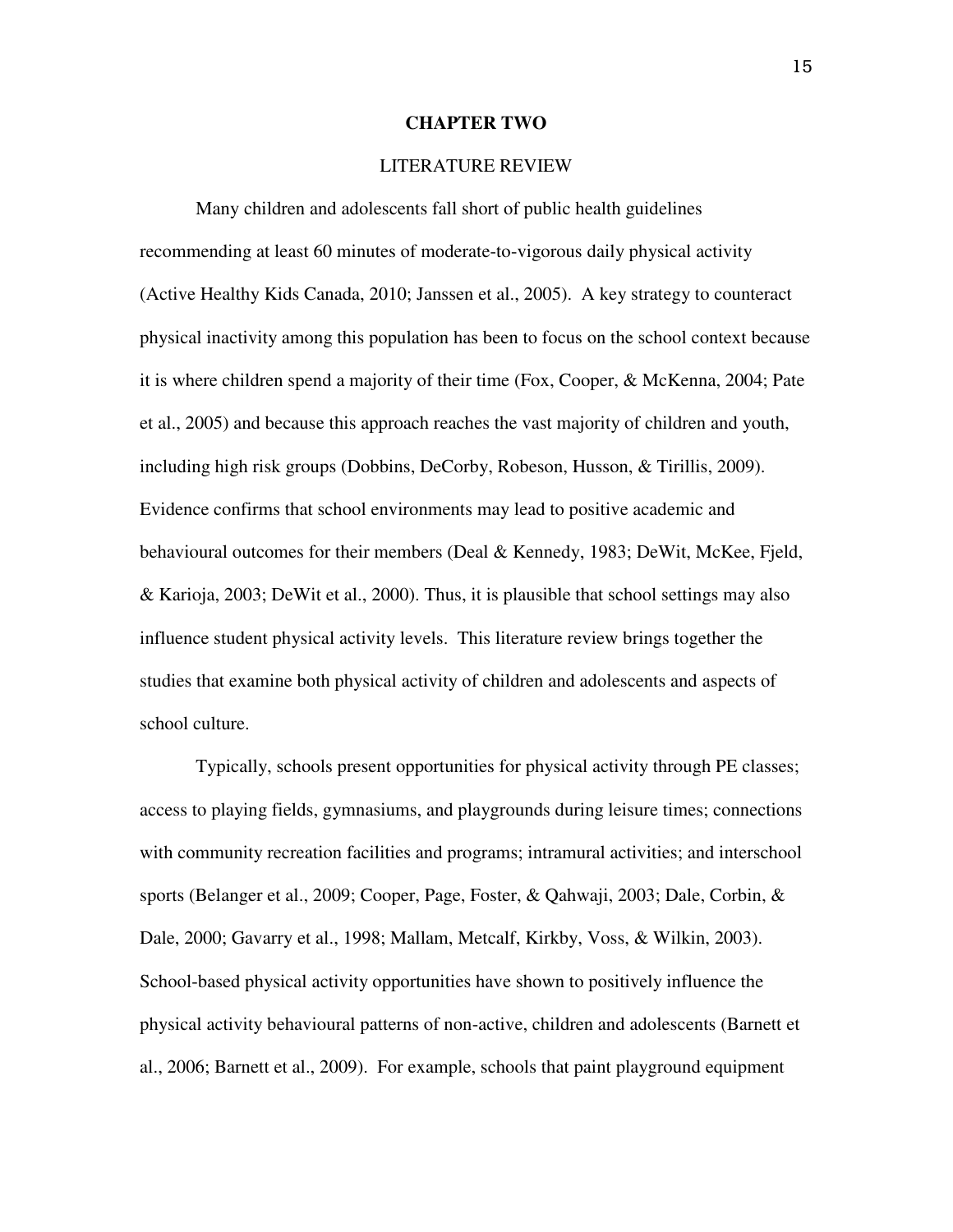#### **CHAPTER TWO**

#### LITERATURE REVIEW

Many children and adolescents fall short of public health guidelines recommending at least 60 minutes of moderate-to-vigorous daily physical activity (Active Healthy Kids Canada, 2010; Janssen et al., 2005). A key strategy to counteract physical inactivity among this population has been to focus on the school context because it is where children spend a majority of their time (Fox, Cooper, & McKenna, 2004; Pate et al., 2005) and because this approach reaches the vast majority of children and youth, including high risk groups (Dobbins, DeCorby, Robeson, Husson, & Tirillis, 2009). Evidence confirms that school environments may lead to positive academic and behavioural outcomes for their members (Deal & Kennedy, 1983; DeWit, McKee, Fjeld, & Karioja, 2003; DeWit et al., 2000). Thus, it is plausible that school settings may also influence student physical activity levels. This literature review brings together the studies that examine both physical activity of children and adolescents and aspects of school culture.

Typically, schools present opportunities for physical activity through PE classes; access to playing fields, gymnasiums, and playgrounds during leisure times; connections with community recreation facilities and programs; intramural activities; and interschool sports (Belanger et al., 2009; Cooper, Page, Foster, & Qahwaji, 2003; Dale, Corbin, & Dale, 2000; Gavarry et al., 1998; Mallam, Metcalf, Kirkby, Voss, & Wilkin, 2003). School-based physical activity opportunities have shown to positively influence the physical activity behavioural patterns of non-active, children and adolescents (Barnett et al., 2006; Barnett et al., 2009). For example, schools that paint playground equipment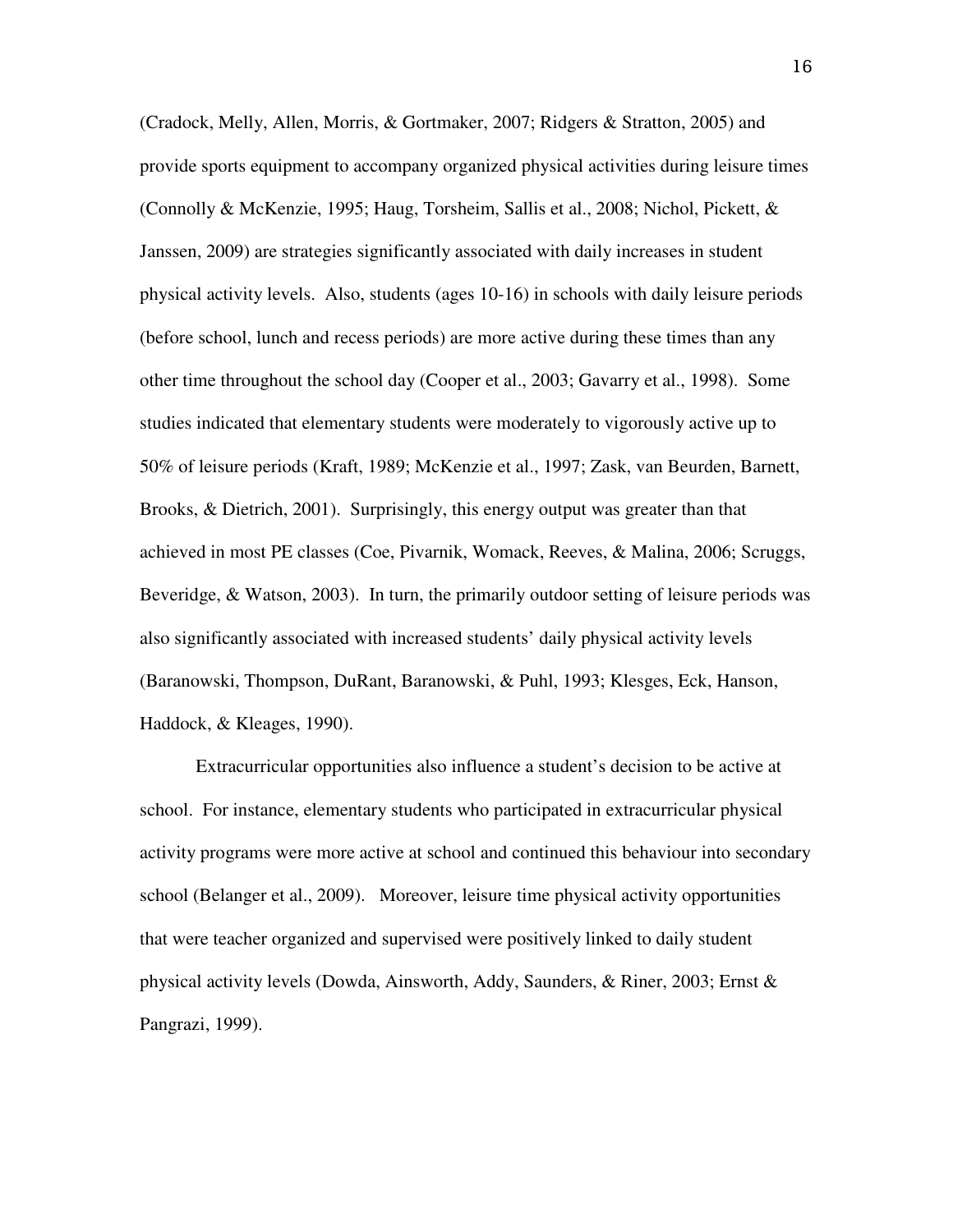(Cradock, Melly, Allen, Morris, & Gortmaker, 2007; Ridgers & Stratton, 2005) and provide sports equipment to accompany organized physical activities during leisure times (Connolly & McKenzie, 1995; Haug, Torsheim, Sallis et al., 2008; Nichol, Pickett, & Janssen, 2009) are strategies significantly associated with daily increases in student physical activity levels. Also, students (ages 10-16) in schools with daily leisure periods (before school, lunch and recess periods) are more active during these times than any other time throughout the school day (Cooper et al., 2003; Gavarry et al., 1998). Some studies indicated that elementary students were moderately to vigorously active up to 50% of leisure periods (Kraft, 1989; McKenzie et al., 1997; Zask, van Beurden, Barnett, Brooks, & Dietrich, 2001). Surprisingly, this energy output was greater than that achieved in most PE classes (Coe, Pivarnik, Womack, Reeves, & Malina, 2006; Scruggs, Beveridge, & Watson, 2003). In turn, the primarily outdoor setting of leisure periods was also significantly associated with increased students' daily physical activity levels (Baranowski, Thompson, DuRant, Baranowski, & Puhl, 1993; Klesges, Eck, Hanson, Haddock, & Kleages, 1990).

Extracurricular opportunities also influence a student's decision to be active at school. For instance, elementary students who participated in extracurricular physical activity programs were more active at school and continued this behaviour into secondary school (Belanger et al., 2009). Moreover, leisure time physical activity opportunities that were teacher organized and supervised were positively linked to daily student physical activity levels (Dowda, Ainsworth, Addy, Saunders, & Riner, 2003; Ernst & Pangrazi, 1999).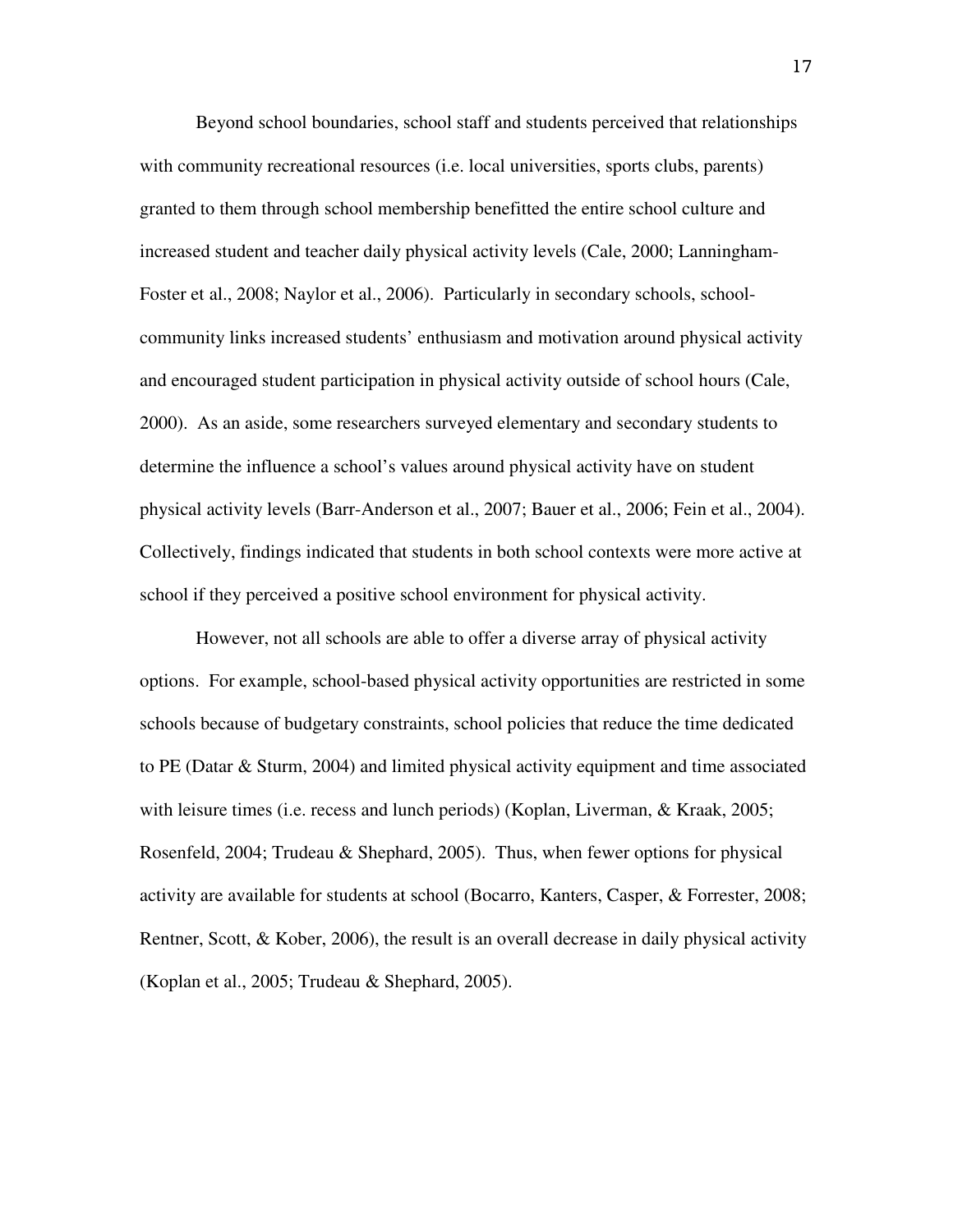Beyond school boundaries, school staff and students perceived that relationships with community recreational resources (i.e. local universities, sports clubs, parents) granted to them through school membership benefitted the entire school culture and increased student and teacher daily physical activity levels (Cale, 2000; Lanningham-Foster et al., 2008; Naylor et al., 2006). Particularly in secondary schools, schoolcommunity links increased students' enthusiasm and motivation around physical activity and encouraged student participation in physical activity outside of school hours (Cale, 2000). As an aside, some researchers surveyed elementary and secondary students to determine the influence a school's values around physical activity have on student physical activity levels (Barr-Anderson et al., 2007; Bauer et al., 2006; Fein et al., 2004). Collectively, findings indicated that students in both school contexts were more active at school if they perceived a positive school environment for physical activity.

However, not all schools are able to offer a diverse array of physical activity options. For example, school-based physical activity opportunities are restricted in some schools because of budgetary constraints, school policies that reduce the time dedicated to PE (Datar & Sturm, 2004) and limited physical activity equipment and time associated with leisure times (i.e. recess and lunch periods) (Koplan, Liverman, & Kraak, 2005; Rosenfeld, 2004; Trudeau & Shephard, 2005). Thus, when fewer options for physical activity are available for students at school (Bocarro, Kanters, Casper, & Forrester, 2008; Rentner, Scott,  $\&$  Kober, 2006), the result is an overall decrease in daily physical activity (Koplan et al., 2005; Trudeau & Shephard, 2005).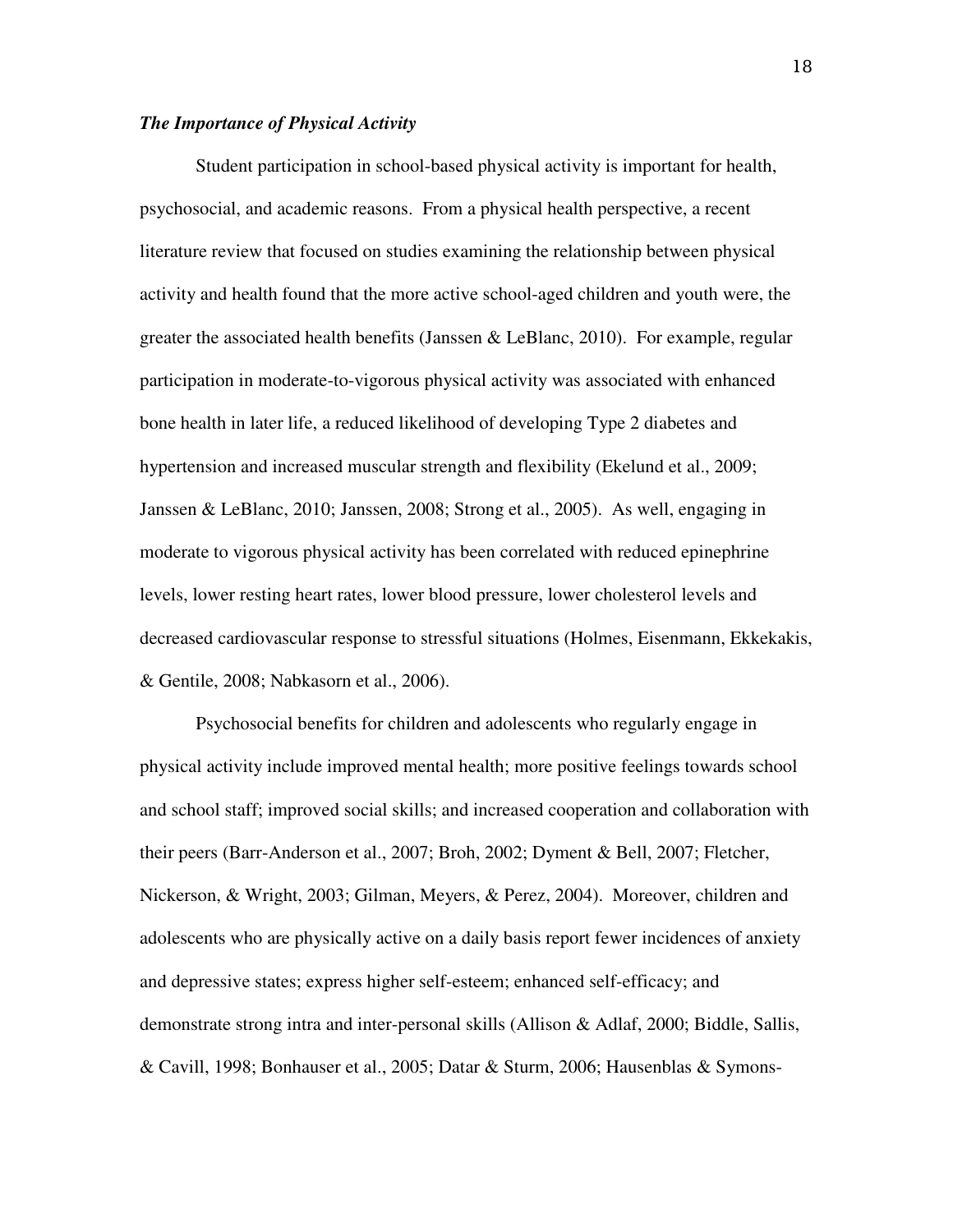### *The Importance of Physical Activity*

Student participation in school-based physical activity is important for health, psychosocial, and academic reasons. From a physical health perspective, a recent literature review that focused on studies examining the relationship between physical activity and health found that the more active school-aged children and youth were, the greater the associated health benefits (Janssen & LeBlanc, 2010). For example, regular participation in moderate-to-vigorous physical activity was associated with enhanced bone health in later life, a reduced likelihood of developing Type 2 diabetes and hypertension and increased muscular strength and flexibility (Ekelund et al., 2009; Janssen & LeBlanc, 2010; Janssen, 2008; Strong et al., 2005). As well, engaging in moderate to vigorous physical activity has been correlated with reduced epinephrine levels, lower resting heart rates, lower blood pressure, lower cholesterol levels and decreased cardiovascular response to stressful situations (Holmes, Eisenmann, Ekkekakis, & Gentile, 2008; Nabkasorn et al., 2006).

 Psychosocial benefits for children and adolescents who regularly engage in physical activity include improved mental health; more positive feelings towards school and school staff; improved social skills; and increased cooperation and collaboration with their peers (Barr-Anderson et al., 2007; Broh, 2002; Dyment & Bell, 2007; Fletcher, Nickerson, & Wright, 2003; Gilman, Meyers, & Perez, 2004). Moreover, children and adolescents who are physically active on a daily basis report fewer incidences of anxiety and depressive states; express higher self-esteem; enhanced self-efficacy; and demonstrate strong intra and inter-personal skills (Allison & Adlaf, 2000; Biddle, Sallis, & Cavill, 1998; Bonhauser et al., 2005; Datar & Sturm, 2006; Hausenblas & Symons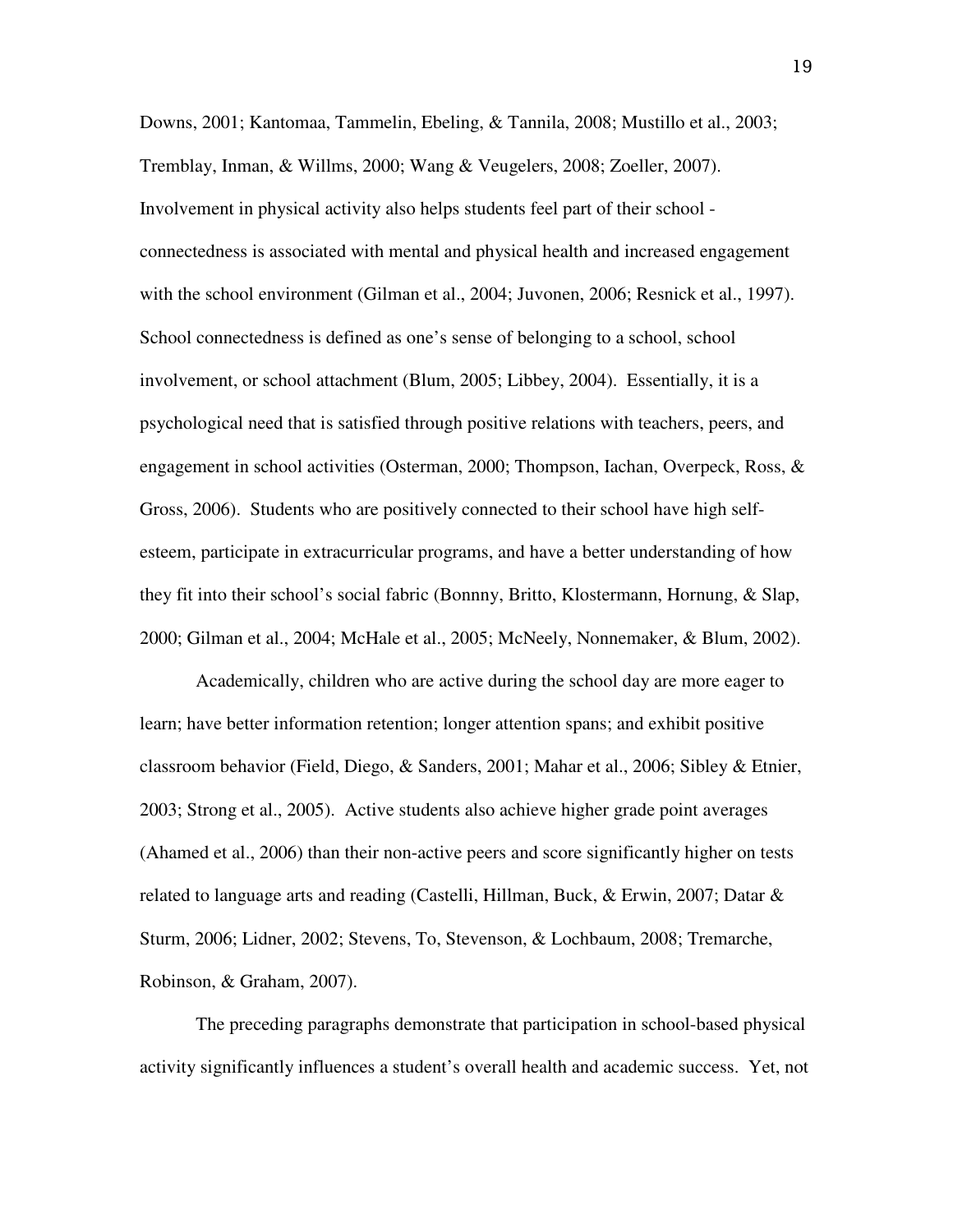Downs, 2001; Kantomaa, Tammelin, Ebeling, & Tannila, 2008; Mustillo et al., 2003; Tremblay, Inman, & Willms, 2000; Wang & Veugelers, 2008; Zoeller, 2007). Involvement in physical activity also helps students feel part of their school connectedness is associated with mental and physical health and increased engagement with the school environment (Gilman et al., 2004; Juvonen, 2006; Resnick et al., 1997). School connectedness is defined as one's sense of belonging to a school, school involvement, or school attachment (Blum, 2005; Libbey, 2004). Essentially, it is a psychological need that is satisfied through positive relations with teachers, peers, and engagement in school activities (Osterman, 2000; Thompson, Iachan, Overpeck, Ross, & Gross, 2006). Students who are positively connected to their school have high selfesteem, participate in extracurricular programs, and have a better understanding of how they fit into their school's social fabric (Bonnny, Britto, Klostermann, Hornung, & Slap, 2000; Gilman et al., 2004; McHale et al., 2005; McNeely, Nonnemaker, & Blum, 2002).

 Academically, children who are active during the school day are more eager to learn; have better information retention; longer attention spans; and exhibit positive classroom behavior (Field, Diego, & Sanders, 2001; Mahar et al., 2006; Sibley & Etnier, 2003; Strong et al., 2005). Active students also achieve higher grade point averages (Ahamed et al., 2006) than their non-active peers and score significantly higher on tests related to language arts and reading (Castelli, Hillman, Buck,  $\&$  Erwin, 2007; Datar  $\&$ Sturm, 2006; Lidner, 2002; Stevens, To, Stevenson, & Lochbaum, 2008; Tremarche, Robinson, & Graham, 2007).

 The preceding paragraphs demonstrate that participation in school-based physical activity significantly influences a student's overall health and academic success. Yet, not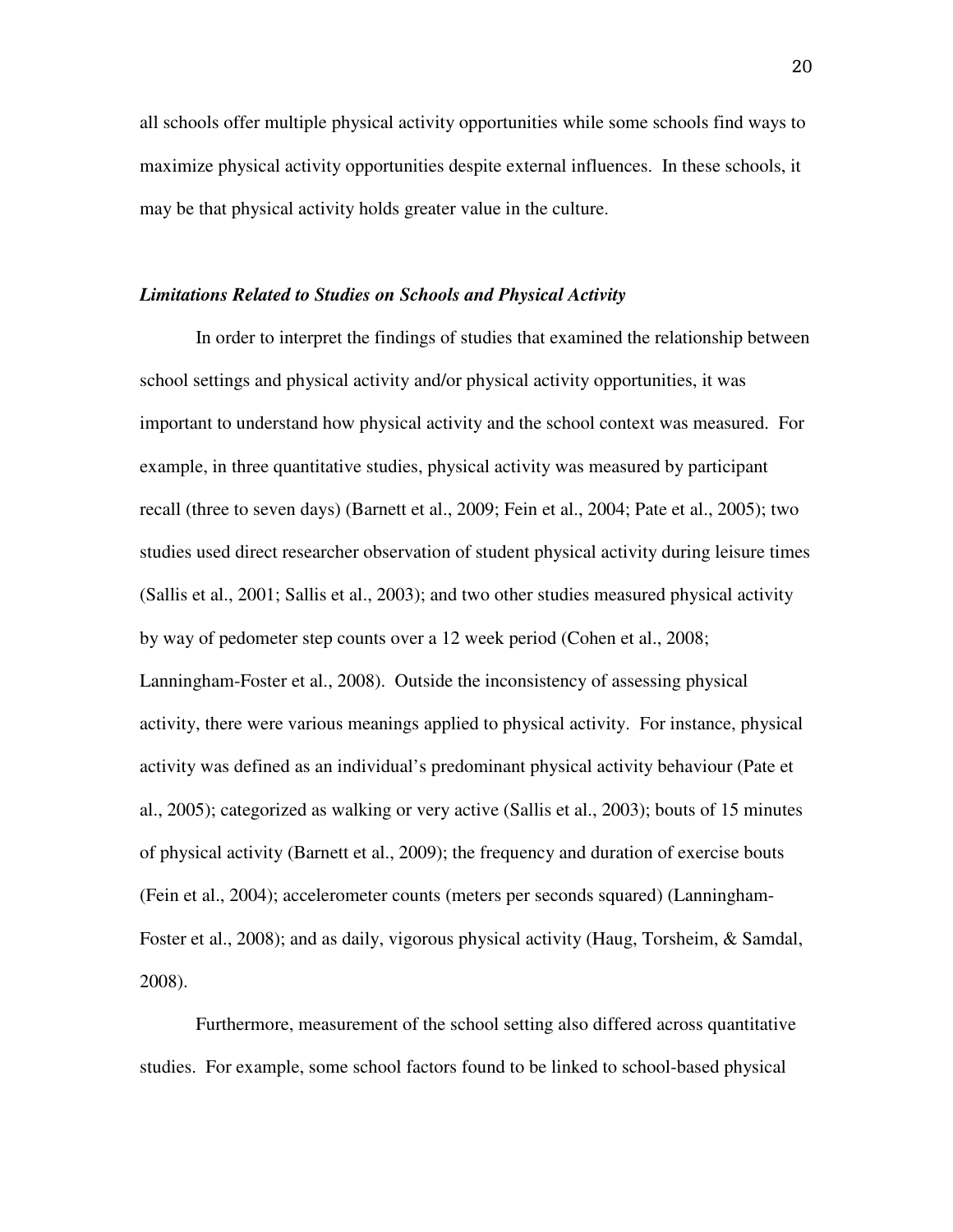all schools offer multiple physical activity opportunities while some schools find ways to maximize physical activity opportunities despite external influences. In these schools, it may be that physical activity holds greater value in the culture.

#### *Limitations Related to Studies on Schools and Physical Activity*

 In order to interpret the findings of studies that examined the relationship between school settings and physical activity and/or physical activity opportunities, it was important to understand how physical activity and the school context was measured. For example, in three quantitative studies, physical activity was measured by participant recall (three to seven days) (Barnett et al., 2009; Fein et al., 2004; Pate et al., 2005); two studies used direct researcher observation of student physical activity during leisure times (Sallis et al., 2001; Sallis et al., 2003); and two other studies measured physical activity by way of pedometer step counts over a 12 week period (Cohen et al., 2008; Lanningham-Foster et al., 2008). Outside the inconsistency of assessing physical activity, there were various meanings applied to physical activity. For instance, physical activity was defined as an individual's predominant physical activity behaviour (Pate et al., 2005); categorized as walking or very active (Sallis et al., 2003); bouts of 15 minutes of physical activity (Barnett et al., 2009); the frequency and duration of exercise bouts (Fein et al., 2004); accelerometer counts (meters per seconds squared) (Lanningham-Foster et al., 2008); and as daily, vigorous physical activity (Haug, Torsheim, & Samdal, 2008).

 Furthermore, measurement of the school setting also differed across quantitative studies. For example, some school factors found to be linked to school-based physical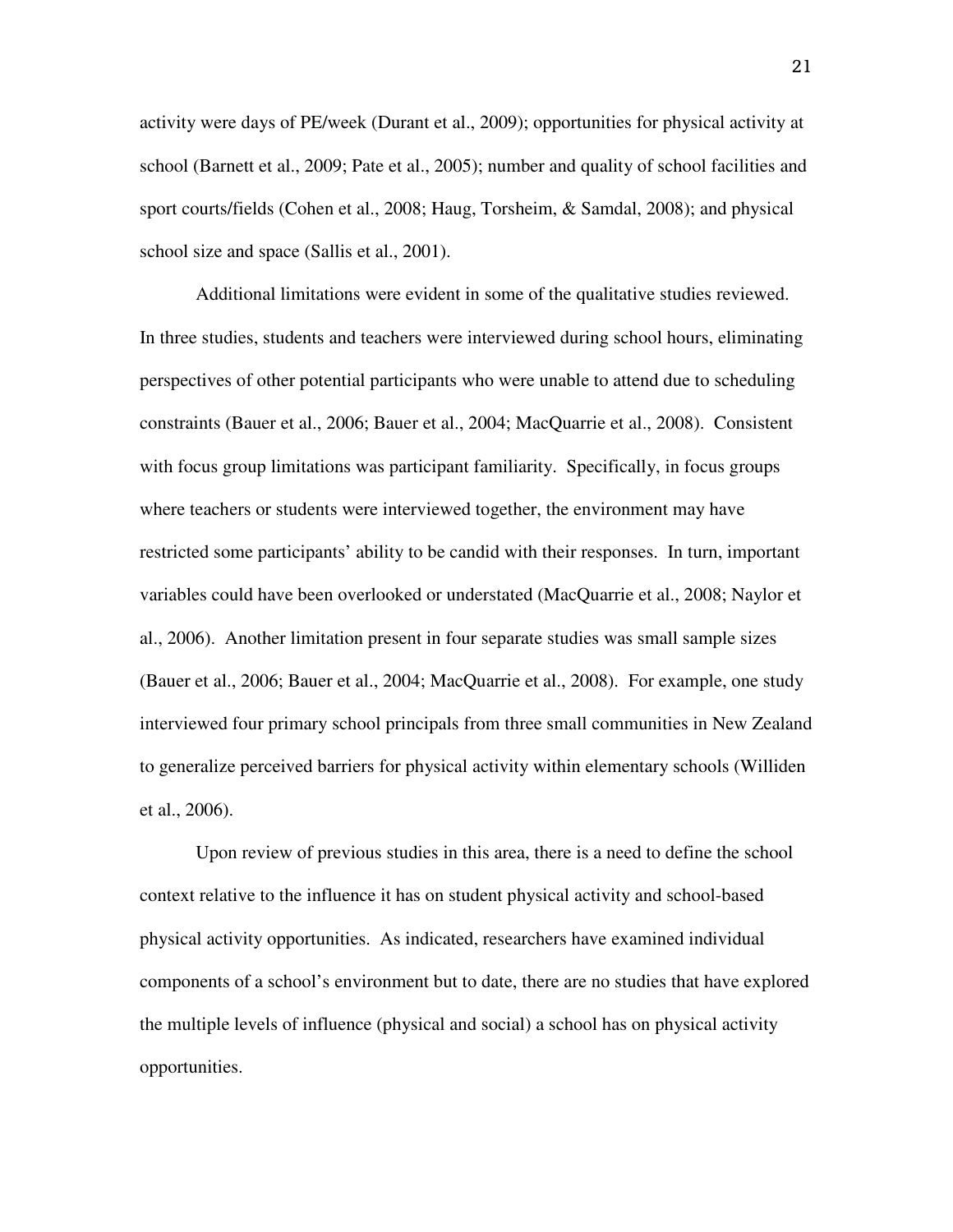activity were days of PE/week (Durant et al., 2009); opportunities for physical activity at school (Barnett et al., 2009; Pate et al., 2005); number and quality of school facilities and sport courts/fields (Cohen et al., 2008; Haug, Torsheim, & Samdal, 2008); and physical school size and space (Sallis et al., 2001).

 Additional limitations were evident in some of the qualitative studies reviewed. In three studies, students and teachers were interviewed during school hours, eliminating perspectives of other potential participants who were unable to attend due to scheduling constraints (Bauer et al., 2006; Bauer et al., 2004; MacQuarrie et al., 2008). Consistent with focus group limitations was participant familiarity. Specifically, in focus groups where teachers or students were interviewed together, the environment may have restricted some participants' ability to be candid with their responses. In turn, important variables could have been overlooked or understated (MacQuarrie et al., 2008; Naylor et al., 2006). Another limitation present in four separate studies was small sample sizes (Bauer et al., 2006; Bauer et al., 2004; MacQuarrie et al., 2008). For example, one study interviewed four primary school principals from three small communities in New Zealand to generalize perceived barriers for physical activity within elementary schools (Williden et al., 2006).

 Upon review of previous studies in this area, there is a need to define the school context relative to the influence it has on student physical activity and school-based physical activity opportunities. As indicated, researchers have examined individual components of a school's environment but to date, there are no studies that have explored the multiple levels of influence (physical and social) a school has on physical activity opportunities.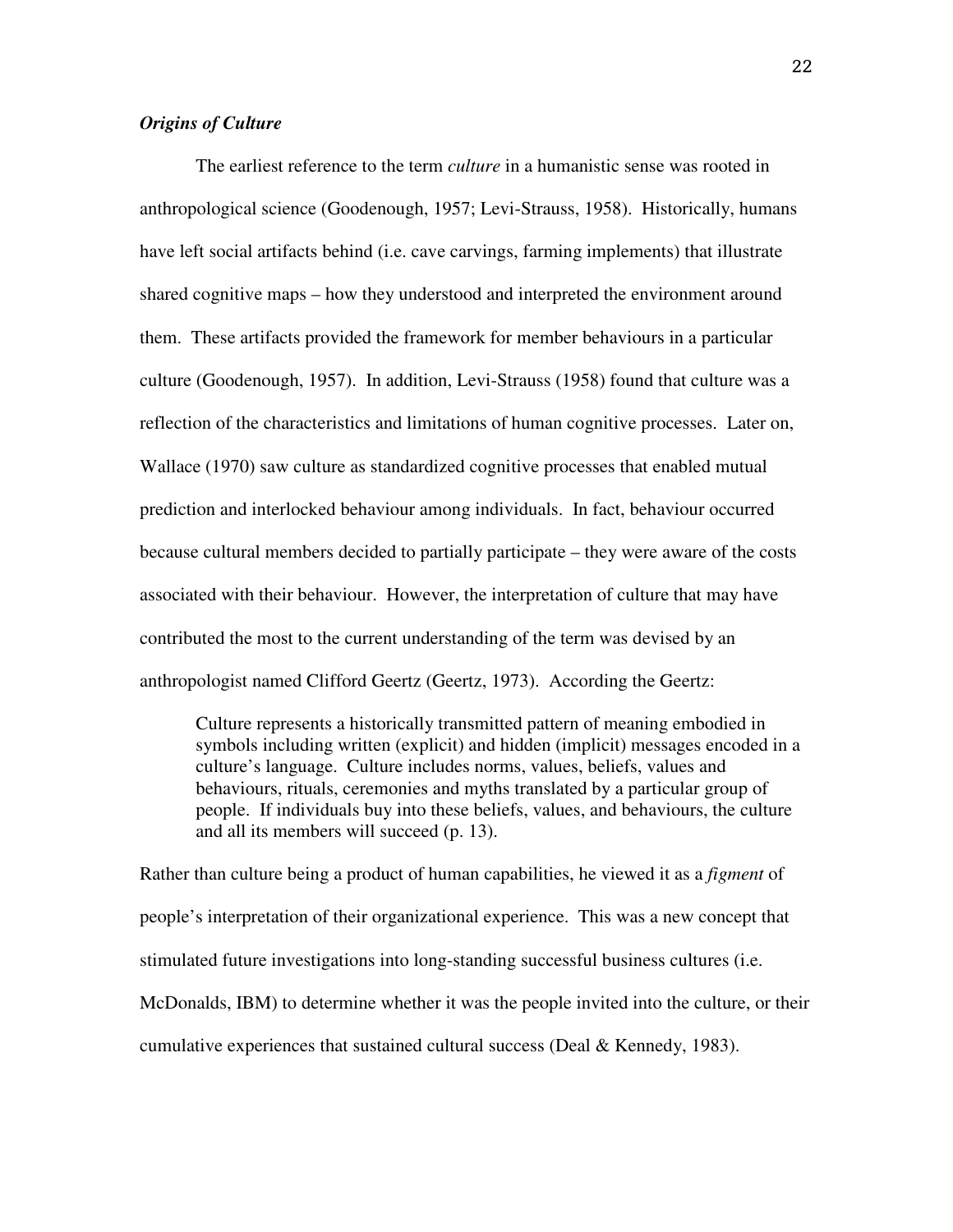## *Origins of Culture*

The earliest reference to the term *culture* in a humanistic sense was rooted in anthropological science (Goodenough, 1957; Levi-Strauss, 1958). Historically, humans have left social artifacts behind (i.e. cave carvings, farming implements) that illustrate shared cognitive maps – how they understood and interpreted the environment around them. These artifacts provided the framework for member behaviours in a particular culture (Goodenough, 1957). In addition, Levi-Strauss (1958) found that culture was a reflection of the characteristics and limitations of human cognitive processes. Later on, Wallace (1970) saw culture as standardized cognitive processes that enabled mutual prediction and interlocked behaviour among individuals. In fact, behaviour occurred because cultural members decided to partially participate – they were aware of the costs associated with their behaviour. However, the interpretation of culture that may have contributed the most to the current understanding of the term was devised by an anthropologist named Clifford Geertz (Geertz, 1973). According the Geertz:

Culture represents a historically transmitted pattern of meaning embodied in symbols including written (explicit) and hidden (implicit) messages encoded in a culture's language. Culture includes norms, values, beliefs, values and behaviours, rituals, ceremonies and myths translated by a particular group of people. If individuals buy into these beliefs, values, and behaviours, the culture and all its members will succeed (p. 13).

Rather than culture being a product of human capabilities, he viewed it as a *figment* of people's interpretation of their organizational experience. This was a new concept that stimulated future investigations into long-standing successful business cultures (i.e. McDonalds, IBM) to determine whether it was the people invited into the culture, or their cumulative experiences that sustained cultural success (Deal  $\&$  Kennedy, 1983).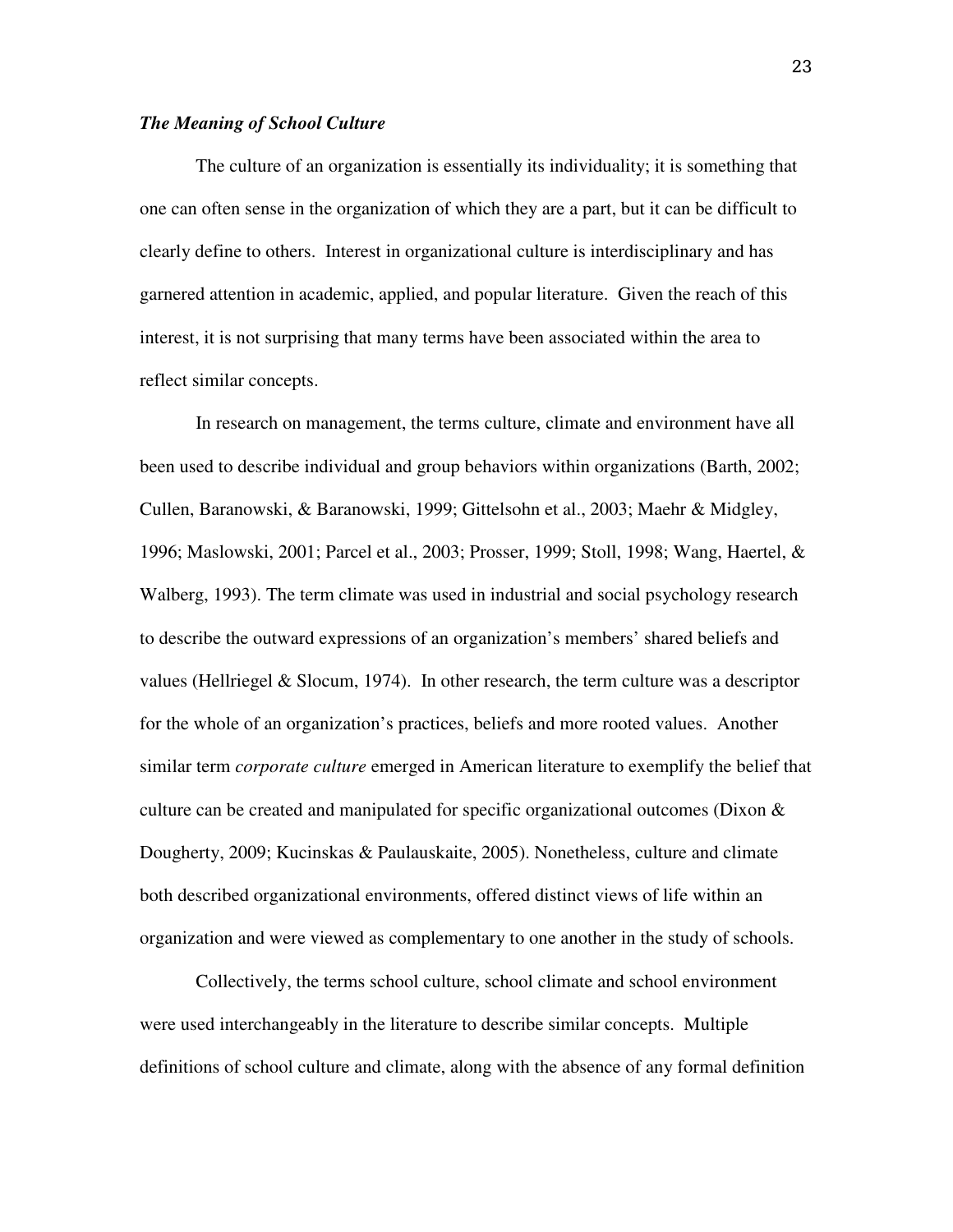### *The Meaning of School Culture*

The culture of an organization is essentially its individuality; it is something that one can often sense in the organization of which they are a part, but it can be difficult to clearly define to others. Interest in organizational culture is interdisciplinary and has garnered attention in academic, applied, and popular literature. Given the reach of this interest, it is not surprising that many terms have been associated within the area to reflect similar concepts.

In research on management, the terms culture, climate and environment have all been used to describe individual and group behaviors within organizations (Barth, 2002; Cullen, Baranowski, & Baranowski, 1999; Gittelsohn et al., 2003; Maehr & Midgley, 1996; Maslowski, 2001; Parcel et al., 2003; Prosser, 1999; Stoll, 1998; Wang, Haertel, & Walberg, 1993). The term climate was used in industrial and social psychology research to describe the outward expressions of an organization's members' shared beliefs and values (Hellriegel & Slocum, 1974). In other research, the term culture was a descriptor for the whole of an organization's practices, beliefs and more rooted values. Another similar term *corporate culture* emerged in American literature to exemplify the belief that culture can be created and manipulated for specific organizational outcomes (Dixon  $\&$ Dougherty, 2009; Kucinskas & Paulauskaite, 2005). Nonetheless, culture and climate both described organizational environments, offered distinct views of life within an organization and were viewed as complementary to one another in the study of schools.

Collectively, the terms school culture, school climate and school environment were used interchangeably in the literature to describe similar concepts. Multiple definitions of school culture and climate, along with the absence of any formal definition

23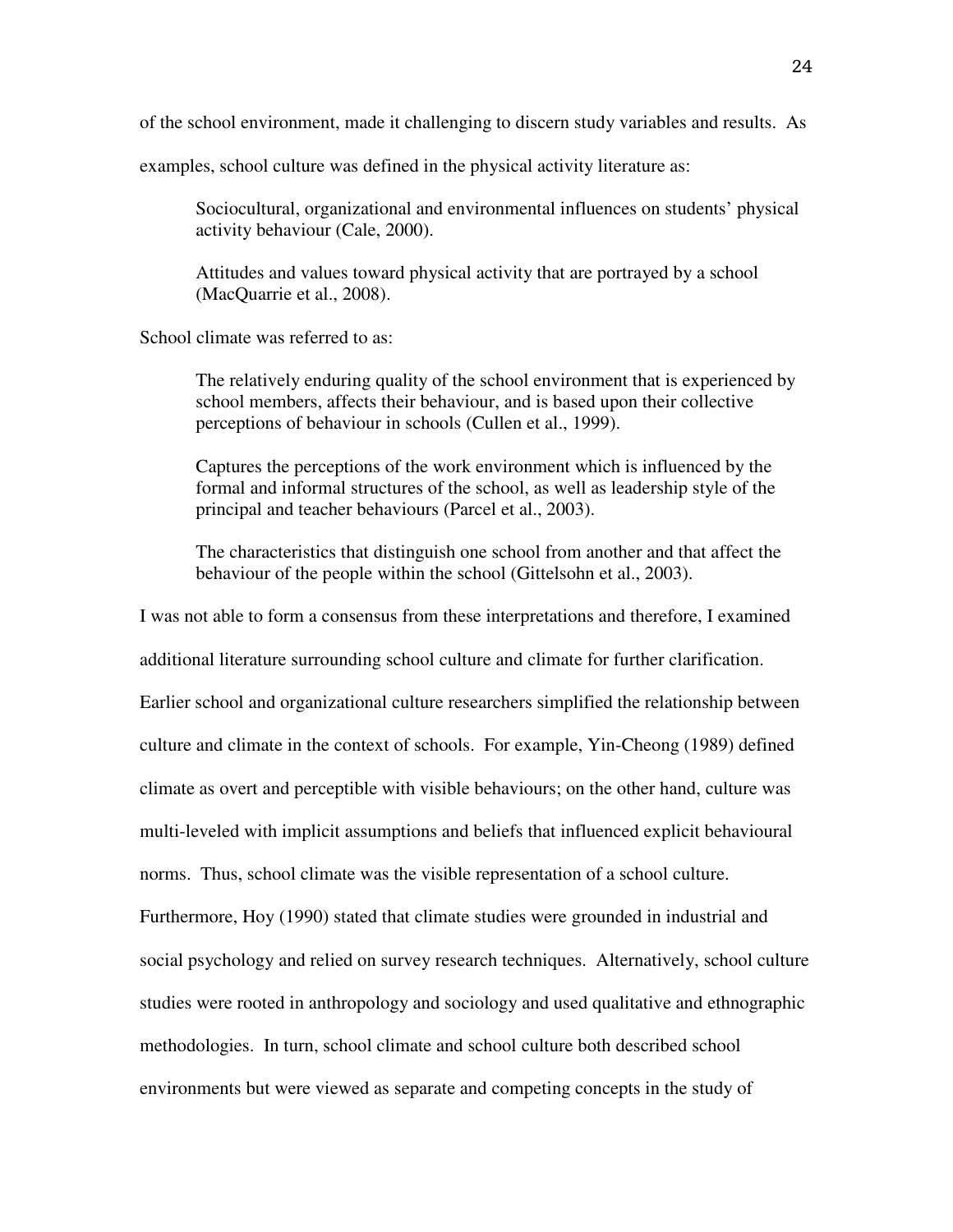of the school environment, made it challenging to discern study variables and results. As

examples, school culture was defined in the physical activity literature as:

Sociocultural, organizational and environmental influences on students' physical activity behaviour (Cale, 2000).

Attitudes and values toward physical activity that are portrayed by a school (MacQuarrie et al., 2008).

School climate was referred to as:

 The relatively enduring quality of the school environment that is experienced by school members, affects their behaviour, and is based upon their collective perceptions of behaviour in schools (Cullen et al., 1999).

 Captures the perceptions of the work environment which is influenced by the formal and informal structures of the school, as well as leadership style of the principal and teacher behaviours (Parcel et al., 2003).

 The characteristics that distinguish one school from another and that affect the behaviour of the people within the school (Gittelsohn et al., 2003).

I was not able to form a consensus from these interpretations and therefore, I examined additional literature surrounding school culture and climate for further clarification. Earlier school and organizational culture researchers simplified the relationship between culture and climate in the context of schools. For example, Yin-Cheong (1989) defined climate as overt and perceptible with visible behaviours; on the other hand, culture was multi-leveled with implicit assumptions and beliefs that influenced explicit behavioural norms. Thus, school climate was the visible representation of a school culture. Furthermore, Hoy (1990) stated that climate studies were grounded in industrial and social psychology and relied on survey research techniques. Alternatively, school culture studies were rooted in anthropology and sociology and used qualitative and ethnographic methodologies. In turn, school climate and school culture both described school environments but were viewed as separate and competing concepts in the study of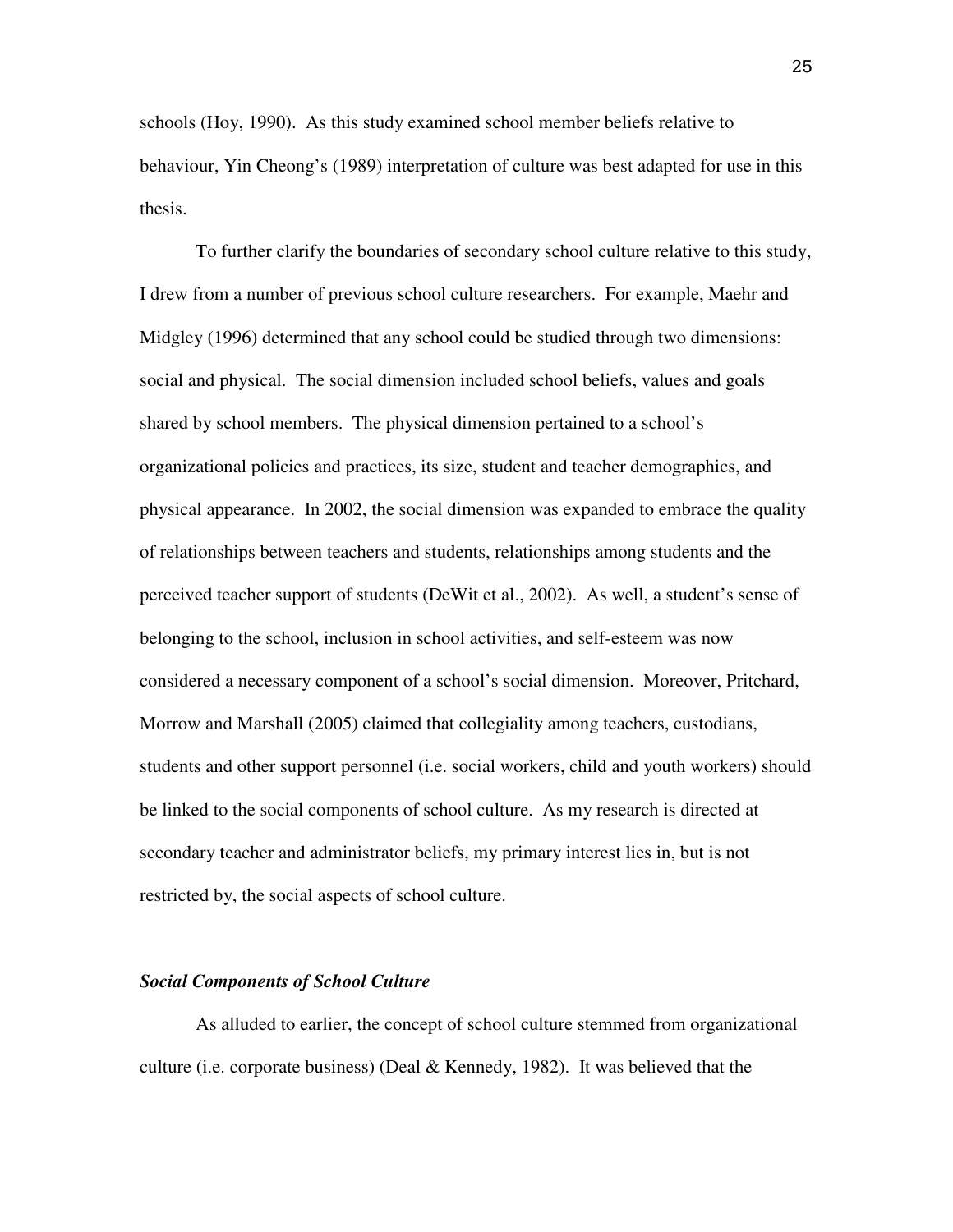schools (Hoy, 1990). As this study examined school member beliefs relative to behaviour, Yin Cheong's (1989) interpretation of culture was best adapted for use in this thesis.

 To further clarify the boundaries of secondary school culture relative to this study, I drew from a number of previous school culture researchers. For example, Maehr and Midgley (1996) determined that any school could be studied through two dimensions: social and physical. The social dimension included school beliefs, values and goals shared by school members. The physical dimension pertained to a school's organizational policies and practices, its size, student and teacher demographics, and physical appearance. In 2002, the social dimension was expanded to embrace the quality of relationships between teachers and students, relationships among students and the perceived teacher support of students (DeWit et al., 2002). As well, a student's sense of belonging to the school, inclusion in school activities, and self-esteem was now considered a necessary component of a school's social dimension. Moreover, Pritchard, Morrow and Marshall (2005) claimed that collegiality among teachers, custodians, students and other support personnel (i.e. social workers, child and youth workers) should be linked to the social components of school culture. As my research is directed at secondary teacher and administrator beliefs, my primary interest lies in, but is not restricted by, the social aspects of school culture.

#### *Social Components of School Culture*

As alluded to earlier, the concept of school culture stemmed from organizational culture (i.e. corporate business) (Deal & Kennedy, 1982). It was believed that the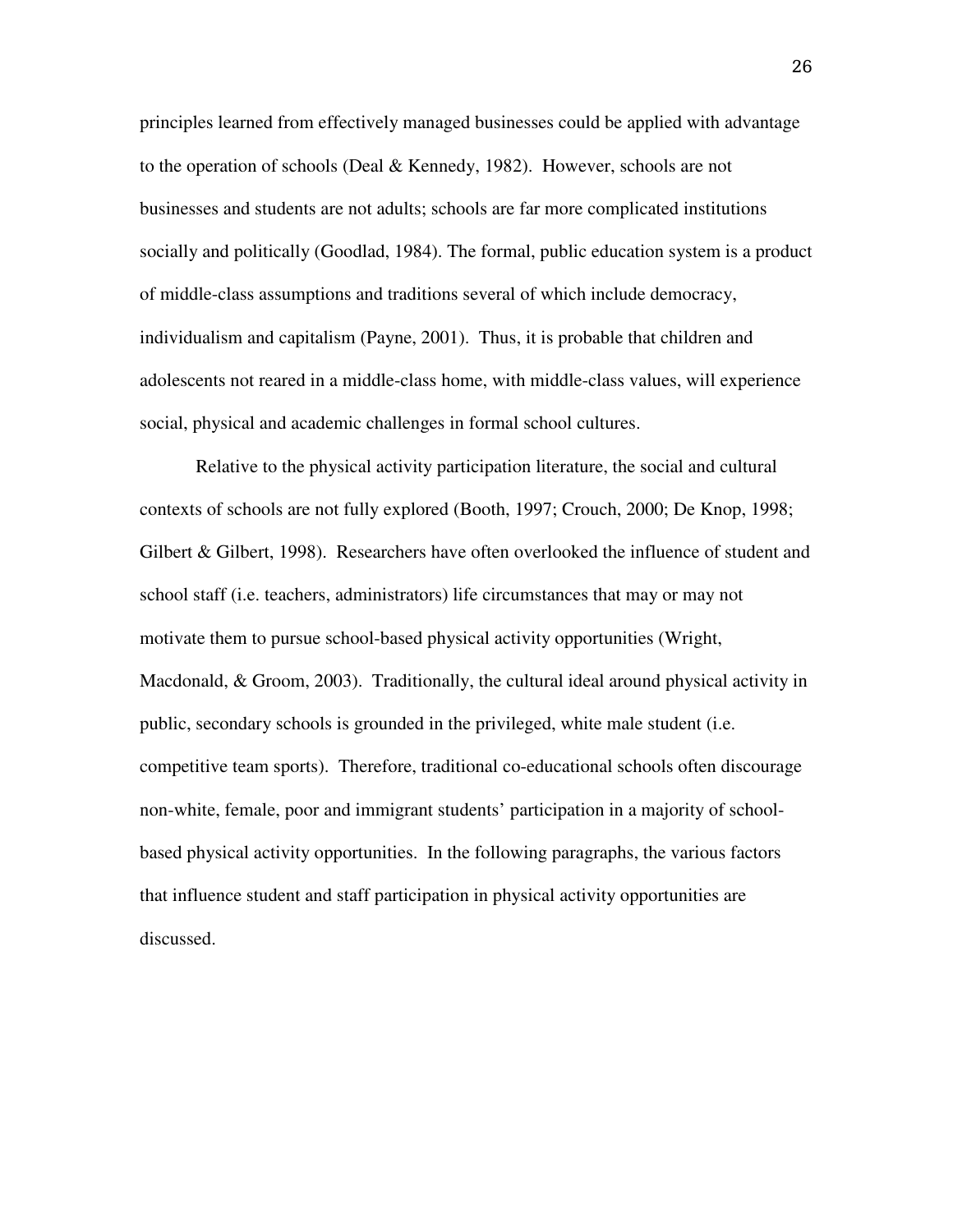principles learned from effectively managed businesses could be applied with advantage to the operation of schools (Deal & Kennedy, 1982). However, schools are not businesses and students are not adults; schools are far more complicated institutions socially and politically (Goodlad, 1984). The formal, public education system is a product of middle-class assumptions and traditions several of which include democracy, individualism and capitalism (Payne, 2001). Thus, it is probable that children and adolescents not reared in a middle-class home, with middle-class values, will experience social, physical and academic challenges in formal school cultures.

Relative to the physical activity participation literature, the social and cultural contexts of schools are not fully explored (Booth, 1997; Crouch, 2000; De Knop, 1998; Gilbert & Gilbert, 1998). Researchers have often overlooked the influence of student and school staff (i.e. teachers, administrators) life circumstances that may or may not motivate them to pursue school-based physical activity opportunities (Wright, Macdonald, & Groom, 2003). Traditionally, the cultural ideal around physical activity in public, secondary schools is grounded in the privileged, white male student (i.e. competitive team sports). Therefore, traditional co-educational schools often discourage non-white, female, poor and immigrant students' participation in a majority of schoolbased physical activity opportunities. In the following paragraphs, the various factors that influence student and staff participation in physical activity opportunities are discussed.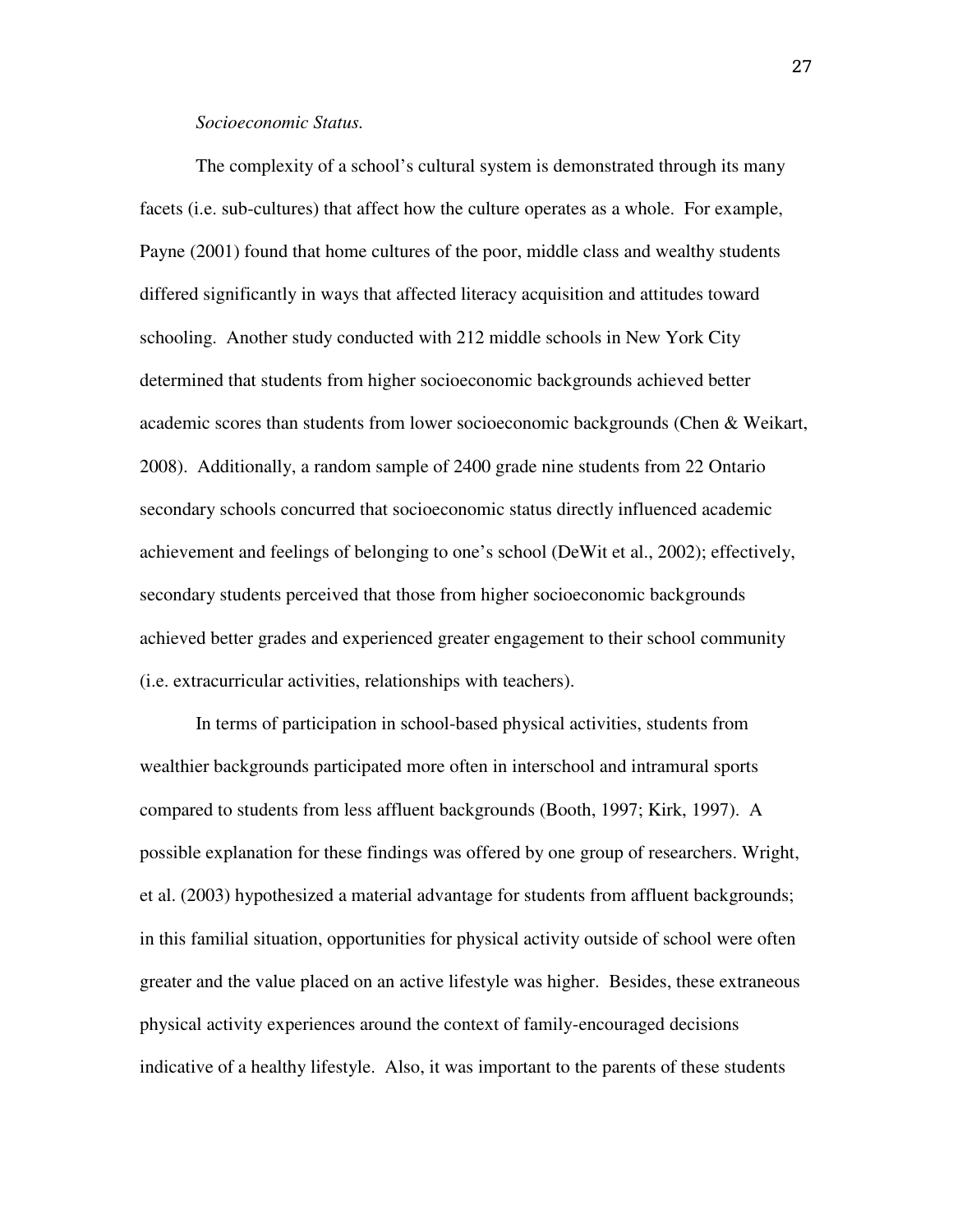### *Socioeconomic Status.*

The complexity of a school's cultural system is demonstrated through its many facets (i.e. sub-cultures) that affect how the culture operates as a whole. For example, Payne (2001) found that home cultures of the poor, middle class and wealthy students differed significantly in ways that affected literacy acquisition and attitudes toward schooling. Another study conducted with 212 middle schools in New York City determined that students from higher socioeconomic backgrounds achieved better academic scores than students from lower socioeconomic backgrounds (Chen & Weikart, 2008). Additionally, a random sample of 2400 grade nine students from 22 Ontario secondary schools concurred that socioeconomic status directly influenced academic achievement and feelings of belonging to one's school (DeWit et al., 2002); effectively, secondary students perceived that those from higher socioeconomic backgrounds achieved better grades and experienced greater engagement to their school community (i.e. extracurricular activities, relationships with teachers).

In terms of participation in school-based physical activities, students from wealthier backgrounds participated more often in interschool and intramural sports compared to students from less affluent backgrounds (Booth, 1997; Kirk, 1997). A possible explanation for these findings was offered by one group of researchers. Wright, et al. (2003) hypothesized a material advantage for students from affluent backgrounds; in this familial situation, opportunities for physical activity outside of school were often greater and the value placed on an active lifestyle was higher. Besides, these extraneous physical activity experiences around the context of family-encouraged decisions indicative of a healthy lifestyle. Also, it was important to the parents of these students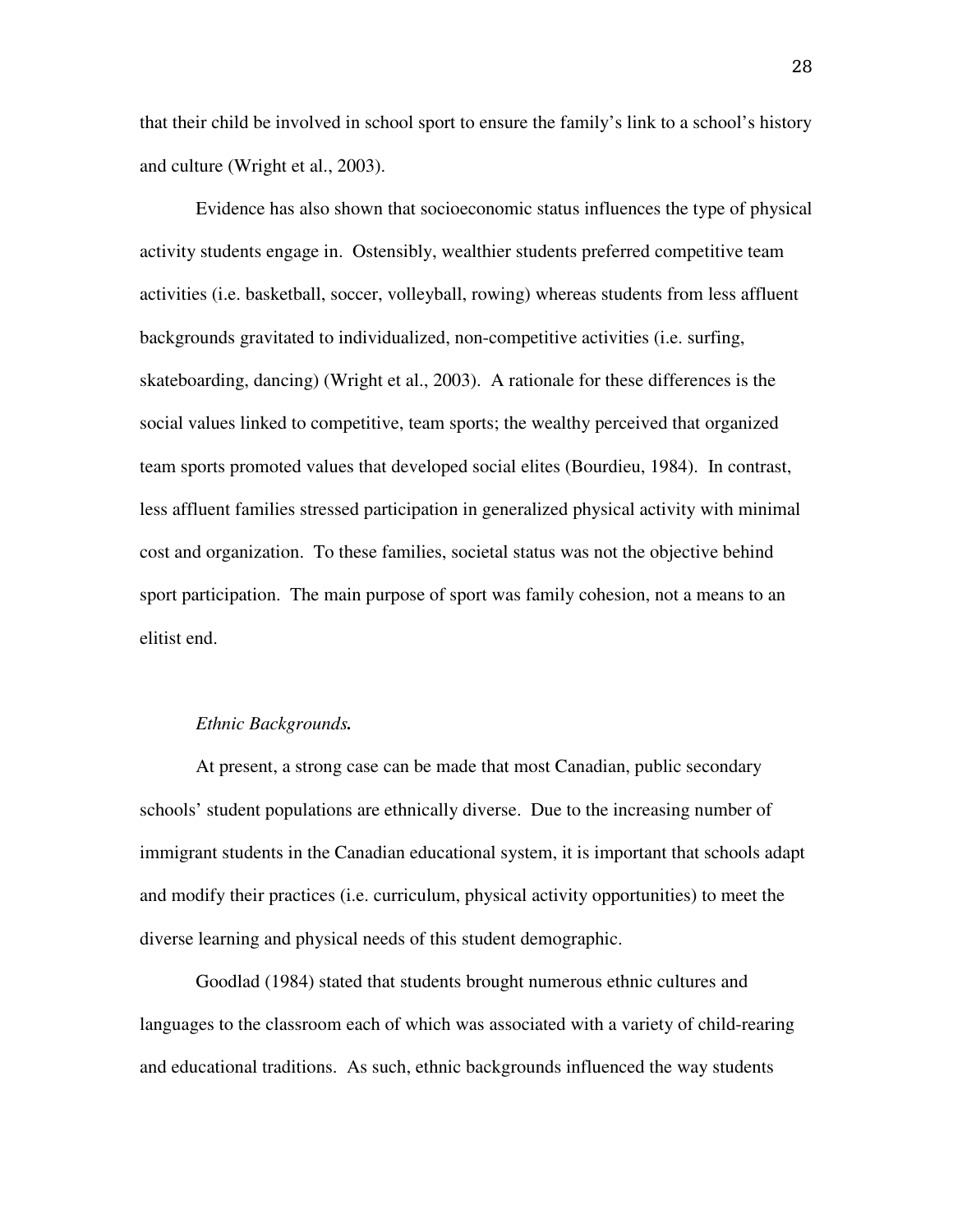that their child be involved in school sport to ensure the family's link to a school's history and culture (Wright et al., 2003).

Evidence has also shown that socioeconomic status influences the type of physical activity students engage in. Ostensibly, wealthier students preferred competitive team activities (i.e. basketball, soccer, volleyball, rowing) whereas students from less affluent backgrounds gravitated to individualized, non-competitive activities (i.e. surfing, skateboarding, dancing) (Wright et al., 2003). A rationale for these differences is the social values linked to competitive, team sports; the wealthy perceived that organized team sports promoted values that developed social elites (Bourdieu, 1984). In contrast, less affluent families stressed participation in generalized physical activity with minimal cost and organization. To these families, societal status was not the objective behind sport participation. The main purpose of sport was family cohesion, not a means to an elitist end.

### *Ethnic Backgrounds.*

At present, a strong case can be made that most Canadian, public secondary schools' student populations are ethnically diverse. Due to the increasing number of immigrant students in the Canadian educational system, it is important that schools adapt and modify their practices (i.e. curriculum, physical activity opportunities) to meet the diverse learning and physical needs of this student demographic.

Goodlad (1984) stated that students brought numerous ethnic cultures and languages to the classroom each of which was associated with a variety of child-rearing and educational traditions. As such, ethnic backgrounds influenced the way students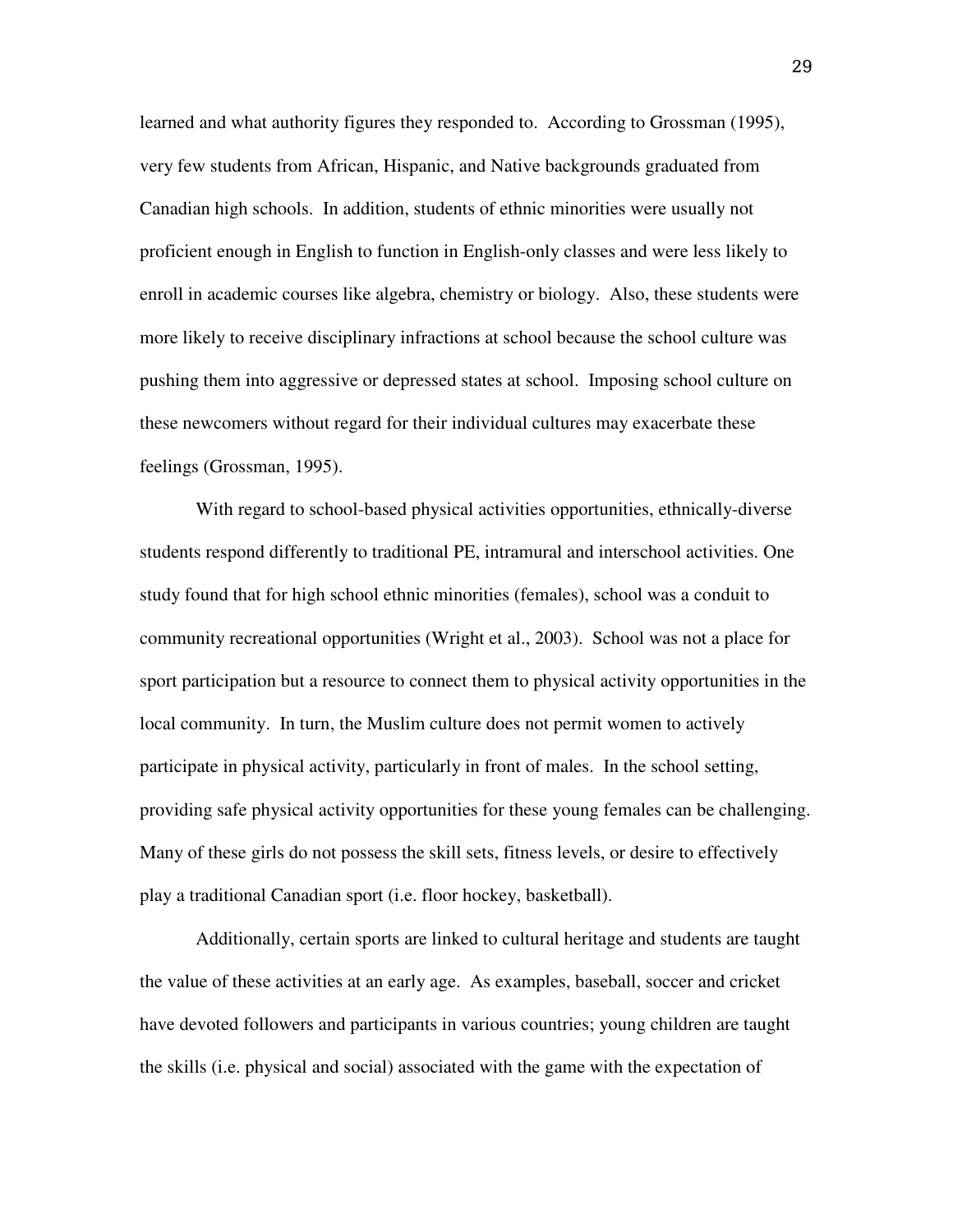learned and what authority figures they responded to. According to Grossman (1995), very few students from African, Hispanic, and Native backgrounds graduated from Canadian high schools. In addition, students of ethnic minorities were usually not proficient enough in English to function in English-only classes and were less likely to enroll in academic courses like algebra, chemistry or biology. Also, these students were more likely to receive disciplinary infractions at school because the school culture was pushing them into aggressive or depressed states at school. Imposing school culture on these newcomers without regard for their individual cultures may exacerbate these feelings (Grossman, 1995).

With regard to school-based physical activities opportunities, ethnically-diverse students respond differently to traditional PE, intramural and interschool activities. One study found that for high school ethnic minorities (females), school was a conduit to community recreational opportunities (Wright et al., 2003). School was not a place for sport participation but a resource to connect them to physical activity opportunities in the local community. In turn, the Muslim culture does not permit women to actively participate in physical activity, particularly in front of males. In the school setting, providing safe physical activity opportunities for these young females can be challenging. Many of these girls do not possess the skill sets, fitness levels, or desire to effectively play a traditional Canadian sport (i.e. floor hockey, basketball).

Additionally, certain sports are linked to cultural heritage and students are taught the value of these activities at an early age. As examples, baseball, soccer and cricket have devoted followers and participants in various countries; young children are taught the skills (i.e. physical and social) associated with the game with the expectation of

29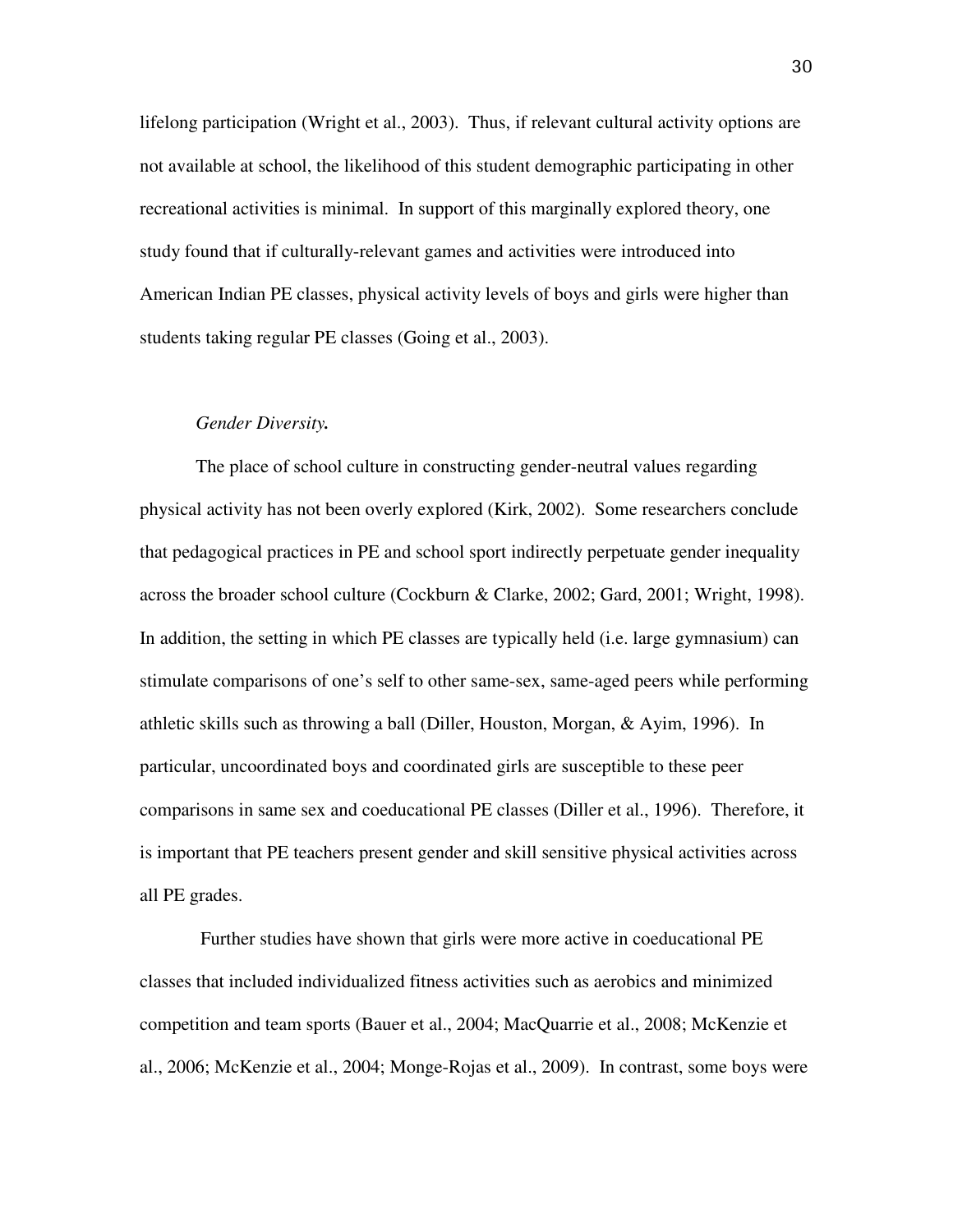lifelong participation (Wright et al., 2003). Thus, if relevant cultural activity options are not available at school, the likelihood of this student demographic participating in other recreational activities is minimal. In support of this marginally explored theory, one study found that if culturally-relevant games and activities were introduced into American Indian PE classes, physical activity levels of boys and girls were higher than students taking regular PE classes (Going et al., 2003).

#### *Gender Diversity.*

The place of school culture in constructing gender-neutral values regarding physical activity has not been overly explored (Kirk, 2002). Some researchers conclude that pedagogical practices in PE and school sport indirectly perpetuate gender inequality across the broader school culture (Cockburn & Clarke, 2002; Gard, 2001; Wright, 1998). In addition, the setting in which PE classes are typically held (i.e. large gymnasium) can stimulate comparisons of one's self to other same-sex, same-aged peers while performing athletic skills such as throwing a ball (Diller, Houston, Morgan, & Ayim, 1996). In particular, uncoordinated boys and coordinated girls are susceptible to these peer comparisons in same sex and coeducational PE classes (Diller et al., 1996). Therefore, it is important that PE teachers present gender and skill sensitive physical activities across all PE grades.

 Further studies have shown that girls were more active in coeducational PE classes that included individualized fitness activities such as aerobics and minimized competition and team sports (Bauer et al., 2004; MacQuarrie et al., 2008; McKenzie et al., 2006; McKenzie et al., 2004; Monge-Rojas et al., 2009). In contrast, some boys were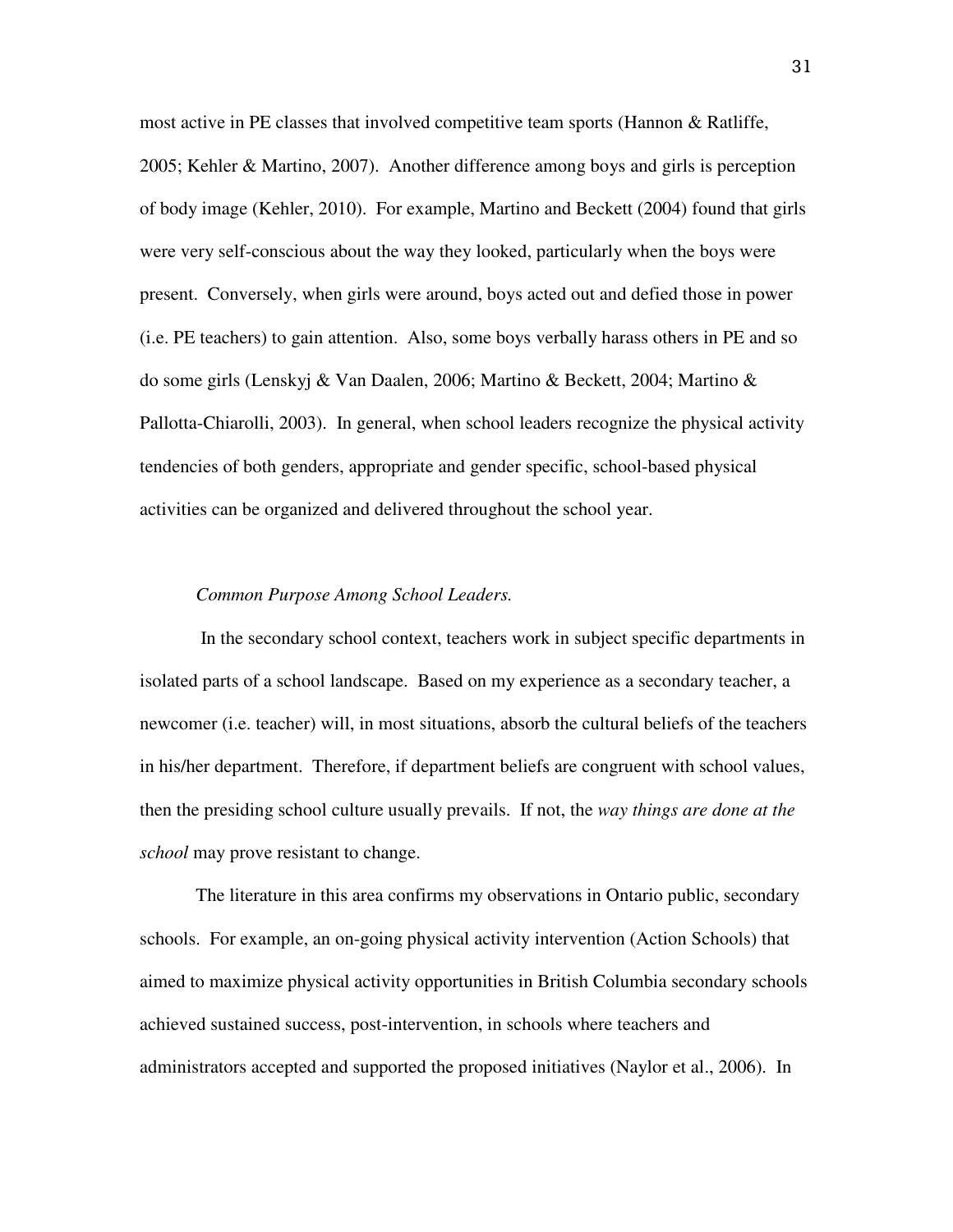most active in PE classes that involved competitive team sports (Hannon  $\&$  Ratliffe, 2005; Kehler & Martino, 2007). Another difference among boys and girls is perception of body image (Kehler, 2010). For example, Martino and Beckett (2004) found that girls were very self-conscious about the way they looked, particularly when the boys were present. Conversely, when girls were around, boys acted out and defied those in power (i.e. PE teachers) to gain attention. Also, some boys verbally harass others in PE and so do some girls (Lenskyj & Van Daalen, 2006; Martino & Beckett, 2004; Martino & Pallotta-Chiarolli, 2003). In general, when school leaders recognize the physical activity tendencies of both genders, appropriate and gender specific, school-based physical activities can be organized and delivered throughout the school year.

### *Common Purpose Among School Leaders.*

In the secondary school context, teachers work in subject specific departments in isolated parts of a school landscape. Based on my experience as a secondary teacher, a newcomer (i.e. teacher) will, in most situations, absorb the cultural beliefs of the teachers in his/her department. Therefore, if department beliefs are congruent with school values, then the presiding school culture usually prevails. If not, the *way things are done at the school* may prove resistant to change.

The literature in this area confirms my observations in Ontario public, secondary schools. For example, an on-going physical activity intervention (Action Schools) that aimed to maximize physical activity opportunities in British Columbia secondary schools achieved sustained success, post-intervention, in schools where teachers and administrators accepted and supported the proposed initiatives (Naylor et al., 2006). In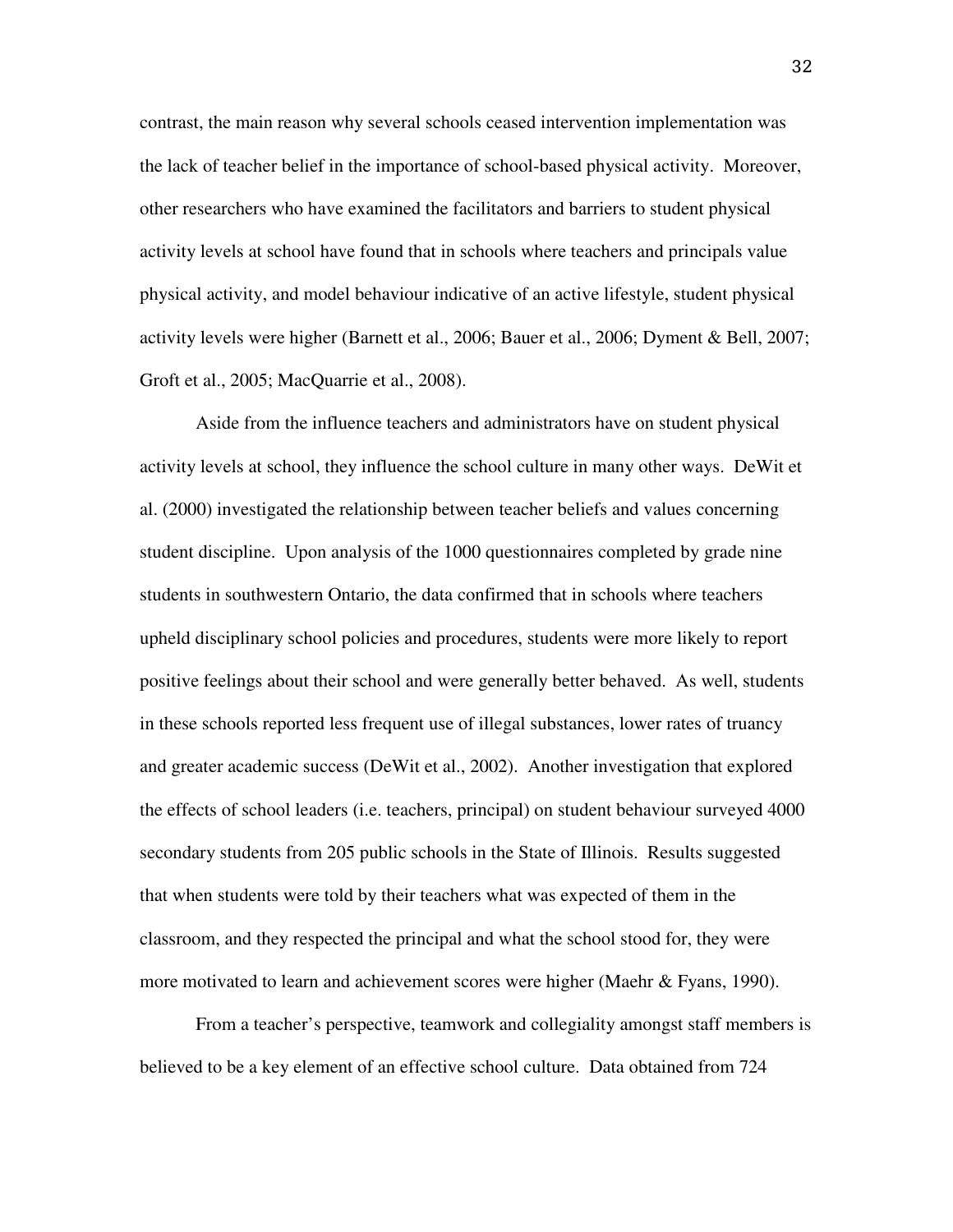contrast, the main reason why several schools ceased intervention implementation was the lack of teacher belief in the importance of school-based physical activity. Moreover, other researchers who have examined the facilitators and barriers to student physical activity levels at school have found that in schools where teachers and principals value physical activity, and model behaviour indicative of an active lifestyle, student physical activity levels were higher (Barnett et al., 2006; Bauer et al., 2006; Dyment & Bell, 2007; Groft et al., 2005; MacQuarrie et al., 2008).

Aside from the influence teachers and administrators have on student physical activity levels at school, they influence the school culture in many other ways. DeWit et al. (2000) investigated the relationship between teacher beliefs and values concerning student discipline. Upon analysis of the 1000 questionnaires completed by grade nine students in southwestern Ontario, the data confirmed that in schools where teachers upheld disciplinary school policies and procedures, students were more likely to report positive feelings about their school and were generally better behaved. As well, students in these schools reported less frequent use of illegal substances, lower rates of truancy and greater academic success (DeWit et al., 2002). Another investigation that explored the effects of school leaders (i.e. teachers, principal) on student behaviour surveyed 4000 secondary students from 205 public schools in the State of Illinois. Results suggested that when students were told by their teachers what was expected of them in the classroom, and they respected the principal and what the school stood for, they were more motivated to learn and achievement scores were higher (Maehr & Fyans, 1990).

From a teacher's perspective, teamwork and collegiality amongst staff members is believed to be a key element of an effective school culture. Data obtained from 724

32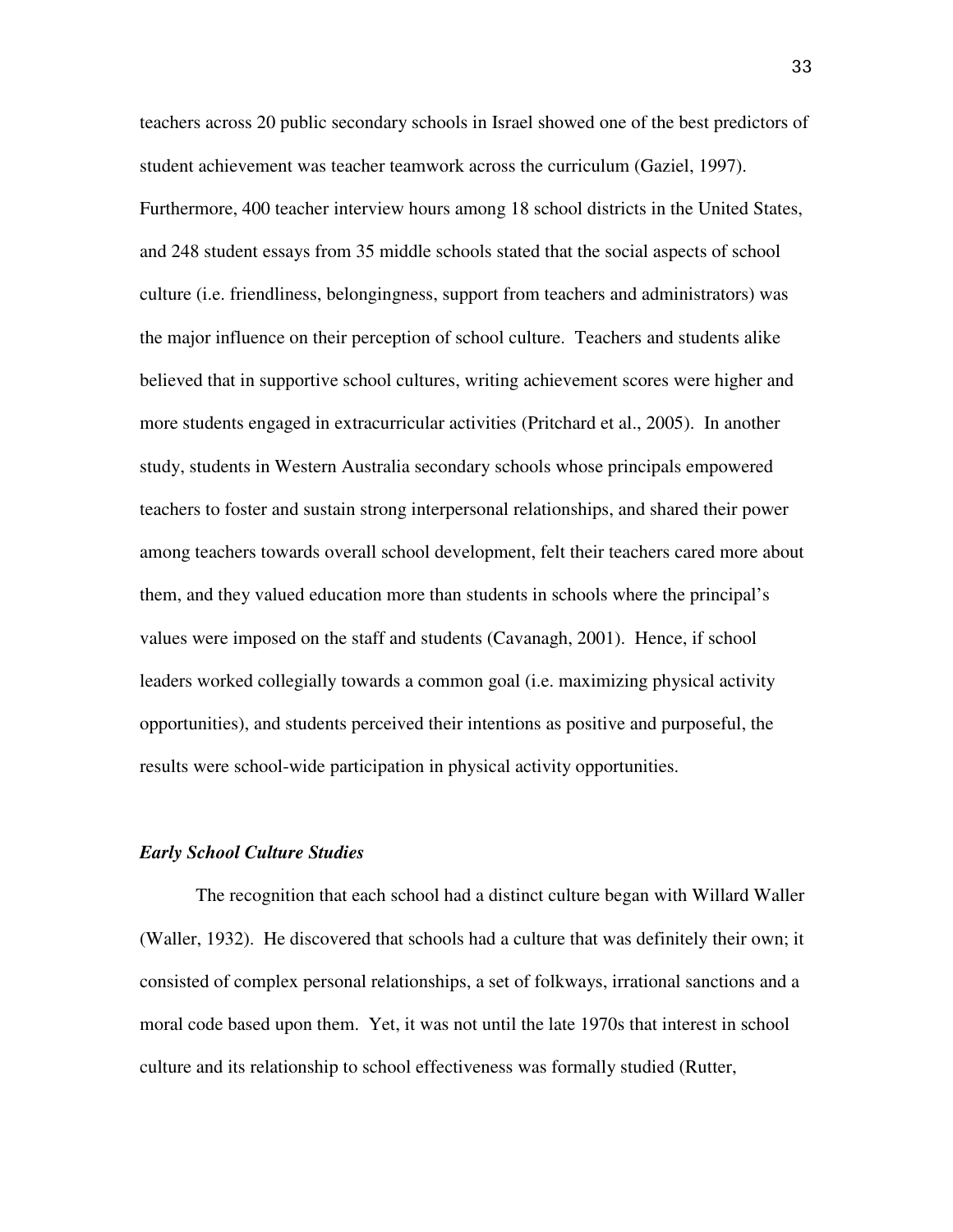teachers across 20 public secondary schools in Israel showed one of the best predictors of student achievement was teacher teamwork across the curriculum (Gaziel, 1997). Furthermore, 400 teacher interview hours among 18 school districts in the United States, and 248 student essays from 35 middle schools stated that the social aspects of school culture (i.e. friendliness, belongingness, support from teachers and administrators) was the major influence on their perception of school culture. Teachers and students alike believed that in supportive school cultures, writing achievement scores were higher and more students engaged in extracurricular activities (Pritchard et al., 2005). In another study, students in Western Australia secondary schools whose principals empowered teachers to foster and sustain strong interpersonal relationships, and shared their power among teachers towards overall school development, felt their teachers cared more about them, and they valued education more than students in schools where the principal's values were imposed on the staff and students (Cavanagh, 2001). Hence, if school leaders worked collegially towards a common goal (i.e. maximizing physical activity opportunities), and students perceived their intentions as positive and purposeful, the results were school-wide participation in physical activity opportunities.

#### *Early School Culture Studies*

The recognition that each school had a distinct culture began with Willard Waller (Waller, 1932). He discovered that schools had a culture that was definitely their own; it consisted of complex personal relationships, a set of folkways, irrational sanctions and a moral code based upon them. Yet, it was not until the late 1970s that interest in school culture and its relationship to school effectiveness was formally studied (Rutter,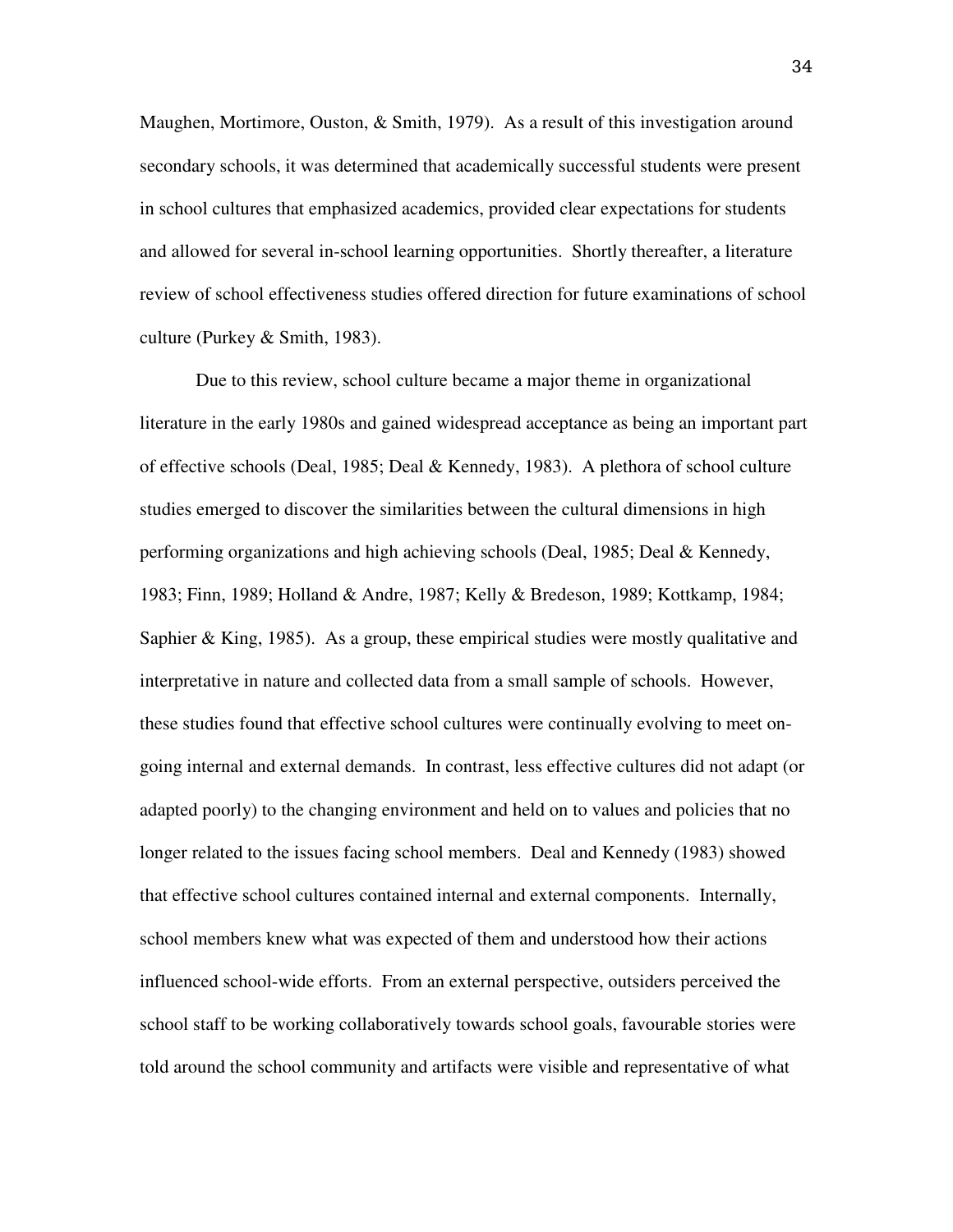Maughen, Mortimore, Ouston, & Smith, 1979). As a result of this investigation around secondary schools, it was determined that academically successful students were present in school cultures that emphasized academics, provided clear expectations for students and allowed for several in-school learning opportunities. Shortly thereafter, a literature review of school effectiveness studies offered direction for future examinations of school culture (Purkey & Smith, 1983).

Due to this review, school culture became a major theme in organizational literature in the early 1980s and gained widespread acceptance as being an important part of effective schools (Deal, 1985; Deal & Kennedy, 1983). A plethora of school culture studies emerged to discover the similarities between the cultural dimensions in high performing organizations and high achieving schools (Deal, 1985; Deal & Kennedy, 1983; Finn, 1989; Holland & Andre, 1987; Kelly & Bredeson, 1989; Kottkamp, 1984; Saphier & King, 1985). As a group, these empirical studies were mostly qualitative and interpretative in nature and collected data from a small sample of schools. However, these studies found that effective school cultures were continually evolving to meet ongoing internal and external demands. In contrast, less effective cultures did not adapt (or adapted poorly) to the changing environment and held on to values and policies that no longer related to the issues facing school members. Deal and Kennedy (1983) showed that effective school cultures contained internal and external components. Internally, school members knew what was expected of them and understood how their actions influenced school-wide efforts. From an external perspective, outsiders perceived the school staff to be working collaboratively towards school goals, favourable stories were told around the school community and artifacts were visible and representative of what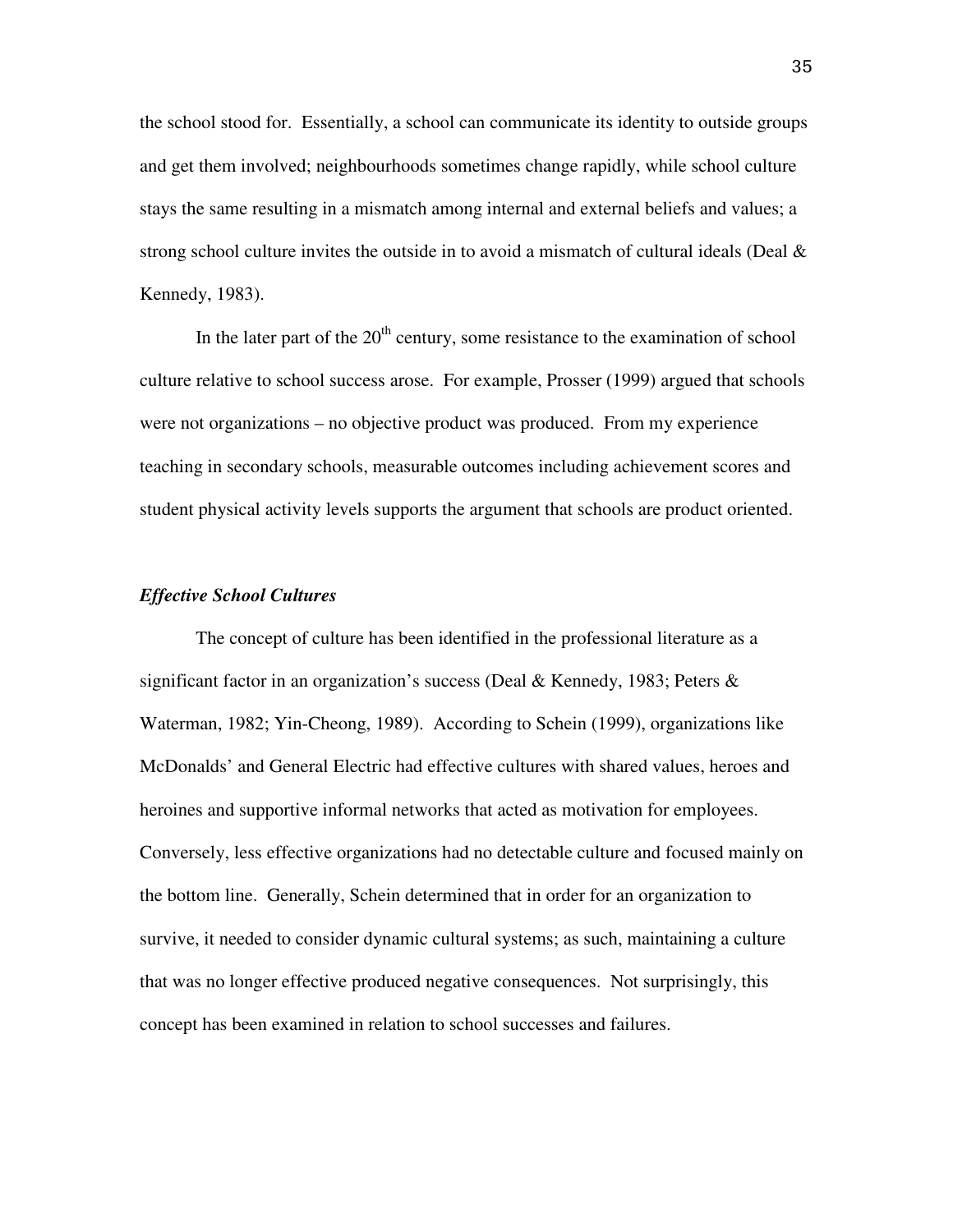the school stood for. Essentially, a school can communicate its identity to outside groups and get them involved; neighbourhoods sometimes change rapidly, while school culture stays the same resulting in a mismatch among internal and external beliefs and values; a strong school culture invites the outside in to avoid a mismatch of cultural ideals (Deal & Kennedy, 1983).

In the later part of the  $20<sup>th</sup>$  century, some resistance to the examination of school culture relative to school success arose. For example, Prosser (1999) argued that schools were not organizations – no objective product was produced. From my experience teaching in secondary schools, measurable outcomes including achievement scores and student physical activity levels supports the argument that schools are product oriented.

### *Effective School Cultures*

The concept of culture has been identified in the professional literature as a significant factor in an organization's success (Deal & Kennedy, 1983; Peters  $\&$ Waterman, 1982; Yin-Cheong, 1989). According to Schein (1999), organizations like McDonalds' and General Electric had effective cultures with shared values, heroes and heroines and supportive informal networks that acted as motivation for employees. Conversely, less effective organizations had no detectable culture and focused mainly on the bottom line. Generally, Schein determined that in order for an organization to survive, it needed to consider dynamic cultural systems; as such, maintaining a culture that was no longer effective produced negative consequences. Not surprisingly, this concept has been examined in relation to school successes and failures.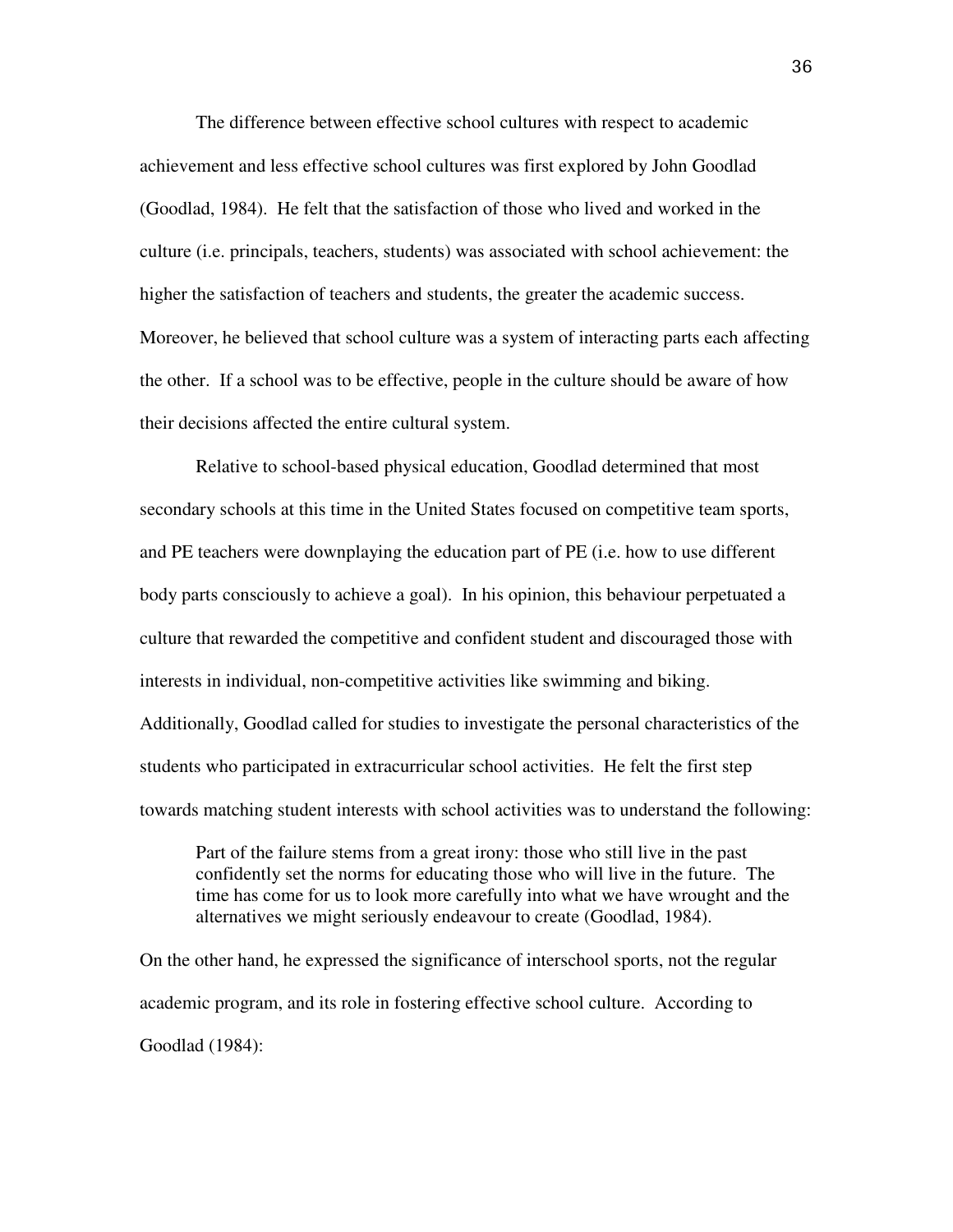The difference between effective school cultures with respect to academic achievement and less effective school cultures was first explored by John Goodlad (Goodlad, 1984). He felt that the satisfaction of those who lived and worked in the culture (i.e. principals, teachers, students) was associated with school achievement: the higher the satisfaction of teachers and students, the greater the academic success. Moreover, he believed that school culture was a system of interacting parts each affecting the other. If a school was to be effective, people in the culture should be aware of how their decisions affected the entire cultural system.

Relative to school-based physical education, Goodlad determined that most secondary schools at this time in the United States focused on competitive team sports, and PE teachers were downplaying the education part of PE (i.e. how to use different body parts consciously to achieve a goal). In his opinion, this behaviour perpetuated a culture that rewarded the competitive and confident student and discouraged those with interests in individual, non-competitive activities like swimming and biking. Additionally, Goodlad called for studies to investigate the personal characteristics of the students who participated in extracurricular school activities. He felt the first step towards matching student interests with school activities was to understand the following:

Part of the failure stems from a great irony: those who still live in the past confidently set the norms for educating those who will live in the future. The time has come for us to look more carefully into what we have wrought and the alternatives we might seriously endeavour to create (Goodlad, 1984).

On the other hand, he expressed the significance of interschool sports, not the regular academic program, and its role in fostering effective school culture. According to Goodlad (1984):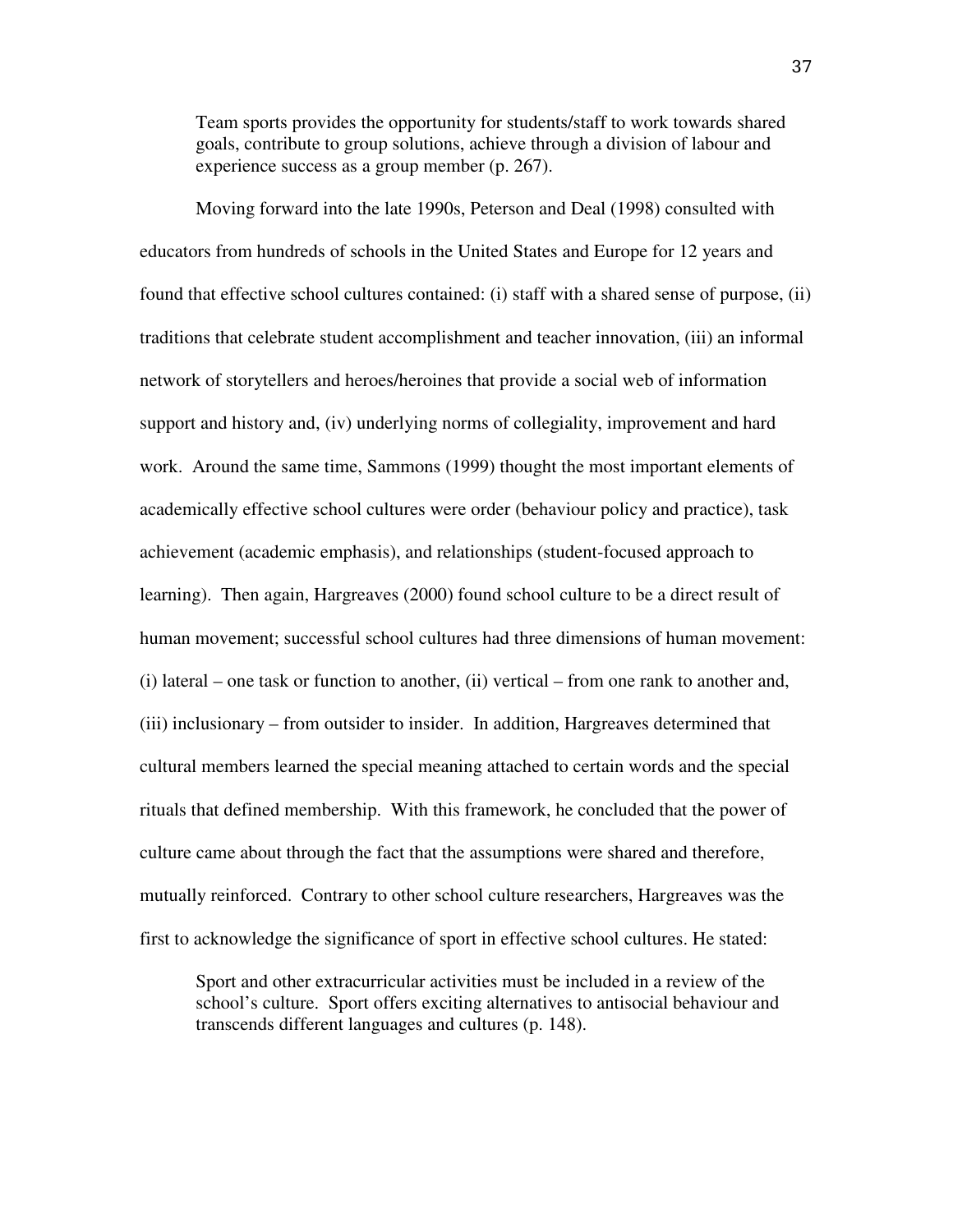Team sports provides the opportunity for students/staff to work towards shared goals, contribute to group solutions, achieve through a division of labour and experience success as a group member (p. 267).

Moving forward into the late 1990s, Peterson and Deal (1998) consulted with educators from hundreds of schools in the United States and Europe for 12 years and found that effective school cultures contained: (i) staff with a shared sense of purpose, (ii) traditions that celebrate student accomplishment and teacher innovation, (iii) an informal network of storytellers and heroes/heroines that provide a social web of information support and history and, (iv) underlying norms of collegiality, improvement and hard work. Around the same time, Sammons (1999) thought the most important elements of academically effective school cultures were order (behaviour policy and practice), task achievement (academic emphasis), and relationships (student-focused approach to learning). Then again, Hargreaves (2000) found school culture to be a direct result of human movement; successful school cultures had three dimensions of human movement: (i) lateral – one task or function to another, (ii) vertical – from one rank to another and, (iii) inclusionary – from outsider to insider. In addition, Hargreaves determined that cultural members learned the special meaning attached to certain words and the special rituals that defined membership. With this framework, he concluded that the power of culture came about through the fact that the assumptions were shared and therefore, mutually reinforced. Contrary to other school culture researchers, Hargreaves was the first to acknowledge the significance of sport in effective school cultures. He stated:

Sport and other extracurricular activities must be included in a review of the school's culture. Sport offers exciting alternatives to antisocial behaviour and transcends different languages and cultures (p. 148).

37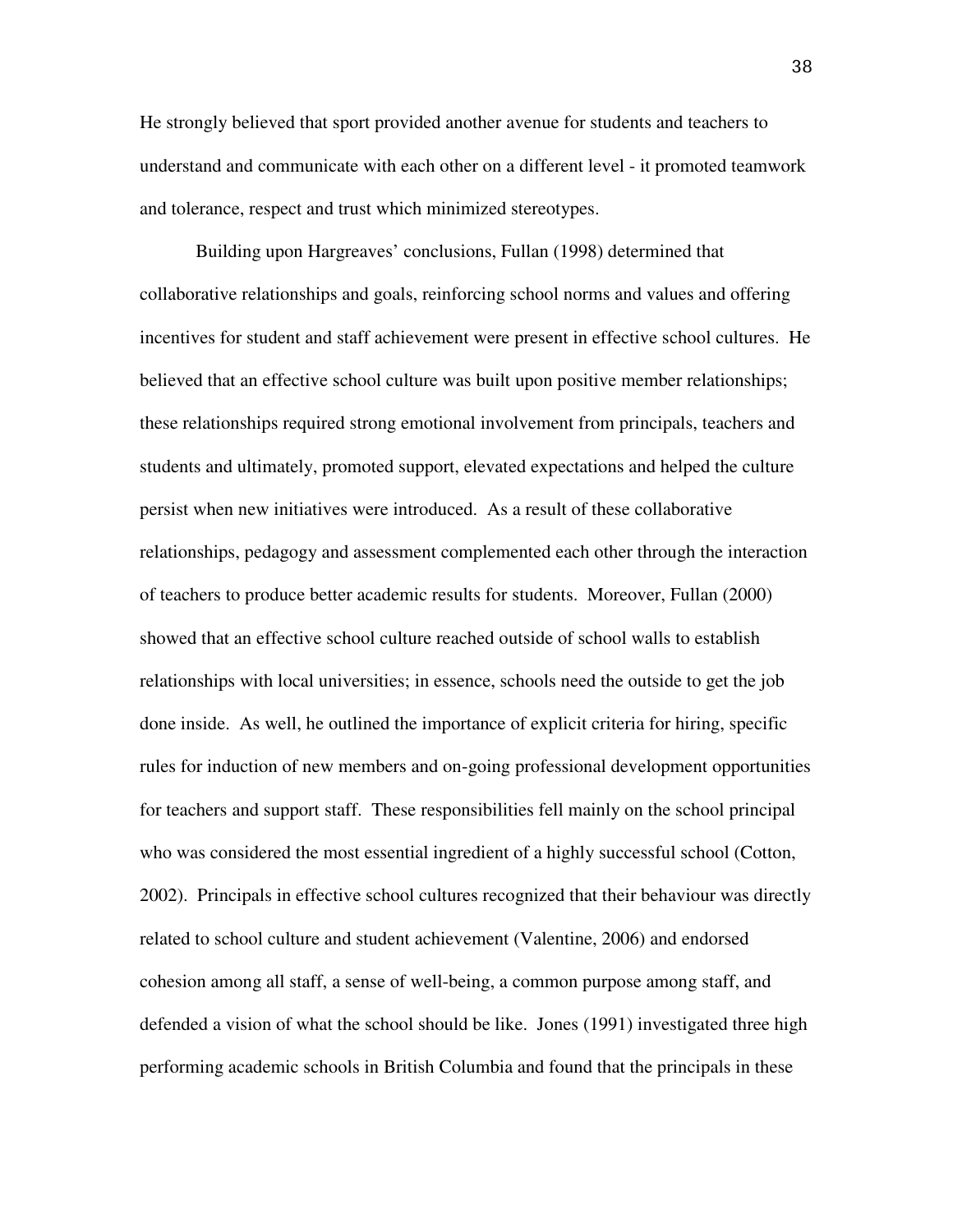He strongly believed that sport provided another avenue for students and teachers to understand and communicate with each other on a different level - it promoted teamwork and tolerance, respect and trust which minimized stereotypes.

Building upon Hargreaves' conclusions, Fullan (1998) determined that collaborative relationships and goals, reinforcing school norms and values and offering incentives for student and staff achievement were present in effective school cultures. He believed that an effective school culture was built upon positive member relationships; these relationships required strong emotional involvement from principals, teachers and students and ultimately, promoted support, elevated expectations and helped the culture persist when new initiatives were introduced. As a result of these collaborative relationships, pedagogy and assessment complemented each other through the interaction of teachers to produce better academic results for students. Moreover, Fullan (2000) showed that an effective school culture reached outside of school walls to establish relationships with local universities; in essence, schools need the outside to get the job done inside. As well, he outlined the importance of explicit criteria for hiring, specific rules for induction of new members and on-going professional development opportunities for teachers and support staff. These responsibilities fell mainly on the school principal who was considered the most essential ingredient of a highly successful school (Cotton, 2002). Principals in effective school cultures recognized that their behaviour was directly related to school culture and student achievement (Valentine, 2006) and endorsed cohesion among all staff, a sense of well-being, a common purpose among staff, and defended a vision of what the school should be like. Jones (1991) investigated three high performing academic schools in British Columbia and found that the principals in these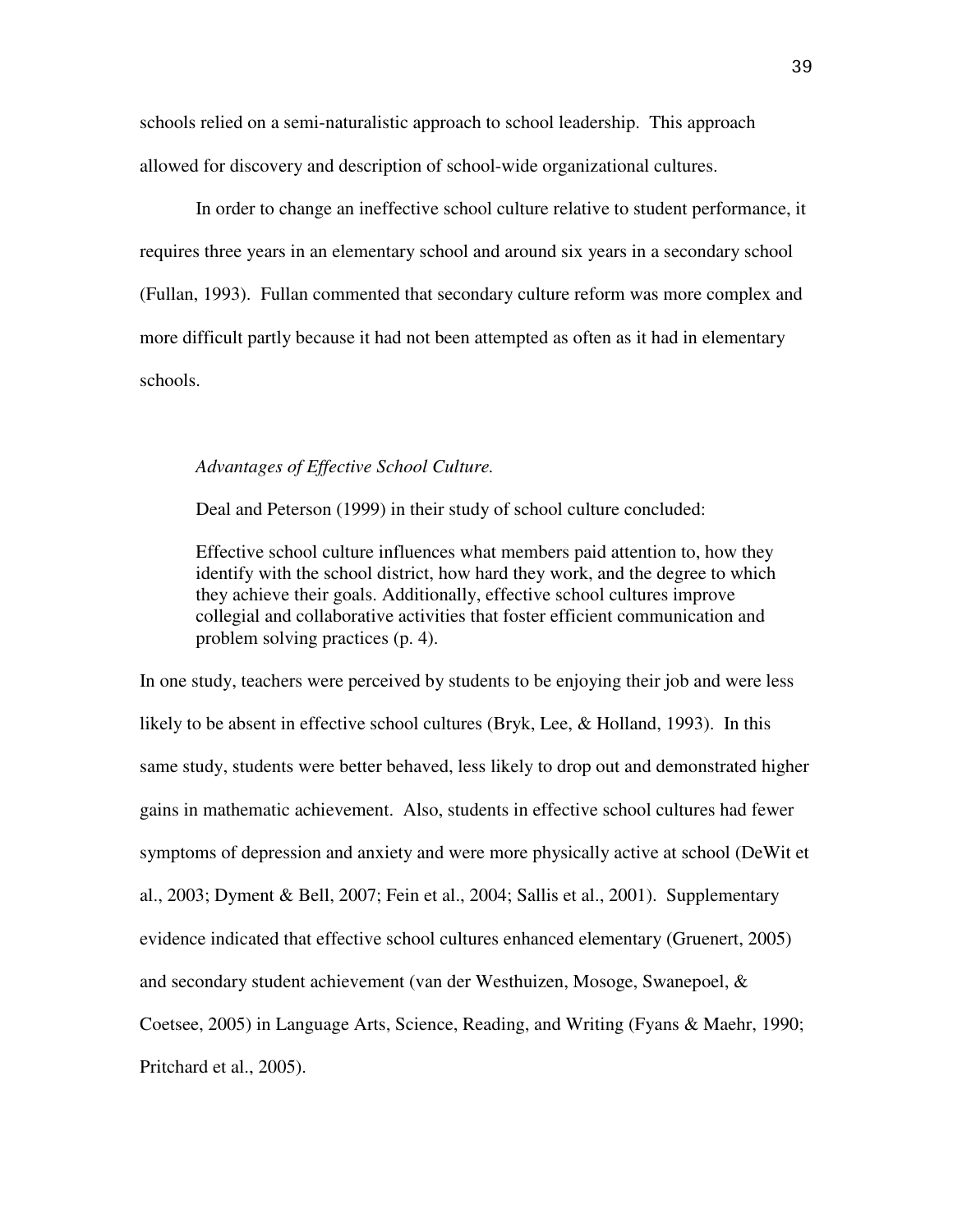schools relied on a semi-naturalistic approach to school leadership. This approach allowed for discovery and description of school-wide organizational cultures.

In order to change an ineffective school culture relative to student performance, it requires three years in an elementary school and around six years in a secondary school (Fullan, 1993). Fullan commented that secondary culture reform was more complex and more difficult partly because it had not been attempted as often as it had in elementary schools.

# *Advantages of Effective School Culture.*

Deal and Peterson (1999) in their study of school culture concluded:

Effective school culture influences what members paid attention to, how they identify with the school district, how hard they work, and the degree to which they achieve their goals. Additionally, effective school cultures improve collegial and collaborative activities that foster efficient communication and problem solving practices (p. 4).

In one study, teachers were perceived by students to be enjoying their job and were less likely to be absent in effective school cultures (Bryk, Lee, & Holland, 1993). In this same study, students were better behaved, less likely to drop out and demonstrated higher gains in mathematic achievement. Also, students in effective school cultures had fewer symptoms of depression and anxiety and were more physically active at school (DeWit et al., 2003; Dyment & Bell, 2007; Fein et al., 2004; Sallis et al., 2001). Supplementary evidence indicated that effective school cultures enhanced elementary (Gruenert, 2005) and secondary student achievement (van der Westhuizen, Mosoge, Swanepoel, & Coetsee, 2005) in Language Arts, Science, Reading, and Writing (Fyans & Maehr, 1990; Pritchard et al., 2005).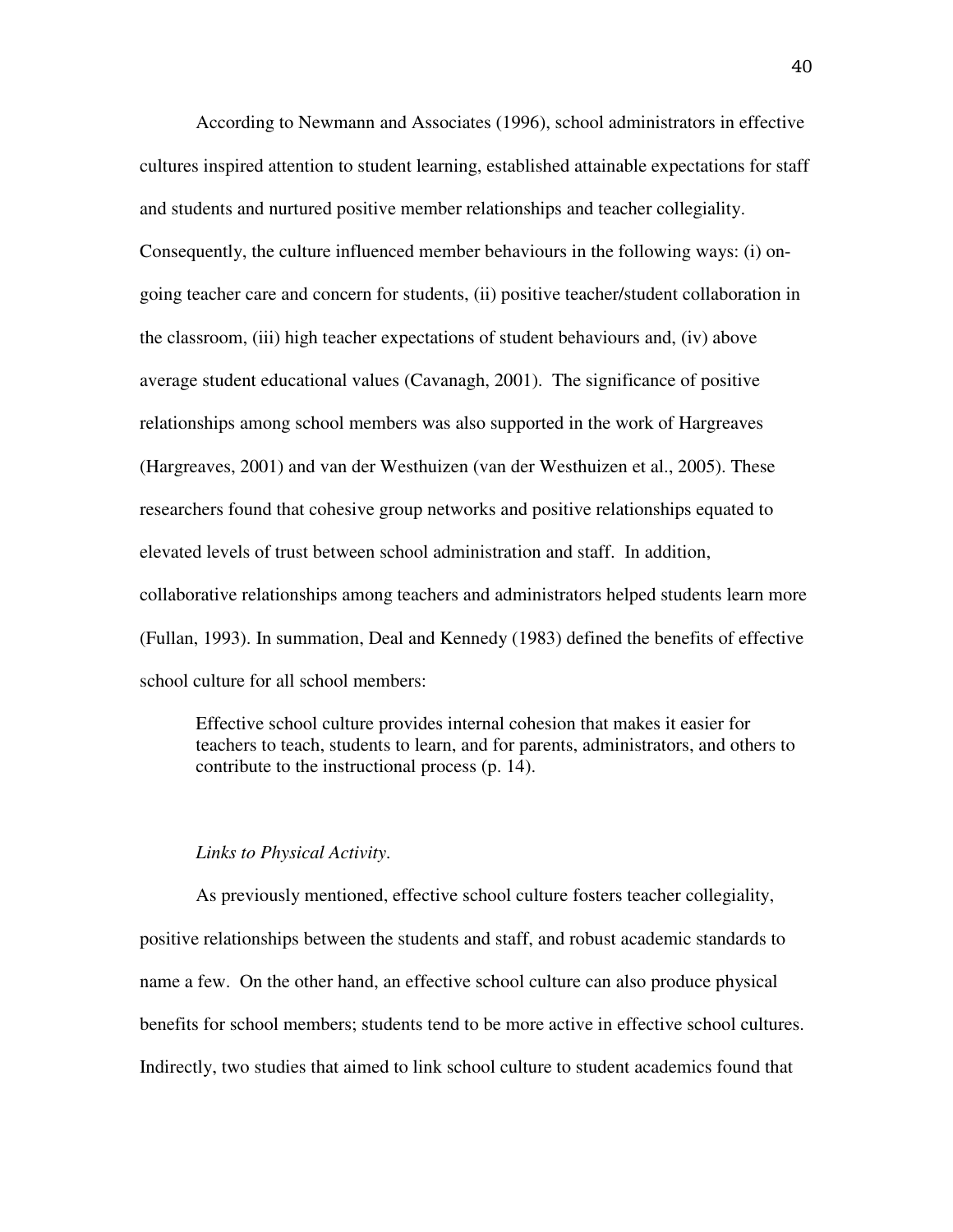According to Newmann and Associates (1996), school administrators in effective cultures inspired attention to student learning, established attainable expectations for staff and students and nurtured positive member relationships and teacher collegiality. Consequently, the culture influenced member behaviours in the following ways: (i) ongoing teacher care and concern for students, (ii) positive teacher/student collaboration in the classroom, (iii) high teacher expectations of student behaviours and, (iv) above average student educational values (Cavanagh, 2001). The significance of positive relationships among school members was also supported in the work of Hargreaves (Hargreaves, 2001) and van der Westhuizen (van der Westhuizen et al., 2005). These researchers found that cohesive group networks and positive relationships equated to elevated levels of trust between school administration and staff. In addition, collaborative relationships among teachers and administrators helped students learn more (Fullan, 1993). In summation, Deal and Kennedy (1983) defined the benefits of effective school culture for all school members:

Effective school culture provides internal cohesion that makes it easier for teachers to teach, students to learn, and for parents, administrators, and others to contribute to the instructional process (p. 14).

### *Links to Physical Activity*.

As previously mentioned, effective school culture fosters teacher collegiality, positive relationships between the students and staff, and robust academic standards to name a few. On the other hand, an effective school culture can also produce physical benefits for school members; students tend to be more active in effective school cultures. Indirectly, two studies that aimed to link school culture to student academics found that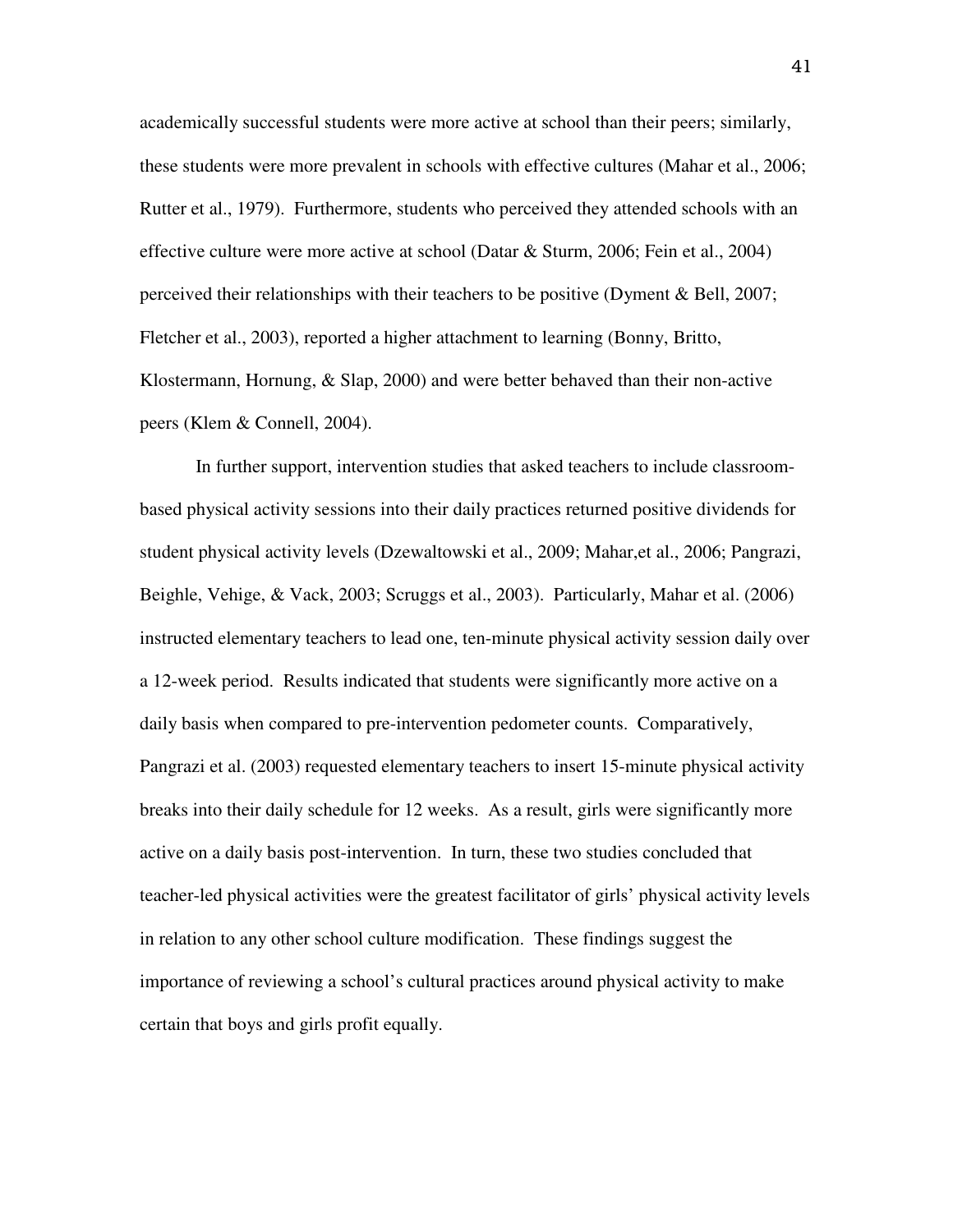academically successful students were more active at school than their peers; similarly, these students were more prevalent in schools with effective cultures (Mahar et al., 2006; Rutter et al., 1979). Furthermore, students who perceived they attended schools with an effective culture were more active at school (Datar & Sturm, 2006; Fein et al., 2004) perceived their relationships with their teachers to be positive (Dyment & Bell, 2007; Fletcher et al., 2003), reported a higher attachment to learning (Bonny, Britto, Klostermann, Hornung, & Slap, 2000) and were better behaved than their non-active peers (Klem & Connell, 2004).

In further support, intervention studies that asked teachers to include classroombased physical activity sessions into their daily practices returned positive dividends for student physical activity levels (Dzewaltowski et al., 2009; Mahar,et al., 2006; Pangrazi, Beighle, Vehige, & Vack, 2003; Scruggs et al., 2003). Particularly, Mahar et al. (2006) instructed elementary teachers to lead one, ten-minute physical activity session daily over a 12-week period. Results indicated that students were significantly more active on a daily basis when compared to pre-intervention pedometer counts. Comparatively, Pangrazi et al. (2003) requested elementary teachers to insert 15-minute physical activity breaks into their daily schedule for 12 weeks. As a result, girls were significantly more active on a daily basis post-intervention. In turn, these two studies concluded that teacher-led physical activities were the greatest facilitator of girls' physical activity levels in relation to any other school culture modification. These findings suggest the importance of reviewing a school's cultural practices around physical activity to make certain that boys and girls profit equally.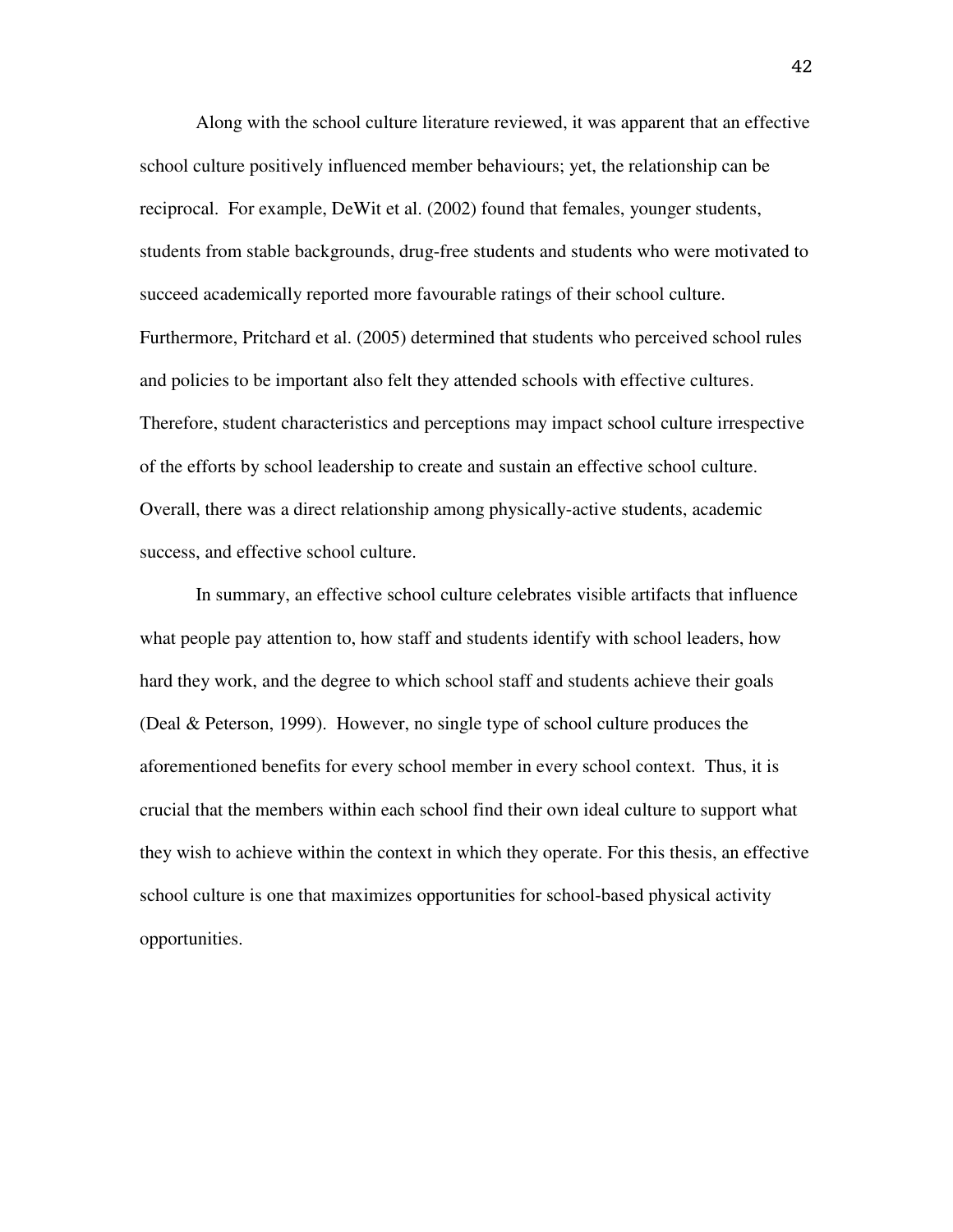Along with the school culture literature reviewed, it was apparent that an effective school culture positively influenced member behaviours; yet, the relationship can be reciprocal. For example, DeWit et al. (2002) found that females, younger students, students from stable backgrounds, drug-free students and students who were motivated to succeed academically reported more favourable ratings of their school culture. Furthermore, Pritchard et al. (2005) determined that students who perceived school rules and policies to be important also felt they attended schools with effective cultures. Therefore, student characteristics and perceptions may impact school culture irrespective of the efforts by school leadership to create and sustain an effective school culture. Overall, there was a direct relationship among physically-active students, academic success, and effective school culture.

In summary, an effective school culture celebrates visible artifacts that influence what people pay attention to, how staff and students identify with school leaders, how hard they work, and the degree to which school staff and students achieve their goals (Deal & Peterson, 1999). However, no single type of school culture produces the aforementioned benefits for every school member in every school context. Thus, it is crucial that the members within each school find their own ideal culture to support what they wish to achieve within the context in which they operate. For this thesis, an effective school culture is one that maximizes opportunities for school-based physical activity opportunities.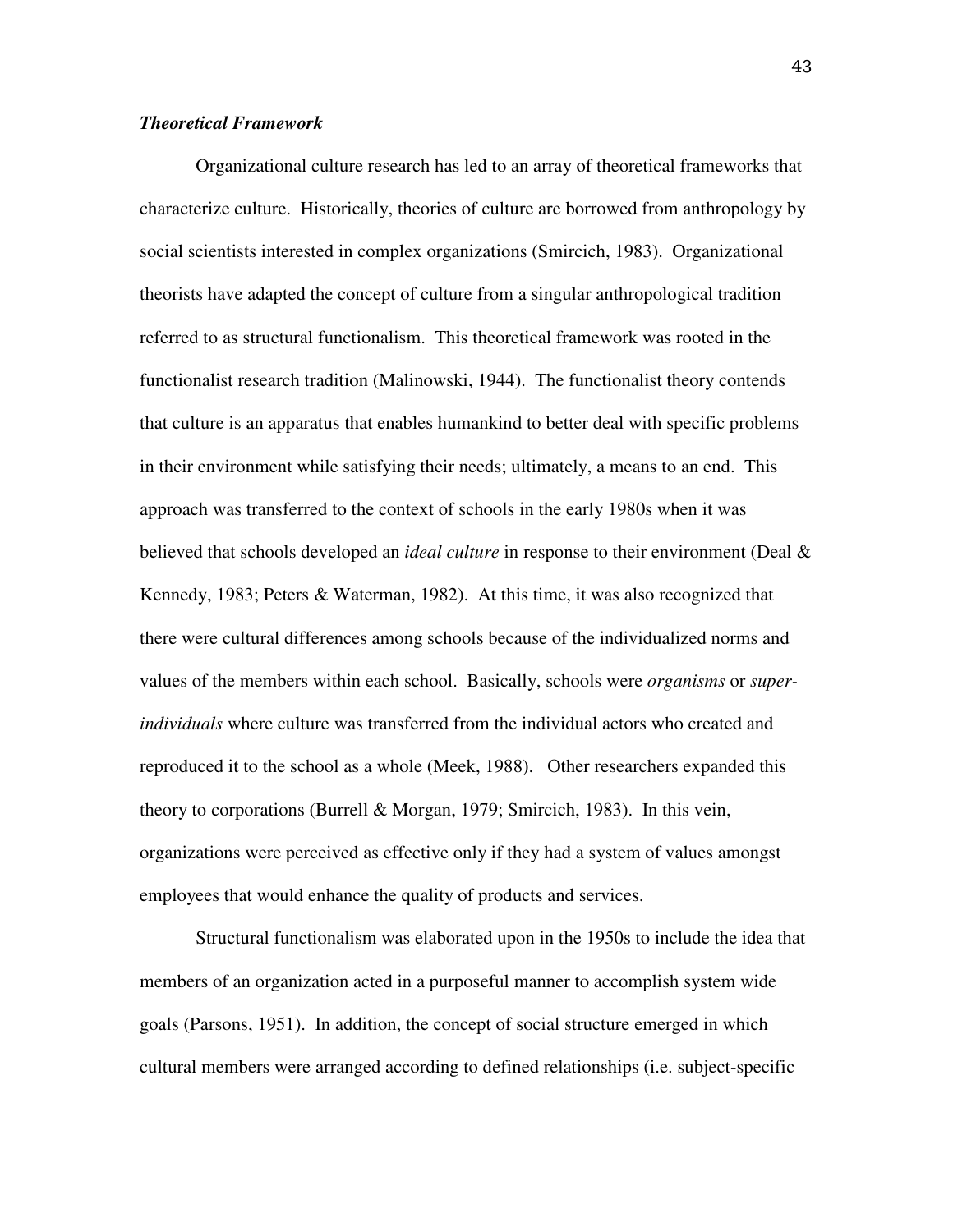# *Theoretical Framework*

Organizational culture research has led to an array of theoretical frameworks that characterize culture. Historically, theories of culture are borrowed from anthropology by social scientists interested in complex organizations (Smircich, 1983). Organizational theorists have adapted the concept of culture from a singular anthropological tradition referred to as structural functionalism. This theoretical framework was rooted in the functionalist research tradition (Malinowski, 1944). The functionalist theory contends that culture is an apparatus that enables humankind to better deal with specific problems in their environment while satisfying their needs; ultimately, a means to an end. This approach was transferred to the context of schools in the early 1980s when it was believed that schools developed an *ideal culture* in response to their environment (Deal & Kennedy, 1983; Peters & Waterman, 1982). At this time, it was also recognized that there were cultural differences among schools because of the individualized norms and values of the members within each school. Basically, schools were *organisms* or *superindividuals* where culture was transferred from the individual actors who created and reproduced it to the school as a whole (Meek, 1988). Other researchers expanded this theory to corporations (Burrell & Morgan, 1979; Smircich, 1983). In this vein, organizations were perceived as effective only if they had a system of values amongst employees that would enhance the quality of products and services.

Structural functionalism was elaborated upon in the 1950s to include the idea that members of an organization acted in a purposeful manner to accomplish system wide goals (Parsons, 1951). In addition, the concept of social structure emerged in which cultural members were arranged according to defined relationships (i.e. subject-specific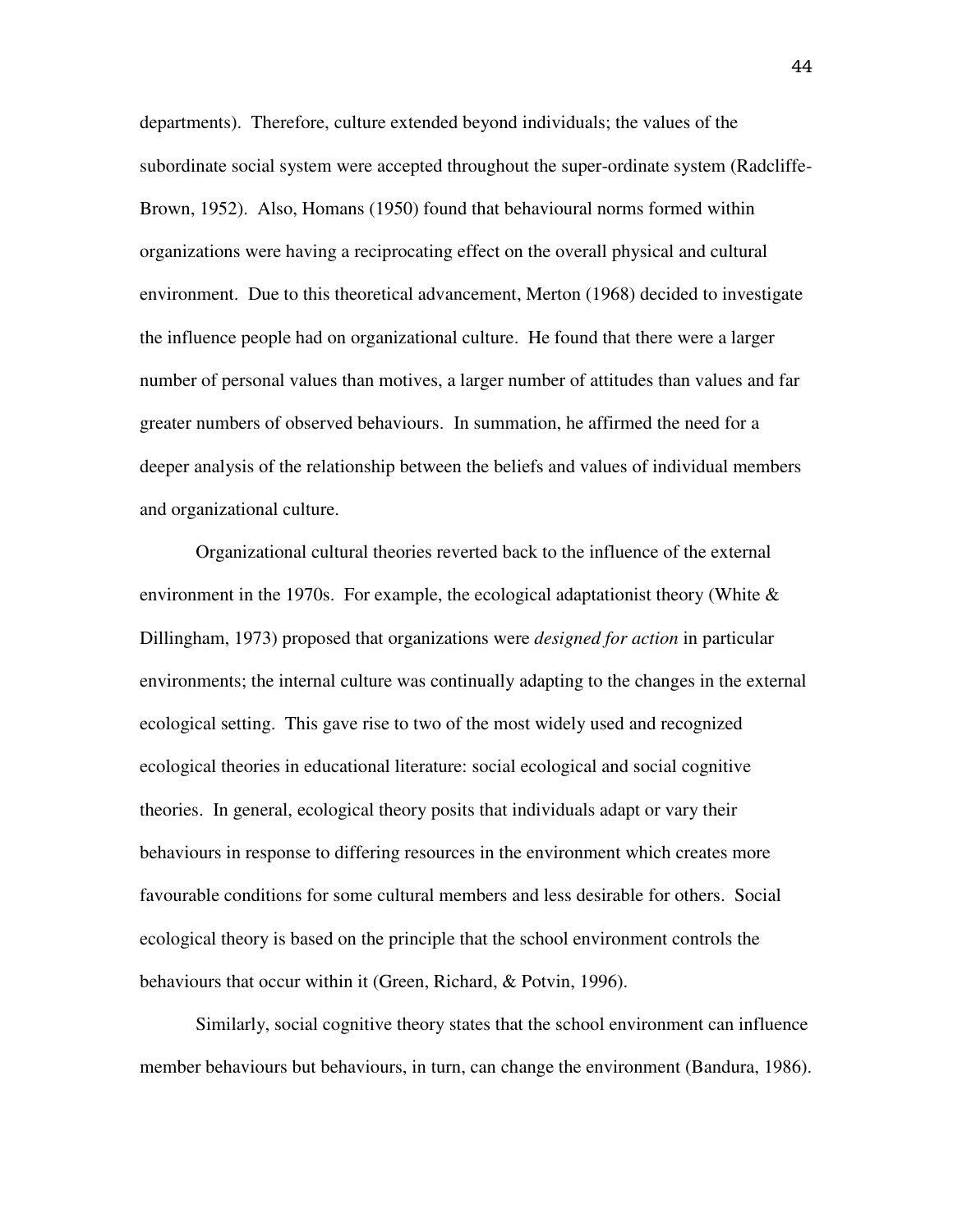departments). Therefore, culture extended beyond individuals; the values of the subordinate social system were accepted throughout the super-ordinate system (Radcliffe-Brown, 1952). Also, Homans (1950) found that behavioural norms formed within organizations were having a reciprocating effect on the overall physical and cultural environment. Due to this theoretical advancement, Merton (1968) decided to investigate the influence people had on organizational culture. He found that there were a larger number of personal values than motives, a larger number of attitudes than values and far greater numbers of observed behaviours. In summation, he affirmed the need for a deeper analysis of the relationship between the beliefs and values of individual members and organizational culture.

Organizational cultural theories reverted back to the influence of the external environment in the 1970s. For example, the ecological adaptationist theory (White  $\&$ Dillingham, 1973) proposed that organizations were *designed for action* in particular environments; the internal culture was continually adapting to the changes in the external ecological setting. This gave rise to two of the most widely used and recognized ecological theories in educational literature: social ecological and social cognitive theories. In general, ecological theory posits that individuals adapt or vary their behaviours in response to differing resources in the environment which creates more favourable conditions for some cultural members and less desirable for others. Social ecological theory is based on the principle that the school environment controls the behaviours that occur within it (Green, Richard, & Potvin, 1996).

Similarly, social cognitive theory states that the school environment can influence member behaviours but behaviours, in turn, can change the environment (Bandura, 1986).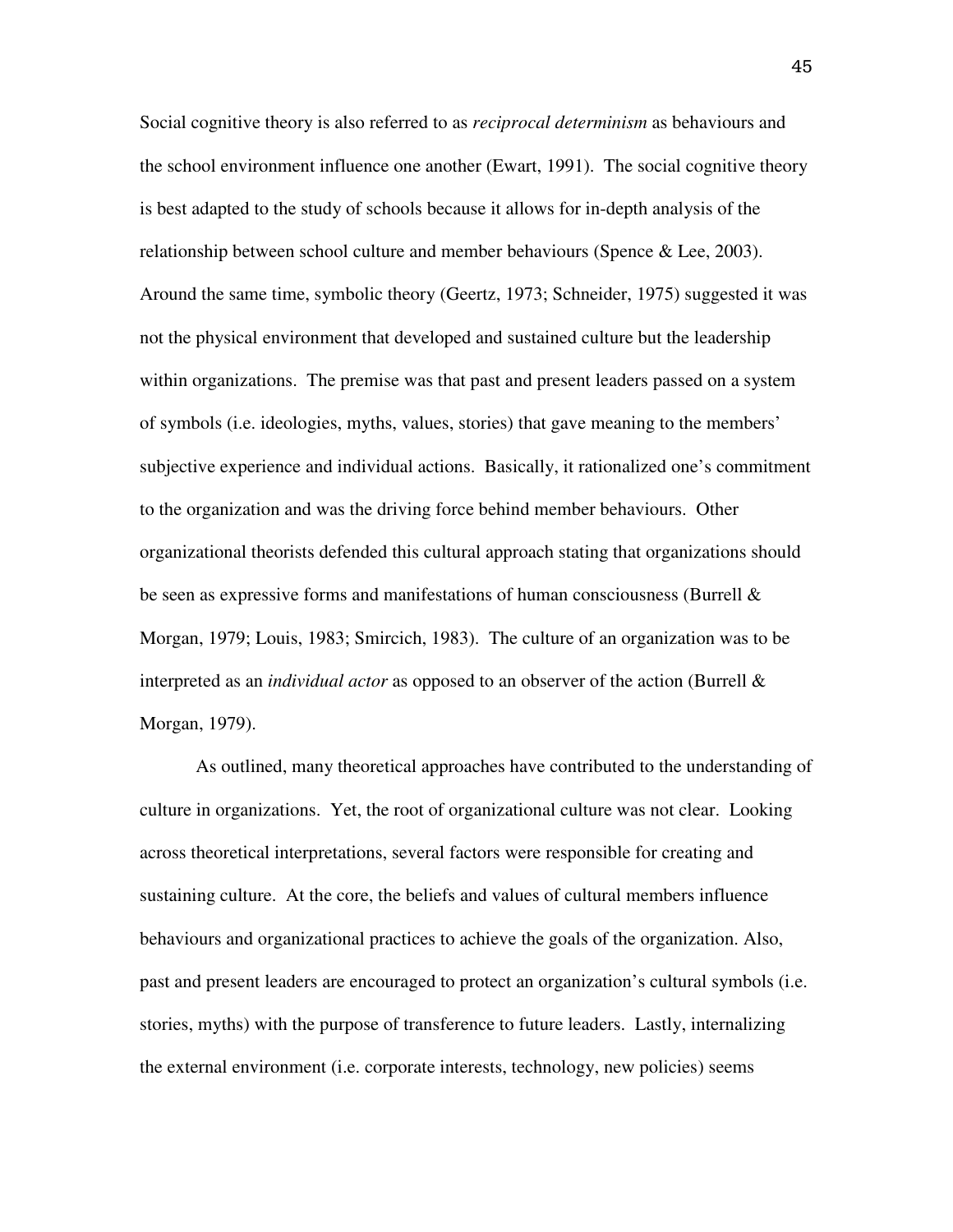Social cognitive theory is also referred to as *reciprocal determinism* as behaviours and the school environment influence one another (Ewart, 1991). The social cognitive theory is best adapted to the study of schools because it allows for in-depth analysis of the relationship between school culture and member behaviours (Spence & Lee, 2003). Around the same time, symbolic theory (Geertz, 1973; Schneider, 1975) suggested it was not the physical environment that developed and sustained culture but the leadership within organizations. The premise was that past and present leaders passed on a system of symbols (i.e. ideologies, myths, values, stories) that gave meaning to the members' subjective experience and individual actions. Basically, it rationalized one's commitment to the organization and was the driving force behind member behaviours. Other organizational theorists defended this cultural approach stating that organizations should be seen as expressive forms and manifestations of human consciousness (Burrell  $\&$ Morgan, 1979; Louis, 1983; Smircich, 1983). The culture of an organization was to be interpreted as an *individual actor* as opposed to an observer of the action (Burrell & Morgan, 1979).

As outlined, many theoretical approaches have contributed to the understanding of culture in organizations. Yet, the root of organizational culture was not clear. Looking across theoretical interpretations, several factors were responsible for creating and sustaining culture. At the core, the beliefs and values of cultural members influence behaviours and organizational practices to achieve the goals of the organization. Also, past and present leaders are encouraged to protect an organization's cultural symbols (i.e. stories, myths) with the purpose of transference to future leaders. Lastly, internalizing the external environment (i.e. corporate interests, technology, new policies) seems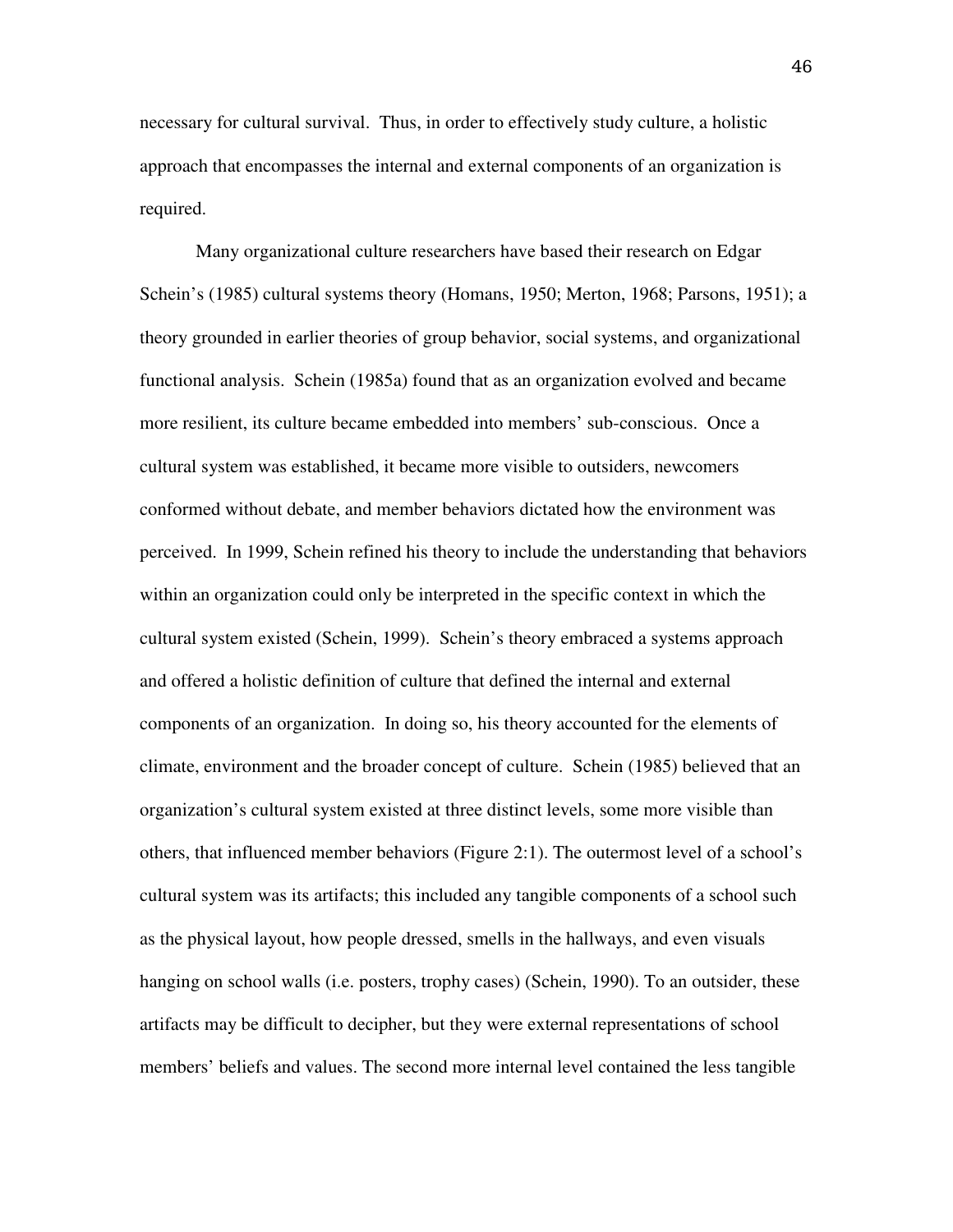necessary for cultural survival. Thus, in order to effectively study culture, a holistic approach that encompasses the internal and external components of an organization is required.

Many organizational culture researchers have based their research on Edgar Schein's (1985) cultural systems theory (Homans, 1950; Merton, 1968; Parsons, 1951); a theory grounded in earlier theories of group behavior, social systems, and organizational functional analysis. Schein (1985a) found that as an organization evolved and became more resilient, its culture became embedded into members' sub-conscious. Once a cultural system was established, it became more visible to outsiders, newcomers conformed without debate, and member behaviors dictated how the environment was perceived. In 1999, Schein refined his theory to include the understanding that behaviors within an organization could only be interpreted in the specific context in which the cultural system existed (Schein, 1999). Schein's theory embraced a systems approach and offered a holistic definition of culture that defined the internal and external components of an organization. In doing so, his theory accounted for the elements of climate, environment and the broader concept of culture. Schein (1985) believed that an organization's cultural system existed at three distinct levels, some more visible than others, that influenced member behaviors (Figure 2:1). The outermost level of a school's cultural system was its artifacts; this included any tangible components of a school such as the physical layout, how people dressed, smells in the hallways, and even visuals hanging on school walls (i.e. posters, trophy cases) (Schein, 1990). To an outsider, these artifacts may be difficult to decipher, but they were external representations of school members' beliefs and values. The second more internal level contained the less tangible

46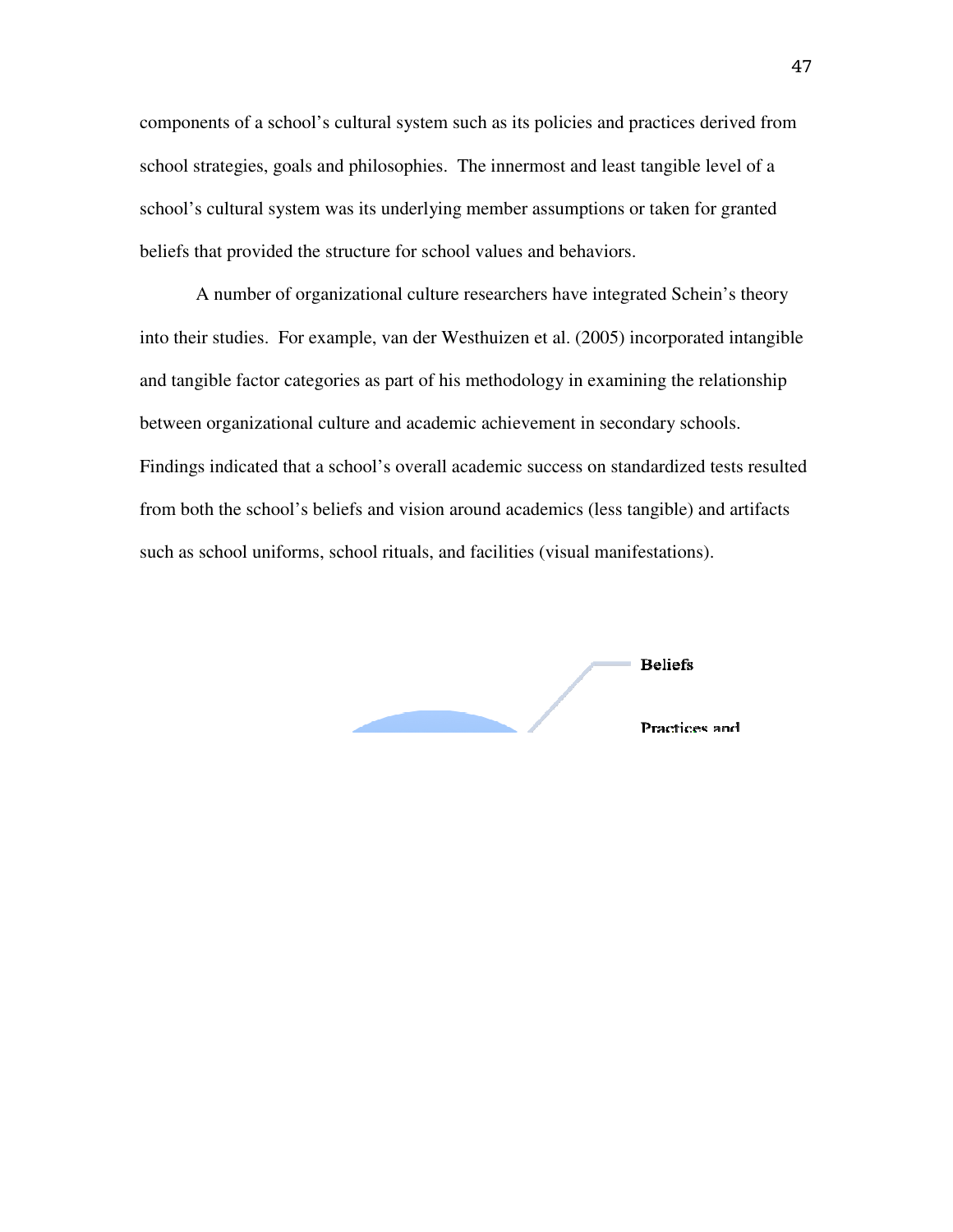components of a school's cultural system such as its policies and practices derived from school strategies, goals and philosophies. The innermost and least tangible level of a school's cultural system was its underlying member assumptions or taken for granted beliefs that provided the structure for school values and behaviors.

A number of organizational culture researchers have integrated Schein's theory into their studies. For example, van der Westhuizen et al. (2005) incorporated intangible and tangible factor categories as part of his methodology in examining the relationship between organizational culture and academic achievement in secondary schools. Findings indicated that a school's overall academic success on standardized tests resulted from both the school's beliefs and vision around academics (less tangible) and artifacts such as school uniforms, school rituals, and facilities (visual manifestations).

**Beliefs** Practices and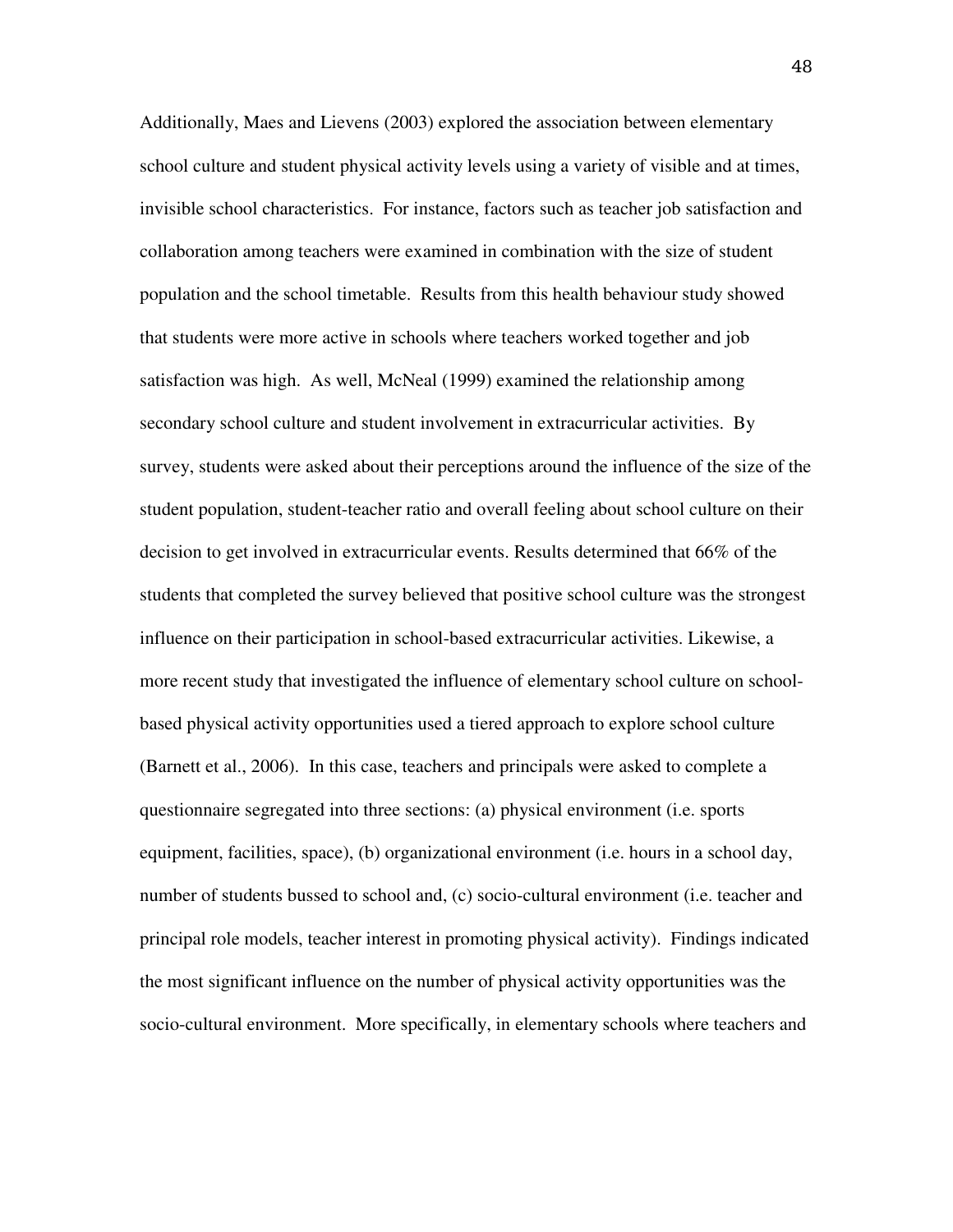Additionally, Maes and Lievens (2003) explored the association between elementary school culture and student physical activity levels using a variety of visible and at times, invisible school characteristics. For instance, factors such as teacher job satisfaction and collaboration among teachers were examined in combination with the size of student population and the school timetable. Results from this health behaviour study showed that students were more active in schools where teachers worked together and job satisfaction was high. As well, McNeal (1999) examined the relationship among secondary school culture and student involvement in extracurricular activities. By survey, students were asked about their perceptions around the influence of the size of the student population, student-teacher ratio and overall feeling about school culture on their decision to get involved in extracurricular events. Results determined that 66% of the students that completed the survey believed that positive school culture was the strongest influence on their participation in school-based extracurricular activities. Likewise, a more recent study that investigated the influence of elementary school culture on schoolbased physical activity opportunities used a tiered approach to explore school culture (Barnett et al., 2006). In this case, teachers and principals were asked to complete a questionnaire segregated into three sections: (a) physical environment (i.e. sports equipment, facilities, space), (b) organizational environment (i.e. hours in a school day, number of students bussed to school and, (c) socio-cultural environment (i.e. teacher and principal role models, teacher interest in promoting physical activity). Findings indicated the most significant influence on the number of physical activity opportunities was the socio-cultural environment. More specifically, in elementary schools where teachers and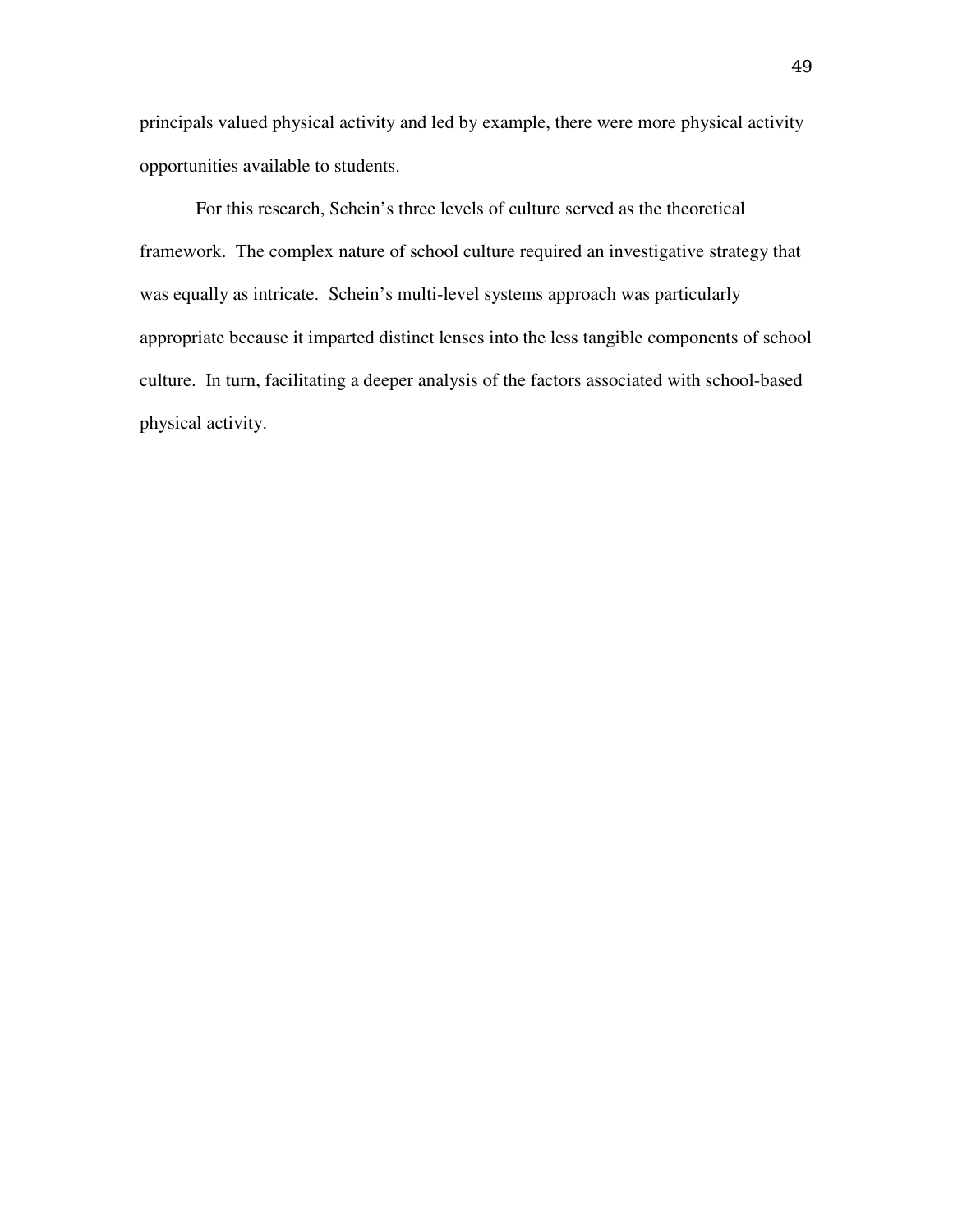principals valued physical activity and led by example, there were more physical activity opportunities available to students.

For this research, Schein's three levels of culture served as the theoretical framework. The complex nature of school culture required an investigative strategy that was equally as intricate. Schein's multi-level systems approach was particularly appropriate because it imparted distinct lenses into the less tangible components of school culture. In turn, facilitating a deeper analysis of the factors associated with school-based physical activity.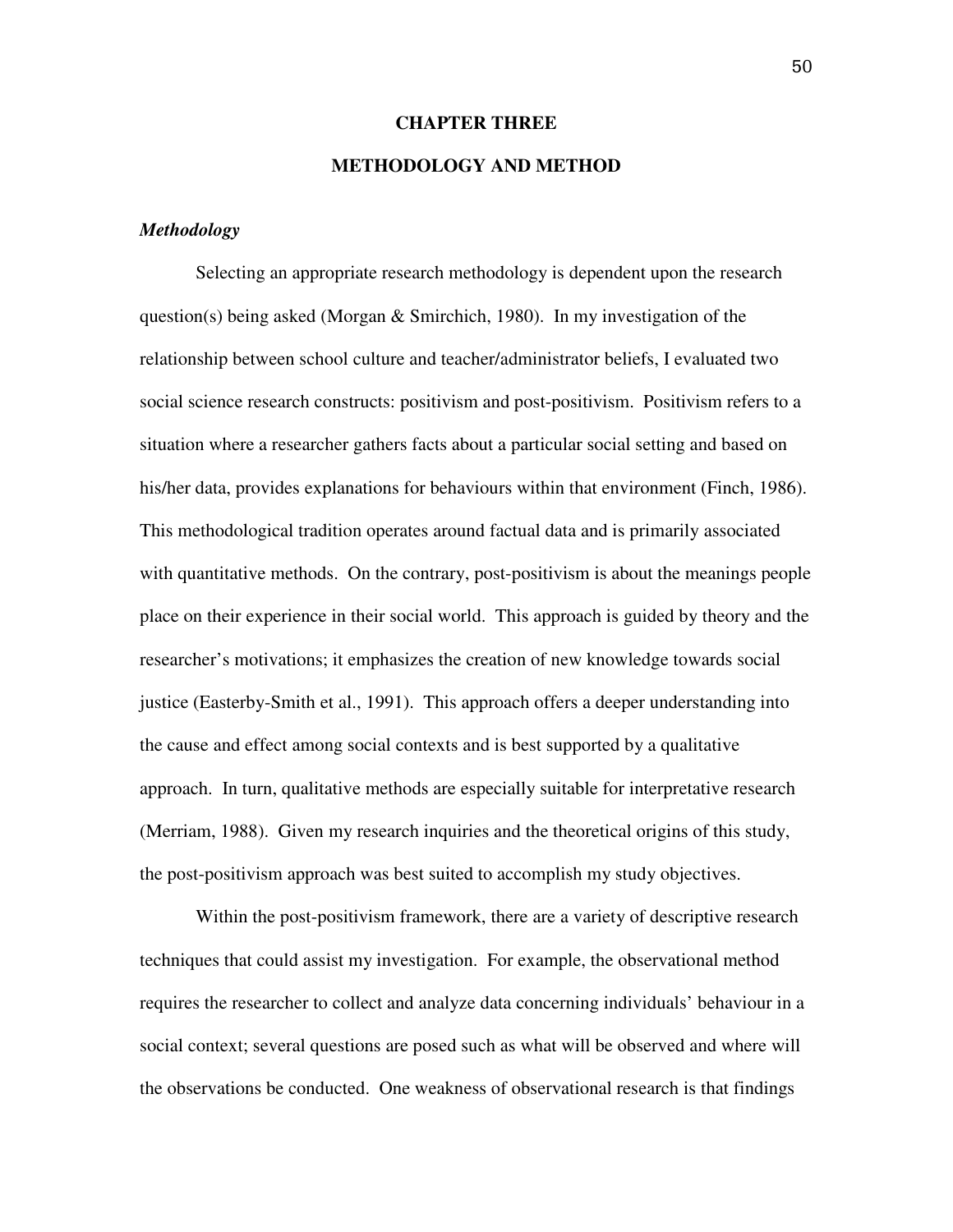# **CHAPTER THREE**

# **METHODOLOGY AND METHOD**

## *Methodology*

Selecting an appropriate research methodology is dependent upon the research question(s) being asked (Morgan & Smirchich, 1980). In my investigation of the relationship between school culture and teacher/administrator beliefs, I evaluated two social science research constructs: positivism and post-positivism. Positivism refers to a situation where a researcher gathers facts about a particular social setting and based on his/her data, provides explanations for behaviours within that environment (Finch, 1986). This methodological tradition operates around factual data and is primarily associated with quantitative methods. On the contrary, post-positivism is about the meanings people place on their experience in their social world. This approach is guided by theory and the researcher's motivations; it emphasizes the creation of new knowledge towards social justice (Easterby-Smith et al., 1991). This approach offers a deeper understanding into the cause and effect among social contexts and is best supported by a qualitative approach. In turn, qualitative methods are especially suitable for interpretative research (Merriam, 1988). Given my research inquiries and the theoretical origins of this study, the post-positivism approach was best suited to accomplish my study objectives.

Within the post-positivism framework, there are a variety of descriptive research techniques that could assist my investigation. For example, the observational method requires the researcher to collect and analyze data concerning individuals' behaviour in a social context; several questions are posed such as what will be observed and where will the observations be conducted. One weakness of observational research is that findings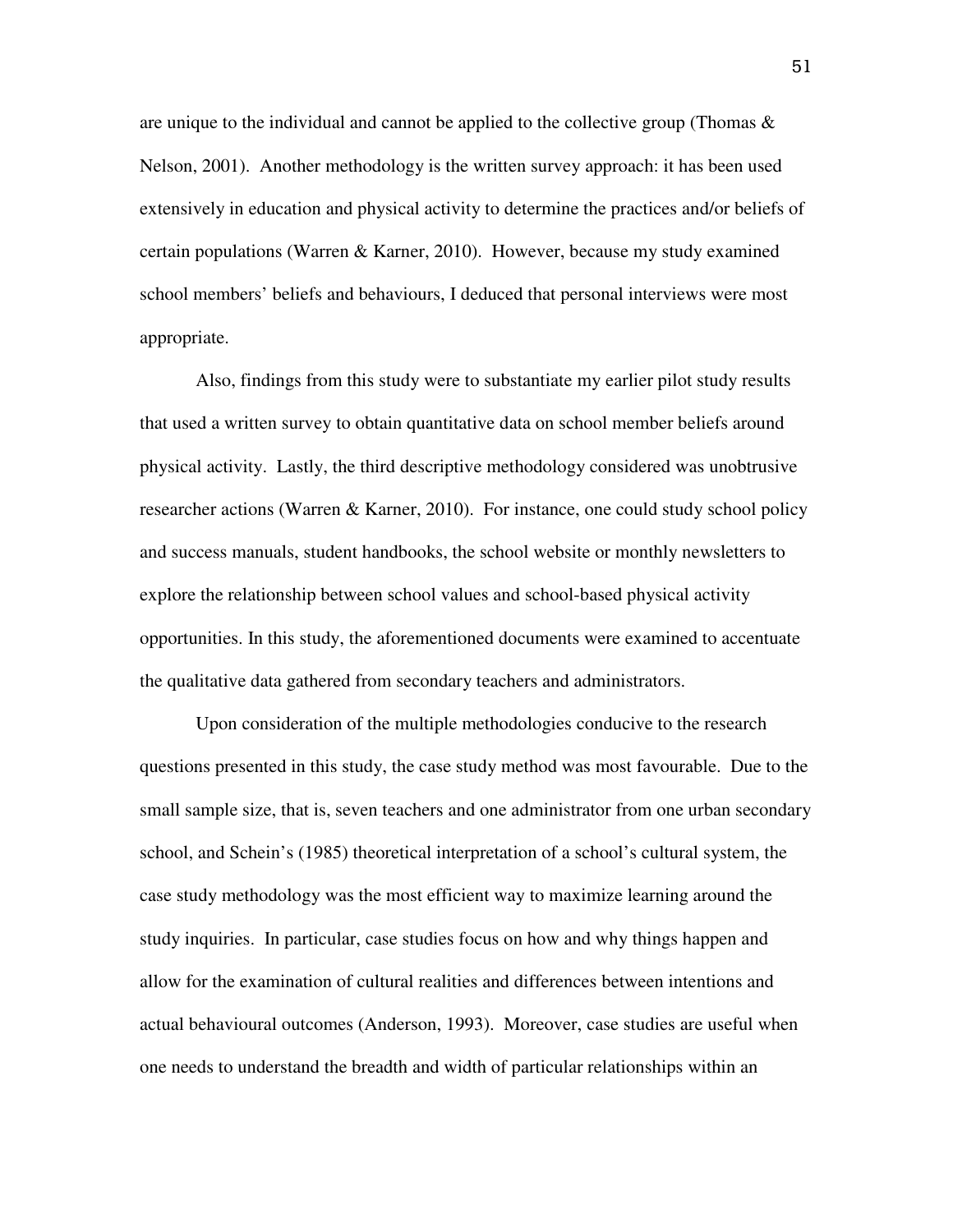are unique to the individual and cannot be applied to the collective group (Thomas  $\&$ Nelson, 2001). Another methodology is the written survey approach: it has been used extensively in education and physical activity to determine the practices and/or beliefs of certain populations (Warren & Karner, 2010). However, because my study examined school members' beliefs and behaviours, I deduced that personal interviews were most appropriate.

Also, findings from this study were to substantiate my earlier pilot study results that used a written survey to obtain quantitative data on school member beliefs around physical activity. Lastly, the third descriptive methodology considered was unobtrusive researcher actions (Warren & Karner, 2010). For instance, one could study school policy and success manuals, student handbooks, the school website or monthly newsletters to explore the relationship between school values and school-based physical activity opportunities. In this study, the aforementioned documents were examined to accentuate the qualitative data gathered from secondary teachers and administrators.

Upon consideration of the multiple methodologies conducive to the research questions presented in this study, the case study method was most favourable. Due to the small sample size, that is, seven teachers and one administrator from one urban secondary school, and Schein's (1985) theoretical interpretation of a school's cultural system, the case study methodology was the most efficient way to maximize learning around the study inquiries. In particular, case studies focus on how and why things happen and allow for the examination of cultural realities and differences between intentions and actual behavioural outcomes (Anderson, 1993). Moreover, case studies are useful when one needs to understand the breadth and width of particular relationships within an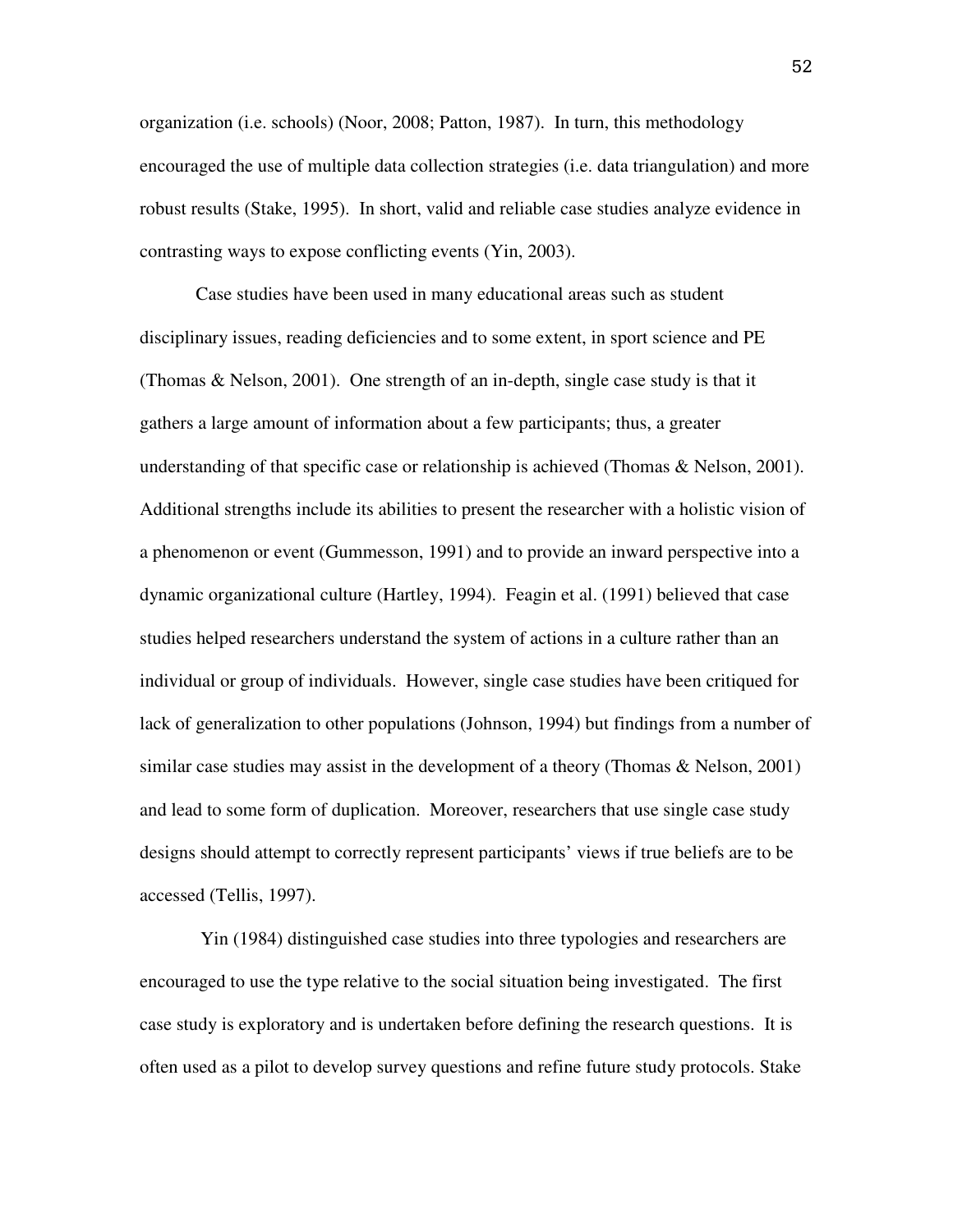organization (i.e. schools) (Noor, 2008; Patton, 1987). In turn, this methodology encouraged the use of multiple data collection strategies (i.e. data triangulation) and more robust results (Stake, 1995). In short, valid and reliable case studies analyze evidence in contrasting ways to expose conflicting events (Yin, 2003).

Case studies have been used in many educational areas such as student disciplinary issues, reading deficiencies and to some extent, in sport science and PE (Thomas  $\&$  Nelson, 2001). One strength of an in-depth, single case study is that it gathers a large amount of information about a few participants; thus, a greater understanding of that specific case or relationship is achieved (Thomas & Nelson, 2001). Additional strengths include its abilities to present the researcher with a holistic vision of a phenomenon or event (Gummesson, 1991) and to provide an inward perspective into a dynamic organizational culture (Hartley, 1994). Feagin et al. (1991) believed that case studies helped researchers understand the system of actions in a culture rather than an individual or group of individuals. However, single case studies have been critiqued for lack of generalization to other populations (Johnson, 1994) but findings from a number of similar case studies may assist in the development of a theory (Thomas  $\&$  Nelson, 2001) and lead to some form of duplication. Moreover, researchers that use single case study designs should attempt to correctly represent participants' views if true beliefs are to be accessed (Tellis, 1997).

 Yin (1984) distinguished case studies into three typologies and researchers are encouraged to use the type relative to the social situation being investigated. The first case study is exploratory and is undertaken before defining the research questions. It is often used as a pilot to develop survey questions and refine future study protocols. Stake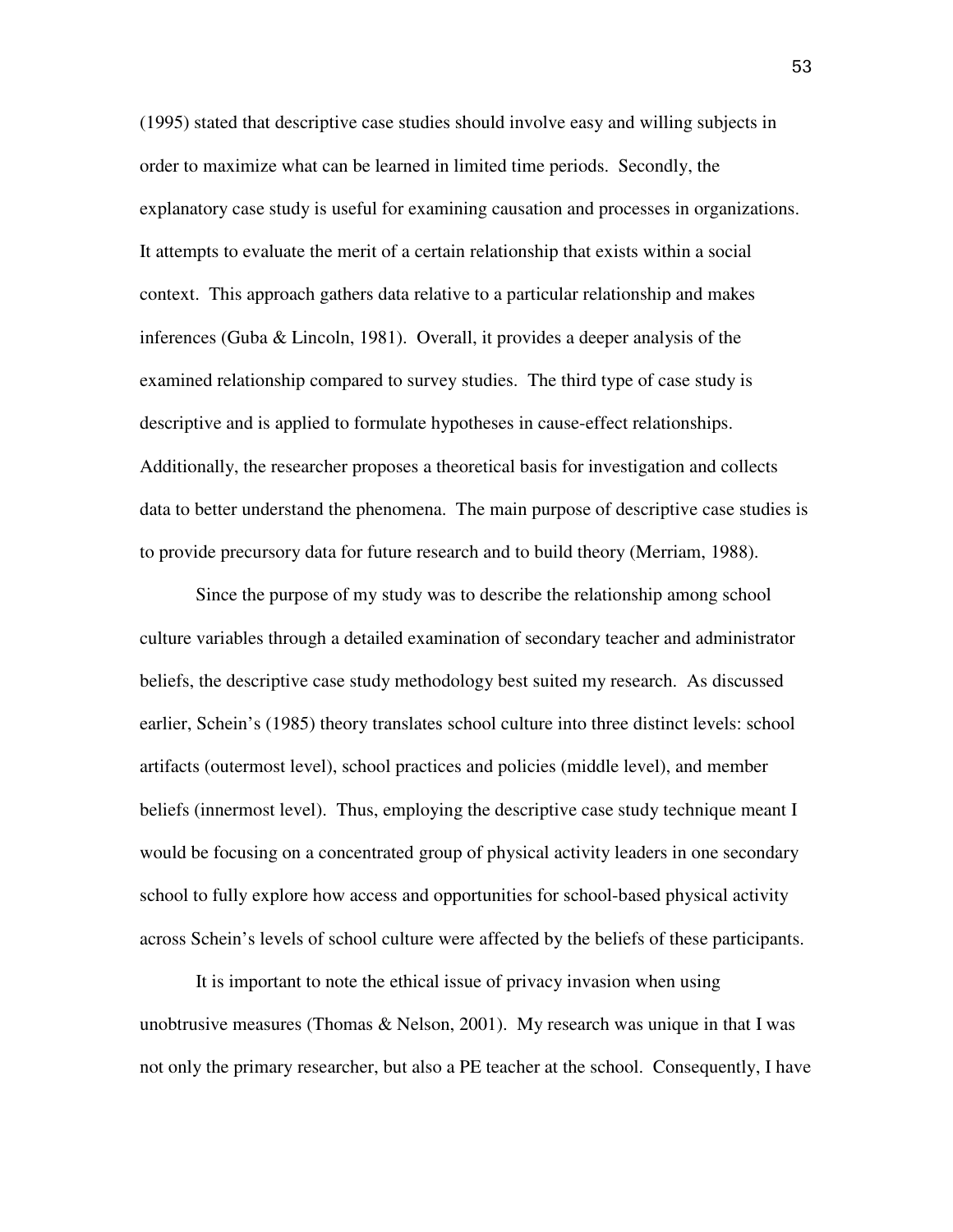(1995) stated that descriptive case studies should involve easy and willing subjects in order to maximize what can be learned in limited time periods. Secondly, the explanatory case study is useful for examining causation and processes in organizations. It attempts to evaluate the merit of a certain relationship that exists within a social context. This approach gathers data relative to a particular relationship and makes inferences (Guba & Lincoln, 1981). Overall, it provides a deeper analysis of the examined relationship compared to survey studies. The third type of case study is descriptive and is applied to formulate hypotheses in cause-effect relationships. Additionally, the researcher proposes a theoretical basis for investigation and collects data to better understand the phenomena. The main purpose of descriptive case studies is to provide precursory data for future research and to build theory (Merriam, 1988).

Since the purpose of my study was to describe the relationship among school culture variables through a detailed examination of secondary teacher and administrator beliefs, the descriptive case study methodology best suited my research. As discussed earlier, Schein's (1985) theory translates school culture into three distinct levels: school artifacts (outermost level), school practices and policies (middle level), and member beliefs (innermost level). Thus, employing the descriptive case study technique meant I would be focusing on a concentrated group of physical activity leaders in one secondary school to fully explore how access and opportunities for school-based physical activity across Schein's levels of school culture were affected by the beliefs of these participants.

It is important to note the ethical issue of privacy invasion when using unobtrusive measures (Thomas & Nelson, 2001). My research was unique in that I was not only the primary researcher, but also a PE teacher at the school. Consequently, I have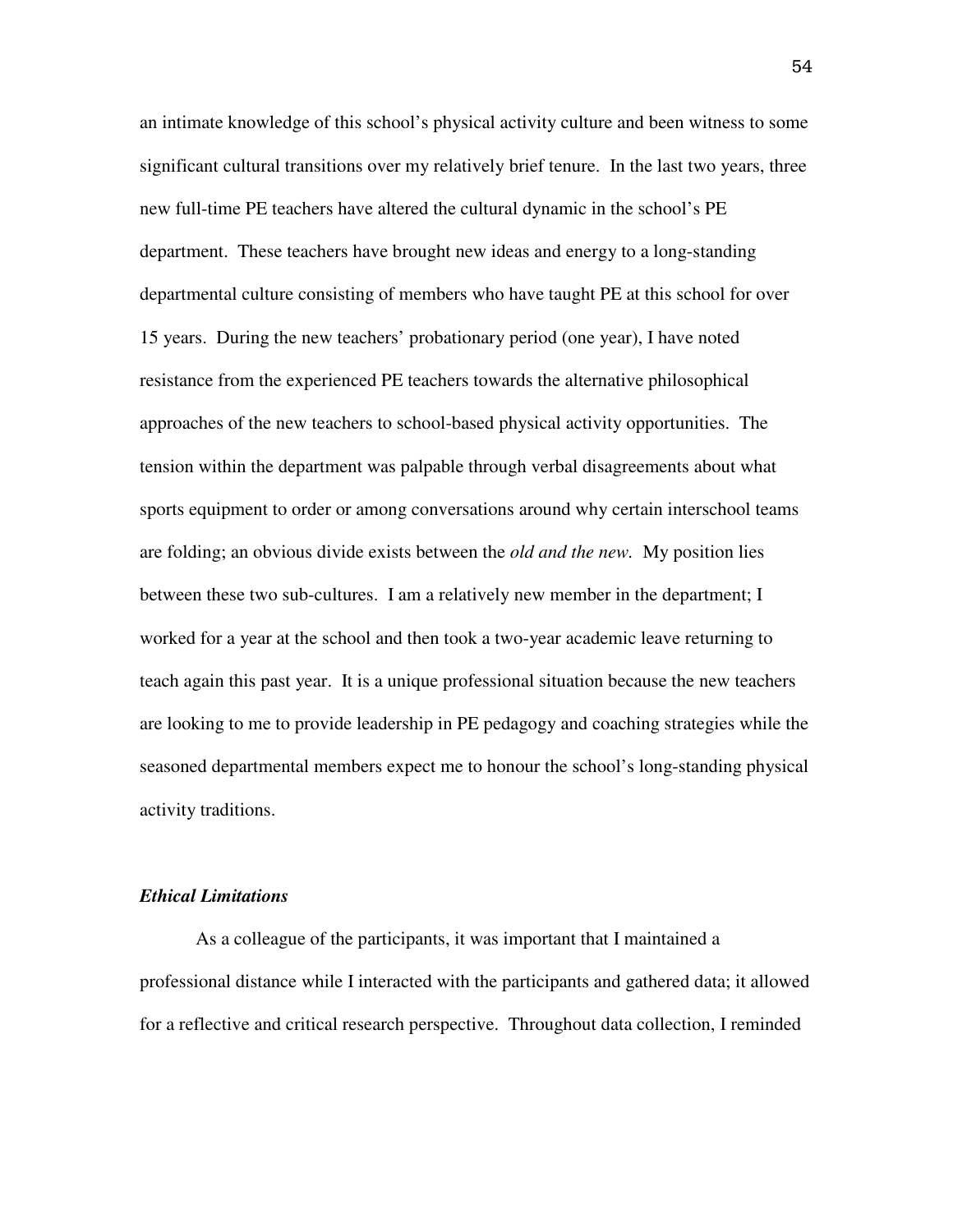an intimate knowledge of this school's physical activity culture and been witness to some significant cultural transitions over my relatively brief tenure. In the last two years, three new full-time PE teachers have altered the cultural dynamic in the school's PE department. These teachers have brought new ideas and energy to a long-standing departmental culture consisting of members who have taught PE at this school for over 15 years. During the new teachers' probationary period (one year), I have noted resistance from the experienced PE teachers towards the alternative philosophical approaches of the new teachers to school-based physical activity opportunities. The tension within the department was palpable through verbal disagreements about what sports equipment to order or among conversations around why certain interschool teams are folding; an obvious divide exists between the *old and the new.* My position lies between these two sub-cultures. I am a relatively new member in the department; I worked for a year at the school and then took a two-year academic leave returning to teach again this past year. It is a unique professional situation because the new teachers are looking to me to provide leadership in PE pedagogy and coaching strategies while the seasoned departmental members expect me to honour the school's long-standing physical activity traditions.

### *Ethical Limitations*

As a colleague of the participants, it was important that I maintained a professional distance while I interacted with the participants and gathered data; it allowed for a reflective and critical research perspective. Throughout data collection, I reminded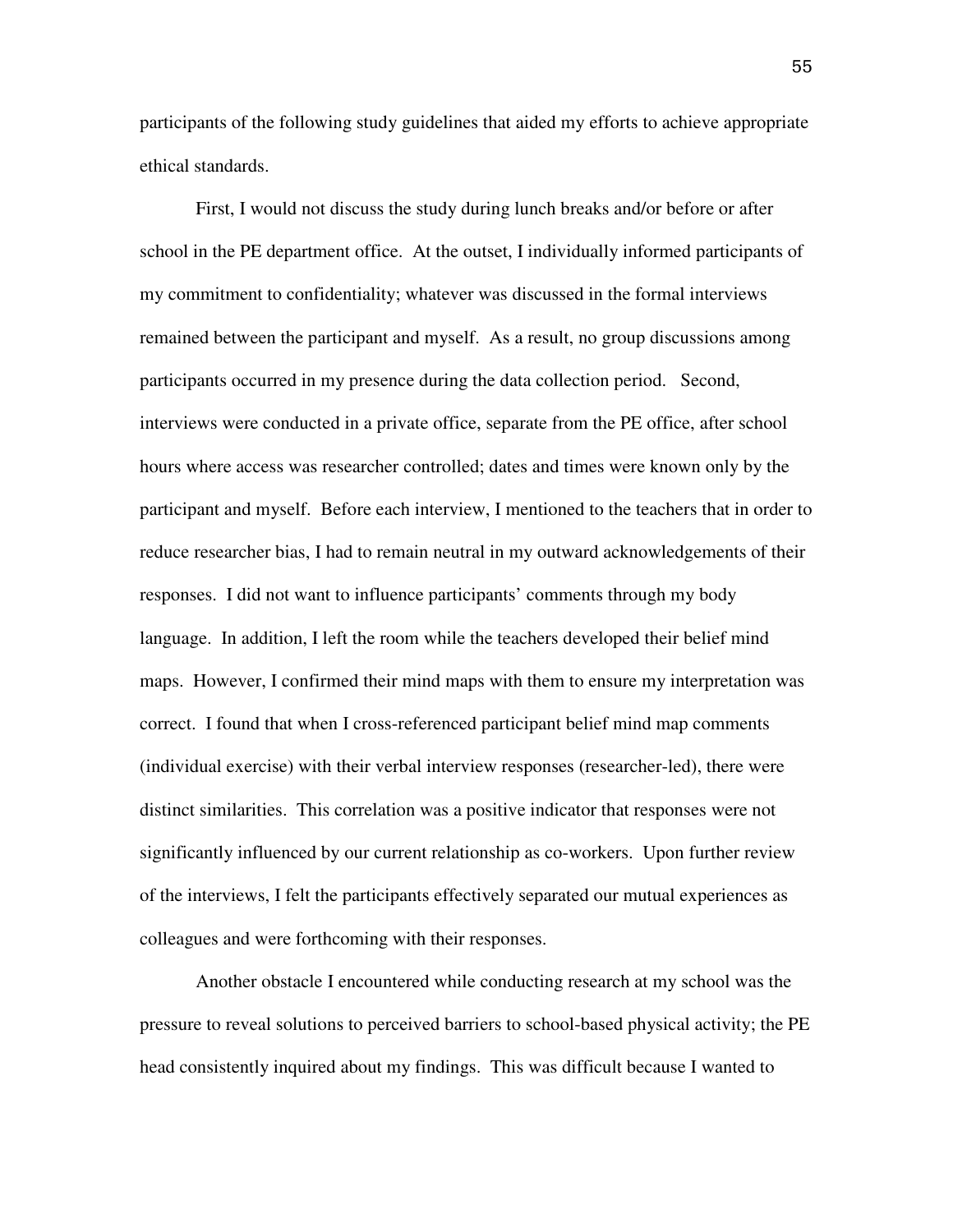participants of the following study guidelines that aided my efforts to achieve appropriate ethical standards.

First, I would not discuss the study during lunch breaks and/or before or after school in the PE department office. At the outset, I individually informed participants of my commitment to confidentiality; whatever was discussed in the formal interviews remained between the participant and myself. As a result, no group discussions among participants occurred in my presence during the data collection period. Second, interviews were conducted in a private office, separate from the PE office, after school hours where access was researcher controlled; dates and times were known only by the participant and myself. Before each interview, I mentioned to the teachers that in order to reduce researcher bias, I had to remain neutral in my outward acknowledgements of their responses. I did not want to influence participants' comments through my body language. In addition, I left the room while the teachers developed their belief mind maps. However, I confirmed their mind maps with them to ensure my interpretation was correct. I found that when I cross-referenced participant belief mind map comments (individual exercise) with their verbal interview responses (researcher-led), there were distinct similarities. This correlation was a positive indicator that responses were not significantly influenced by our current relationship as co-workers. Upon further review of the interviews, I felt the participants effectively separated our mutual experiences as colleagues and were forthcoming with their responses.

Another obstacle I encountered while conducting research at my school was the pressure to reveal solutions to perceived barriers to school-based physical activity; the PE head consistently inquired about my findings. This was difficult because I wanted to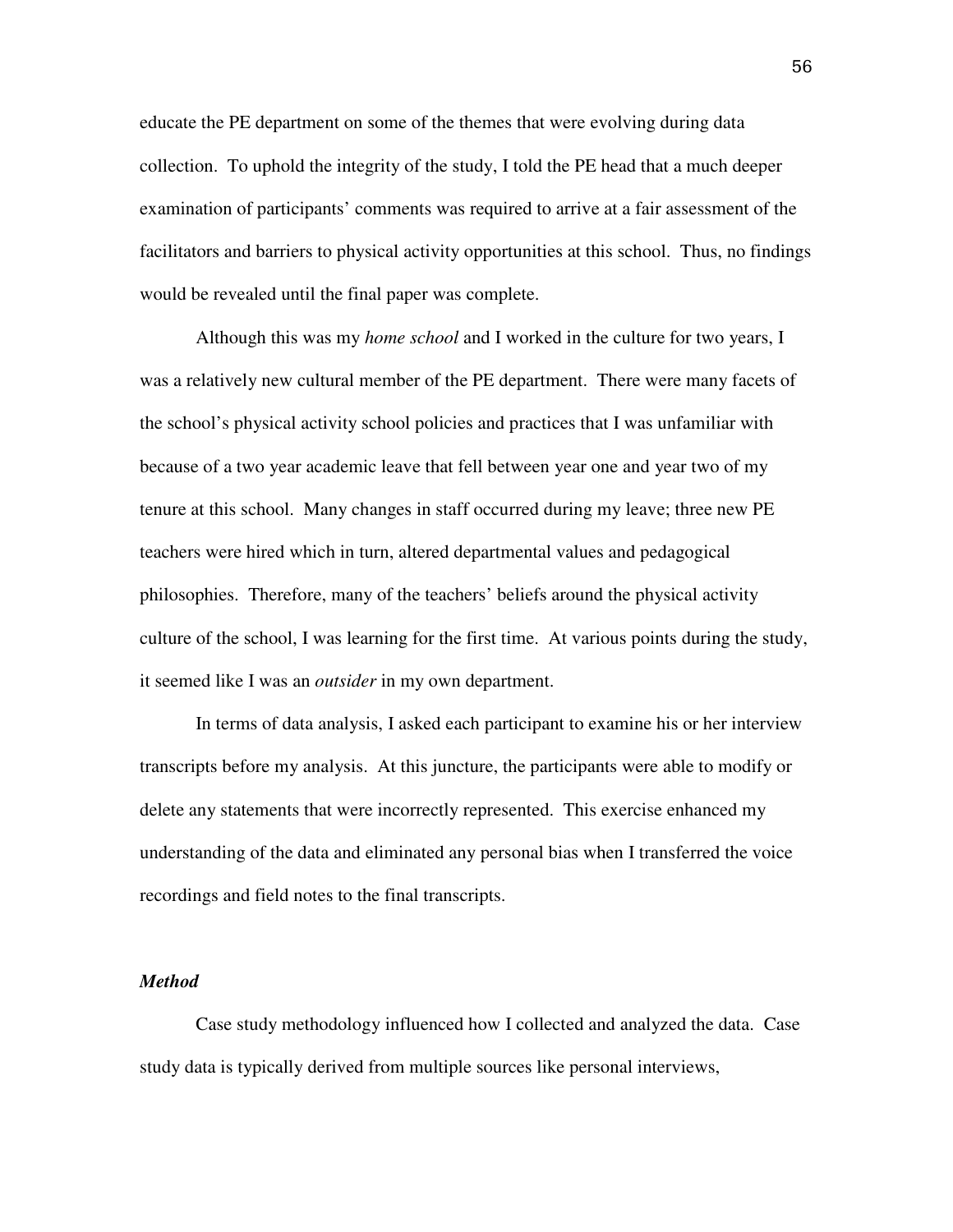educate the PE department on some of the themes that were evolving during data collection. To uphold the integrity of the study, I told the PE head that a much deeper examination of participants' comments was required to arrive at a fair assessment of the facilitators and barriers to physical activity opportunities at this school. Thus, no findings would be revealed until the final paper was complete.

Although this was my *home school* and I worked in the culture for two years, I was a relatively new cultural member of the PE department. There were many facets of the school's physical activity school policies and practices that I was unfamiliar with because of a two year academic leave that fell between year one and year two of my tenure at this school. Many changes in staff occurred during my leave; three new PE teachers were hired which in turn, altered departmental values and pedagogical philosophies. Therefore, many of the teachers' beliefs around the physical activity culture of the school, I was learning for the first time. At various points during the study, it seemed like I was an *outsider* in my own department.

In terms of data analysis, I asked each participant to examine his or her interview transcripts before my analysis. At this juncture, the participants were able to modify or delete any statements that were incorrectly represented. This exercise enhanced my understanding of the data and eliminated any personal bias when I transferred the voice recordings and field notes to the final transcripts.

## *Method*

Case study methodology influenced how I collected and analyzed the data. Case study data is typically derived from multiple sources like personal interviews,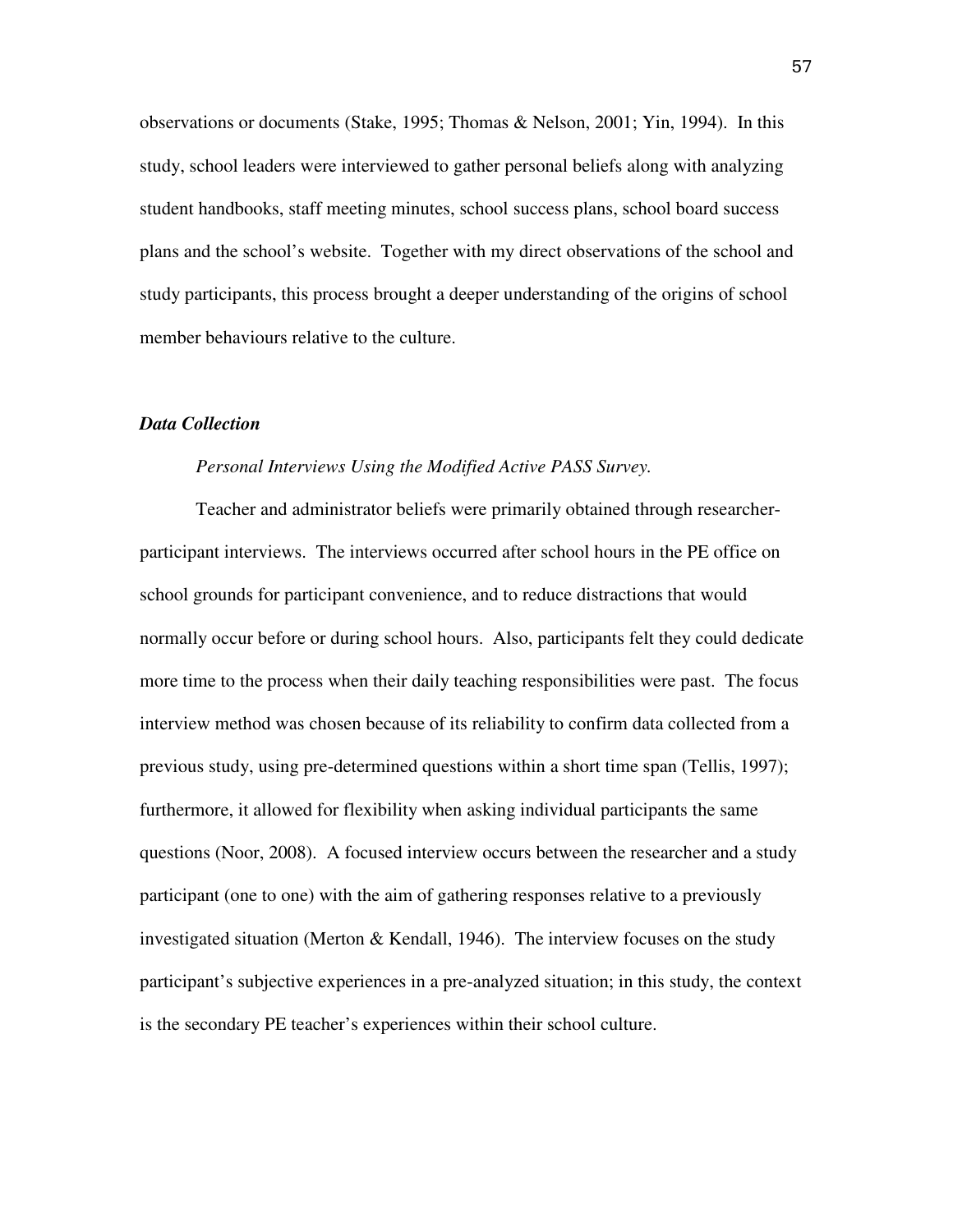observations or documents (Stake, 1995; Thomas & Nelson, 2001; Yin, 1994). In this study, school leaders were interviewed to gather personal beliefs along with analyzing student handbooks, staff meeting minutes, school success plans, school board success plans and the school's website. Together with my direct observations of the school and study participants, this process brought a deeper understanding of the origins of school member behaviours relative to the culture.

### *Data Collection*

# *Personal Interviews Using the Modified Active PASS Survey.*

Teacher and administrator beliefs were primarily obtained through researcherparticipant interviews. The interviews occurred after school hours in the PE office on school grounds for participant convenience, and to reduce distractions that would normally occur before or during school hours. Also, participants felt they could dedicate more time to the process when their daily teaching responsibilities were past. The focus interview method was chosen because of its reliability to confirm data collected from a previous study, using pre-determined questions within a short time span (Tellis, 1997); furthermore, it allowed for flexibility when asking individual participants the same questions (Noor, 2008). A focused interview occurs between the researcher and a study participant (one to one) with the aim of gathering responses relative to a previously investigated situation (Merton  $&$  Kendall, 1946). The interview focuses on the study participant's subjective experiences in a pre-analyzed situation; in this study, the context is the secondary PE teacher's experiences within their school culture.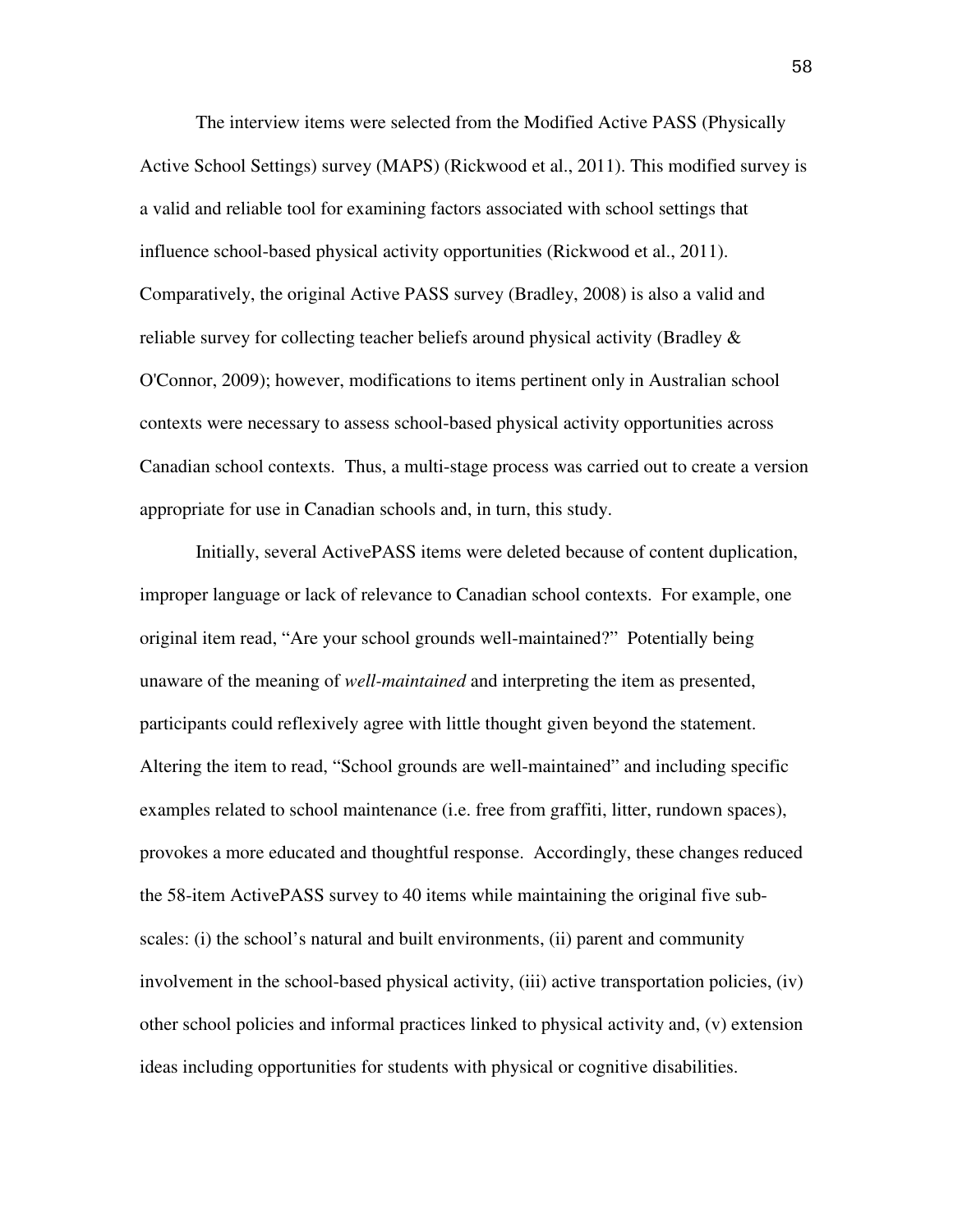The interview items were selected from the Modified Active PASS (Physically Active School Settings) survey (MAPS) (Rickwood et al., 2011). This modified survey is a valid and reliable tool for examining factors associated with school settings that influence school-based physical activity opportunities (Rickwood et al., 2011). Comparatively, the original Active PASS survey (Bradley, 2008) is also a valid and reliable survey for collecting teacher beliefs around physical activity (Bradley & O'Connor, 2009); however, modifications to items pertinent only in Australian school contexts were necessary to assess school-based physical activity opportunities across Canadian school contexts. Thus, a multi-stage process was carried out to create a version appropriate for use in Canadian schools and, in turn, this study.

Initially, several ActivePASS items were deleted because of content duplication, improper language or lack of relevance to Canadian school contexts. For example, one original item read, "Are your school grounds well-maintained?" Potentially being unaware of the meaning of *well-maintained* and interpreting the item as presented, participants could reflexively agree with little thought given beyond the statement. Altering the item to read, "School grounds are well-maintained" and including specific examples related to school maintenance (i.e. free from graffiti, litter, rundown spaces), provokes a more educated and thoughtful response. Accordingly, these changes reduced the 58-item ActivePASS survey to 40 items while maintaining the original five subscales: (i) the school's natural and built environments, (ii) parent and community involvement in the school-based physical activity, (iii) active transportation policies, (iv) other school policies and informal practices linked to physical activity and, (v) extension ideas including opportunities for students with physical or cognitive disabilities.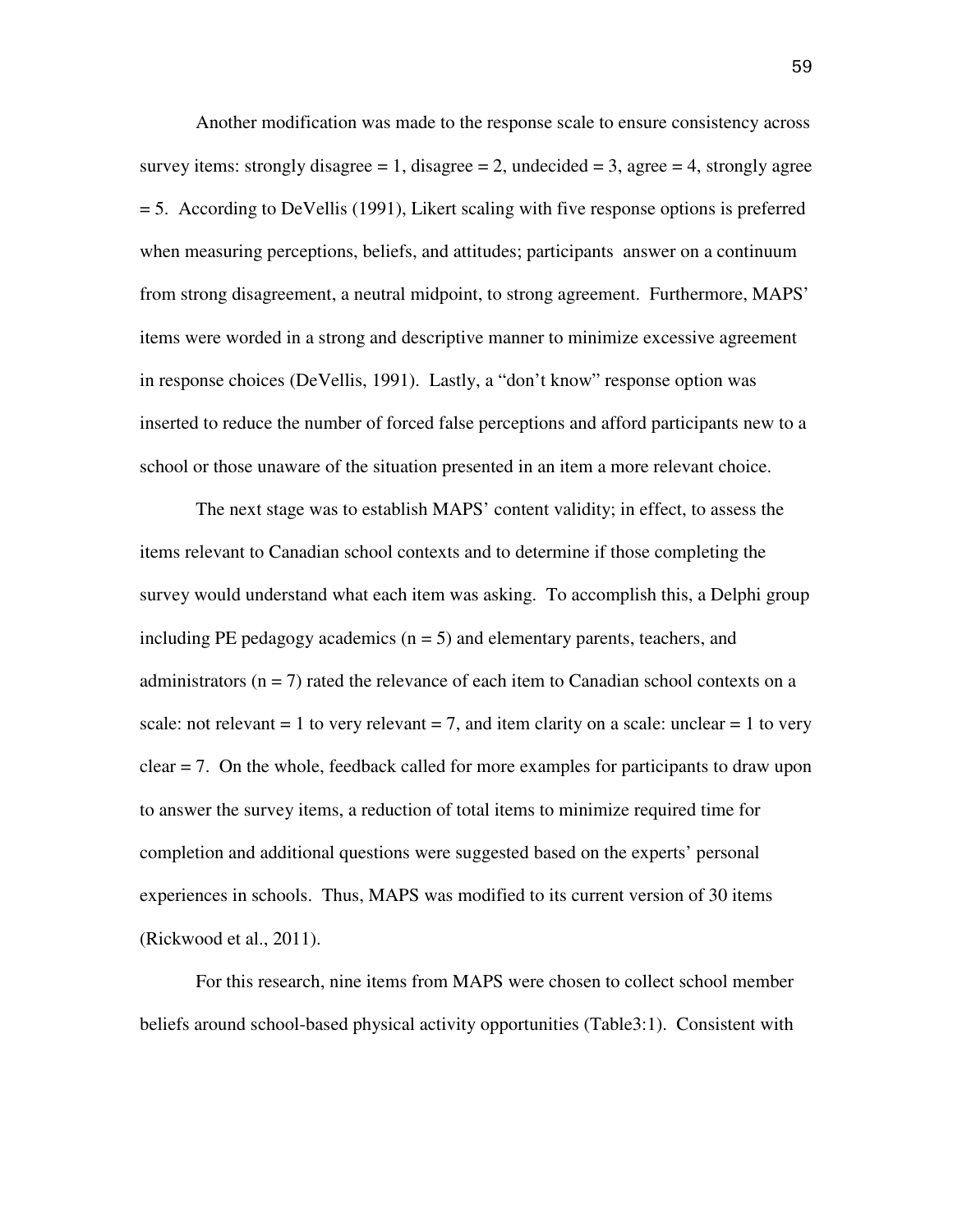Another modification was made to the response scale to ensure consistency across survey items: strongly disagree = 1, disagree = 2, undecided = 3, agree = 4, strongly agree = 5. According to DeVellis (1991), Likert scaling with five response options is preferred when measuring perceptions, beliefs, and attitudes; participants answer on a continuum from strong disagreement, a neutral midpoint, to strong agreement. Furthermore, MAPS' items were worded in a strong and descriptive manner to minimize excessive agreement in response choices (DeVellis, 1991). Lastly, a "don't know" response option was inserted to reduce the number of forced false perceptions and afford participants new to a school or those unaware of the situation presented in an item a more relevant choice.

The next stage was to establish MAPS' content validity; in effect, to assess the items relevant to Canadian school contexts and to determine if those completing the survey would understand what each item was asking. To accomplish this, a Delphi group including PE pedagogy academics  $(n = 5)$  and elementary parents, teachers, and administrators ( $n = 7$ ) rated the relevance of each item to Canadian school contexts on a scale: not relevant  $= 1$  to very relevant  $= 7$ , and item clarity on a scale: unclear  $= 1$  to very clear = 7. On the whole, feedback called for more examples for participants to draw upon to answer the survey items, a reduction of total items to minimize required time for completion and additional questions were suggested based on the experts' personal experiences in schools. Thus, MAPS was modified to its current version of 30 items (Rickwood et al., 2011).

For this research, nine items from MAPS were chosen to collect school member beliefs around school-based physical activity opportunities (Table3:1). Consistent with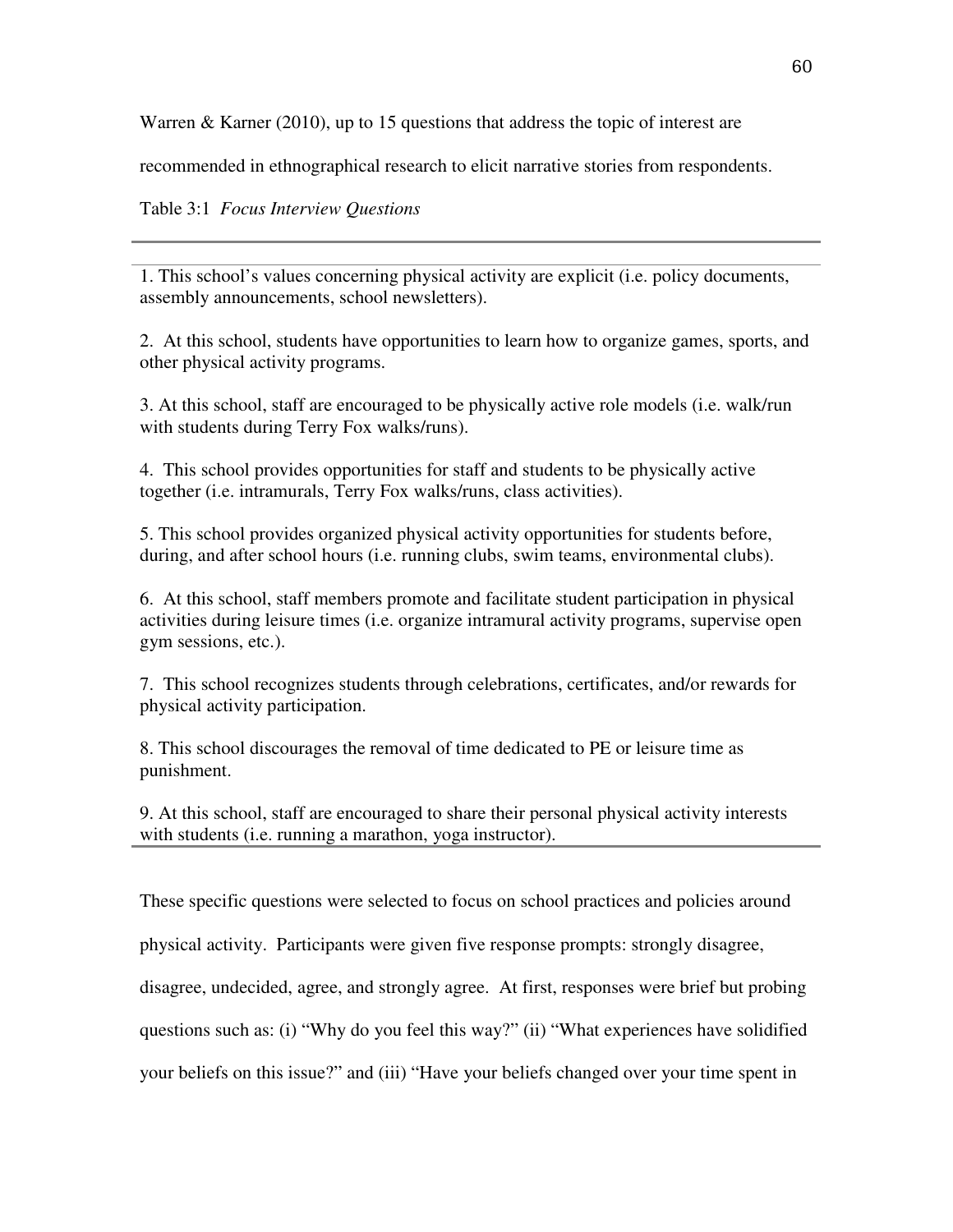Warren & Karner (2010), up to 15 questions that address the topic of interest are

recommended in ethnographical research to elicit narrative stories from respondents.

Table 3:1 *Focus Interview Questions* 

1. This school's values concerning physical activity are explicit (i.e. policy documents, assembly announcements, school newsletters).

2. At this school, students have opportunities to learn how to organize games, sports, and other physical activity programs.

3. At this school, staff are encouraged to be physically active role models (i.e. walk/run with students during Terry Fox walks/runs).

4. This school provides opportunities for staff and students to be physically active together (i.e. intramurals, Terry Fox walks/runs, class activities).

5. This school provides organized physical activity opportunities for students before, during, and after school hours (i.e. running clubs, swim teams, environmental clubs).

6. At this school, staff members promote and facilitate student participation in physical activities during leisure times (i.e. organize intramural activity programs, supervise open gym sessions, etc.).

7. This school recognizes students through celebrations, certificates, and/or rewards for physical activity participation.

8. This school discourages the removal of time dedicated to PE or leisure time as punishment.

9. At this school, staff are encouraged to share their personal physical activity interests with students (*i.e.* running a marathon, yoga instructor).

These specific questions were selected to focus on school practices and policies around

physical activity. Participants were given five response prompts: strongly disagree,

disagree, undecided, agree, and strongly agree. At first, responses were brief but probing

questions such as: (i) "Why do you feel this way?" (ii) "What experiences have solidified

your beliefs on this issue?" and (iii) "Have your beliefs changed over your time spent in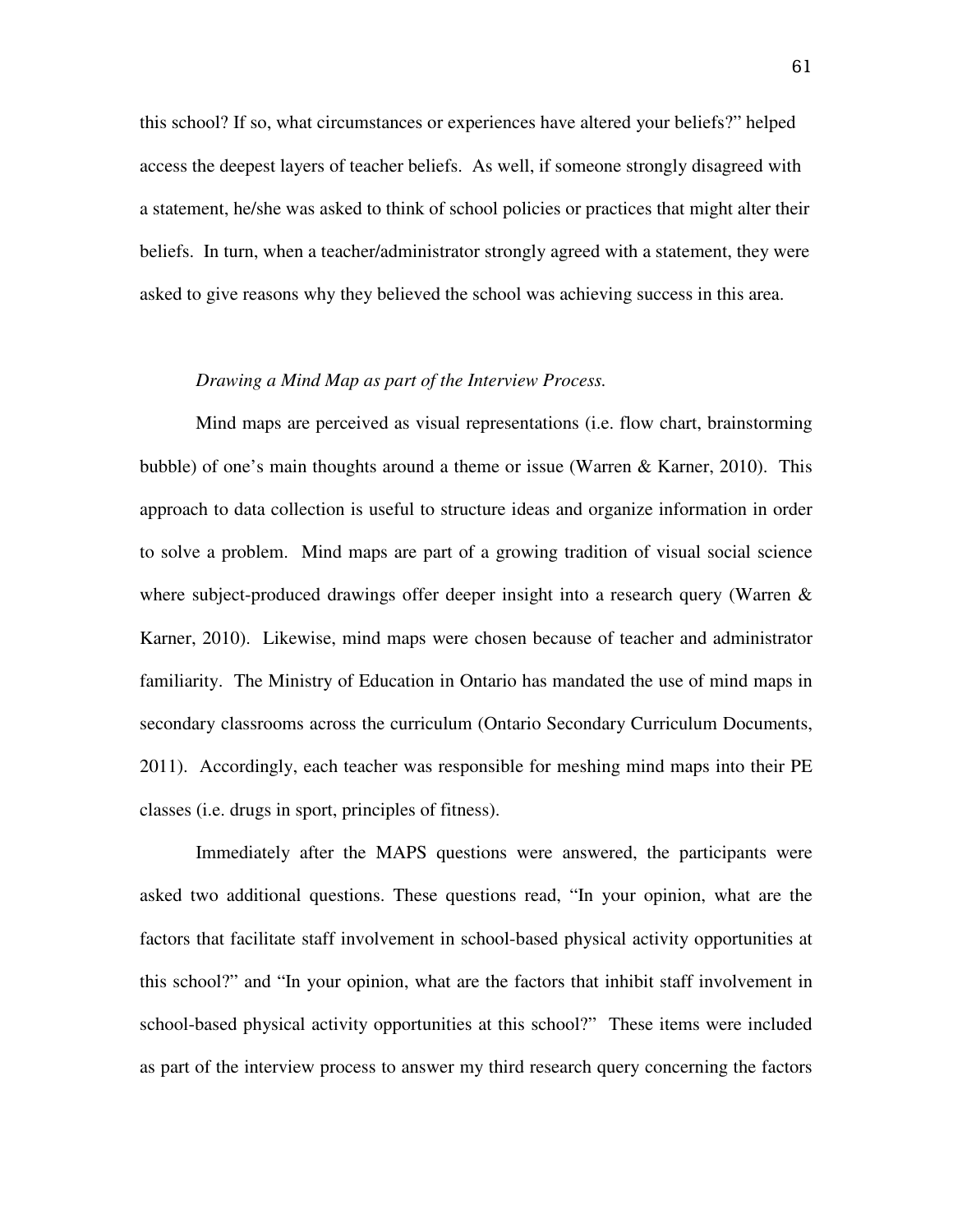this school? If so, what circumstances or experiences have altered your beliefs?" helped access the deepest layers of teacher beliefs. As well, if someone strongly disagreed with a statement, he/she was asked to think of school policies or practices that might alter their beliefs. In turn, when a teacher/administrator strongly agreed with a statement, they were asked to give reasons why they believed the school was achieving success in this area.

# *Drawing a Mind Map as part of the Interview Process.*

Mind maps are perceived as visual representations (i.e. flow chart, brainstorming bubble) of one's main thoughts around a theme or issue (Warren & Karner, 2010). This approach to data collection is useful to structure ideas and organize information in order to solve a problem. Mind maps are part of a growing tradition of visual social science where subject-produced drawings offer deeper insight into a research query (Warren & Karner, 2010). Likewise, mind maps were chosen because of teacher and administrator familiarity. The Ministry of Education in Ontario has mandated the use of mind maps in secondary classrooms across the curriculum (Ontario Secondary Curriculum Documents, 2011). Accordingly, each teacher was responsible for meshing mind maps into their PE classes (i.e. drugs in sport, principles of fitness).

Immediately after the MAPS questions were answered, the participants were asked two additional questions. These questions read, "In your opinion, what are the factors that facilitate staff involvement in school-based physical activity opportunities at this school?" and "In your opinion, what are the factors that inhibit staff involvement in school-based physical activity opportunities at this school?" These items were included as part of the interview process to answer my third research query concerning the factors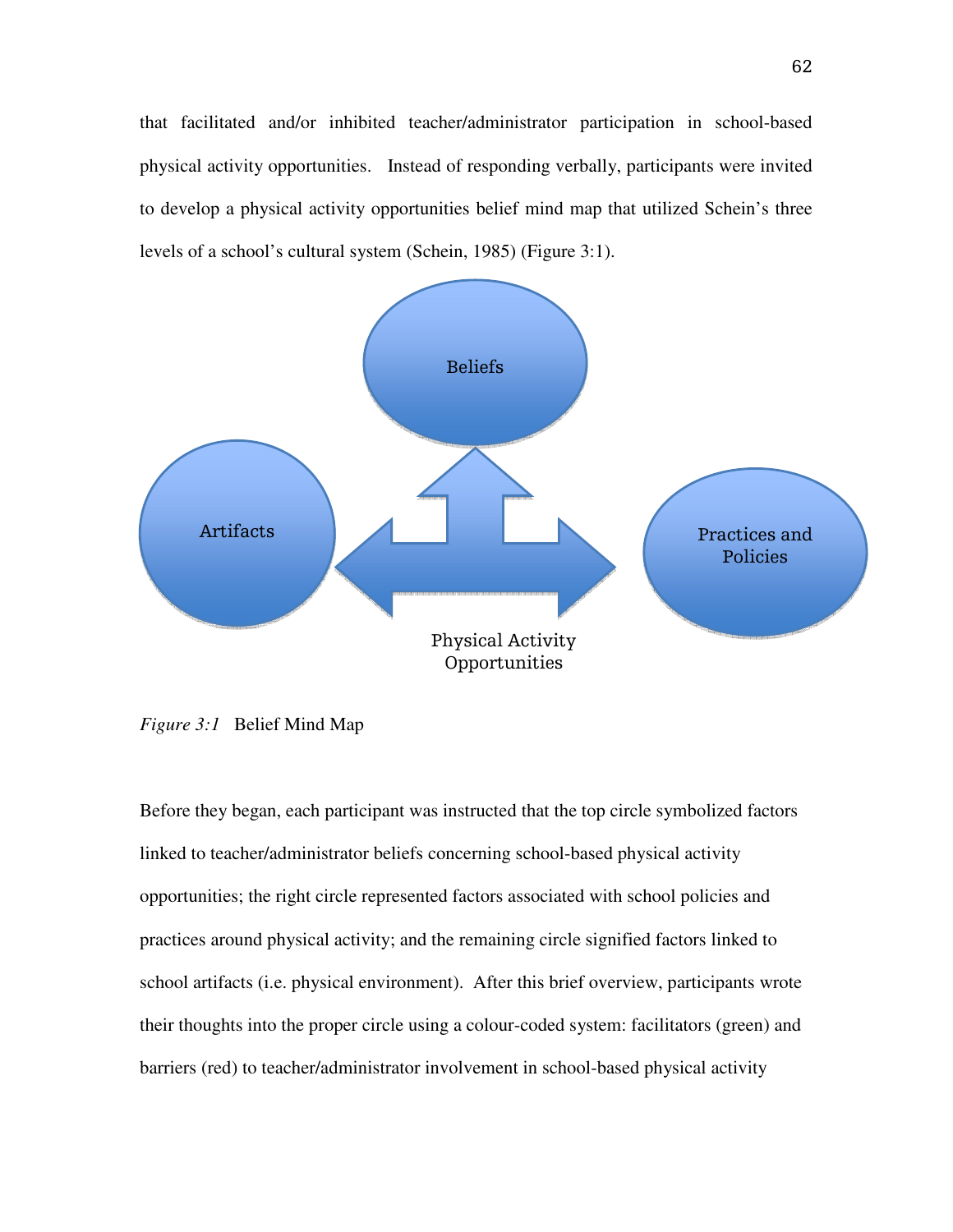that facilitated and/or inhibited teacher/administrator participation in school-based physical activity opportunities. Instead of responding verbally, participants were invited to develop a physical activity opportunities belief mind map that utilized Schein's three levels of a school's cultural system (Schein, 1985) (Figure 3:1).



*Figure 3:1* Belief Mind Map

Before they began, each participant was instructed that the top circle symbolized factors linked to teacher/administrator beliefs concerning school-based physical activity opportunities; the right circle represented factors associated with school policies and practices around physical activity; and the remaining circle signified factors linked to school artifacts (i.e. physical environment). After this brief overview, participants wrote their thoughts into the proper circle using a colour-coded system: facilitators (green) and barriers (red) to teacher/administrator involvement in school-based physical activity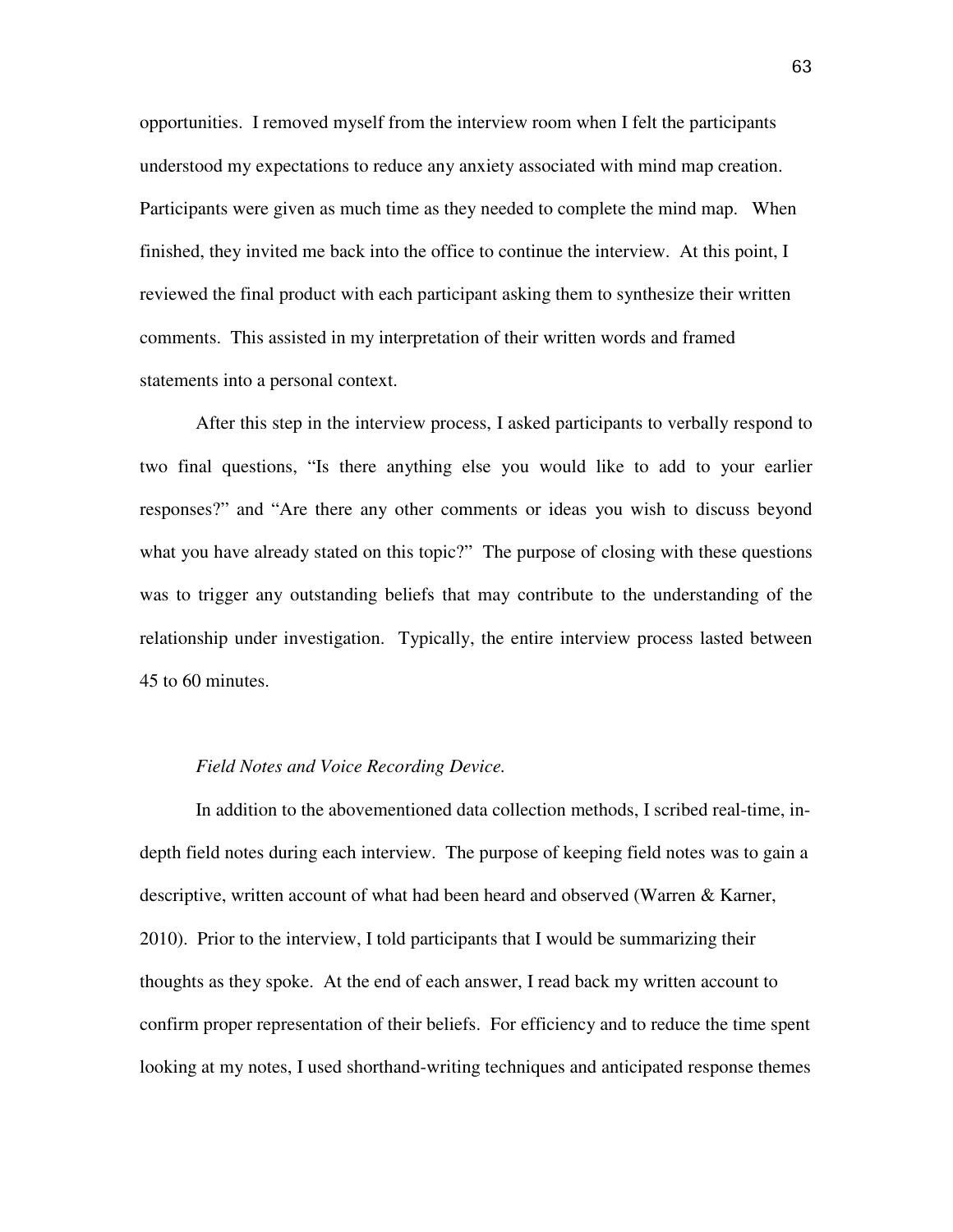opportunities. I removed myself from the interview room when I felt the participants understood my expectations to reduce any anxiety associated with mind map creation. Participants were given as much time as they needed to complete the mind map. When finished, they invited me back into the office to continue the interview. At this point, I reviewed the final product with each participant asking them to synthesize their written comments. This assisted in my interpretation of their written words and framed statements into a personal context.

After this step in the interview process, I asked participants to verbally respond to two final questions, "Is there anything else you would like to add to your earlier responses?" and "Are there any other comments or ideas you wish to discuss beyond what you have already stated on this topic?" The purpose of closing with these questions was to trigger any outstanding beliefs that may contribute to the understanding of the relationship under investigation. Typically, the entire interview process lasted between 45 to 60 minutes.

# *Field Notes and Voice Recording Device.*

In addition to the abovementioned data collection methods, I scribed real-time, indepth field notes during each interview. The purpose of keeping field notes was to gain a descriptive, written account of what had been heard and observed (Warren & Karner, 2010). Prior to the interview, I told participants that I would be summarizing their thoughts as they spoke. At the end of each answer, I read back my written account to confirm proper representation of their beliefs. For efficiency and to reduce the time spent looking at my notes, I used shorthand-writing techniques and anticipated response themes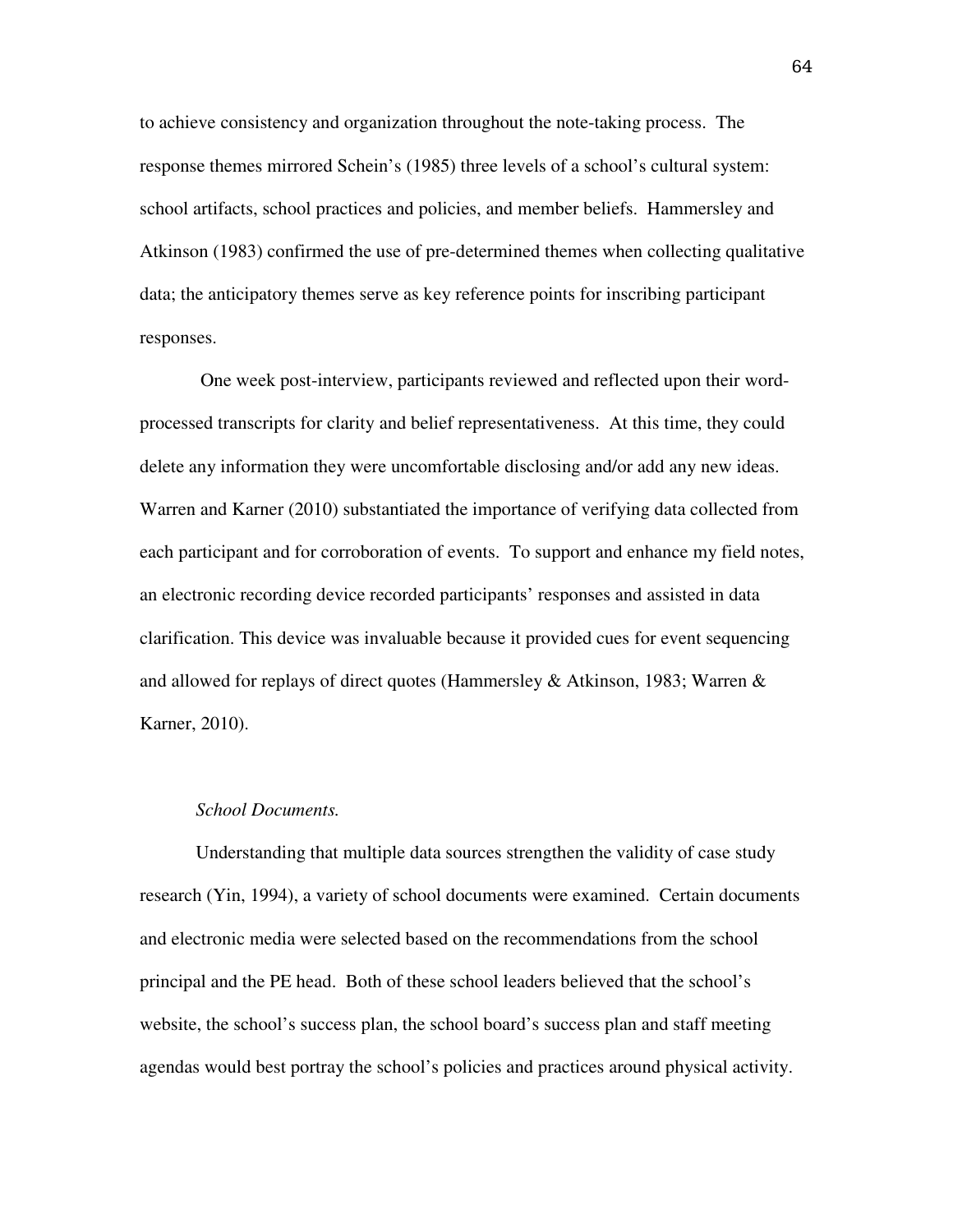to achieve consistency and organization throughout the note-taking process. The response themes mirrored Schein's (1985) three levels of a school's cultural system: school artifacts, school practices and policies, and member beliefs. Hammersley and Atkinson (1983) confirmed the use of pre-determined themes when collecting qualitative data; the anticipatory themes serve as key reference points for inscribing participant responses.

 One week post-interview, participants reviewed and reflected upon their wordprocessed transcripts for clarity and belief representativeness. At this time, they could delete any information they were uncomfortable disclosing and/or add any new ideas. Warren and Karner (2010) substantiated the importance of verifying data collected from each participant and for corroboration of events. To support and enhance my field notes, an electronic recording device recorded participants' responses and assisted in data clarification. This device was invaluable because it provided cues for event sequencing and allowed for replays of direct quotes (Hammersley & Atkinson, 1983; Warren & Karner, 2010).

#### *School Documents.*

Understanding that multiple data sources strengthen the validity of case study research (Yin, 1994), a variety of school documents were examined. Certain documents and electronic media were selected based on the recommendations from the school principal and the PE head. Both of these school leaders believed that the school's website, the school's success plan, the school board's success plan and staff meeting agendas would best portray the school's policies and practices around physical activity.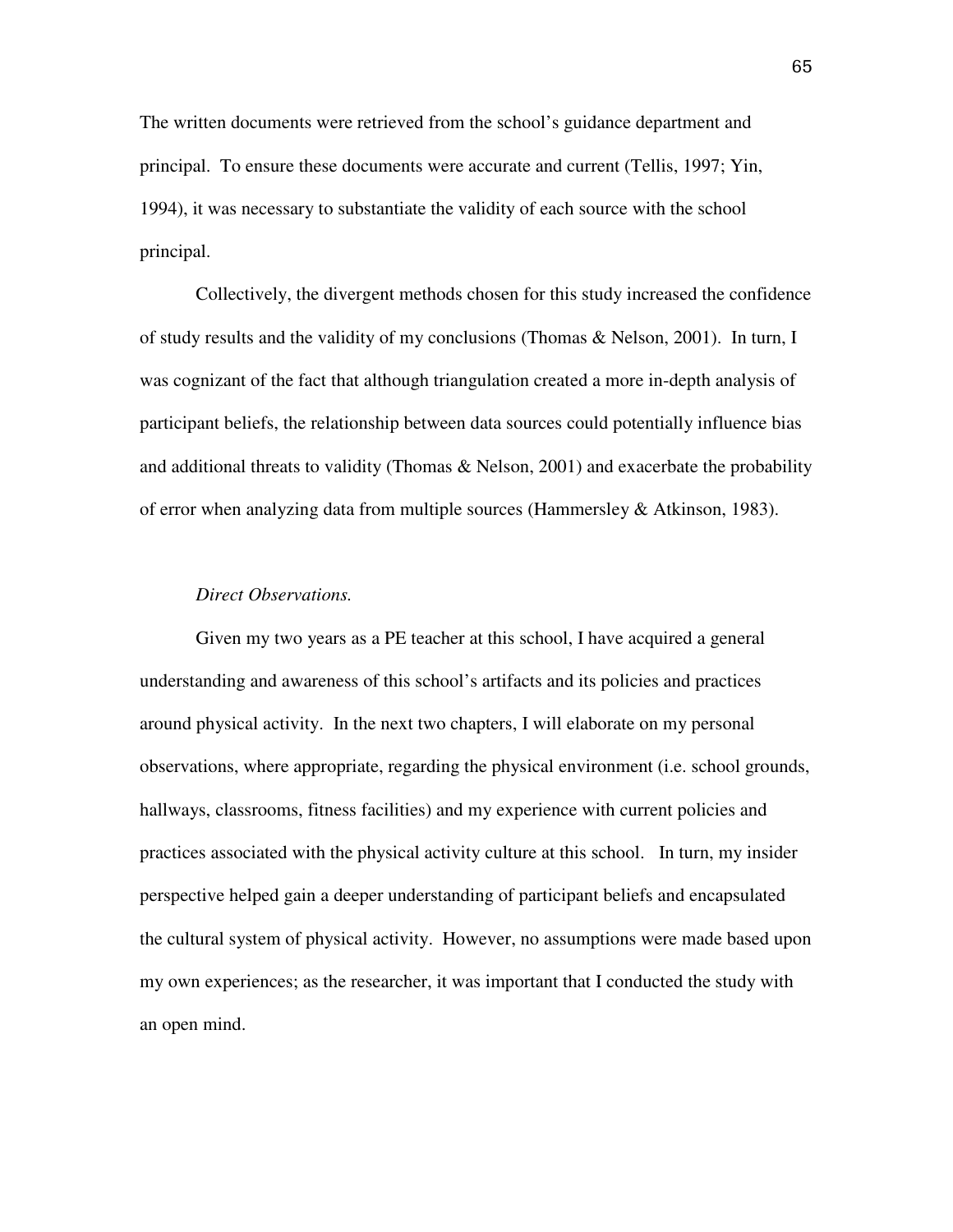The written documents were retrieved from the school's guidance department and principal. To ensure these documents were accurate and current (Tellis, 1997; Yin, 1994), it was necessary to substantiate the validity of each source with the school principal.

 Collectively, the divergent methods chosen for this study increased the confidence of study results and the validity of my conclusions (Thomas & Nelson, 2001). In turn, I was cognizant of the fact that although triangulation created a more in-depth analysis of participant beliefs, the relationship between data sources could potentially influence bias and additional threats to validity (Thomas & Nelson, 2001) and exacerbate the probability of error when analyzing data from multiple sources (Hammersley & Atkinson, 1983).

# *Direct Observations.*

Given my two years as a PE teacher at this school, I have acquired a general understanding and awareness of this school's artifacts and its policies and practices around physical activity. In the next two chapters, I will elaborate on my personal observations, where appropriate, regarding the physical environment (i.e. school grounds, hallways, classrooms, fitness facilities) and my experience with current policies and practices associated with the physical activity culture at this school. In turn, my insider perspective helped gain a deeper understanding of participant beliefs and encapsulated the cultural system of physical activity. However, no assumptions were made based upon my own experiences; as the researcher, it was important that I conducted the study with an open mind.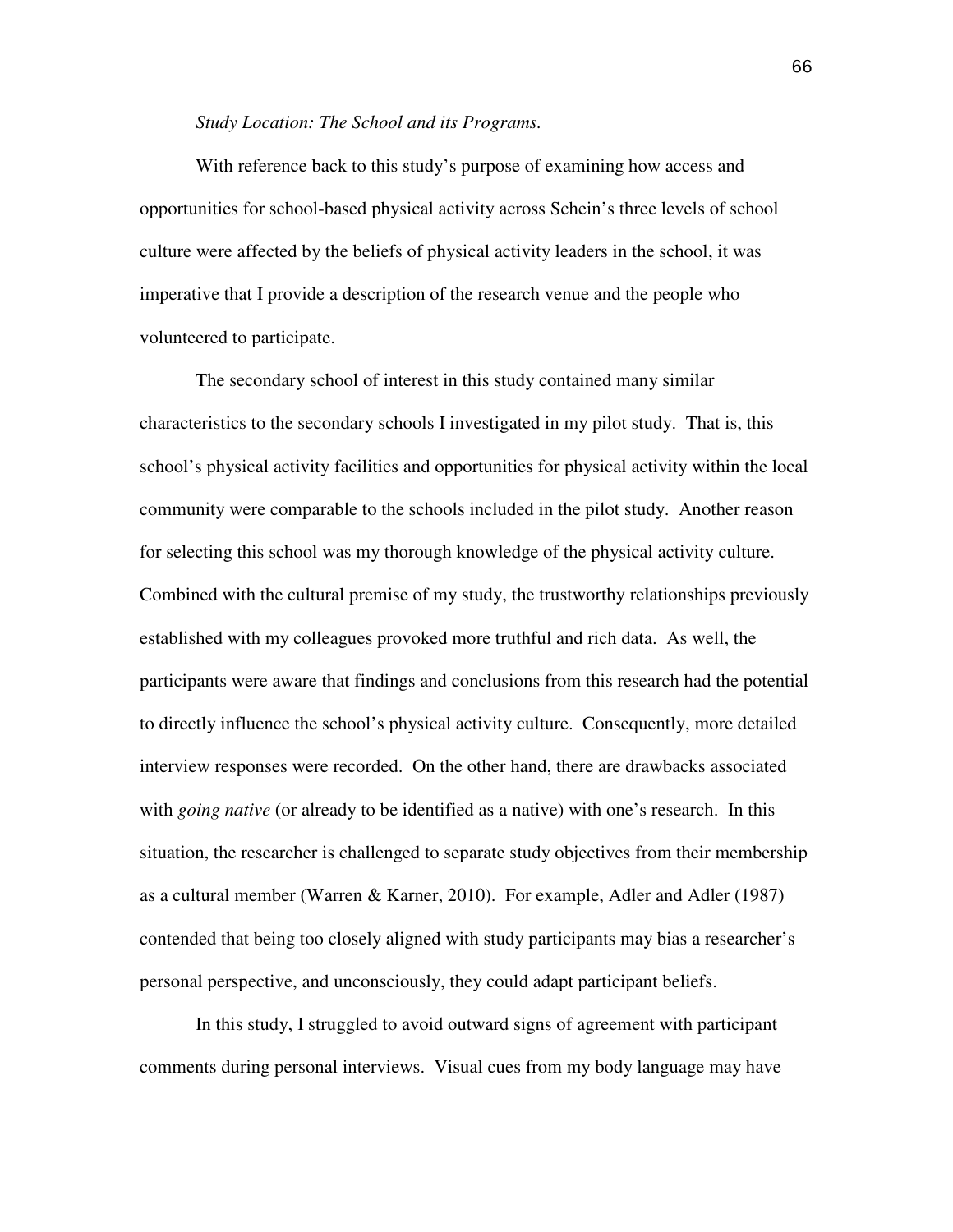#### *Study Location: The School and its Programs.*

With reference back to this study's purpose of examining how access and opportunities for school-based physical activity across Schein's three levels of school culture were affected by the beliefs of physical activity leaders in the school, it was imperative that I provide a description of the research venue and the people who volunteered to participate.

The secondary school of interest in this study contained many similar characteristics to the secondary schools I investigated in my pilot study. That is, this school's physical activity facilities and opportunities for physical activity within the local community were comparable to the schools included in the pilot study. Another reason for selecting this school was my thorough knowledge of the physical activity culture. Combined with the cultural premise of my study, the trustworthy relationships previously established with my colleagues provoked more truthful and rich data. As well, the participants were aware that findings and conclusions from this research had the potential to directly influence the school's physical activity culture. Consequently, more detailed interview responses were recorded. On the other hand, there are drawbacks associated with *going native* (or already to be identified as a native) with one's research. In this situation, the researcher is challenged to separate study objectives from their membership as a cultural member (Warren & Karner, 2010). For example, Adler and Adler (1987) contended that being too closely aligned with study participants may bias a researcher's personal perspective, and unconsciously, they could adapt participant beliefs.

In this study, I struggled to avoid outward signs of agreement with participant comments during personal interviews. Visual cues from my body language may have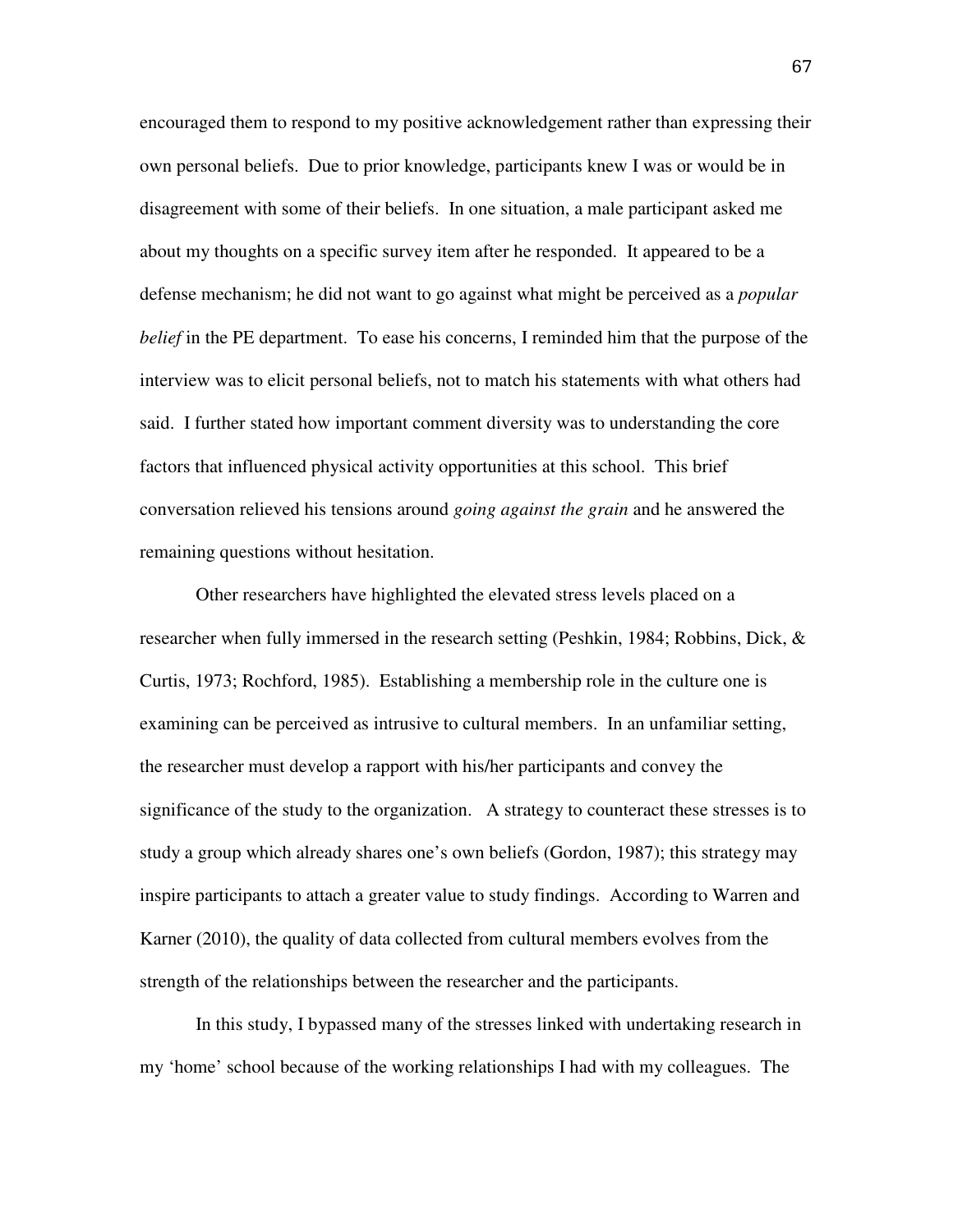encouraged them to respond to my positive acknowledgement rather than expressing their own personal beliefs. Due to prior knowledge, participants knew I was or would be in disagreement with some of their beliefs. In one situation, a male participant asked me about my thoughts on a specific survey item after he responded. It appeared to be a defense mechanism; he did not want to go against what might be perceived as a *popular belief* in the PE department. To ease his concerns, I reminded him that the purpose of the interview was to elicit personal beliefs, not to match his statements with what others had said. I further stated how important comment diversity was to understanding the core factors that influenced physical activity opportunities at this school. This brief conversation relieved his tensions around *going against the grain* and he answered the remaining questions without hesitation.

Other researchers have highlighted the elevated stress levels placed on a researcher when fully immersed in the research setting (Peshkin, 1984; Robbins, Dick, & Curtis, 1973; Rochford, 1985). Establishing a membership role in the culture one is examining can be perceived as intrusive to cultural members. In an unfamiliar setting, the researcher must develop a rapport with his/her participants and convey the significance of the study to the organization. A strategy to counteract these stresses is to study a group which already shares one's own beliefs (Gordon, 1987); this strategy may inspire participants to attach a greater value to study findings. According to Warren and Karner (2010), the quality of data collected from cultural members evolves from the strength of the relationships between the researcher and the participants.

In this study, I bypassed many of the stresses linked with undertaking research in my 'home' school because of the working relationships I had with my colleagues. The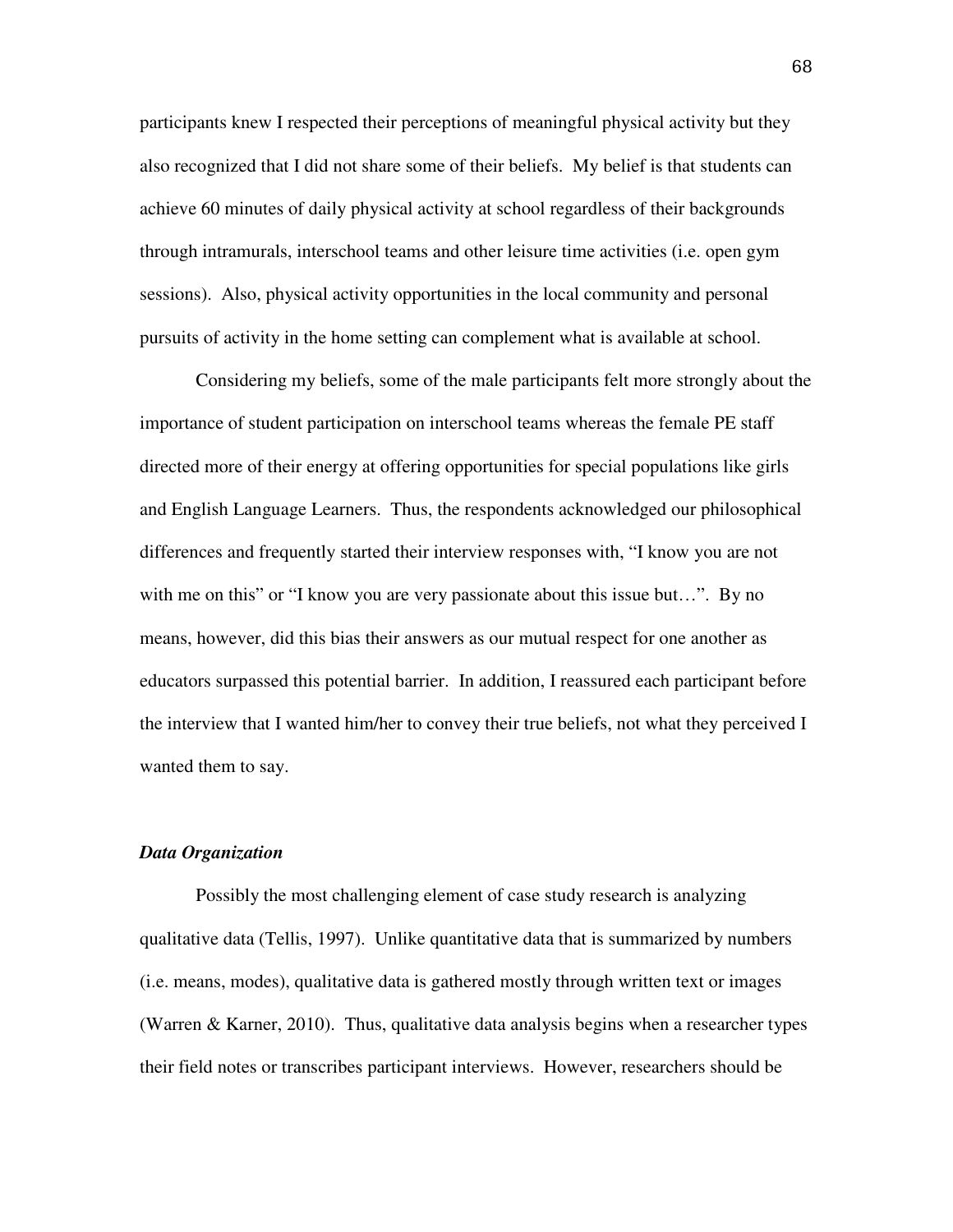participants knew I respected their perceptions of meaningful physical activity but they also recognized that I did not share some of their beliefs. My belief is that students can achieve 60 minutes of daily physical activity at school regardless of their backgrounds through intramurals, interschool teams and other leisure time activities (i.e. open gym sessions). Also, physical activity opportunities in the local community and personal pursuits of activity in the home setting can complement what is available at school.

Considering my beliefs, some of the male participants felt more strongly about the importance of student participation on interschool teams whereas the female PE staff directed more of their energy at offering opportunities for special populations like girls and English Language Learners. Thus, the respondents acknowledged our philosophical differences and frequently started their interview responses with, "I know you are not with me on this" or "I know you are very passionate about this issue but...". By no means, however, did this bias their answers as our mutual respect for one another as educators surpassed this potential barrier. In addition, I reassured each participant before the interview that I wanted him/her to convey their true beliefs, not what they perceived I wanted them to say.

## *Data Organization*

Possibly the most challenging element of case study research is analyzing qualitative data (Tellis, 1997). Unlike quantitative data that is summarized by numbers (i.e. means, modes), qualitative data is gathered mostly through written text or images (Warren & Karner, 2010). Thus, qualitative data analysis begins when a researcher types their field notes or transcribes participant interviews. However, researchers should be

68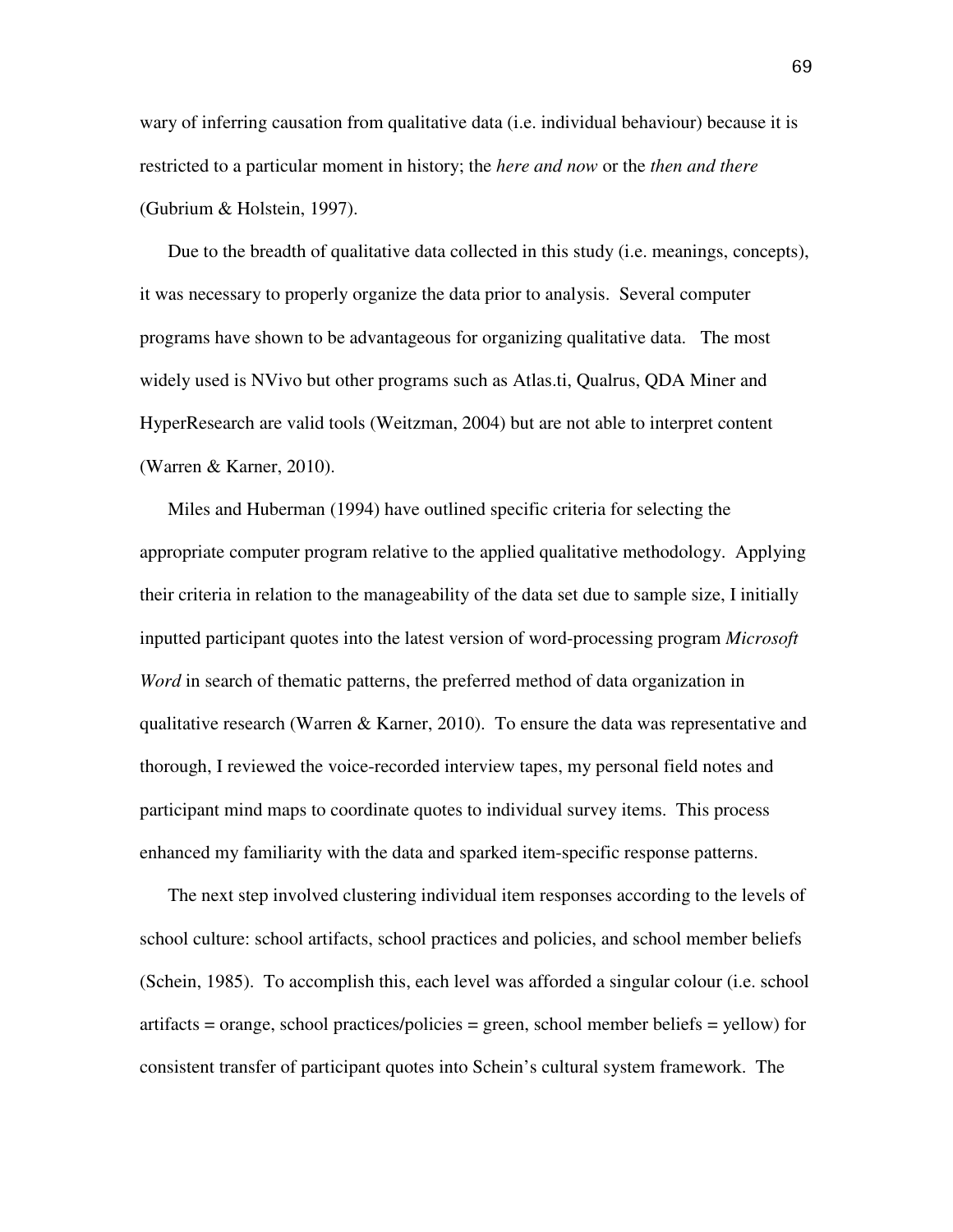wary of inferring causation from qualitative data (i.e. individual behaviour) because it is restricted to a particular moment in history; the *here and now* or the *then and there* (Gubrium & Holstein, 1997).

 Due to the breadth of qualitative data collected in this study (i.e. meanings, concepts), it was necessary to properly organize the data prior to analysis. Several computer programs have shown to be advantageous for organizing qualitative data. The most widely used is NVivo but other programs such as Atlas.ti, Qualrus, QDA Miner and HyperResearch are valid tools (Weitzman, 2004) but are not able to interpret content (Warren & Karner, 2010).

 Miles and Huberman (1994) have outlined specific criteria for selecting the appropriate computer program relative to the applied qualitative methodology. Applying their criteria in relation to the manageability of the data set due to sample size, I initially inputted participant quotes into the latest version of word-processing program *Microsoft Word* in search of thematic patterns, the preferred method of data organization in qualitative research (Warren & Karner, 2010). To ensure the data was representative and thorough, I reviewed the voice-recorded interview tapes, my personal field notes and participant mind maps to coordinate quotes to individual survey items. This process enhanced my familiarity with the data and sparked item-specific response patterns.

 The next step involved clustering individual item responses according to the levels of school culture: school artifacts, school practices and policies, and school member beliefs (Schein, 1985). To accomplish this, each level was afforded a singular colour (i.e. school  $artifacts = orange, school practices/policies = green, school member beliefs = yellow) for$ consistent transfer of participant quotes into Schein's cultural system framework. The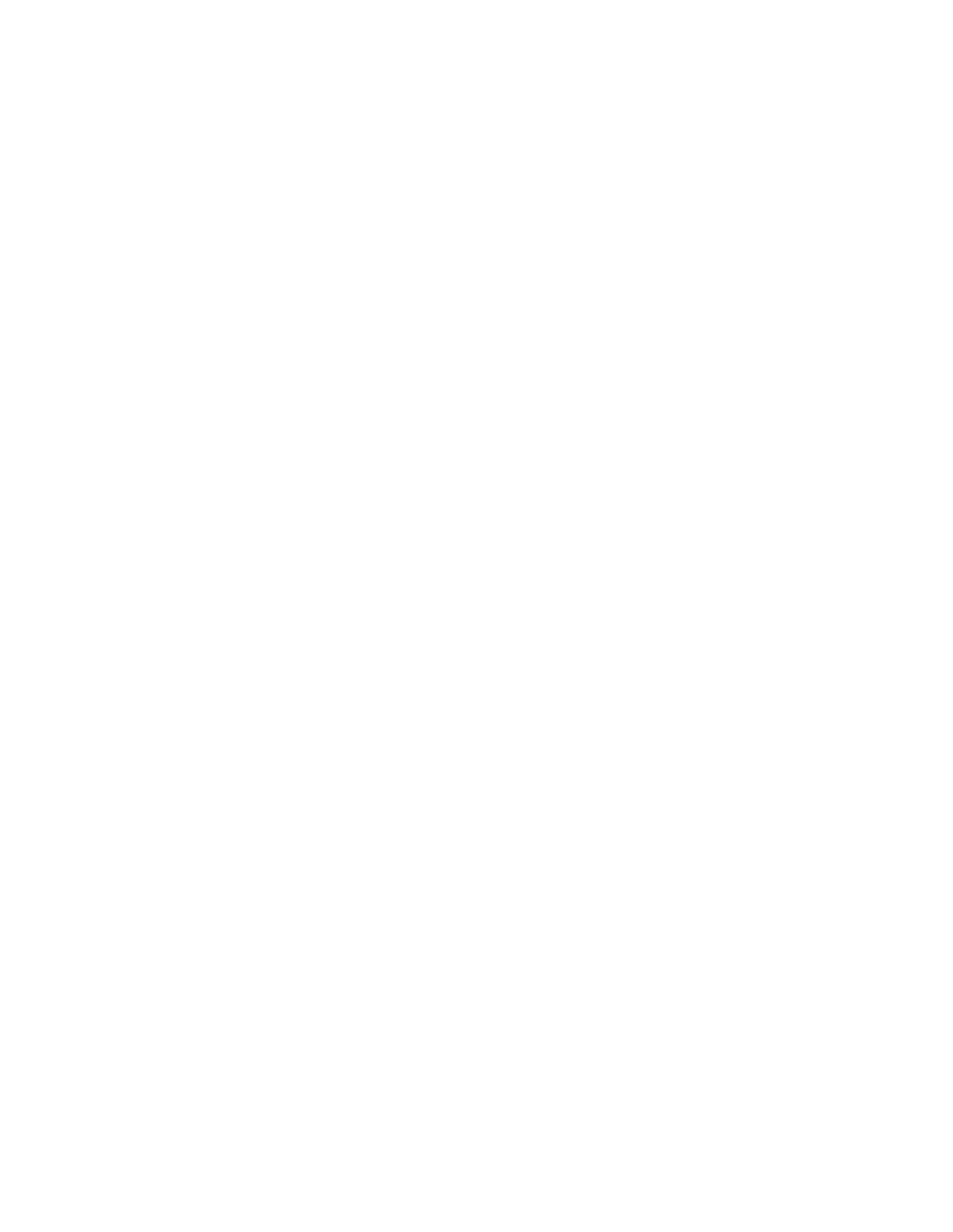responses were colour-coded using the following definitions: school artitacts tangible components of school culture - what one sees, hears, smells or stablest) policies and practices (i.e. PE/physical activity related) and; school energiefs (statements that included, but not limited by, phrases such as: "I think", " $\psi \ddot{\phi}$ eli $\dot{\phi}$ feel"). As a result of this process, the raw data was organized by survey identaleurcoded into the three levels of school culture. Overall, organizing the data in this manner aided my understanding of how participant comments fit with my theoreting tratesting and made it easier for additional connections to be made within the data.

# Data Analysis

After the data were organized by survey number and level of school culture, the next step was to search for thematic patterns. Miles and Huberman (1984) of the prior into methods previously shown to be efficacious for analyzing qualitative data. For example, placing data into categorical themes, devising thematic **lignts and/or** calculating the frequency of similar statements have helped researcthers interpretation of qualitative data. On the other hand, Yin (1994) suggested the most pragmatic method was to dissect the evidence according to the theoreticent fractionproposed at the outset of a study. Moreover, an in-depth analysis of qualitative data al required the researcher to use her/his prior expert knowledge surrounding the das variables to extend the analysis (Yin, 1984). In line with these techniques, other researchers have found that open coding (Stake, 1995) and focusing on the researcher's direct interpretation of events rather than the actual data are abstive flools for qualitative data analysis (Eisner & Peshkin, 1990). Generally, the value of tatas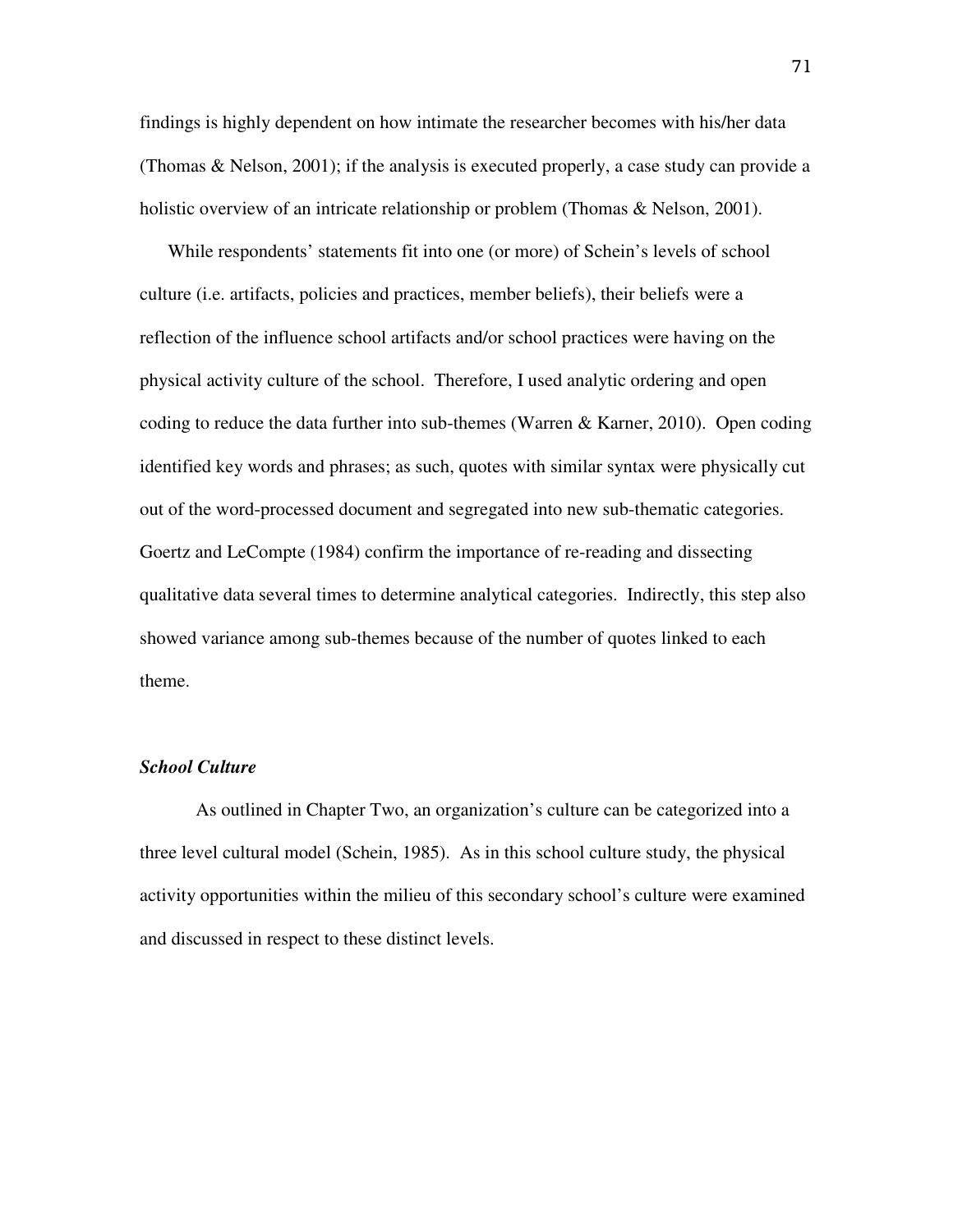findings is highly dependent on how intimate the researcher becomes with his/her data (Thomas & Nelson, 2001); if the analysis is executed properly, a case study can provide a holistic overview of an intricate relationship or problem (Thomas & Nelson, 2001).

 While respondents' statements fit into one (or more) of Schein's levels of school culture (i.e. artifacts, policies and practices, member beliefs), their beliefs were a reflection of the influence school artifacts and/or school practices were having on the physical activity culture of the school. Therefore, I used analytic ordering and open coding to reduce the data further into sub-themes (Warren & Karner, 2010). Open coding identified key words and phrases; as such, quotes with similar syntax were physically cut out of the word-processed document and segregated into new sub-thematic categories. Goertz and LeCompte (1984) confirm the importance of re-reading and dissecting qualitative data several times to determine analytical categories. Indirectly, this step also showed variance among sub-themes because of the number of quotes linked to each theme.

# *School Culture*

As outlined in Chapter Two, an organization's culture can be categorized into a three level cultural model (Schein, 1985). As in this school culture study, the physical activity opportunities within the milieu of this secondary school's culture were examined and discussed in respect to these distinct levels.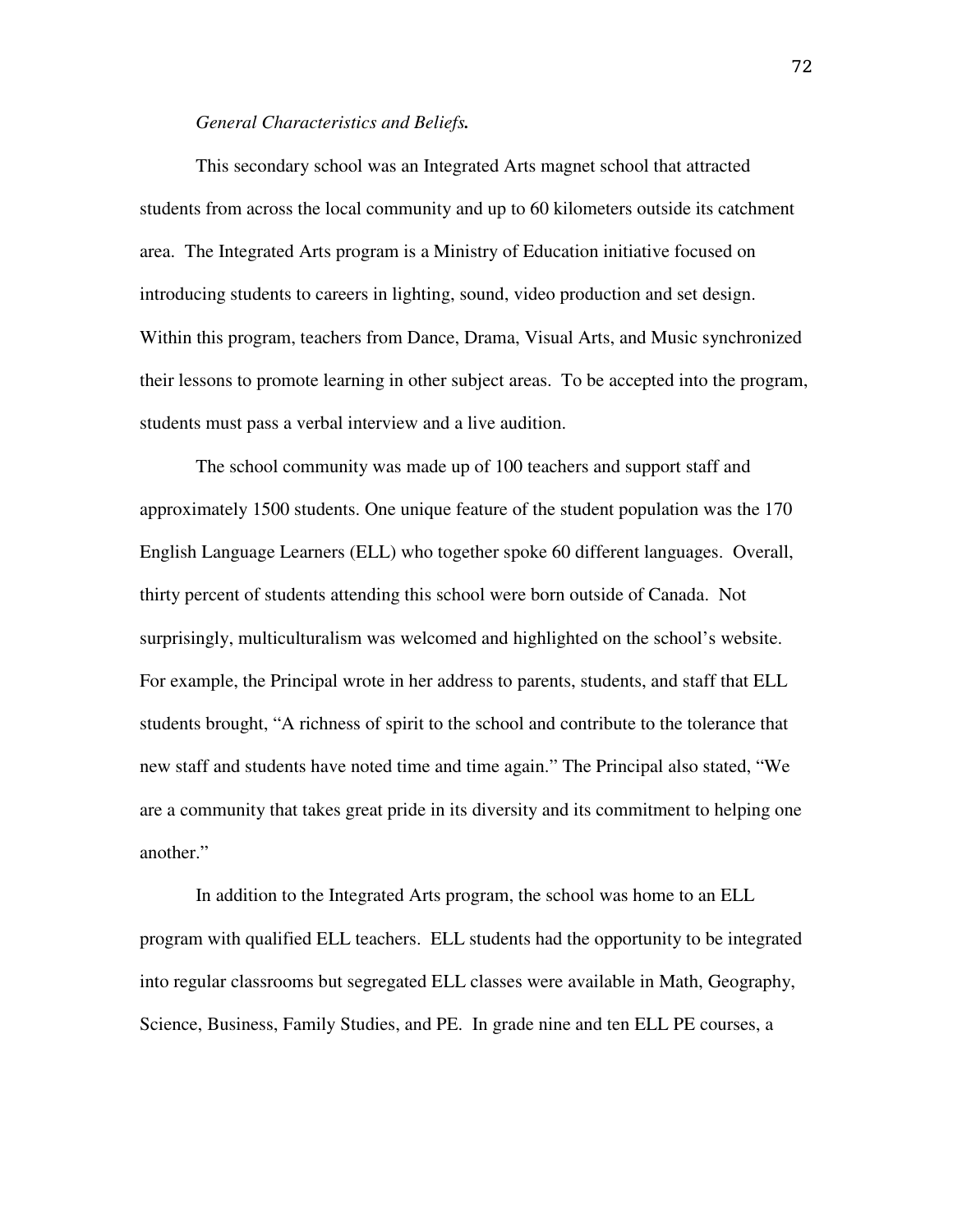### *General Characteristics and Beliefs.*

This secondary school was an Integrated Arts magnet school that attracted students from across the local community and up to 60 kilometers outside its catchment area. The Integrated Arts program is a Ministry of Education initiative focused on introducing students to careers in lighting, sound, video production and set design. Within this program, teachers from Dance, Drama, Visual Arts, and Music synchronized their lessons to promote learning in other subject areas. To be accepted into the program, students must pass a verbal interview and a live audition.

The school community was made up of 100 teachers and support staff and approximately 1500 students. One unique feature of the student population was the 170 English Language Learners (ELL) who together spoke 60 different languages. Overall, thirty percent of students attending this school were born outside of Canada. Not surprisingly, multiculturalism was welcomed and highlighted on the school's website. For example, the Principal wrote in her address to parents, students, and staff that ELL students brought, "A richness of spirit to the school and contribute to the tolerance that new staff and students have noted time and time again." The Principal also stated, "We are a community that takes great pride in its diversity and its commitment to helping one another."

In addition to the Integrated Arts program, the school was home to an ELL program with qualified ELL teachers. ELL students had the opportunity to be integrated into regular classrooms but segregated ELL classes were available in Math, Geography, Science, Business, Family Studies, and PE. In grade nine and ten ELL PE courses, a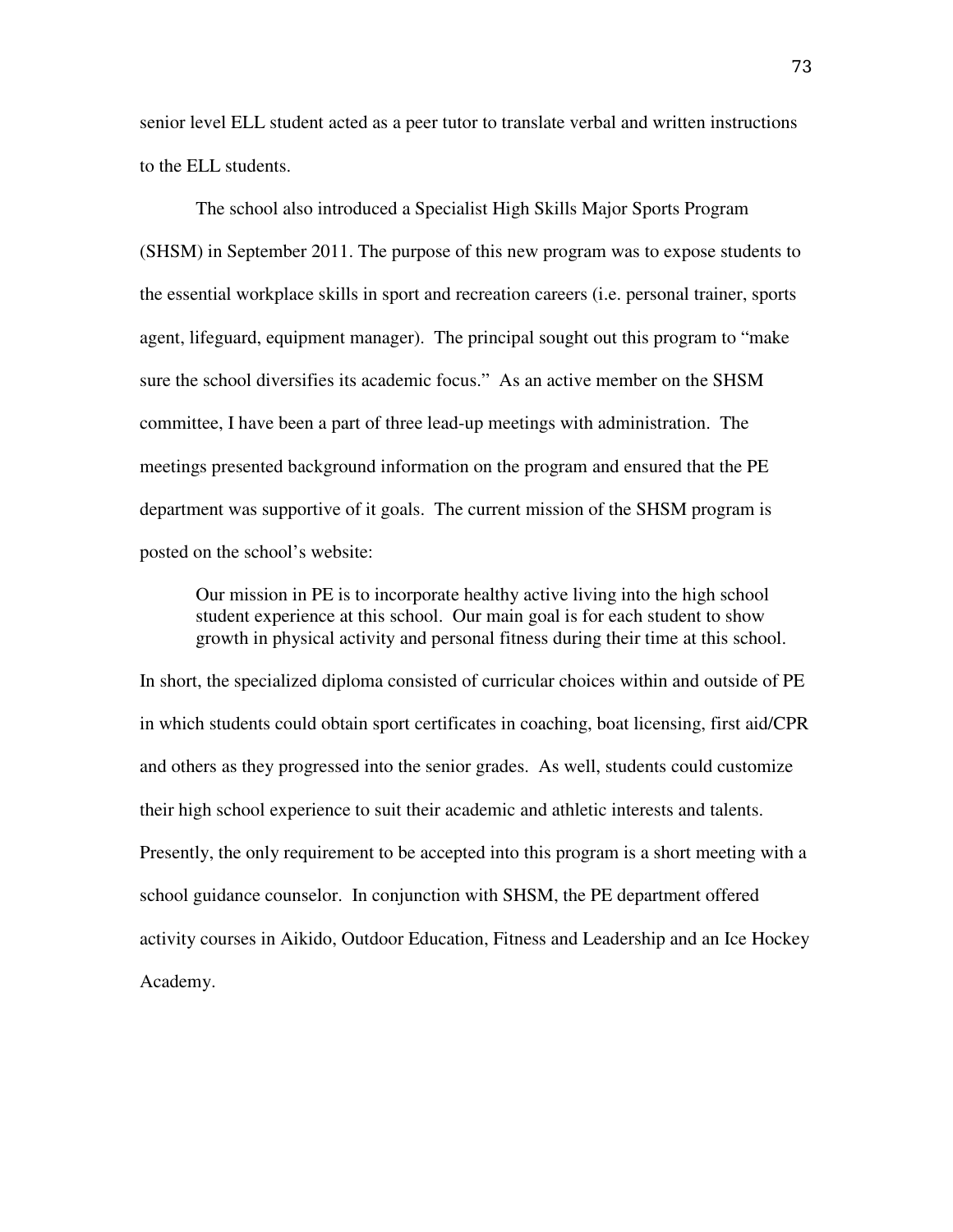senior level ELL student acted as a peer tutor to translate verbal and written instructions to the ELL students.

The school also introduced a Specialist High Skills Major Sports Program (SHSM) in September 2011. The purpose of this new program was to expose students to the essential workplace skills in sport and recreation careers (i.e. personal trainer, sports agent, lifeguard, equipment manager). The principal sought out this program to "make sure the school diversifies its academic focus." As an active member on the SHSM committee, I have been a part of three lead-up meetings with administration. The meetings presented background information on the program and ensured that the PE department was supportive of it goals. The current mission of the SHSM program is posted on the school's website:

Our mission in PE is to incorporate healthy active living into the high school student experience at this school. Our main goal is for each student to show growth in physical activity and personal fitness during their time at this school.

In short, the specialized diploma consisted of curricular choices within and outside of PE in which students could obtain sport certificates in coaching, boat licensing, first aid/CPR and others as they progressed into the senior grades. As well, students could customize their high school experience to suit their academic and athletic interests and talents. Presently, the only requirement to be accepted into this program is a short meeting with a school guidance counselor. In conjunction with SHSM, the PE department offered activity courses in Aikido, Outdoor Education, Fitness and Leadership and an Ice Hockey Academy.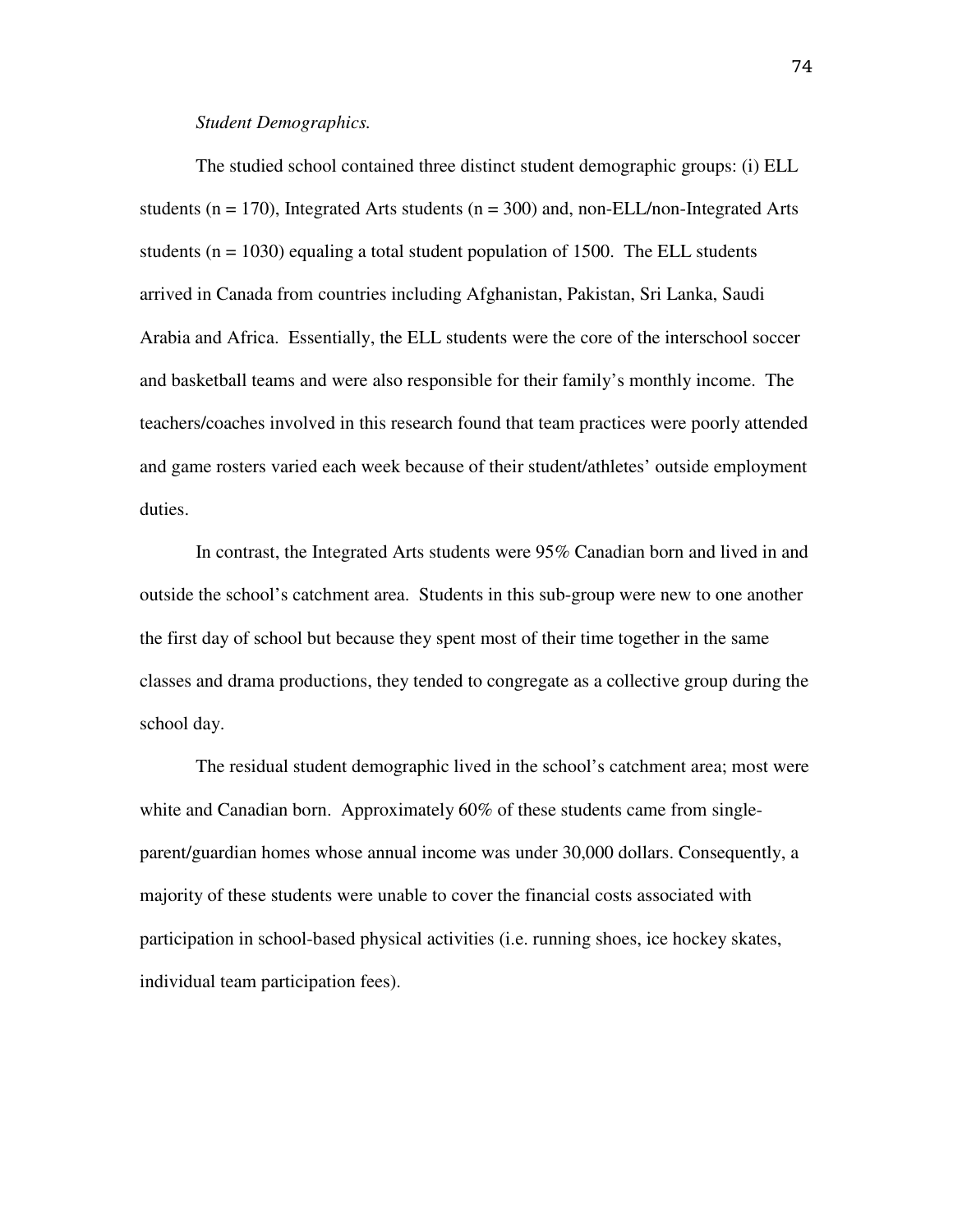### *Student Demographics.*

The studied school contained three distinct student demographic groups: (i) ELL students  $(n = 170)$ , Integrated Arts students  $(n = 300)$  and, non-ELL/non-Integrated Arts students ( $n = 1030$ ) equaling a total student population of 1500. The ELL students arrived in Canada from countries including Afghanistan, Pakistan, Sri Lanka, Saudi Arabia and Africa. Essentially, the ELL students were the core of the interschool soccer and basketball teams and were also responsible for their family's monthly income. The teachers/coaches involved in this research found that team practices were poorly attended and game rosters varied each week because of their student/athletes' outside employment duties.

In contrast, the Integrated Arts students were 95% Canadian born and lived in and outside the school's catchment area. Students in this sub-group were new to one another the first day of school but because they spent most of their time together in the same classes and drama productions, they tended to congregate as a collective group during the school day.

The residual student demographic lived in the school's catchment area; most were white and Canadian born. Approximately 60% of these students came from singleparent/guardian homes whose annual income was under 30,000 dollars. Consequently, a majority of these students were unable to cover the financial costs associated with participation in school-based physical activities (i.e. running shoes, ice hockey skates, individual team participation fees).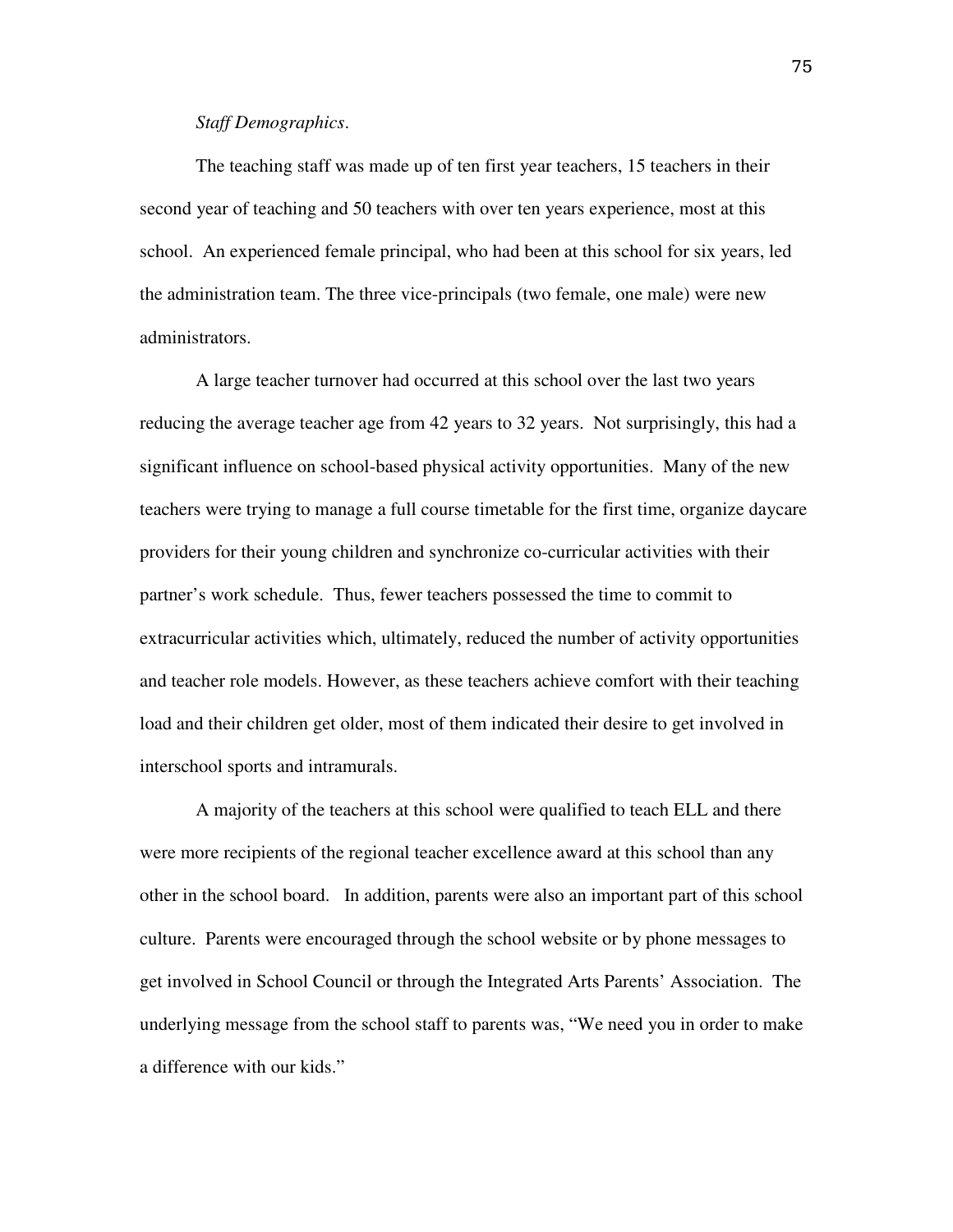### *Staff Demographics*.

The teaching staff was made up of ten first year teachers, 15 teachers in their second year of teaching and 50 teachers with over ten years experience, most at this school. An experienced female principal, who had been at this school for six years, led the administration team. The three vice-principals (two female, one male) were new administrators.

A large teacher turnover had occurred at this school over the last two years reducing the average teacher age from 42 years to 32 years. Not surprisingly, this had a significant influence on school-based physical activity opportunities. Many of the new teachers were trying to manage a full course timetable for the first time, organize daycare providers for their young children and synchronize co-curricular activities with their partner's work schedule. Thus, fewer teachers possessed the time to commit to extracurricular activities which, ultimately, reduced the number of activity opportunities and teacher role models. However, as these teachers achieve comfort with their teaching load and their children get older, most of them indicated their desire to get involved in interschool sports and intramurals.

A majority of the teachers at this school were qualified to teach ELL and there were more recipients of the regional teacher excellence award at this school than any other in the school board. In addition, parents were also an important part of this school culture. Parents were encouraged through the school website or by phone messages to get involved in School Council or through the Integrated Arts Parents' Association. The underlying message from the school staff to parents was, "We need you in order to make a difference with our kids."

75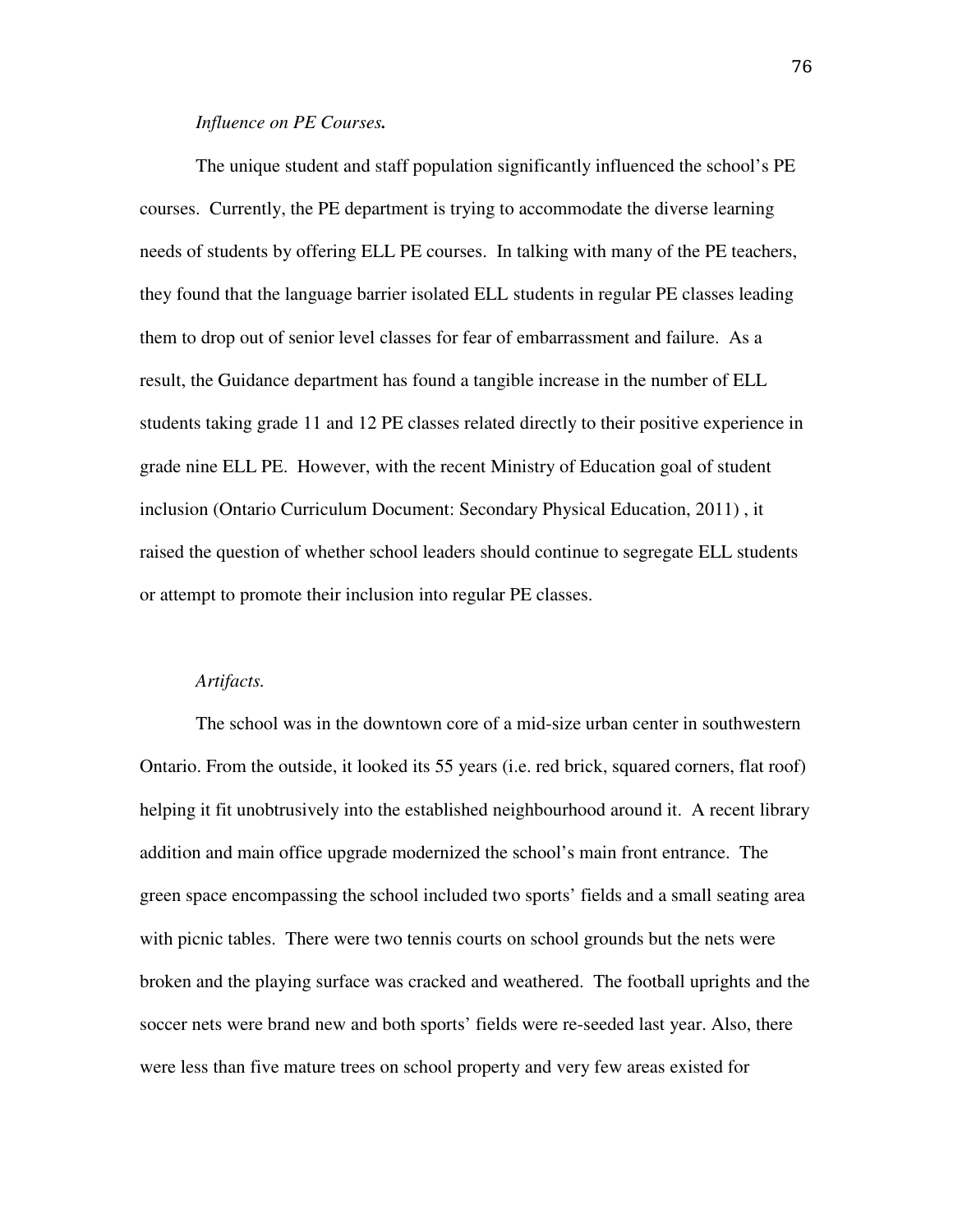### *Influence on PE Courses.*

The unique student and staff population significantly influenced the school's PE courses. Currently, the PE department is trying to accommodate the diverse learning needs of students by offering ELL PE courses. In talking with many of the PE teachers, they found that the language barrier isolated ELL students in regular PE classes leading them to drop out of senior level classes for fear of embarrassment and failure. As a result, the Guidance department has found a tangible increase in the number of ELL students taking grade 11 and 12 PE classes related directly to their positive experience in grade nine ELL PE. However, with the recent Ministry of Education goal of student inclusion (Ontario Curriculum Document: Secondary Physical Education, 2011) , it raised the question of whether school leaders should continue to segregate ELL students or attempt to promote their inclusion into regular PE classes.

#### *Artifacts.*

The school was in the downtown core of a mid-size urban center in southwestern Ontario. From the outside, it looked its 55 years (i.e. red brick, squared corners, flat roof) helping it fit unobtrusively into the established neighbourhood around it. A recent library addition and main office upgrade modernized the school's main front entrance. The green space encompassing the school included two sports' fields and a small seating area with picnic tables. There were two tennis courts on school grounds but the nets were broken and the playing surface was cracked and weathered. The football uprights and the soccer nets were brand new and both sports' fields were re-seeded last year. Also, there were less than five mature trees on school property and very few areas existed for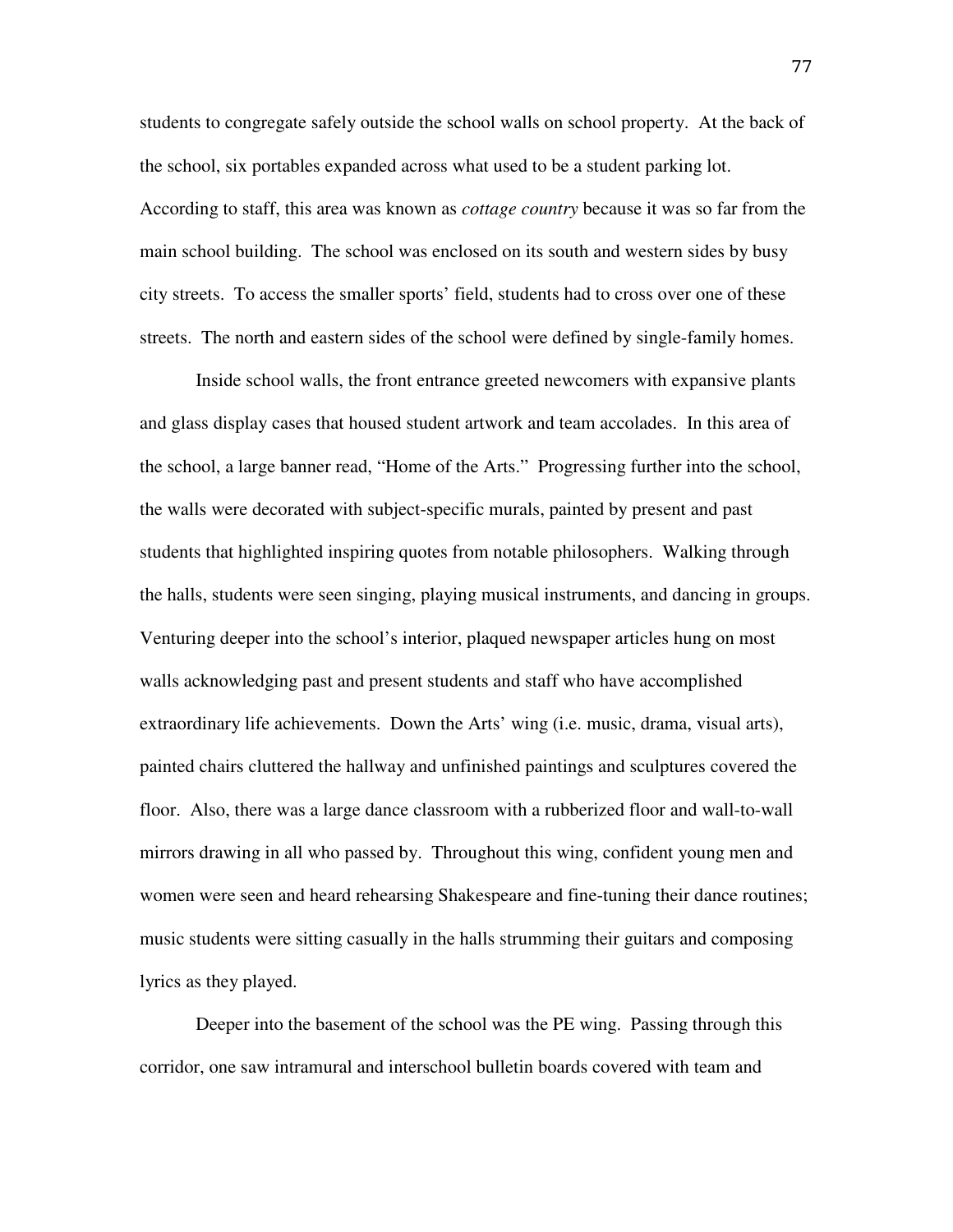students to congregate safely outside the school walls on school property. At the back of the school, six portables expanded across what used to be a student parking lot. According to staff, this area was known as *cottage country* because it was so far from the main school building. The school was enclosed on its south and western sides by busy city streets. To access the smaller sports' field, students had to cross over one of these streets. The north and eastern sides of the school were defined by single-family homes.

Inside school walls, the front entrance greeted newcomers with expansive plants and glass display cases that housed student artwork and team accolades. In this area of the school, a large banner read, "Home of the Arts." Progressing further into the school, the walls were decorated with subject-specific murals, painted by present and past students that highlighted inspiring quotes from notable philosophers. Walking through the halls, students were seen singing, playing musical instruments, and dancing in groups. Venturing deeper into the school's interior, plaqued newspaper articles hung on most walls acknowledging past and present students and staff who have accomplished extraordinary life achievements. Down the Arts' wing (i.e. music, drama, visual arts), painted chairs cluttered the hallway and unfinished paintings and sculptures covered the floor. Also, there was a large dance classroom with a rubberized floor and wall-to-wall mirrors drawing in all who passed by. Throughout this wing, confident young men and women were seen and heard rehearsing Shakespeare and fine-tuning their dance routines; music students were sitting casually in the halls strumming their guitars and composing lyrics as they played.

Deeper into the basement of the school was the PE wing. Passing through this corridor, one saw intramural and interschool bulletin boards covered with team and

77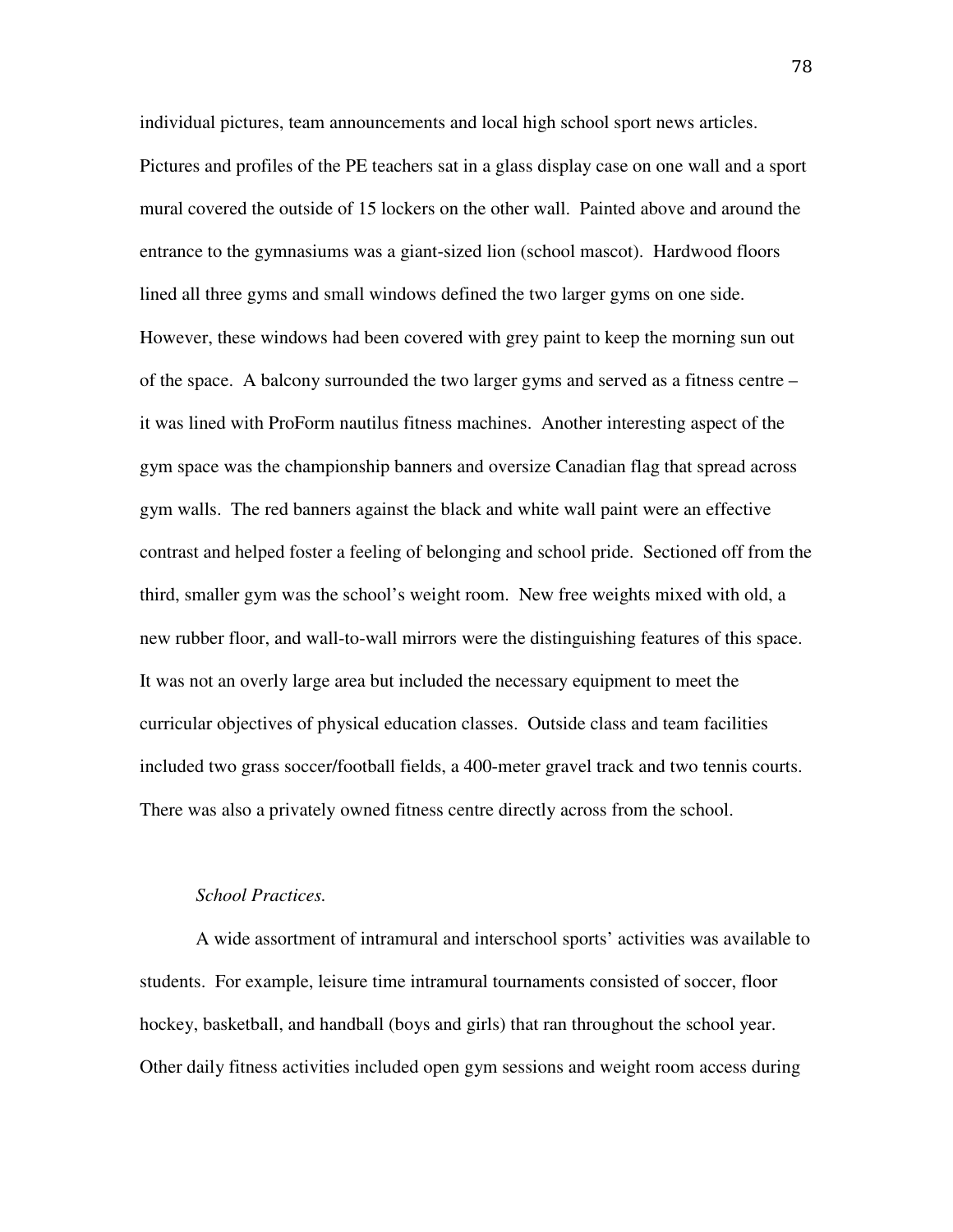individual pictures, team announcements and local high school sport news articles. Pictures and profiles of the PE teachers sat in a glass display case on one wall and a sport mural covered the outside of 15 lockers on the other wall. Painted above and around the entrance to the gymnasiums was a giant-sized lion (school mascot). Hardwood floors lined all three gyms and small windows defined the two larger gyms on one side. However, these windows had been covered with grey paint to keep the morning sun out of the space. A balcony surrounded the two larger gyms and served as a fitness centre – it was lined with ProForm nautilus fitness machines. Another interesting aspect of the gym space was the championship banners and oversize Canadian flag that spread across gym walls. The red banners against the black and white wall paint were an effective contrast and helped foster a feeling of belonging and school pride. Sectioned off from the third, smaller gym was the school's weight room. New free weights mixed with old, a new rubber floor, and wall-to-wall mirrors were the distinguishing features of this space. It was not an overly large area but included the necessary equipment to meet the curricular objectives of physical education classes. Outside class and team facilities included two grass soccer/football fields, a 400-meter gravel track and two tennis courts. There was also a privately owned fitness centre directly across from the school.

### *School Practices.*

A wide assortment of intramural and interschool sports' activities was available to students. For example, leisure time intramural tournaments consisted of soccer, floor hockey, basketball, and handball (boys and girls) that ran throughout the school year. Other daily fitness activities included open gym sessions and weight room access during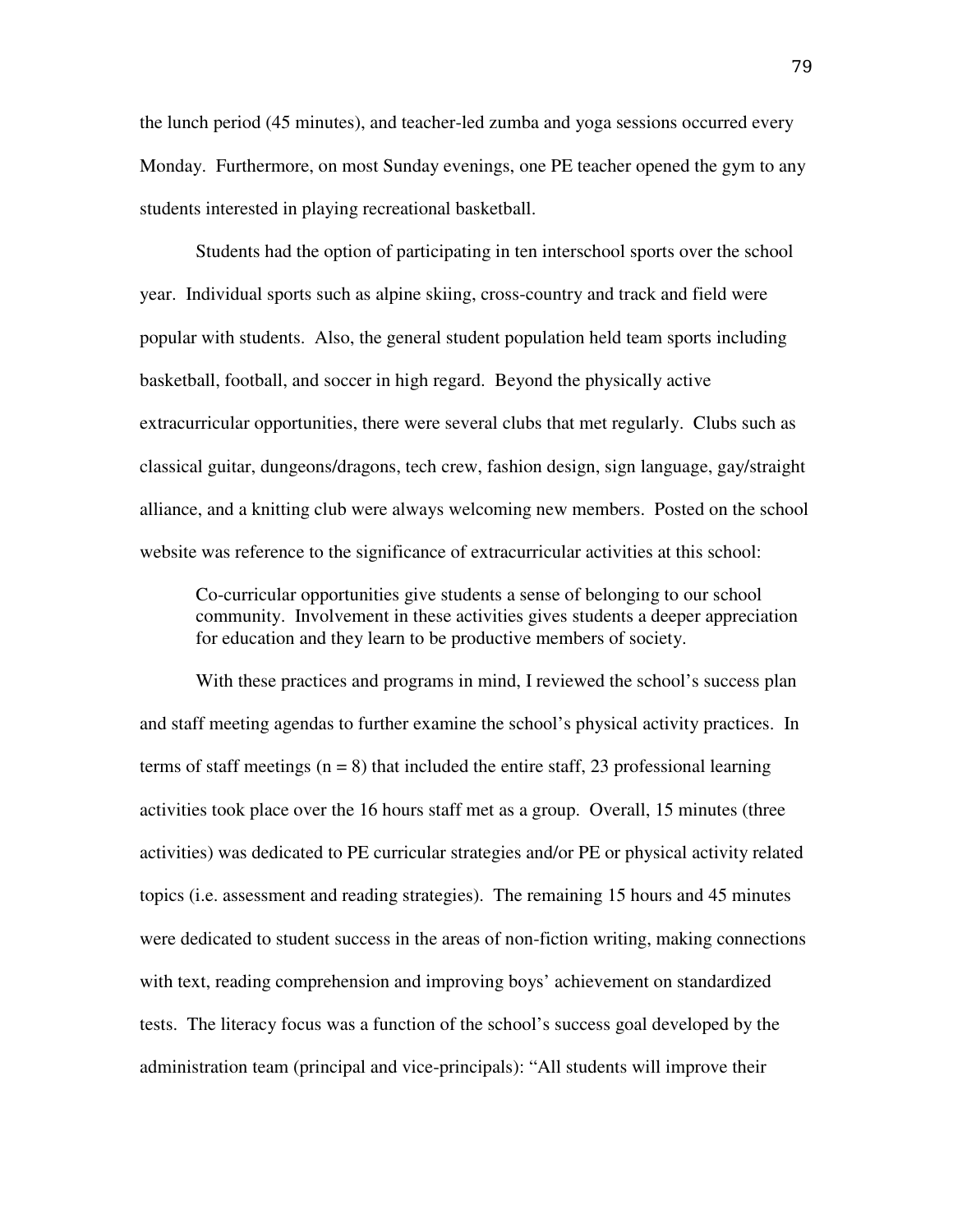the lunch period (45 minutes), and teacher-led zumba and yoga sessions occurred every Monday. Furthermore, on most Sunday evenings, one PE teacher opened the gym to any students interested in playing recreational basketball.

Students had the option of participating in ten interschool sports over the school year. Individual sports such as alpine skiing, cross-country and track and field were popular with students. Also, the general student population held team sports including basketball, football, and soccer in high regard. Beyond the physically active extracurricular opportunities, there were several clubs that met regularly. Clubs such as classical guitar, dungeons/dragons, tech crew, fashion design, sign language, gay/straight alliance, and a knitting club were always welcoming new members. Posted on the school website was reference to the significance of extracurricular activities at this school:

Co-curricular opportunities give students a sense of belonging to our school community. Involvement in these activities gives students a deeper appreciation for education and they learn to be productive members of society.

With these practices and programs in mind, I reviewed the school's success plan and staff meeting agendas to further examine the school's physical activity practices. In terms of staff meetings ( $n = 8$ ) that included the entire staff, 23 professional learning activities took place over the 16 hours staff met as a group. Overall, 15 minutes (three activities) was dedicated to PE curricular strategies and/or PE or physical activity related topics (i.e. assessment and reading strategies). The remaining 15 hours and 45 minutes were dedicated to student success in the areas of non-fiction writing, making connections with text, reading comprehension and improving boys' achievement on standardized tests. The literacy focus was a function of the school's success goal developed by the administration team (principal and vice-principals): "All students will improve their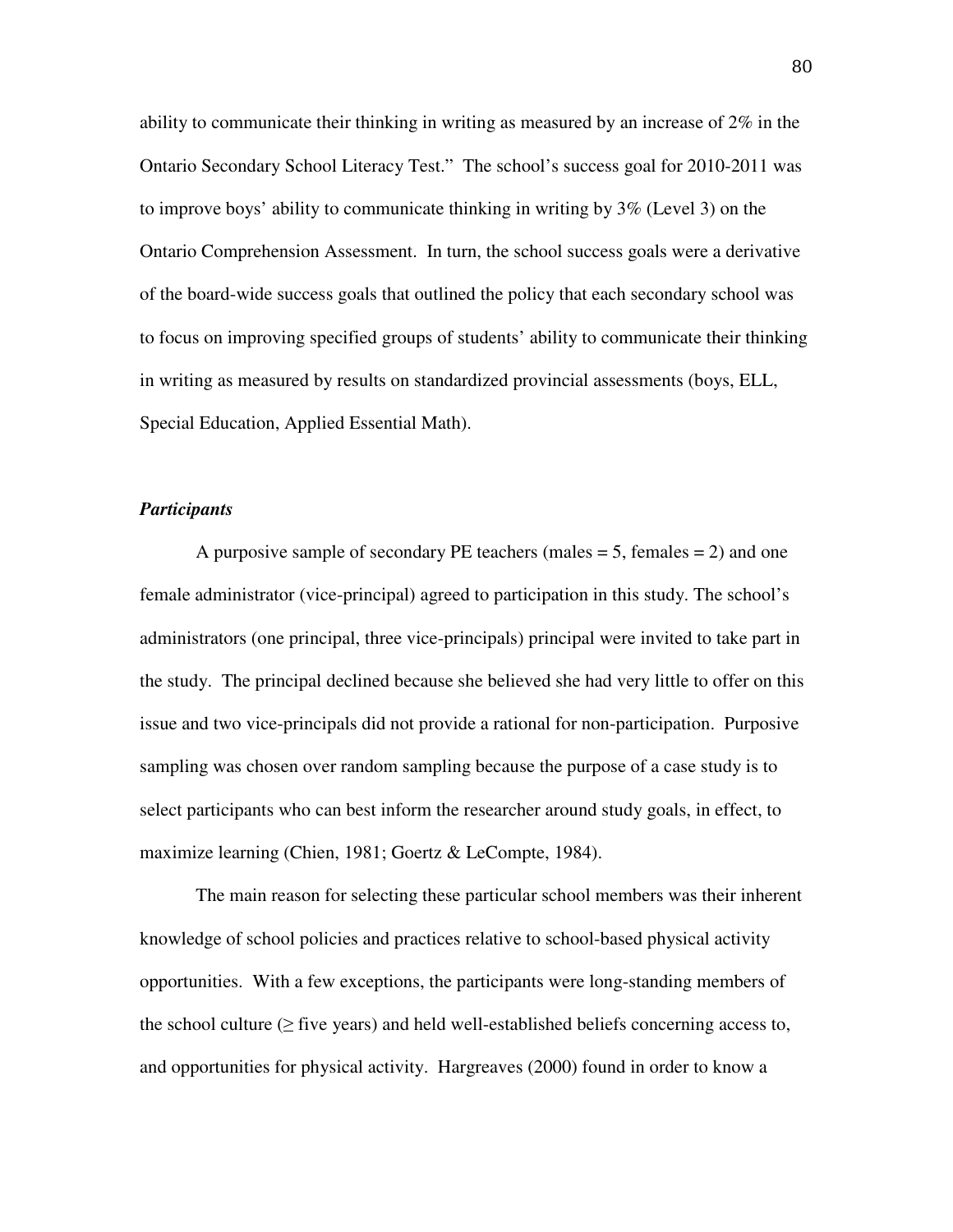ability to communicate their thinking in writing as measured by an increase of 2% in the Ontario Secondary School Literacy Test." The school's success goal for 2010-2011 was to improve boys' ability to communicate thinking in writing by 3% (Level 3) on the Ontario Comprehension Assessment. In turn, the school success goals were a derivative of the board-wide success goals that outlined the policy that each secondary school was to focus on improving specified groups of students' ability to communicate their thinking in writing as measured by results on standardized provincial assessments (boys, ELL, Special Education, Applied Essential Math).

# *Participants*

A purposive sample of secondary PE teachers (males  $= 5$ , females  $= 2$ ) and one female administrator (vice-principal) agreed to participation in this study. The school's administrators (one principal, three vice-principals) principal were invited to take part in the study. The principal declined because she believed she had very little to offer on this issue and two vice-principals did not provide a rational for non-participation. Purposive sampling was chosen over random sampling because the purpose of a case study is to select participants who can best inform the researcher around study goals, in effect, to maximize learning (Chien, 1981; Goertz & LeCompte, 1984).

The main reason for selecting these particular school members was their inherent knowledge of school policies and practices relative to school-based physical activity opportunities. With a few exceptions, the participants were long-standing members of the school culture ( $\geq$  five years) and held well-established beliefs concerning access to, and opportunities for physical activity. Hargreaves (2000) found in order to know a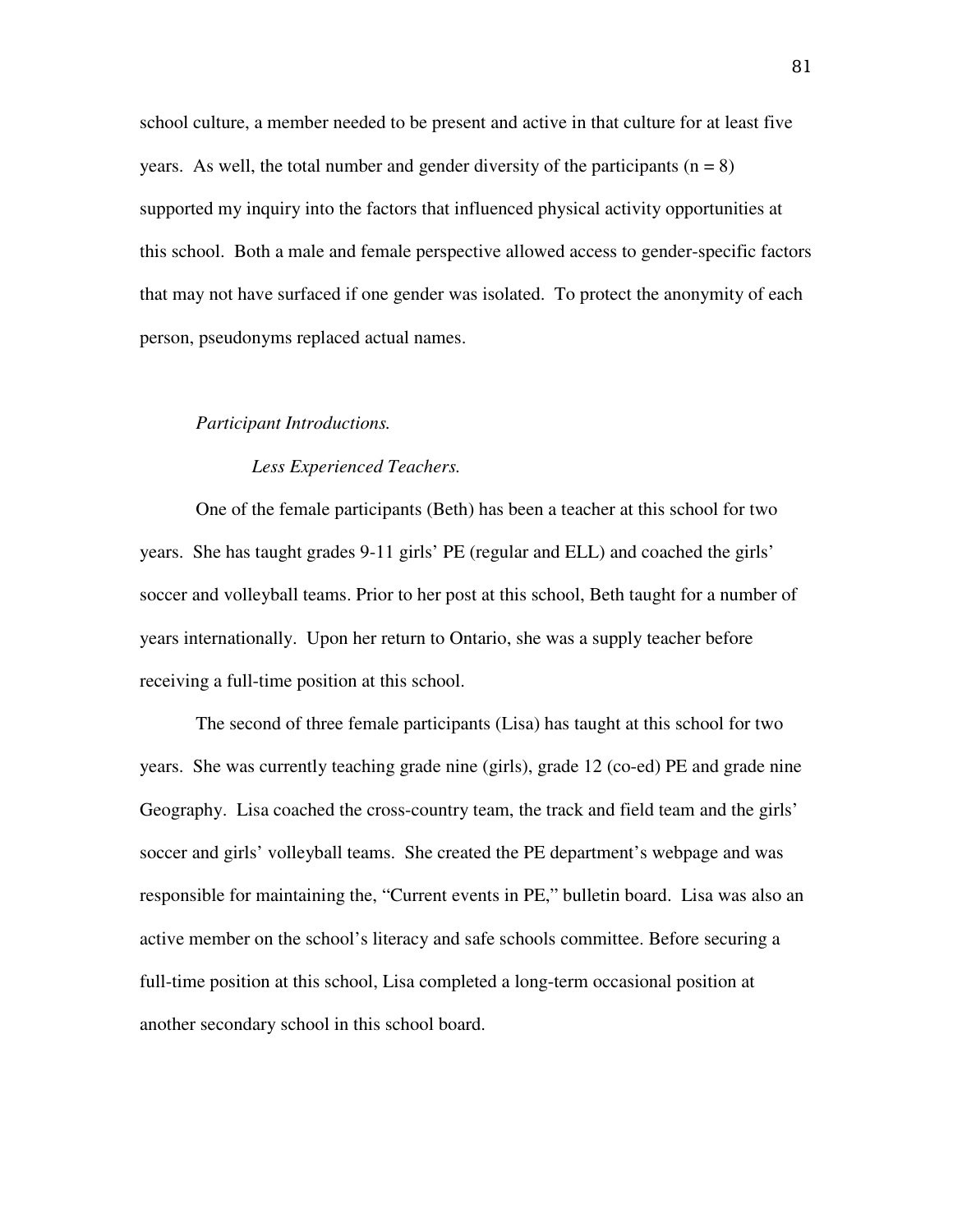school culture, a member needed to be present and active in that culture for at least five years. As well, the total number and gender diversity of the participants  $(n = 8)$ supported my inquiry into the factors that influenced physical activity opportunities at this school. Both a male and female perspective allowed access to gender-specific factors that may not have surfaced if one gender was isolated. To protect the anonymity of each person, pseudonyms replaced actual names.

#### *Participant Introductions.*

# *Less Experienced Teachers.*

 One of the female participants (Beth) has been a teacher at this school for two years. She has taught grades 9-11 girls' PE (regular and ELL) and coached the girls' soccer and volleyball teams. Prior to her post at this school, Beth taught for a number of years internationally. Upon her return to Ontario, she was a supply teacher before receiving a full-time position at this school.

 The second of three female participants (Lisa) has taught at this school for two years. She was currently teaching grade nine (girls), grade 12 (co-ed) PE and grade nine Geography. Lisa coached the cross-country team, the track and field team and the girls' soccer and girls' volleyball teams. She created the PE department's webpage and was responsible for maintaining the, "Current events in PE," bulletin board. Lisa was also an active member on the school's literacy and safe schools committee. Before securing a full-time position at this school, Lisa completed a long-term occasional position at another secondary school in this school board.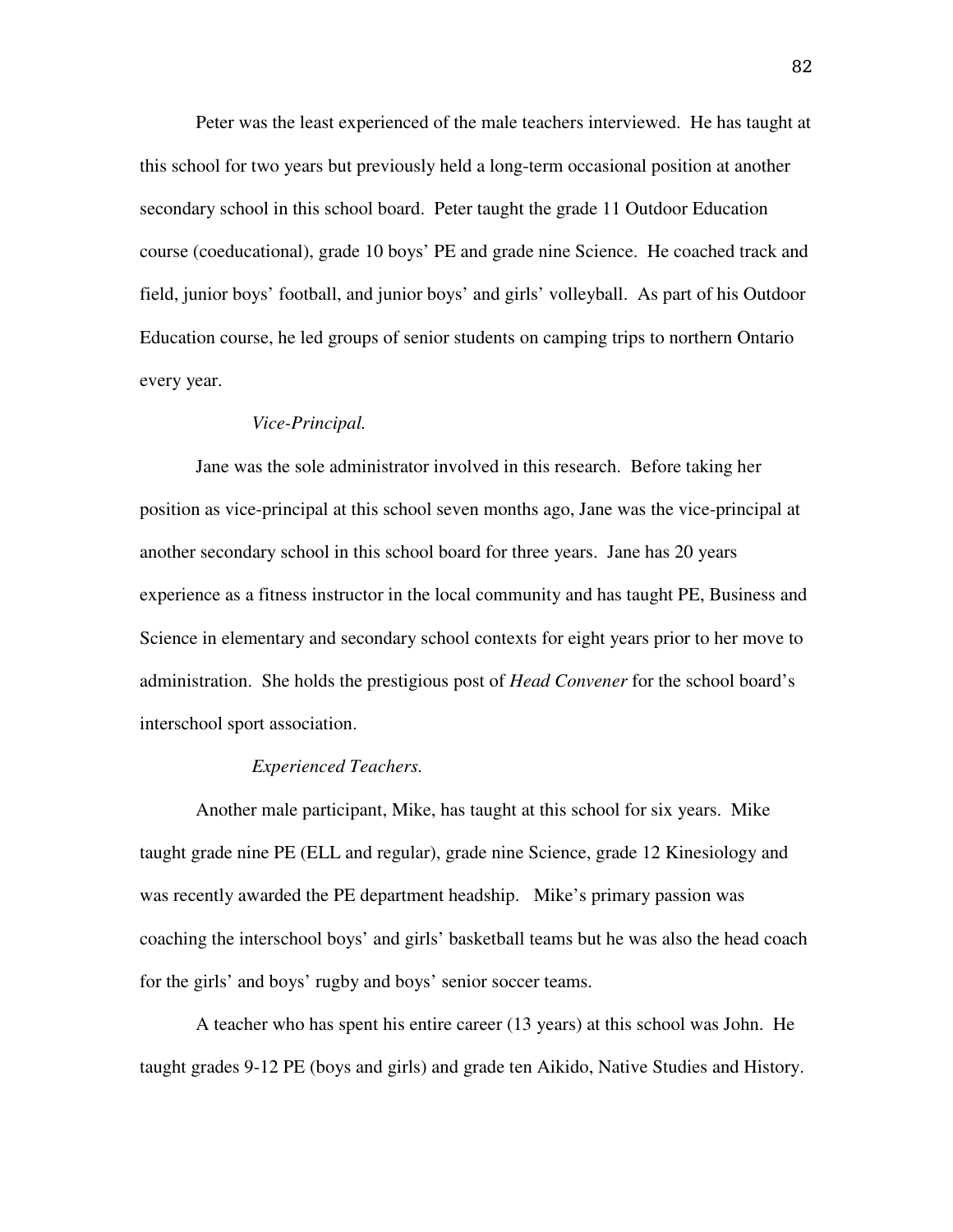Peter was the least experienced of the male teachers interviewed. He has taught at this school for two years but previously held a long-term occasional position at another secondary school in this school board. Peter taught the grade 11 Outdoor Education course (coeducational), grade 10 boys' PE and grade nine Science. He coached track and field, junior boys' football, and junior boys' and girls' volleyball. As part of his Outdoor Education course, he led groups of senior students on camping trips to northern Ontario every year.

#### *Vice-Principal.*

 Jane was the sole administrator involved in this research. Before taking her position as vice-principal at this school seven months ago, Jane was the vice-principal at another secondary school in this school board for three years. Jane has 20 years experience as a fitness instructor in the local community and has taught PE, Business and Science in elementary and secondary school contexts for eight years prior to her move to administration. She holds the prestigious post of *Head Convener* for the school board's interschool sport association.

# *Experienced Teachers.*

 Another male participant, Mike, has taught at this school for six years. Mike taught grade nine PE (ELL and regular), grade nine Science, grade 12 Kinesiology and was recently awarded the PE department headship. Mike's primary passion was coaching the interschool boys' and girls' basketball teams but he was also the head coach for the girls' and boys' rugby and boys' senior soccer teams.

 A teacher who has spent his entire career (13 years) at this school was John. He taught grades 9-12 PE (boys and girls) and grade ten Aikido, Native Studies and History.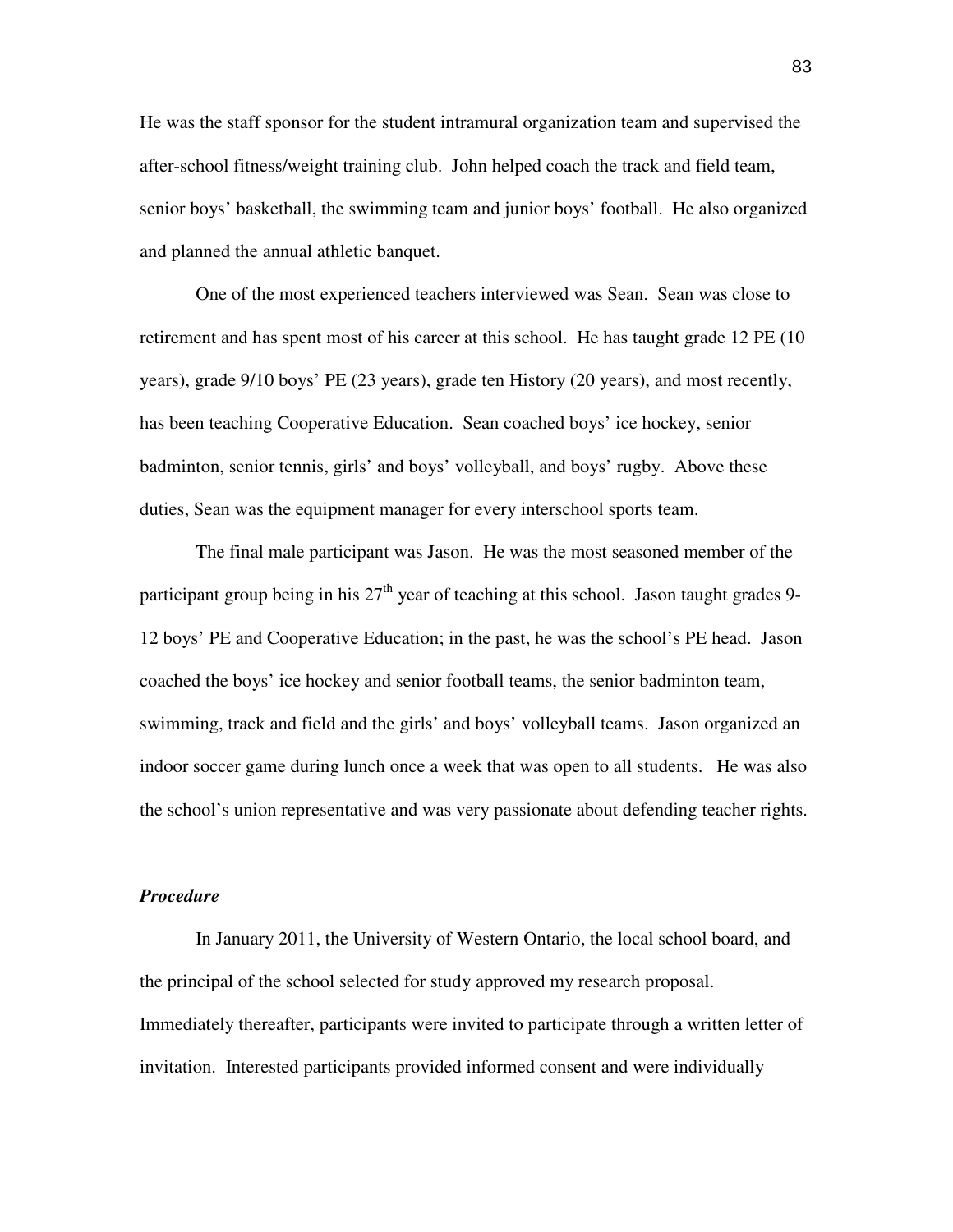He was the staff sponsor for the student intramural organization team and supervised the after-school fitness/weight training club. John helped coach the track and field team, senior boys' basketball, the swimming team and junior boys' football. He also organized and planned the annual athletic banquet.

One of the most experienced teachers interviewed was Sean. Sean was close to retirement and has spent most of his career at this school. He has taught grade 12 PE (10 years), grade 9/10 boys' PE (23 years), grade ten History (20 years), and most recently, has been teaching Cooperative Education. Sean coached boys' ice hockey, senior badminton, senior tennis, girls' and boys' volleyball, and boys' rugby. Above these duties, Sean was the equipment manager for every interschool sports team.

 The final male participant was Jason. He was the most seasoned member of the participant group being in his  $27<sup>th</sup>$  year of teaching at this school. Jason taught grades 9-12 boys' PE and Cooperative Education; in the past, he was the school's PE head. Jason coached the boys' ice hockey and senior football teams, the senior badminton team, swimming, track and field and the girls' and boys' volleyball teams. Jason organized an indoor soccer game during lunch once a week that was open to all students. He was also the school's union representative and was very passionate about defending teacher rights.

# *Procedure*

In January 2011, the University of Western Ontario, the local school board, and the principal of the school selected for study approved my research proposal. Immediately thereafter, participants were invited to participate through a written letter of invitation. Interested participants provided informed consent and were individually

83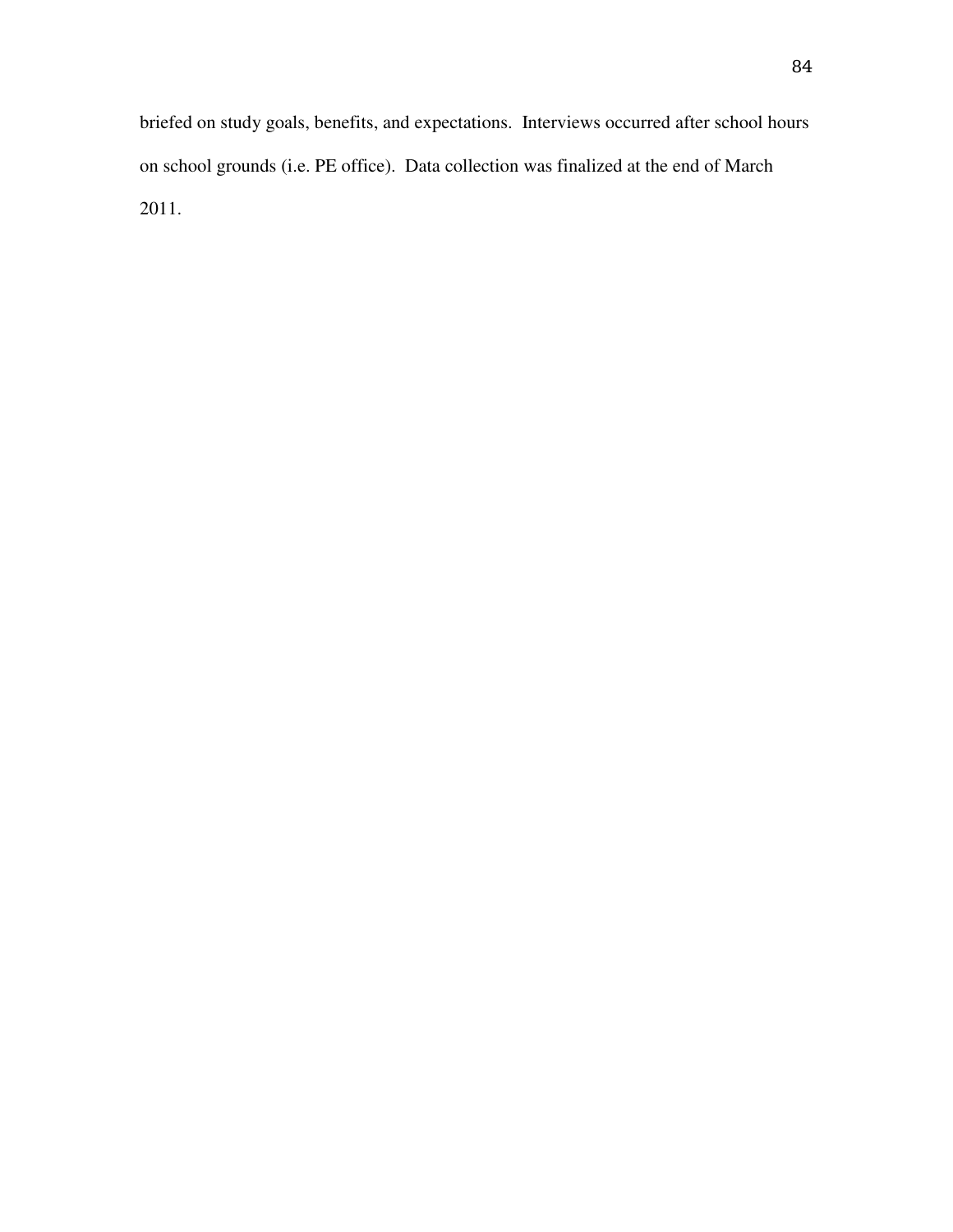briefed on study goals, benefits, and expectations. Interviews occurred after school hours on school grounds (i.e. PE office). Data collection was finalized at the end of March 2011.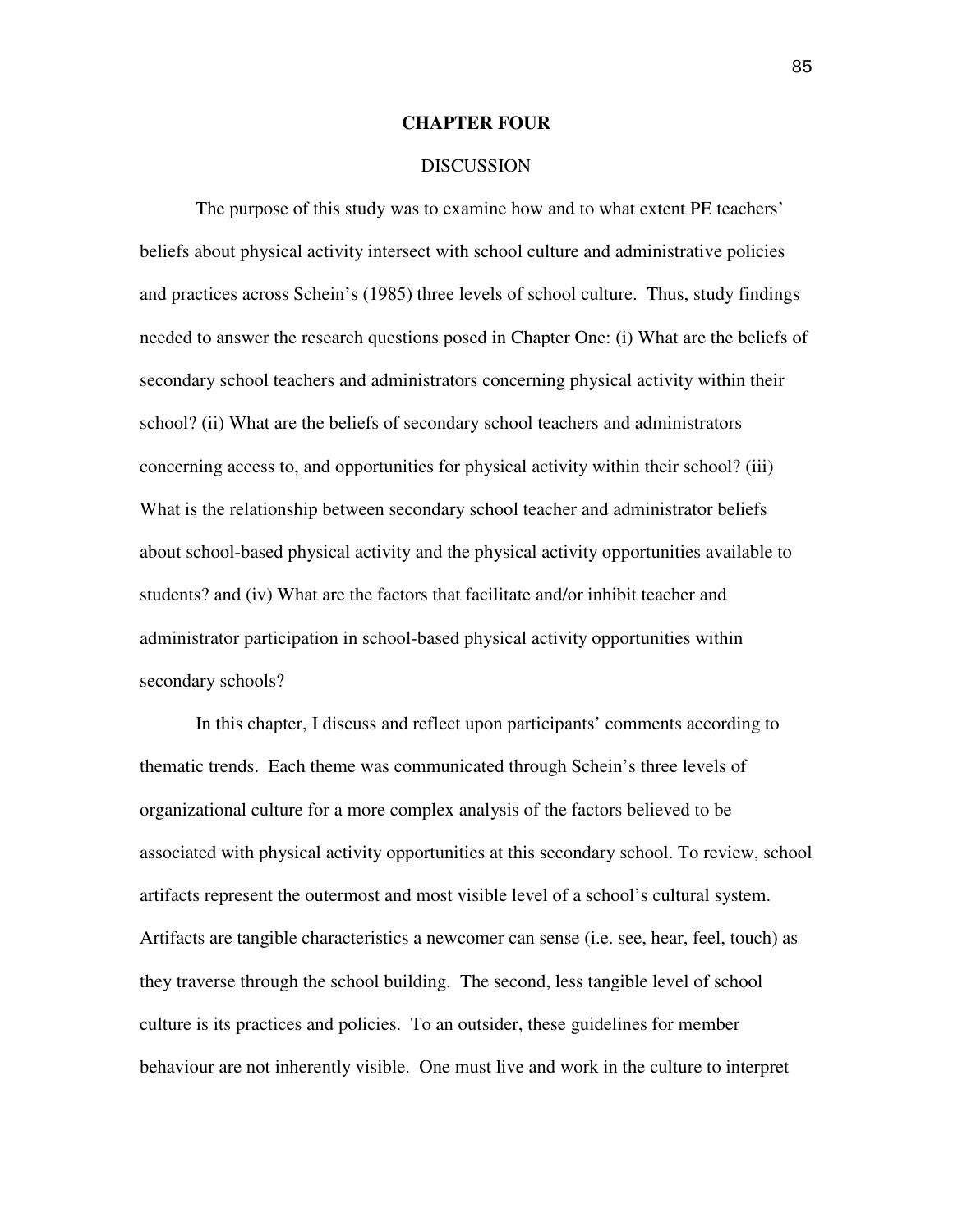## **CHAPTER FOUR**

## **DISCUSSION**

The purpose of this study was to examine how and to what extent PE teachers' beliefs about physical activity intersect with school culture and administrative policies and practices across Schein's (1985) three levels of school culture. Thus, study findings needed to answer the research questions posed in Chapter One: (i) What are the beliefs of secondary school teachers and administrators concerning physical activity within their school? (ii) What are the beliefs of secondary school teachers and administrators concerning access to, and opportunities for physical activity within their school? (iii) What is the relationship between secondary school teacher and administrator beliefs about school-based physical activity and the physical activity opportunities available to students? and (iv) What are the factors that facilitate and/or inhibit teacher and administrator participation in school-based physical activity opportunities within secondary schools?

In this chapter, I discuss and reflect upon participants' comments according to thematic trends. Each theme was communicated through Schein's three levels of organizational culture for a more complex analysis of the factors believed to be associated with physical activity opportunities at this secondary school. To review, school artifacts represent the outermost and most visible level of a school's cultural system. Artifacts are tangible characteristics a newcomer can sense (i.e. see, hear, feel, touch) as they traverse through the school building. The second, less tangible level of school culture is its practices and policies. To an outsider, these guidelines for member behaviour are not inherently visible. One must live and work in the culture to interpret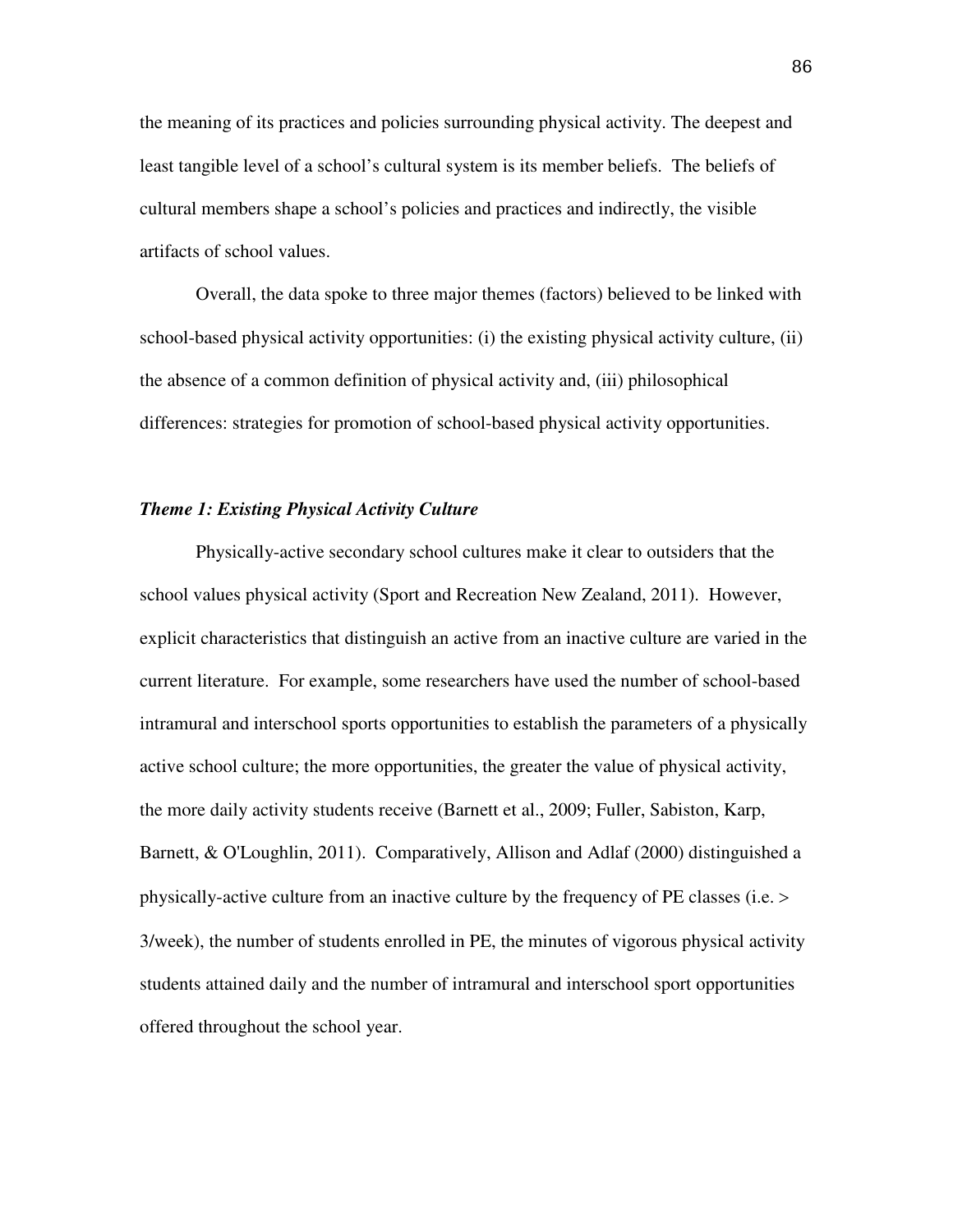the meaning of its practices and policies surrounding physical activity. The deepest and least tangible level of a school's cultural system is its member beliefs. The beliefs of cultural members shape a school's policies and practices and indirectly, the visible artifacts of school values.

Overall, the data spoke to three major themes (factors) believed to be linked with school-based physical activity opportunities: (i) the existing physical activity culture, (ii) the absence of a common definition of physical activity and, (iii) philosophical differences: strategies for promotion of school-based physical activity opportunities.

# *Theme 1: Existing Physical Activity Culture*

Physically-active secondary school cultures make it clear to outsiders that the school values physical activity (Sport and Recreation New Zealand, 2011). However, explicit characteristics that distinguish an active from an inactive culture are varied in the current literature. For example, some researchers have used the number of school-based intramural and interschool sports opportunities to establish the parameters of a physically active school culture; the more opportunities, the greater the value of physical activity, the more daily activity students receive (Barnett et al., 2009; Fuller, Sabiston, Karp, Barnett, & O'Loughlin, 2011). Comparatively, Allison and Adlaf (2000) distinguished a physically-active culture from an inactive culture by the frequency of PE classes (i.e. > 3/week), the number of students enrolled in PE, the minutes of vigorous physical activity students attained daily and the number of intramural and interschool sport opportunities offered throughout the school year.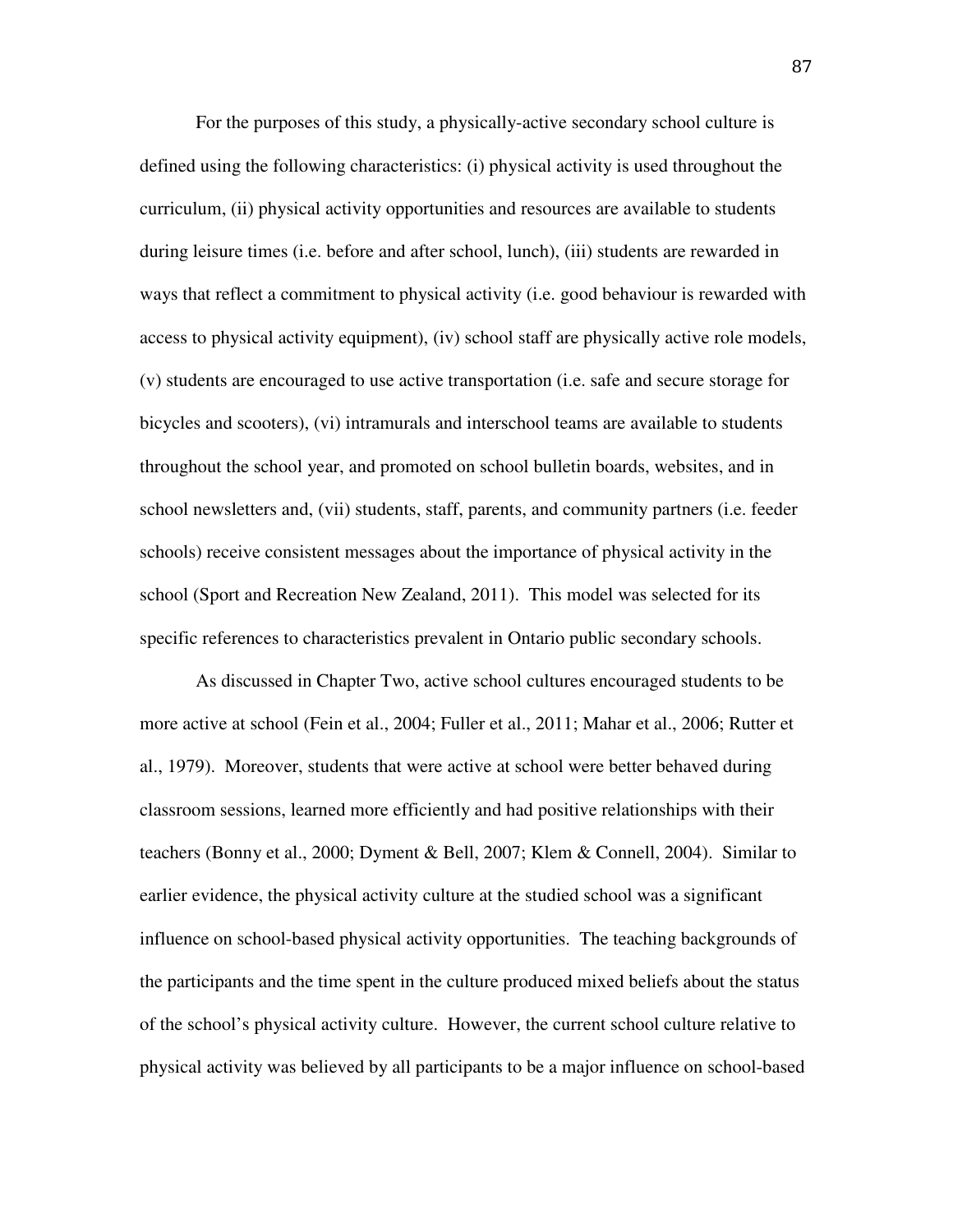For the purposes of this study, a physically-active secondary school culture is defined using the following characteristics: (i) physical activity is used throughout the curriculum, (ii) physical activity opportunities and resources are available to students during leisure times (i.e. before and after school, lunch), (iii) students are rewarded in ways that reflect a commitment to physical activity (i.e. good behaviour is rewarded with access to physical activity equipment), (iv) school staff are physically active role models, (v) students are encouraged to use active transportation (i.e. safe and secure storage for bicycles and scooters), (vi) intramurals and interschool teams are available to students throughout the school year, and promoted on school bulletin boards, websites, and in school newsletters and, (vii) students, staff, parents, and community partners (i.e. feeder schools) receive consistent messages about the importance of physical activity in the school (Sport and Recreation New Zealand, 2011). This model was selected for its specific references to characteristics prevalent in Ontario public secondary schools.

As discussed in Chapter Two, active school cultures encouraged students to be more active at school (Fein et al., 2004; Fuller et al., 2011; Mahar et al., 2006; Rutter et al., 1979). Moreover, students that were active at school were better behaved during classroom sessions, learned more efficiently and had positive relationships with their teachers (Bonny et al., 2000; Dyment & Bell, 2007; Klem & Connell, 2004). Similar to earlier evidence, the physical activity culture at the studied school was a significant influence on school-based physical activity opportunities. The teaching backgrounds of the participants and the time spent in the culture produced mixed beliefs about the status of the school's physical activity culture. However, the current school culture relative to physical activity was believed by all participants to be a major influence on school-based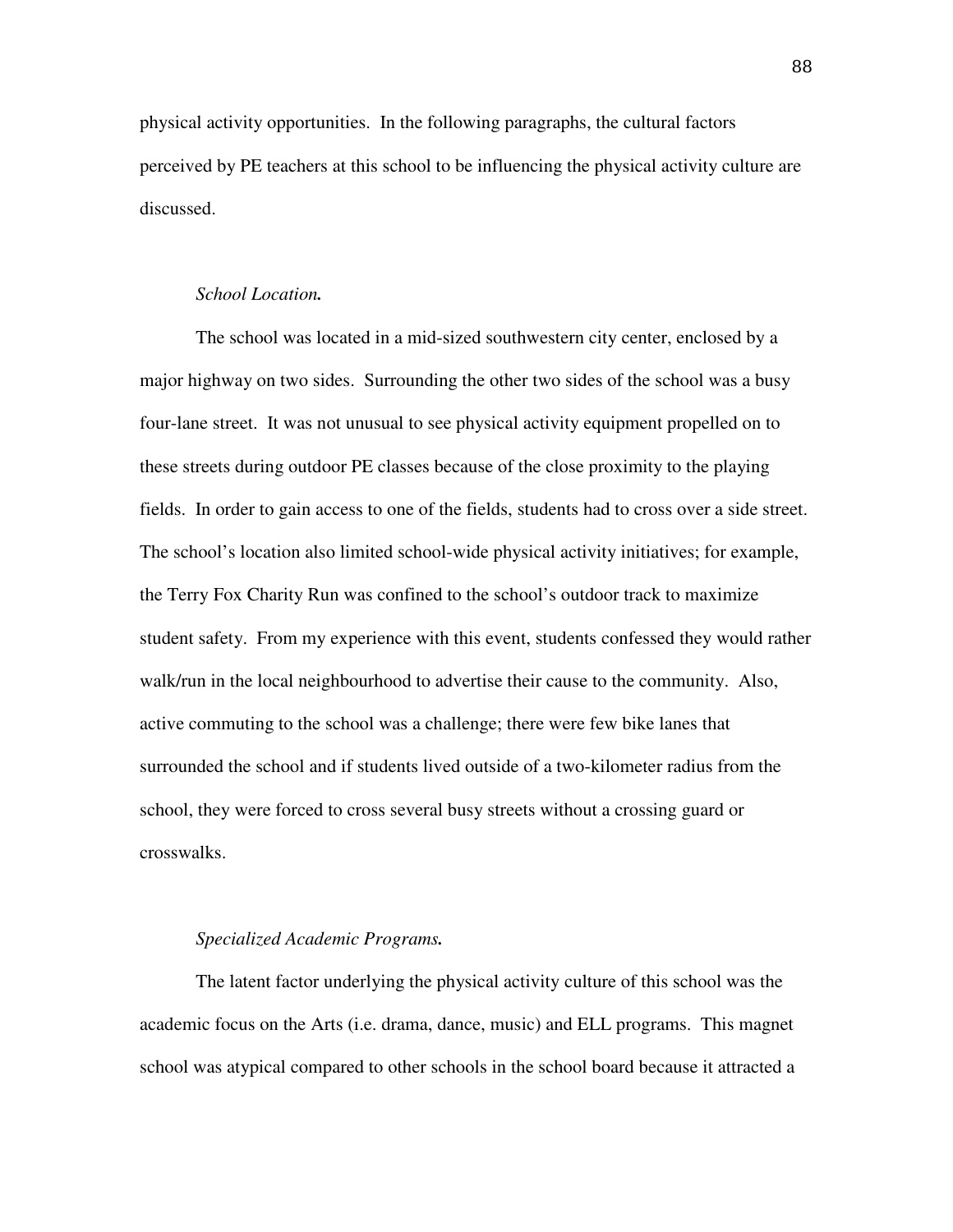physical activity opportunities. In the following paragraphs, the cultural factors perceived by PE teachers at this school to be influencing the physical activity culture are discussed.

# *School Location.*

The school was located in a mid-sized southwestern city center, enclosed by a major highway on two sides. Surrounding the other two sides of the school was a busy four-lane street. It was not unusual to see physical activity equipment propelled on to these streets during outdoor PE classes because of the close proximity to the playing fields. In order to gain access to one of the fields, students had to cross over a side street. The school's location also limited school-wide physical activity initiatives; for example, the Terry Fox Charity Run was confined to the school's outdoor track to maximize student safety. From my experience with this event, students confessed they would rather walk/run in the local neighbourhood to advertise their cause to the community. Also, active commuting to the school was a challenge; there were few bike lanes that surrounded the school and if students lived outside of a two-kilometer radius from the school, they were forced to cross several busy streets without a crossing guard or crosswalks.

# *Specialized Academic Programs.*

The latent factor underlying the physical activity culture of this school was the academic focus on the Arts (i.e. drama, dance, music) and ELL programs. This magnet school was atypical compared to other schools in the school board because it attracted a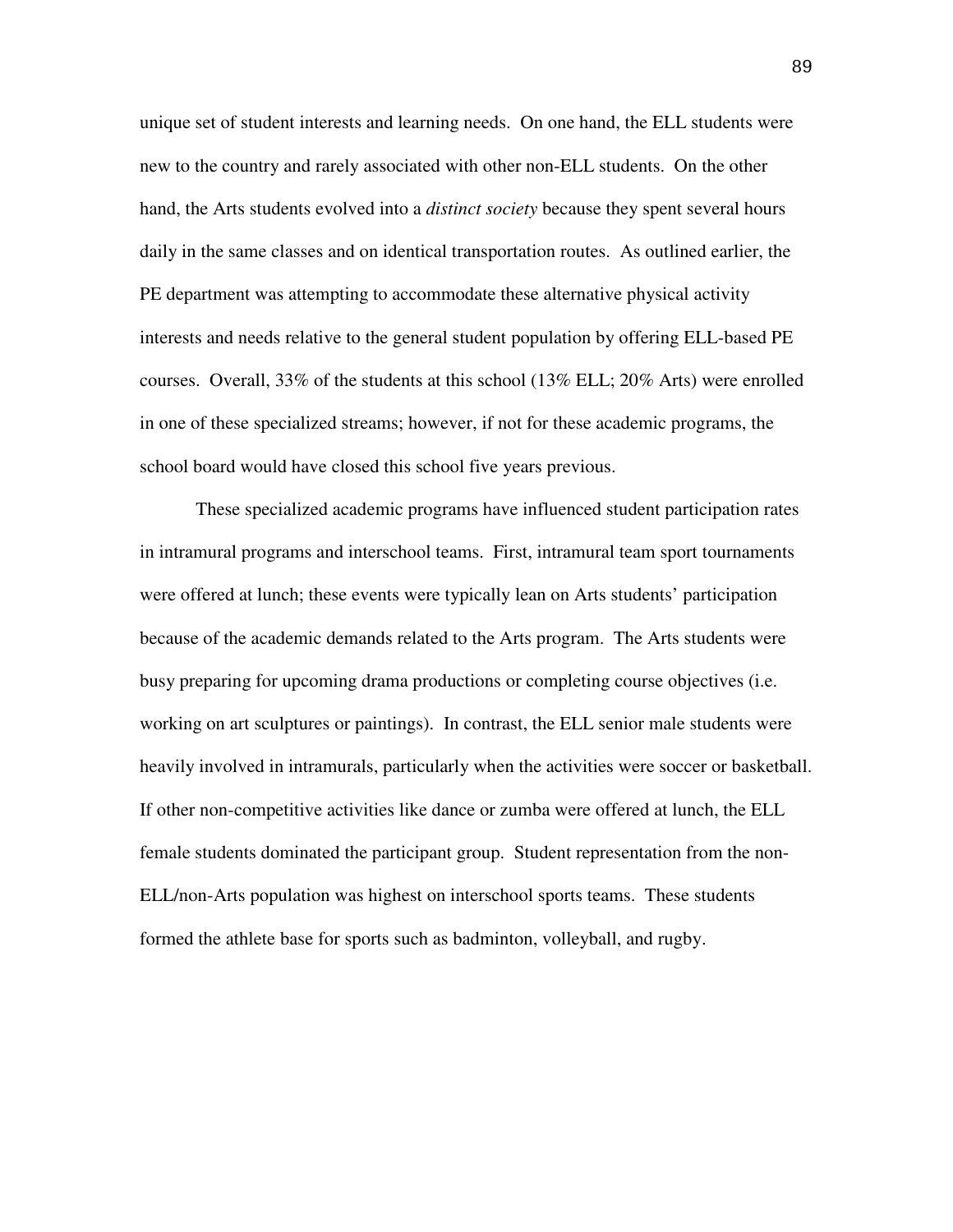unique set of student interests and learning needs. On one hand, the ELL students were new to the country and rarely associated with other non-ELL students. On the other hand, the Arts students evolved into a *distinct society* because they spent several hours daily in the same classes and on identical transportation routes. As outlined earlier, the PE department was attempting to accommodate these alternative physical activity interests and needs relative to the general student population by offering ELL-based PE courses. Overall, 33% of the students at this school  $(13\%$  ELL; 20% Arts) were enrolled in one of these specialized streams; however, if not for these academic programs, the school board would have closed this school five years previous.

These specialized academic programs have influenced student participation rates in intramural programs and interschool teams. First, intramural team sport tournaments were offered at lunch; these events were typically lean on Arts students' participation because of the academic demands related to the Arts program. The Arts students were busy preparing for upcoming drama productions or completing course objectives (i.e. working on art sculptures or paintings). In contrast, the ELL senior male students were heavily involved in intramurals, particularly when the activities were soccer or basketball. If other non-competitive activities like dance or zumba were offered at lunch, the ELL female students dominated the participant group. Student representation from the non-ELL/non-Arts population was highest on interschool sports teams. These students formed the athlete base for sports such as badminton, volleyball, and rugby.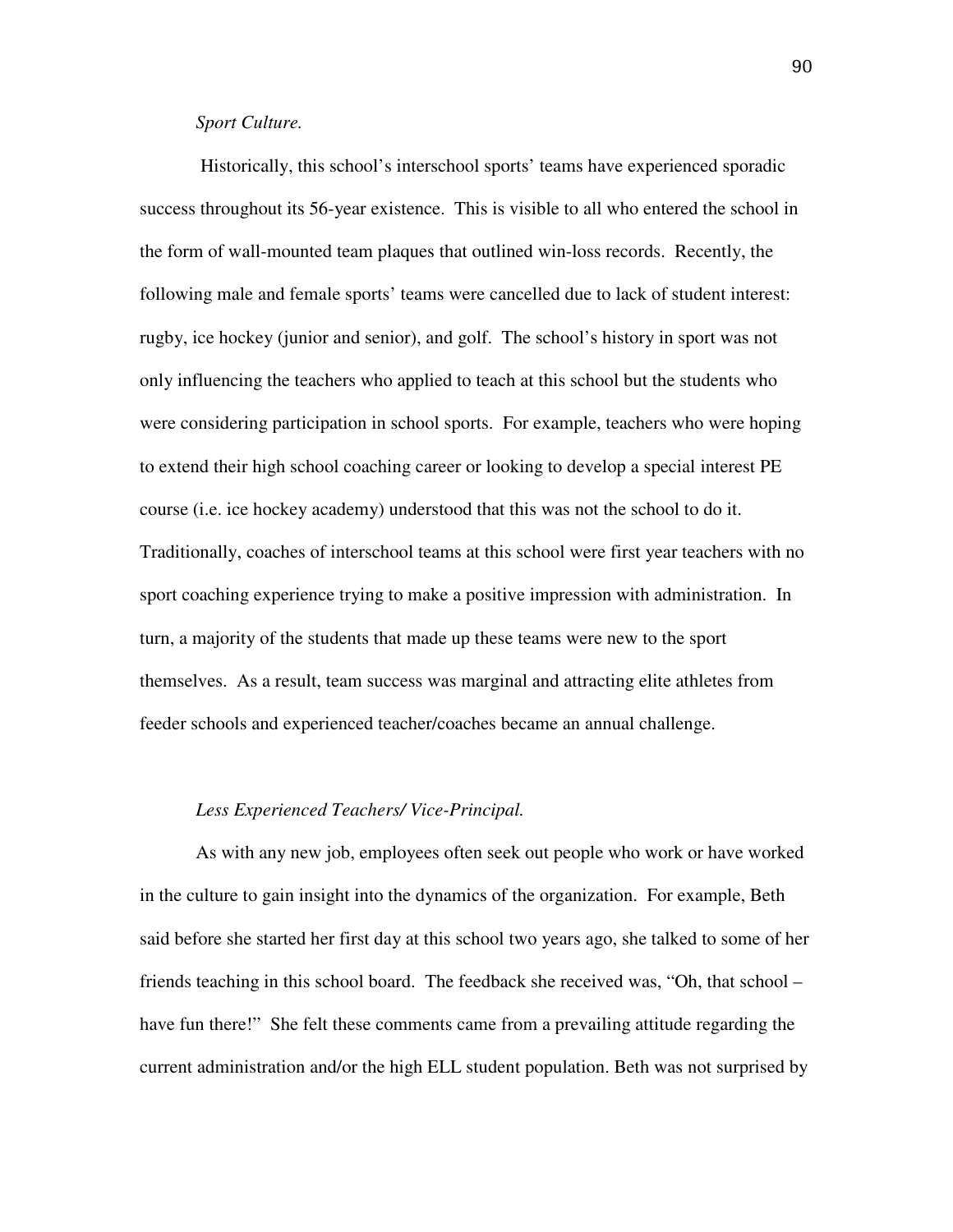# *Sport Culture.*

Historically, this school's interschool sports' teams have experienced sporadic success throughout its 56-year existence. This is visible to all who entered the school in the form of wall-mounted team plaques that outlined win-loss records. Recently, the following male and female sports' teams were cancelled due to lack of student interest: rugby, ice hockey (junior and senior), and golf. The school's history in sport was not only influencing the teachers who applied to teach at this school but the students who were considering participation in school sports. For example, teachers who were hoping to extend their high school coaching career or looking to develop a special interest PE course (i.e. ice hockey academy) understood that this was not the school to do it. Traditionally, coaches of interschool teams at this school were first year teachers with no sport coaching experience trying to make a positive impression with administration. In turn, a majority of the students that made up these teams were new to the sport themselves. As a result, team success was marginal and attracting elite athletes from feeder schools and experienced teacher/coaches became an annual challenge.

#### *Less Experienced Teachers/ Vice-Principal.*

As with any new job, employees often seek out people who work or have worked in the culture to gain insight into the dynamics of the organization. For example, Beth said before she started her first day at this school two years ago, she talked to some of her friends teaching in this school board. The feedback she received was, "Oh, that school – have fun there!" She felt these comments came from a prevailing attitude regarding the current administration and/or the high ELL student population. Beth was not surprised by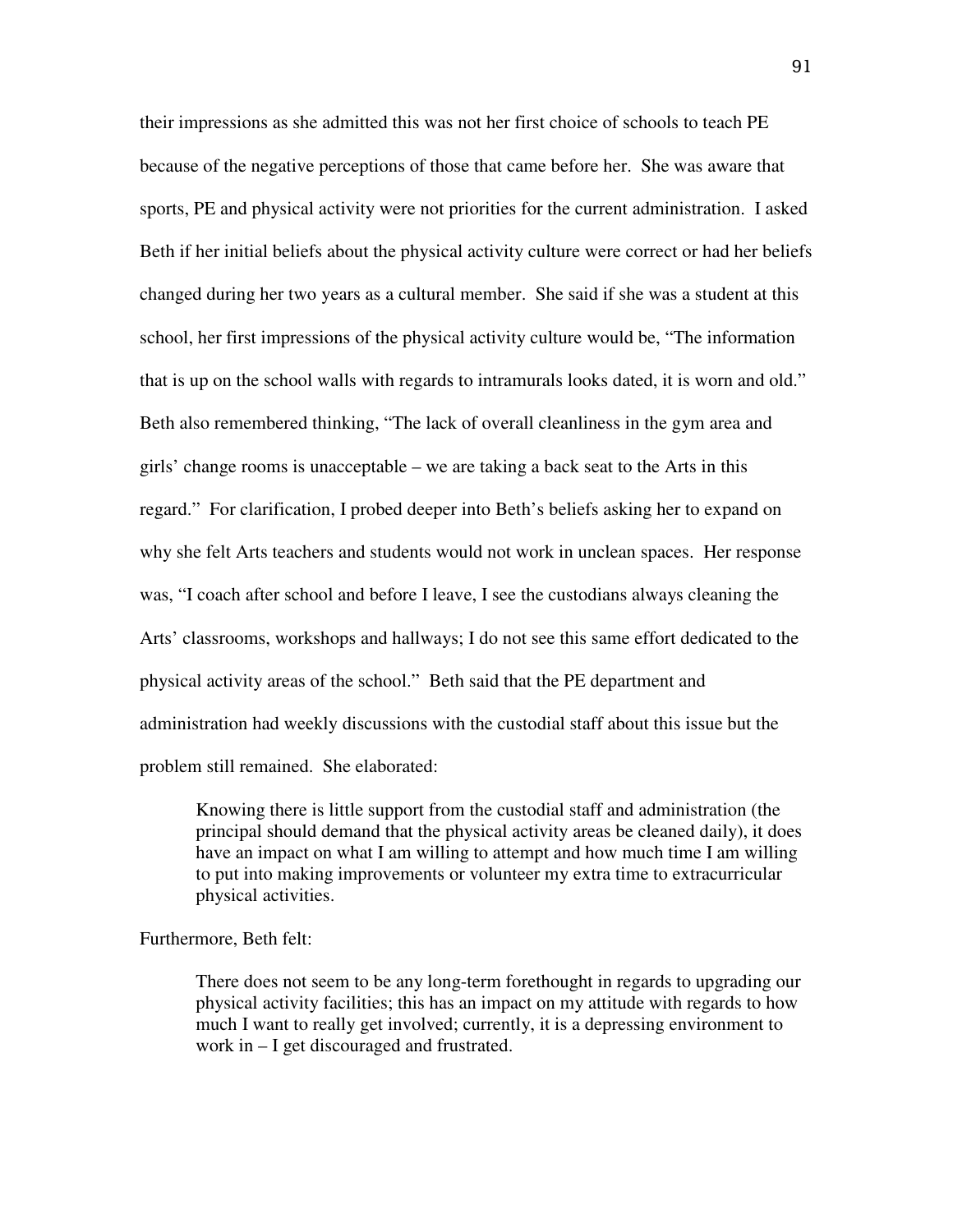their impressions as she admitted this was not her first choice of schools to teach PE because of the negative perceptions of those that came before her. She was aware that sports, PE and physical activity were not priorities for the current administration. I asked Beth if her initial beliefs about the physical activity culture were correct or had her beliefs changed during her two years as a cultural member. She said if she was a student at this school, her first impressions of the physical activity culture would be, "The information that is up on the school walls with regards to intramurals looks dated, it is worn and old." Beth also remembered thinking, "The lack of overall cleanliness in the gym area and girls' change rooms is unacceptable – we are taking a back seat to the Arts in this regard." For clarification, I probed deeper into Beth's beliefs asking her to expand on why she felt Arts teachers and students would not work in unclean spaces. Her response was, "I coach after school and before I leave, I see the custodians always cleaning the Arts' classrooms, workshops and hallways; I do not see this same effort dedicated to the physical activity areas of the school." Beth said that the PE department and administration had weekly discussions with the custodial staff about this issue but the problem still remained. She elaborated:

Knowing there is little support from the custodial staff and administration (the principal should demand that the physical activity areas be cleaned daily), it does have an impact on what I am willing to attempt and how much time I am willing to put into making improvements or volunteer my extra time to extracurricular physical activities.

#### Furthermore, Beth felt:

 There does not seem to be any long-term forethought in regards to upgrading our physical activity facilities; this has an impact on my attitude with regards to how much I want to really get involved; currently, it is a depressing environment to work in – I get discouraged and frustrated.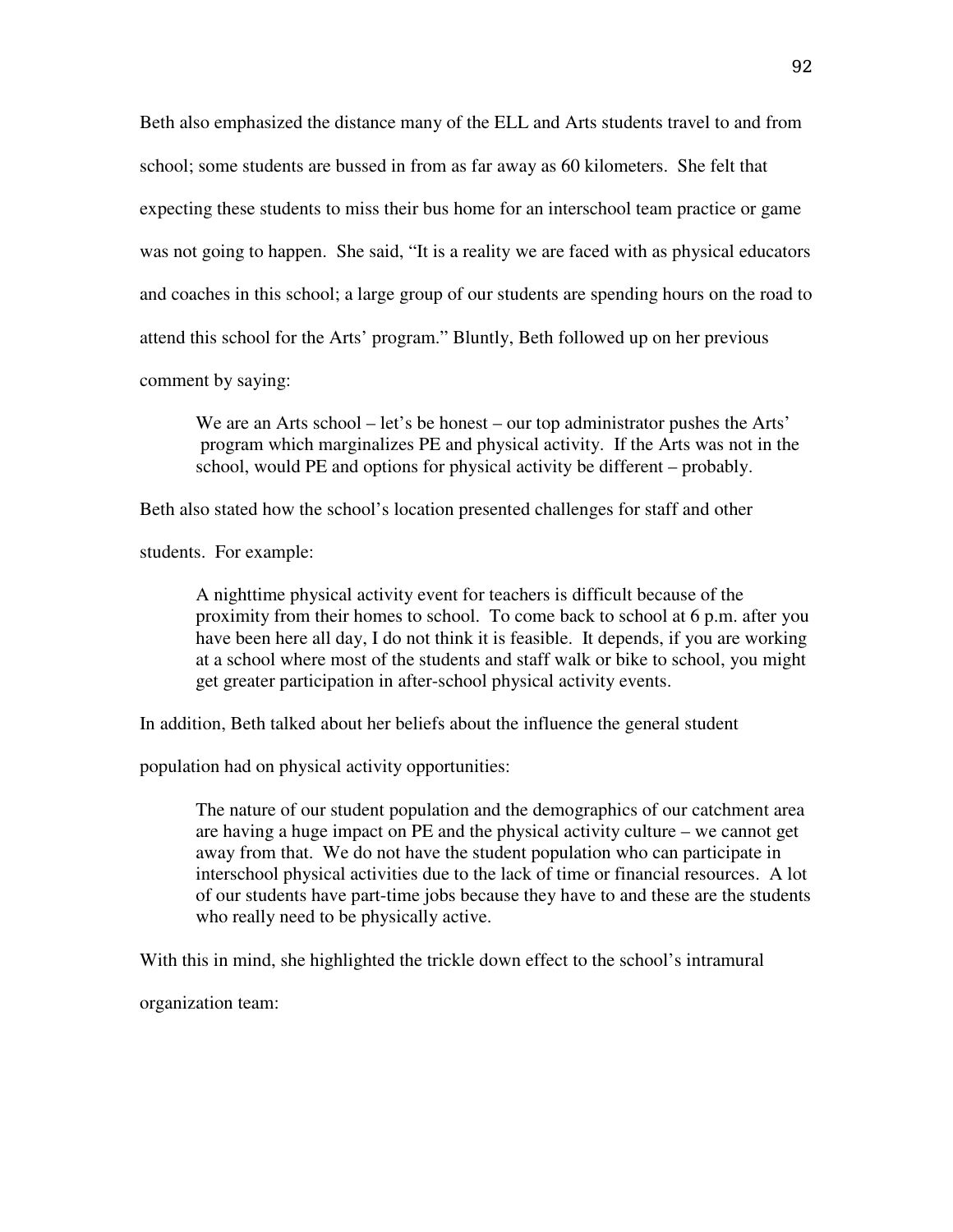Beth also emphasized the distance many of the ELL and Arts students travel to and from school; some students are bussed in from as far away as 60 kilometers. She felt that expecting these students to miss their bus home for an interschool team practice or game was not going to happen. She said, "It is a reality we are faced with as physical educators and coaches in this school; a large group of our students are spending hours on the road to attend this school for the Arts' program." Bluntly, Beth followed up on her previous

comment by saying:

We are an Arts school – let's be honest – our top administrator pushes the Arts' program which marginalizes PE and physical activity. If the Arts was not in the school, would PE and options for physical activity be different – probably.

Beth also stated how the school's location presented challenges for staff and other

students. For example:

A nighttime physical activity event for teachers is difficult because of the proximity from their homes to school. To come back to school at 6 p.m. after you have been here all day, I do not think it is feasible. It depends, if you are working at a school where most of the students and staff walk or bike to school, you might get greater participation in after-school physical activity events.

In addition, Beth talked about her beliefs about the influence the general student

population had on physical activity opportunities:

The nature of our student population and the demographics of our catchment area are having a huge impact on PE and the physical activity culture – we cannot get away from that. We do not have the student population who can participate in interschool physical activities due to the lack of time or financial resources. A lot of our students have part-time jobs because they have to and these are the students who really need to be physically active.

With this in mind, she highlighted the trickle down effect to the school's intramural

organization team: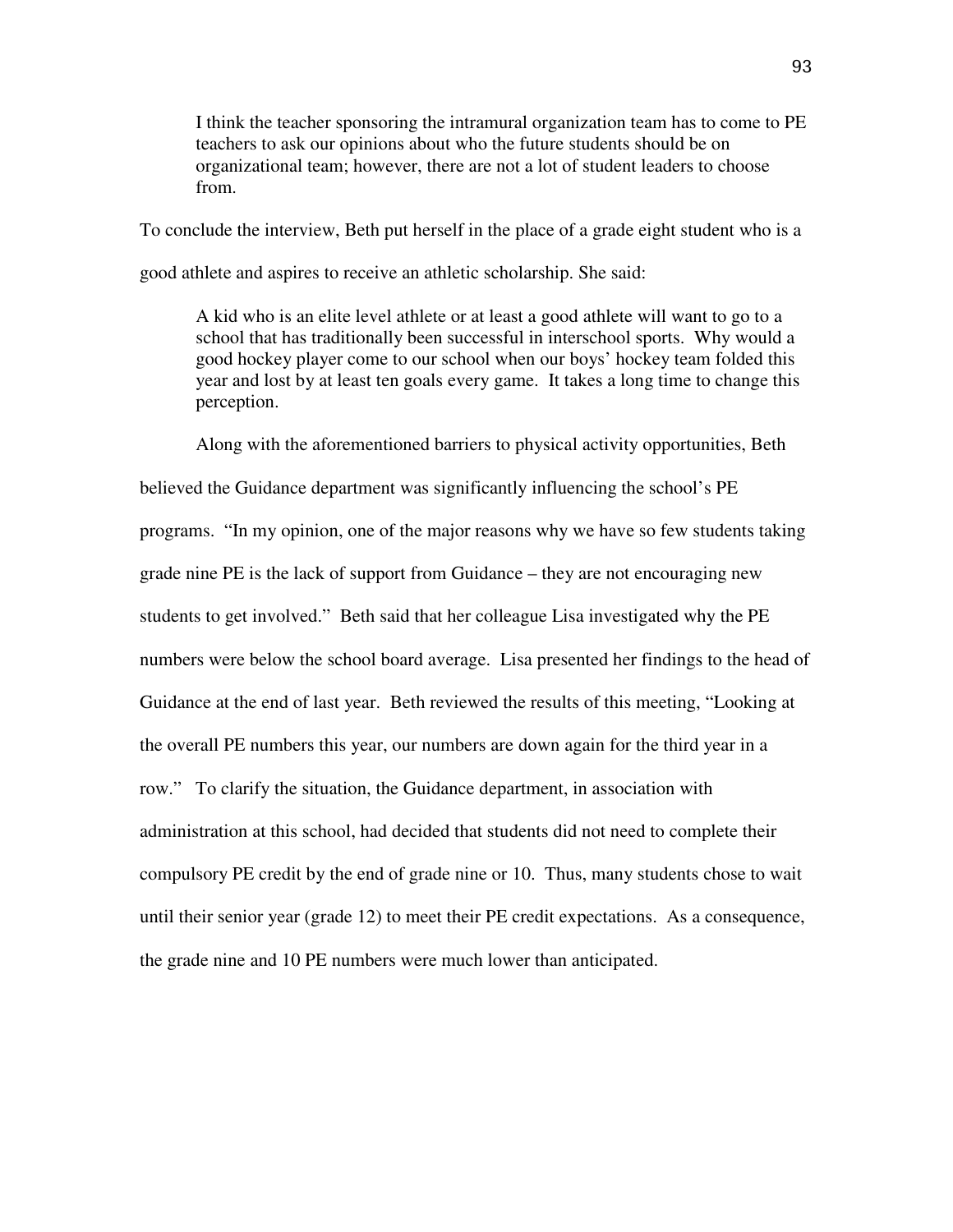I think the teacher sponsoring the intramural organization team has to come to PE teachers to ask our opinions about who the future students should be on organizational team; however, there are not a lot of student leaders to choose from.

To conclude the interview, Beth put herself in the place of a grade eight student who is a

good athlete and aspires to receive an athletic scholarship. She said:

A kid who is an elite level athlete or at least a good athlete will want to go to a school that has traditionally been successful in interschool sports. Why would a good hockey player come to our school when our boys' hockey team folded this year and lost by at least ten goals every game. It takes a long time to change this perception.

Along with the aforementioned barriers to physical activity opportunities, Beth

believed the Guidance department was significantly influencing the school's PE programs. "In my opinion, one of the major reasons why we have so few students taking grade nine PE is the lack of support from Guidance – they are not encouraging new students to get involved." Beth said that her colleague Lisa investigated why the PE numbers were below the school board average. Lisa presented her findings to the head of Guidance at the end of last year. Beth reviewed the results of this meeting, "Looking at the overall PE numbers this year, our numbers are down again for the third year in a row." To clarify the situation, the Guidance department, in association with administration at this school, had decided that students did not need to complete their compulsory PE credit by the end of grade nine or 10. Thus, many students chose to wait until their senior year (grade 12) to meet their PE credit expectations. As a consequence, the grade nine and 10 PE numbers were much lower than anticipated.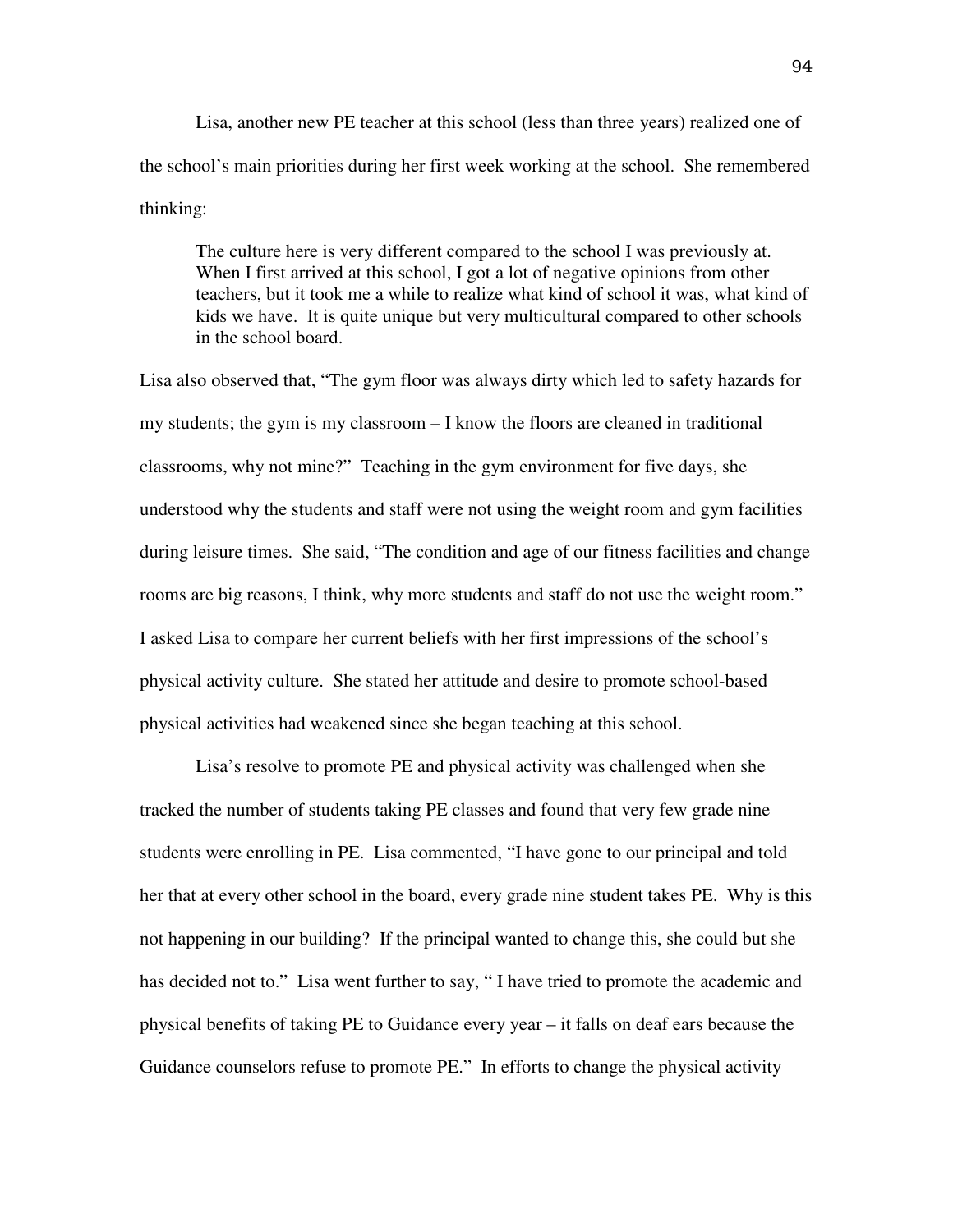Lisa, another new PE teacher at this school (less than three years) realized one of the school's main priorities during her first week working at the school. She remembered thinking:

The culture here is very different compared to the school I was previously at. When I first arrived at this school, I got a lot of negative opinions from other teachers, but it took me a while to realize what kind of school it was, what kind of kids we have. It is quite unique but very multicultural compared to other schools in the school board.

Lisa also observed that, "The gym floor was always dirty which led to safety hazards for my students; the gym is my classroom  $-$  I know the floors are cleaned in traditional classrooms, why not mine?" Teaching in the gym environment for five days, she understood why the students and staff were not using the weight room and gym facilities during leisure times. She said, "The condition and age of our fitness facilities and change rooms are big reasons, I think, why more students and staff do not use the weight room." I asked Lisa to compare her current beliefs with her first impressions of the school's physical activity culture. She stated her attitude and desire to promote school-based physical activities had weakened since she began teaching at this school.

Lisa's resolve to promote PE and physical activity was challenged when she tracked the number of students taking PE classes and found that very few grade nine students were enrolling in PE. Lisa commented, "I have gone to our principal and told her that at every other school in the board, every grade nine student takes PE. Why is this not happening in our building? If the principal wanted to change this, she could but she has decided not to." Lisa went further to say, "I have tried to promote the academic and physical benefits of taking PE to Guidance every year – it falls on deaf ears because the Guidance counselors refuse to promote PE." In efforts to change the physical activity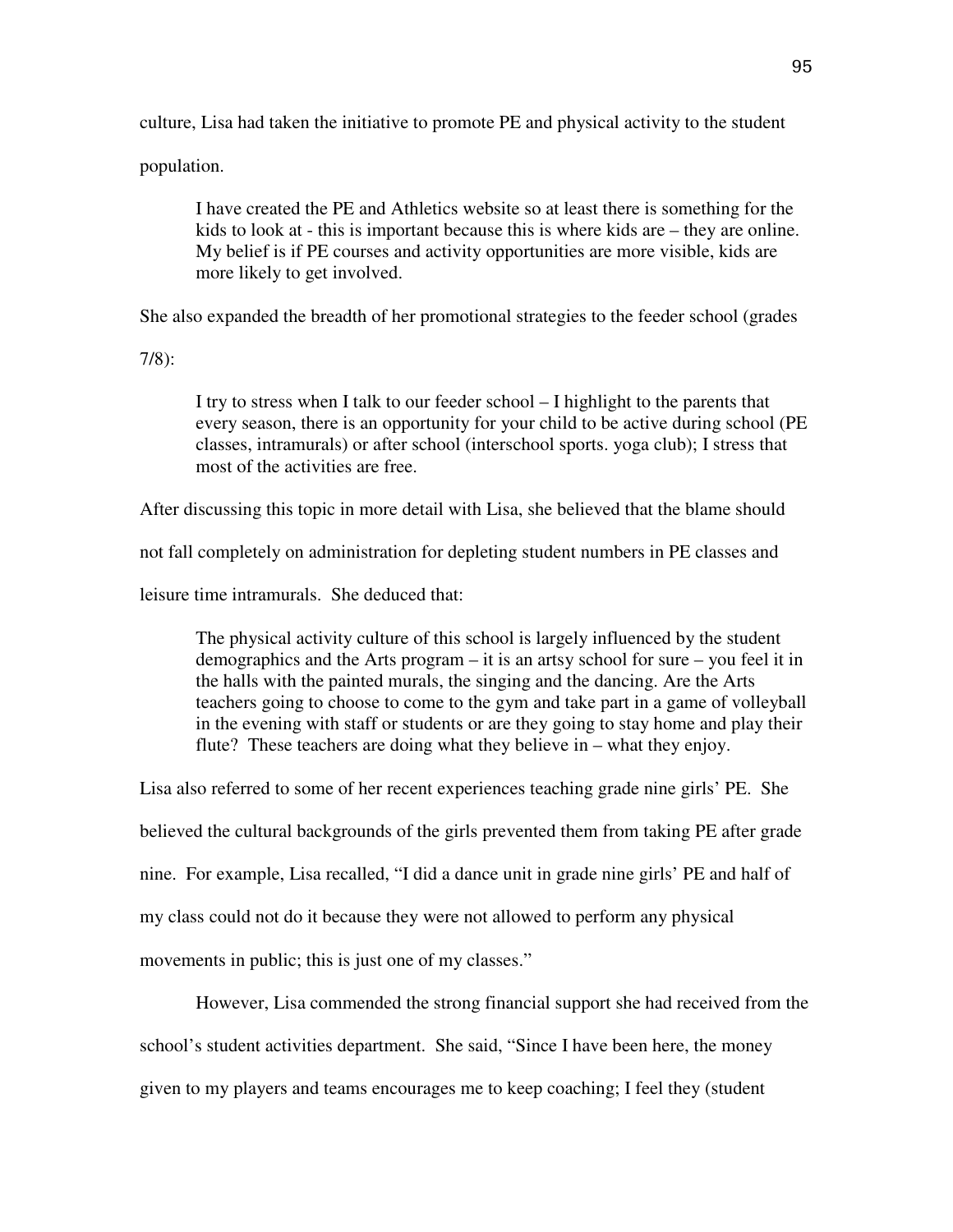culture, Lisa had taken the initiative to promote PE and physical activity to the student

population.

 I have created the PE and Athletics website so at least there is something for the kids to look at - this is important because this is where kids are – they are online. My belief is if PE courses and activity opportunities are more visible, kids are more likely to get involved.

She also expanded the breadth of her promotional strategies to the feeder school (grades

7/8):

I try to stress when I talk to our feeder school – I highlight to the parents that every season, there is an opportunity for your child to be active during school (PE classes, intramurals) or after school (interschool sports. yoga club); I stress that most of the activities are free.

After discussing this topic in more detail with Lisa, she believed that the blame should

not fall completely on administration for depleting student numbers in PE classes and

leisure time intramurals. She deduced that:

The physical activity culture of this school is largely influenced by the student demographics and the Arts program – it is an artsy school for sure – you feel it in the halls with the painted murals, the singing and the dancing. Are the Arts teachers going to choose to come to the gym and take part in a game of volleyball in the evening with staff or students or are they going to stay home and play their flute? These teachers are doing what they believe in – what they enjoy.

Lisa also referred to some of her recent experiences teaching grade nine girls' PE. She believed the cultural backgrounds of the girls prevented them from taking PE after grade nine. For example, Lisa recalled, "I did a dance unit in grade nine girls' PE and half of my class could not do it because they were not allowed to perform any physical movements in public; this is just one of my classes."

However, Lisa commended the strong financial support she had received from the school's student activities department. She said, "Since I have been here, the money given to my players and teams encourages me to keep coaching; I feel they (student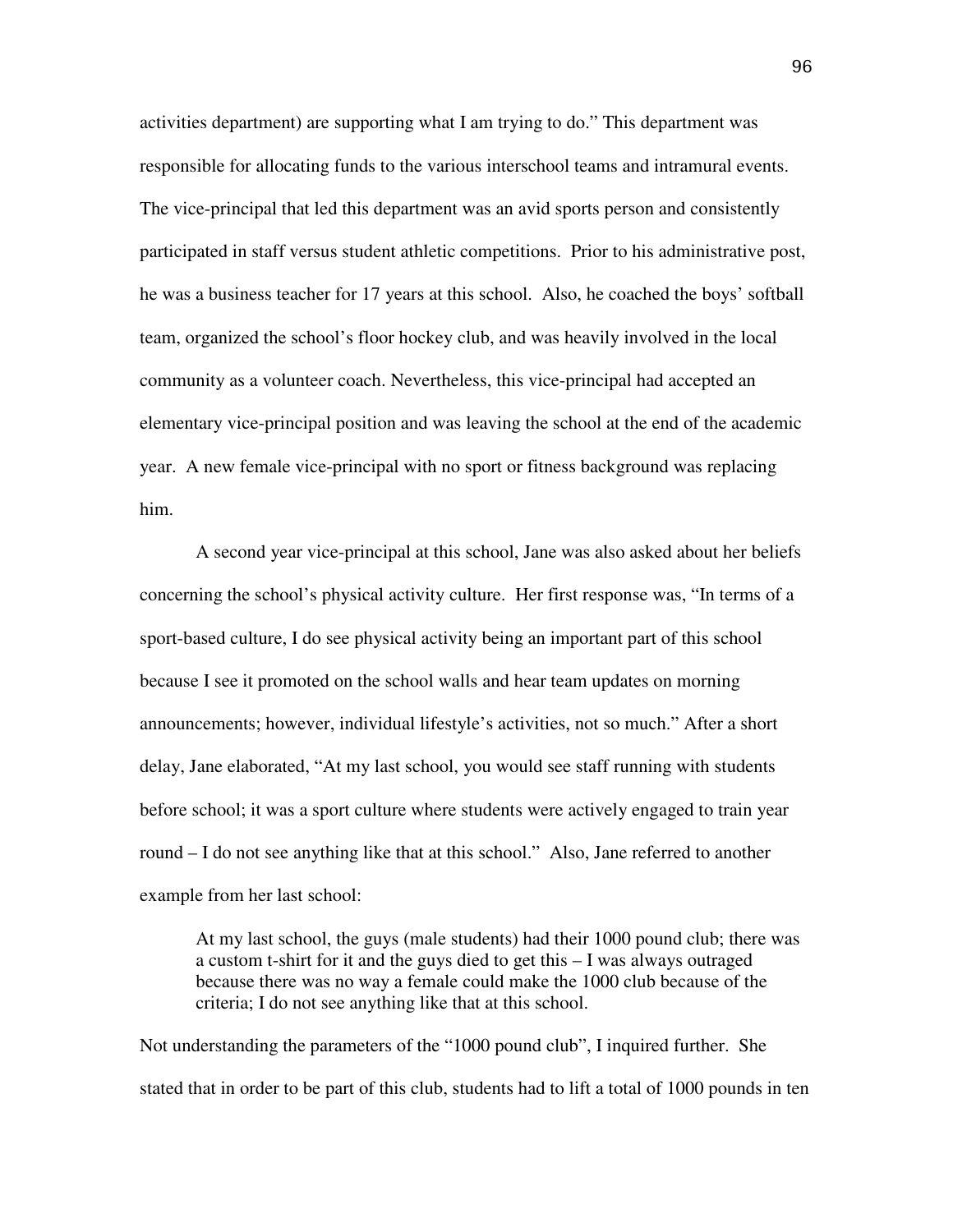activities department) are supporting what I am trying to do." This department was responsible for allocating funds to the various interschool teams and intramural events. The vice-principal that led this department was an avid sports person and consistently participated in staff versus student athletic competitions. Prior to his administrative post, he was a business teacher for 17 years at this school. Also, he coached the boys' softball team, organized the school's floor hockey club, and was heavily involved in the local community as a volunteer coach. Nevertheless, this vice-principal had accepted an elementary vice-principal position and was leaving the school at the end of the academic year. A new female vice-principal with no sport or fitness background was replacing him.

A second year vice-principal at this school, Jane was also asked about her beliefs concerning the school's physical activity culture. Her first response was, "In terms of a sport-based culture, I do see physical activity being an important part of this school because I see it promoted on the school walls and hear team updates on morning announcements; however, individual lifestyle's activities, not so much." After a short delay, Jane elaborated, "At my last school, you would see staff running with students before school; it was a sport culture where students were actively engaged to train year round – I do not see anything like that at this school." Also, Jane referred to another example from her last school:

At my last school, the guys (male students) had their 1000 pound club; there was a custom t-shirt for it and the guys died to get this – I was always outraged because there was no way a female could make the 1000 club because of the criteria; I do not see anything like that at this school.

Not understanding the parameters of the "1000 pound club", I inquired further. She stated that in order to be part of this club, students had to lift a total of 1000 pounds in ten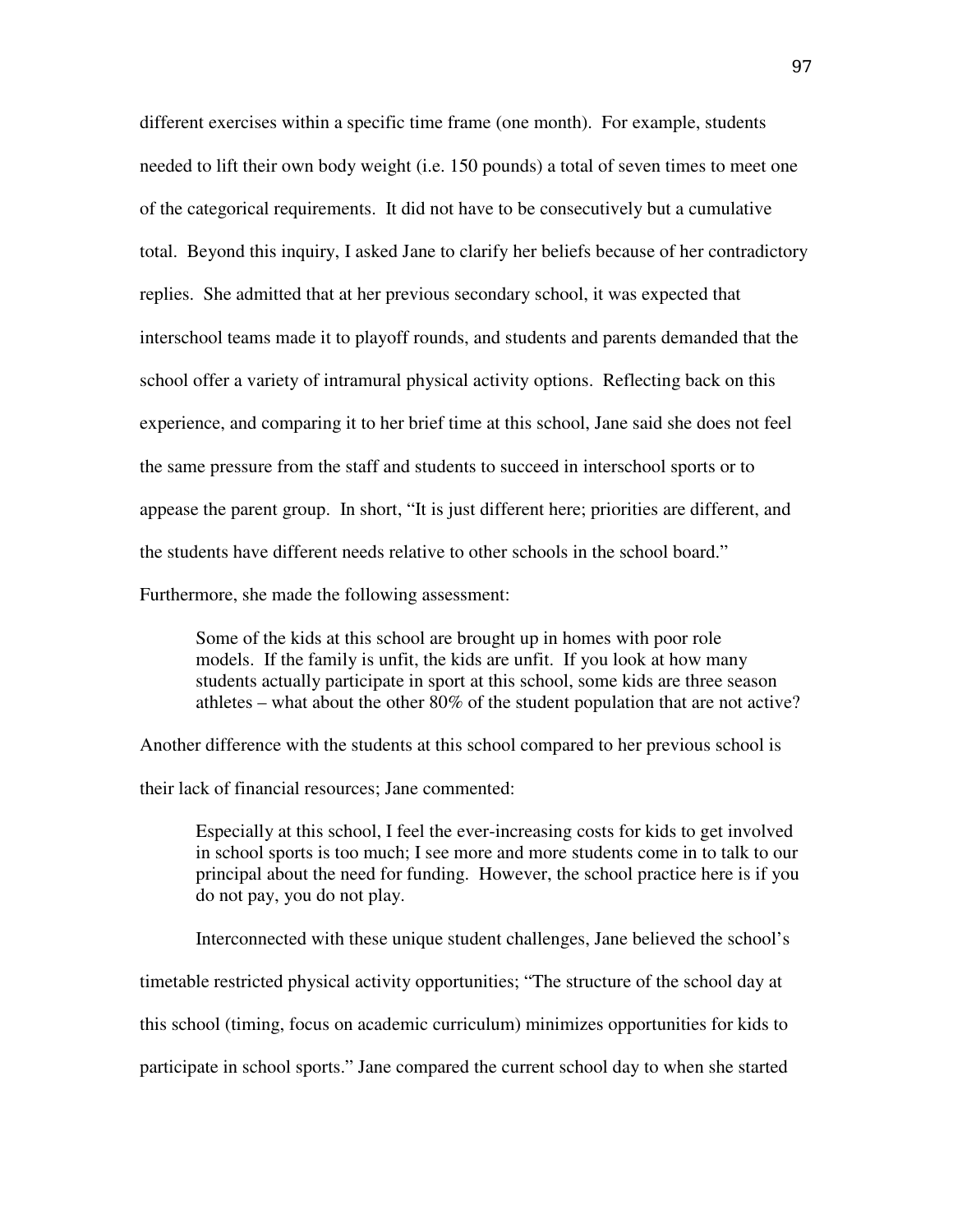different exercises within a specific time frame (one month). For example, students needed to lift their own body weight (i.e. 150 pounds) a total of seven times to meet one of the categorical requirements. It did not have to be consecutively but a cumulative total. Beyond this inquiry, I asked Jane to clarify her beliefs because of her contradictory replies. She admitted that at her previous secondary school, it was expected that interschool teams made it to playoff rounds, and students and parents demanded that the school offer a variety of intramural physical activity options. Reflecting back on this experience, and comparing it to her brief time at this school, Jane said she does not feel the same pressure from the staff and students to succeed in interschool sports or to appease the parent group. In short, "It is just different here; priorities are different, and the students have different needs relative to other schools in the school board."

Furthermore, she made the following assessment:

 Some of the kids at this school are brought up in homes with poor role models. If the family is unfit, the kids are unfit. If you look at how many students actually participate in sport at this school, some kids are three season athletes – what about the other 80% of the student population that are not active?

Another difference with the students at this school compared to her previous school is

their lack of financial resources; Jane commented:

 Especially at this school, I feel the ever-increasing costs for kids to get involved in school sports is too much; I see more and more students come in to talk to our principal about the need for funding. However, the school practice here is if you do not pay, you do not play.

Interconnected with these unique student challenges, Jane believed the school's

timetable restricted physical activity opportunities; "The structure of the school day at

this school (timing, focus on academic curriculum) minimizes opportunities for kids to

participate in school sports." Jane compared the current school day to when she started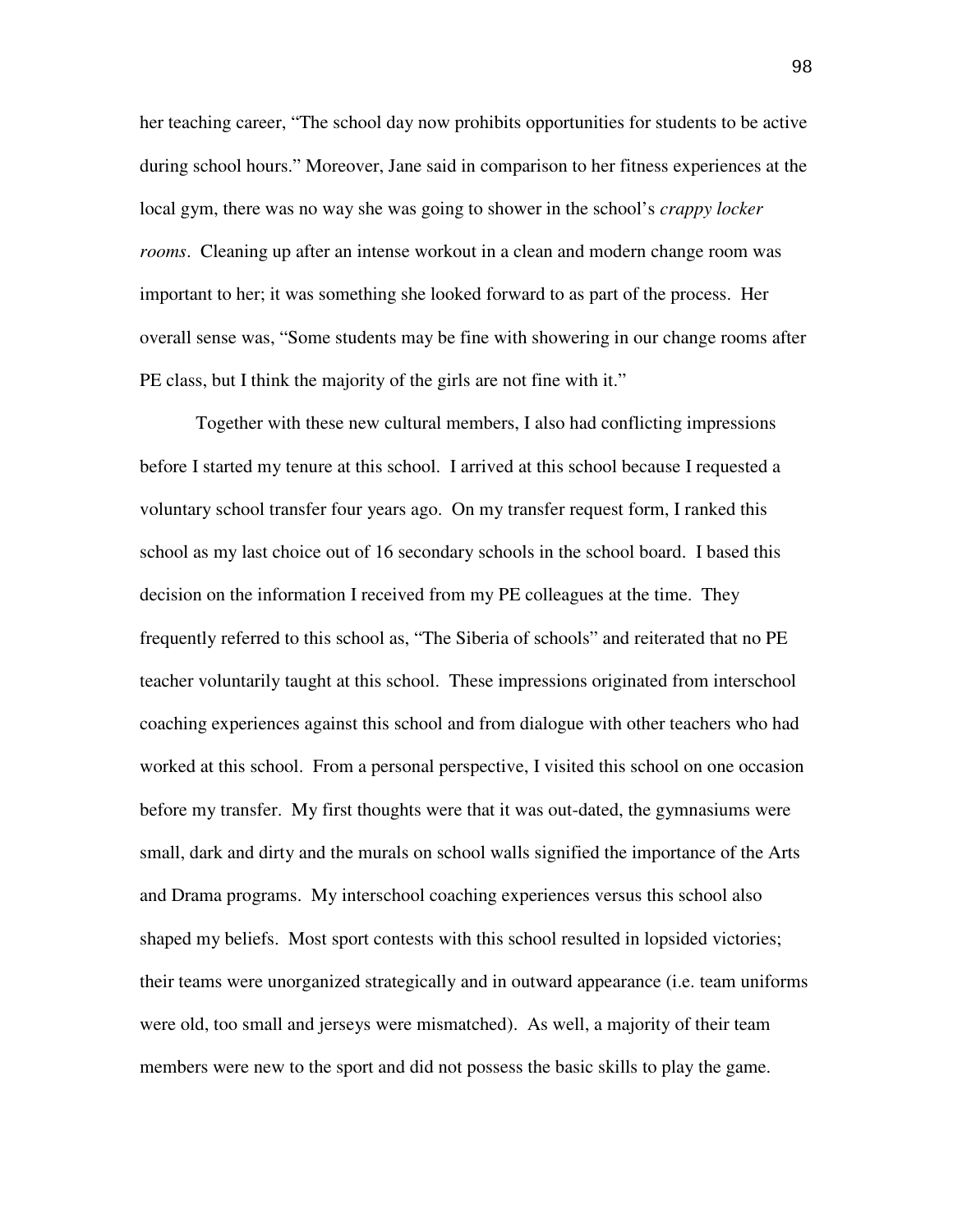her teaching career, "The school day now prohibits opportunities for students to be active during school hours." Moreover, Jane said in comparison to her fitness experiences at the local gym, there was no way she was going to shower in the school's *crappy locker rooms*. Cleaning up after an intense workout in a clean and modern change room was important to her; it was something she looked forward to as part of the process. Her overall sense was, "Some students may be fine with showering in our change rooms after PE class, but I think the majority of the girls are not fine with it."

Together with these new cultural members, I also had conflicting impressions before I started my tenure at this school. I arrived at this school because I requested a voluntary school transfer four years ago. On my transfer request form, I ranked this school as my last choice out of 16 secondary schools in the school board. I based this decision on the information I received from my PE colleagues at the time. They frequently referred to this school as, "The Siberia of schools" and reiterated that no PE teacher voluntarily taught at this school. These impressions originated from interschool coaching experiences against this school and from dialogue with other teachers who had worked at this school. From a personal perspective, I visited this school on one occasion before my transfer. My first thoughts were that it was out-dated, the gymnasiums were small, dark and dirty and the murals on school walls signified the importance of the Arts and Drama programs. My interschool coaching experiences versus this school also shaped my beliefs. Most sport contests with this school resulted in lopsided victories; their teams were unorganized strategically and in outward appearance (i.e. team uniforms were old, too small and jerseys were mismatched). As well, a majority of their team members were new to the sport and did not possess the basic skills to play the game.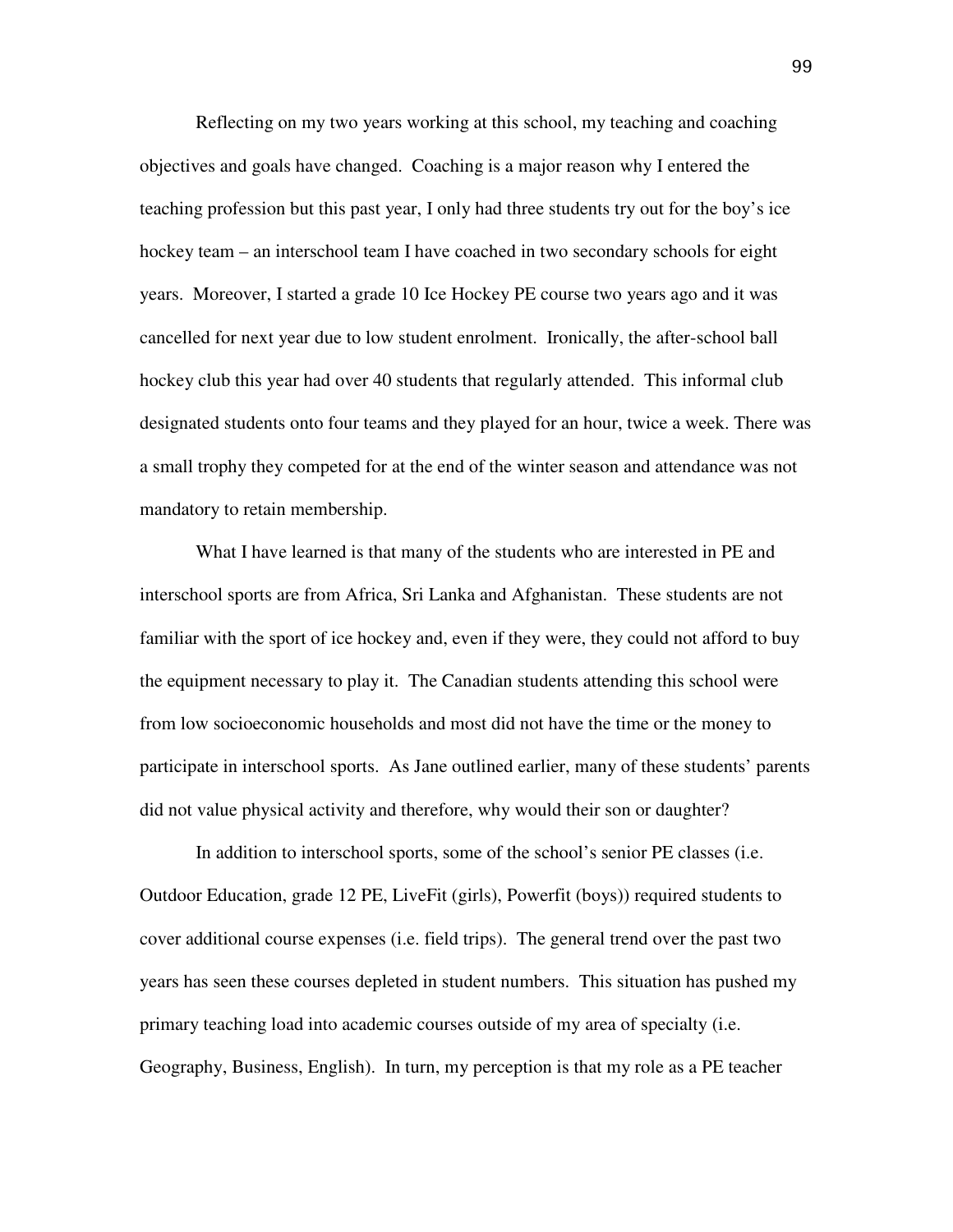Reflecting on my two years working at this school, my teaching and coaching objectives and goals have changed. Coaching is a major reason why I entered the teaching profession but this past year, I only had three students try out for the boy's ice hockey team – an interschool team I have coached in two secondary schools for eight years. Moreover, I started a grade 10 Ice Hockey PE course two years ago and it was cancelled for next year due to low student enrolment. Ironically, the after-school ball hockey club this year had over 40 students that regularly attended. This informal club designated students onto four teams and they played for an hour, twice a week. There was a small trophy they competed for at the end of the winter season and attendance was not mandatory to retain membership.

What I have learned is that many of the students who are interested in PE and interschool sports are from Africa, Sri Lanka and Afghanistan. These students are not familiar with the sport of ice hockey and, even if they were, they could not afford to buy the equipment necessary to play it. The Canadian students attending this school were from low socioeconomic households and most did not have the time or the money to participate in interschool sports. As Jane outlined earlier, many of these students' parents did not value physical activity and therefore, why would their son or daughter?

In addition to interschool sports, some of the school's senior PE classes (i.e. Outdoor Education, grade 12 PE, LiveFit (girls), Powerfit (boys)) required students to cover additional course expenses (i.e. field trips). The general trend over the past two years has seen these courses depleted in student numbers. This situation has pushed my primary teaching load into academic courses outside of my area of specialty (i.e. Geography, Business, English). In turn, my perception is that my role as a PE teacher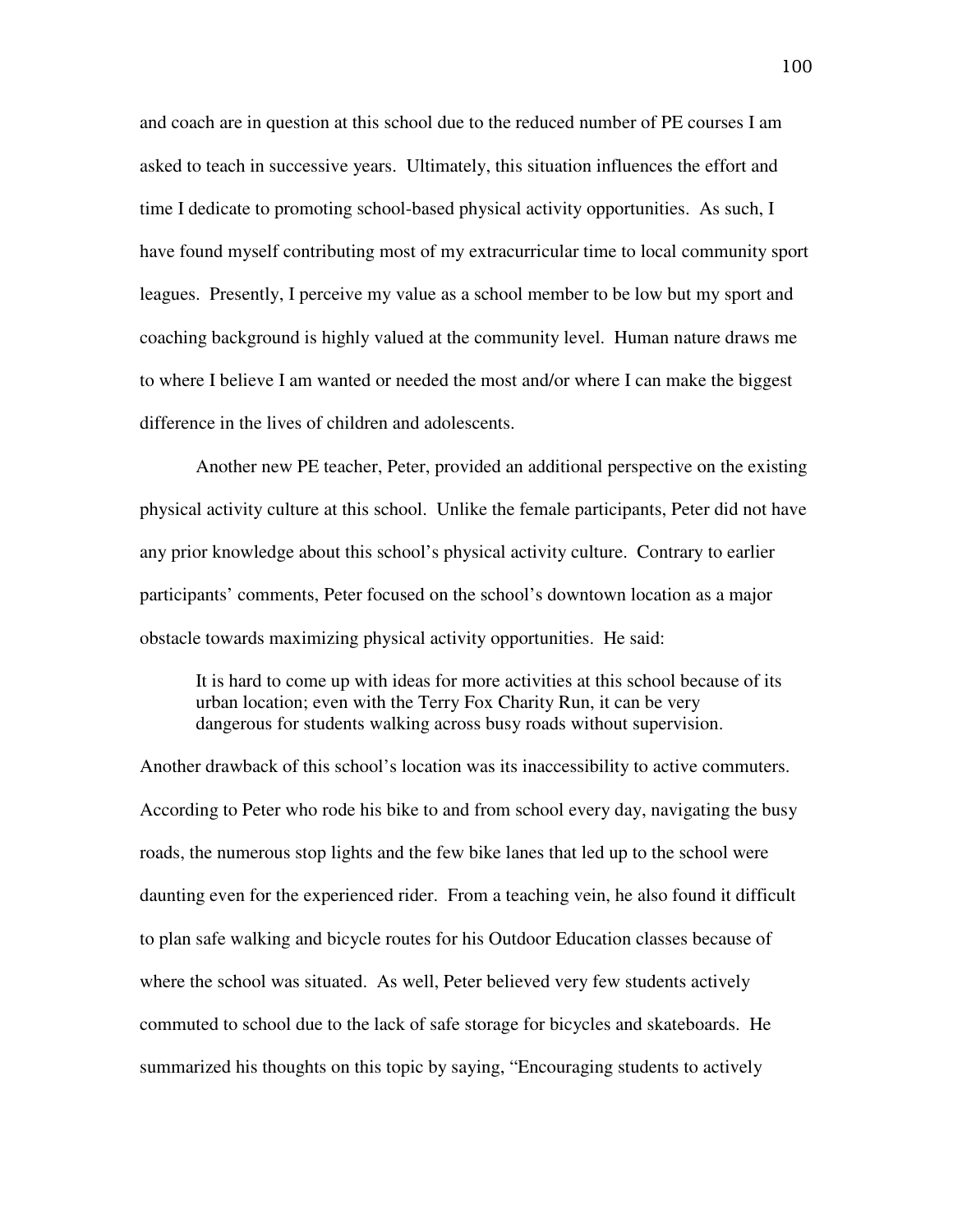and coach are in question at this school due to the reduced number of PE courses I am asked to teach in successive years. Ultimately, this situation influences the effort and time I dedicate to promoting school-based physical activity opportunities. As such, I have found myself contributing most of my extracurricular time to local community sport leagues. Presently, I perceive my value as a school member to be low but my sport and coaching background is highly valued at the community level. Human nature draws me to where I believe I am wanted or needed the most and/or where I can make the biggest difference in the lives of children and adolescents.

Another new PE teacher, Peter, provided an additional perspective on the existing physical activity culture at this school. Unlike the female participants, Peter did not have any prior knowledge about this school's physical activity culture. Contrary to earlier participants' comments, Peter focused on the school's downtown location as a major obstacle towards maximizing physical activity opportunities. He said:

It is hard to come up with ideas for more activities at this school because of its urban location; even with the Terry Fox Charity Run, it can be very dangerous for students walking across busy roads without supervision.

Another drawback of this school's location was its inaccessibility to active commuters. According to Peter who rode his bike to and from school every day, navigating the busy roads, the numerous stop lights and the few bike lanes that led up to the school were daunting even for the experienced rider. From a teaching vein, he also found it difficult to plan safe walking and bicycle routes for his Outdoor Education classes because of where the school was situated. As well, Peter believed very few students actively commuted to school due to the lack of safe storage for bicycles and skateboards. He summarized his thoughts on this topic by saying, "Encouraging students to actively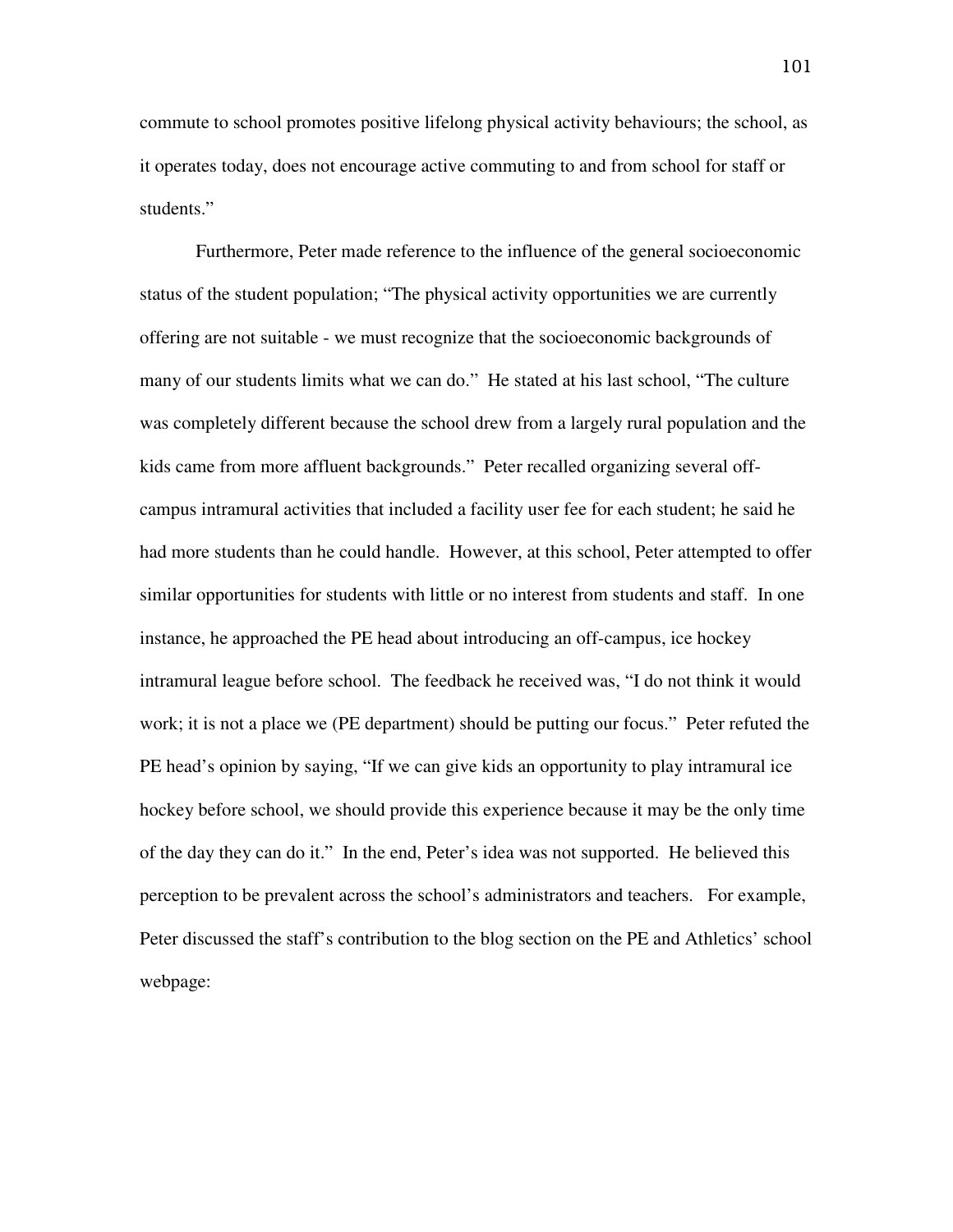commute to school promotes positive lifelong physical activity behaviours; the school, as it operates today, does not encourage active commuting to and from school for staff or students."

Furthermore, Peter made reference to the influence of the general socioeconomic status of the student population; "The physical activity opportunities we are currently offering are not suitable - we must recognize that the socioeconomic backgrounds of many of our students limits what we can do." He stated at his last school, "The culture was completely different because the school drew from a largely rural population and the kids came from more affluent backgrounds." Peter recalled organizing several offcampus intramural activities that included a facility user fee for each student; he said he had more students than he could handle. However, at this school, Peter attempted to offer similar opportunities for students with little or no interest from students and staff. In one instance, he approached the PE head about introducing an off-campus, ice hockey intramural league before school. The feedback he received was, "I do not think it would work; it is not a place we (PE department) should be putting our focus." Peter refuted the PE head's opinion by saying, "If we can give kids an opportunity to play intramural ice hockey before school, we should provide this experience because it may be the only time of the day they can do it." In the end, Peter's idea was not supported. He believed this perception to be prevalent across the school's administrators and teachers. For example, Peter discussed the staff's contribution to the blog section on the PE and Athletics' school webpage: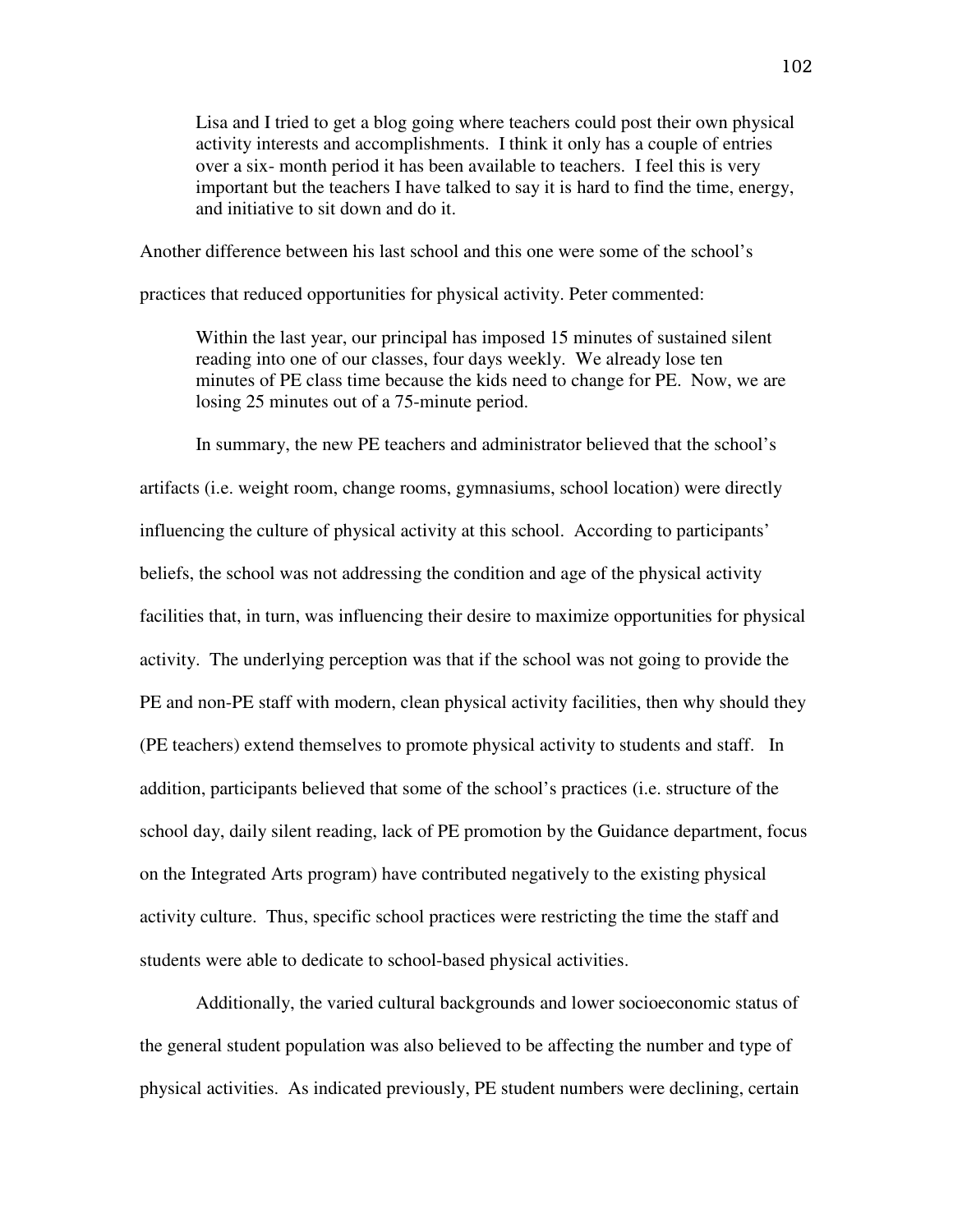Lisa and I tried to get a blog going where teachers could post their own physical activity interests and accomplishments. I think it only has a couple of entries over a six- month period it has been available to teachers. I feel this is very important but the teachers I have talked to say it is hard to find the time, energy, and initiative to sit down and do it.

Another difference between his last school and this one were some of the school's

practices that reduced opportunities for physical activity. Peter commented:

 Within the last year, our principal has imposed 15 minutes of sustained silent reading into one of our classes, four days weekly. We already lose ten minutes of PE class time because the kids need to change for PE. Now, we are losing 25 minutes out of a 75-minute period.

In summary, the new PE teachers and administrator believed that the school's artifacts (i.e. weight room, change rooms, gymnasiums, school location) were directly influencing the culture of physical activity at this school. According to participants' beliefs, the school was not addressing the condition and age of the physical activity facilities that, in turn, was influencing their desire to maximize opportunities for physical activity. The underlying perception was that if the school was not going to provide the PE and non-PE staff with modern, clean physical activity facilities, then why should they (PE teachers) extend themselves to promote physical activity to students and staff. In addition, participants believed that some of the school's practices (i.e. structure of the school day, daily silent reading, lack of PE promotion by the Guidance department, focus on the Integrated Arts program) have contributed negatively to the existing physical activity culture. Thus, specific school practices were restricting the time the staff and students were able to dedicate to school-based physical activities.

Additionally, the varied cultural backgrounds and lower socioeconomic status of the general student population was also believed to be affecting the number and type of physical activities. As indicated previously, PE student numbers were declining, certain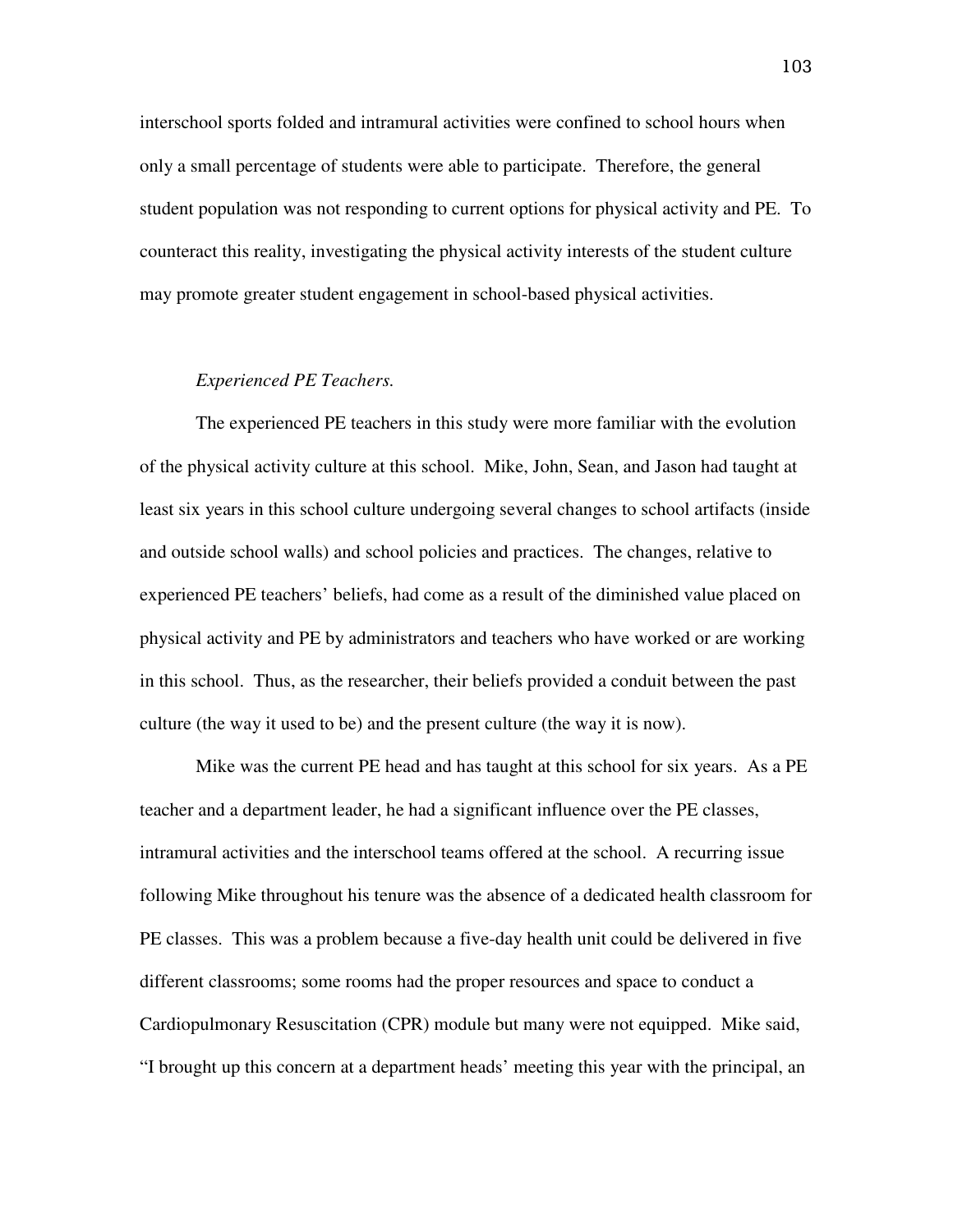interschool sports folded and intramural activities were confined to school hours when only a small percentage of students were able to participate. Therefore, the general student population was not responding to current options for physical activity and PE. To counteract this reality, investigating the physical activity interests of the student culture may promote greater student engagement in school-based physical activities.

### *Experienced PE Teachers.*

The experienced PE teachers in this study were more familiar with the evolution of the physical activity culture at this school. Mike, John, Sean, and Jason had taught at least six years in this school culture undergoing several changes to school artifacts (inside and outside school walls) and school policies and practices. The changes, relative to experienced PE teachers' beliefs, had come as a result of the diminished value placed on physical activity and PE by administrators and teachers who have worked or are working in this school. Thus, as the researcher, their beliefs provided a conduit between the past culture (the way it used to be) and the present culture (the way it is now).

Mike was the current PE head and has taught at this school for six years. As a PE teacher and a department leader, he had a significant influence over the PE classes, intramural activities and the interschool teams offered at the school. A recurring issue following Mike throughout his tenure was the absence of a dedicated health classroom for PE classes. This was a problem because a five-day health unit could be delivered in five different classrooms; some rooms had the proper resources and space to conduct a Cardiopulmonary Resuscitation (CPR) module but many were not equipped. Mike said, "I brought up this concern at a department heads' meeting this year with the principal, an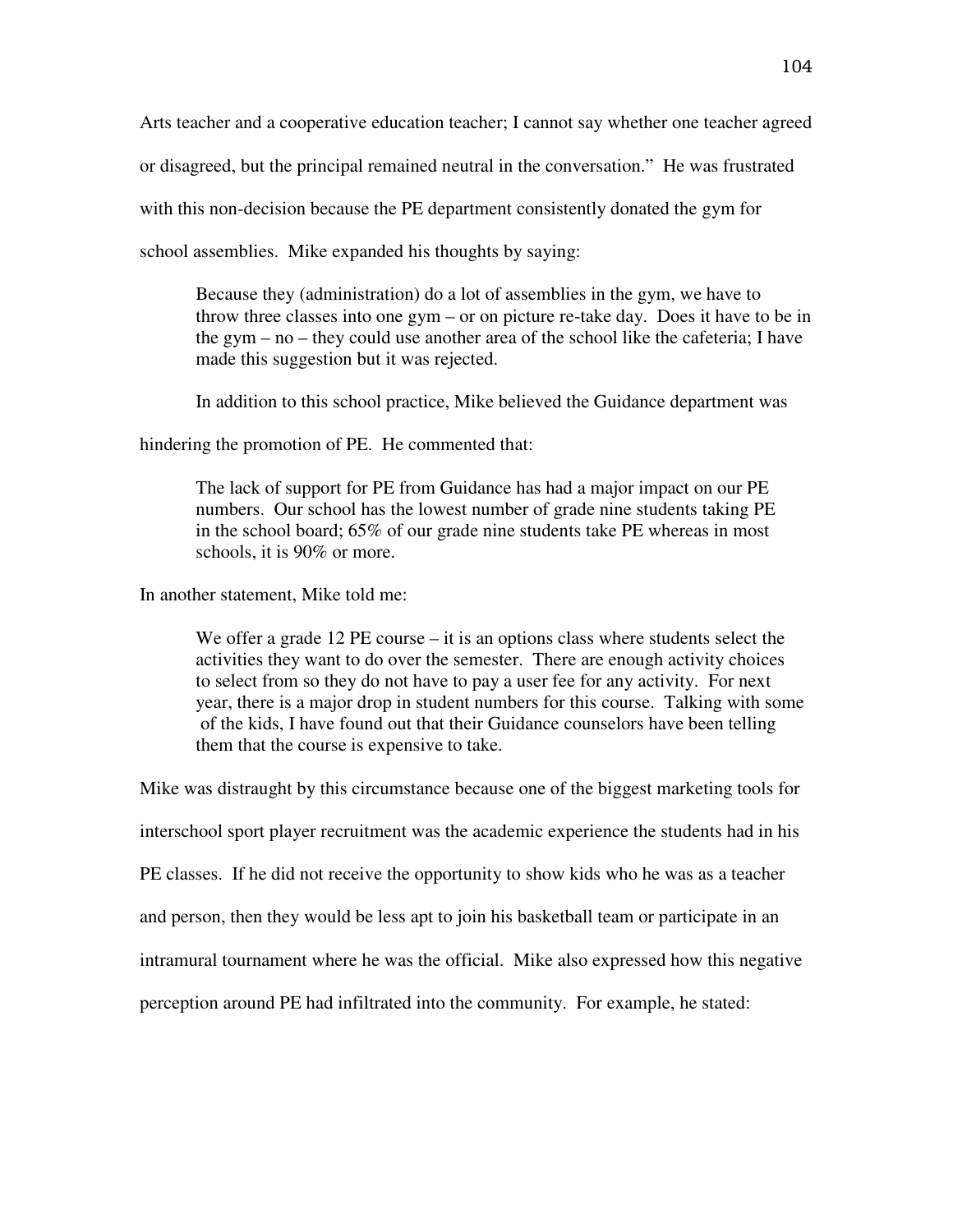Arts teacher and a cooperative education teacher; I cannot say whether one teacher agreed

or disagreed, but the principal remained neutral in the conversation." He was frustrated

with this non-decision because the PE department consistently donated the gym for

school assemblies. Mike expanded his thoughts by saying:

Because they (administration) do a lot of assemblies in the gym, we have to throw three classes into one gym – or on picture re-take day. Does it have to be in the gym – no – they could use another area of the school like the cafeteria; I have made this suggestion but it was rejected.

In addition to this school practice, Mike believed the Guidance department was

hindering the promotion of PE. He commented that:

The lack of support for PE from Guidance has had a major impact on our PE numbers. Our school has the lowest number of grade nine students taking PE in the school board; 65% of our grade nine students take PE whereas in most schools, it is 90% or more.

In another statement, Mike told me:

We offer a grade 12 PE course – it is an options class where students select the activities they want to do over the semester. There are enough activity choices to select from so they do not have to pay a user fee for any activity. For next year, there is a major drop in student numbers for this course. Talking with some of the kids, I have found out that their Guidance counselors have been telling them that the course is expensive to take.

Mike was distraught by this circumstance because one of the biggest marketing tools for

interschool sport player recruitment was the academic experience the students had in his

PE classes. If he did not receive the opportunity to show kids who he was as a teacher

and person, then they would be less apt to join his basketball team or participate in an

intramural tournament where he was the official. Mike also expressed how this negative

perception around PE had infiltrated into the community. For example, he stated: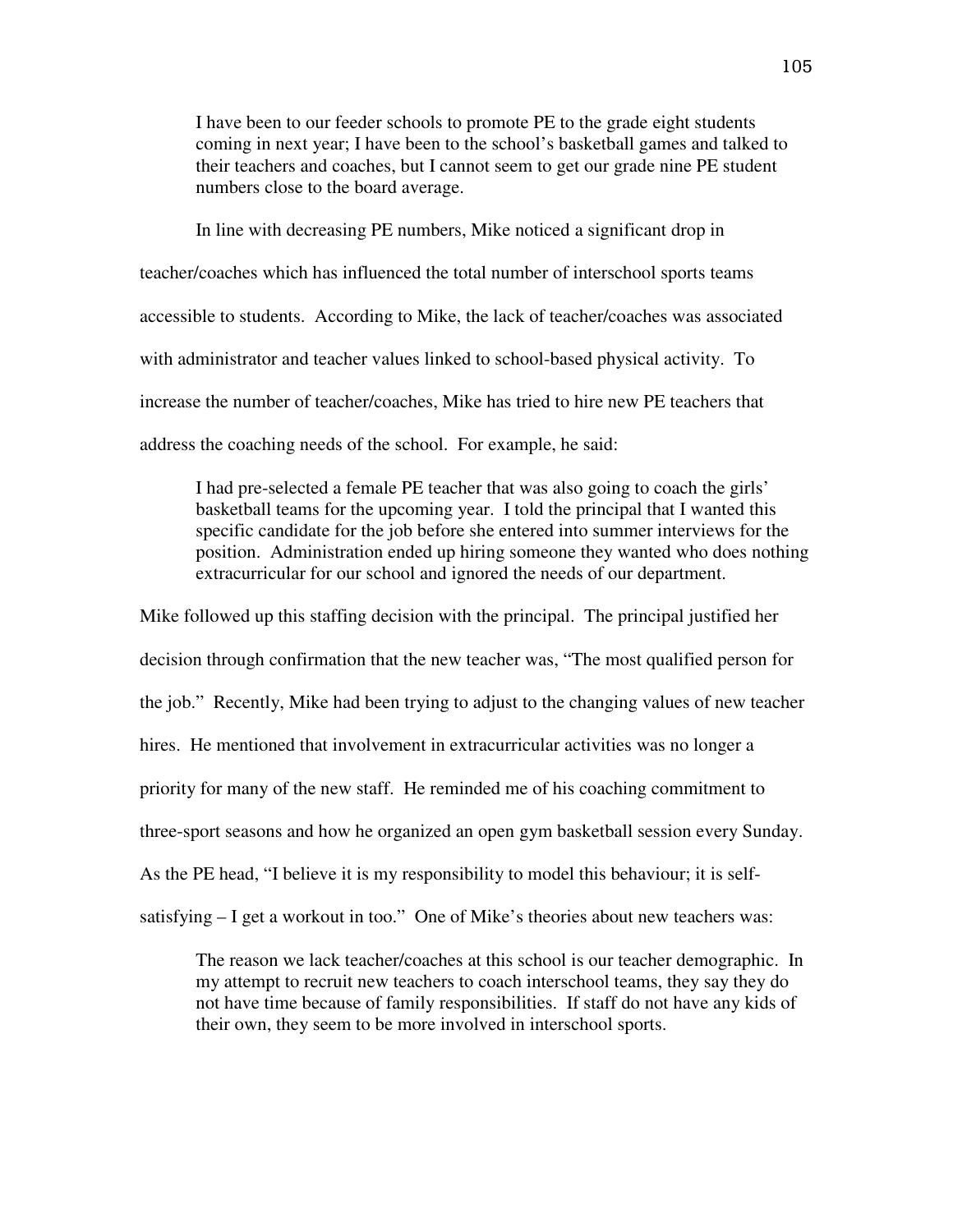I have been to our feeder schools to promote PE to the grade eight students coming in next year; I have been to the school's basketball games and talked to their teachers and coaches, but I cannot seem to get our grade nine PE student numbers close to the board average.

In line with decreasing PE numbers, Mike noticed a significant drop in teacher/coaches which has influenced the total number of interschool sports teams accessible to students. According to Mike, the lack of teacher/coaches was associated with administrator and teacher values linked to school-based physical activity. To increase the number of teacher/coaches, Mike has tried to hire new PE teachers that address the coaching needs of the school. For example, he said:

I had pre-selected a female PE teacher that was also going to coach the girls' basketball teams for the upcoming year. I told the principal that I wanted this specific candidate for the job before she entered into summer interviews for the position. Administration ended up hiring someone they wanted who does nothing extracurricular for our school and ignored the needs of our department.

Mike followed up this staffing decision with the principal. The principal justified her decision through confirmation that the new teacher was, "The most qualified person for the job." Recently, Mike had been trying to adjust to the changing values of new teacher hires. He mentioned that involvement in extracurricular activities was no longer a priority for many of the new staff. He reminded me of his coaching commitment to three-sport seasons and how he organized an open gym basketball session every Sunday. As the PE head, "I believe it is my responsibility to model this behaviour; it is selfsatisfying – I get a workout in too." One of Mike's theories about new teachers was:

The reason we lack teacher/coaches at this school is our teacher demographic. In my attempt to recruit new teachers to coach interschool teams, they say they do not have time because of family responsibilities. If staff do not have any kids of their own, they seem to be more involved in interschool sports.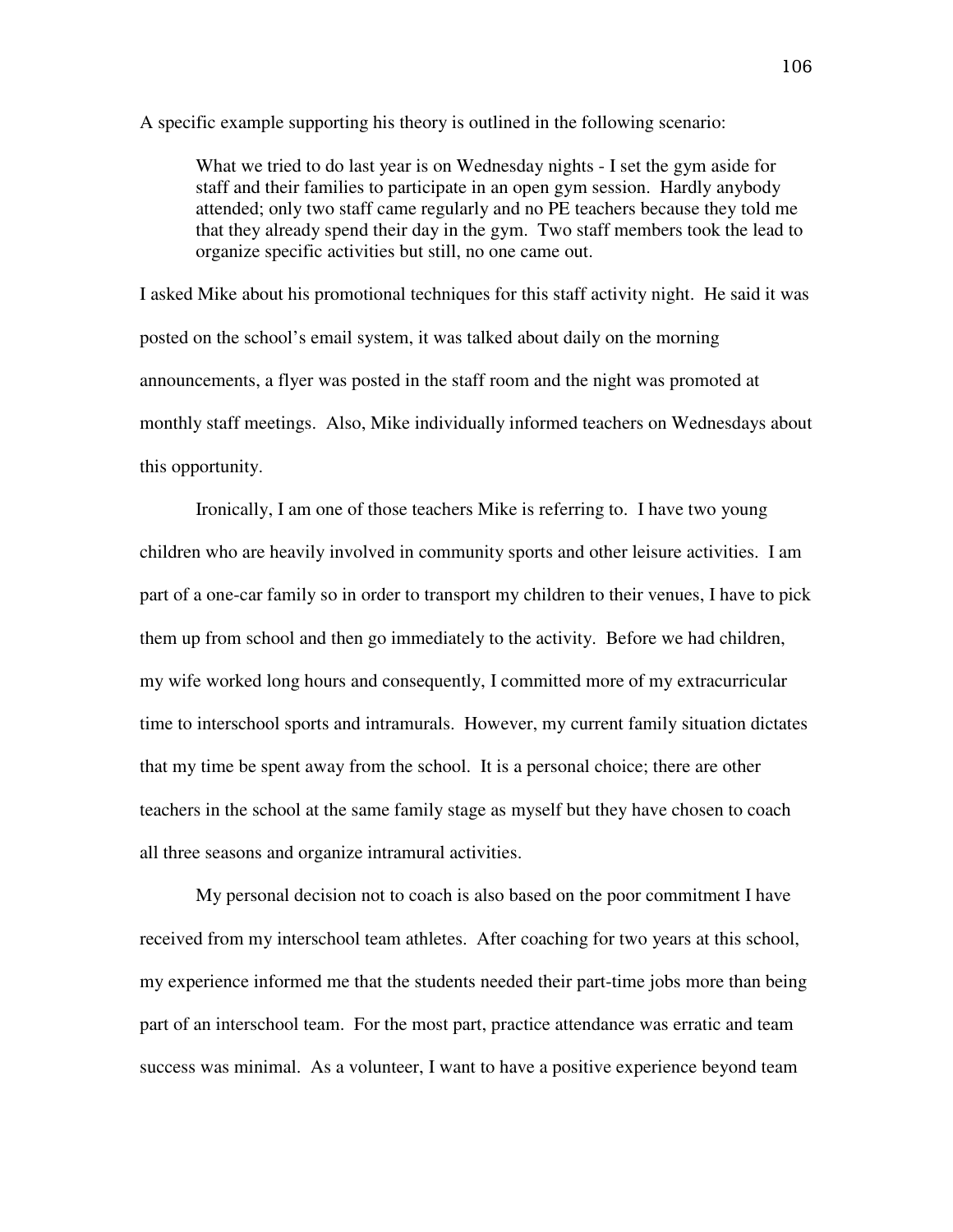A specific example supporting his theory is outlined in the following scenario:

 What we tried to do last year is on Wednesday nights - I set the gym aside for staff and their families to participate in an open gym session. Hardly anybody attended; only two staff came regularly and no PE teachers because they told me that they already spend their day in the gym. Two staff members took the lead to organize specific activities but still, no one came out.

I asked Mike about his promotional techniques for this staff activity night. He said it was posted on the school's email system, it was talked about daily on the morning announcements, a flyer was posted in the staff room and the night was promoted at monthly staff meetings. Also, Mike individually informed teachers on Wednesdays about this opportunity.

 Ironically, I am one of those teachers Mike is referring to. I have two young children who are heavily involved in community sports and other leisure activities. I am part of a one-car family so in order to transport my children to their venues, I have to pick them up from school and then go immediately to the activity. Before we had children, my wife worked long hours and consequently, I committed more of my extracurricular time to interschool sports and intramurals. However, my current family situation dictates that my time be spent away from the school. It is a personal choice; there are other teachers in the school at the same family stage as myself but they have chosen to coach all three seasons and organize intramural activities.

My personal decision not to coach is also based on the poor commitment I have received from my interschool team athletes. After coaching for two years at this school, my experience informed me that the students needed their part-time jobs more than being part of an interschool team. For the most part, practice attendance was erratic and team success was minimal. As a volunteer, I want to have a positive experience beyond team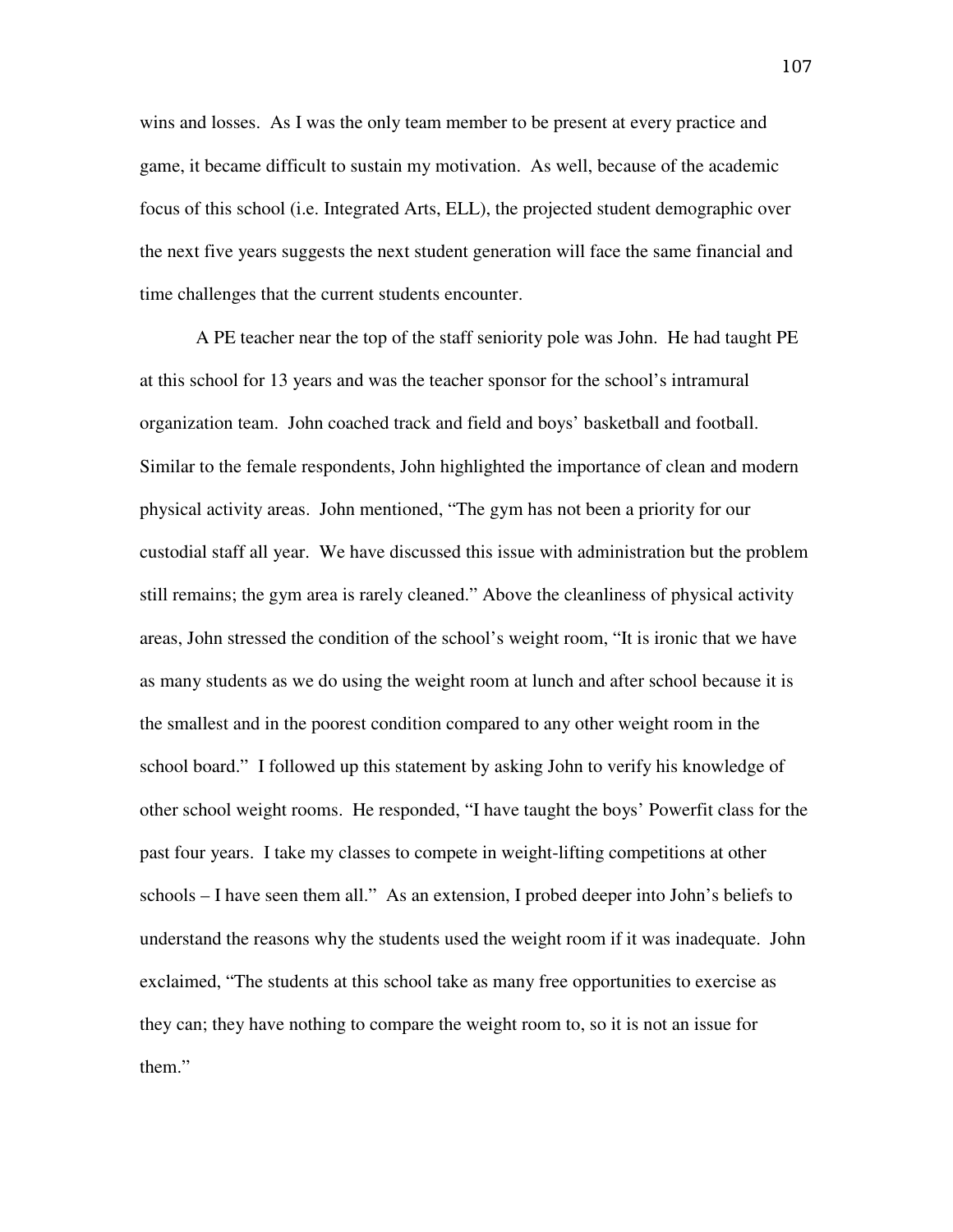wins and losses. As I was the only team member to be present at every practice and game, it became difficult to sustain my motivation. As well, because of the academic focus of this school (i.e. Integrated Arts, ELL), the projected student demographic over the next five years suggests the next student generation will face the same financial and time challenges that the current students encounter.

A PE teacher near the top of the staff seniority pole was John. He had taught PE at this school for 13 years and was the teacher sponsor for the school's intramural organization team. John coached track and field and boys' basketball and football. Similar to the female respondents, John highlighted the importance of clean and modern physical activity areas. John mentioned, "The gym has not been a priority for our custodial staff all year. We have discussed this issue with administration but the problem still remains; the gym area is rarely cleaned." Above the cleanliness of physical activity areas, John stressed the condition of the school's weight room, "It is ironic that we have as many students as we do using the weight room at lunch and after school because it is the smallest and in the poorest condition compared to any other weight room in the school board." I followed up this statement by asking John to verify his knowledge of other school weight rooms. He responded, "I have taught the boys' Powerfit class for the past four years. I take my classes to compete in weight-lifting competitions at other schools – I have seen them all." As an extension, I probed deeper into John's beliefs to understand the reasons why the students used the weight room if it was inadequate. John exclaimed, "The students at this school take as many free opportunities to exercise as they can; they have nothing to compare the weight room to, so it is not an issue for them."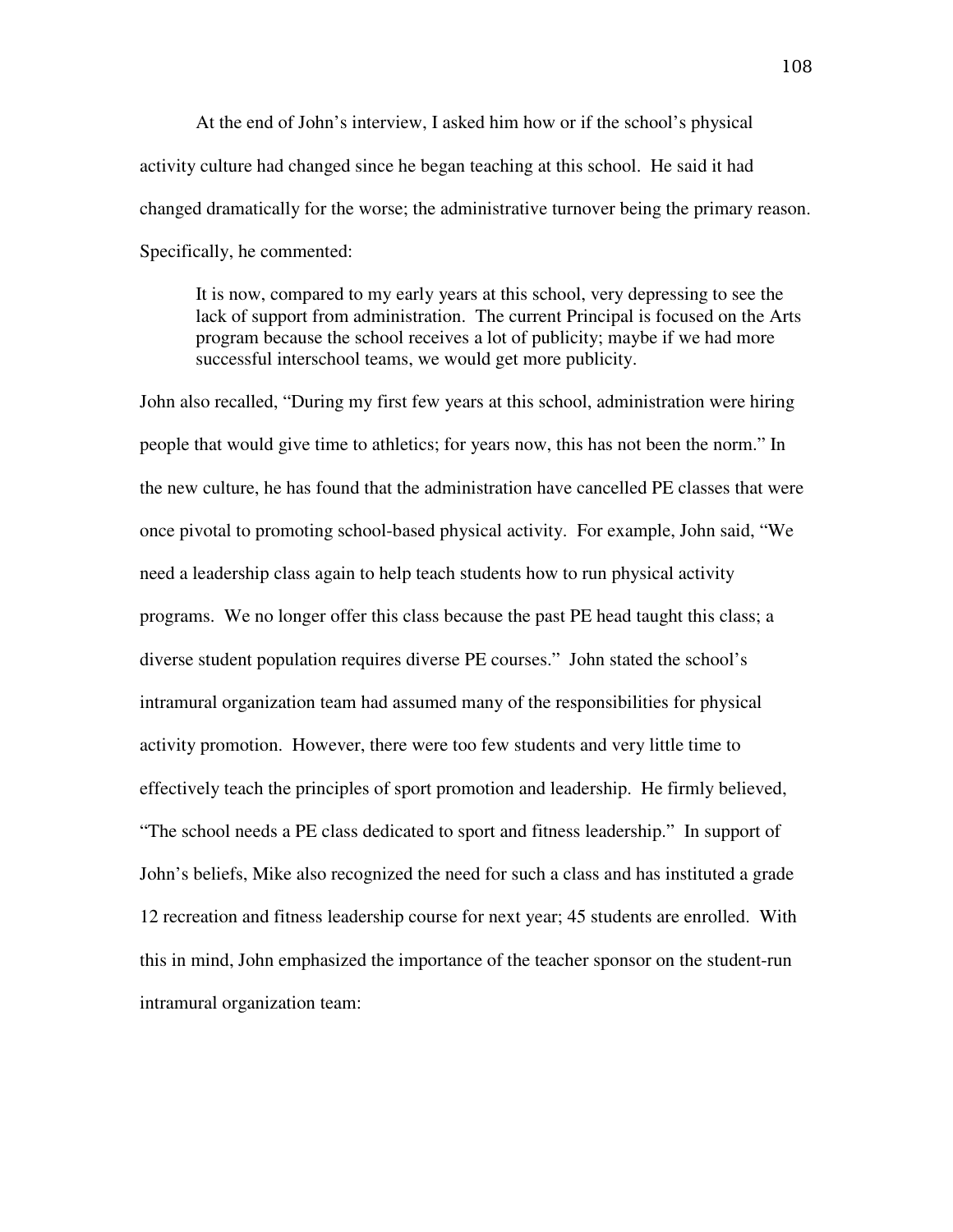At the end of John's interview, I asked him how or if the school's physical activity culture had changed since he began teaching at this school. He said it had changed dramatically for the worse; the administrative turnover being the primary reason. Specifically, he commented:

It is now, compared to my early years at this school, very depressing to see the lack of support from administration. The current Principal is focused on the Arts program because the school receives a lot of publicity; maybe if we had more successful interschool teams, we would get more publicity.

John also recalled, "During my first few years at this school, administration were hiring people that would give time to athletics; for years now, this has not been the norm." In the new culture, he has found that the administration have cancelled PE classes that were once pivotal to promoting school-based physical activity. For example, John said, "We need a leadership class again to help teach students how to run physical activity programs. We no longer offer this class because the past PE head taught this class; a diverse student population requires diverse PE courses." John stated the school's intramural organization team had assumed many of the responsibilities for physical activity promotion. However, there were too few students and very little time to effectively teach the principles of sport promotion and leadership. He firmly believed, "The school needs a PE class dedicated to sport and fitness leadership." In support of John's beliefs, Mike also recognized the need for such a class and has instituted a grade 12 recreation and fitness leadership course for next year; 45 students are enrolled. With this in mind, John emphasized the importance of the teacher sponsor on the student-run intramural organization team: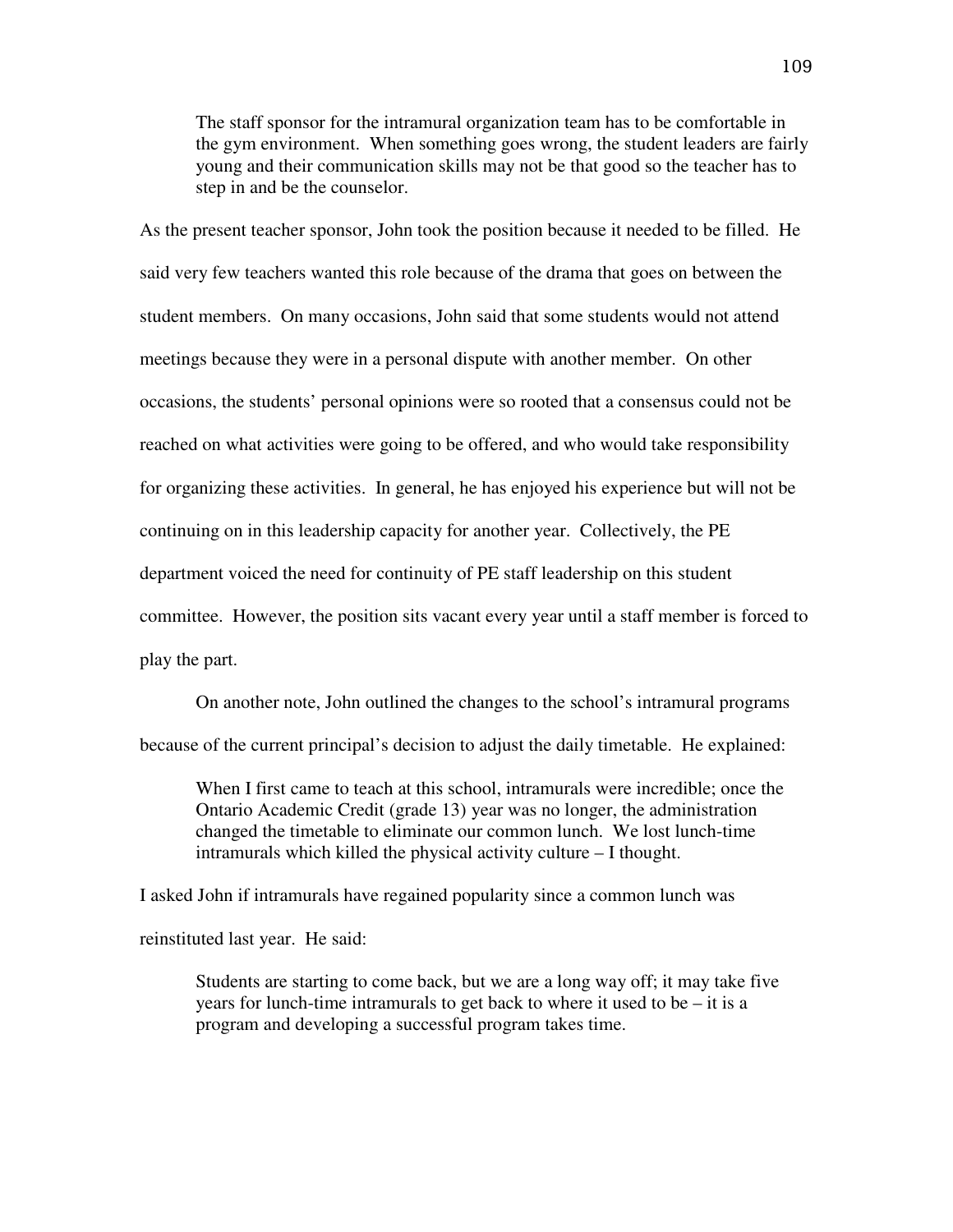The staff sponsor for the intramural organization team has to be comfortable in the gym environment. When something goes wrong, the student leaders are fairly young and their communication skills may not be that good so the teacher has to step in and be the counselor.

As the present teacher sponsor, John took the position because it needed to be filled. He said very few teachers wanted this role because of the drama that goes on between the student members. On many occasions, John said that some students would not attend meetings because they were in a personal dispute with another member. On other occasions, the students' personal opinions were so rooted that a consensus could not be reached on what activities were going to be offered, and who would take responsibility for organizing these activities. In general, he has enjoyed his experience but will not be continuing on in this leadership capacity for another year. Collectively, the PE department voiced the need for continuity of PE staff leadership on this student committee. However, the position sits vacant every year until a staff member is forced to play the part.

On another note, John outlined the changes to the school's intramural programs because of the current principal's decision to adjust the daily timetable. He explained:

When I first came to teach at this school, intramurals were incredible; once the Ontario Academic Credit (grade 13) year was no longer, the administration changed the timetable to eliminate our common lunch. We lost lunch-time intramurals which killed the physical activity culture – I thought.

I asked John if intramurals have regained popularity since a common lunch was reinstituted last year. He said:

Students are starting to come back, but we are a long way off; it may take five years for lunch-time intramurals to get back to where it used to be – it is a program and developing a successful program takes time.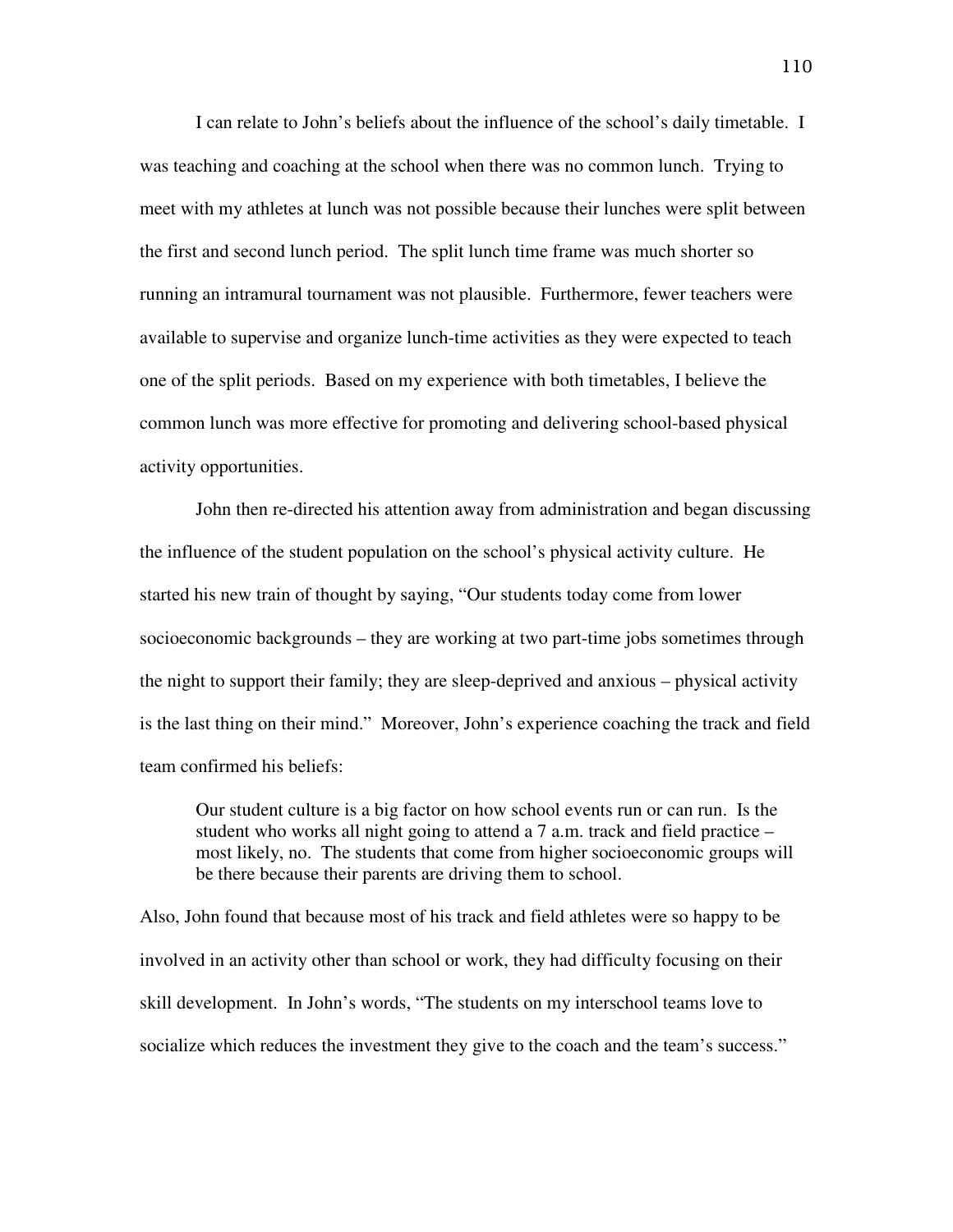I can relate to John's beliefs about the influence of the school's daily timetable. I was teaching and coaching at the school when there was no common lunch. Trying to meet with my athletes at lunch was not possible because their lunches were split between the first and second lunch period. The split lunch time frame was much shorter so running an intramural tournament was not plausible. Furthermore, fewer teachers were available to supervise and organize lunch-time activities as they were expected to teach one of the split periods. Based on my experience with both timetables, I believe the common lunch was more effective for promoting and delivering school-based physical activity opportunities.

John then re-directed his attention away from administration and began discussing the influence of the student population on the school's physical activity culture. He started his new train of thought by saying, "Our students today come from lower socioeconomic backgrounds – they are working at two part-time jobs sometimes through the night to support their family; they are sleep-deprived and anxious – physical activity is the last thing on their mind." Moreover, John's experience coaching the track and field team confirmed his beliefs:

Our student culture is a big factor on how school events run or can run. Is the student who works all night going to attend a 7 a.m. track and field practice – most likely, no. The students that come from higher socioeconomic groups will be there because their parents are driving them to school.

Also, John found that because most of his track and field athletes were so happy to be involved in an activity other than school or work, they had difficulty focusing on their skill development. In John's words, "The students on my interschool teams love to socialize which reduces the investment they give to the coach and the team's success."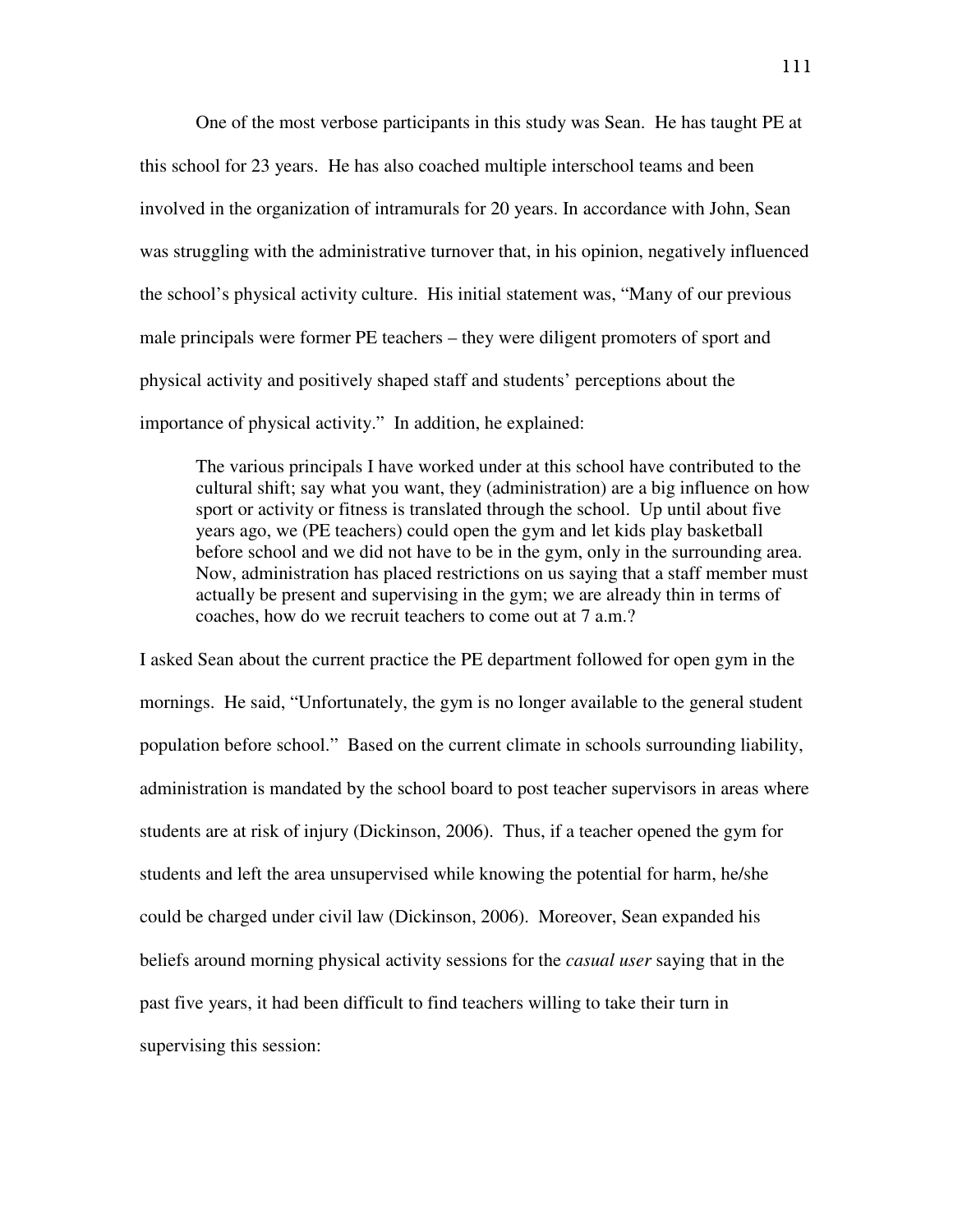One of the most verbose participants in this study was Sean. He has taught PE at this school for 23 years. He has also coached multiple interschool teams and been involved in the organization of intramurals for 20 years. In accordance with John, Sean was struggling with the administrative turnover that, in his opinion, negatively influenced the school's physical activity culture. His initial statement was, "Many of our previous male principals were former PE teachers – they were diligent promoters of sport and physical activity and positively shaped staff and students' perceptions about the importance of physical activity." In addition, he explained:

The various principals I have worked under at this school have contributed to the cultural shift; say what you want, they (administration) are a big influence on how sport or activity or fitness is translated through the school. Up until about five years ago, we (PE teachers) could open the gym and let kids play basketball before school and we did not have to be in the gym, only in the surrounding area. Now, administration has placed restrictions on us saying that a staff member must actually be present and supervising in the gym; we are already thin in terms of coaches, how do we recruit teachers to come out at 7 a.m.?

I asked Sean about the current practice the PE department followed for open gym in the mornings. He said, "Unfortunately, the gym is no longer available to the general student population before school." Based on the current climate in schools surrounding liability, administration is mandated by the school board to post teacher supervisors in areas where students are at risk of injury (Dickinson, 2006). Thus, if a teacher opened the gym for students and left the area unsupervised while knowing the potential for harm, he/she could be charged under civil law (Dickinson, 2006). Moreover, Sean expanded his beliefs around morning physical activity sessions for the *casual user* saying that in the past five years, it had been difficult to find teachers willing to take their turn in supervising this session: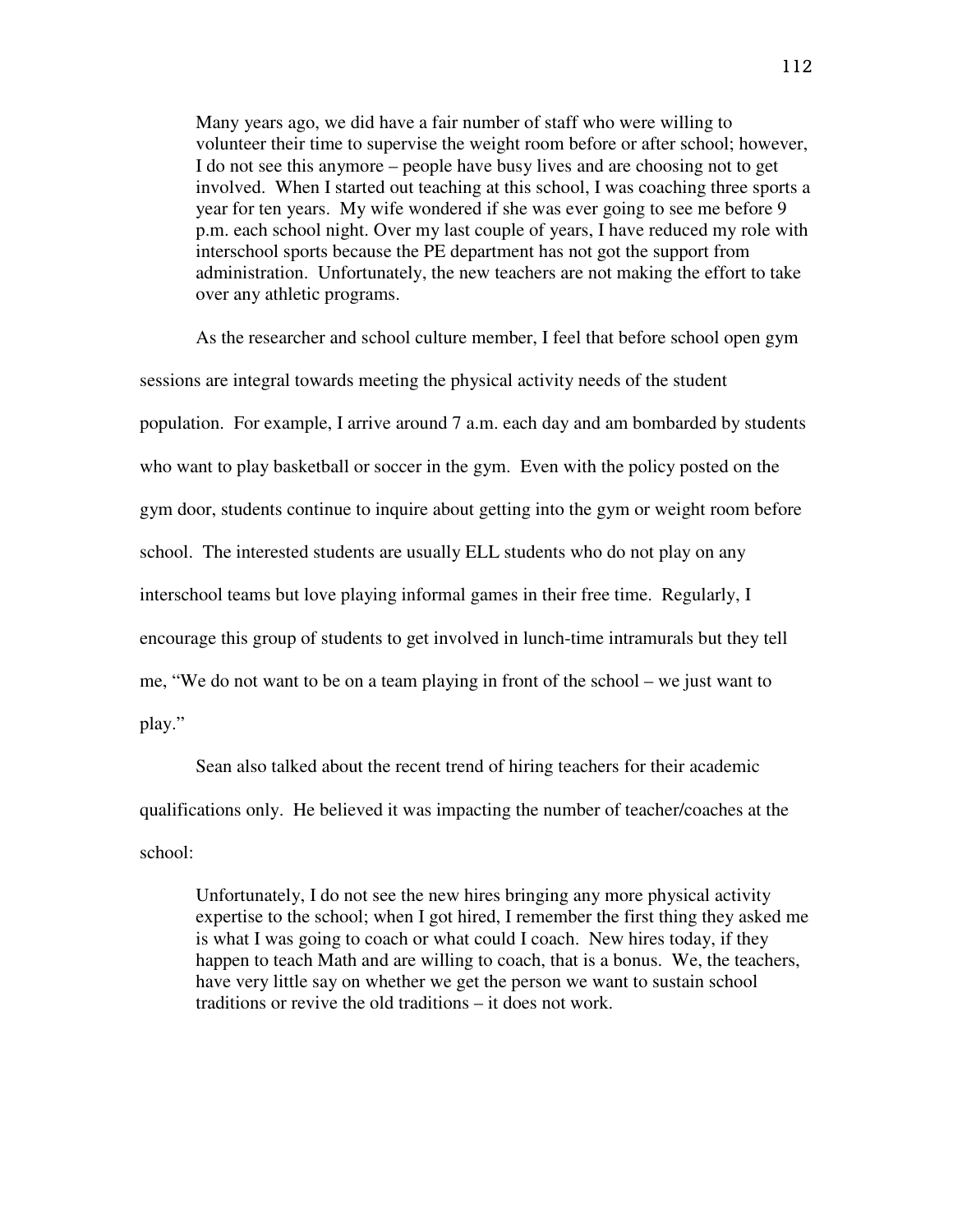Many years ago, we did have a fair number of staff who were willing to volunteer their time to supervise the weight room before or after school; however, I do not see this anymore – people have busy lives and are choosing not to get involved. When I started out teaching at this school, I was coaching three sports a year for ten years. My wife wondered if she was ever going to see me before 9 p.m. each school night. Over my last couple of years, I have reduced my role with interschool sports because the PE department has not got the support from administration. Unfortunately, the new teachers are not making the effort to take over any athletic programs.

As the researcher and school culture member, I feel that before school open gym sessions are integral towards meeting the physical activity needs of the student population. For example, I arrive around 7 a.m. each day and am bombarded by students who want to play basketball or soccer in the gym. Even with the policy posted on the gym door, students continue to inquire about getting into the gym or weight room before school. The interested students are usually ELL students who do not play on any interschool teams but love playing informal games in their free time. Regularly, I encourage this group of students to get involved in lunch-time intramurals but they tell me, "We do not want to be on a team playing in front of the school – we just want to play."

Sean also talked about the recent trend of hiring teachers for their academic qualifications only. He believed it was impacting the number of teacher/coaches at the school:

Unfortunately, I do not see the new hires bringing any more physical activity expertise to the school; when I got hired, I remember the first thing they asked me is what I was going to coach or what could I coach. New hires today, if they happen to teach Math and are willing to coach, that is a bonus. We, the teachers, have very little say on whether we get the person we want to sustain school traditions or revive the old traditions – it does not work.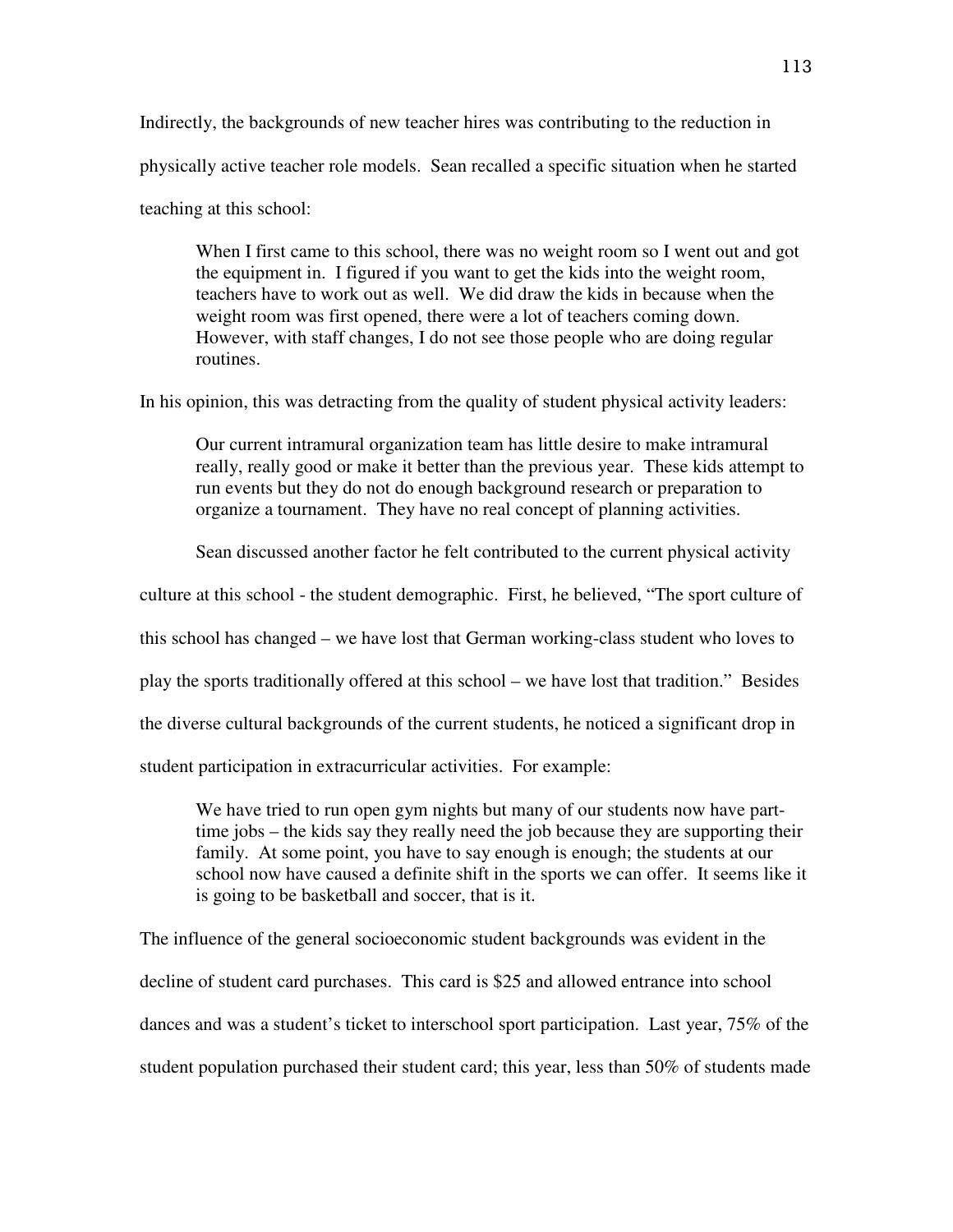Indirectly, the backgrounds of new teacher hires was contributing to the reduction in physically active teacher role models. Sean recalled a specific situation when he started teaching at this school:

When I first came to this school, there was no weight room so I went out and got the equipment in. I figured if you want to get the kids into the weight room, teachers have to work out as well. We did draw the kids in because when the weight room was first opened, there were a lot of teachers coming down. However, with staff changes, I do not see those people who are doing regular routines.

In his opinion, this was detracting from the quality of student physical activity leaders:

 Our current intramural organization team has little desire to make intramural really, really good or make it better than the previous year. These kids attempt to run events but they do not do enough background research or preparation to organize a tournament. They have no real concept of planning activities.

Sean discussed another factor he felt contributed to the current physical activity

culture at this school - the student demographic. First, he believed, "The sport culture of

this school has changed – we have lost that German working-class student who loves to

play the sports traditionally offered at this school – we have lost that tradition." Besides

the diverse cultural backgrounds of the current students, he noticed a significant drop in

student participation in extracurricular activities. For example:

We have tried to run open gym nights but many of our students now have part time jobs – the kids say they really need the job because they are supporting their family. At some point, you have to say enough is enough; the students at our school now have caused a definite shift in the sports we can offer. It seems like it is going to be basketball and soccer, that is it.

The influence of the general socioeconomic student backgrounds was evident in the decline of student card purchases. This card is \$25 and allowed entrance into school dances and was a student's ticket to interschool sport participation. Last year, 75% of the student population purchased their student card; this year, less than 50% of students made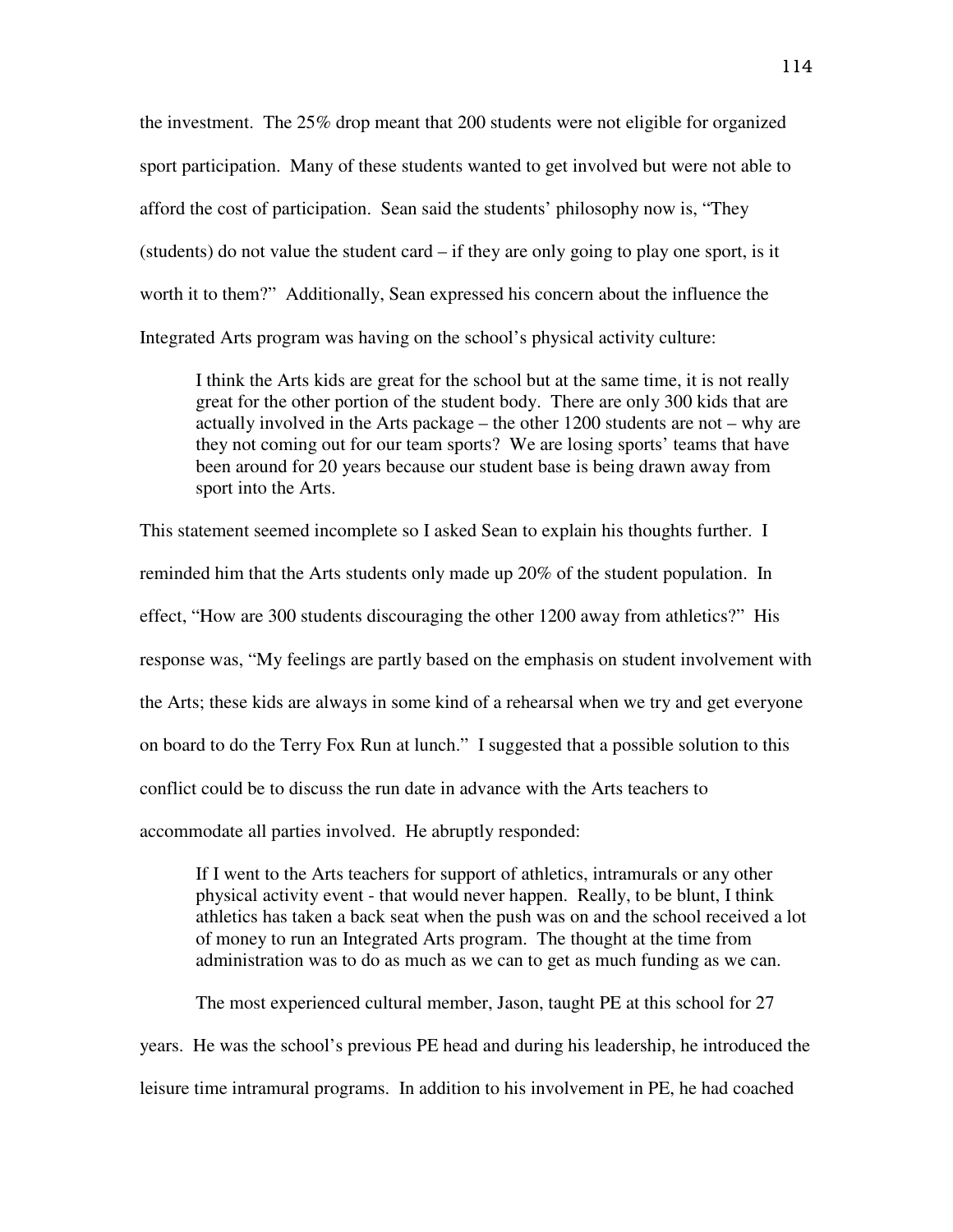the investment. The 25% drop meant that 200 students were not eligible for organized sport participation. Many of these students wanted to get involved but were not able to afford the cost of participation. Sean said the students' philosophy now is, "They (students) do not value the student card – if they are only going to play one sport, is it worth it to them?" Additionally, Sean expressed his concern about the influence the Integrated Arts program was having on the school's physical activity culture:

I think the Arts kids are great for the school but at the same time, it is not really great for the other portion of the student body. There are only 300 kids that are actually involved in the Arts package – the other 1200 students are not – why are they not coming out for our team sports? We are losing sports' teams that have been around for 20 years because our student base is being drawn away from sport into the Arts.

This statement seemed incomplete so I asked Sean to explain his thoughts further. I reminded him that the Arts students only made up 20% of the student population. In effect, "How are 300 students discouraging the other 1200 away from athletics?" His response was, "My feelings are partly based on the emphasis on student involvement with the Arts; these kids are always in some kind of a rehearsal when we try and get everyone on board to do the Terry Fox Run at lunch." I suggested that a possible solution to this conflict could be to discuss the run date in advance with the Arts teachers to accommodate all parties involved. He abruptly responded:

If I went to the Arts teachers for support of athletics, intramurals or any other physical activity event - that would never happen. Really, to be blunt, I think athletics has taken a back seat when the push was on and the school received a lot of money to run an Integrated Arts program. The thought at the time from administration was to do as much as we can to get as much funding as we can.

The most experienced cultural member, Jason, taught PE at this school for 27 years. He was the school's previous PE head and during his leadership, he introduced the leisure time intramural programs. In addition to his involvement in PE, he had coached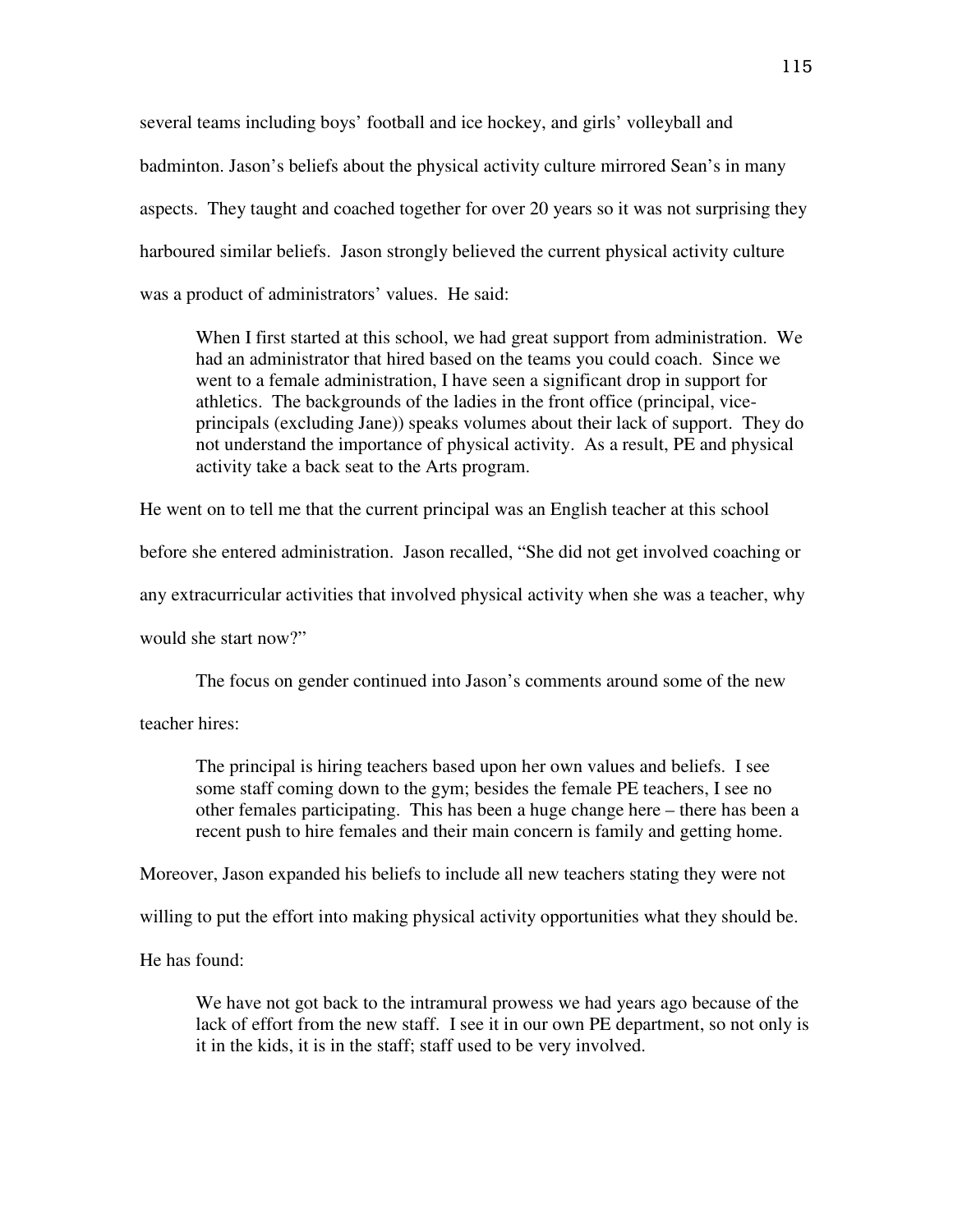several teams including boys' football and ice hockey, and girls' volleyball and badminton. Jason's beliefs about the physical activity culture mirrored Sean's in many aspects. They taught and coached together for over 20 years so it was not surprising they harboured similar beliefs. Jason strongly believed the current physical activity culture was a product of administrators' values. He said:

When I first started at this school, we had great support from administration. We had an administrator that hired based on the teams you could coach. Since we went to a female administration, I have seen a significant drop in support for athletics. The backgrounds of the ladies in the front office (principal, vice principals (excluding Jane)) speaks volumes about their lack of support. They do not understand the importance of physical activity. As a result, PE and physical activity take a back seat to the Arts program.

He went on to tell me that the current principal was an English teacher at this school

before she entered administration. Jason recalled, "She did not get involved coaching or

any extracurricular activities that involved physical activity when she was a teacher, why

would she start now?"

The focus on gender continued into Jason's comments around some of the new

teacher hires:

The principal is hiring teachers based upon her own values and beliefs. I see some staff coming down to the gym; besides the female PE teachers, I see no other females participating. This has been a huge change here – there has been a recent push to hire females and their main concern is family and getting home.

Moreover, Jason expanded his beliefs to include all new teachers stating they were not

willing to put the effort into making physical activity opportunities what they should be.

He has found:

We have not got back to the intramural prowess we had years ago because of the lack of effort from the new staff. I see it in our own PE department, so not only is it in the kids, it is in the staff; staff used to be very involved.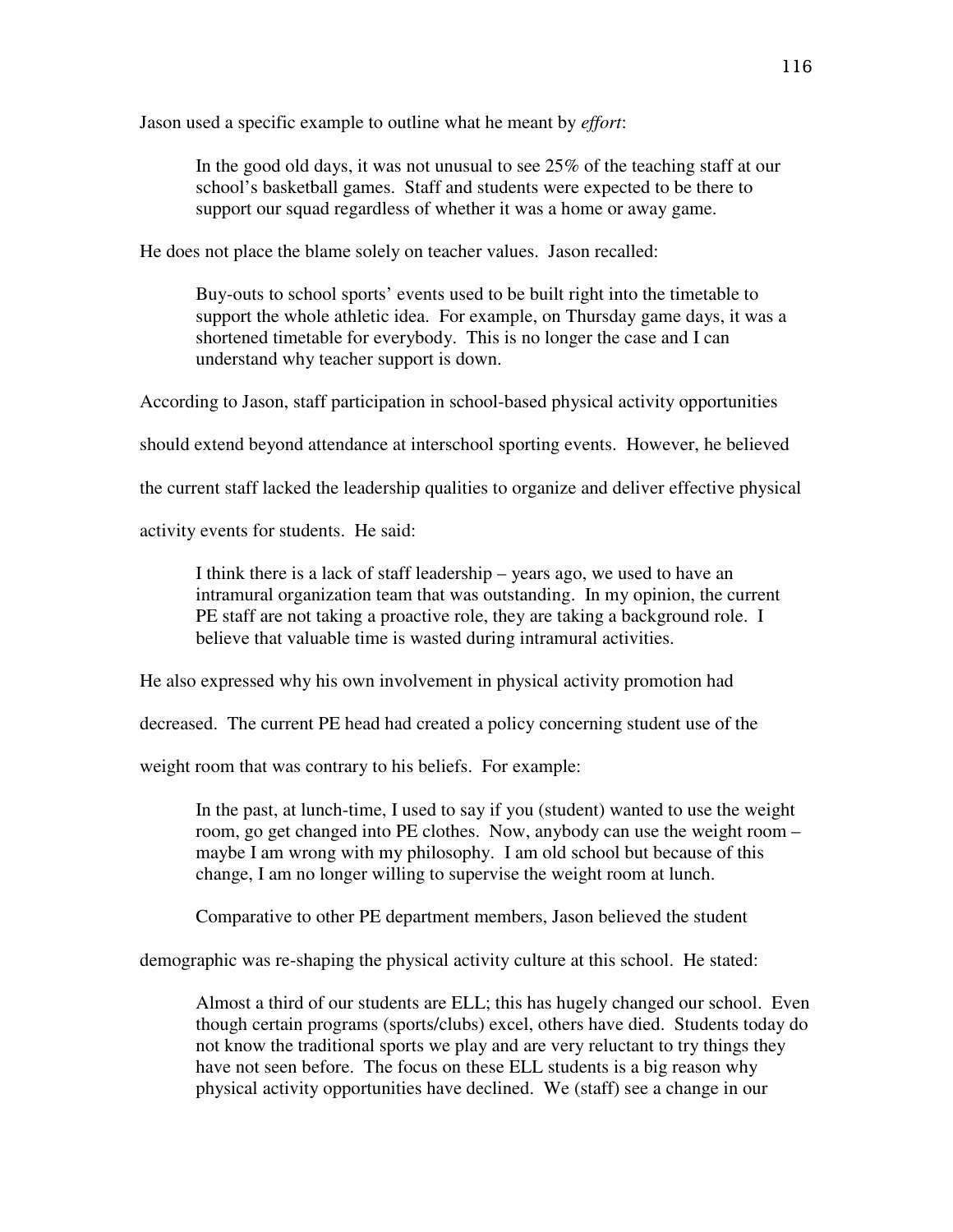Jason used a specific example to outline what he meant by *effort*:

In the good old days, it was not unusual to see 25% of the teaching staff at our school's basketball games. Staff and students were expected to be there to support our squad regardless of whether it was a home or away game.

He does not place the blame solely on teacher values. Jason recalled:

 Buy-outs to school sports' events used to be built right into the timetable to support the whole athletic idea. For example, on Thursday game days, it was a shortened timetable for everybody. This is no longer the case and I can understand why teacher support is down.

According to Jason, staff participation in school-based physical activity opportunities

should extend beyond attendance at interschool sporting events. However, he believed

the current staff lacked the leadership qualities to organize and deliver effective physical

activity events for students. He said:

I think there is a lack of staff leadership – years ago, we used to have an intramural organization team that was outstanding. In my opinion, the current PE staff are not taking a proactive role, they are taking a background role. I believe that valuable time is wasted during intramural activities.

He also expressed why his own involvement in physical activity promotion had

decreased. The current PE head had created a policy concerning student use of the

weight room that was contrary to his beliefs. For example:

In the past, at lunch-time, I used to say if you (student) wanted to use the weight room, go get changed into PE clothes. Now, anybody can use the weight room – maybe I am wrong with my philosophy. I am old school but because of this change, I am no longer willing to supervise the weight room at lunch.

Comparative to other PE department members, Jason believed the student

demographic was re-shaping the physical activity culture at this school. He stated:

Almost a third of our students are ELL; this has hugely changed our school. Even though certain programs (sports/clubs) excel, others have died. Students today do not know the traditional sports we play and are very reluctant to try things they have not seen before. The focus on these ELL students is a big reason why physical activity opportunities have declined. We (staff) see a change in our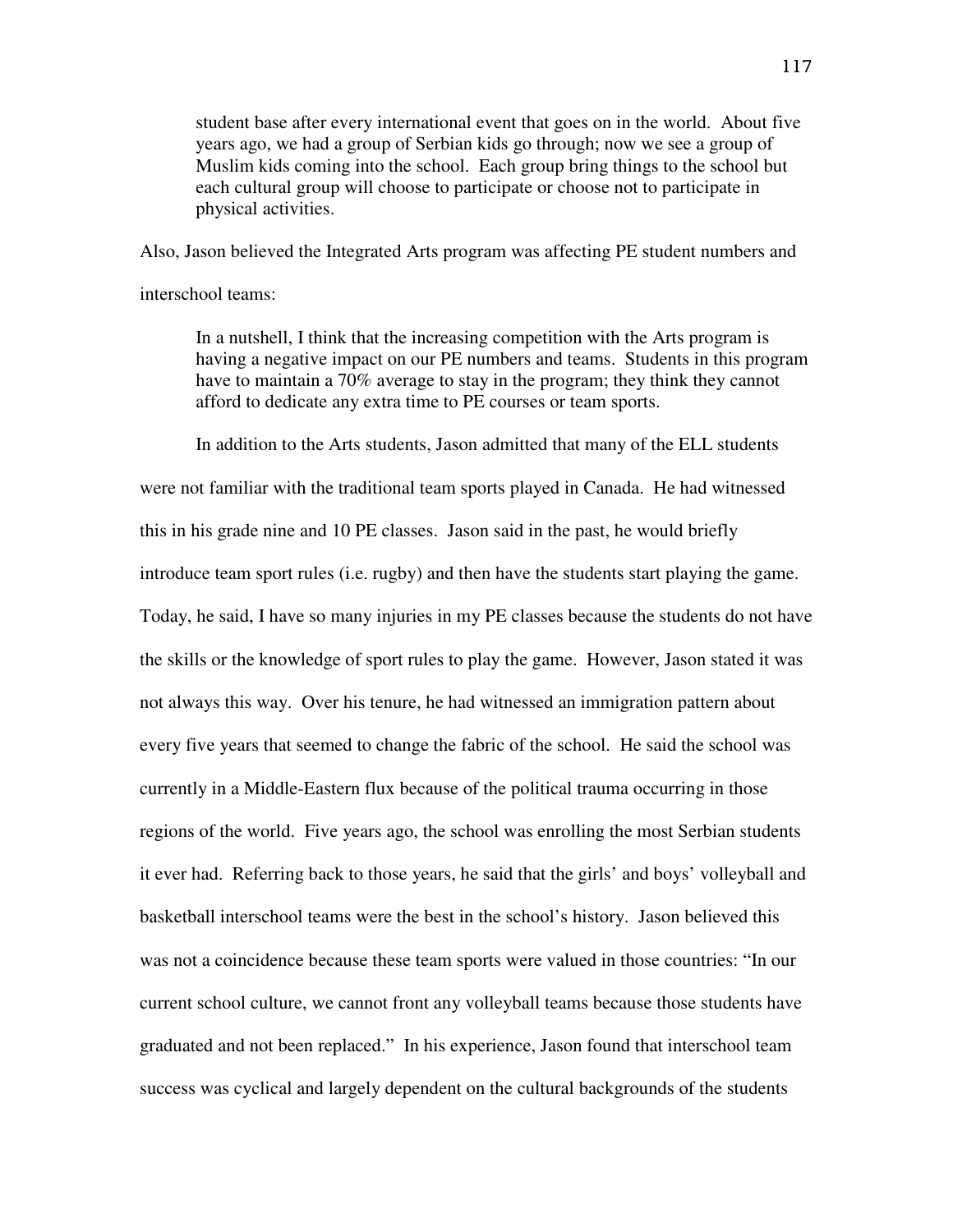student base after every international event that goes on in the world. About five years ago, we had a group of Serbian kids go through; now we see a group of Muslim kids coming into the school. Each group bring things to the school but each cultural group will choose to participate or choose not to participate in physical activities.

Also, Jason believed the Integrated Arts program was affecting PE student numbers and interschool teams:

 In a nutshell, I think that the increasing competition with the Arts program is having a negative impact on our PE numbers and teams. Students in this program have to maintain a 70% average to stay in the program; they think they cannot afford to dedicate any extra time to PE courses or team sports.

In addition to the Arts students, Jason admitted that many of the ELL students were not familiar with the traditional team sports played in Canada. He had witnessed this in his grade nine and 10 PE classes. Jason said in the past, he would briefly introduce team sport rules (i.e. rugby) and then have the students start playing the game. Today, he said, I have so many injuries in my PE classes because the students do not have the skills or the knowledge of sport rules to play the game. However, Jason stated it was not always this way. Over his tenure, he had witnessed an immigration pattern about every five years that seemed to change the fabric of the school. He said the school was currently in a Middle-Eastern flux because of the political trauma occurring in those regions of the world. Five years ago, the school was enrolling the most Serbian students it ever had. Referring back to those years, he said that the girls' and boys' volleyball and basketball interschool teams were the best in the school's history. Jason believed this was not a coincidence because these team sports were valued in those countries: "In our current school culture, we cannot front any volleyball teams because those students have graduated and not been replaced." In his experience, Jason found that interschool team success was cyclical and largely dependent on the cultural backgrounds of the students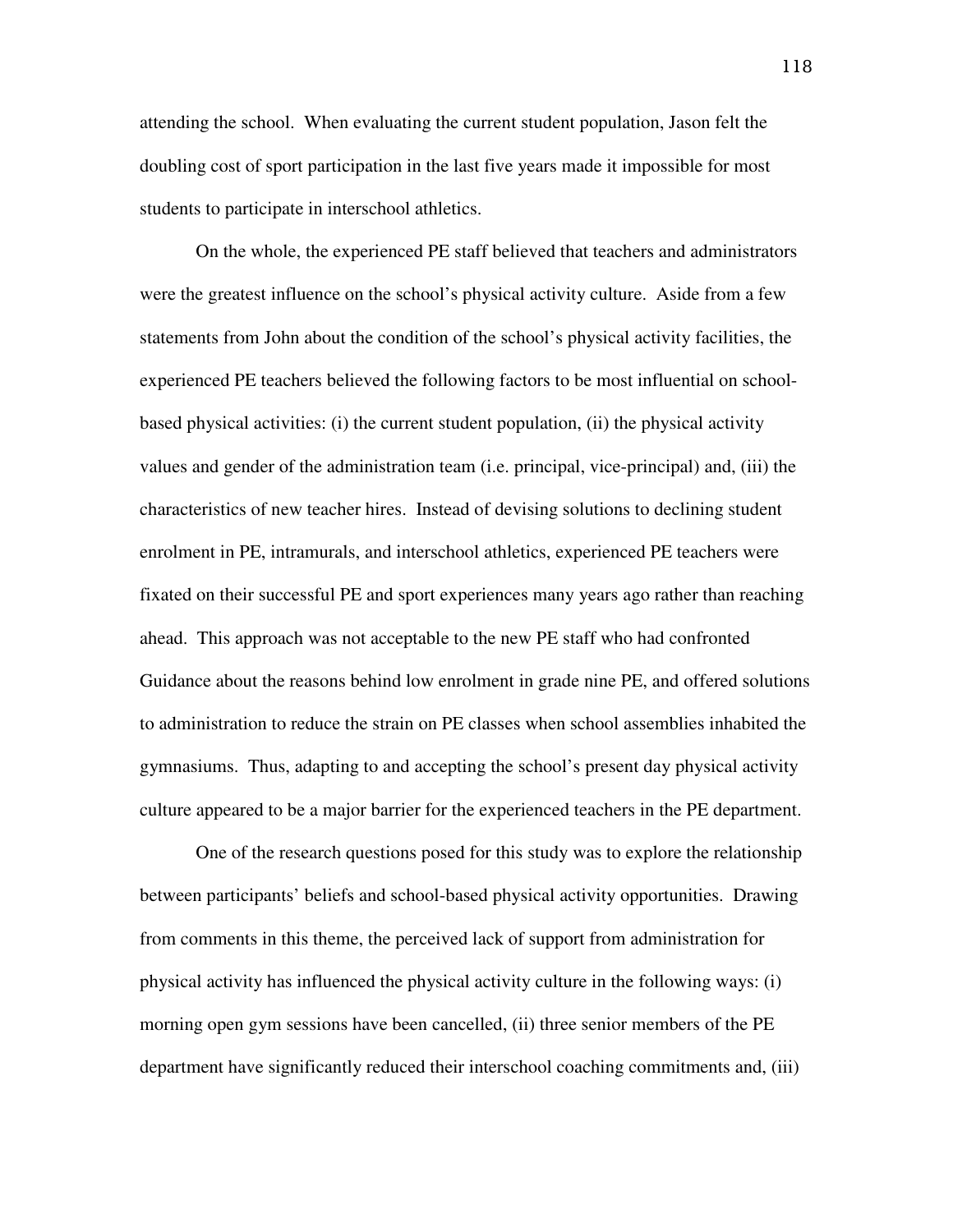attending the school. When evaluating the current student population, Jason felt the doubling cost of sport participation in the last five years made it impossible for most students to participate in interschool athletics.

On the whole, the experienced PE staff believed that teachers and administrators were the greatest influence on the school's physical activity culture. Aside from a few statements from John about the condition of the school's physical activity facilities, the experienced PE teachers believed the following factors to be most influential on schoolbased physical activities: (i) the current student population, (ii) the physical activity values and gender of the administration team (i.e. principal, vice-principal) and, (iii) the characteristics of new teacher hires. Instead of devising solutions to declining student enrolment in PE, intramurals, and interschool athletics, experienced PE teachers were fixated on their successful PE and sport experiences many years ago rather than reaching ahead. This approach was not acceptable to the new PE staff who had confronted Guidance about the reasons behind low enrolment in grade nine PE, and offered solutions to administration to reduce the strain on PE classes when school assemblies inhabited the gymnasiums. Thus, adapting to and accepting the school's present day physical activity culture appeared to be a major barrier for the experienced teachers in the PE department.

One of the research questions posed for this study was to explore the relationship between participants' beliefs and school-based physical activity opportunities. Drawing from comments in this theme, the perceived lack of support from administration for physical activity has influenced the physical activity culture in the following ways: (i) morning open gym sessions have been cancelled, (ii) three senior members of the PE department have significantly reduced their interschool coaching commitments and, (iii)

118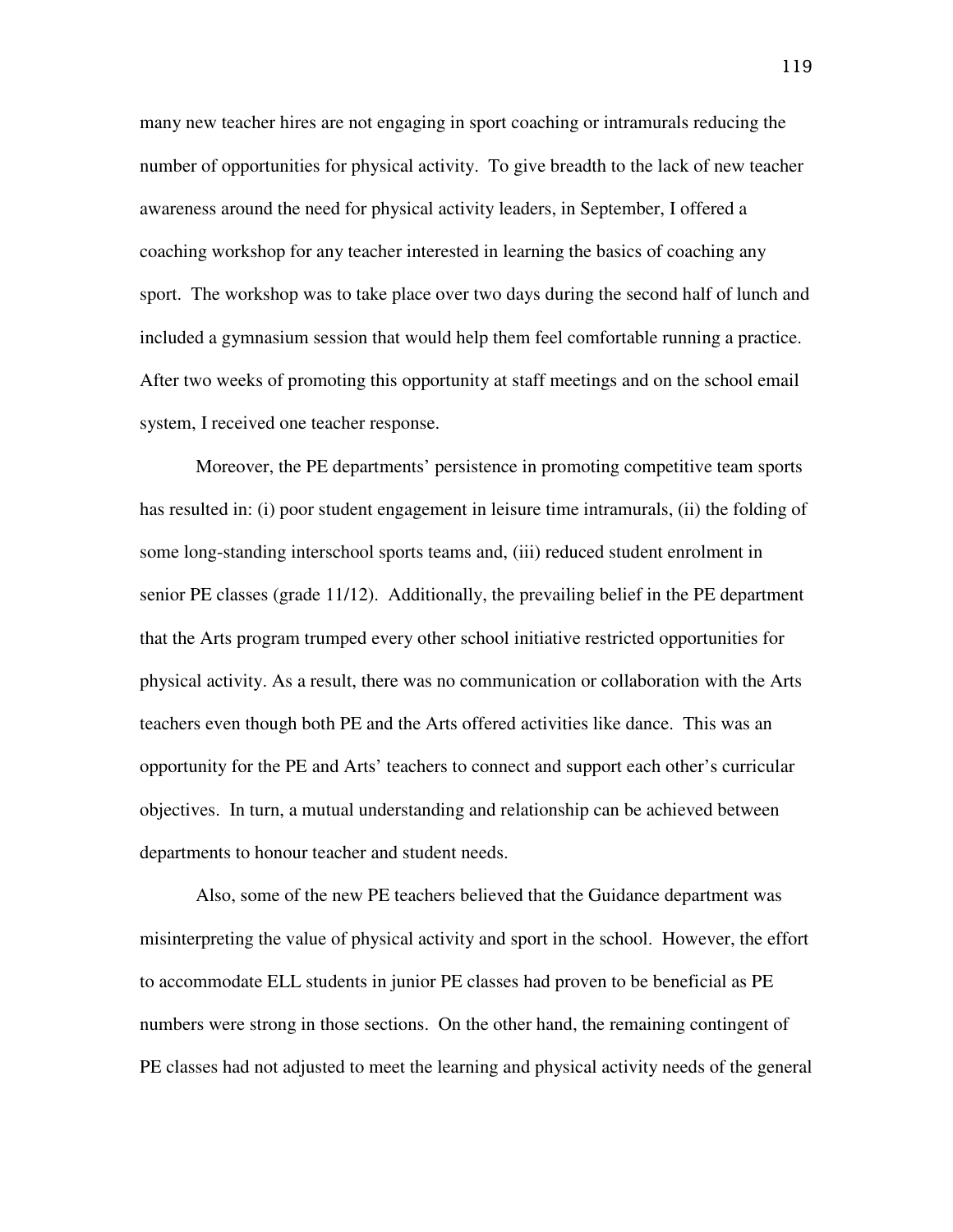many new teacher hires are not engaging in sport coaching or intramurals reducing the number of opportunities for physical activity. To give breadth to the lack of new teacher awareness around the need for physical activity leaders, in September, I offered a coaching workshop for any teacher interested in learning the basics of coaching any sport. The workshop was to take place over two days during the second half of lunch and included a gymnasium session that would help them feel comfortable running a practice. After two weeks of promoting this opportunity at staff meetings and on the school email system, I received one teacher response.

Moreover, the PE departments' persistence in promoting competitive team sports has resulted in: (i) poor student engagement in leisure time intramurals, (ii) the folding of some long-standing interschool sports teams and, (iii) reduced student enrolment in senior PE classes (grade 11/12). Additionally, the prevailing belief in the PE department that the Arts program trumped every other school initiative restricted opportunities for physical activity. As a result, there was no communication or collaboration with the Arts teachers even though both PE and the Arts offered activities like dance. This was an opportunity for the PE and Arts' teachers to connect and support each other's curricular objectives. In turn, a mutual understanding and relationship can be achieved between departments to honour teacher and student needs.

Also, some of the new PE teachers believed that the Guidance department was misinterpreting the value of physical activity and sport in the school. However, the effort to accommodate ELL students in junior PE classes had proven to be beneficial as PE numbers were strong in those sections. On the other hand, the remaining contingent of PE classes had not adjusted to meet the learning and physical activity needs of the general

119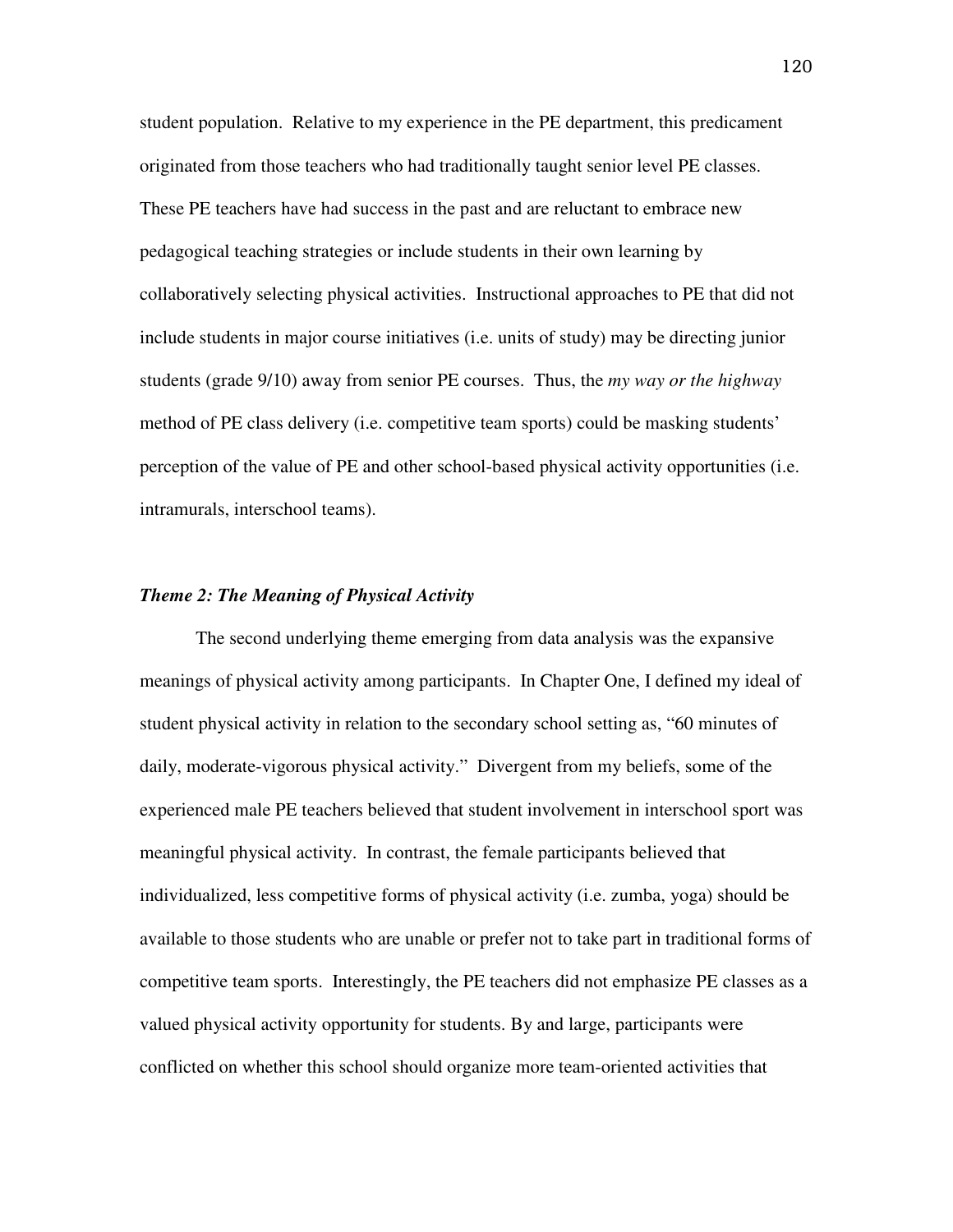student population. Relative to my experience in the PE department, this predicament originated from those teachers who had traditionally taught senior level PE classes. These PE teachers have had success in the past and are reluctant to embrace new pedagogical teaching strategies or include students in their own learning by collaboratively selecting physical activities. Instructional approaches to PE that did not include students in major course initiatives (i.e. units of study) may be directing junior students (grade 9/10) away from senior PE courses. Thus, the *my way or the highway* method of PE class delivery (i.e. competitive team sports) could be masking students' perception of the value of PE and other school-based physical activity opportunities (i.e. intramurals, interschool teams).

### *Theme 2: The Meaning of Physical Activity*

 The second underlying theme emerging from data analysis was the expansive meanings of physical activity among participants. In Chapter One, I defined my ideal of student physical activity in relation to the secondary school setting as, "60 minutes of daily, moderate-vigorous physical activity." Divergent from my beliefs, some of the experienced male PE teachers believed that student involvement in interschool sport was meaningful physical activity. In contrast, the female participants believed that individualized, less competitive forms of physical activity (i.e. zumba, yoga) should be available to those students who are unable or prefer not to take part in traditional forms of competitive team sports. Interestingly, the PE teachers did not emphasize PE classes as a valued physical activity opportunity for students. By and large, participants were conflicted on whether this school should organize more team-oriented activities that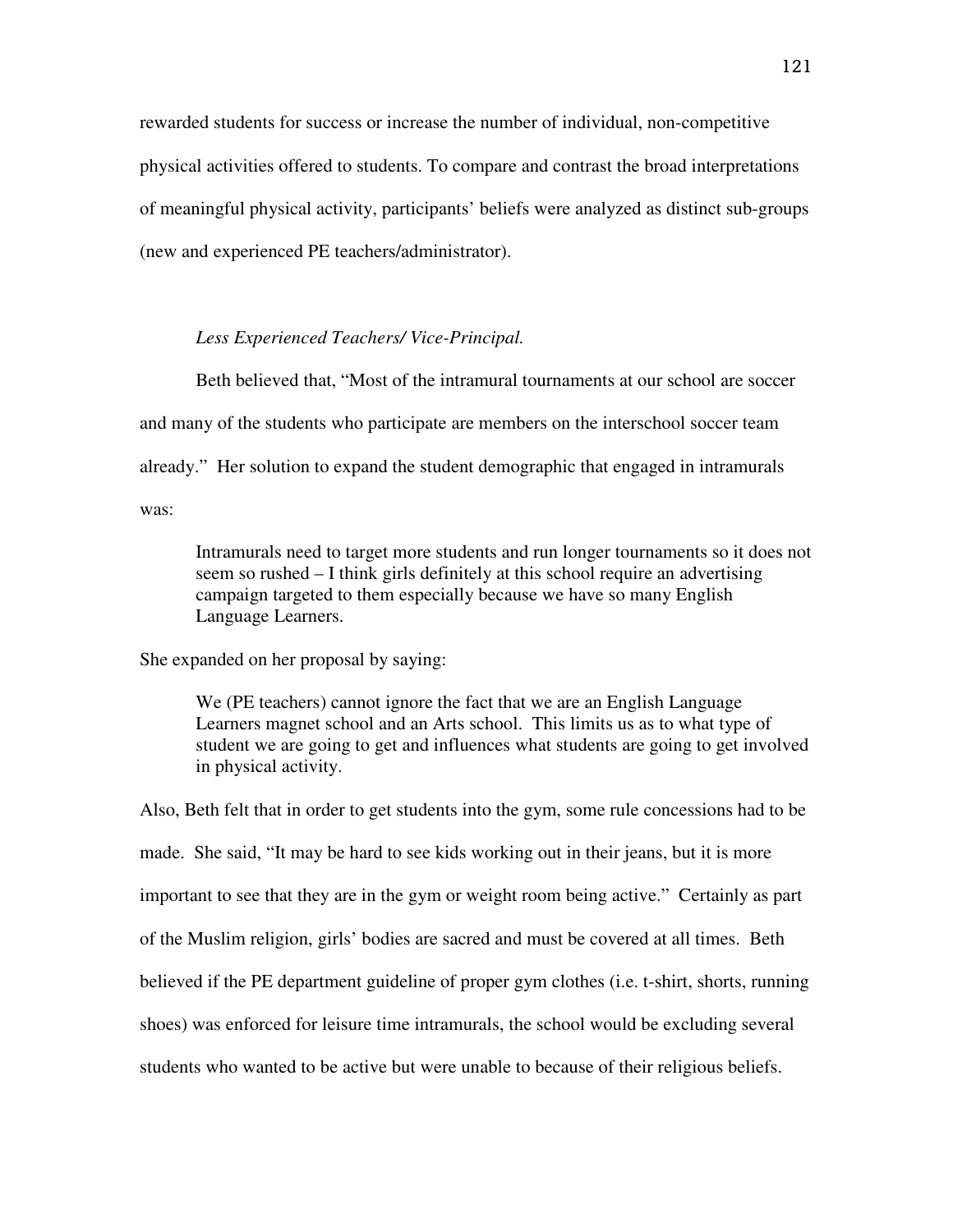rewarded students for success or increase the number of individual, non-competitive physical activities offered to students. To compare and contrast the broad interpretations of meaningful physical activity, participants' beliefs were analyzed as distinct sub-groups (new and experienced PE teachers/administrator).

## *Less Experienced Teachers/ Vice-Principal.*

Beth believed that, "Most of the intramural tournaments at our school are soccer and many of the students who participate are members on the interschool soccer team already." Her solution to expand the student demographic that engaged in intramurals was:

Intramurals need to target more students and run longer tournaments so it does not seem so rushed – I think girls definitely at this school require an advertising campaign targeted to them especially because we have so many English Language Learners.

She expanded on her proposal by saying:

 We (PE teachers) cannot ignore the fact that we are an English Language Learners magnet school and an Arts school. This limits us as to what type of student we are going to get and influences what students are going to get involved in physical activity.

Also, Beth felt that in order to get students into the gym, some rule concessions had to be made. She said, "It may be hard to see kids working out in their jeans, but it is more important to see that they are in the gym or weight room being active." Certainly as part of the Muslim religion, girls' bodies are sacred and must be covered at all times. Beth believed if the PE department guideline of proper gym clothes (i.e. t-shirt, shorts, running shoes) was enforced for leisure time intramurals, the school would be excluding several students who wanted to be active but were unable to because of their religious beliefs.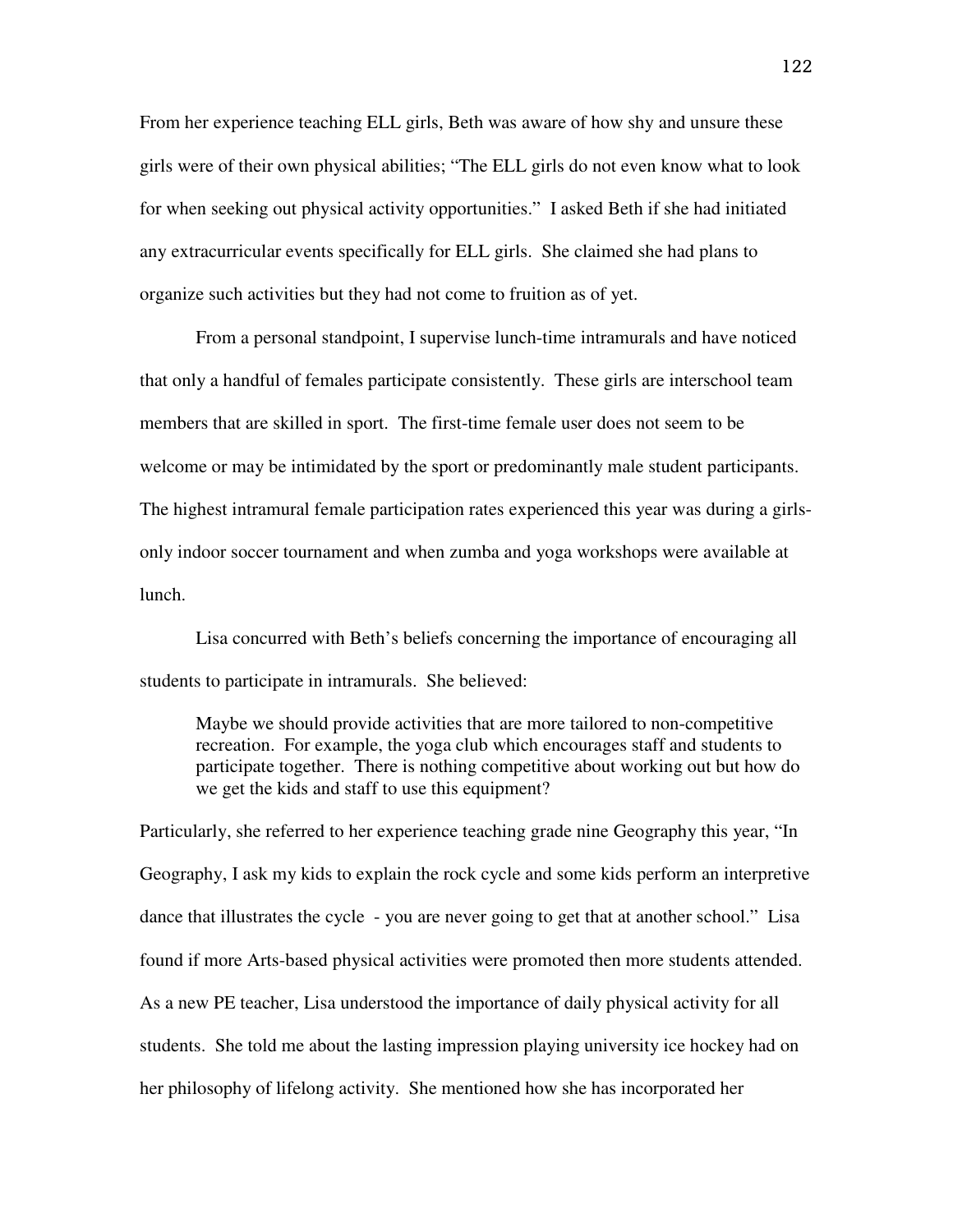From her experience teaching ELL girls, Beth was aware of how shy and unsure these girls were of their own physical abilities; "The ELL girls do not even know what to look for when seeking out physical activity opportunities." I asked Beth if she had initiated any extracurricular events specifically for ELL girls. She claimed she had plans to organize such activities but they had not come to fruition as of yet.

From a personal standpoint, I supervise lunch-time intramurals and have noticed that only a handful of females participate consistently. These girls are interschool team members that are skilled in sport. The first-time female user does not seem to be welcome or may be intimidated by the sport or predominantly male student participants. The highest intramural female participation rates experienced this year was during a girlsonly indoor soccer tournament and when zumba and yoga workshops were available at lunch.

Lisa concurred with Beth's beliefs concerning the importance of encouraging all students to participate in intramurals. She believed:

Maybe we should provide activities that are more tailored to non-competitive recreation. For example, the yoga club which encourages staff and students to participate together. There is nothing competitive about working out but how do we get the kids and staff to use this equipment?

Particularly, she referred to her experience teaching grade nine Geography this year, "In Geography, I ask my kids to explain the rock cycle and some kids perform an interpretive dance that illustrates the cycle - you are never going to get that at another school." Lisa found if more Arts-based physical activities were promoted then more students attended. As a new PE teacher, Lisa understood the importance of daily physical activity for all students. She told me about the lasting impression playing university ice hockey had on her philosophy of lifelong activity. She mentioned how she has incorporated her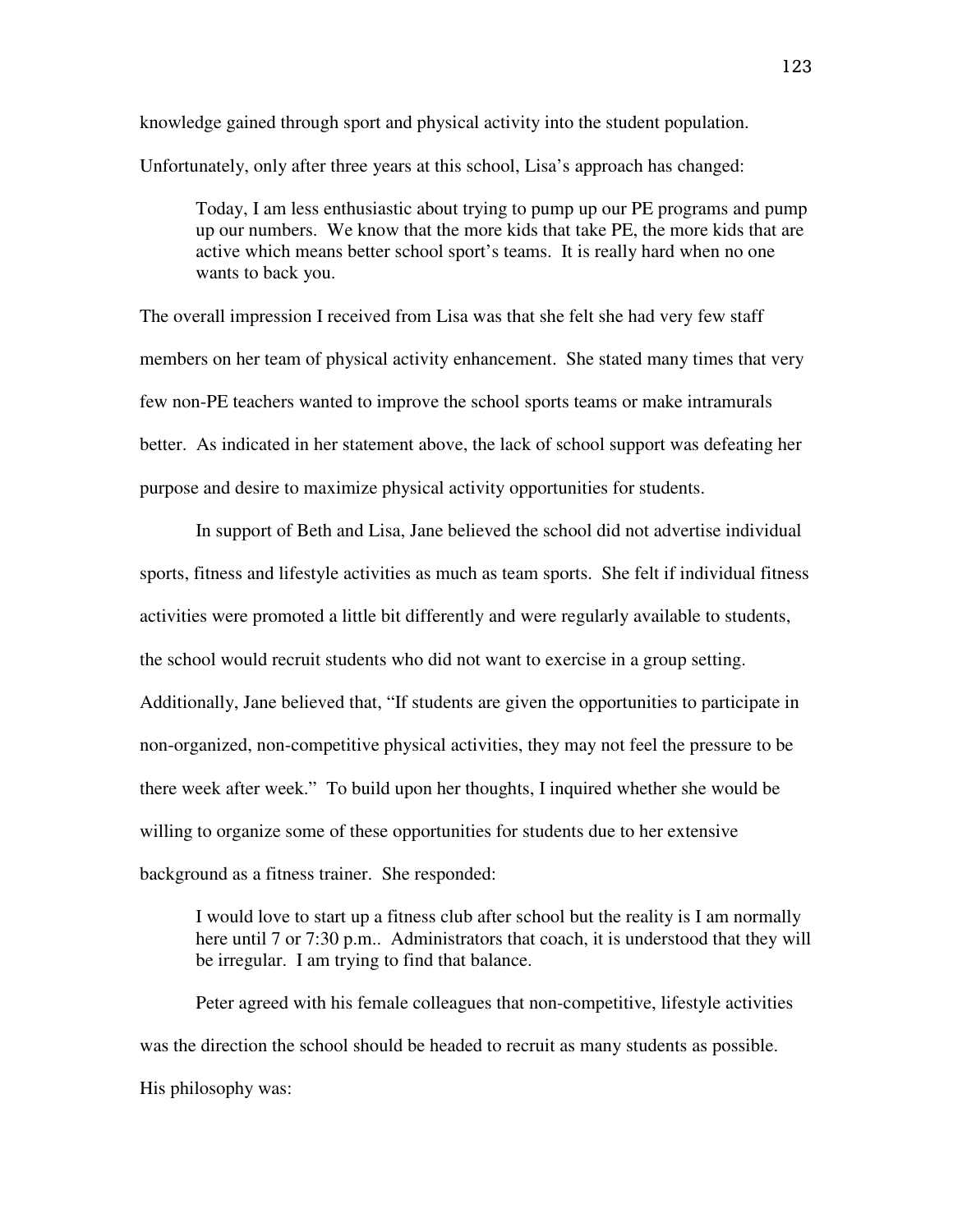knowledge gained through sport and physical activity into the student population. Unfortunately, only after three years at this school, Lisa's approach has changed:

Today, I am less enthusiastic about trying to pump up our PE programs and pump up our numbers. We know that the more kids that take PE, the more kids that are active which means better school sport's teams. It is really hard when no one wants to back you.

The overall impression I received from Lisa was that she felt she had very few staff members on her team of physical activity enhancement. She stated many times that very few non-PE teachers wanted to improve the school sports teams or make intramurals better. As indicated in her statement above, the lack of school support was defeating her purpose and desire to maximize physical activity opportunities for students.

In support of Beth and Lisa, Jane believed the school did not advertise individual sports, fitness and lifestyle activities as much as team sports. She felt if individual fitness activities were promoted a little bit differently and were regularly available to students, the school would recruit students who did not want to exercise in a group setting. Additionally, Jane believed that, "If students are given the opportunities to participate in non-organized, non-competitive physical activities, they may not feel the pressure to be there week after week." To build upon her thoughts, I inquired whether she would be willing to organize some of these opportunities for students due to her extensive background as a fitness trainer. She responded:

I would love to start up a fitness club after school but the reality is I am normally here until 7 or 7:30 p.m.. Administrators that coach, it is understood that they will be irregular. I am trying to find that balance.

Peter agreed with his female colleagues that non-competitive, lifestyle activities was the direction the school should be headed to recruit as many students as possible. His philosophy was: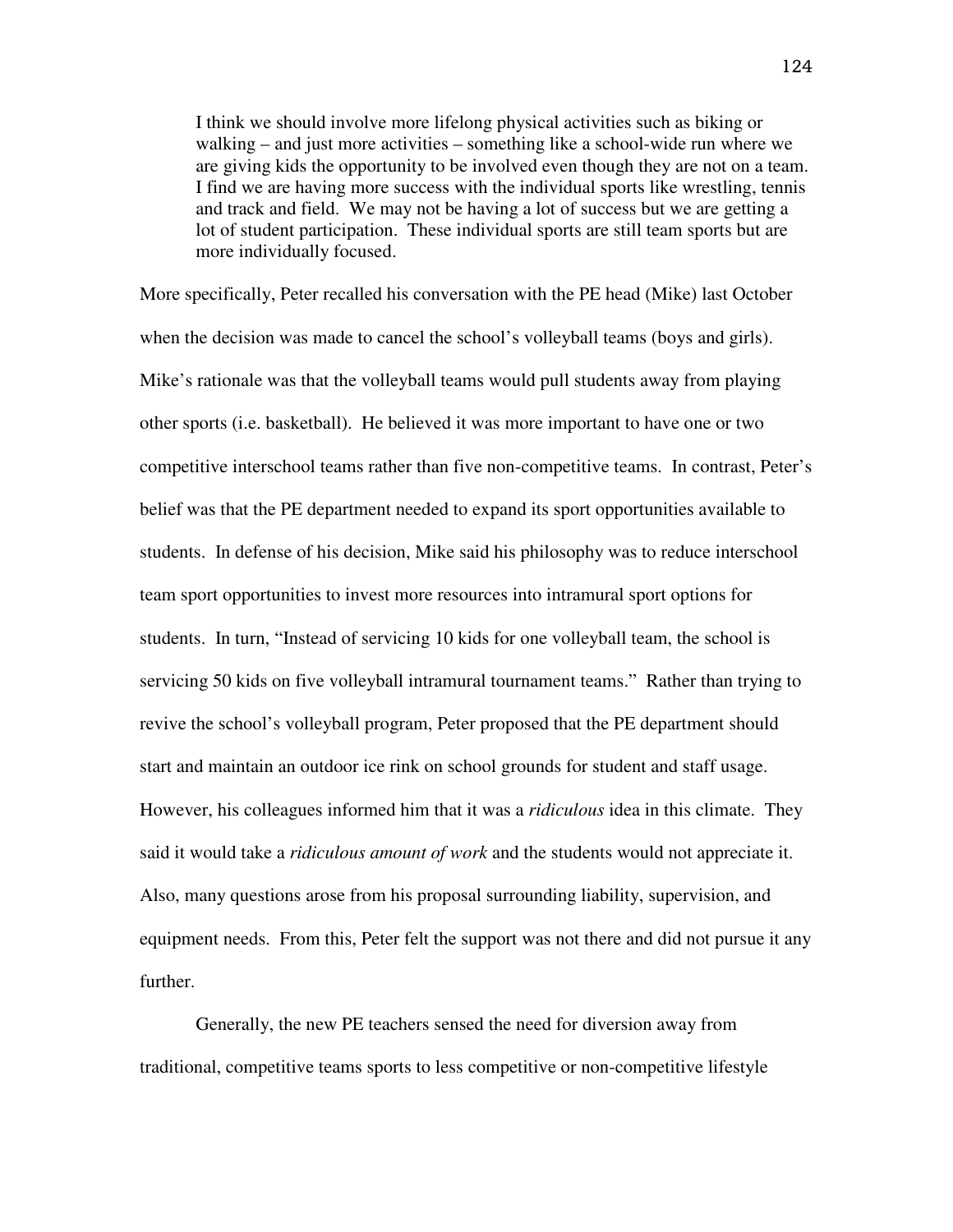I think we should involve more lifelong physical activities such as biking or walking – and just more activities – something like a school-wide run where we are giving kids the opportunity to be involved even though they are not on a team. I find we are having more success with the individual sports like wrestling, tennis and track and field. We may not be having a lot of success but we are getting a lot of student participation. These individual sports are still team sports but are more individually focused.

More specifically, Peter recalled his conversation with the PE head (Mike) last October when the decision was made to cancel the school's volleyball teams (boys and girls). Mike's rationale was that the volleyball teams would pull students away from playing other sports (i.e. basketball). He believed it was more important to have one or two competitive interschool teams rather than five non-competitive teams. In contrast, Peter's belief was that the PE department needed to expand its sport opportunities available to students. In defense of his decision, Mike said his philosophy was to reduce interschool team sport opportunities to invest more resources into intramural sport options for students. In turn, "Instead of servicing 10 kids for one volleyball team, the school is servicing 50 kids on five volleyball intramural tournament teams." Rather than trying to revive the school's volleyball program, Peter proposed that the PE department should start and maintain an outdoor ice rink on school grounds for student and staff usage. However, his colleagues informed him that it was a *ridiculous* idea in this climate. They said it would take a *ridiculous amount of work* and the students would not appreciate it. Also, many questions arose from his proposal surrounding liability, supervision, and equipment needs. From this, Peter felt the support was not there and did not pursue it any further.

Generally, the new PE teachers sensed the need for diversion away from traditional, competitive teams sports to less competitive or non-competitive lifestyle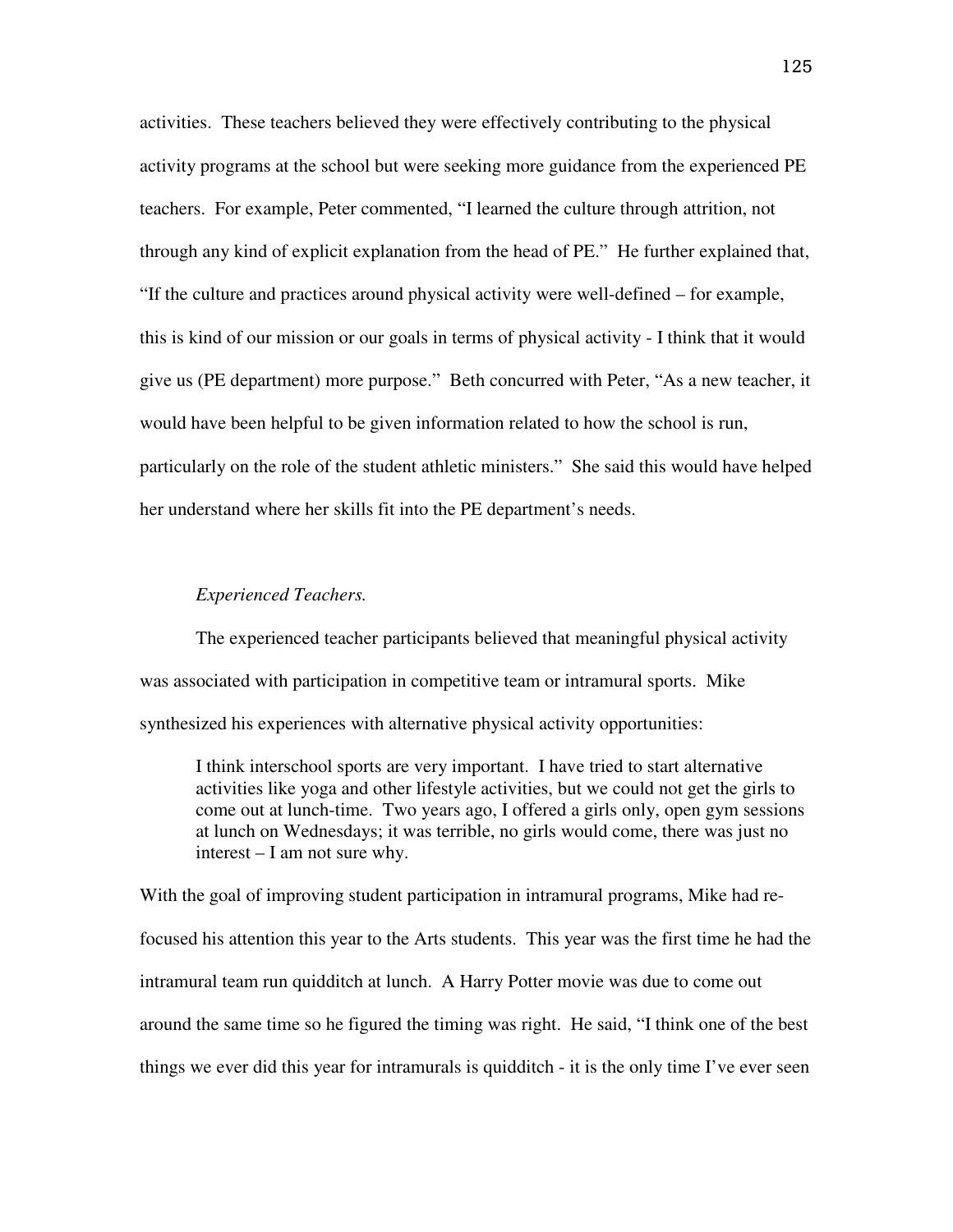activities. These teachers believed they were effectively contributing to the physical activity programs at the school but were seeking more guidance from the experienced PE teachers. For example, Peter commented, "I learned the culture through attrition, not through any kind of explicit explanation from the head of PE." He further explained that, "If the culture and practices around physical activity were well-defined – for example, this is kind of our mission or our goals in terms of physical activity - I think that it would give us (PE department) more purpose." Beth concurred with Peter, "As a new teacher, it would have been helpful to be given information related to how the school is run, particularly on the role of the student athletic ministers." She said this would have helped her understand where her skills fit into the PE department's needs.

## *Experienced Teachers.*

The experienced teacher participants believed that meaningful physical activity was associated with participation in competitive team or intramural sports. Mike synthesized his experiences with alternative physical activity opportunities:

I think interschool sports are very important. I have tried to start alternative activities like yoga and other lifestyle activities, but we could not get the girls to come out at lunch-time. Two years ago, I offered a girls only, open gym sessions at lunch on Wednesdays; it was terrible, no girls would come, there was just no interest – I am not sure why.

With the goal of improving student participation in intramural programs, Mike had refocused his attention this year to the Arts students. This year was the first time he had the intramural team run quidditch at lunch. A Harry Potter movie was due to come out around the same time so he figured the timing was right. He said, "I think one of the best things we ever did this year for intramurals is quidditch - it is the only time I've ever seen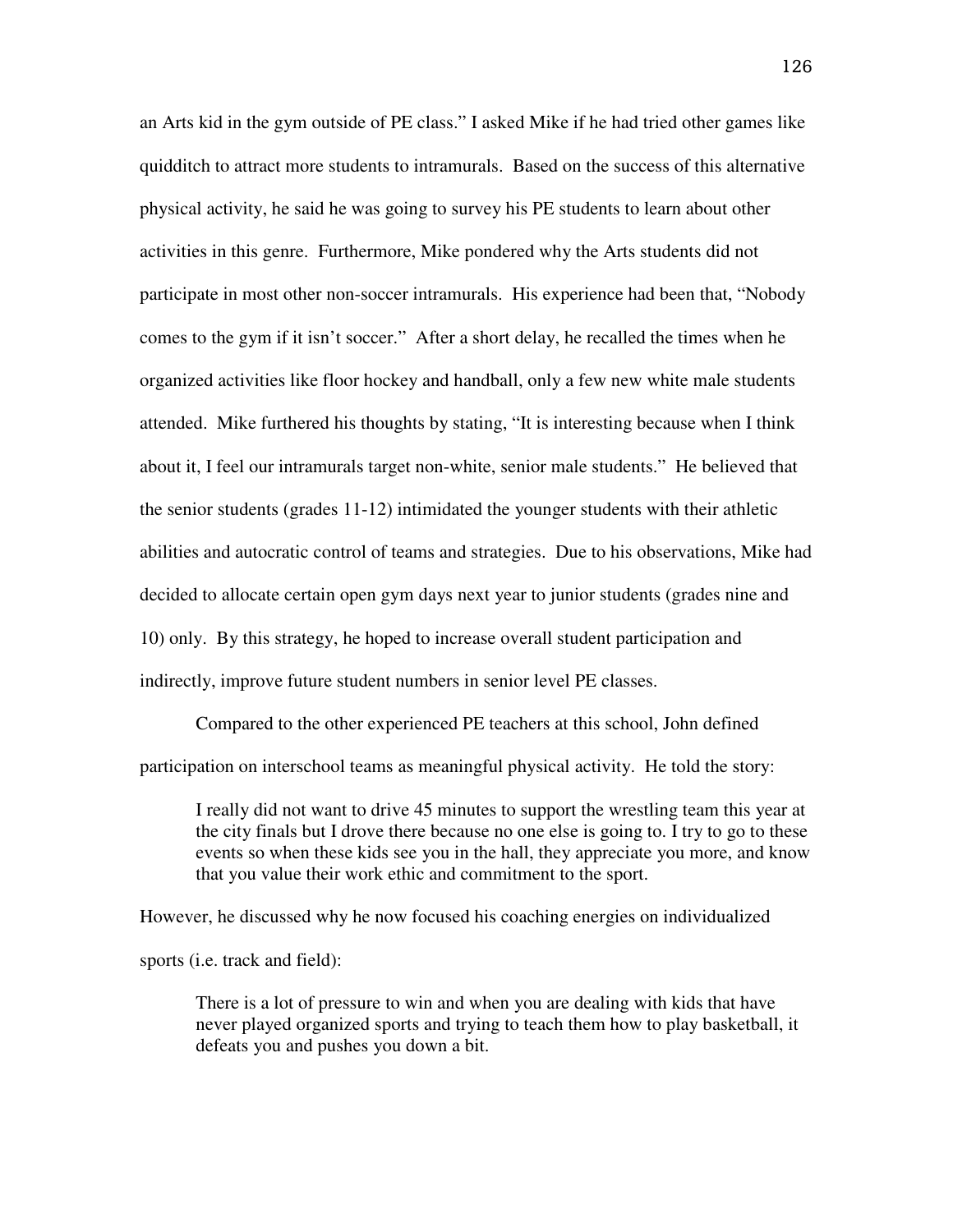an Arts kid in the gym outside of PE class." I asked Mike if he had tried other games like quidditch to attract more students to intramurals. Based on the success of this alternative physical activity, he said he was going to survey his PE students to learn about other activities in this genre. Furthermore, Mike pondered why the Arts students did not participate in most other non-soccer intramurals. His experience had been that, "Nobody comes to the gym if it isn't soccer." After a short delay, he recalled the times when he organized activities like floor hockey and handball, only a few new white male students attended. Mike furthered his thoughts by stating, "It is interesting because when I think about it, I feel our intramurals target non-white, senior male students." He believed that the senior students (grades 11-12) intimidated the younger students with their athletic abilities and autocratic control of teams and strategies. Due to his observations, Mike had decided to allocate certain open gym days next year to junior students (grades nine and 10) only. By this strategy, he hoped to increase overall student participation and indirectly, improve future student numbers in senior level PE classes.

Compared to the other experienced PE teachers at this school, John defined participation on interschool teams as meaningful physical activity. He told the story:

 I really did not want to drive 45 minutes to support the wrestling team this year at the city finals but I drove there because no one else is going to. I try to go to these events so when these kids see you in the hall, they appreciate you more, and know that you value their work ethic and commitment to the sport.

However, he discussed why he now focused his coaching energies on individualized sports (i.e. track and field):

There is a lot of pressure to win and when you are dealing with kids that have never played organized sports and trying to teach them how to play basketball, it defeats you and pushes you down a bit.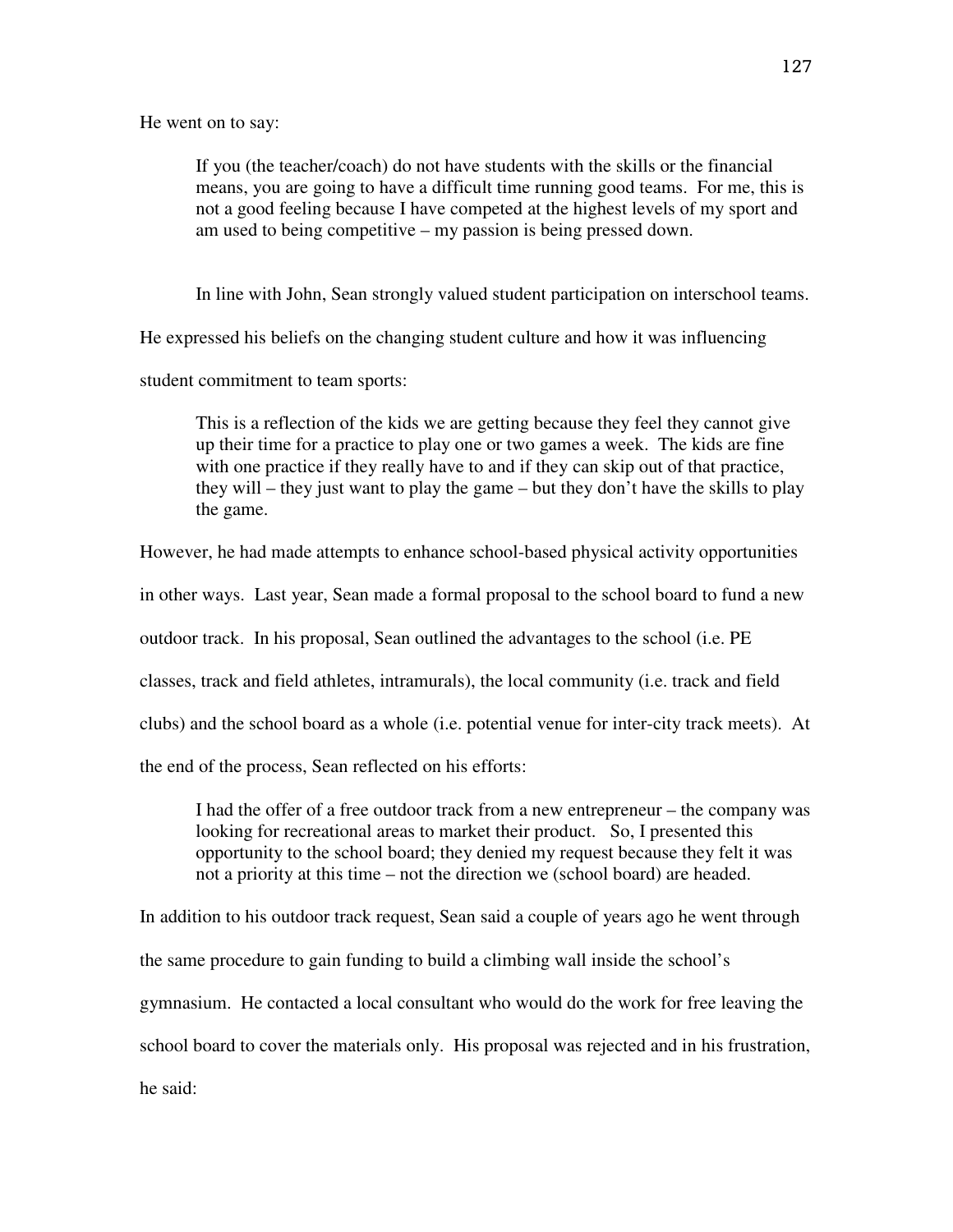He went on to say:

If you (the teacher/coach) do not have students with the skills or the financial means, you are going to have a difficult time running good teams. For me, this is not a good feeling because I have competed at the highest levels of my sport and am used to being competitive – my passion is being pressed down.

In line with John, Sean strongly valued student participation on interschool teams.

He expressed his beliefs on the changing student culture and how it was influencing

student commitment to team sports:

This is a reflection of the kids we are getting because they feel they cannot give up their time for a practice to play one or two games a week. The kids are fine with one practice if they really have to and if they can skip out of that practice, they will – they just want to play the game – but they don't have the skills to play the game.

However, he had made attempts to enhance school-based physical activity opportunities

in other ways. Last year, Sean made a formal proposal to the school board to fund a new

outdoor track. In his proposal, Sean outlined the advantages to the school (i.e. PE

classes, track and field athletes, intramurals), the local community (i.e. track and field

clubs) and the school board as a whole (i.e. potential venue for inter-city track meets). At

the end of the process, Sean reflected on his efforts:

 I had the offer of a free outdoor track from a new entrepreneur – the company was looking for recreational areas to market their product. So, I presented this opportunity to the school board; they denied my request because they felt it was not a priority at this time – not the direction we (school board) are headed.

In addition to his outdoor track request, Sean said a couple of years ago he went through

the same procedure to gain funding to build a climbing wall inside the school's

gymnasium. He contacted a local consultant who would do the work for free leaving the

school board to cover the materials only. His proposal was rejected and in his frustration,

he said: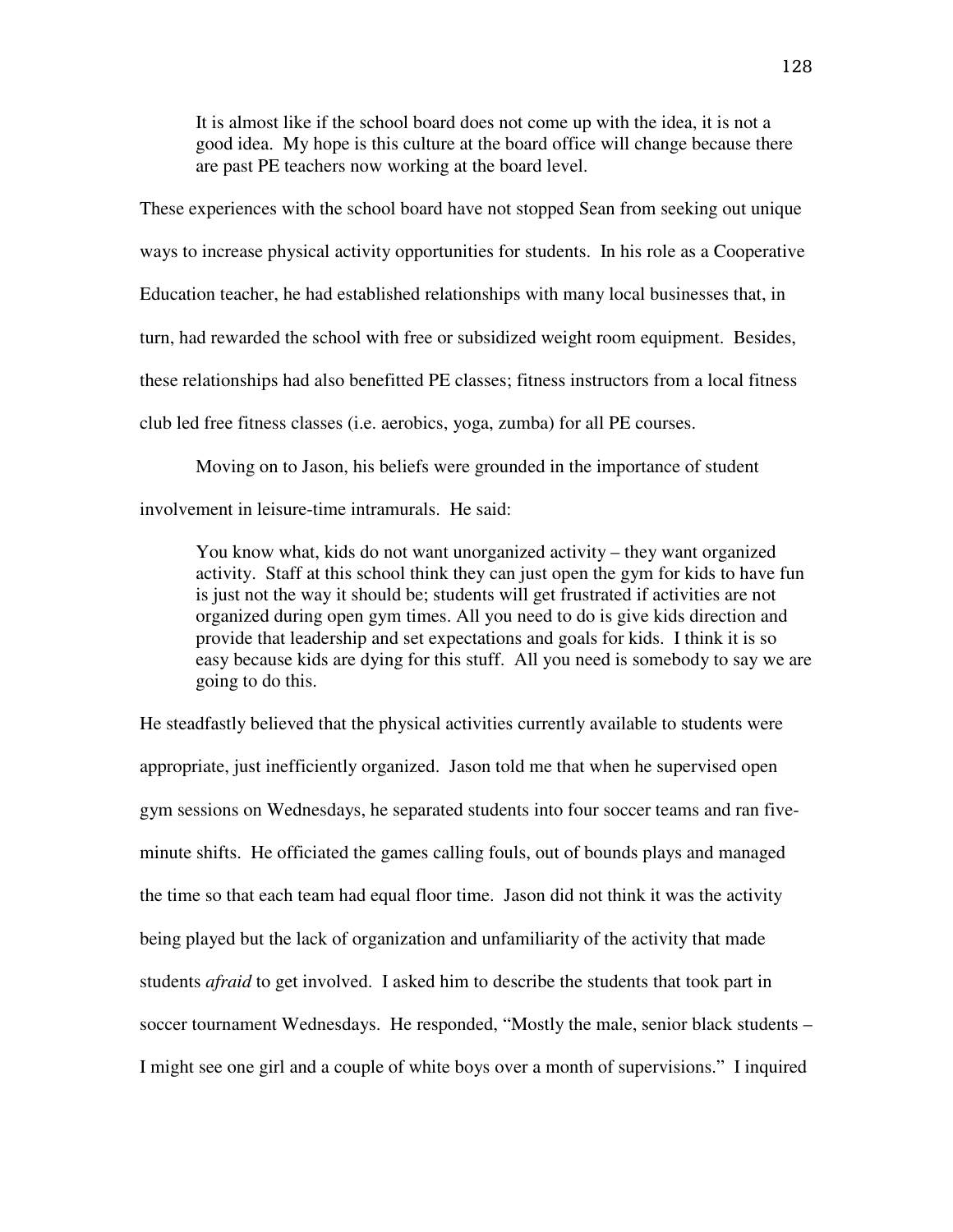It is almost like if the school board does not come up with the idea, it is not a good idea. My hope is this culture at the board office will change because there are past PE teachers now working at the board level.

These experiences with the school board have not stopped Sean from seeking out unique ways to increase physical activity opportunities for students. In his role as a Cooperative Education teacher, he had established relationships with many local businesses that, in turn, had rewarded the school with free or subsidized weight room equipment. Besides, these relationships had also benefitted PE classes; fitness instructors from a local fitness club led free fitness classes (i.e. aerobics, yoga, zumba) for all PE courses.

Moving on to Jason, his beliefs were grounded in the importance of student involvement in leisure-time intramurals. He said:

 You know what, kids do not want unorganized activity – they want organized activity. Staff at this school think they can just open the gym for kids to have fun is just not the way it should be; students will get frustrated if activities are not organized during open gym times. All you need to do is give kids direction and provide that leadership and set expectations and goals for kids. I think it is so easy because kids are dying for this stuff. All you need is somebody to say we are going to do this.

He steadfastly believed that the physical activities currently available to students were appropriate, just inefficiently organized. Jason told me that when he supervised open gym sessions on Wednesdays, he separated students into four soccer teams and ran fiveminute shifts. He officiated the games calling fouls, out of bounds plays and managed the time so that each team had equal floor time. Jason did not think it was the activity being played but the lack of organization and unfamiliarity of the activity that made students *afraid* to get involved. I asked him to describe the students that took part in soccer tournament Wednesdays. He responded, "Mostly the male, senior black students – I might see one girl and a couple of white boys over a month of supervisions." I inquired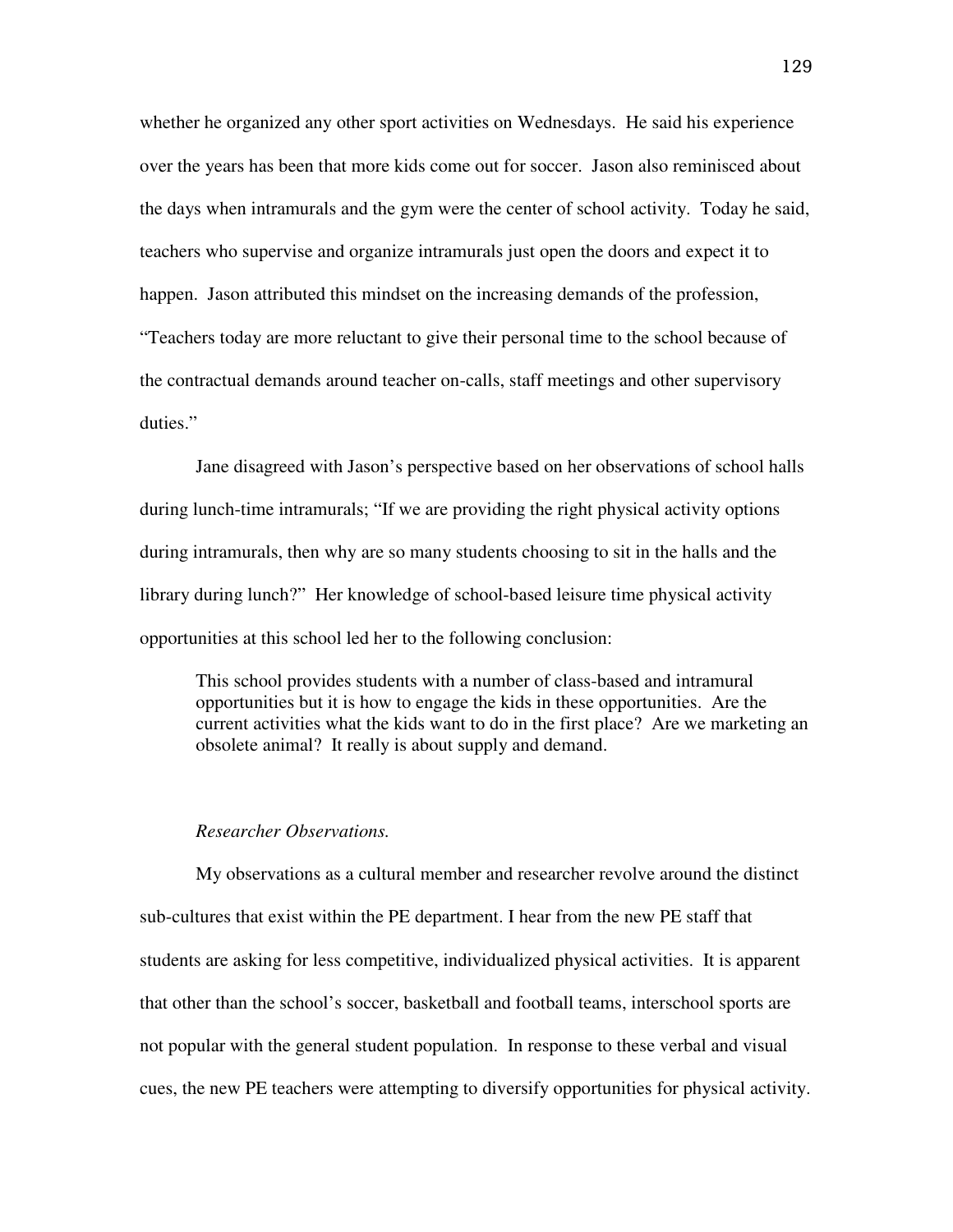whether he organized any other sport activities on Wednesdays. He said his experience over the years has been that more kids come out for soccer. Jason also reminisced about the days when intramurals and the gym were the center of school activity. Today he said, teachers who supervise and organize intramurals just open the doors and expect it to happen. Jason attributed this mindset on the increasing demands of the profession, "Teachers today are more reluctant to give their personal time to the school because of the contractual demands around teacher on-calls, staff meetings and other supervisory duties."

Jane disagreed with Jason's perspective based on her observations of school halls during lunch-time intramurals; "If we are providing the right physical activity options during intramurals, then why are so many students choosing to sit in the halls and the library during lunch?" Her knowledge of school-based leisure time physical activity opportunities at this school led her to the following conclusion:

 This school provides students with a number of class-based and intramural opportunities but it is how to engage the kids in these opportunities. Are the current activities what the kids want to do in the first place? Are we marketing an obsolete animal? It really is about supply and demand.

# *Researcher Observations.*

My observations as a cultural member and researcher revolve around the distinct sub-cultures that exist within the PE department. I hear from the new PE staff that students are asking for less competitive, individualized physical activities. It is apparent that other than the school's soccer, basketball and football teams, interschool sports are not popular with the general student population. In response to these verbal and visual cues, the new PE teachers were attempting to diversify opportunities for physical activity.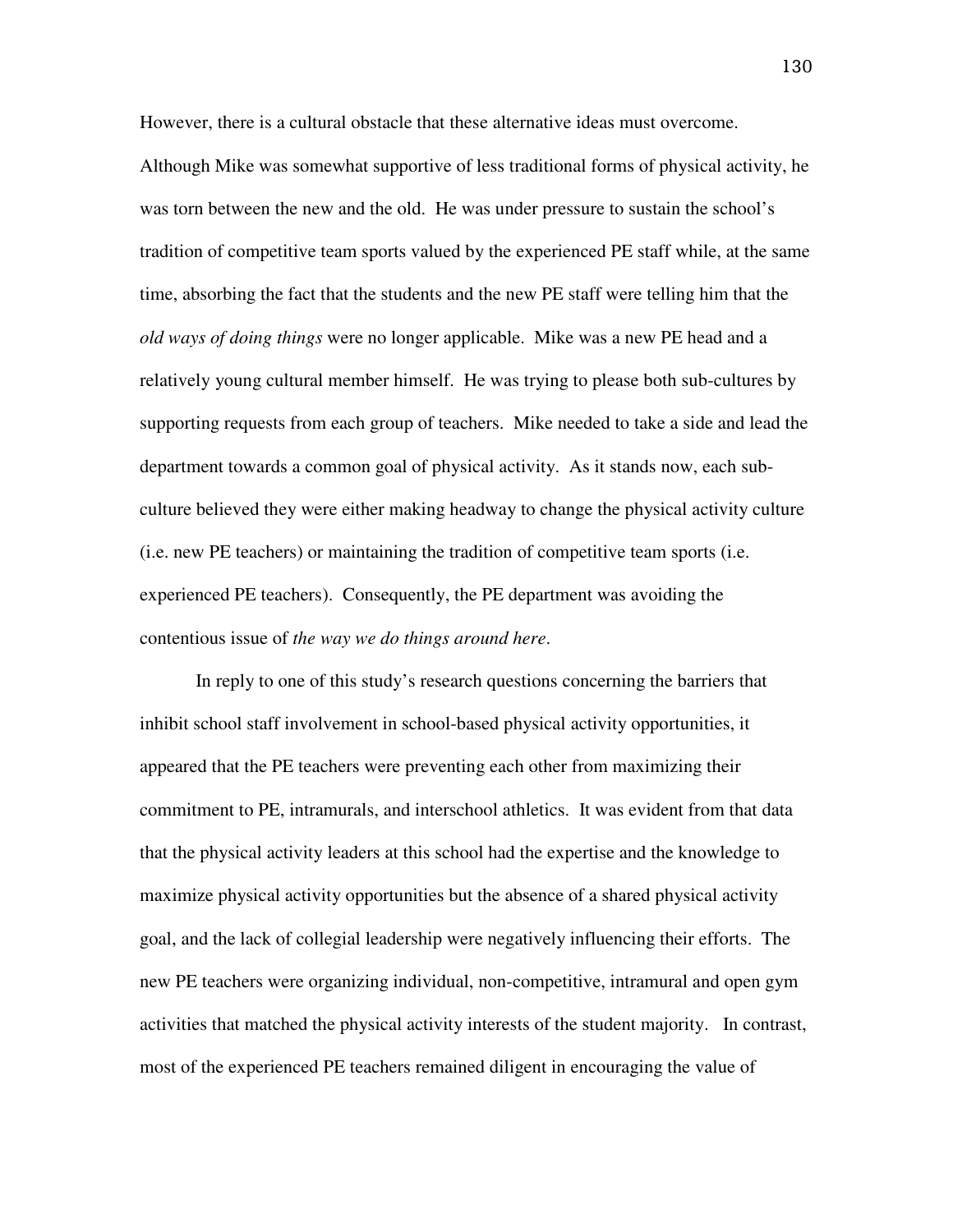However, there is a cultural obstacle that these alternative ideas must overcome. Although Mike was somewhat supportive of less traditional forms of physical activity, he was torn between the new and the old. He was under pressure to sustain the school's tradition of competitive team sports valued by the experienced PE staff while, at the same time, absorbing the fact that the students and the new PE staff were telling him that the *old ways of doing things* were no longer applicable. Mike was a new PE head and a relatively young cultural member himself. He was trying to please both sub-cultures by supporting requests from each group of teachers. Mike needed to take a side and lead the department towards a common goal of physical activity. As it stands now, each subculture believed they were either making headway to change the physical activity culture (i.e. new PE teachers) or maintaining the tradition of competitive team sports (i.e. experienced PE teachers). Consequently, the PE department was avoiding the contentious issue of *the way we do things around here*.

In reply to one of this study's research questions concerning the barriers that inhibit school staff involvement in school-based physical activity opportunities, it appeared that the PE teachers were preventing each other from maximizing their commitment to PE, intramurals, and interschool athletics. It was evident from that data that the physical activity leaders at this school had the expertise and the knowledge to maximize physical activity opportunities but the absence of a shared physical activity goal, and the lack of collegial leadership were negatively influencing their efforts. The new PE teachers were organizing individual, non-competitive, intramural and open gym activities that matched the physical activity interests of the student majority. In contrast, most of the experienced PE teachers remained diligent in encouraging the value of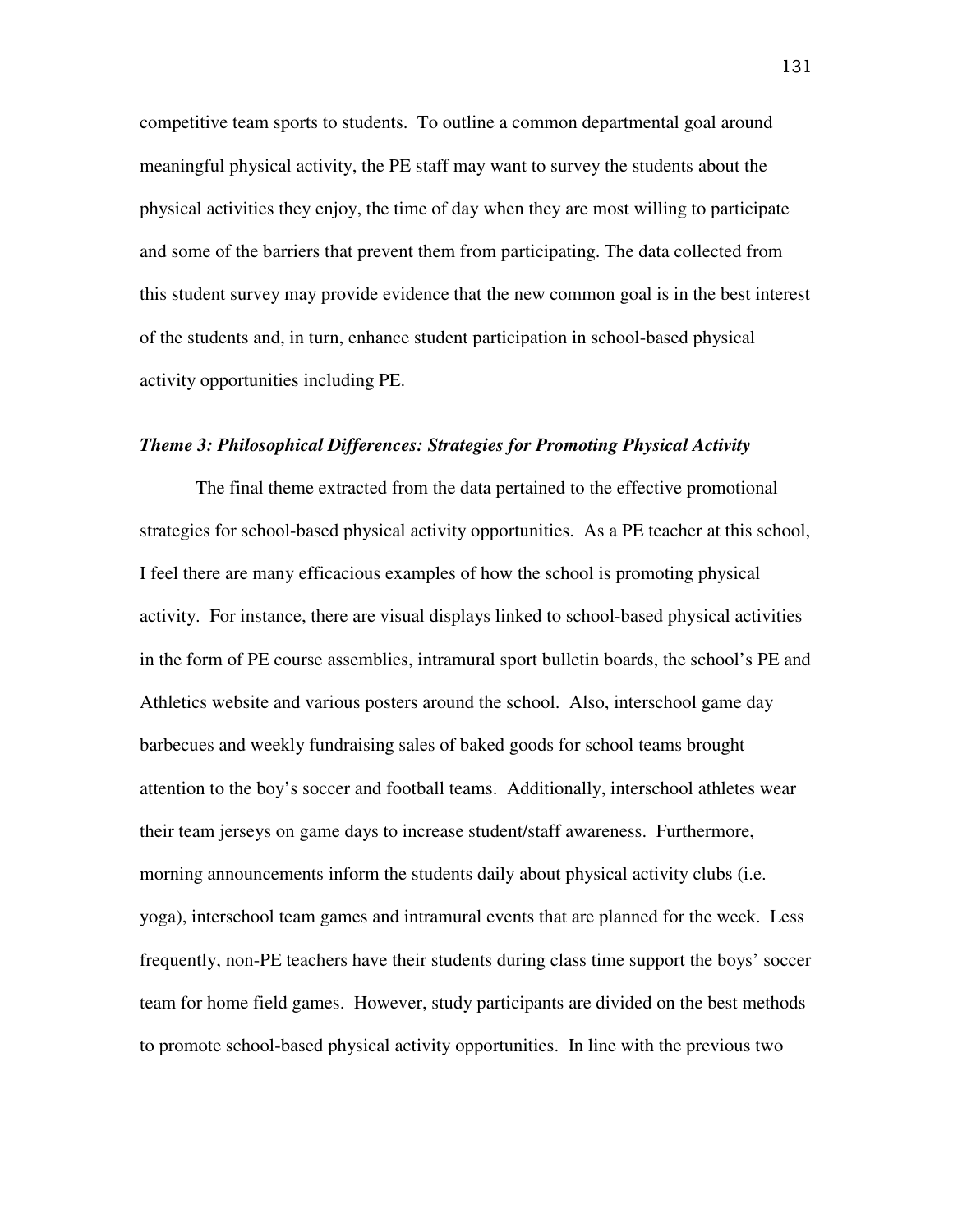competitive team sports to students. To outline a common departmental goal around meaningful physical activity, the PE staff may want to survey the students about the physical activities they enjoy, the time of day when they are most willing to participate and some of the barriers that prevent them from participating. The data collected from this student survey may provide evidence that the new common goal is in the best interest of the students and, in turn, enhance student participation in school-based physical activity opportunities including PE.

# *Theme 3: Philosophical Differences: Strategies for Promoting Physical Activity*

The final theme extracted from the data pertained to the effective promotional strategies for school-based physical activity opportunities. As a PE teacher at this school, I feel there are many efficacious examples of how the school is promoting physical activity. For instance, there are visual displays linked to school-based physical activities in the form of PE course assemblies, intramural sport bulletin boards, the school's PE and Athletics website and various posters around the school. Also, interschool game day barbecues and weekly fundraising sales of baked goods for school teams brought attention to the boy's soccer and football teams. Additionally, interschool athletes wear their team jerseys on game days to increase student/staff awareness. Furthermore, morning announcements inform the students daily about physical activity clubs (i.e. yoga), interschool team games and intramural events that are planned for the week. Less frequently, non-PE teachers have their students during class time support the boys' soccer team for home field games. However, study participants are divided on the best methods to promote school-based physical activity opportunities. In line with the previous two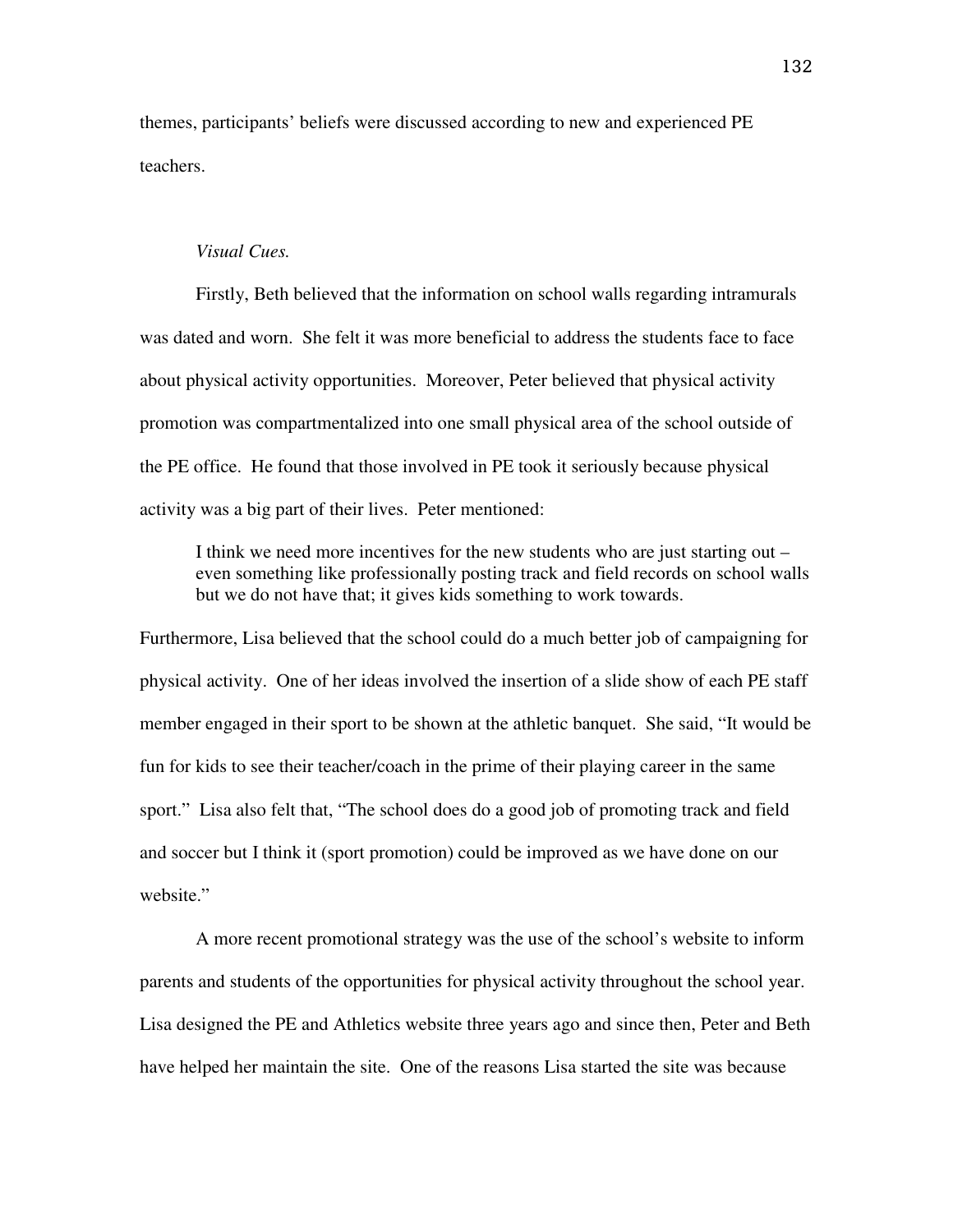themes, participants' beliefs were discussed according to new and experienced PE teachers.

#### *Visual Cues.*

Firstly, Beth believed that the information on school walls regarding intramurals was dated and worn. She felt it was more beneficial to address the students face to face about physical activity opportunities. Moreover, Peter believed that physical activity promotion was compartmentalized into one small physical area of the school outside of the PE office. He found that those involved in PE took it seriously because physical activity was a big part of their lives. Peter mentioned:

 I think we need more incentives for the new students who are just starting out – even something like professionally posting track and field records on school walls but we do not have that; it gives kids something to work towards.

Furthermore, Lisa believed that the school could do a much better job of campaigning for physical activity. One of her ideas involved the insertion of a slide show of each PE staff member engaged in their sport to be shown at the athletic banquet. She said, "It would be fun for kids to see their teacher/coach in the prime of their playing career in the same sport." Lisa also felt that, "The school does do a good job of promoting track and field and soccer but I think it (sport promotion) could be improved as we have done on our website."

A more recent promotional strategy was the use of the school's website to inform parents and students of the opportunities for physical activity throughout the school year. Lisa designed the PE and Athletics website three years ago and since then, Peter and Beth have helped her maintain the site. One of the reasons Lisa started the site was because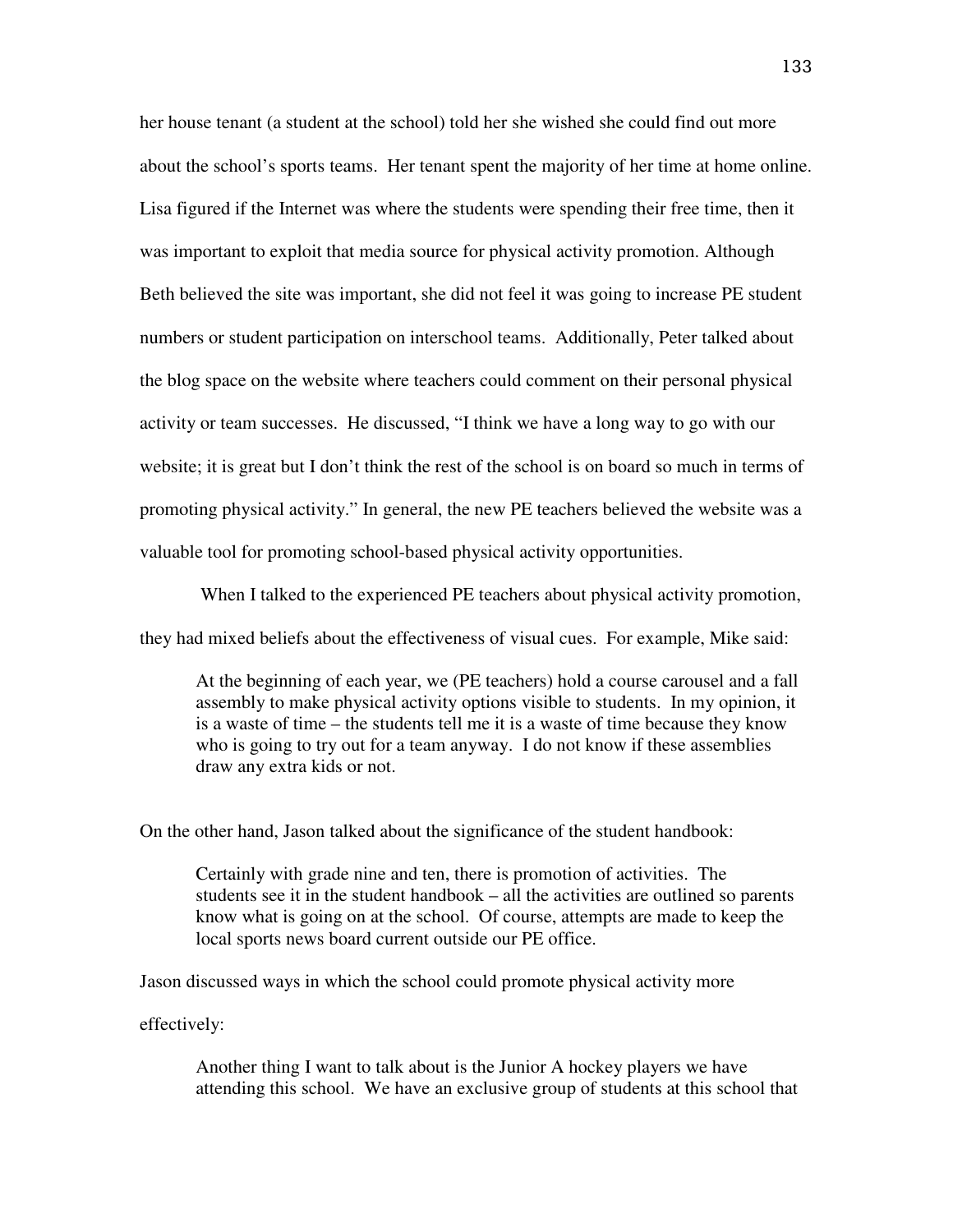her house tenant (a student at the school) told her she wished she could find out more about the school's sports teams. Her tenant spent the majority of her time at home online. Lisa figured if the Internet was where the students were spending their free time, then it was important to exploit that media source for physical activity promotion. Although Beth believed the site was important, she did not feel it was going to increase PE student numbers or student participation on interschool teams. Additionally, Peter talked about the blog space on the website where teachers could comment on their personal physical activity or team successes. He discussed, "I think we have a long way to go with our website; it is great but I don't think the rest of the school is on board so much in terms of promoting physical activity." In general, the new PE teachers believed the website was a valuable tool for promoting school-based physical activity opportunities.

When I talked to the experienced PE teachers about physical activity promotion, they had mixed beliefs about the effectiveness of visual cues. For example, Mike said:

At the beginning of each year, we (PE teachers) hold a course carousel and a fall assembly to make physical activity options visible to students. In my opinion, it is a waste of time – the students tell me it is a waste of time because they know who is going to try out for a team anyway. I do not know if these assemblies draw any extra kids or not.

On the other hand, Jason talked about the significance of the student handbook:

Certainly with grade nine and ten, there is promotion of activities. The students see it in the student handbook – all the activities are outlined so parents know what is going on at the school. Of course, attempts are made to keep the local sports news board current outside our PE office.

Jason discussed ways in which the school could promote physical activity more

effectively:

 Another thing I want to talk about is the Junior A hockey players we have attending this school. We have an exclusive group of students at this school that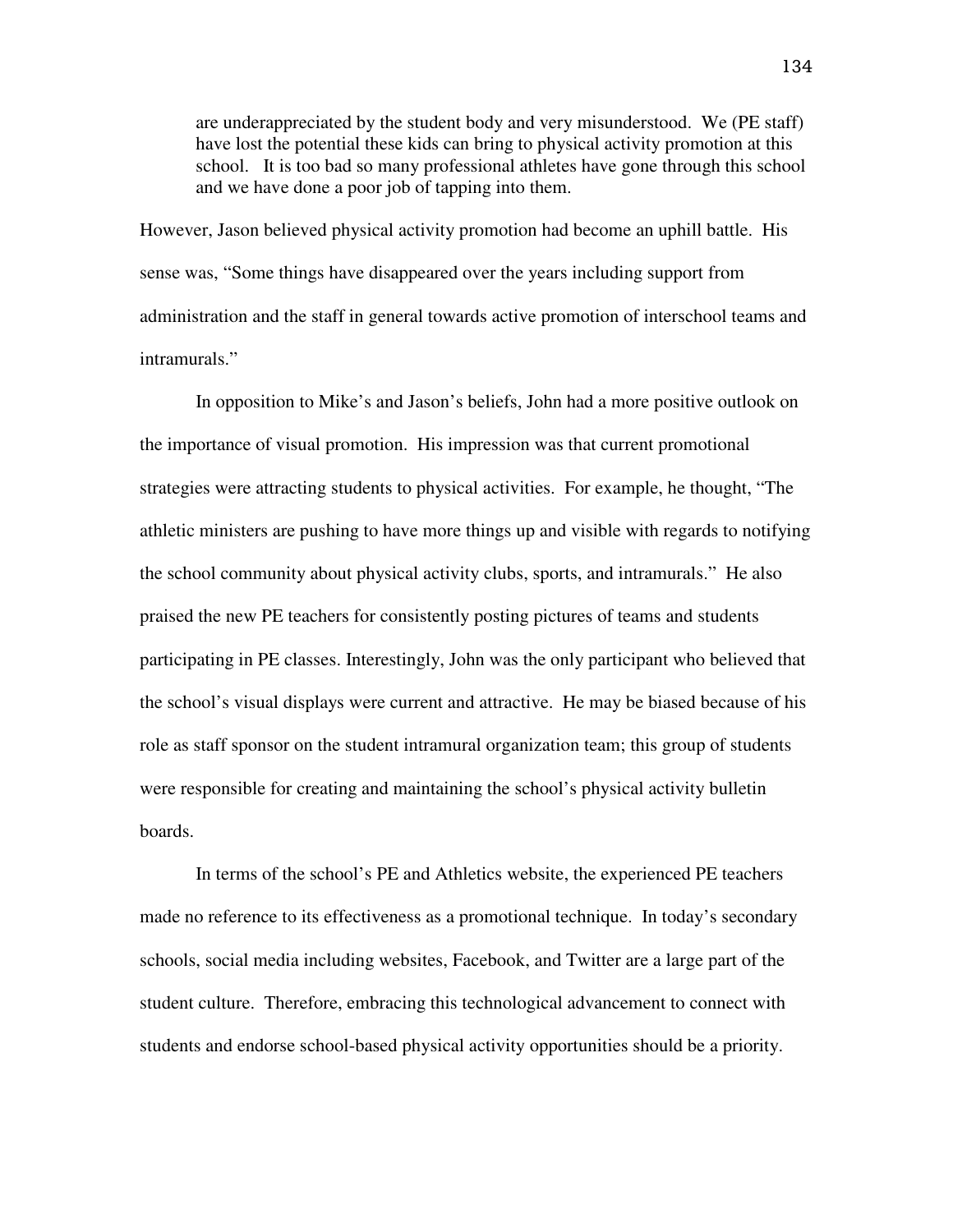are underappreciated by the student body and very misunderstood. We (PE staff) have lost the potential these kids can bring to physical activity promotion at this school. It is too bad so many professional athletes have gone through this school and we have done a poor job of tapping into them.

However, Jason believed physical activity promotion had become an uphill battle. His sense was, "Some things have disappeared over the years including support from administration and the staff in general towards active promotion of interschool teams and intramurals."

In opposition to Mike's and Jason's beliefs, John had a more positive outlook on the importance of visual promotion. His impression was that current promotional strategies were attracting students to physical activities. For example, he thought, "The athletic ministers are pushing to have more things up and visible with regards to notifying the school community about physical activity clubs, sports, and intramurals." He also praised the new PE teachers for consistently posting pictures of teams and students participating in PE classes. Interestingly, John was the only participant who believed that the school's visual displays were current and attractive. He may be biased because of his role as staff sponsor on the student intramural organization team; this group of students were responsible for creating and maintaining the school's physical activity bulletin boards.

In terms of the school's PE and Athletics website, the experienced PE teachers made no reference to its effectiveness as a promotional technique. In today's secondary schools, social media including websites, Facebook, and Twitter are a large part of the student culture. Therefore, embracing this technological advancement to connect with students and endorse school-based physical activity opportunities should be a priority.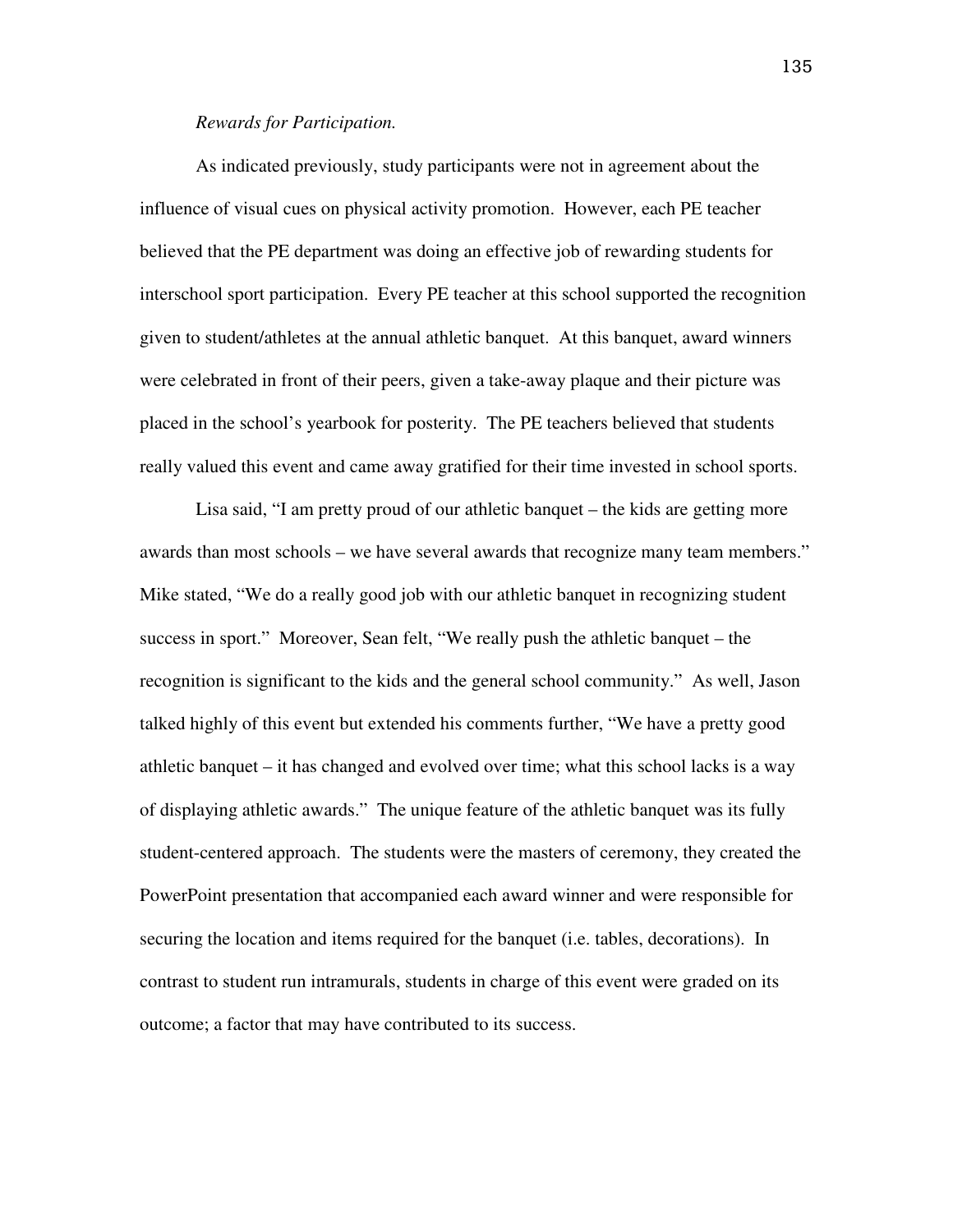### *Rewards for Participation.*

As indicated previously, study participants were not in agreement about the influence of visual cues on physical activity promotion. However, each PE teacher believed that the PE department was doing an effective job of rewarding students for interschool sport participation. Every PE teacher at this school supported the recognition given to student/athletes at the annual athletic banquet. At this banquet, award winners were celebrated in front of their peers, given a take-away plaque and their picture was placed in the school's yearbook for posterity. The PE teachers believed that students really valued this event and came away gratified for their time invested in school sports.

Lisa said, "I am pretty proud of our athletic banquet – the kids are getting more awards than most schools – we have several awards that recognize many team members." Mike stated, "We do a really good job with our athletic banquet in recognizing student success in sport." Moreover, Sean felt, "We really push the athletic banquet – the recognition is significant to the kids and the general school community." As well, Jason talked highly of this event but extended his comments further, "We have a pretty good athletic banquet – it has changed and evolved over time; what this school lacks is a way of displaying athletic awards." The unique feature of the athletic banquet was its fully student-centered approach. The students were the masters of ceremony, they created the PowerPoint presentation that accompanied each award winner and were responsible for securing the location and items required for the banquet (i.e. tables, decorations). In contrast to student run intramurals, students in charge of this event were graded on its outcome; a factor that may have contributed to its success.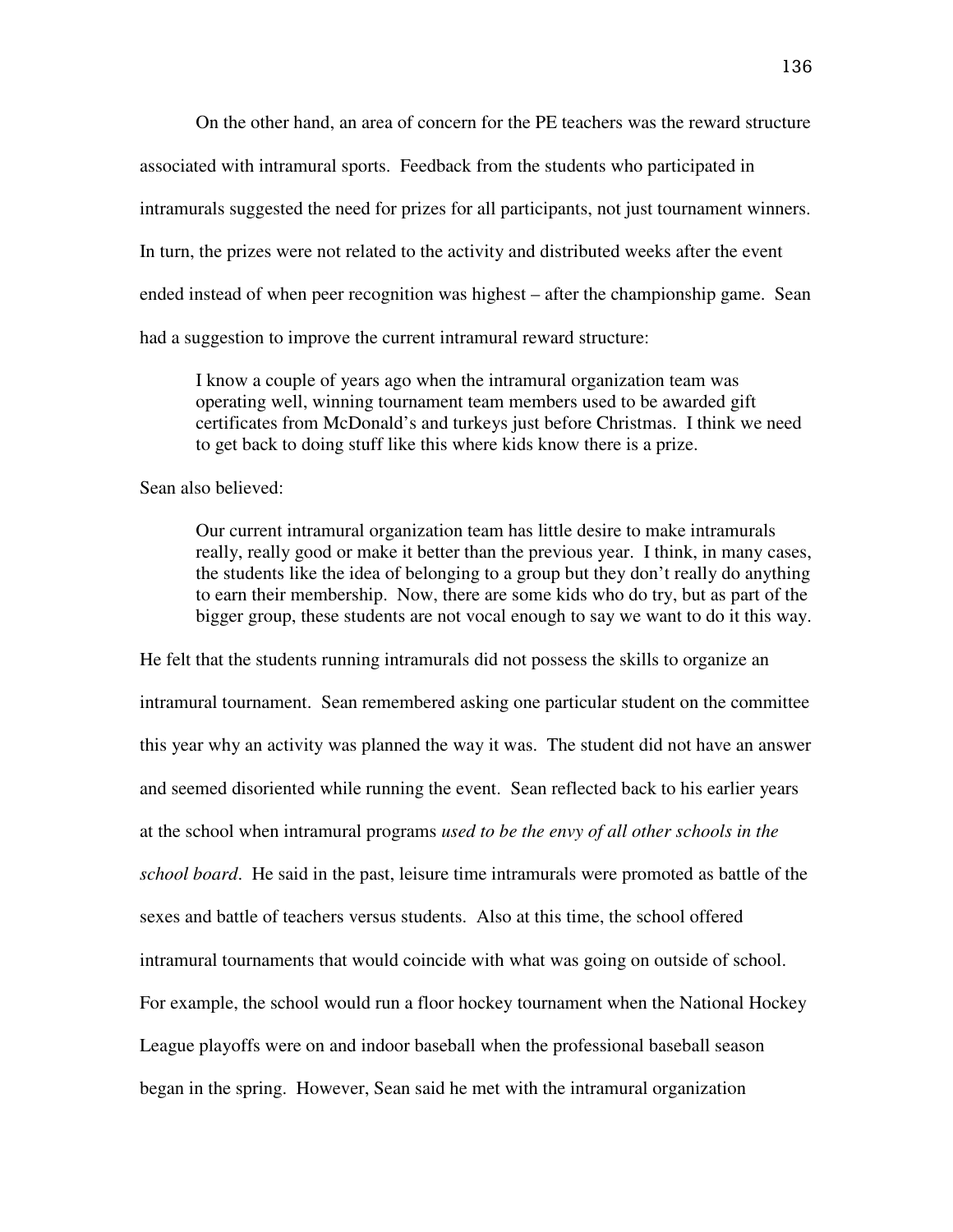On the other hand, an area of concern for the PE teachers was the reward structure associated with intramural sports. Feedback from the students who participated in intramurals suggested the need for prizes for all participants, not just tournament winners. In turn, the prizes were not related to the activity and distributed weeks after the event ended instead of when peer recognition was highest – after the championship game. Sean had a suggestion to improve the current intramural reward structure:

I know a couple of years ago when the intramural organization team was operating well, winning tournament team members used to be awarded gift certificates from McDonald's and turkeys just before Christmas. I think we need to get back to doing stuff like this where kids know there is a prize.

Sean also believed:

Our current intramural organization team has little desire to make intramurals really, really good or make it better than the previous year. I think, in many cases, the students like the idea of belonging to a group but they don't really do anything to earn their membership. Now, there are some kids who do try, but as part of the bigger group, these students are not vocal enough to say we want to do it this way.

He felt that the students running intramurals did not possess the skills to organize an intramural tournament. Sean remembered asking one particular student on the committee this year why an activity was planned the way it was. The student did not have an answer and seemed disoriented while running the event. Sean reflected back to his earlier years at the school when intramural programs *used to be the envy of all other schools in the school board*. He said in the past, leisure time intramurals were promoted as battle of the sexes and battle of teachers versus students. Also at this time, the school offered intramural tournaments that would coincide with what was going on outside of school. For example, the school would run a floor hockey tournament when the National Hockey League playoffs were on and indoor baseball when the professional baseball season began in the spring. However, Sean said he met with the intramural organization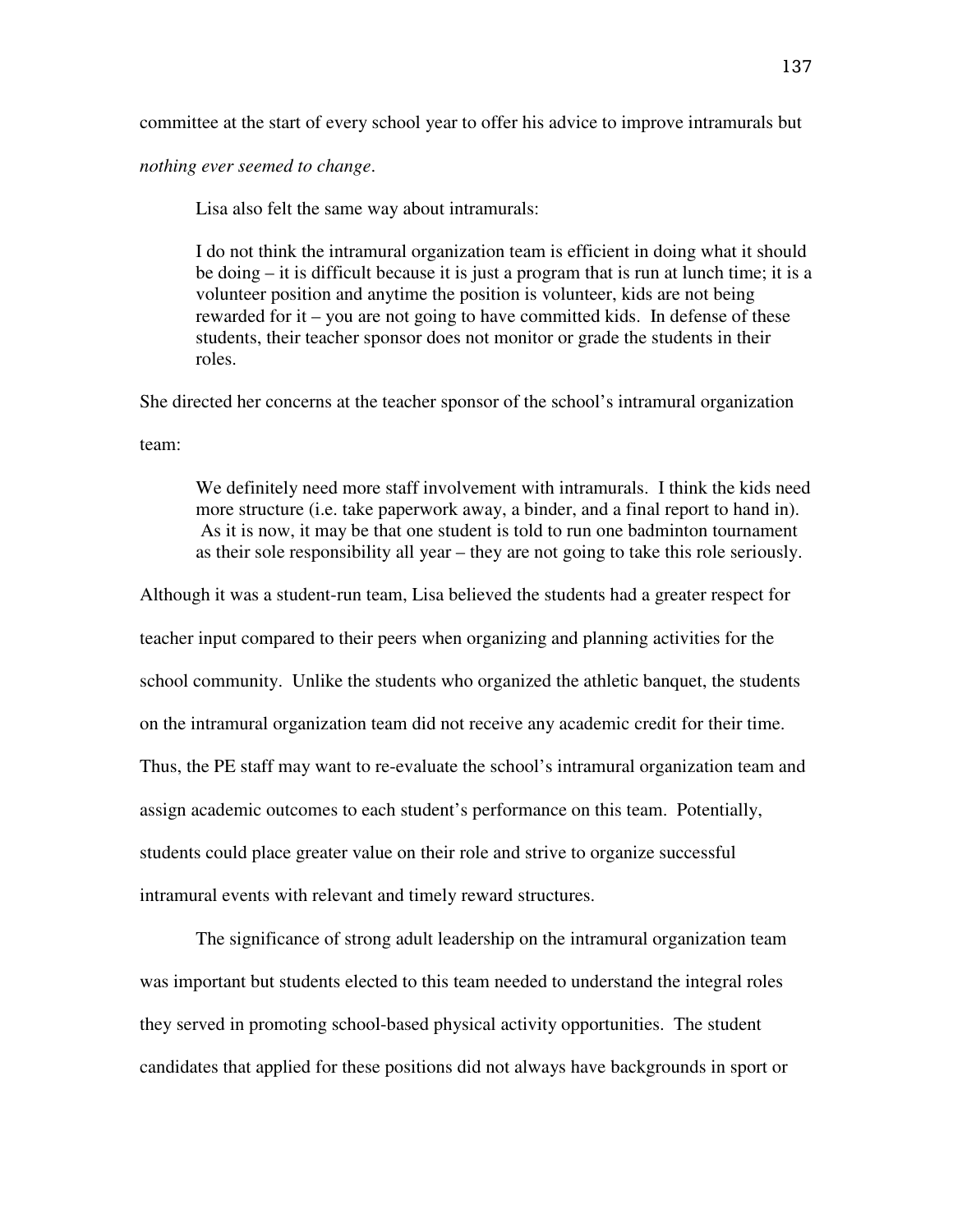committee at the start of every school year to offer his advice to improve intramurals but

*nothing ever seemed to change*.

Lisa also felt the same way about intramurals:

 I do not think the intramural organization team is efficient in doing what it should be doing – it is difficult because it is just a program that is run at lunch time; it is a volunteer position and anytime the position is volunteer, kids are not being rewarded for it – you are not going to have committed kids. In defense of these students, their teacher sponsor does not monitor or grade the students in their roles.

She directed her concerns at the teacher sponsor of the school's intramural organization team:

 We definitely need more staff involvement with intramurals. I think the kids need more structure (i.e. take paperwork away, a binder, and a final report to hand in). As it is now, it may be that one student is told to run one badminton tournament as their sole responsibility all year – they are not going to take this role seriously.

Although it was a student-run team, Lisa believed the students had a greater respect for teacher input compared to their peers when organizing and planning activities for the school community. Unlike the students who organized the athletic banquet, the students on the intramural organization team did not receive any academic credit for their time. Thus, the PE staff may want to re-evaluate the school's intramural organization team and assign academic outcomes to each student's performance on this team. Potentially, students could place greater value on their role and strive to organize successful intramural events with relevant and timely reward structures.

The significance of strong adult leadership on the intramural organization team was important but students elected to this team needed to understand the integral roles they served in promoting school-based physical activity opportunities. The student candidates that applied for these positions did not always have backgrounds in sport or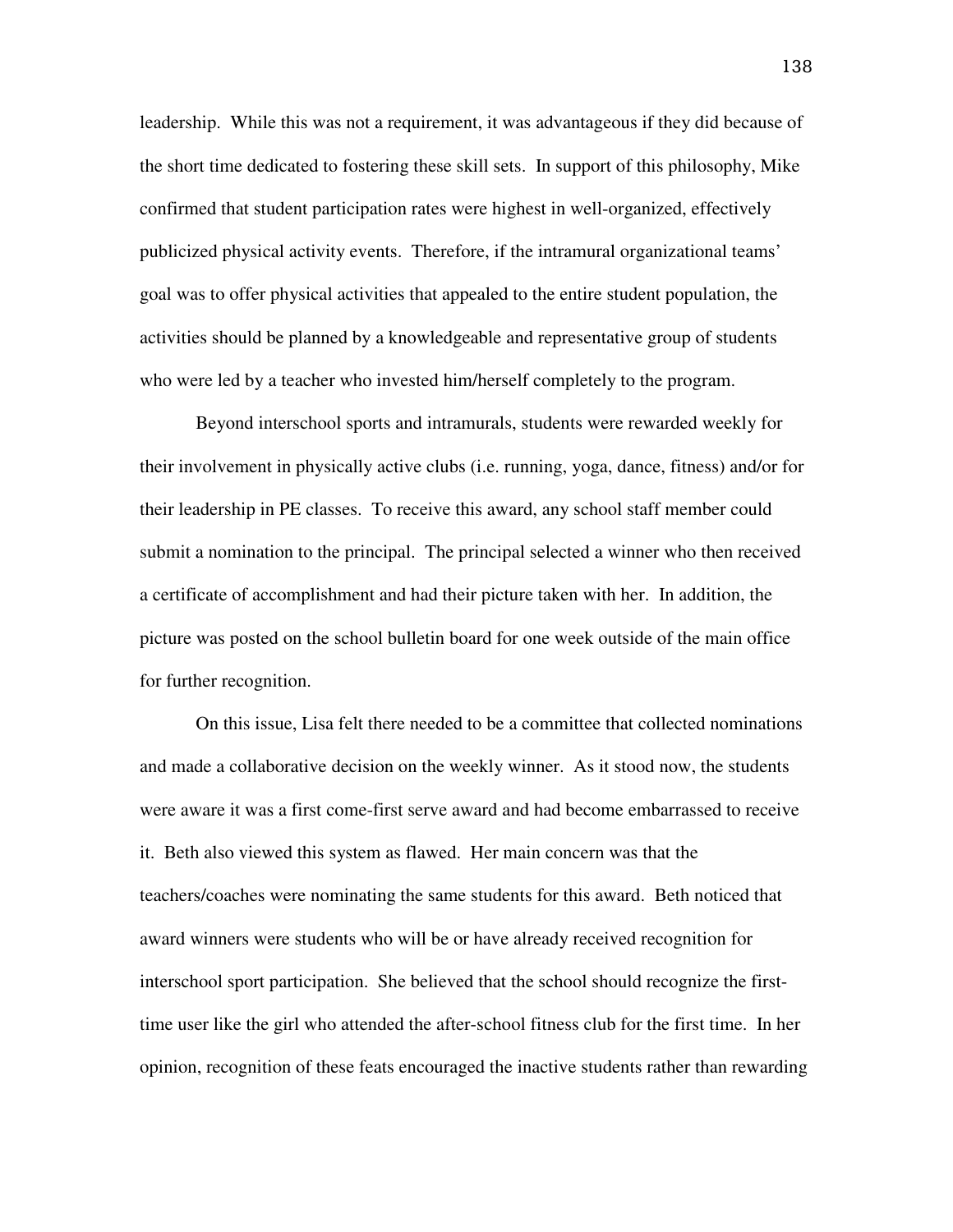leadership. While this was not a requirement, it was advantageous if they did because of the short time dedicated to fostering these skill sets. In support of this philosophy, Mike confirmed that student participation rates were highest in well-organized, effectively publicized physical activity events. Therefore, if the intramural organizational teams' goal was to offer physical activities that appealed to the entire student population, the activities should be planned by a knowledgeable and representative group of students who were led by a teacher who invested him/herself completely to the program.

Beyond interschool sports and intramurals, students were rewarded weekly for their involvement in physically active clubs (i.e. running, yoga, dance, fitness) and/or for their leadership in PE classes. To receive this award, any school staff member could submit a nomination to the principal. The principal selected a winner who then received a certificate of accomplishment and had their picture taken with her. In addition, the picture was posted on the school bulletin board for one week outside of the main office for further recognition.

On this issue, Lisa felt there needed to be a committee that collected nominations and made a collaborative decision on the weekly winner. As it stood now, the students were aware it was a first come-first serve award and had become embarrassed to receive it. Beth also viewed this system as flawed. Her main concern was that the teachers/coaches were nominating the same students for this award. Beth noticed that award winners were students who will be or have already received recognition for interschool sport participation. She believed that the school should recognize the firsttime user like the girl who attended the after-school fitness club for the first time. In her opinion, recognition of these feats encouraged the inactive students rather than rewarding

138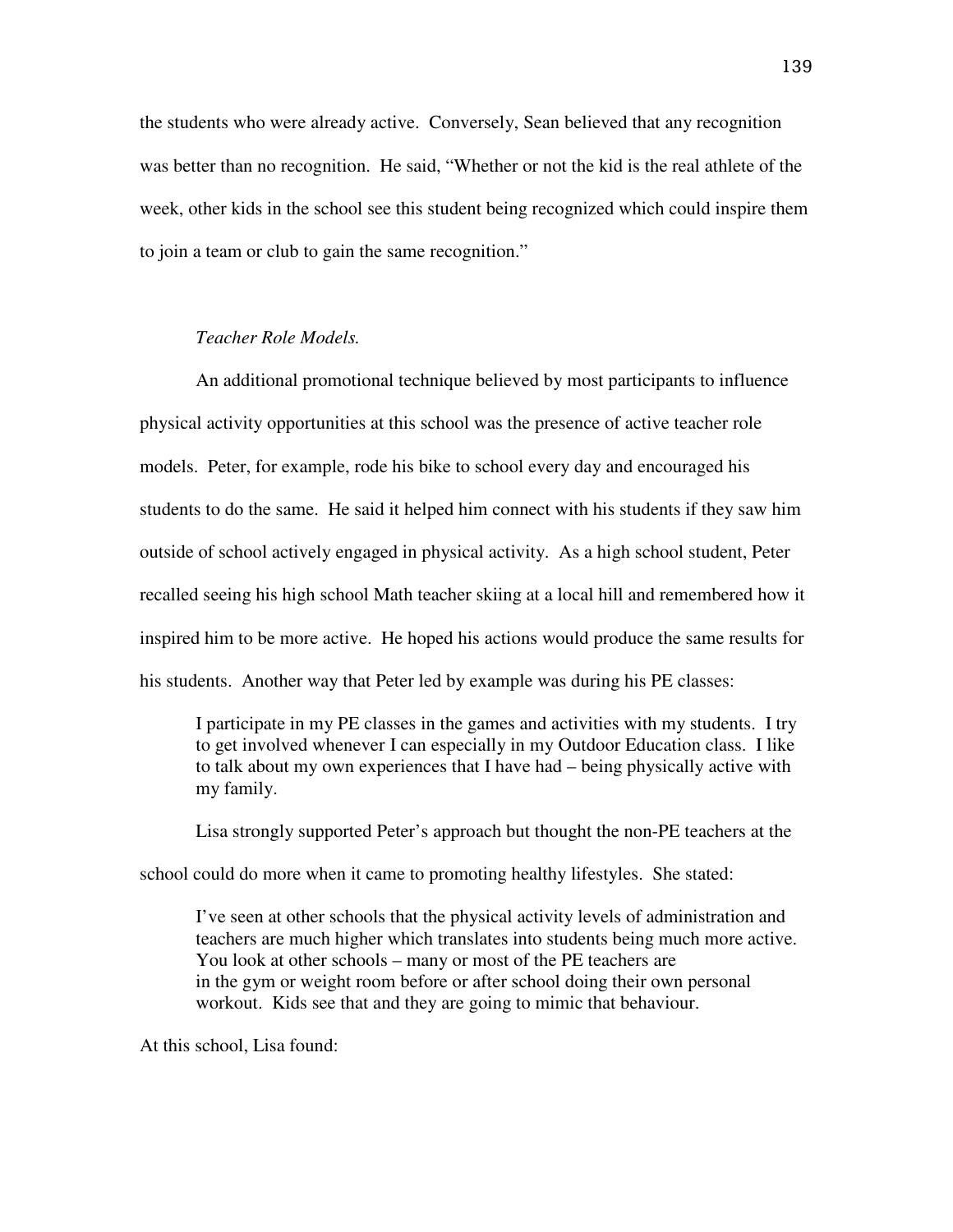the students who were already active. Conversely, Sean believed that any recognition was better than no recognition. He said, "Whether or not the kid is the real athlete of the week, other kids in the school see this student being recognized which could inspire them to join a team or club to gain the same recognition."

# *Teacher Role Models.*

An additional promotional technique believed by most participants to influence physical activity opportunities at this school was the presence of active teacher role models. Peter, for example, rode his bike to school every day and encouraged his students to do the same. He said it helped him connect with his students if they saw him outside of school actively engaged in physical activity. As a high school student, Peter recalled seeing his high school Math teacher skiing at a local hill and remembered how it inspired him to be more active. He hoped his actions would produce the same results for his students. Another way that Peter led by example was during his PE classes:

I participate in my PE classes in the games and activities with my students. I try to get involved whenever I can especially in my Outdoor Education class. I like to talk about my own experiences that I have had – being physically active with my family.

Lisa strongly supported Peter's approach but thought the non-PE teachers at the school could do more when it came to promoting healthy lifestyles. She stated:

I've seen at other schools that the physical activity levels of administration and teachers are much higher which translates into students being much more active. You look at other schools – many or most of the PE teachers are in the gym or weight room before or after school doing their own personal workout. Kids see that and they are going to mimic that behaviour.

At this school, Lisa found: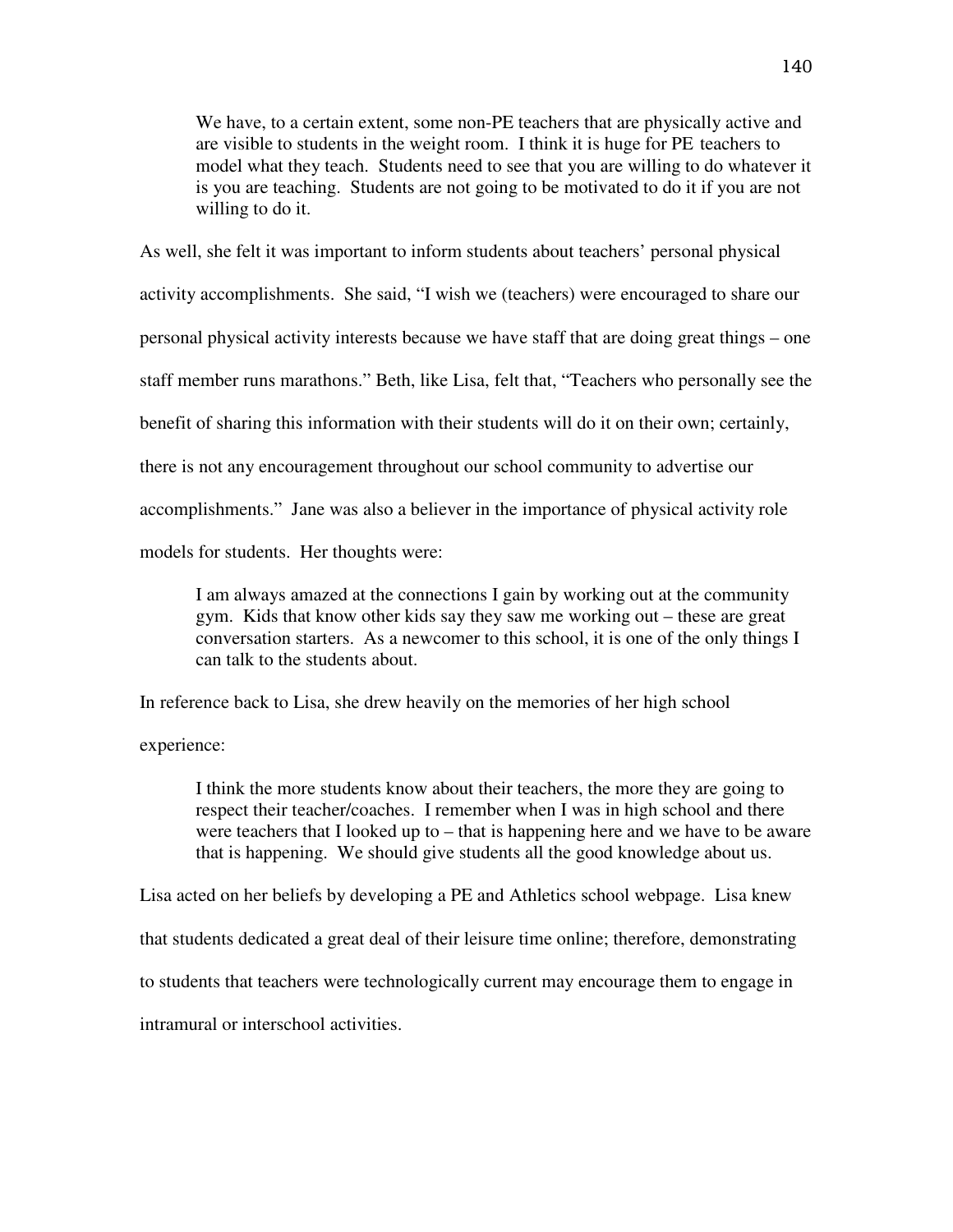We have, to a certain extent, some non-PE teachers that are physically active and are visible to students in the weight room. I think it is huge for PE teachers to model what they teach. Students need to see that you are willing to do whatever it is you are teaching. Students are not going to be motivated to do it if you are not willing to do it.

As well, she felt it was important to inform students about teachers' personal physical activity accomplishments. She said, "I wish we (teachers) were encouraged to share our personal physical activity interests because we have staff that are doing great things – one staff member runs marathons." Beth, like Lisa, felt that, "Teachers who personally see the benefit of sharing this information with their students will do it on their own; certainly, there is not any encouragement throughout our school community to advertise our accomplishments." Jane was also a believer in the importance of physical activity role models for students. Her thoughts were:

I am always amazed at the connections I gain by working out at the community gym. Kids that know other kids say they saw me working out – these are great conversation starters. As a newcomer to this school, it is one of the only things I can talk to the students about.

In reference back to Lisa, she drew heavily on the memories of her high school

experience:

I think the more students know about their teachers, the more they are going to respect their teacher/coaches. I remember when I was in high school and there were teachers that I looked up to – that is happening here and we have to be aware that is happening. We should give students all the good knowledge about us.

Lisa acted on her beliefs by developing a PE and Athletics school webpage. Lisa knew that students dedicated a great deal of their leisure time online; therefore, demonstrating to students that teachers were technologically current may encourage them to engage in intramural or interschool activities.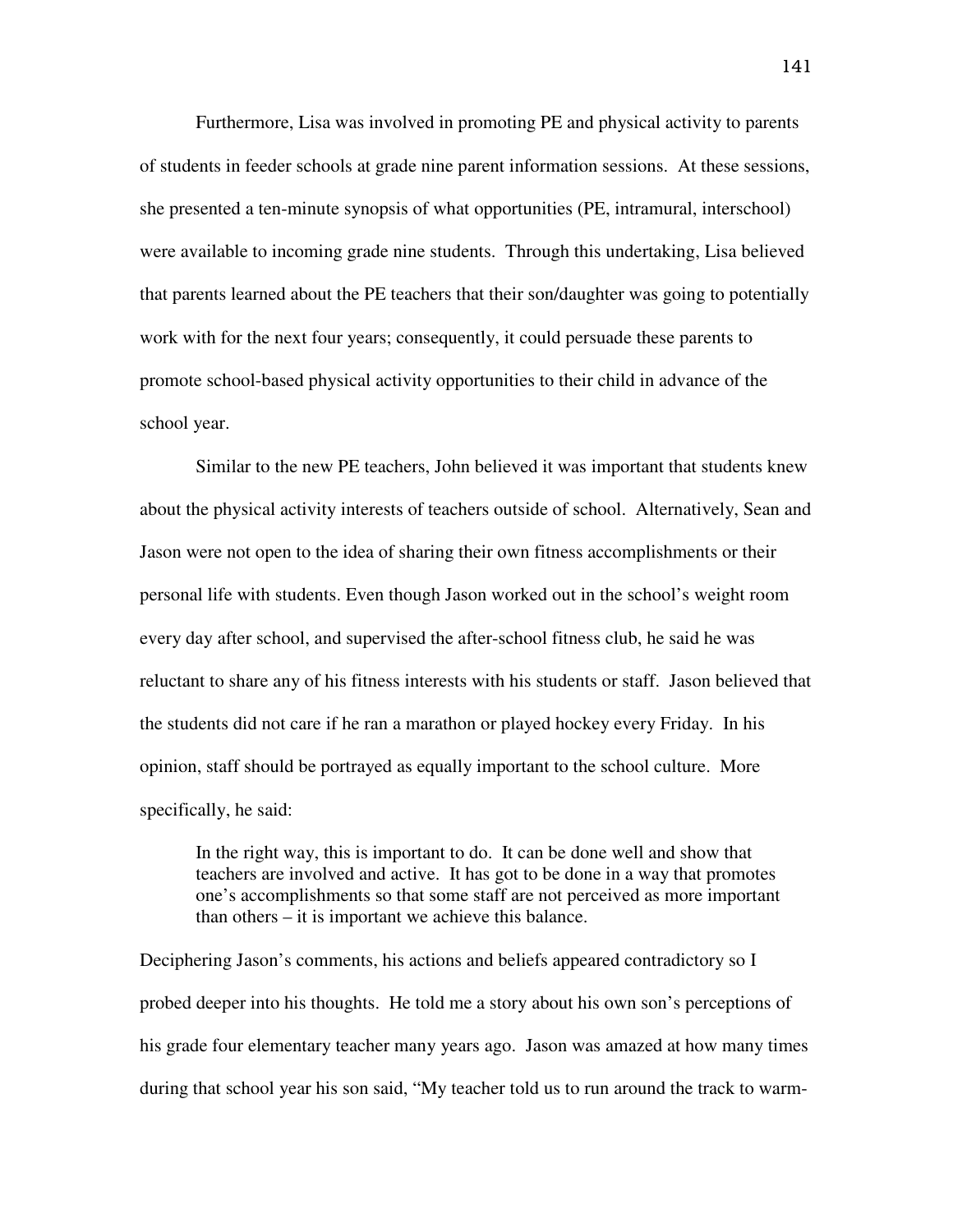Furthermore, Lisa was involved in promoting PE and physical activity to parents of students in feeder schools at grade nine parent information sessions. At these sessions, she presented a ten-minute synopsis of what opportunities (PE, intramural, interschool) were available to incoming grade nine students. Through this undertaking, Lisa believed that parents learned about the PE teachers that their son/daughter was going to potentially work with for the next four years; consequently, it could persuade these parents to promote school-based physical activity opportunities to their child in advance of the school year.

Similar to the new PE teachers, John believed it was important that students knew about the physical activity interests of teachers outside of school. Alternatively, Sean and Jason were not open to the idea of sharing their own fitness accomplishments or their personal life with students. Even though Jason worked out in the school's weight room every day after school, and supervised the after-school fitness club, he said he was reluctant to share any of his fitness interests with his students or staff. Jason believed that the students did not care if he ran a marathon or played hockey every Friday. In his opinion, staff should be portrayed as equally important to the school culture. More specifically, he said:

In the right way, this is important to do. It can be done well and show that teachers are involved and active. It has got to be done in a way that promotes one's accomplishments so that some staff are not perceived as more important than others – it is important we achieve this balance.

Deciphering Jason's comments, his actions and beliefs appeared contradictory so I probed deeper into his thoughts. He told me a story about his own son's perceptions of his grade four elementary teacher many years ago. Jason was amazed at how many times during that school year his son said, "My teacher told us to run around the track to warm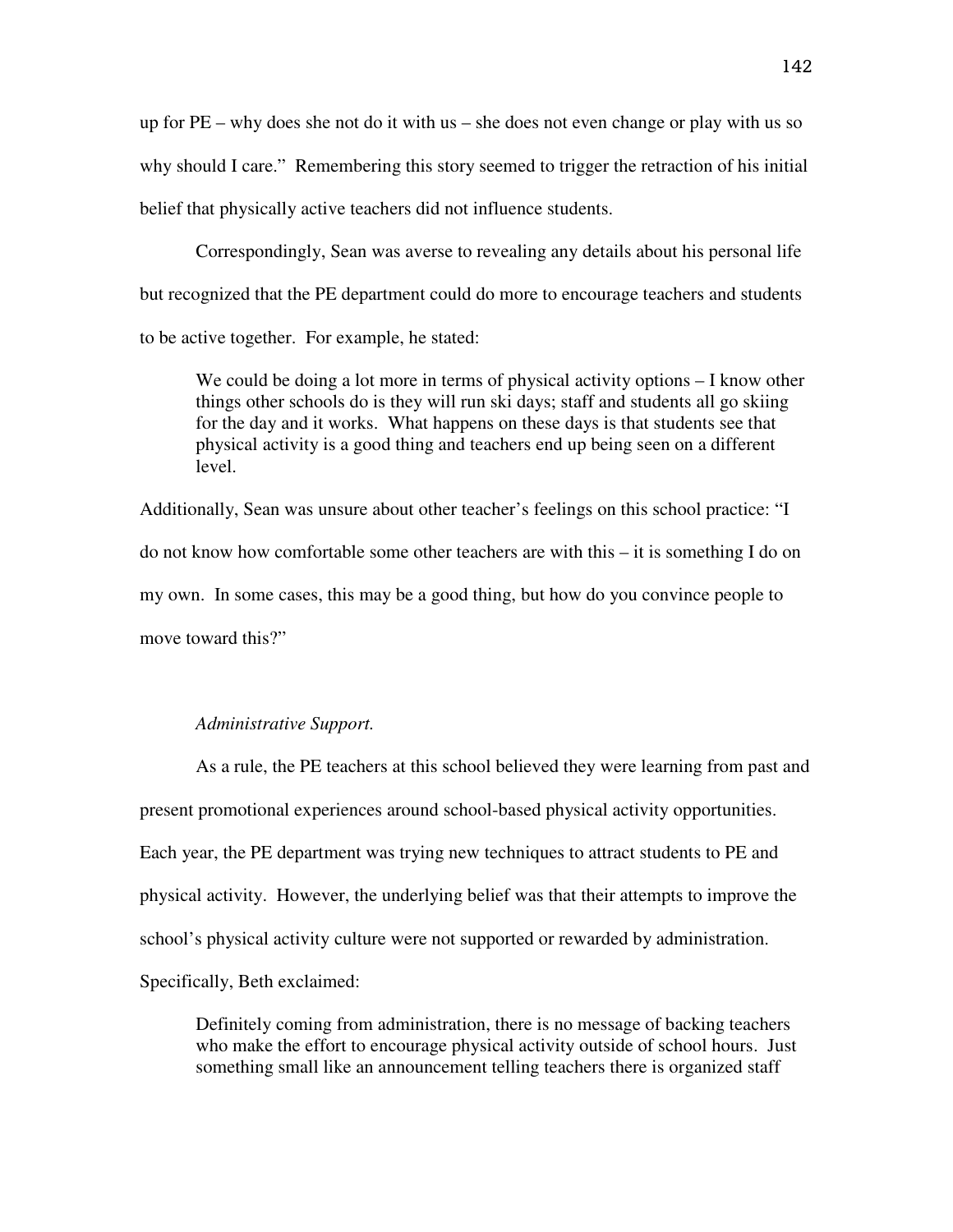up for PE – why does she not do it with us – she does not even change or play with us so why should I care." Remembering this story seemed to trigger the retraction of his initial belief that physically active teachers did not influence students.

Correspondingly, Sean was averse to revealing any details about his personal life but recognized that the PE department could do more to encourage teachers and students to be active together. For example, he stated:

We could be doing a lot more in terms of physical activity options – I know other things other schools do is they will run ski days; staff and students all go skiing for the day and it works. What happens on these days is that students see that physical activity is a good thing and teachers end up being seen on a different level.

Additionally, Sean was unsure about other teacher's feelings on this school practice: "I do not know how comfortable some other teachers are with this – it is something I do on my own. In some cases, this may be a good thing, but how do you convince people to move toward this?"

#### *Administrative Support.*

As a rule, the PE teachers at this school believed they were learning from past and present promotional experiences around school-based physical activity opportunities. Each year, the PE department was trying new techniques to attract students to PE and physical activity. However, the underlying belief was that their attempts to improve the school's physical activity culture were not supported or rewarded by administration. Specifically, Beth exclaimed:

Definitely coming from administration, there is no message of backing teachers who make the effort to encourage physical activity outside of school hours. Just something small like an announcement telling teachers there is organized staff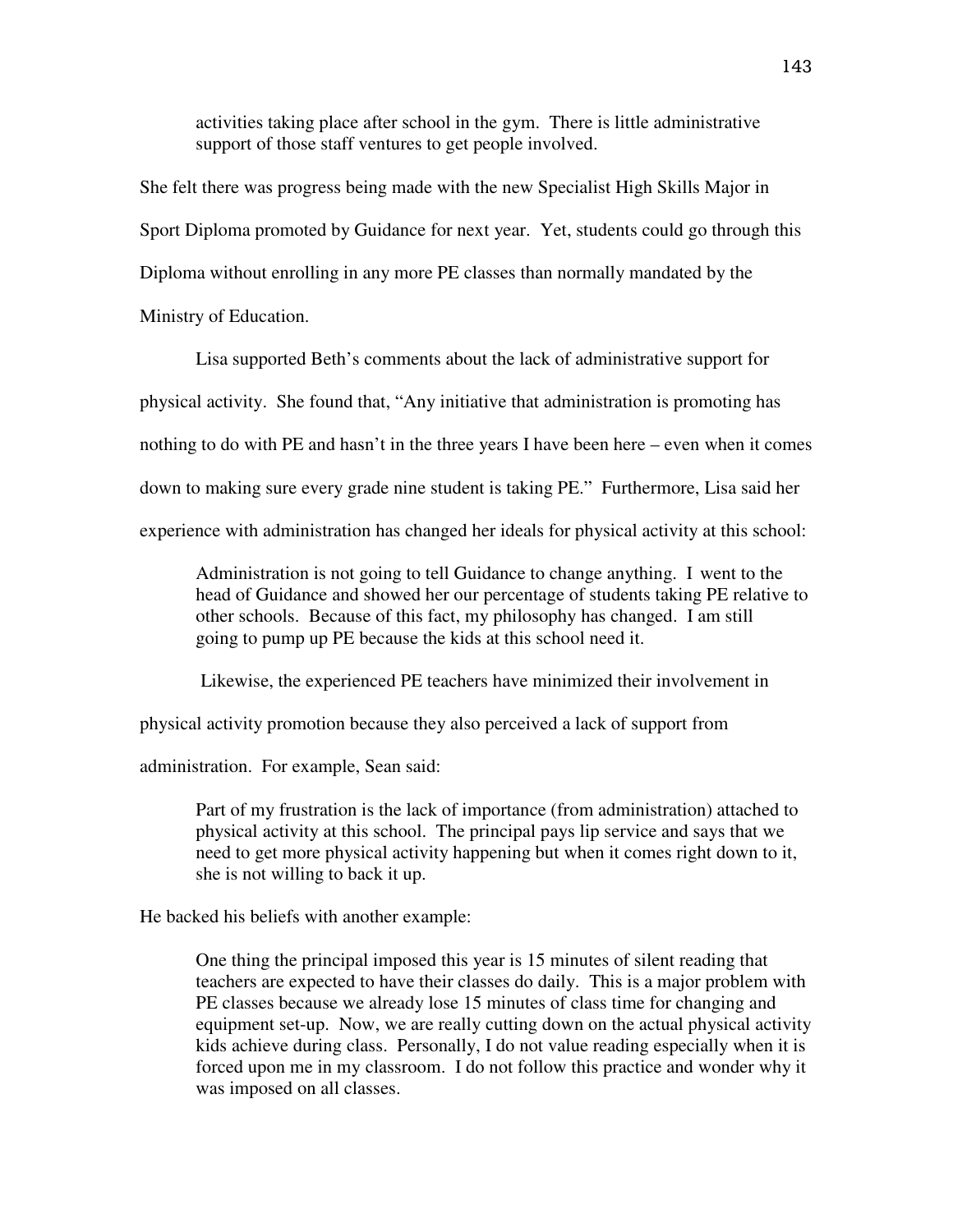activities taking place after school in the gym. There is little administrative support of those staff ventures to get people involved.

She felt there was progress being made with the new Specialist High Skills Major in Sport Diploma promoted by Guidance for next year. Yet, students could go through this Diploma without enrolling in any more PE classes than normally mandated by the Ministry of Education.

Lisa supported Beth's comments about the lack of administrative support for

physical activity. She found that, "Any initiative that administration is promoting has

nothing to do with PE and hasn't in the three years I have been here – even when it comes

down to making sure every grade nine student is taking PE." Furthermore, Lisa said her

experience with administration has changed her ideals for physical activity at this school:

 Administration is not going to tell Guidance to change anything. I went to the head of Guidance and showed her our percentage of students taking PE relative to other schools. Because of this fact, my philosophy has changed. I am still going to pump up PE because the kids at this school need it.

Likewise, the experienced PE teachers have minimized their involvement in

physical activity promotion because they also perceived a lack of support from

administration. For example, Sean said:

Part of my frustration is the lack of importance (from administration) attached to physical activity at this school. The principal pays lip service and says that we need to get more physical activity happening but when it comes right down to it, she is not willing to back it up.

He backed his beliefs with another example:

One thing the principal imposed this year is 15 minutes of silent reading that teachers are expected to have their classes do daily. This is a major problem with PE classes because we already lose 15 minutes of class time for changing and equipment set-up. Now, we are really cutting down on the actual physical activity kids achieve during class. Personally, I do not value reading especially when it is forced upon me in my classroom. I do not follow this practice and wonder why it was imposed on all classes.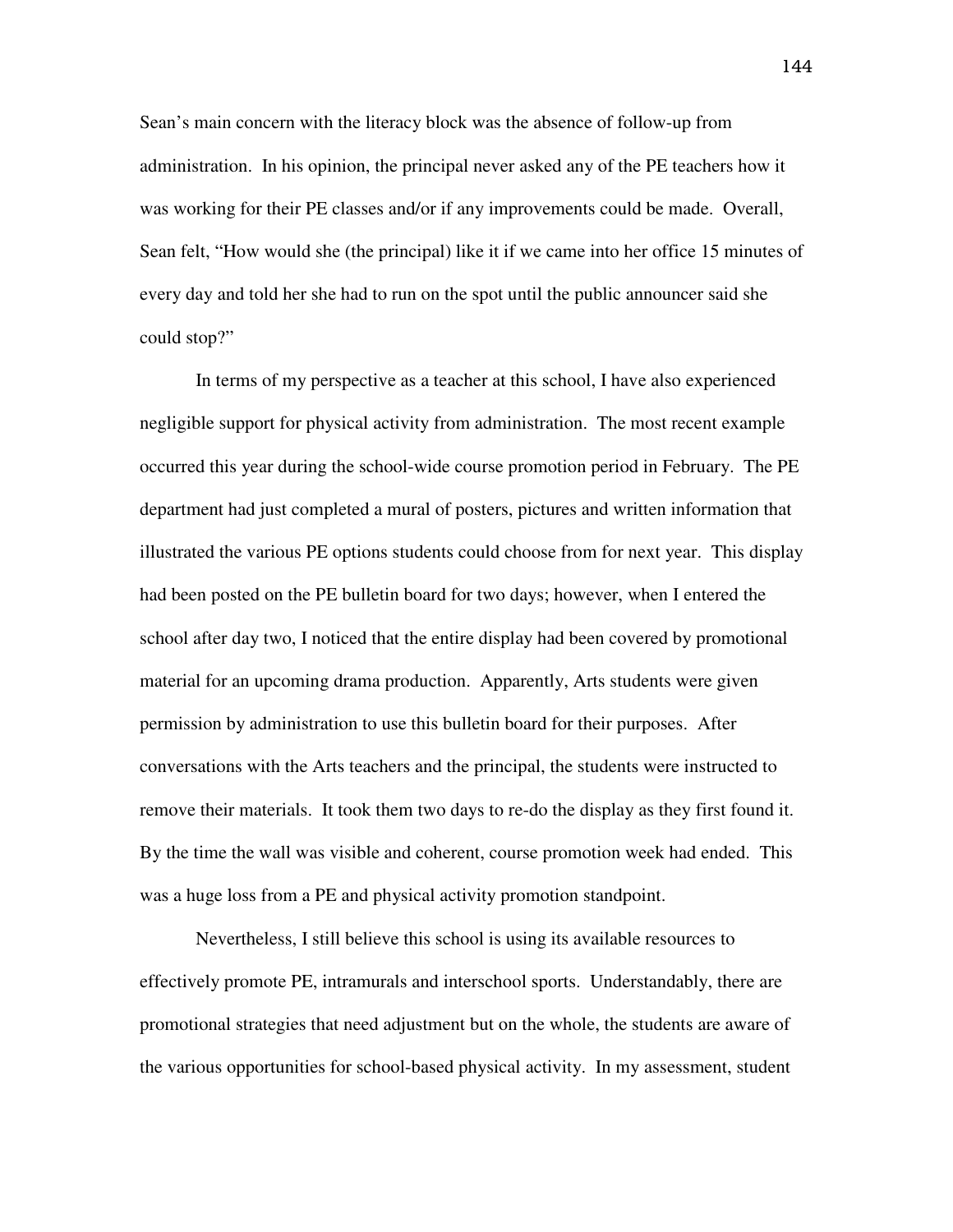Sean's main concern with the literacy block was the absence of follow-up from administration. In his opinion, the principal never asked any of the PE teachers how it was working for their PE classes and/or if any improvements could be made. Overall, Sean felt, "How would she (the principal) like it if we came into her office 15 minutes of every day and told her she had to run on the spot until the public announcer said she could stop?"

 In terms of my perspective as a teacher at this school, I have also experienced negligible support for physical activity from administration. The most recent example occurred this year during the school-wide course promotion period in February. The PE department had just completed a mural of posters, pictures and written information that illustrated the various PE options students could choose from for next year. This display had been posted on the PE bulletin board for two days; however, when I entered the school after day two, I noticed that the entire display had been covered by promotional material for an upcoming drama production. Apparently, Arts students were given permission by administration to use this bulletin board for their purposes. After conversations with the Arts teachers and the principal, the students were instructed to remove their materials. It took them two days to re-do the display as they first found it. By the time the wall was visible and coherent, course promotion week had ended. This was a huge loss from a PE and physical activity promotion standpoint.

Nevertheless, I still believe this school is using its available resources to effectively promote PE, intramurals and interschool sports. Understandably, there are promotional strategies that need adjustment but on the whole, the students are aware of the various opportunities for school-based physical activity. In my assessment, student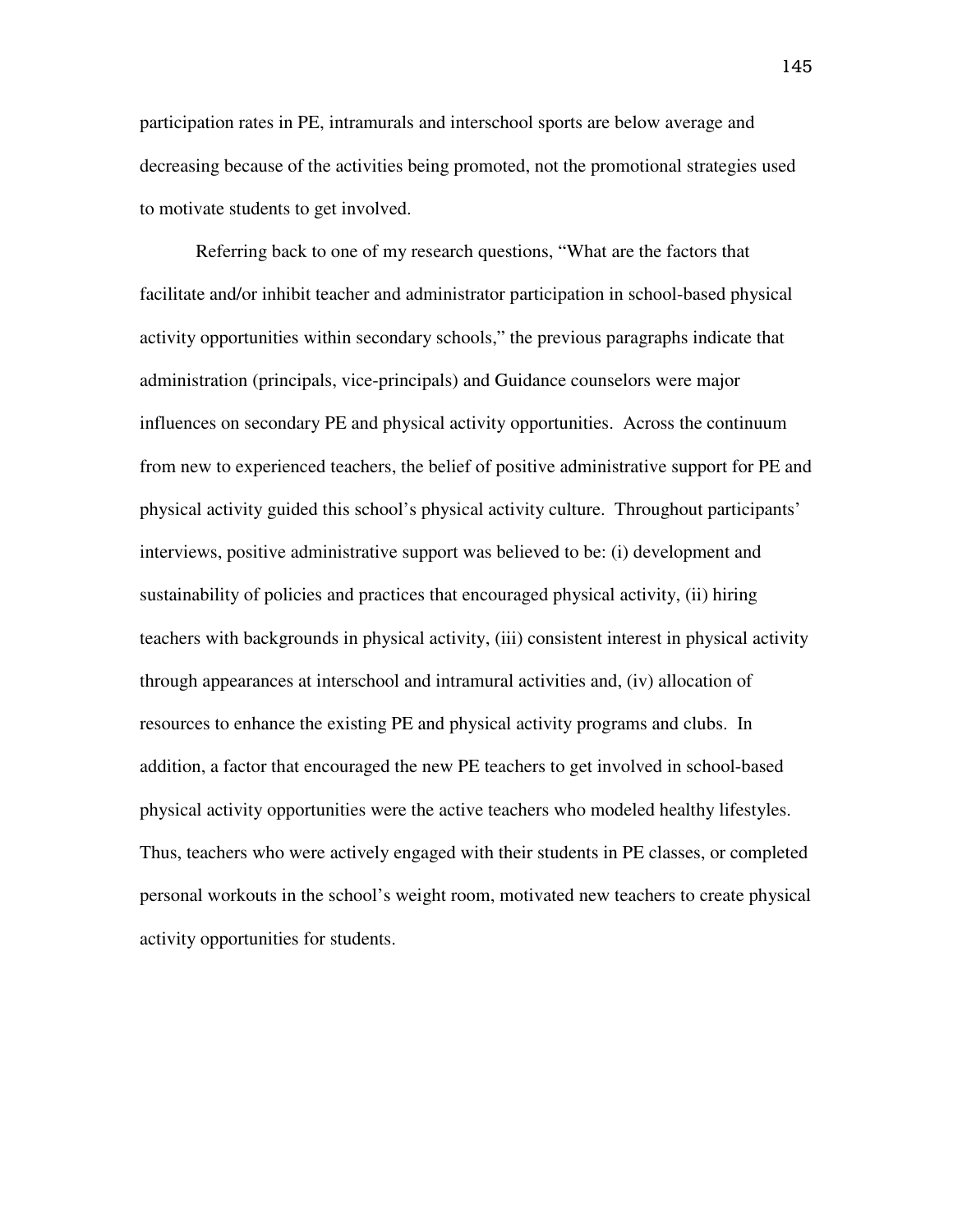participation rates in PE, intramurals and interschool sports are below average and decreasing because of the activities being promoted, not the promotional strategies used to motivate students to get involved.

Referring back to one of my research questions, "What are the factors that facilitate and/or inhibit teacher and administrator participation in school-based physical activity opportunities within secondary schools," the previous paragraphs indicate that administration (principals, vice-principals) and Guidance counselors were major influences on secondary PE and physical activity opportunities. Across the continuum from new to experienced teachers, the belief of positive administrative support for PE and physical activity guided this school's physical activity culture. Throughout participants' interviews, positive administrative support was believed to be: (i) development and sustainability of policies and practices that encouraged physical activity, (ii) hiring teachers with backgrounds in physical activity, (iii) consistent interest in physical activity through appearances at interschool and intramural activities and, (iv) allocation of resources to enhance the existing PE and physical activity programs and clubs. In addition, a factor that encouraged the new PE teachers to get involved in school-based physical activity opportunities were the active teachers who modeled healthy lifestyles. Thus, teachers who were actively engaged with their students in PE classes, or completed personal workouts in the school's weight room, motivated new teachers to create physical activity opportunities for students.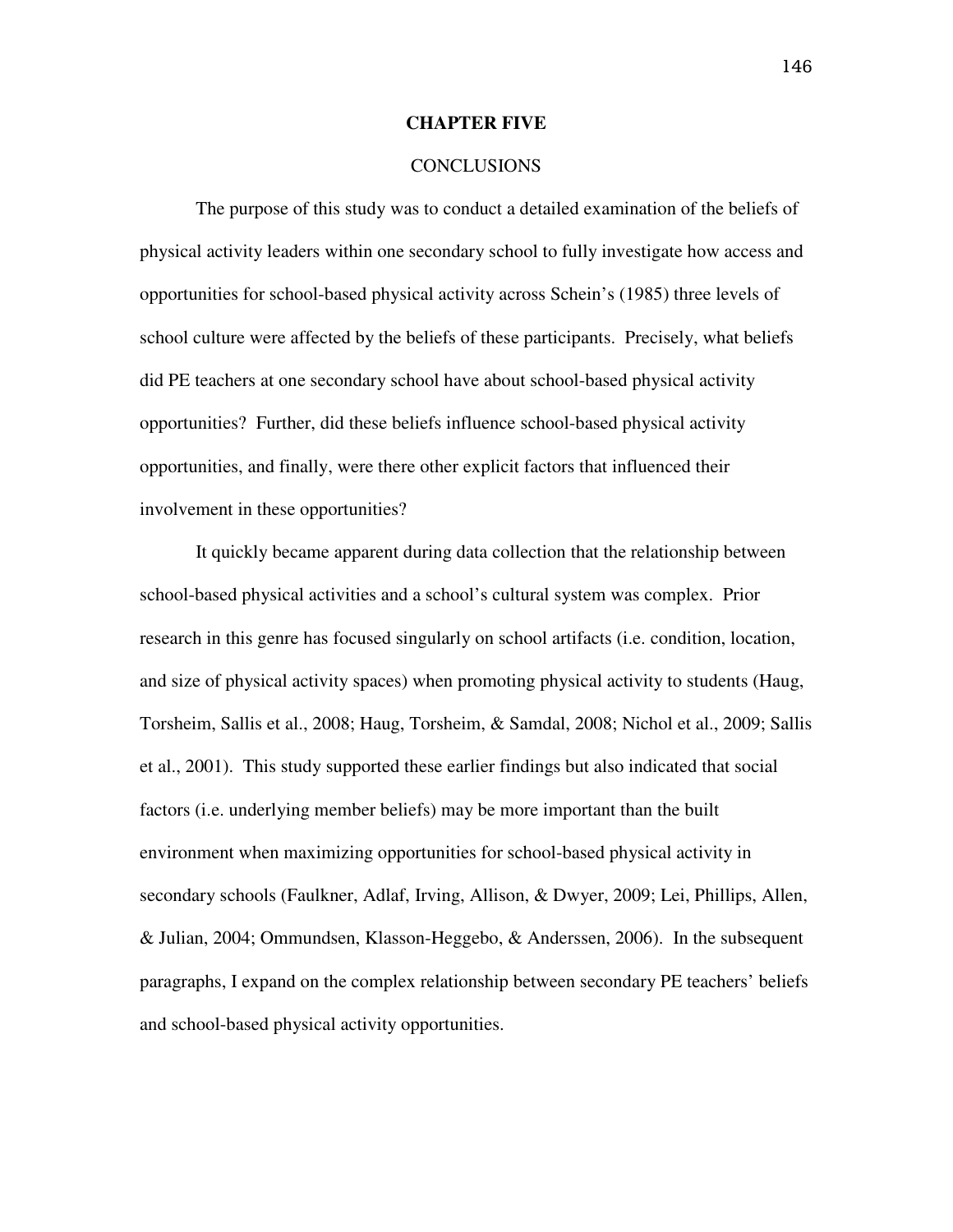### **CHAPTER FIVE**

### **CONCLUSIONS**

The purpose of this study was to conduct a detailed examination of the beliefs of physical activity leaders within one secondary school to fully investigate how access and opportunities for school-based physical activity across Schein's (1985) three levels of school culture were affected by the beliefs of these participants.Precisely, what beliefs did PE teachers at one secondary school have about school-based physical activity opportunities? Further, did these beliefs influence school-based physical activity opportunities, and finally, were there other explicit factors that influenced their involvement in these opportunities?

It quickly became apparent during data collection that the relationship between school-based physical activities and a school's cultural system was complex. Prior research in this genre has focused singularly on school artifacts (i.e. condition, location, and size of physical activity spaces) when promoting physical activity to students (Haug, Torsheim, Sallis et al., 2008; Haug, Torsheim, & Samdal, 2008; Nichol et al., 2009; Sallis et al., 2001). This study supported these earlier findings but also indicated that social factors (i.e. underlying member beliefs) may be more important than the built environment when maximizing opportunities for school-based physical activity in secondary schools (Faulkner, Adlaf, Irving, Allison, & Dwyer, 2009; Lei, Phillips, Allen, & Julian, 2004; Ommundsen, Klasson-Heggebo, & Anderssen, 2006). In the subsequent paragraphs, I expand on the complex relationship between secondary PE teachers' beliefs and school-based physical activity opportunities.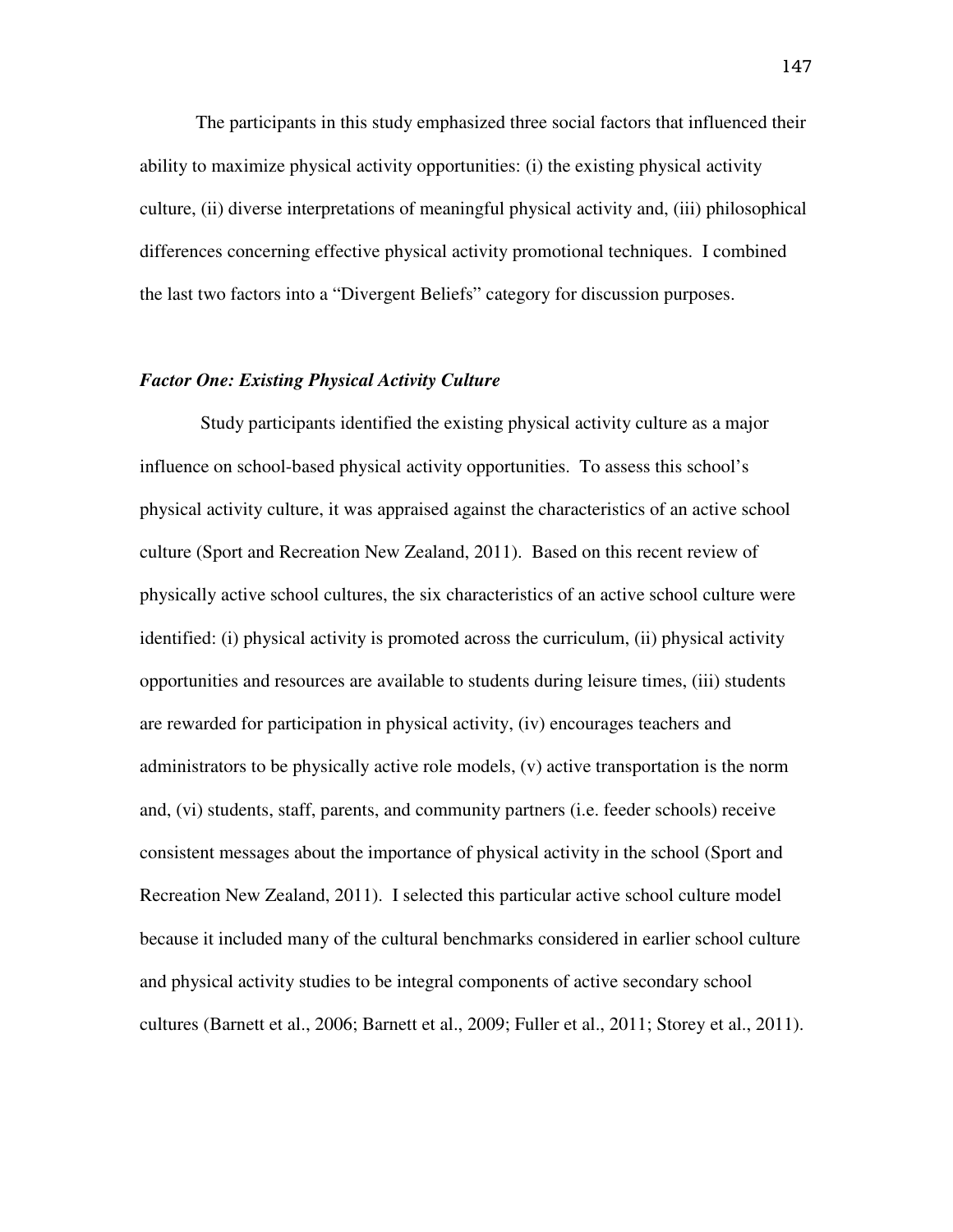The participants in this study emphasized three social factors that influenced their ability to maximize physical activity opportunities: (i) the existing physical activity culture, (ii) diverse interpretations of meaningful physical activity and, (iii) philosophical differences concerning effective physical activity promotional techniques. I combined the last two factors into a "Divergent Beliefs" category for discussion purposes.

### *Factor One: Existing Physical Activity Culture*

 Study participants identified the existing physical activity culture as a major influence on school-based physical activity opportunities. To assess this school's physical activity culture, it was appraised against the characteristics of an active school culture (Sport and Recreation New Zealand, 2011). Based on this recent review of physically active school cultures, the six characteristics of an active school culture were identified: (i) physical activity is promoted across the curriculum, (ii) physical activity opportunities and resources are available to students during leisure times, (iii) students are rewarded for participation in physical activity, (iv) encourages teachers and administrators to be physically active role models, (v) active transportation is the norm and, (vi) students, staff, parents, and community partners (i.e. feeder schools) receive consistent messages about the importance of physical activity in the school (Sport and Recreation New Zealand, 2011). I selected this particular active school culture model because it included many of the cultural benchmarks considered in earlier school culture and physical activity studies to be integral components of active secondary school cultures (Barnett et al., 2006; Barnett et al., 2009; Fuller et al., 2011; Storey et al., 2011).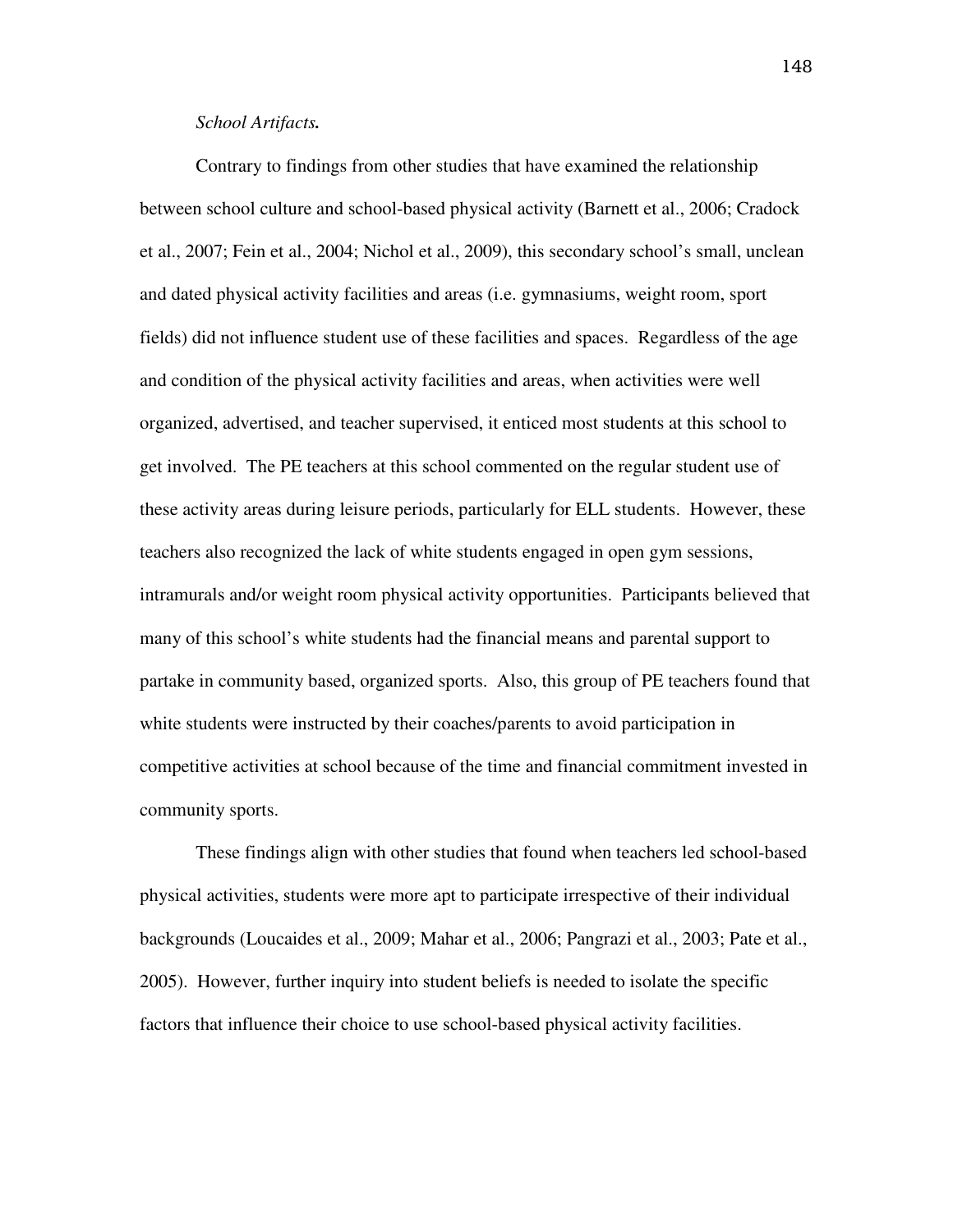#### *School Artifacts.*

Contrary to findings from other studies that have examined the relationship between school culture and school-based physical activity (Barnett et al., 2006; Cradock et al., 2007; Fein et al., 2004; Nichol et al., 2009), this secondary school's small, unclean and dated physical activity facilities and areas (i.e. gymnasiums, weight room, sport fields) did not influence student use of these facilities and spaces. Regardless of the age and condition of the physical activity facilities and areas, when activities were well organized, advertised, and teacher supervised, it enticed most students at this school to get involved. The PE teachers at this school commented on the regular student use of these activity areas during leisure periods, particularly for ELL students. However, these teachers also recognized the lack of white students engaged in open gym sessions, intramurals and/or weight room physical activity opportunities. Participants believed that many of this school's white students had the financial means and parental support to partake in community based, organized sports. Also, this group of PE teachers found that white students were instructed by their coaches/parents to avoid participation in competitive activities at school because of the time and financial commitment invested in community sports.

These findings align with other studies that found when teachers led school-based physical activities, students were more apt to participate irrespective of their individual backgrounds (Loucaides et al., 2009; Mahar et al., 2006; Pangrazi et al., 2003; Pate et al., 2005). However, further inquiry into student beliefs is needed to isolate the specific factors that influence their choice to use school-based physical activity facilities.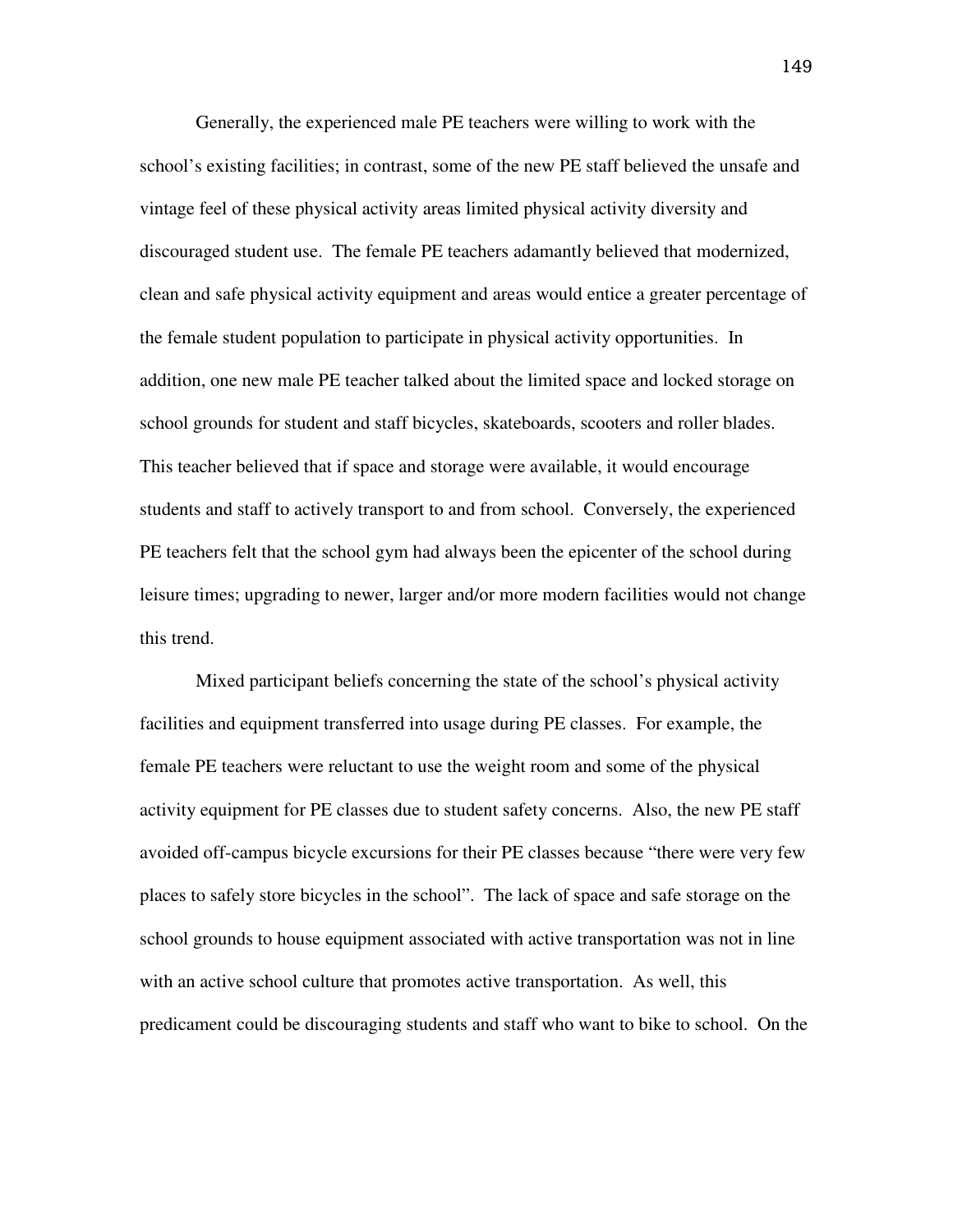Generally, the experienced male PE teachers were willing to work with the school's existing facilities; in contrast, some of the new PE staff believed the unsafe and vintage feel of these physical activity areas limited physical activity diversity and discouraged student use. The female PE teachers adamantly believed that modernized, clean and safe physical activity equipment and areas would entice a greater percentage of the female student population to participate in physical activity opportunities. In addition, one new male PE teacher talked about the limited space and locked storage on school grounds for student and staff bicycles, skateboards, scooters and roller blades. This teacher believed that if space and storage were available, it would encourage students and staff to actively transport to and from school. Conversely, the experienced PE teachers felt that the school gym had always been the epicenter of the school during leisure times; upgrading to newer, larger and/or more modern facilities would not change this trend.

Mixed participant beliefs concerning the state of the school's physical activity facilities and equipment transferred into usage during PE classes. For example, the female PE teachers were reluctant to use the weight room and some of the physical activity equipment for PE classes due to student safety concerns. Also, the new PE staff avoided off-campus bicycle excursions for their PE classes because "there were very few places to safely store bicycles in the school". The lack of space and safe storage on the school grounds to house equipment associated with active transportation was not in line with an active school culture that promotes active transportation. As well, this predicament could be discouraging students and staff who want to bike to school. On the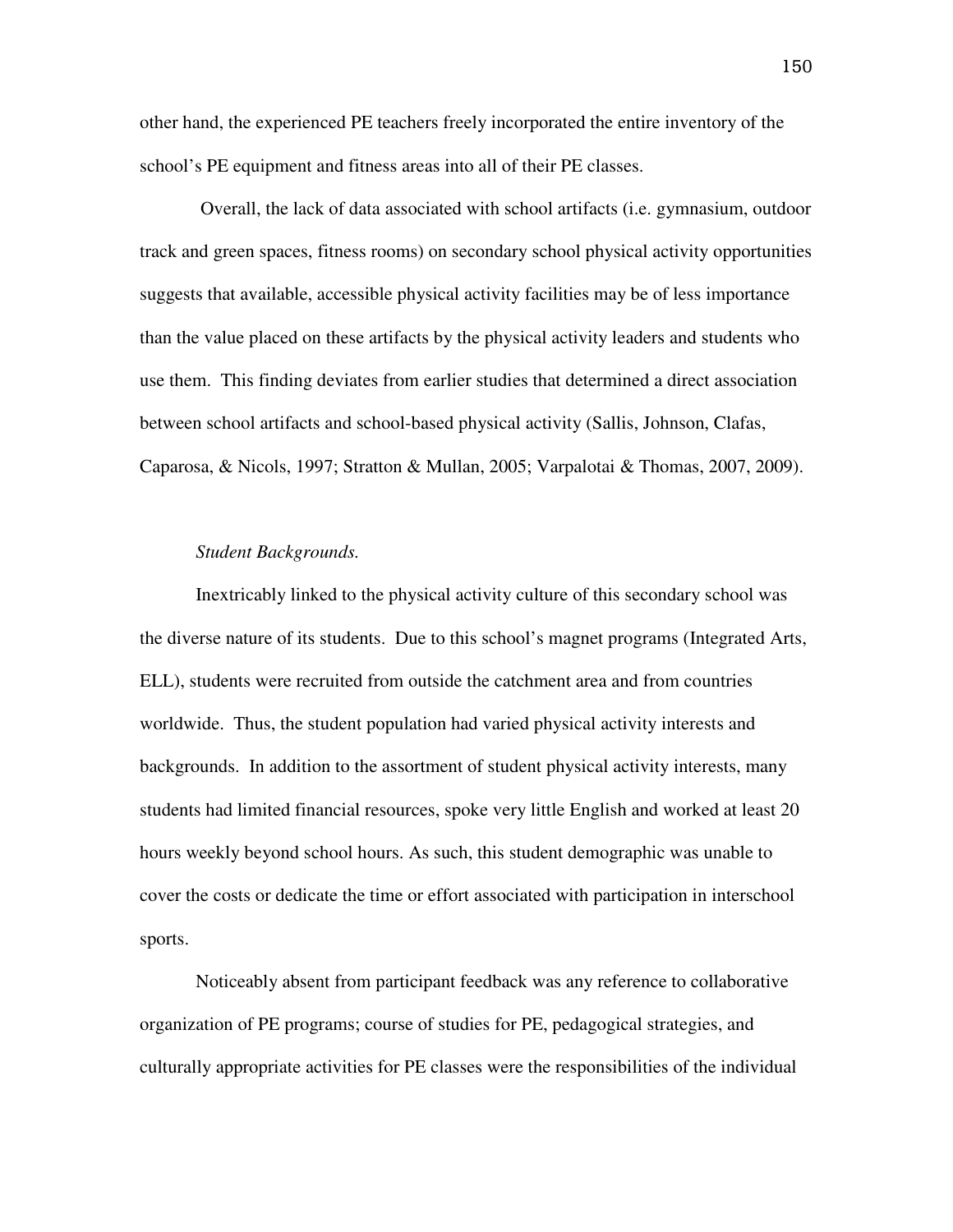other hand, the experienced PE teachers freely incorporated the entire inventory of the school's PE equipment and fitness areas into all of their PE classes.

 Overall, the lack of data associated with school artifacts (i.e. gymnasium, outdoor track and green spaces, fitness rooms) on secondary school physical activity opportunities suggests that available, accessible physical activity facilities may be of less importance than the value placed on these artifacts by the physical activity leaders and students who use them. This finding deviates from earlier studies that determined a direct association between school artifacts and school-based physical activity (Sallis, Johnson, Clafas, Caparosa, & Nicols, 1997; Stratton & Mullan, 2005; Varpalotai & Thomas, 2007, 2009).

# *Student Backgrounds.*

Inextricably linked to the physical activity culture of this secondary school was the diverse nature of its students. Due to this school's magnet programs (Integrated Arts, ELL), students were recruited from outside the catchment area and from countries worldwide. Thus, the student population had varied physical activity interests and backgrounds. In addition to the assortment of student physical activity interests, many students had limited financial resources, spoke very little English and worked at least 20 hours weekly beyond school hours. As such, this student demographic was unable to cover the costs or dedicate the time or effort associated with participation in interschool sports.

Noticeably absent from participant feedback was any reference to collaborative organization of PE programs; course of studies for PE, pedagogical strategies, and culturally appropriate activities for PE classes were the responsibilities of the individual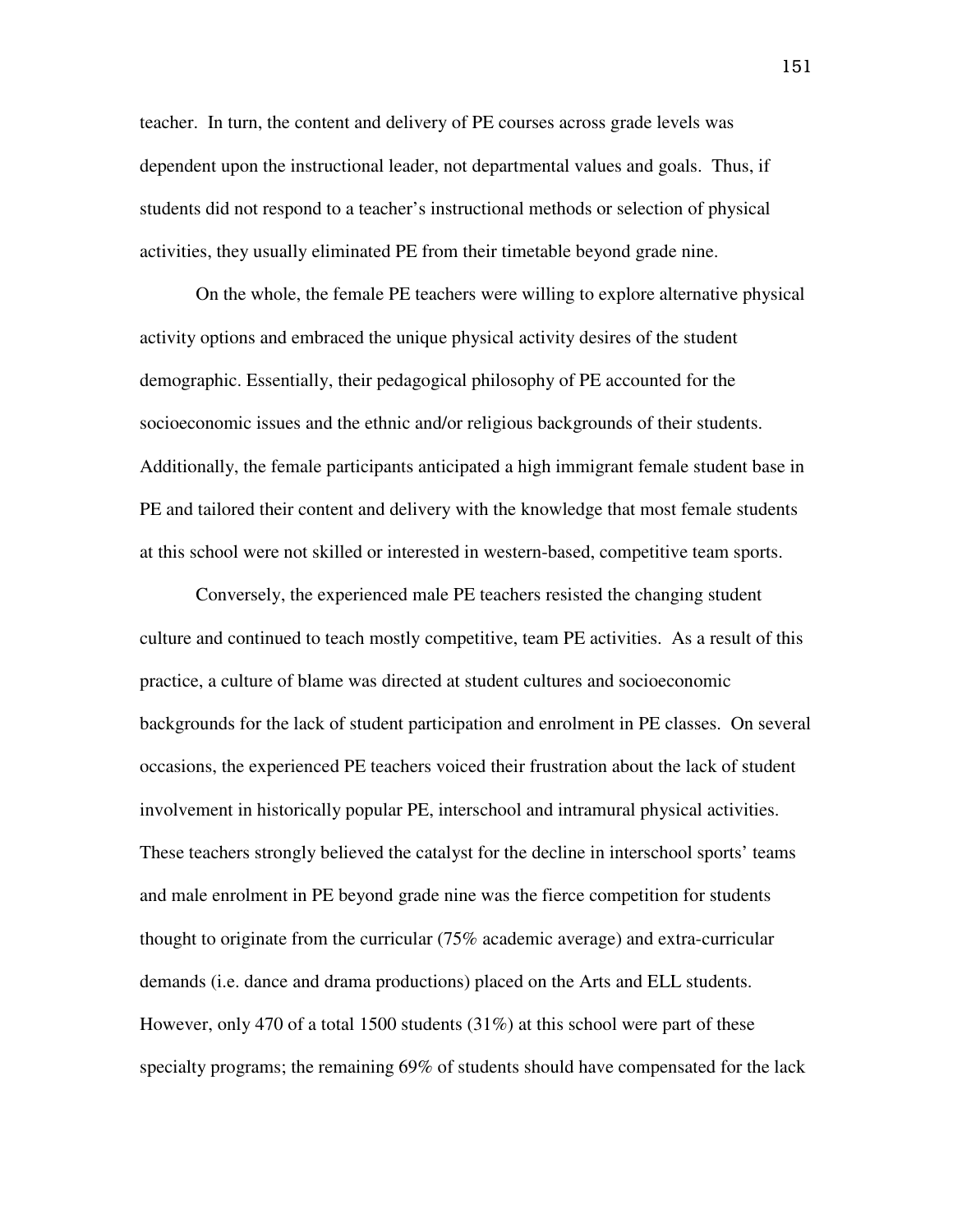teacher. In turn, the content and delivery of PE courses across grade levels was dependent upon the instructional leader, not departmental values and goals. Thus, if students did not respond to a teacher's instructional methods or selection of physical activities, they usually eliminated PE from their timetable beyond grade nine.

On the whole, the female PE teachers were willing to explore alternative physical activity options and embraced the unique physical activity desires of the student demographic. Essentially, their pedagogical philosophy of PE accounted for the socioeconomic issues and the ethnic and/or religious backgrounds of their students. Additionally, the female participants anticipated a high immigrant female student base in PE and tailored their content and delivery with the knowledge that most female students at this school were not skilled or interested in western-based, competitive team sports.

Conversely, the experienced male PE teachers resisted the changing student culture and continued to teach mostly competitive, team PE activities. As a result of this practice, a culture of blame was directed at student cultures and socioeconomic backgrounds for the lack of student participation and enrolment in PE classes. On several occasions, the experienced PE teachers voiced their frustration about the lack of student involvement in historically popular PE, interschool and intramural physical activities. These teachers strongly believed the catalyst for the decline in interschool sports' teams and male enrolment in PE beyond grade nine was the fierce competition for students thought to originate from the curricular (75% academic average) and extra-curricular demands (i.e. dance and drama productions) placed on the Arts and ELL students. However, only 470 of a total 1500 students (31%) at this school were part of these specialty programs; the remaining 69% of students should have compensated for the lack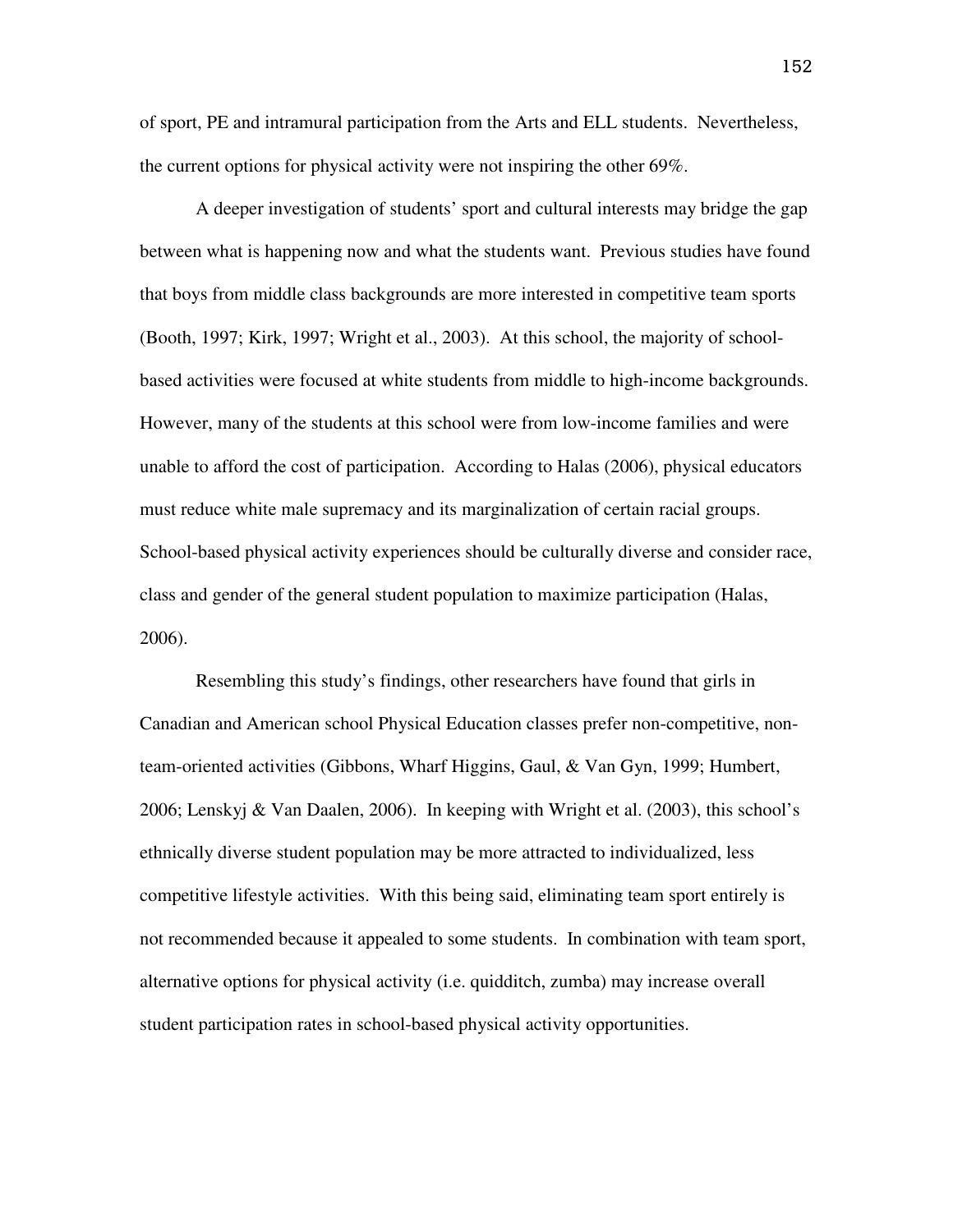of sport, PE and intramural participation from the Arts and ELL students. Nevertheless, the current options for physical activity were not inspiring the other 69%.

A deeper investigation of students' sport and cultural interests may bridge the gap between what is happening now and what the students want. Previous studies have found that boys from middle class backgrounds are more interested in competitive team sports (Booth, 1997; Kirk, 1997; Wright et al., 2003). At this school, the majority of schoolbased activities were focused at white students from middle to high-income backgrounds. However, many of the students at this school were from low-income families and were unable to afford the cost of participation. According to Halas (2006), physical educators must reduce white male supremacy and its marginalization of certain racial groups. School-based physical activity experiences should be culturally diverse and consider race, class and gender of the general student population to maximize participation (Halas, 2006).

Resembling this study's findings, other researchers have found that girls in Canadian and American school Physical Education classes prefer non-competitive, nonteam-oriented activities (Gibbons, Wharf Higgins, Gaul, & Van Gyn, 1999; Humbert, 2006; Lenskyj & Van Daalen, 2006). In keeping with Wright et al. (2003), this school's ethnically diverse student population may be more attracted to individualized, less competitive lifestyle activities. With this being said, eliminating team sport entirely is not recommended because it appealed to some students. In combination with team sport, alternative options for physical activity (i.e. quidditch, zumba) may increase overall student participation rates in school-based physical activity opportunities.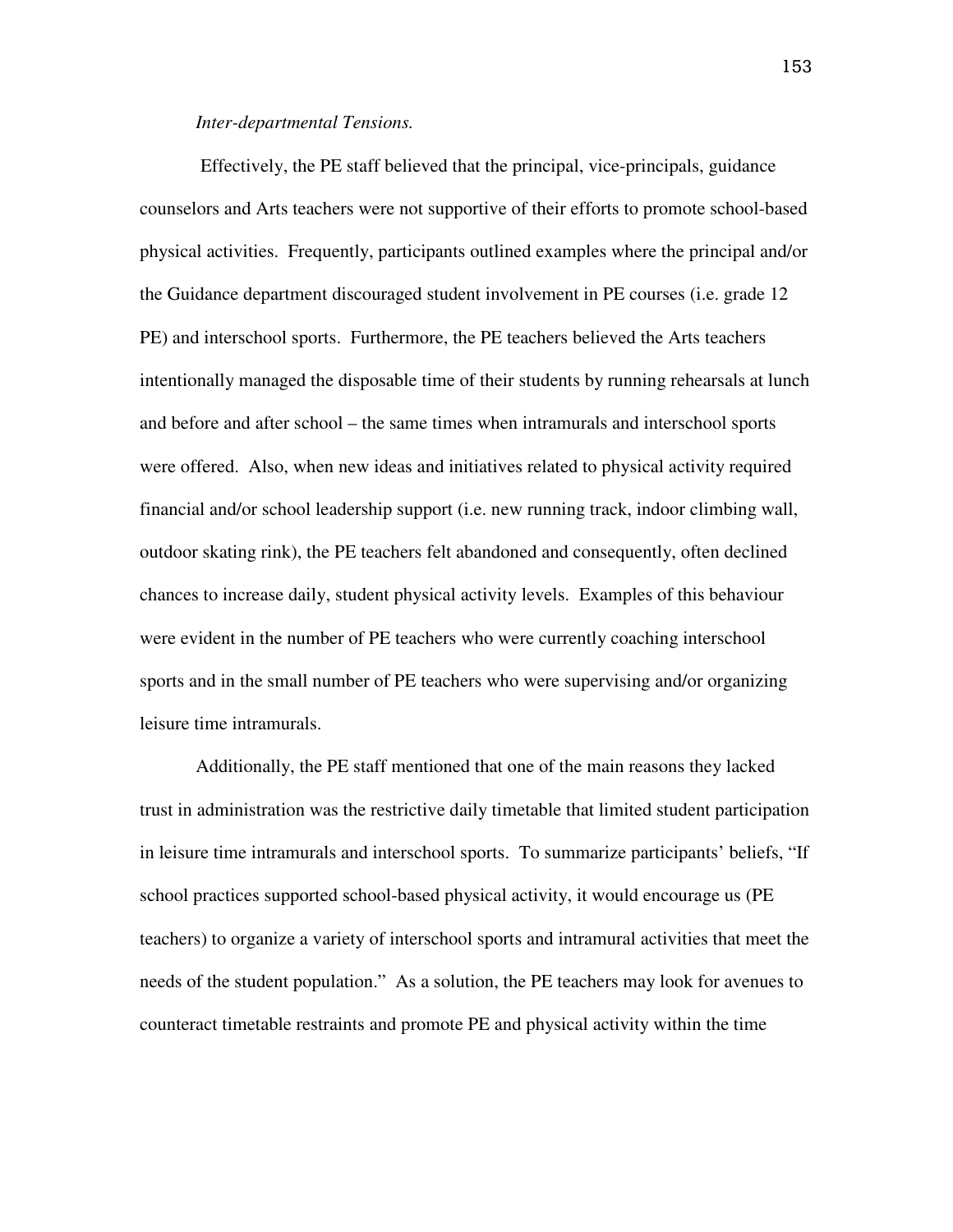# *Inter-departmental Tensions.*

Effectively, the PE staff believed that the principal, vice-principals, guidance counselors and Arts teachers were not supportive of their efforts to promote school-based physical activities. Frequently, participants outlined examples where the principal and/or the Guidance department discouraged student involvement in PE courses (i.e. grade 12 PE) and interschool sports. Furthermore, the PE teachers believed the Arts teachers intentionally managed the disposable time of their students by running rehearsals at lunch and before and after school – the same times when intramurals and interschool sports were offered. Also, when new ideas and initiatives related to physical activity required financial and/or school leadership support (i.e. new running track, indoor climbing wall, outdoor skating rink), the PE teachers felt abandoned and consequently, often declined chances to increase daily, student physical activity levels. Examples of this behaviour were evident in the number of PE teachers who were currently coaching interschool sports and in the small number of PE teachers who were supervising and/or organizing leisure time intramurals.

Additionally, the PE staff mentioned that one of the main reasons they lacked trust in administration was the restrictive daily timetable that limited student participation in leisure time intramurals and interschool sports. To summarize participants' beliefs, "If school practices supported school-based physical activity, it would encourage us (PE teachers) to organize a variety of interschool sports and intramural activities that meet the needs of the student population." As a solution, the PE teachers may look for avenues to counteract timetable restraints and promote PE and physical activity within the time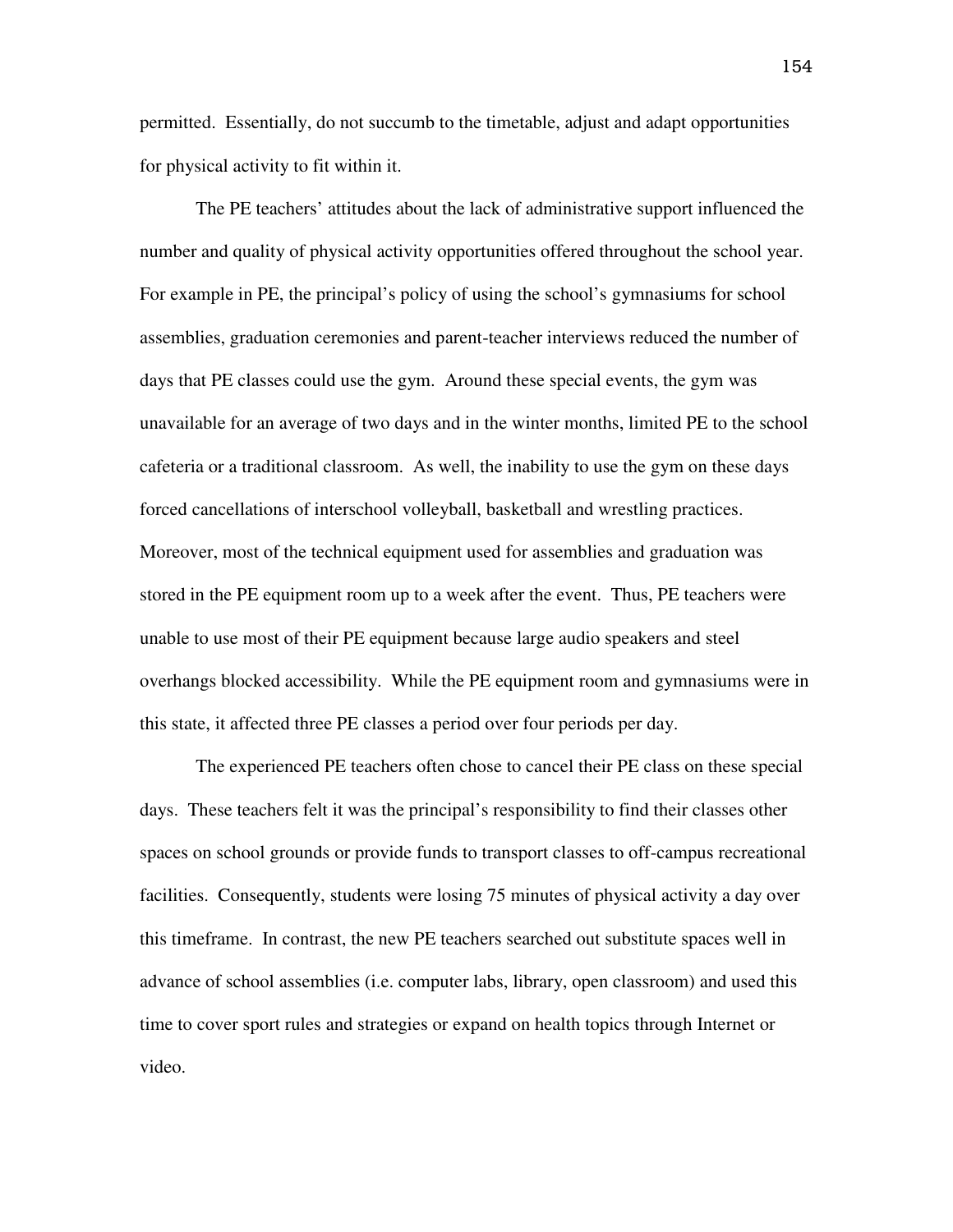permitted. Essentially, do not succumb to the timetable, adjust and adapt opportunities for physical activity to fit within it.

The PE teachers' attitudes about the lack of administrative support influenced the number and quality of physical activity opportunities offered throughout the school year. For example in PE, the principal's policy of using the school's gymnasiums for school assemblies, graduation ceremonies and parent-teacher interviews reduced the number of days that PE classes could use the gym. Around these special events, the gym was unavailable for an average of two days and in the winter months, limited PE to the school cafeteria or a traditional classroom. As well, the inability to use the gym on these days forced cancellations of interschool volleyball, basketball and wrestling practices. Moreover, most of the technical equipment used for assemblies and graduation was stored in the PE equipment room up to a week after the event. Thus, PE teachers were unable to use most of their PE equipment because large audio speakers and steel overhangs blocked accessibility. While the PE equipment room and gymnasiums were in this state, it affected three PE classes a period over four periods per day.

The experienced PE teachers often chose to cancel their PE class on these special days. These teachers felt it was the principal's responsibility to find their classes other spaces on school grounds or provide funds to transport classes to off-campus recreational facilities. Consequently, students were losing 75 minutes of physical activity a day over this timeframe. In contrast, the new PE teachers searched out substitute spaces well in advance of school assemblies (i.e. computer labs, library, open classroom) and used this time to cover sport rules and strategies or expand on health topics through Internet or video.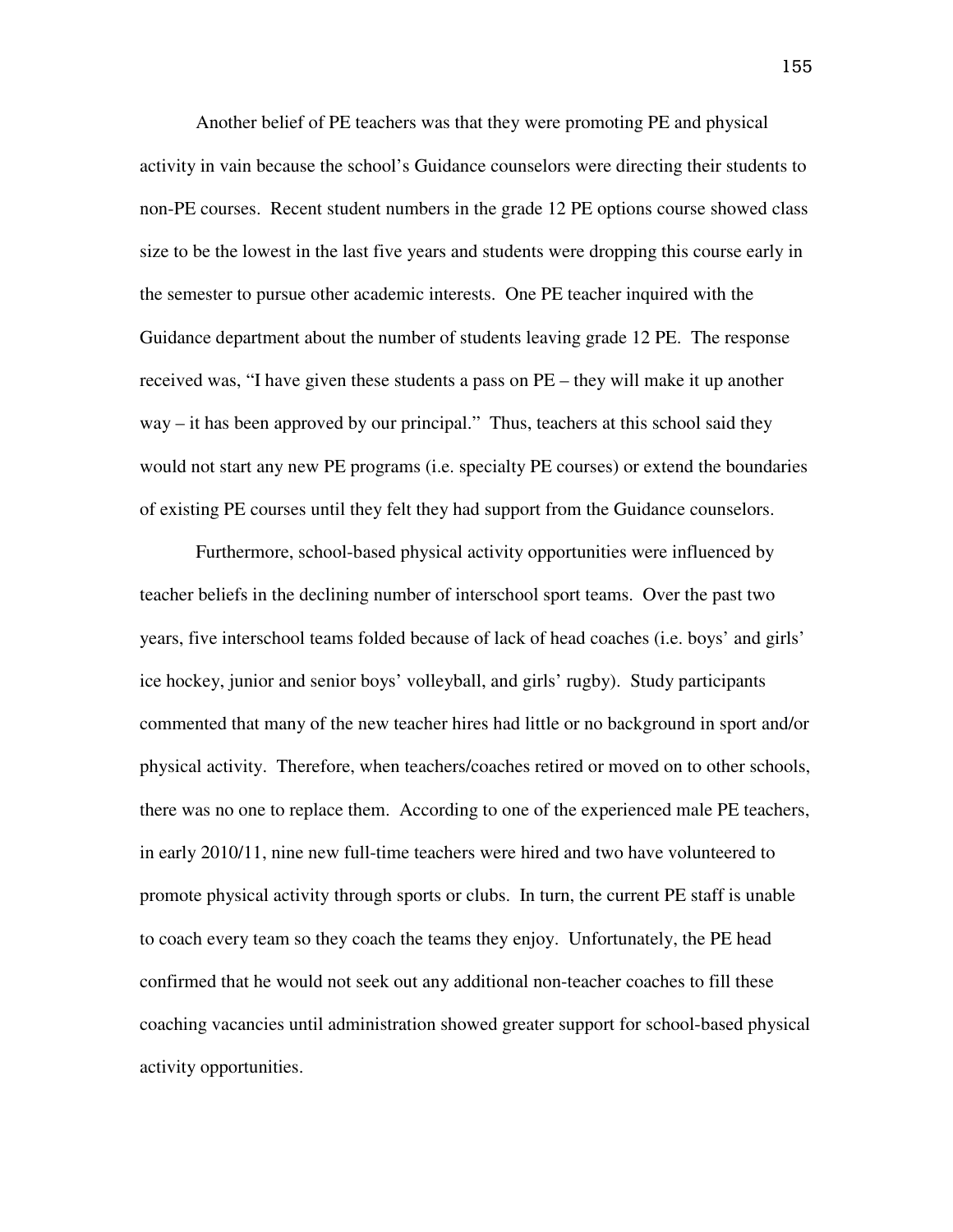Another belief of PE teachers was that they were promoting PE and physical activity in vain because the school's Guidance counselors were directing their students to non-PE courses. Recent student numbers in the grade 12 PE options course showed class size to be the lowest in the last five years and students were dropping this course early in the semester to pursue other academic interests. One PE teacher inquired with the Guidance department about the number of students leaving grade 12 PE. The response received was, "I have given these students a pass on PE – they will make it up another way – it has been approved by our principal." Thus, teachers at this school said they would not start any new PE programs (i.e. specialty PE courses) or extend the boundaries of existing PE courses until they felt they had support from the Guidance counselors.

Furthermore, school-based physical activity opportunities were influenced by teacher beliefs in the declining number of interschool sport teams. Over the past two years, five interschool teams folded because of lack of head coaches (i.e. boys' and girls' ice hockey, junior and senior boys' volleyball, and girls' rugby). Study participants commented that many of the new teacher hires had little or no background in sport and/or physical activity. Therefore, when teachers/coaches retired or moved on to other schools, there was no one to replace them. According to one of the experienced male PE teachers, in early 2010/11, nine new full-time teachers were hired and two have volunteered to promote physical activity through sports or clubs. In turn, the current PE staff is unable to coach every team so they coach the teams they enjoy. Unfortunately, the PE head confirmed that he would not seek out any additional non-teacher coaches to fill these coaching vacancies until administration showed greater support for school-based physical activity opportunities.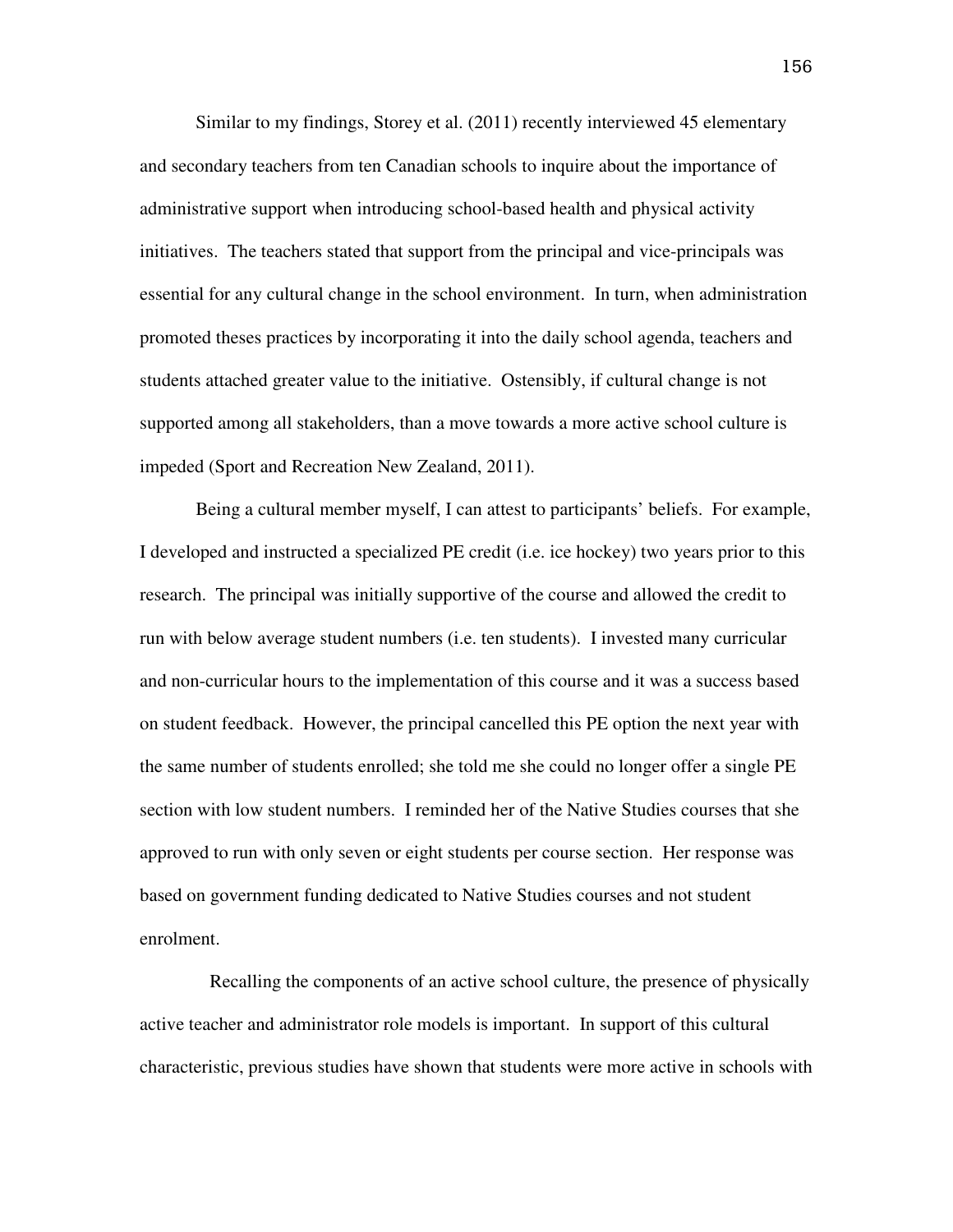Similar to my findings, Storey et al. (2011) recently interviewed 45 elementary and secondary teachers from ten Canadian schools to inquire about the importance of administrative support when introducing school-based health and physical activity initiatives. The teachers stated that support from the principal and vice-principals was essential for any cultural change in the school environment. In turn, when administration promoted theses practices by incorporating it into the daily school agenda, teachers and students attached greater value to the initiative. Ostensibly, if cultural change is not supported among all stakeholders, than a move towards a more active school culture is impeded (Sport and Recreation New Zealand, 2011).

Being a cultural member myself, I can attest to participants' beliefs. For example, I developed and instructed a specialized PE credit (i.e. ice hockey) two years prior to this research. The principal was initially supportive of the course and allowed the credit to run with below average student numbers (i.e. ten students). I invested many curricular and non-curricular hours to the implementation of this course and it was a success based on student feedback. However, the principal cancelled this PE option the next year with the same number of students enrolled; she told me she could no longer offer a single PE section with low student numbers. I reminded her of the Native Studies courses that she approved to run with only seven or eight students per course section. Her response was based on government funding dedicated to Native Studies courses and not student enrolment.

 Recalling the components of an active school culture, the presence of physically active teacher and administrator role models is important. In support of this cultural characteristic, previous studies have shown that students were more active in schools with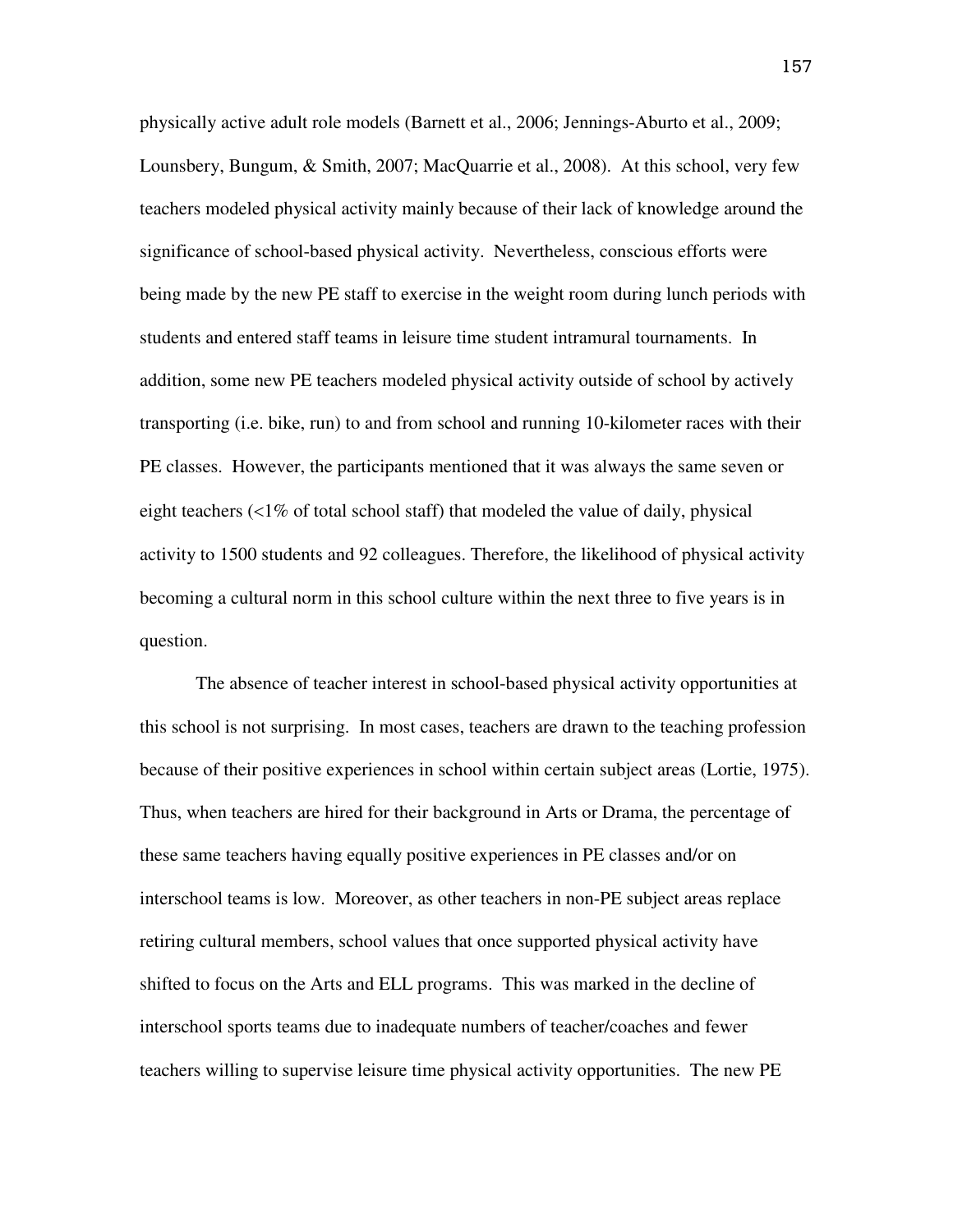physically active adult role models (Barnett et al., 2006; Jennings-Aburto et al., 2009; Lounsbery, Bungum, & Smith, 2007; MacQuarrie et al., 2008). At this school, very few teachers modeled physical activity mainly because of their lack of knowledge around the significance of school-based physical activity. Nevertheless, conscious efforts were being made by the new PE staff to exercise in the weight room during lunch periods with students and entered staff teams in leisure time student intramural tournaments. In addition, some new PE teachers modeled physical activity outside of school by actively transporting (i.e. bike, run) to and from school and running 10-kilometer races with their PE classes. However, the participants mentioned that it was always the same seven or eight teachers (<1% of total school staff) that modeled the value of daily, physical activity to 1500 students and 92 colleagues. Therefore, the likelihood of physical activity becoming a cultural norm in this school culture within the next three to five years is in question.

The absence of teacher interest in school-based physical activity opportunities at this school is not surprising. In most cases, teachers are drawn to the teaching profession because of their positive experiences in school within certain subject areas (Lortie, 1975). Thus, when teachers are hired for their background in Arts or Drama, the percentage of these same teachers having equally positive experiences in PE classes and/or on interschool teams is low. Moreover, as other teachers in non-PE subject areas replace retiring cultural members, school values that once supported physical activity have shifted to focus on the Arts and ELL programs. This was marked in the decline of interschool sports teams due to inadequate numbers of teacher/coaches and fewer teachers willing to supervise leisure time physical activity opportunities. The new PE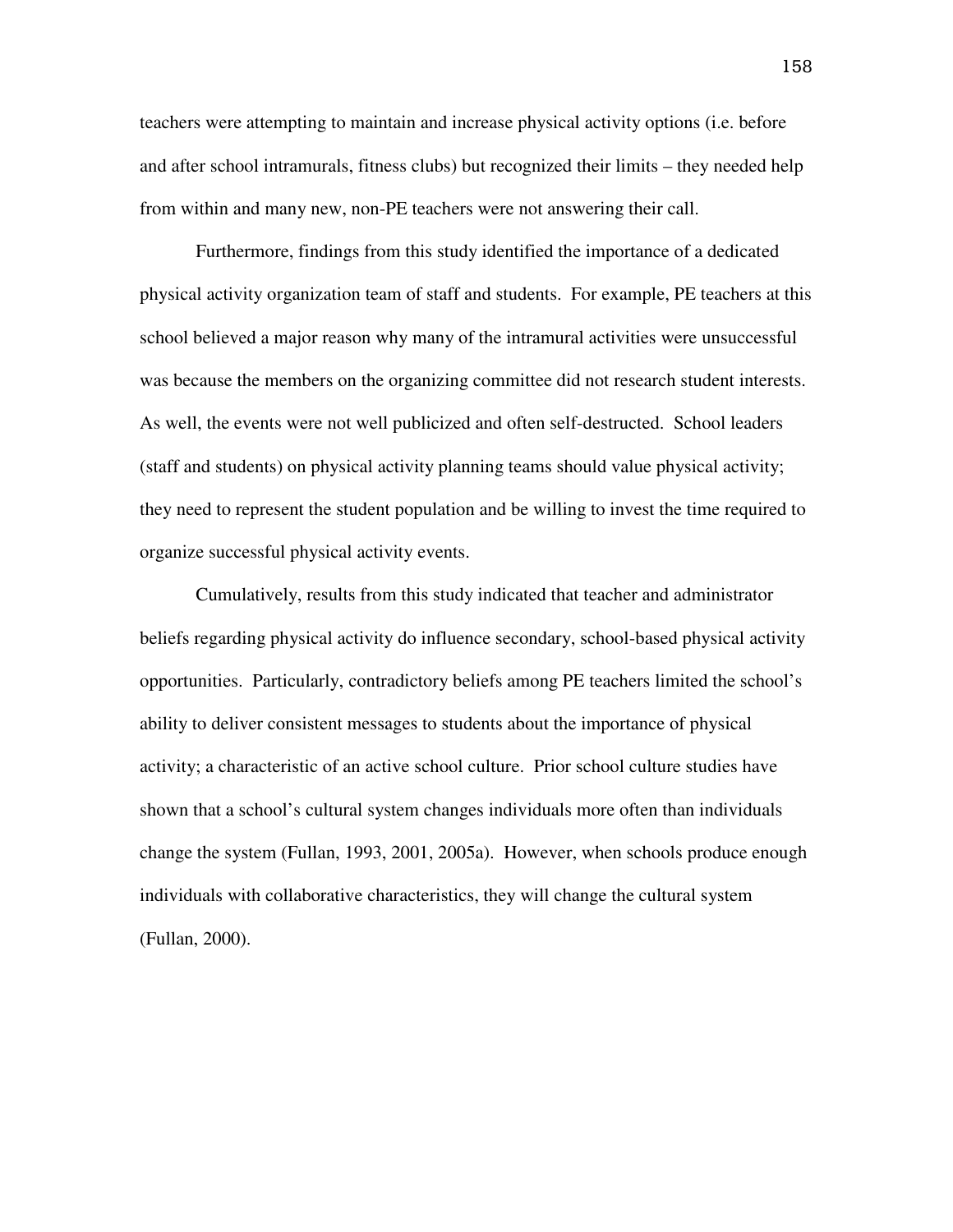teachers were attempting to maintain and increase physical activity options (i.e. before and after school intramurals, fitness clubs) but recognized their limits – they needed help from within and many new, non-PE teachers were not answering their call.

Furthermore, findings from this study identified the importance of a dedicated physical activity organization team of staff and students. For example, PE teachers at this school believed a major reason why many of the intramural activities were unsuccessful was because the members on the organizing committee did not research student interests. As well, the events were not well publicized and often self-destructed. School leaders (staff and students) on physical activity planning teams should value physical activity; they need to represent the student population and be willing to invest the time required to organize successful physical activity events.

Cumulatively, results from this study indicated that teacher and administrator beliefs regarding physical activity do influence secondary, school-based physical activity opportunities. Particularly, contradictory beliefs among PE teachers limited the school's ability to deliver consistent messages to students about the importance of physical activity; a characteristic of an active school culture. Prior school culture studies have shown that a school's cultural system changes individuals more often than individuals change the system (Fullan, 1993, 2001, 2005a). However, when schools produce enough individuals with collaborative characteristics, they will change the cultural system (Fullan, 2000).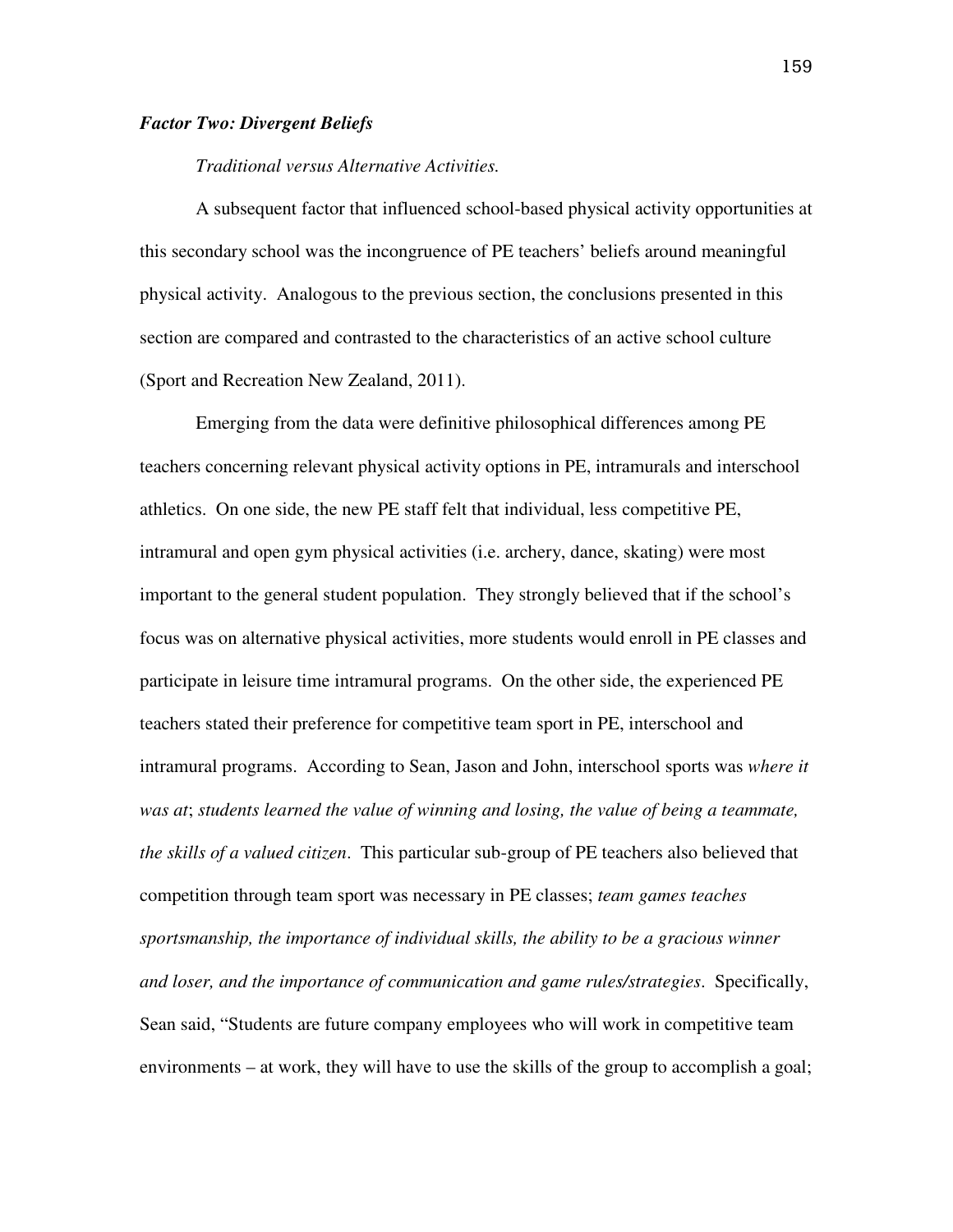## *Factor Two: Divergent Beliefs*

### *Traditional versus Alternative Activities.*

A subsequent factor that influenced school-based physical activity opportunities at this secondary school was the incongruence of PE teachers' beliefs around meaningful physical activity. Analogous to the previous section, the conclusions presented in this section are compared and contrasted to the characteristics of an active school culture (Sport and Recreation New Zealand, 2011).

Emerging from the data were definitive philosophical differences among PE teachers concerning relevant physical activity options in PE, intramurals and interschool athletics. On one side, the new PE staff felt that individual, less competitive PE, intramural and open gym physical activities (i.e. archery, dance, skating) were most important to the general student population. They strongly believed that if the school's focus was on alternative physical activities, more students would enroll in PE classes and participate in leisure time intramural programs. On the other side, the experienced PE teachers stated their preference for competitive team sport in PE, interschool and intramural programs. According to Sean, Jason and John, interschool sports was *where it was at*; *students learned the value of winning and losing, the value of being a teammate, the skills of a valued citizen*. This particular sub-group of PE teachers also believed that competition through team sport was necessary in PE classes; *team games teaches sportsmanship, the importance of individual skills, the ability to be a gracious winner and loser, and the importance of communication and game rules/strategies*. Specifically, Sean said, "Students are future company employees who will work in competitive team environments – at work, they will have to use the skills of the group to accomplish a goal;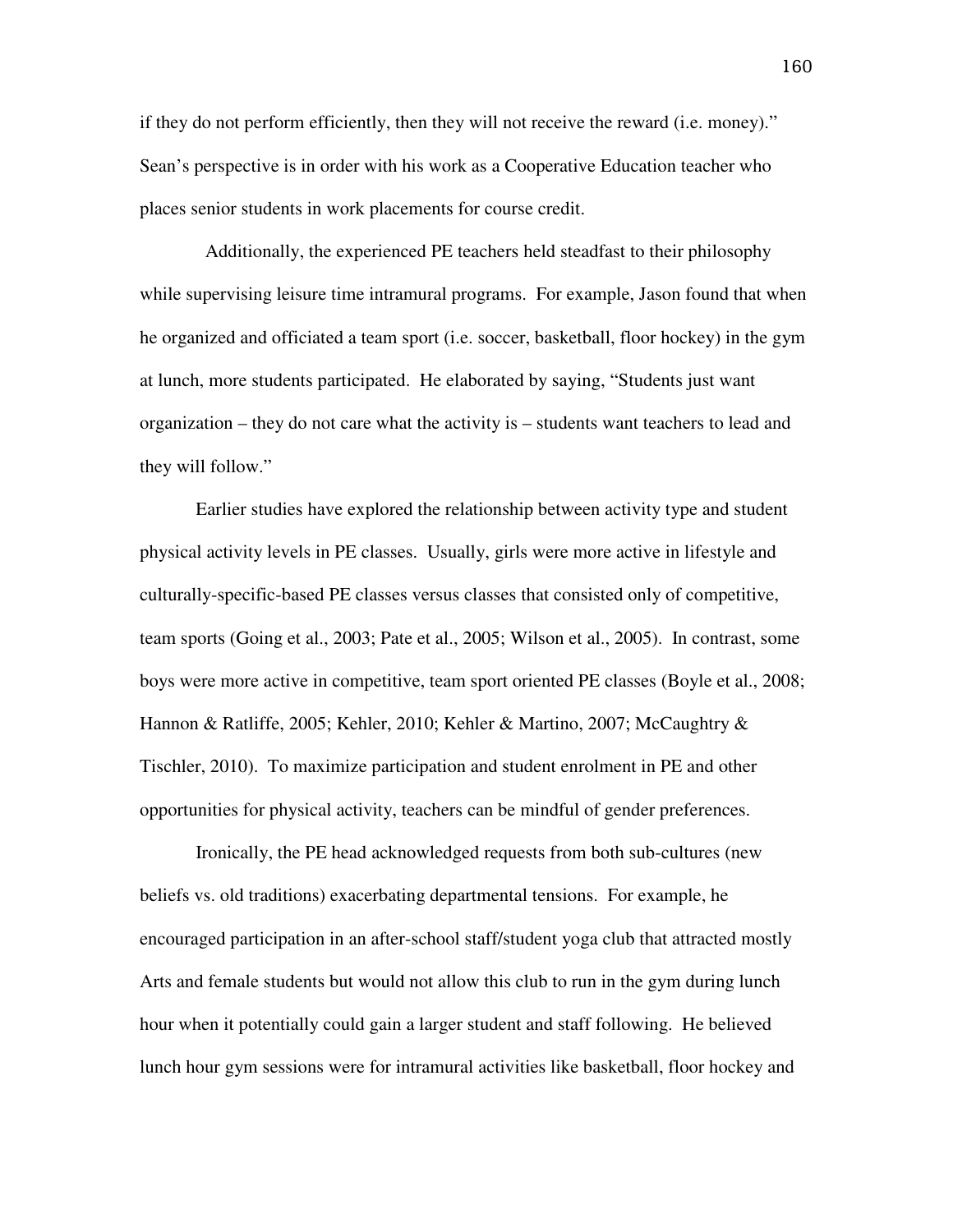if they do not perform efficiently, then they will not receive the reward (i.e. money)." Sean's perspective is in order with his work as a Cooperative Education teacher who places senior students in work placements for course credit.

 Additionally, the experienced PE teachers held steadfast to their philosophy while supervising leisure time intramural programs. For example, Jason found that when he organized and officiated a team sport (i.e. soccer, basketball, floor hockey) in the gym at lunch, more students participated. He elaborated by saying, "Students just want organization – they do not care what the activity is – students want teachers to lead and they will follow."

Earlier studies have explored the relationship between activity type and student physical activity levels in PE classes. Usually, girls were more active in lifestyle and culturally-specific-based PE classes versus classes that consisted only of competitive, team sports (Going et al., 2003; Pate et al., 2005; Wilson et al., 2005). In contrast, some boys were more active in competitive, team sport oriented PE classes (Boyle et al., 2008; Hannon & Ratliffe, 2005; Kehler, 2010; Kehler & Martino, 2007; McCaughtry & Tischler, 2010). To maximize participation and student enrolment in PE and other opportunities for physical activity, teachers can be mindful of gender preferences.

Ironically, the PE head acknowledged requests from both sub-cultures (new beliefs vs. old traditions) exacerbating departmental tensions. For example, he encouraged participation in an after-school staff/student yoga club that attracted mostly Arts and female students but would not allow this club to run in the gym during lunch hour when it potentially could gain a larger student and staff following. He believed lunch hour gym sessions were for intramural activities like basketball, floor hockey and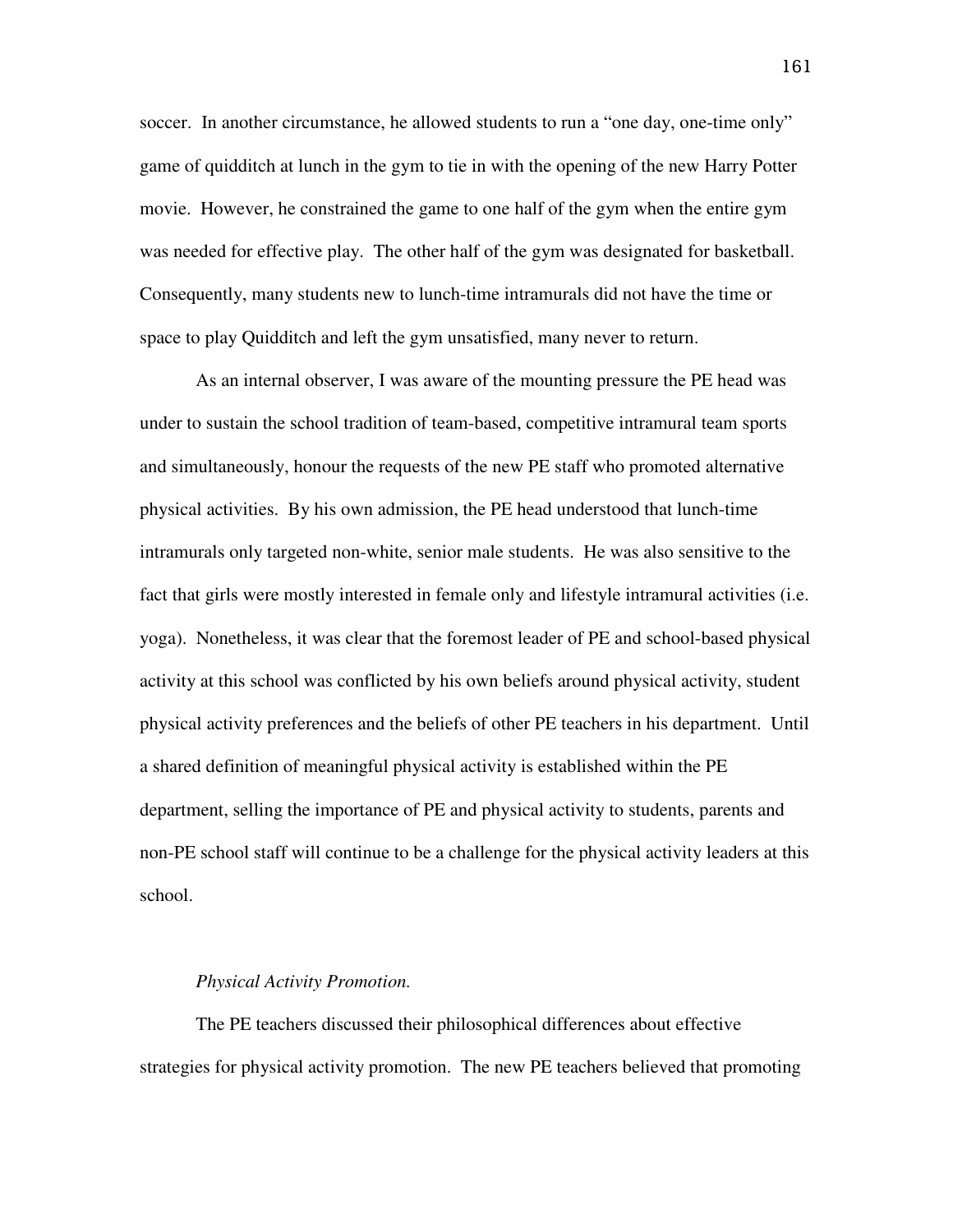soccer. In another circumstance, he allowed students to run a "one day, one-time only" game of quidditch at lunch in the gym to tie in with the opening of the new Harry Potter movie. However, he constrained the game to one half of the gym when the entire gym was needed for effective play. The other half of the gym was designated for basketball. Consequently, many students new to lunch-time intramurals did not have the time or space to play Quidditch and left the gym unsatisfied, many never to return.

As an internal observer, I was aware of the mounting pressure the PE head was under to sustain the school tradition of team-based, competitive intramural team sports and simultaneously, honour the requests of the new PE staff who promoted alternative physical activities. By his own admission, the PE head understood that lunch-time intramurals only targeted non-white, senior male students. He was also sensitive to the fact that girls were mostly interested in female only and lifestyle intramural activities (i.e. yoga). Nonetheless, it was clear that the foremost leader of PE and school-based physical activity at this school was conflicted by his own beliefs around physical activity, student physical activity preferences and the beliefs of other PE teachers in his department. Until a shared definition of meaningful physical activity is established within the PE department, selling the importance of PE and physical activity to students, parents and non-PE school staff will continue to be a challenge for the physical activity leaders at this school.

#### *Physical Activity Promotion.*

The PE teachers discussed their philosophical differences about effective strategies for physical activity promotion. The new PE teachers believed that promoting

161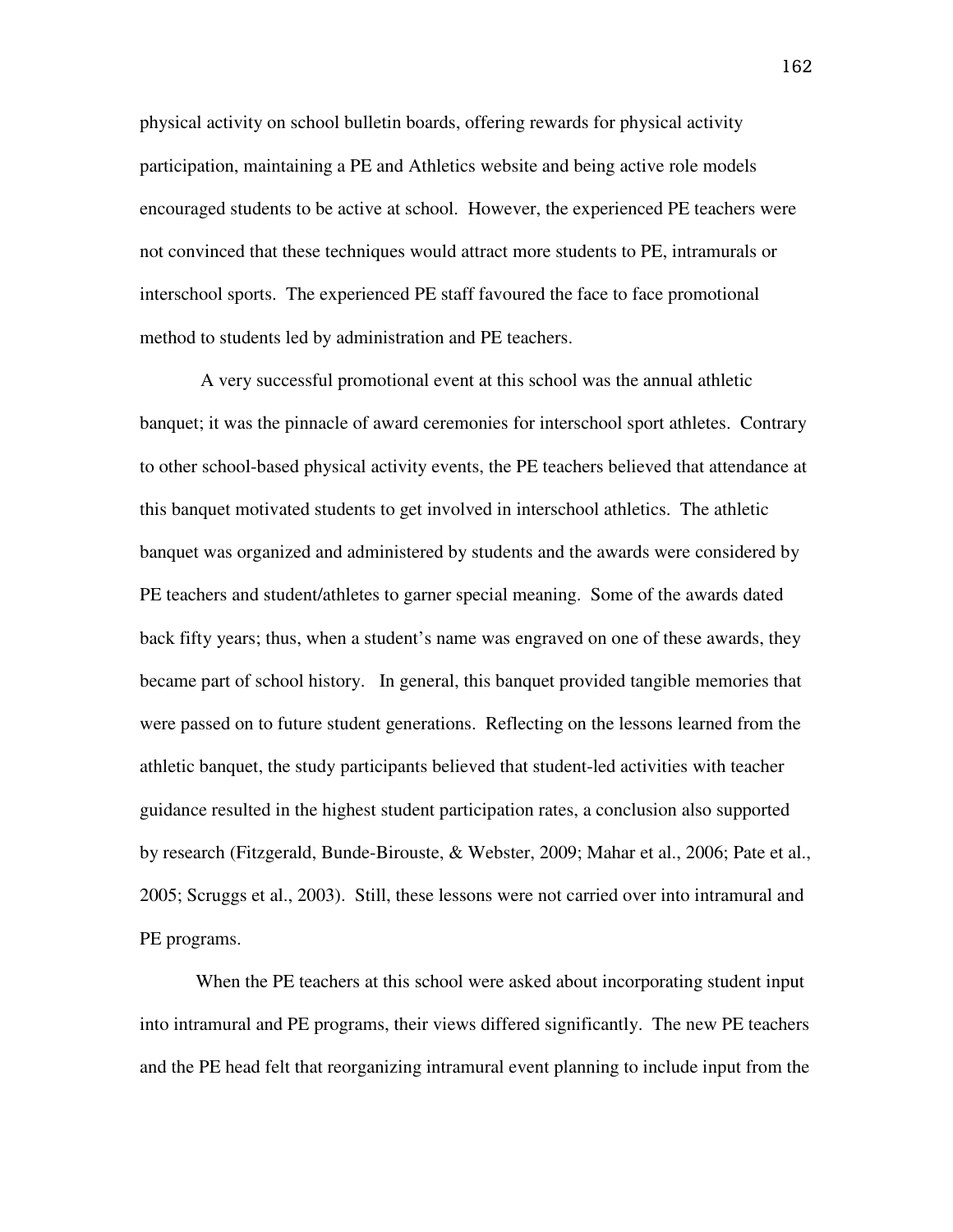physical activity on school bulletin boards, offering rewards for physical activity participation, maintaining a PE and Athletics website and being active role models encouraged students to be active at school. However, the experienced PE teachers were not convinced that these techniques would attract more students to PE, intramurals or interschool sports. The experienced PE staff favoured the face to face promotional method to students led by administration and PE teachers.

 A very successful promotional event at this school was the annual athletic banquet; it was the pinnacle of award ceremonies for interschool sport athletes. Contrary to other school-based physical activity events, the PE teachers believed that attendance at this banquet motivated students to get involved in interschool athletics. The athletic banquet was organized and administered by students and the awards were considered by PE teachers and student/athletes to garner special meaning. Some of the awards dated back fifty years; thus, when a student's name was engraved on one of these awards, they became part of school history. In general, this banquet provided tangible memories that were passed on to future student generations. Reflecting on the lessons learned from the athletic banquet, the study participants believed that student-led activities with teacher guidance resulted in the highest student participation rates, a conclusion also supported by research (Fitzgerald, Bunde-Birouste, & Webster, 2009; Mahar et al., 2006; Pate et al., 2005; Scruggs et al., 2003). Still, these lessons were not carried over into intramural and PE programs.

When the PE teachers at this school were asked about incorporating student input into intramural and PE programs, their views differed significantly. The new PE teachers and the PE head felt that reorganizing intramural event planning to include input from the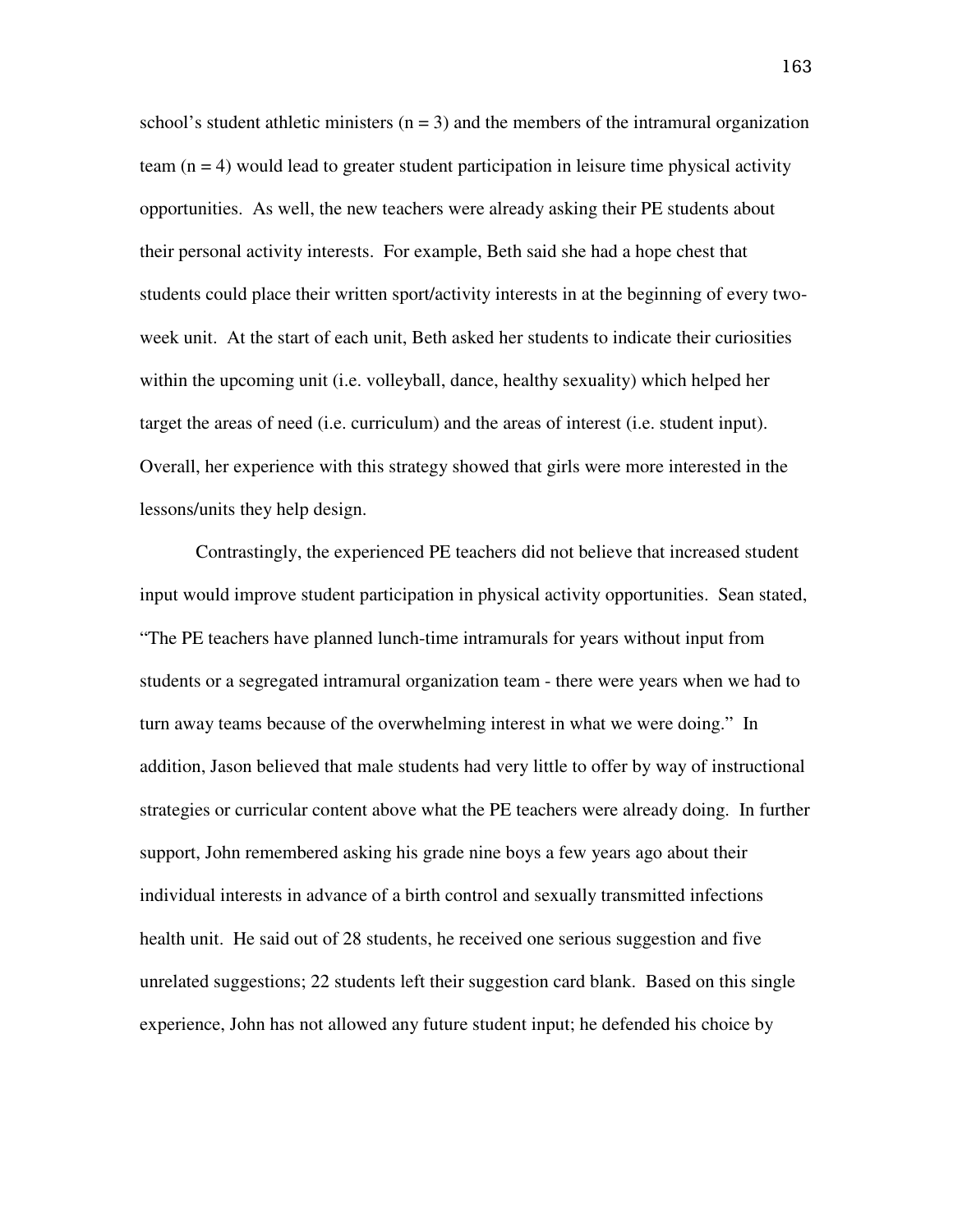school's student athletic ministers  $(n = 3)$  and the members of the intramural organization team  $(n = 4)$  would lead to greater student participation in leisure time physical activity opportunities. As well, the new teachers were already asking their PE students about their personal activity interests. For example, Beth said she had a hope chest that students could place their written sport/activity interests in at the beginning of every twoweek unit. At the start of each unit, Beth asked her students to indicate their curiosities within the upcoming unit (i.e. volleyball, dance, healthy sexuality) which helped her target the areas of need (i.e. curriculum) and the areas of interest (i.e. student input). Overall, her experience with this strategy showed that girls were more interested in the lessons/units they help design.

Contrastingly, the experienced PE teachers did not believe that increased student input would improve student participation in physical activity opportunities. Sean stated, "The PE teachers have planned lunch-time intramurals for years without input from students or a segregated intramural organization team - there were years when we had to turn away teams because of the overwhelming interest in what we were doing." In addition, Jason believed that male students had very little to offer by way of instructional strategies or curricular content above what the PE teachers were already doing. In further support, John remembered asking his grade nine boys a few years ago about their individual interests in advance of a birth control and sexually transmitted infections health unit. He said out of 28 students, he received one serious suggestion and five unrelated suggestions; 22 students left their suggestion card blank. Based on this single experience, John has not allowed any future student input; he defended his choice by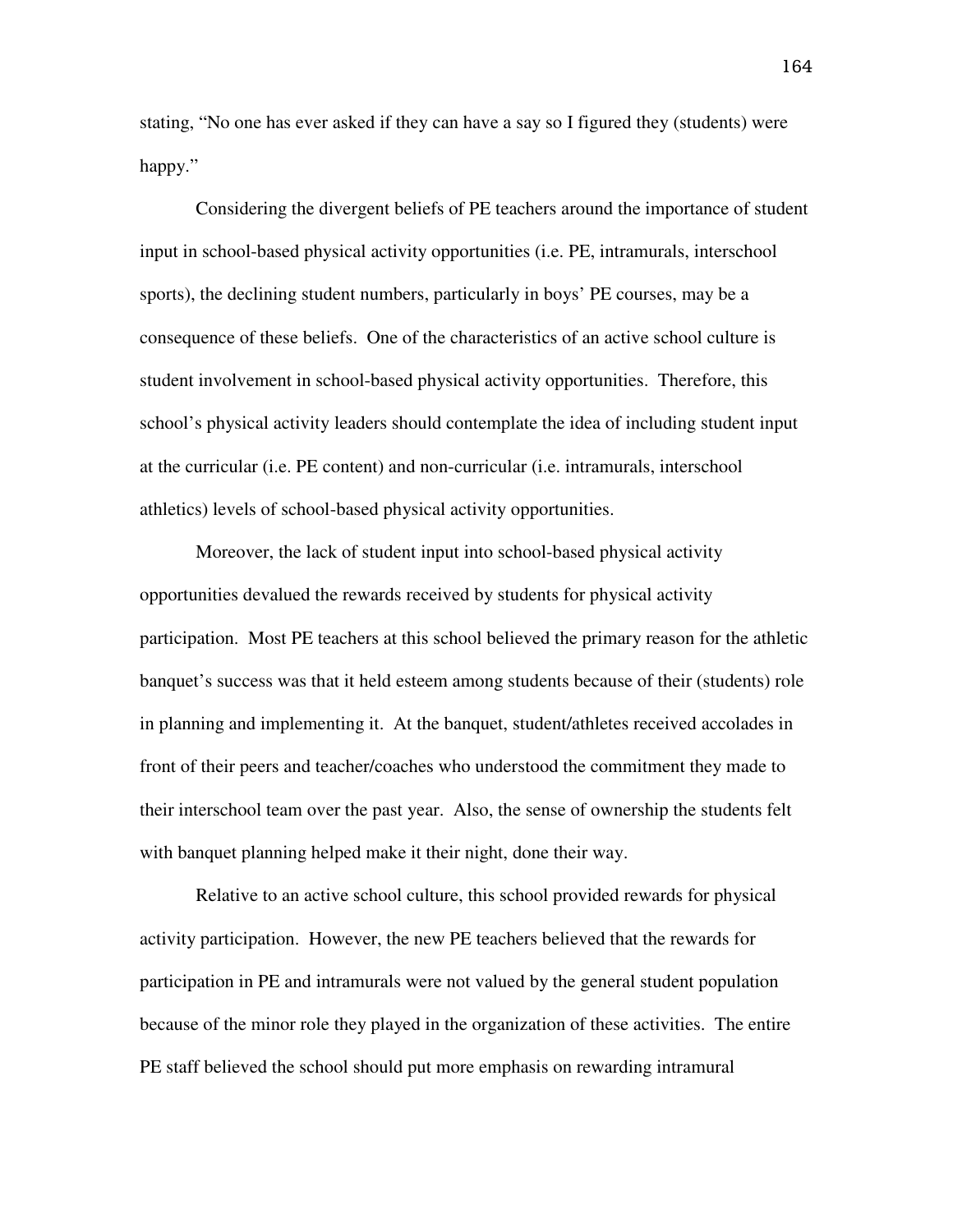stating, "No one has ever asked if they can have a say so I figured they (students) were happy."

Considering the divergent beliefs of PE teachers around the importance of student input in school-based physical activity opportunities (i.e. PE, intramurals, interschool sports), the declining student numbers, particularly in boys' PE courses, may be a consequence of these beliefs. One of the characteristics of an active school culture is student involvement in school-based physical activity opportunities. Therefore, this school's physical activity leaders should contemplate the idea of including student input at the curricular (i.e. PE content) and non-curricular (i.e. intramurals, interschool athletics) levels of school-based physical activity opportunities.

Moreover, the lack of student input into school-based physical activity opportunities devalued the rewards received by students for physical activity participation. Most PE teachers at this school believed the primary reason for the athletic banquet's success was that it held esteem among students because of their (students) role in planning and implementing it. At the banquet, student/athletes received accolades in front of their peers and teacher/coaches who understood the commitment they made to their interschool team over the past year. Also, the sense of ownership the students felt with banquet planning helped make it their night, done their way.

Relative to an active school culture, this school provided rewards for physical activity participation. However, the new PE teachers believed that the rewards for participation in PE and intramurals were not valued by the general student population because of the minor role they played in the organization of these activities. The entire PE staff believed the school should put more emphasis on rewarding intramural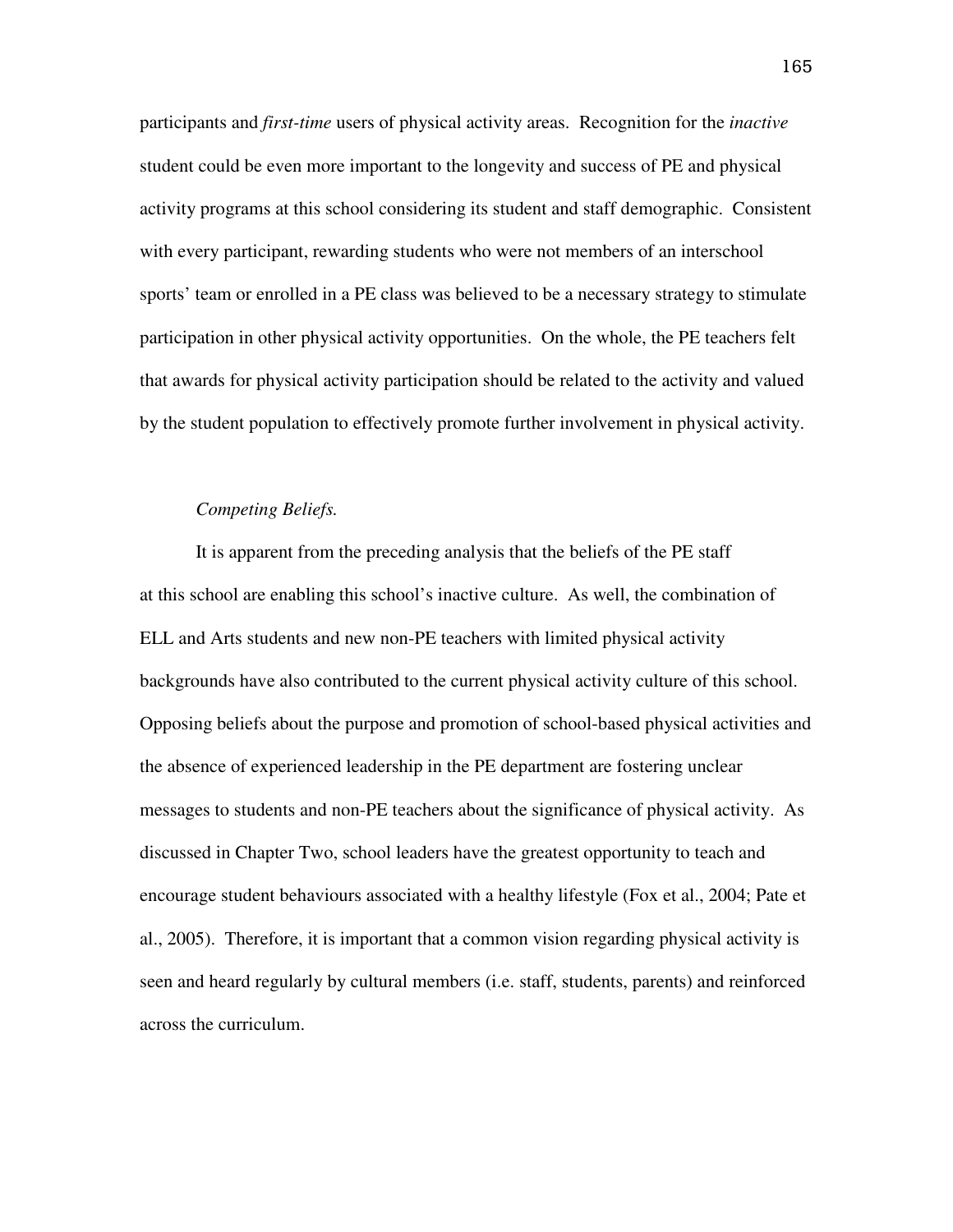participants and *first-time* users of physical activity areas. Recognition for the *inactive* student could be even more important to the longevity and success of PE and physical activity programs at this school considering its student and staff demographic. Consistent with every participant, rewarding students who were not members of an interschool sports' team or enrolled in a PE class was believed to be a necessary strategy to stimulate participation in other physical activity opportunities. On the whole, the PE teachers felt that awards for physical activity participation should be related to the activity and valued by the student population to effectively promote further involvement in physical activity.

# *Competing Beliefs.*

It is apparent from the preceding analysis that the beliefs of the PE staff at this school are enabling this school's inactive culture. As well, the combination of ELL and Arts students and new non-PE teachers with limited physical activity backgrounds have also contributed to the current physical activity culture of this school. Opposing beliefs about the purpose and promotion of school-based physical activities and the absence of experienced leadership in the PE department are fostering unclear messages to students and non-PE teachers about the significance of physical activity. As discussed in Chapter Two, school leaders have the greatest opportunity to teach and encourage student behaviours associated with a healthy lifestyle (Fox et al., 2004; Pate et al., 2005). Therefore, it is important that a common vision regarding physical activity is seen and heard regularly by cultural members (i.e. staff, students, parents) and reinforced across the curriculum.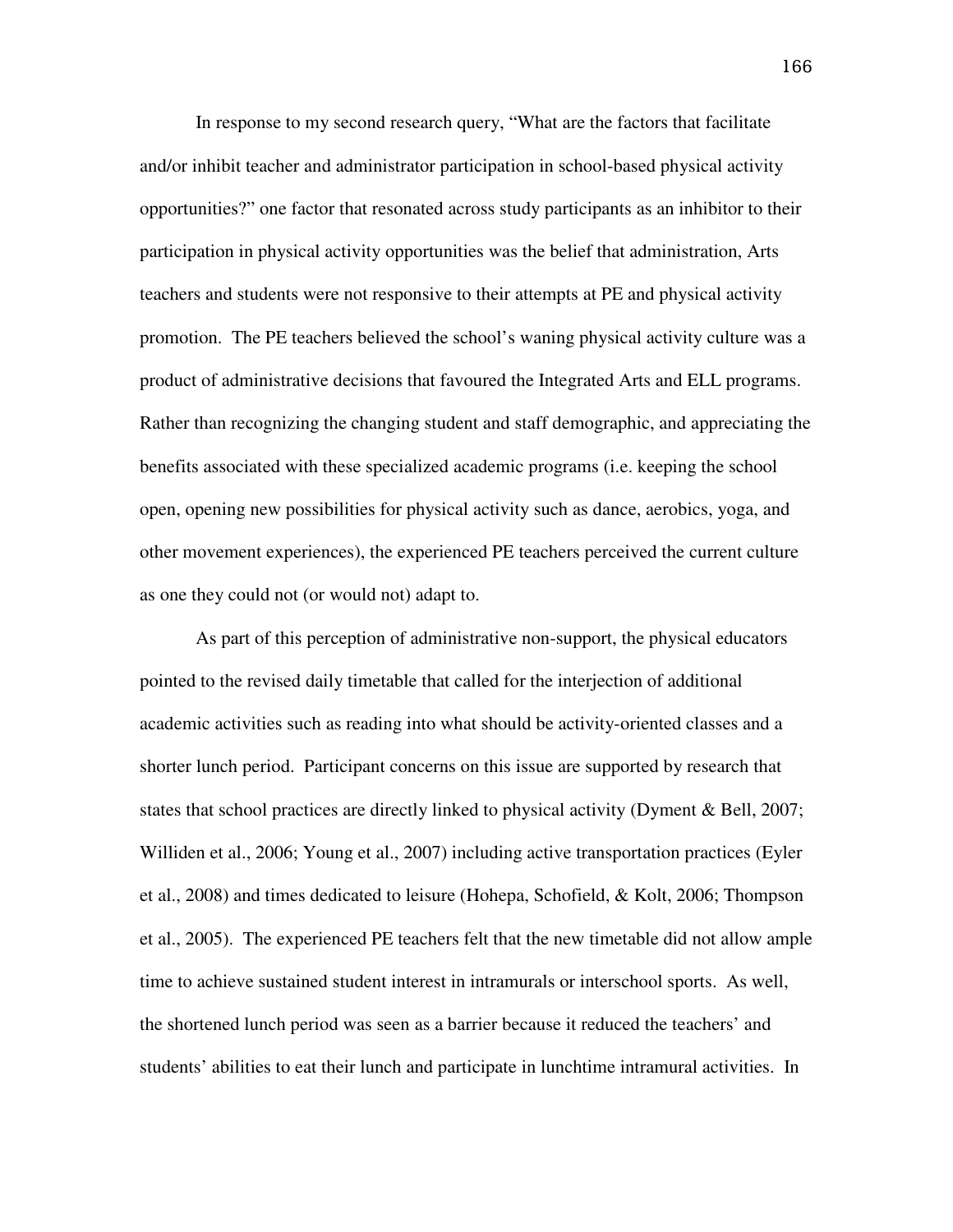In response to my second research query, "What are the factors that facilitate and/or inhibit teacher and administrator participation in school-based physical activity opportunities?" one factor that resonated across study participants as an inhibitor to their participation in physical activity opportunities was the belief that administration, Arts teachers and students were not responsive to their attempts at PE and physical activity promotion. The PE teachers believed the school's waning physical activity culture was a product of administrative decisions that favoured the Integrated Arts and ELL programs. Rather than recognizing the changing student and staff demographic, and appreciating the benefits associated with these specialized academic programs (i.e. keeping the school open, opening new possibilities for physical activity such as dance, aerobics, yoga, and other movement experiences), the experienced PE teachers perceived the current culture as one they could not (or would not) adapt to.

As part of this perception of administrative non-support, the physical educators pointed to the revised daily timetable that called for the interjection of additional academic activities such as reading into what should be activity-oriented classes and a shorter lunch period. Participant concerns on this issue are supported by research that states that school practices are directly linked to physical activity (Dyment & Bell, 2007; Williden et al., 2006; Young et al., 2007) including active transportation practices (Eyler et al., 2008) and times dedicated to leisure (Hohepa, Schofield, & Kolt, 2006; Thompson et al., 2005). The experienced PE teachers felt that the new timetable did not allow ample time to achieve sustained student interest in intramurals or interschool sports. As well, the shortened lunch period was seen as a barrier because it reduced the teachers' and students' abilities to eat their lunch and participate in lunchtime intramural activities. In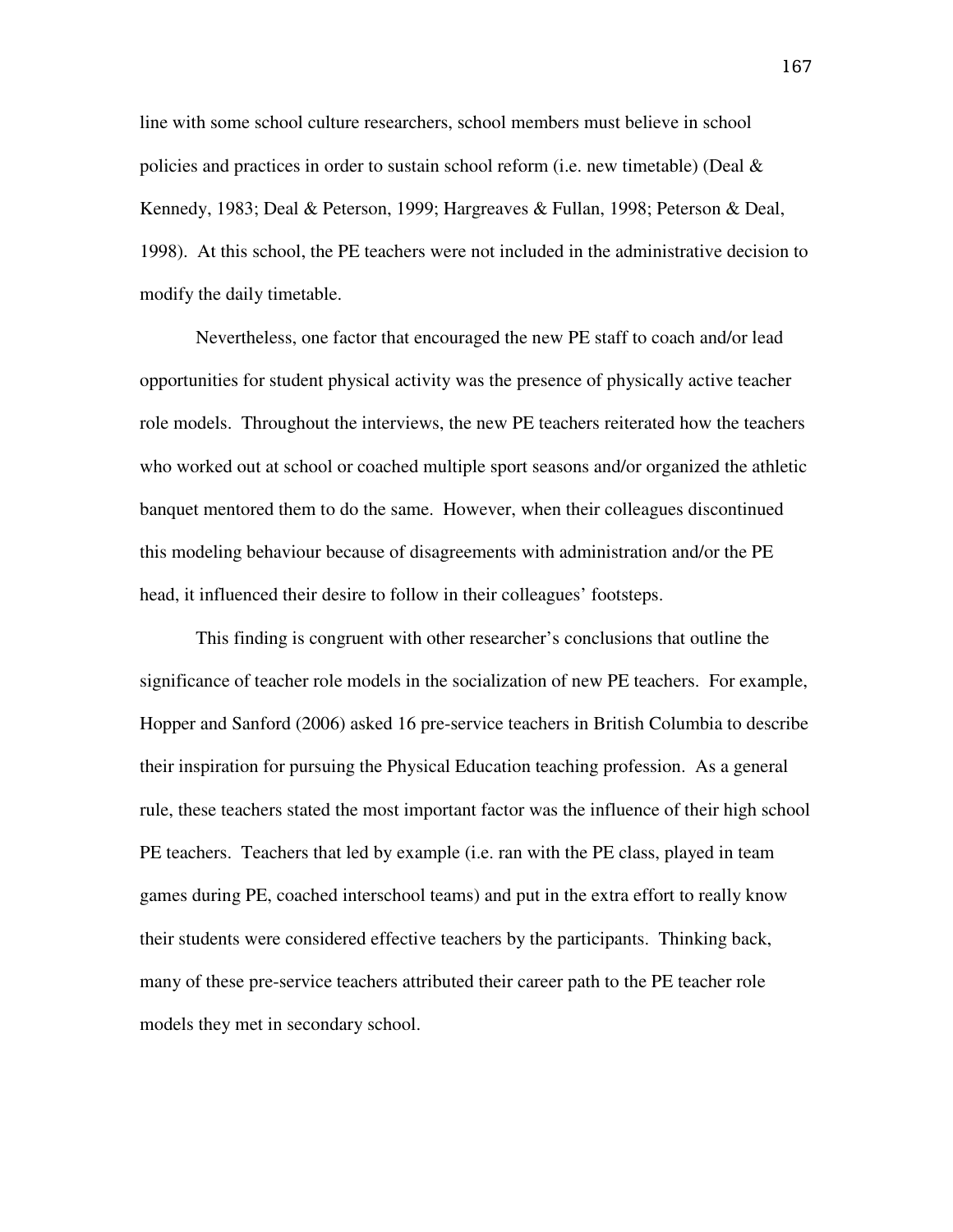line with some school culture researchers, school members must believe in school policies and practices in order to sustain school reform (i.e. new timetable) (Deal  $\&$ Kennedy, 1983; Deal & Peterson, 1999; Hargreaves & Fullan, 1998; Peterson & Deal, 1998). At this school, the PE teachers were not included in the administrative decision to modify the daily timetable.

Nevertheless, one factor that encouraged the new PE staff to coach and/or lead opportunities for student physical activity was the presence of physically active teacher role models. Throughout the interviews, the new PE teachers reiterated how the teachers who worked out at school or coached multiple sport seasons and/or organized the athletic banquet mentored them to do the same. However, when their colleagues discontinued this modeling behaviour because of disagreements with administration and/or the PE head, it influenced their desire to follow in their colleagues' footsteps.

This finding is congruent with other researcher's conclusions that outline the significance of teacher role models in the socialization of new PE teachers. For example, Hopper and Sanford (2006) asked 16 pre-service teachers in British Columbia to describe their inspiration for pursuing the Physical Education teaching profession. As a general rule, these teachers stated the most important factor was the influence of their high school PE teachers. Teachers that led by example (i.e. ran with the PE class, played in team games during PE, coached interschool teams) and put in the extra effort to really know their students were considered effective teachers by the participants. Thinking back, many of these pre-service teachers attributed their career path to the PE teacher role models they met in secondary school.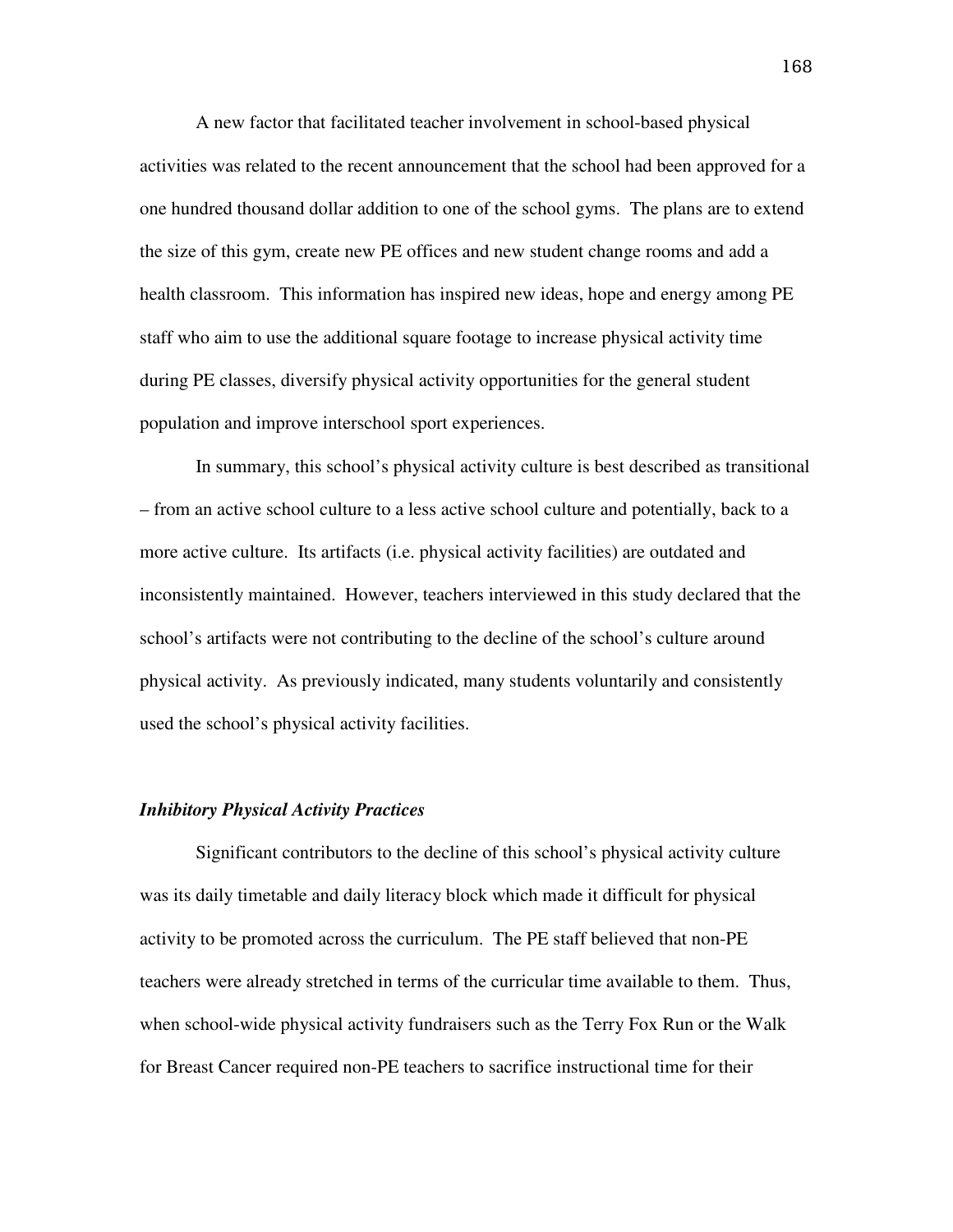A new factor that facilitated teacher involvement in school-based physical activities was related to the recent announcement that the school had been approved for a one hundred thousand dollar addition to one of the school gyms. The plans are to extend the size of this gym, create new PE offices and new student change rooms and add a health classroom. This information has inspired new ideas, hope and energy among PE staff who aim to use the additional square footage to increase physical activity time during PE classes, diversify physical activity opportunities for the general student population and improve interschool sport experiences.

In summary, this school's physical activity culture is best described as transitional – from an active school culture to a less active school culture and potentially, back to a more active culture. Its artifacts (i.e. physical activity facilities) are outdated and inconsistently maintained. However, teachers interviewed in this study declared that the school's artifacts were not contributing to the decline of the school's culture around physical activity. As previously indicated, many students voluntarily and consistently used the school's physical activity facilities.

## *Inhibitory Physical Activity Practices*

Significant contributors to the decline of this school's physical activity culture was its daily timetable and daily literacy block which made it difficult for physical activity to be promoted across the curriculum. The PE staff believed that non-PE teachers were already stretched in terms of the curricular time available to them. Thus, when school-wide physical activity fundraisers such as the Terry Fox Run or the Walk for Breast Cancer required non-PE teachers to sacrifice instructional time for their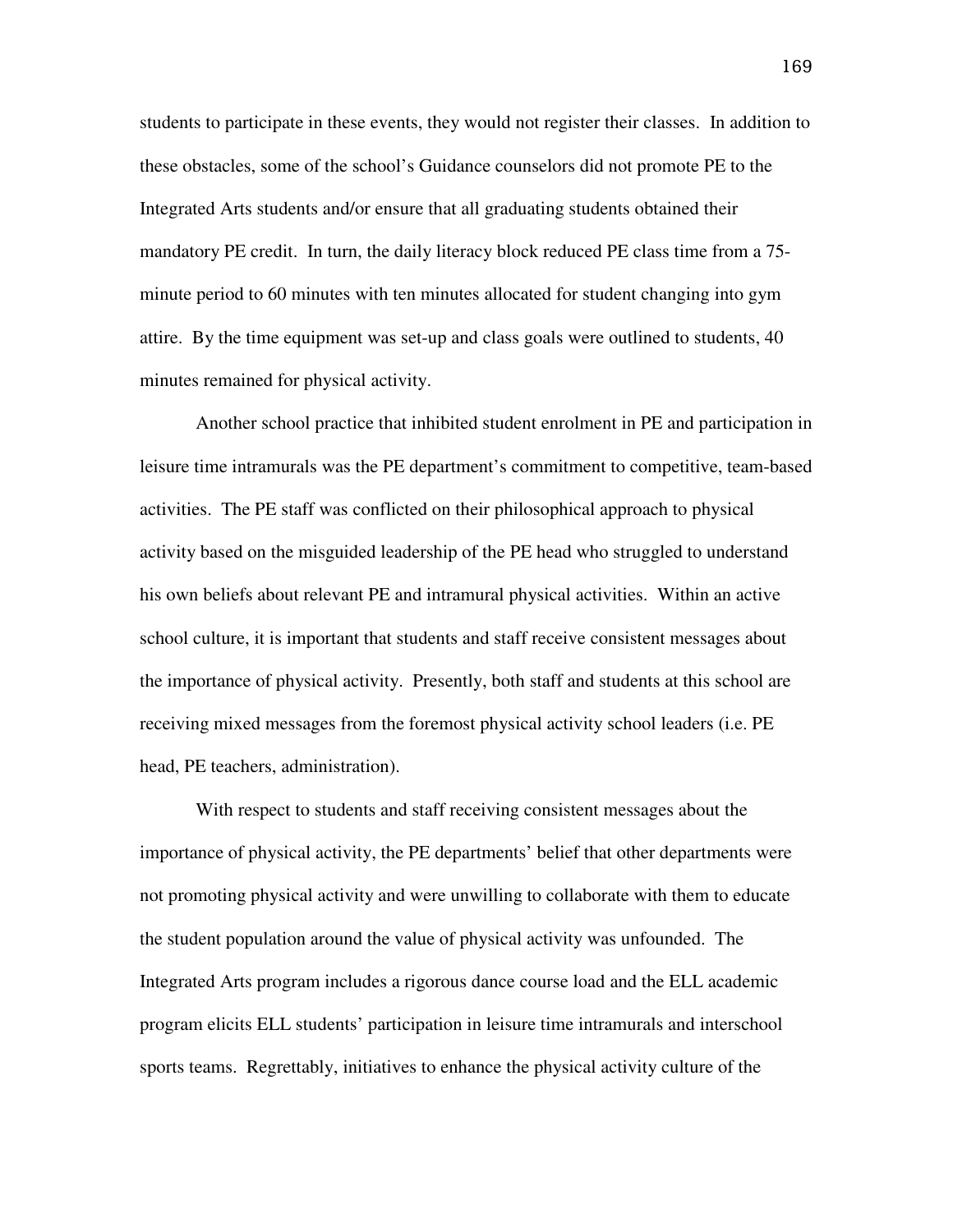students to participate in these events, they would not register their classes. In addition to these obstacles, some of the school's Guidance counselors did not promote PE to the Integrated Arts students and/or ensure that all graduating students obtained their mandatory PE credit. In turn, the daily literacy block reduced PE class time from a 75 minute period to 60 minutes with ten minutes allocated for student changing into gym attire. By the time equipment was set-up and class goals were outlined to students, 40 minutes remained for physical activity.

Another school practice that inhibited student enrolment in PE and participation in leisure time intramurals was the PE department's commitment to competitive, team-based activities. The PE staff was conflicted on their philosophical approach to physical activity based on the misguided leadership of the PE head who struggled to understand his own beliefs about relevant PE and intramural physical activities. Within an active school culture, it is important that students and staff receive consistent messages about the importance of physical activity. Presently, both staff and students at this school are receiving mixed messages from the foremost physical activity school leaders (i.e. PE head, PE teachers, administration).

With respect to students and staff receiving consistent messages about the importance of physical activity, the PE departments' belief that other departments were not promoting physical activity and were unwilling to collaborate with them to educate the student population around the value of physical activity was unfounded. The Integrated Arts program includes a rigorous dance course load and the ELL academic program elicits ELL students' participation in leisure time intramurals and interschool sports teams. Regrettably, initiatives to enhance the physical activity culture of the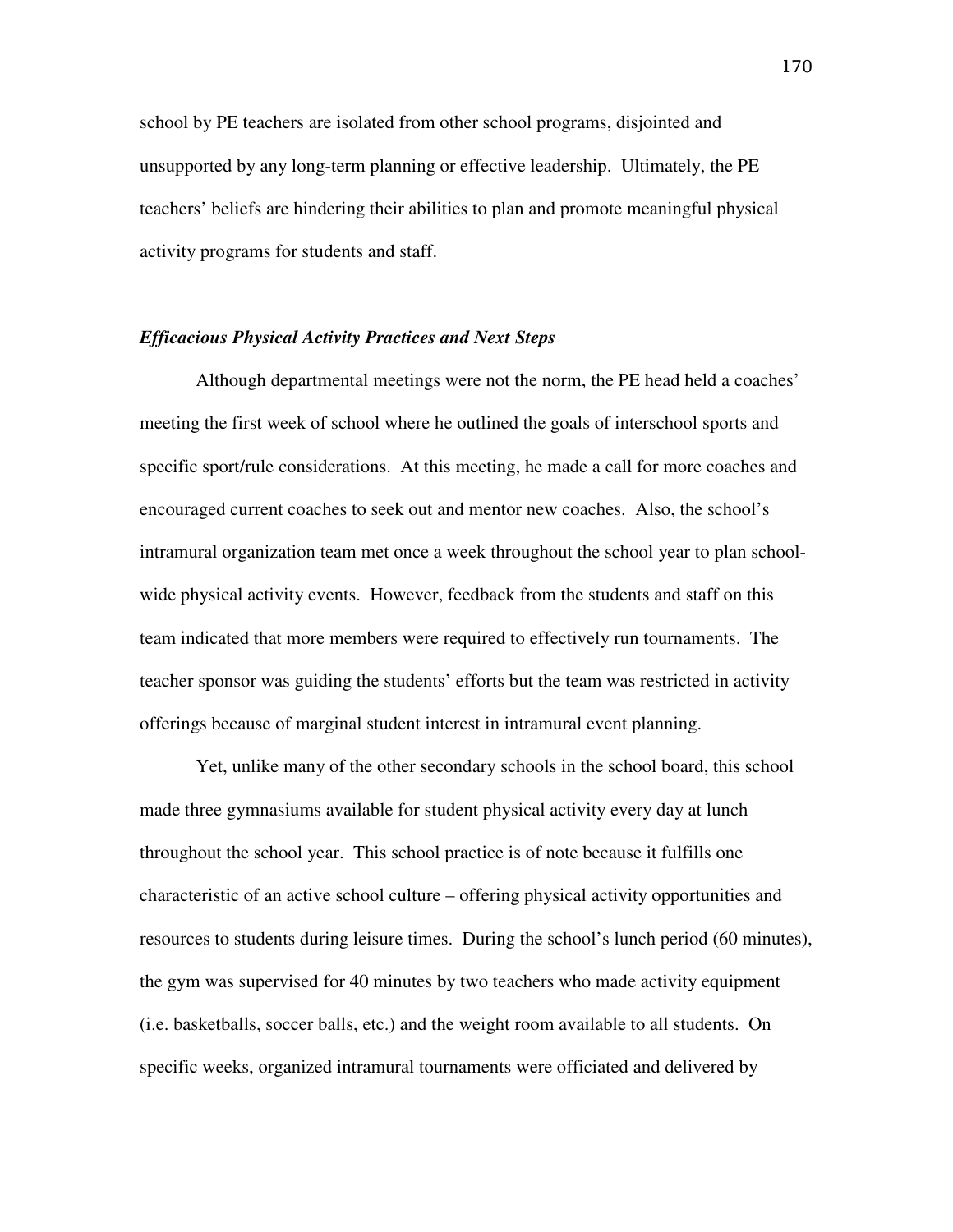school by PE teachers are isolated from other school programs, disjointed and unsupported by any long-term planning or effective leadership. Ultimately, the PE teachers' beliefs are hindering their abilities to plan and promote meaningful physical activity programs for students and staff.

### *Efficacious Physical Activity Practices and Next Steps*

Although departmental meetings were not the norm, the PE head held a coaches' meeting the first week of school where he outlined the goals of interschool sports and specific sport/rule considerations. At this meeting, he made a call for more coaches and encouraged current coaches to seek out and mentor new coaches. Also, the school's intramural organization team met once a week throughout the school year to plan schoolwide physical activity events. However, feedback from the students and staff on this team indicated that more members were required to effectively run tournaments. The teacher sponsor was guiding the students' efforts but the team was restricted in activity offerings because of marginal student interest in intramural event planning.

Yet, unlike many of the other secondary schools in the school board, this school made three gymnasiums available for student physical activity every day at lunch throughout the school year. This school practice is of note because it fulfills one characteristic of an active school culture – offering physical activity opportunities and resources to students during leisure times. During the school's lunch period (60 minutes), the gym was supervised for 40 minutes by two teachers who made activity equipment (i.e. basketballs, soccer balls, etc.) and the weight room available to all students. On specific weeks, organized intramural tournaments were officiated and delivered by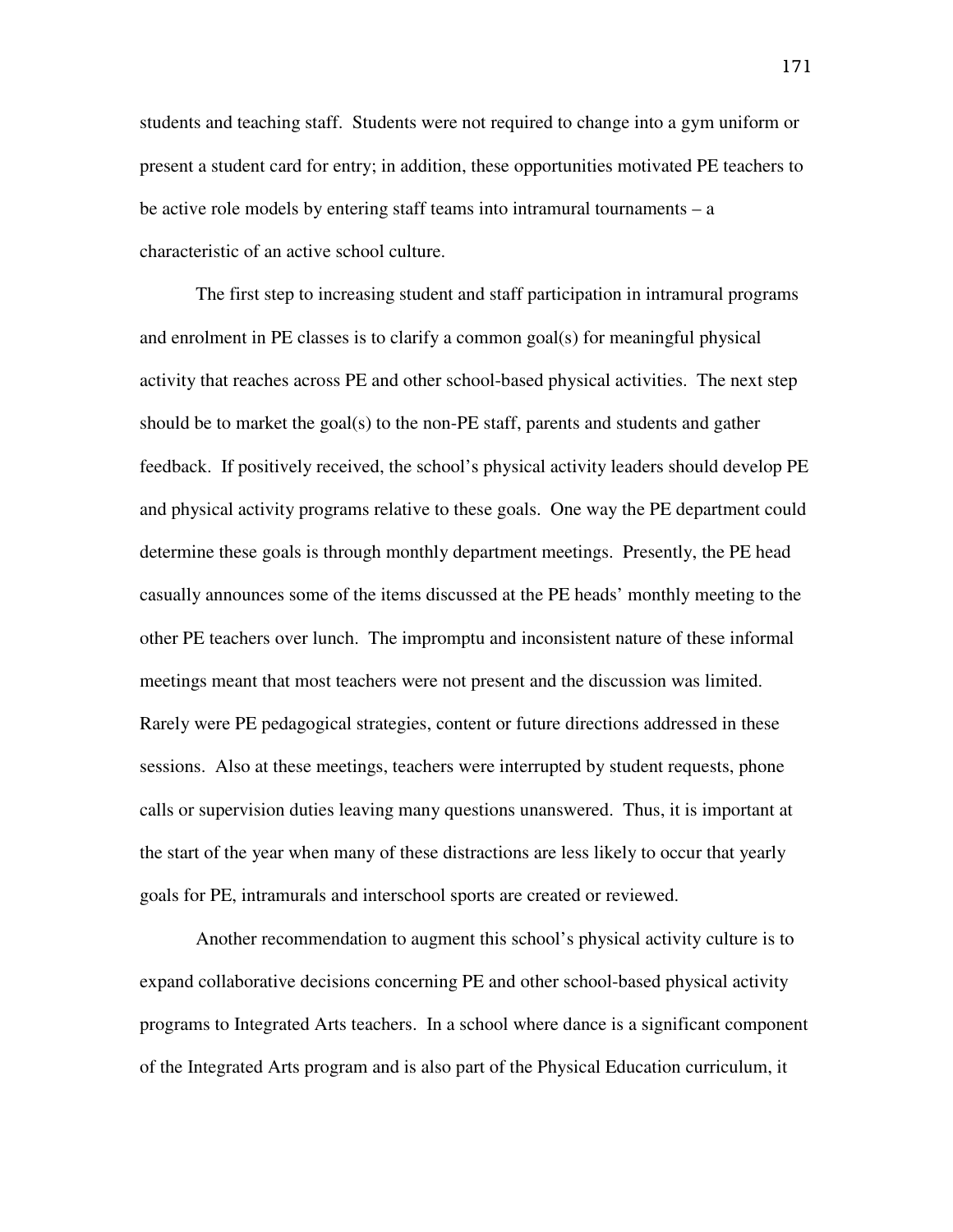students and teaching staff. Students were not required to change into a gym uniform or present a student card for entry; in addition, these opportunities motivated PE teachers to be active role models by entering staff teams into intramural tournaments – a characteristic of an active school culture.

The first step to increasing student and staff participation in intramural programs and enrolment in PE classes is to clarify a common goal(s) for meaningful physical activity that reaches across PE and other school-based physical activities. The next step should be to market the goal(s) to the non-PE staff, parents and students and gather feedback. If positively received, the school's physical activity leaders should develop PE and physical activity programs relative to these goals. One way the PE department could determine these goals is through monthly department meetings. Presently, the PE head casually announces some of the items discussed at the PE heads' monthly meeting to the other PE teachers over lunch. The impromptu and inconsistent nature of these informal meetings meant that most teachers were not present and the discussion was limited. Rarely were PE pedagogical strategies, content or future directions addressed in these sessions. Also at these meetings, teachers were interrupted by student requests, phone calls or supervision duties leaving many questions unanswered. Thus, it is important at the start of the year when many of these distractions are less likely to occur that yearly goals for PE, intramurals and interschool sports are created or reviewed.

Another recommendation to augment this school's physical activity culture is to expand collaborative decisions concerning PE and other school-based physical activity programs to Integrated Arts teachers. In a school where dance is a significant component of the Integrated Arts program and is also part of the Physical Education curriculum, it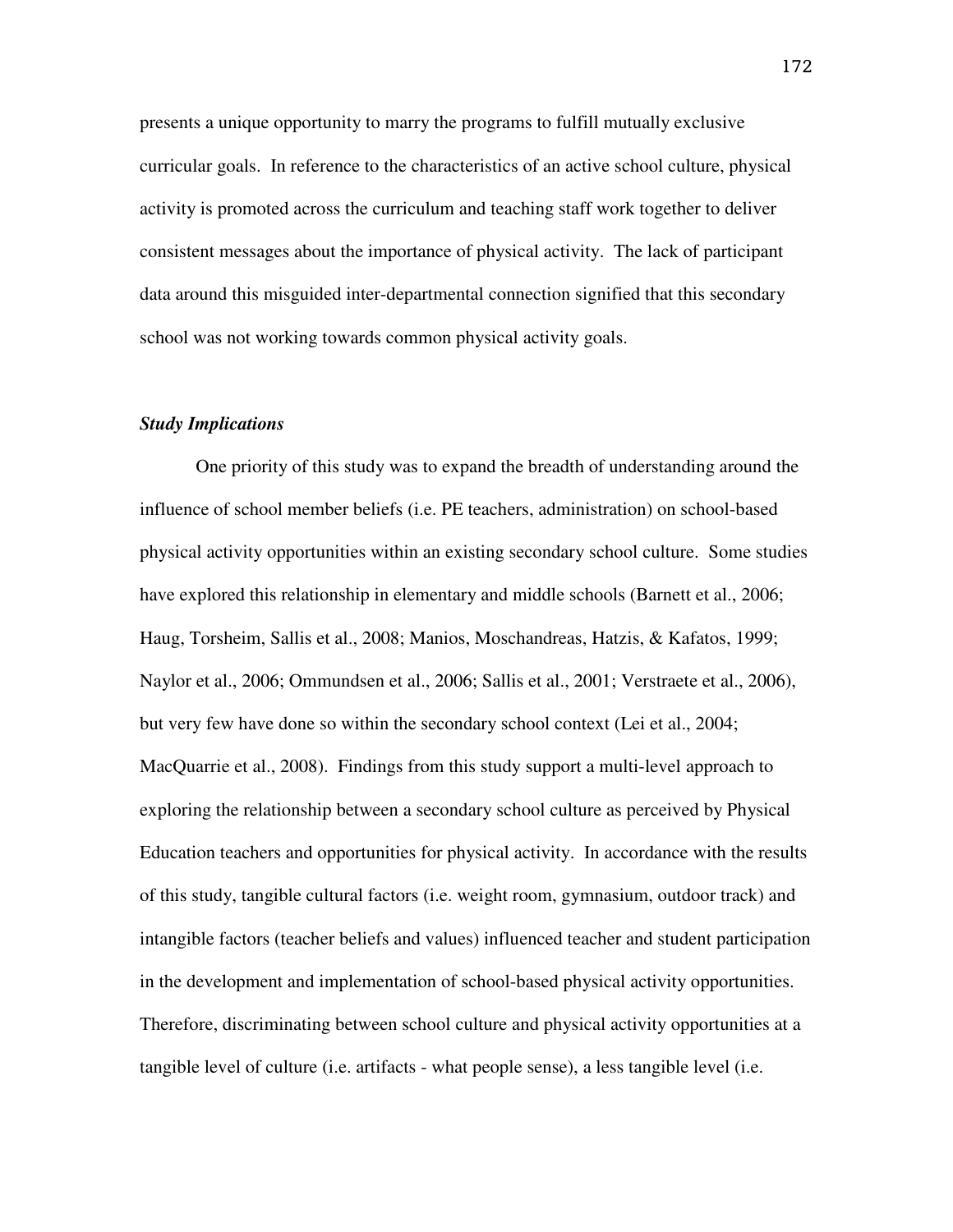presents a unique opportunity to marry the programs to fulfill mutually exclusive curricular goals. In reference to the characteristics of an active school culture, physical activity is promoted across the curriculum and teaching staff work together to deliver consistent messages about the importance of physical activity. The lack of participant data around this misguided inter-departmental connection signified that this secondary school was not working towards common physical activity goals.

# *Study Implications*

 One priority of this study was to expand the breadth of understanding around the influence of school member beliefs (i.e. PE teachers, administration) on school-based physical activity opportunities within an existing secondary school culture. Some studies have explored this relationship in elementary and middle schools (Barnett et al., 2006; Haug, Torsheim, Sallis et al., 2008; Manios, Moschandreas, Hatzis, & Kafatos, 1999; Naylor et al., 2006; Ommundsen et al., 2006; Sallis et al., 2001; Verstraete et al., 2006), but very few have done so within the secondary school context (Lei et al., 2004; MacQuarrie et al., 2008). Findings from this study support a multi-level approach to exploring the relationship between a secondary school culture as perceived by Physical Education teachers and opportunities for physical activity. In accordance with the results of this study, tangible cultural factors (i.e. weight room, gymnasium, outdoor track) and intangible factors (teacher beliefs and values) influenced teacher and student participation in the development and implementation of school-based physical activity opportunities. Therefore, discriminating between school culture and physical activity opportunities at a tangible level of culture (i.e. artifacts - what people sense), a less tangible level (i.e.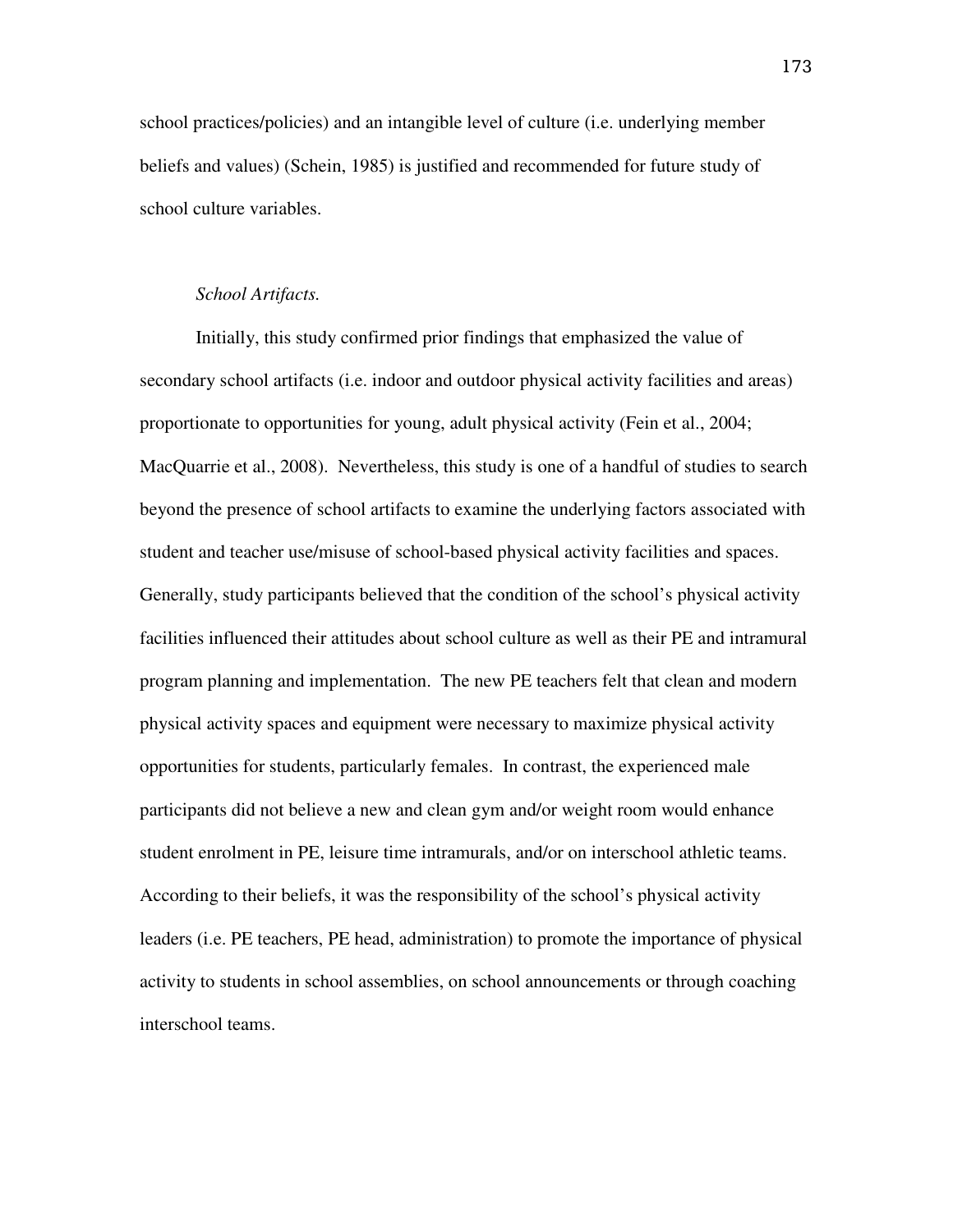school practices/policies) and an intangible level of culture (i.e. underlying member beliefs and values) (Schein, 1985) is justified and recommended for future study of school culture variables.

# *School Artifacts.*

Initially, this study confirmed prior findings that emphasized the value of secondary school artifacts (i.e. indoor and outdoor physical activity facilities and areas) proportionate to opportunities for young, adult physical activity (Fein et al., 2004; MacQuarrie et al., 2008). Nevertheless, this study is one of a handful of studies to search beyond the presence of school artifacts to examine the underlying factors associated with student and teacher use/misuse of school-based physical activity facilities and spaces. Generally, study participants believed that the condition of the school's physical activity facilities influenced their attitudes about school culture as well as their PE and intramural program planning and implementation. The new PE teachers felt that clean and modern physical activity spaces and equipment were necessary to maximize physical activity opportunities for students, particularly females. In contrast, the experienced male participants did not believe a new and clean gym and/or weight room would enhance student enrolment in PE, leisure time intramurals, and/or on interschool athletic teams. According to their beliefs, it was the responsibility of the school's physical activity leaders (i.e. PE teachers, PE head, administration) to promote the importance of physical activity to students in school assemblies, on school announcements or through coaching interschool teams.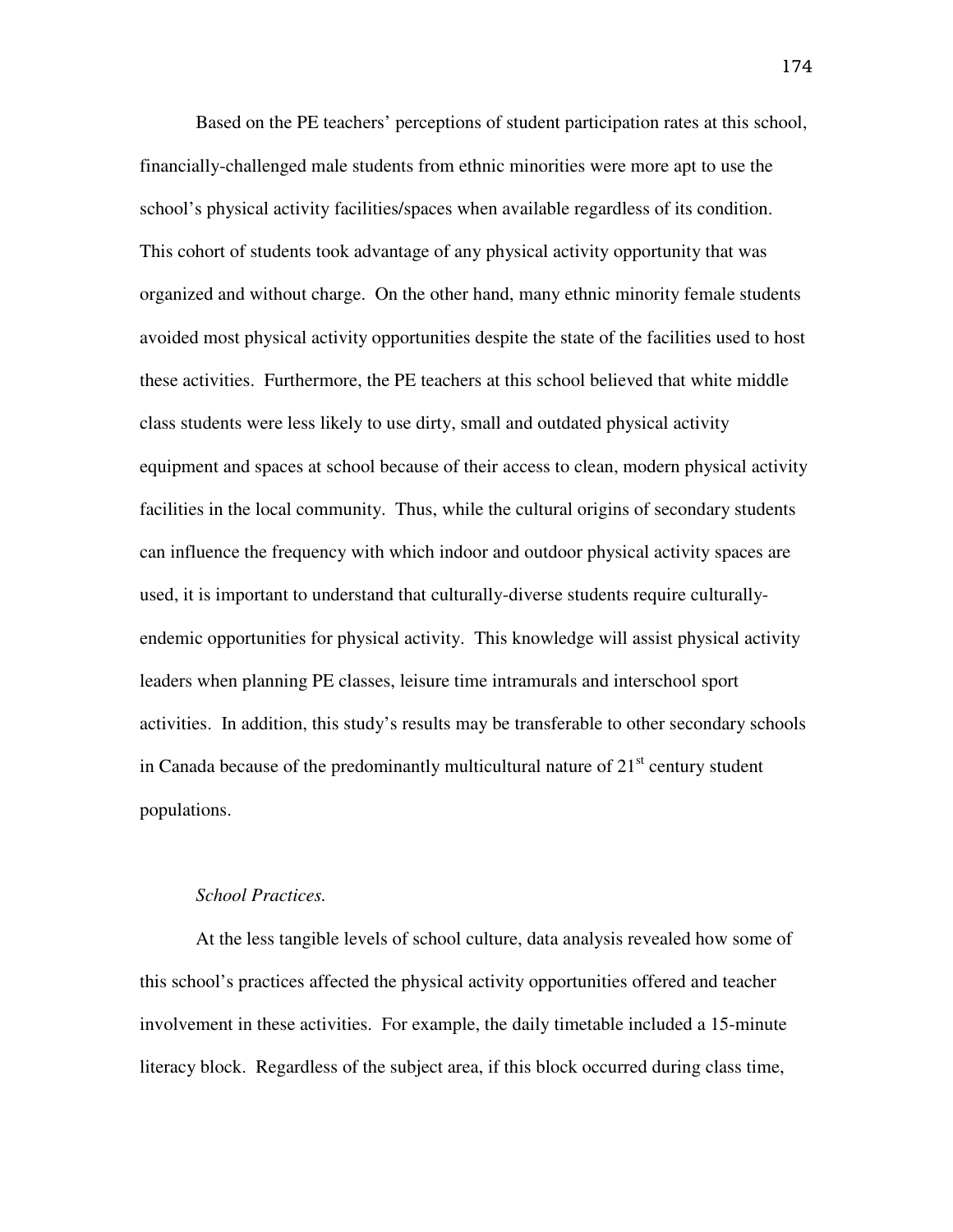Based on the PE teachers' perceptions of student participation rates at this school, financially-challenged male students from ethnic minorities were more apt to use the school's physical activity facilities/spaces when available regardless of its condition. This cohort of students took advantage of any physical activity opportunity that was organized and without charge. On the other hand, many ethnic minority female students avoided most physical activity opportunities despite the state of the facilities used to host these activities. Furthermore, the PE teachers at this school believed that white middle class students were less likely to use dirty, small and outdated physical activity equipment and spaces at school because of their access to clean, modern physical activity facilities in the local community. Thus, while the cultural origins of secondary students can influence the frequency with which indoor and outdoor physical activity spaces are used, it is important to understand that culturally-diverse students require culturallyendemic opportunities for physical activity. This knowledge will assist physical activity leaders when planning PE classes, leisure time intramurals and interschool sport activities. In addition, this study's results may be transferable to other secondary schools in Canada because of the predominantly multicultural nature of  $21<sup>st</sup>$  century student populations.

## *School Practices.*

At the less tangible levels of school culture, data analysis revealed how some of this school's practices affected the physical activity opportunities offered and teacher involvement in these activities. For example, the daily timetable included a 15-minute literacy block. Regardless of the subject area, if this block occurred during class time,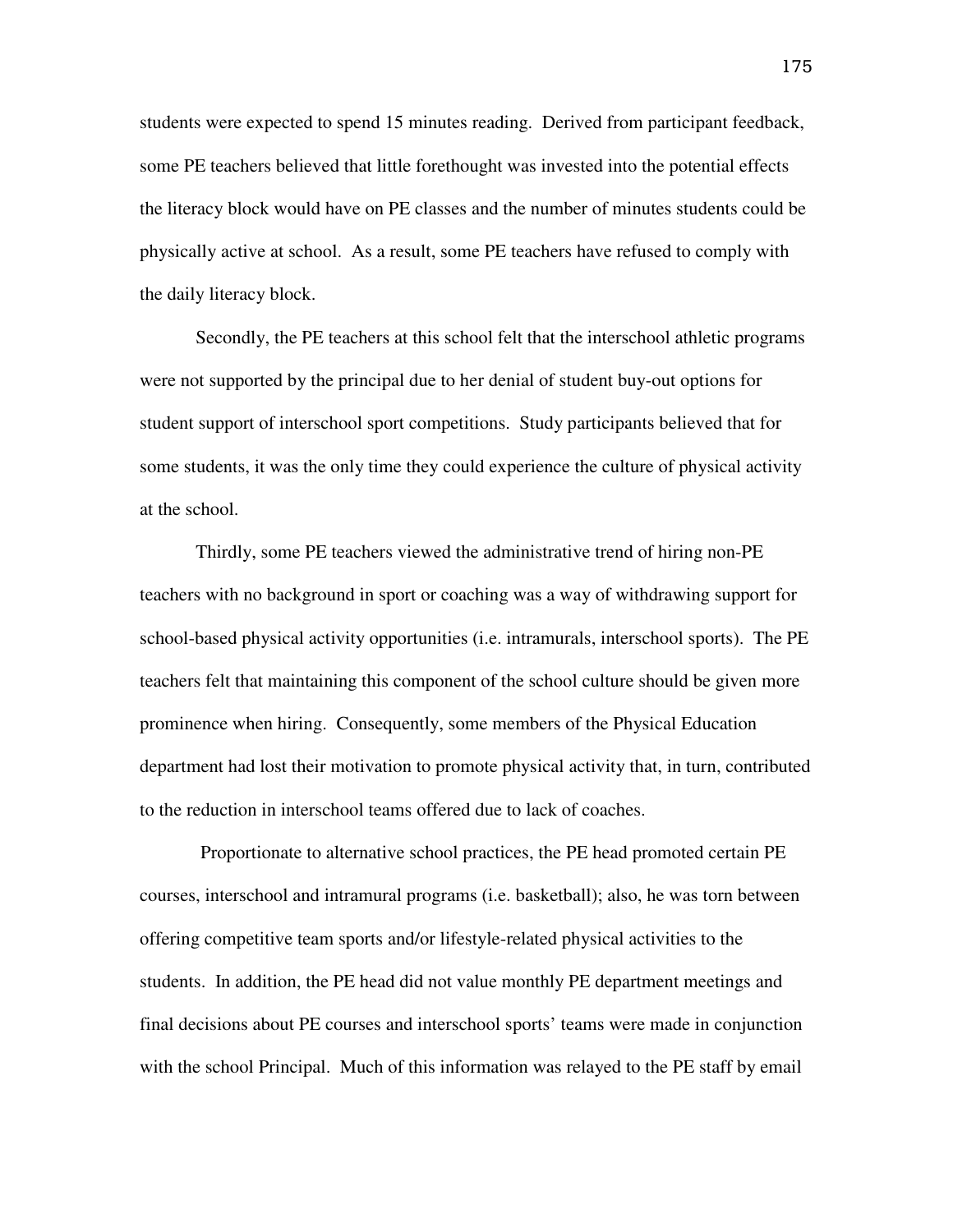students were expected to spend 15 minutes reading. Derived from participant feedback, some PE teachers believed that little forethought was invested into the potential effects the literacy block would have on PE classes and the number of minutes students could be physically active at school. As a result, some PE teachers have refused to comply with the daily literacy block.

Secondly, the PE teachers at this school felt that the interschool athletic programs were not supported by the principal due to her denial of student buy-out options for student support of interschool sport competitions. Study participants believed that for some students, it was the only time they could experience the culture of physical activity at the school.

Thirdly, some PE teachers viewed the administrative trend of hiring non-PE teachers with no background in sport or coaching was a way of withdrawing support for school-based physical activity opportunities (i.e. intramurals, interschool sports). The PE teachers felt that maintaining this component of the school culture should be given more prominence when hiring. Consequently, some members of the Physical Education department had lost their motivation to promote physical activity that, in turn, contributed to the reduction in interschool teams offered due to lack of coaches.

 Proportionate to alternative school practices, the PE head promoted certain PE courses, interschool and intramural programs (i.e. basketball); also, he was torn between offering competitive team sports and/or lifestyle-related physical activities to the students. In addition, the PE head did not value monthly PE department meetings and final decisions about PE courses and interschool sports' teams were made in conjunction with the school Principal. Much of this information was relayed to the PE staff by email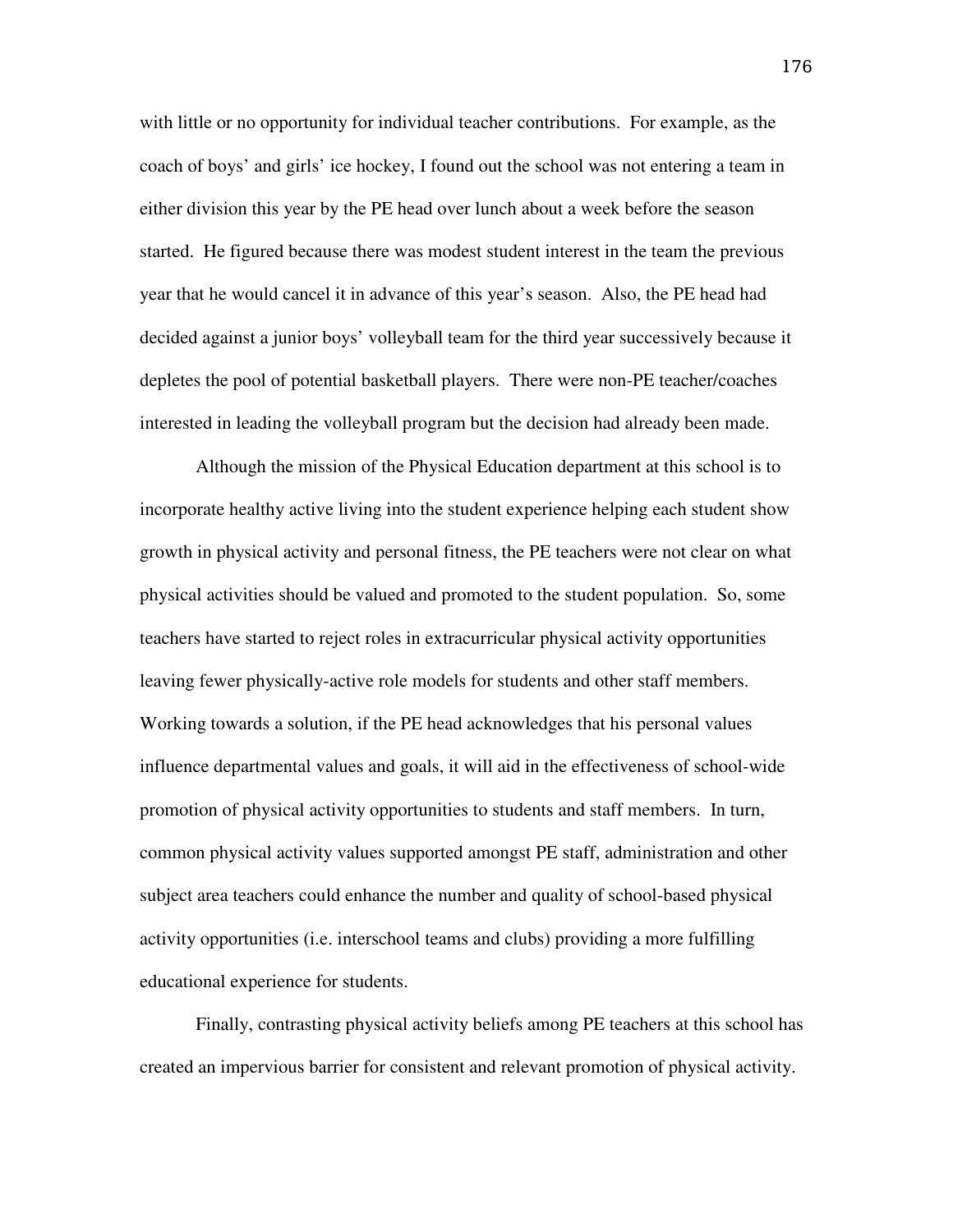with little or no opportunity for individual teacher contributions. For example, as the coach of boys' and girls' ice hockey, I found out the school was not entering a team in either division this year by the PE head over lunch about a week before the season started. He figured because there was modest student interest in the team the previous year that he would cancel it in advance of this year's season. Also, the PE head had decided against a junior boys' volleyball team for the third year successively because it depletes the pool of potential basketball players. There were non-PE teacher/coaches interested in leading the volleyball program but the decision had already been made.

Although the mission of the Physical Education department at this school is to incorporate healthy active living into the student experience helping each student show growth in physical activity and personal fitness, the PE teachers were not clear on what physical activities should be valued and promoted to the student population. So, some teachers have started to reject roles in extracurricular physical activity opportunities leaving fewer physically-active role models for students and other staff members. Working towards a solution, if the PE head acknowledges that his personal values influence departmental values and goals, it will aid in the effectiveness of school-wide promotion of physical activity opportunities to students and staff members. In turn, common physical activity values supported amongst PE staff, administration and other subject area teachers could enhance the number and quality of school-based physical activity opportunities (i.e. interschool teams and clubs) providing a more fulfilling educational experience for students.

Finally, contrasting physical activity beliefs among PE teachers at this school has created an impervious barrier for consistent and relevant promotion of physical activity.

176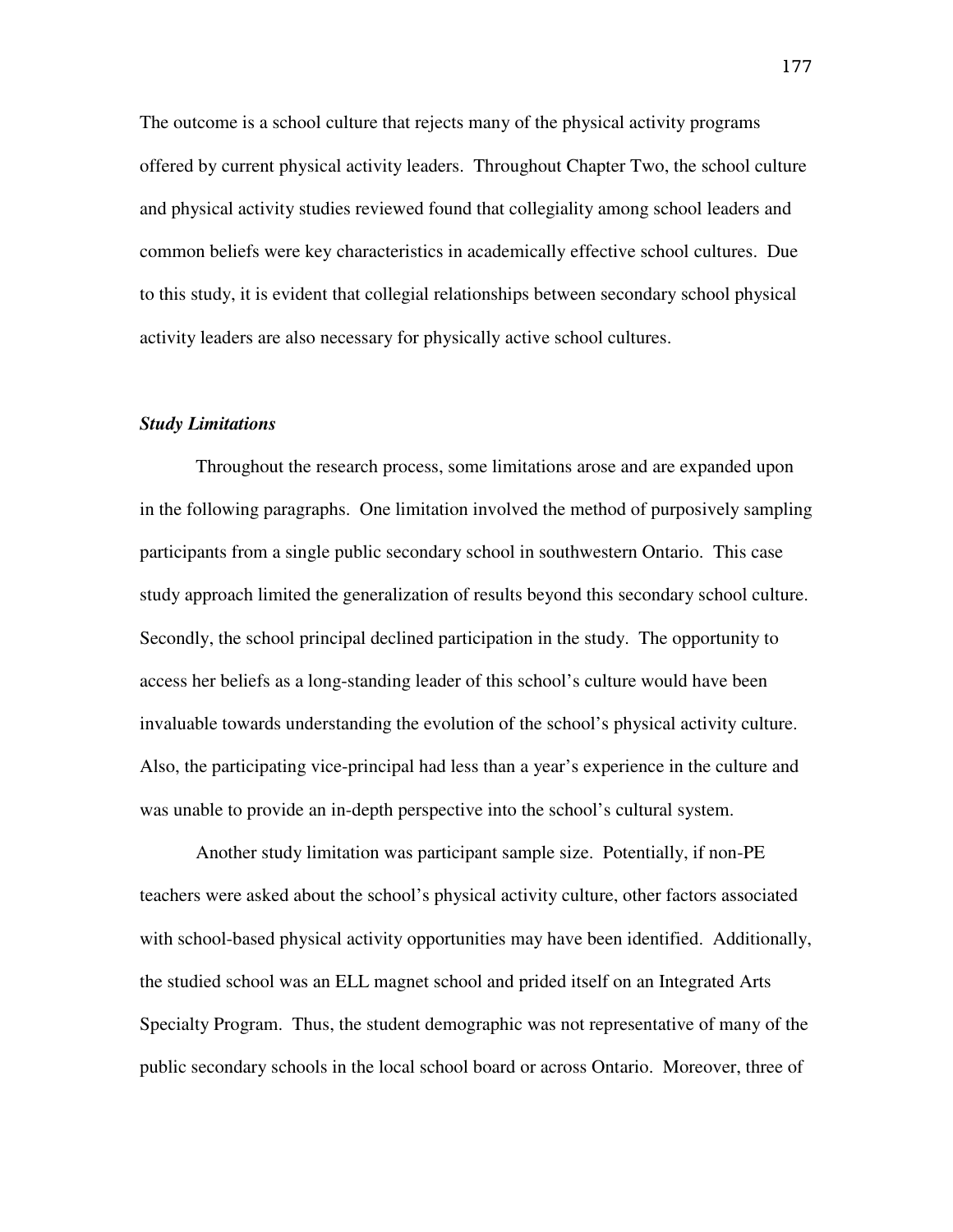The outcome is a school culture that rejects many of the physical activity programs offered by current physical activity leaders. Throughout Chapter Two, the school culture and physical activity studies reviewed found that collegiality among school leaders and common beliefs were key characteristics in academically effective school cultures. Due to this study, it is evident that collegial relationships between secondary school physical activity leaders are also necessary for physically active school cultures.

#### *Study Limitations*

Throughout the research process, some limitations arose and are expanded upon in the following paragraphs. One limitation involved the method of purposively sampling participants from a single public secondary school in southwestern Ontario. This case study approach limited the generalization of results beyond this secondary school culture. Secondly, the school principal declined participation in the study. The opportunity to access her beliefs as a long-standing leader of this school's culture would have been invaluable towards understanding the evolution of the school's physical activity culture. Also, the participating vice-principal had less than a year's experience in the culture and was unable to provide an in-depth perspective into the school's cultural system.

Another study limitation was participant sample size. Potentially, if non-PE teachers were asked about the school's physical activity culture, other factors associated with school-based physical activity opportunities may have been identified. Additionally, the studied school was an ELL magnet school and prided itself on an Integrated Arts Specialty Program. Thus, the student demographic was not representative of many of the public secondary schools in the local school board or across Ontario. Moreover, three of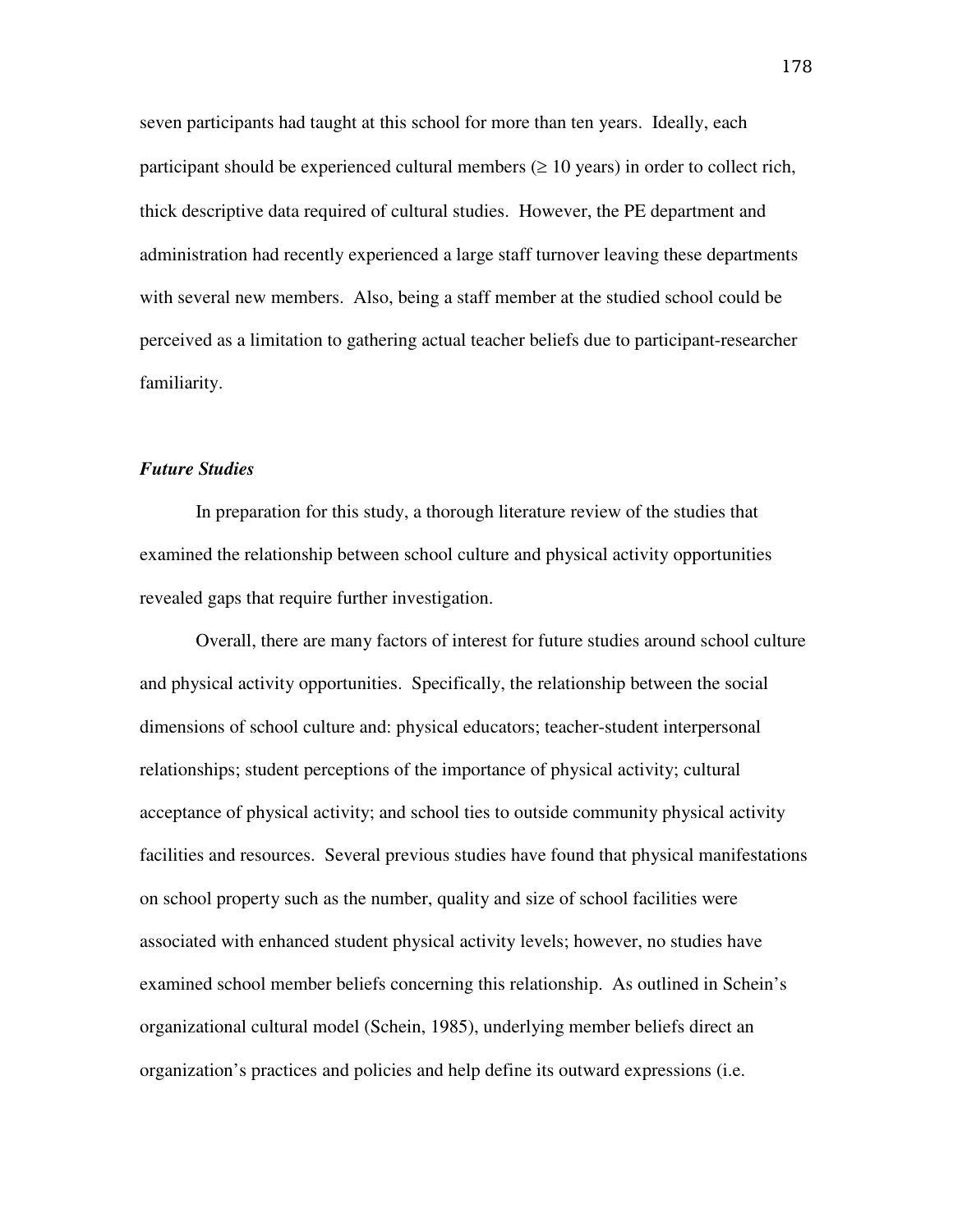seven participants had taught at this school for more than ten years. Ideally, each participant should be experienced cultural members  $(\geq 10 \text{ years})$  in order to collect rich, thick descriptive data required of cultural studies. However, the PE department and administration had recently experienced a large staff turnover leaving these departments with several new members. Also, being a staff member at the studied school could be perceived as a limitation to gathering actual teacher beliefs due to participant-researcher familiarity.

## *Future Studies*

In preparation for this study, a thorough literature review of the studies that examined the relationship between school culture and physical activity opportunities revealed gaps that require further investigation.

Overall, there are many factors of interest for future studies around school culture and physical activity opportunities. Specifically, the relationship between the social dimensions of school culture and: physical educators; teacher-student interpersonal relationships; student perceptions of the importance of physical activity; cultural acceptance of physical activity; and school ties to outside community physical activity facilities and resources. Several previous studies have found that physical manifestations on school property such as the number, quality and size of school facilities were associated with enhanced student physical activity levels; however, no studies have examined school member beliefs concerning this relationship. As outlined in Schein's organizational cultural model (Schein, 1985), underlying member beliefs direct an organization's practices and policies and help define its outward expressions (i.e.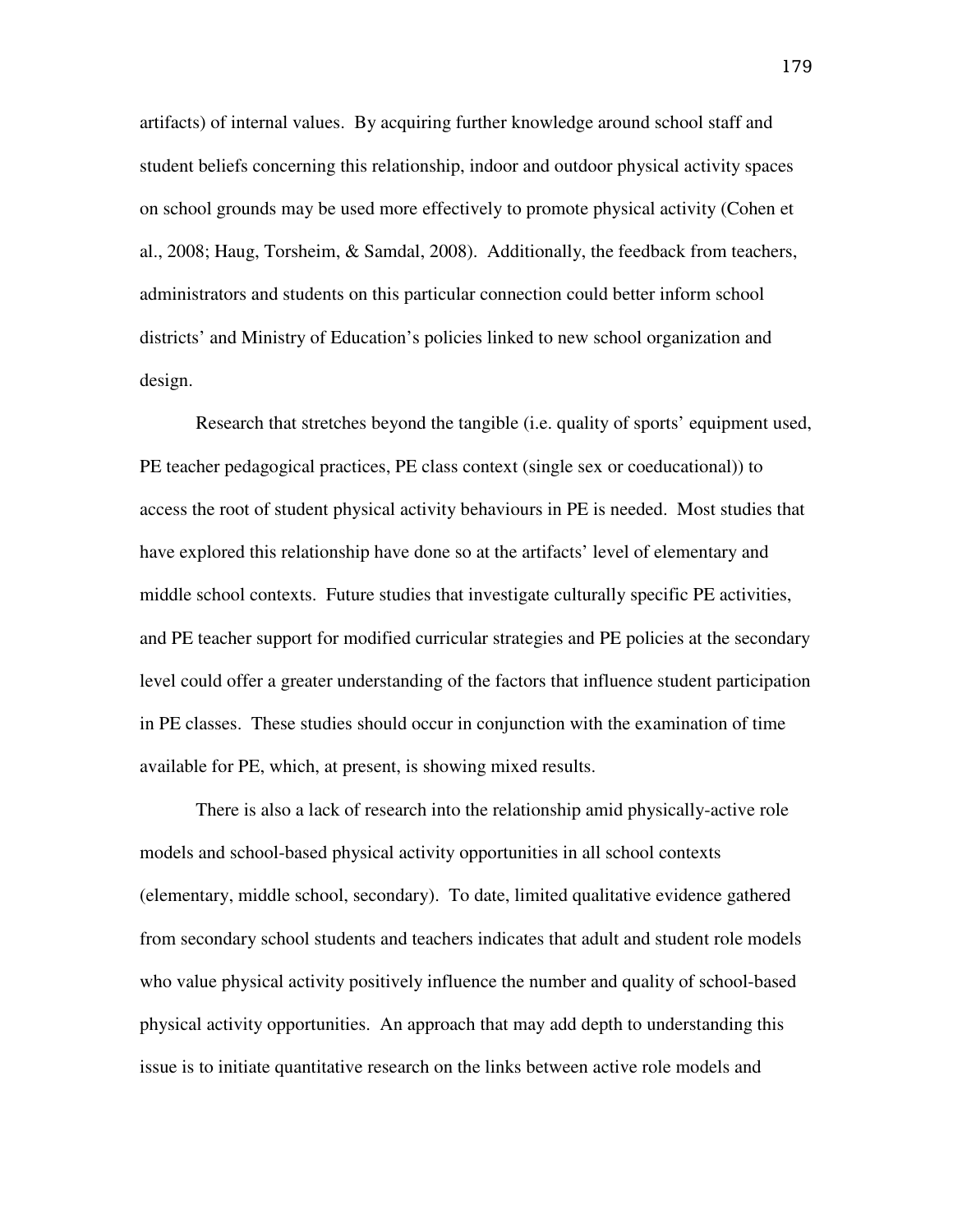artifacts) of internal values. By acquiring further knowledge around school staff and student beliefs concerning this relationship, indoor and outdoor physical activity spaces on school grounds may be used more effectively to promote physical activity (Cohen et al., 2008; Haug, Torsheim, & Samdal, 2008). Additionally, the feedback from teachers, administrators and students on this particular connection could better inform school districts' and Ministry of Education's policies linked to new school organization and design.

Research that stretches beyond the tangible (i.e. quality of sports' equipment used, PE teacher pedagogical practices, PE class context (single sex or coeducational)) to access the root of student physical activity behaviours in PE is needed. Most studies that have explored this relationship have done so at the artifacts' level of elementary and middle school contexts. Future studies that investigate culturally specific PE activities, and PE teacher support for modified curricular strategies and PE policies at the secondary level could offer a greater understanding of the factors that influence student participation in PE classes. These studies should occur in conjunction with the examination of time available for PE, which, at present, is showing mixed results.

There is also a lack of research into the relationship amid physically-active role models and school-based physical activity opportunities in all school contexts (elementary, middle school, secondary). To date, limited qualitative evidence gathered from secondary school students and teachers indicates that adult and student role models who value physical activity positively influence the number and quality of school-based physical activity opportunities. An approach that may add depth to understanding this issue is to initiate quantitative research on the links between active role models and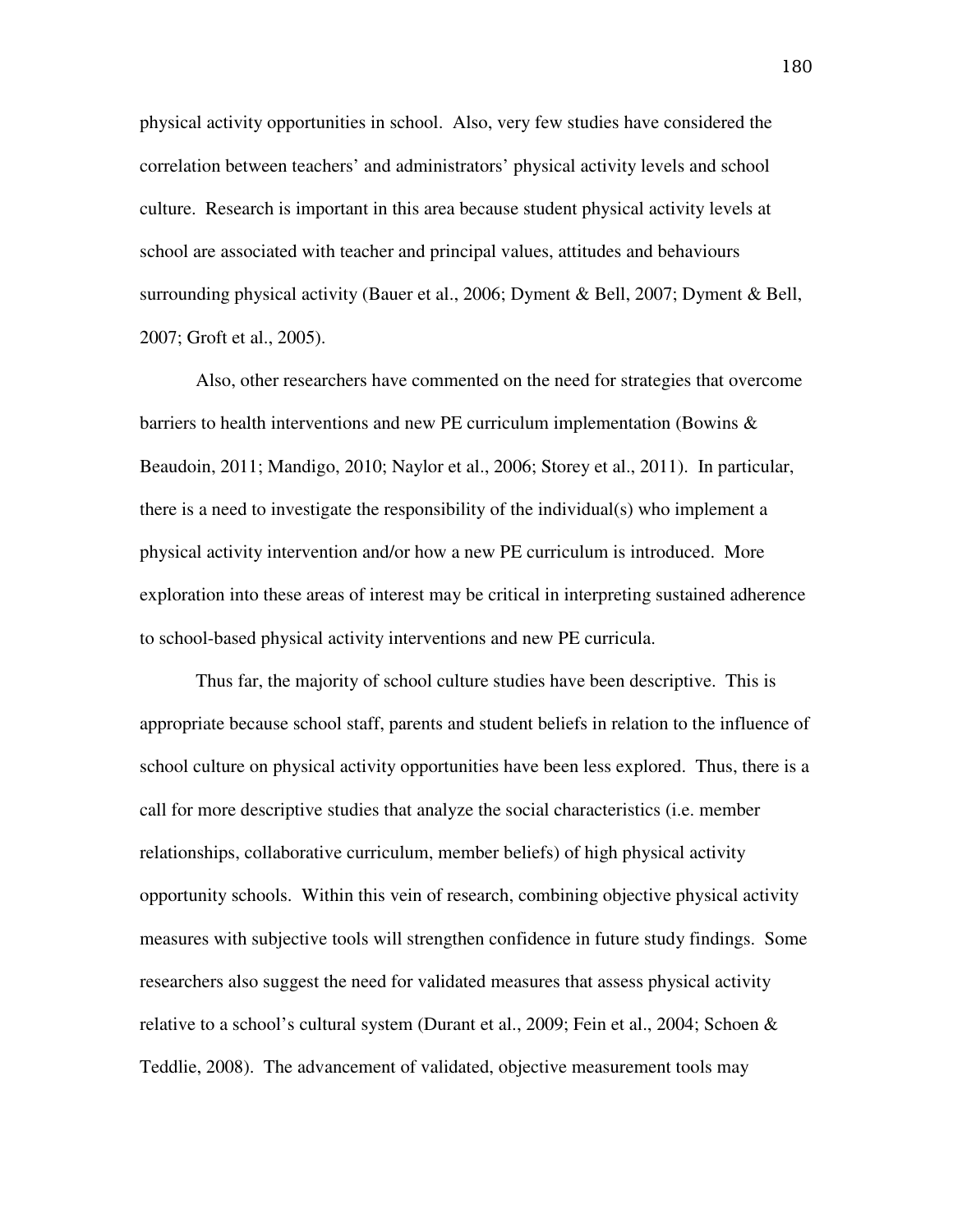physical activity opportunities in school. Also, very few studies have considered the correlation between teachers' and administrators' physical activity levels and school culture. Research is important in this area because student physical activity levels at school are associated with teacher and principal values, attitudes and behaviours surrounding physical activity (Bauer et al., 2006; Dyment & Bell, 2007; Dyment & Bell, 2007; Groft et al., 2005).

Also, other researchers have commented on the need for strategies that overcome barriers to health interventions and new PE curriculum implementation (Bowins  $\&$ Beaudoin, 2011; Mandigo, 2010; Naylor et al., 2006; Storey et al., 2011). In particular, there is a need to investigate the responsibility of the individual(s) who implement a physical activity intervention and/or how a new PE curriculum is introduced. More exploration into these areas of interest may be critical in interpreting sustained adherence to school-based physical activity interventions and new PE curricula.

Thus far, the majority of school culture studies have been descriptive. This is appropriate because school staff, parents and student beliefs in relation to the influence of school culture on physical activity opportunities have been less explored. Thus, there is a call for more descriptive studies that analyze the social characteristics (i.e. member relationships, collaborative curriculum, member beliefs) of high physical activity opportunity schools. Within this vein of research, combining objective physical activity measures with subjective tools will strengthen confidence in future study findings. Some researchers also suggest the need for validated measures that assess physical activity relative to a school's cultural system (Durant et al., 2009; Fein et al., 2004; Schoen  $\&$ Teddlie, 2008). The advancement of validated, objective measurement tools may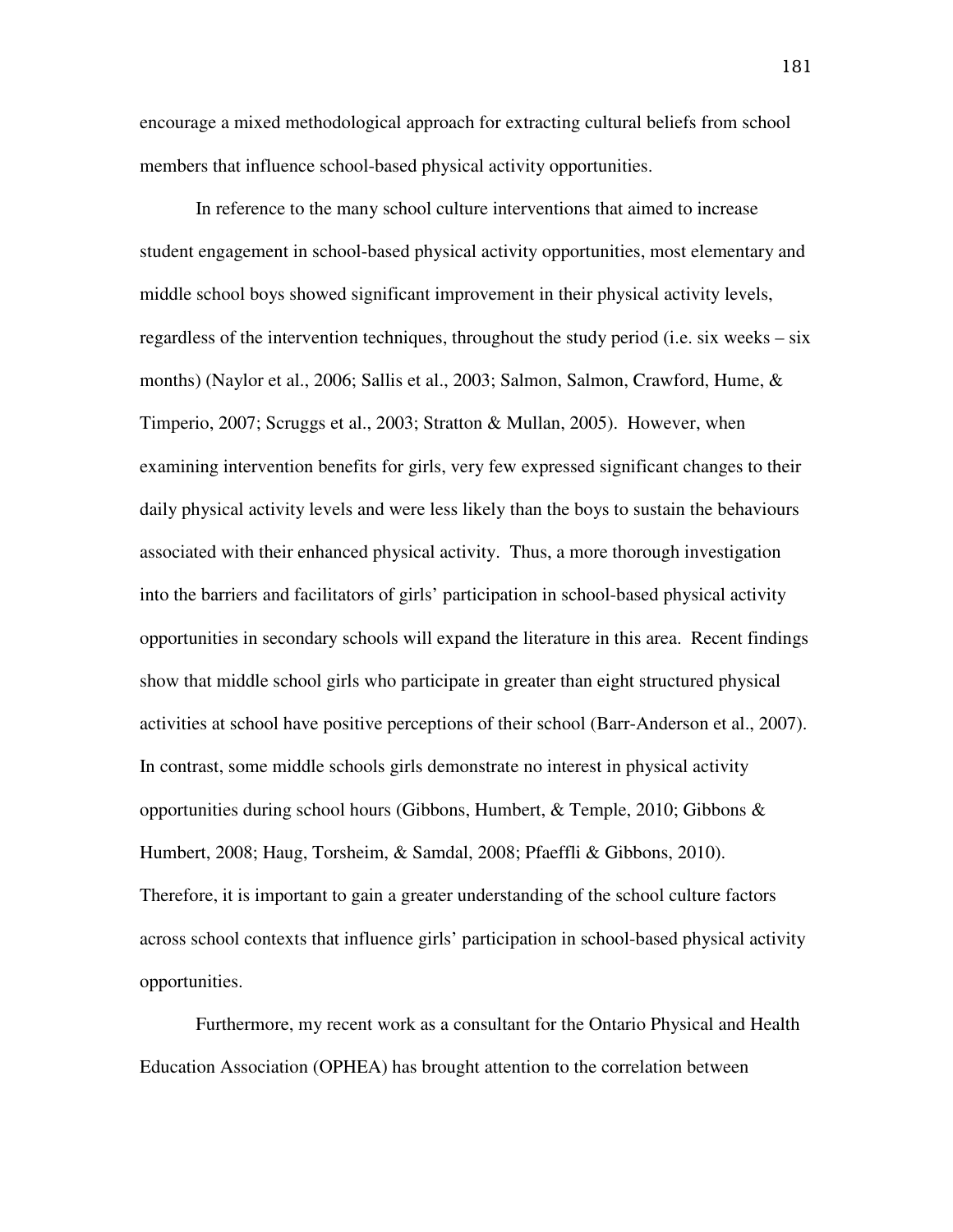encourage a mixed methodological approach for extracting cultural beliefs from school members that influence school-based physical activity opportunities.

In reference to the many school culture interventions that aimed to increase student engagement in school-based physical activity opportunities, most elementary and middle school boys showed significant improvement in their physical activity levels, regardless of the intervention techniques, throughout the study period (i.e. six weeks – six months) (Naylor et al., 2006; Sallis et al., 2003; Salmon, Salmon, Crawford, Hume, & Timperio, 2007; Scruggs et al., 2003; Stratton & Mullan, 2005). However, when examining intervention benefits for girls, very few expressed significant changes to their daily physical activity levels and were less likely than the boys to sustain the behaviours associated with their enhanced physical activity. Thus, a more thorough investigation into the barriers and facilitators of girls' participation in school-based physical activity opportunities in secondary schools will expand the literature in this area. Recent findings show that middle school girls who participate in greater than eight structured physical activities at school have positive perceptions of their school (Barr-Anderson et al., 2007). In contrast, some middle schools girls demonstrate no interest in physical activity opportunities during school hours (Gibbons, Humbert, & Temple, 2010; Gibbons & Humbert, 2008; Haug, Torsheim, & Samdal, 2008; Pfaeffli & Gibbons, 2010). Therefore, it is important to gain a greater understanding of the school culture factors across school contexts that influence girls' participation in school-based physical activity opportunities.

Furthermore, my recent work as a consultant for the Ontario Physical and Health Education Association (OPHEA) has brought attention to the correlation between

181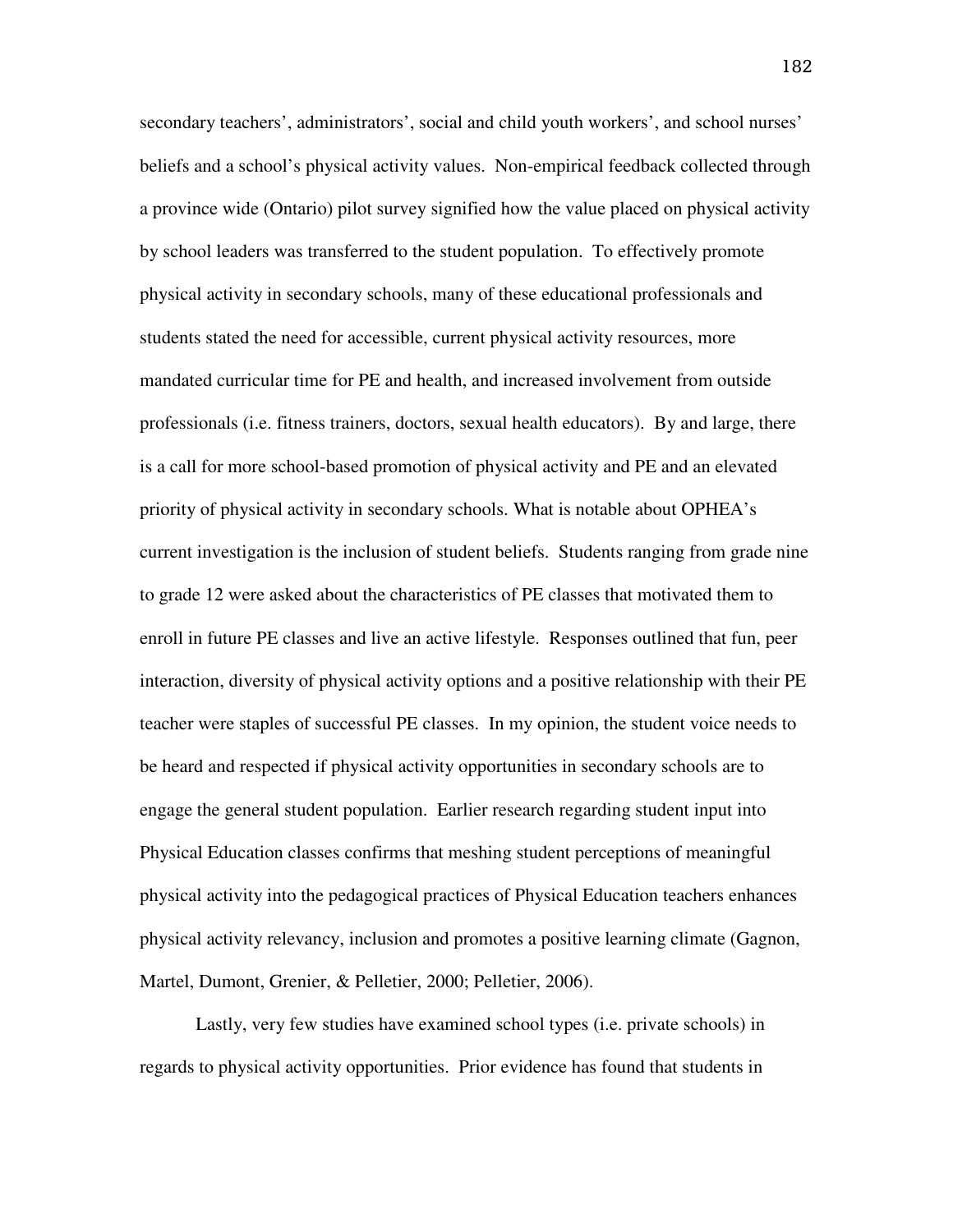secondary teachers', administrators', social and child youth workers', and school nurses' beliefs and a school's physical activity values. Non-empirical feedback collected through a province wide (Ontario) pilot survey signified how the value placed on physical activity by school leaders was transferred to the student population. To effectively promote physical activity in secondary schools, many of these educational professionals and students stated the need for accessible, current physical activity resources, more mandated curricular time for PE and health, and increased involvement from outside professionals (i.e. fitness trainers, doctors, sexual health educators). By and large, there is a call for more school-based promotion of physical activity and PE and an elevated priority of physical activity in secondary schools. What is notable about OPHEA's current investigation is the inclusion of student beliefs. Students ranging from grade nine to grade 12 were asked about the characteristics of PE classes that motivated them to enroll in future PE classes and live an active lifestyle. Responses outlined that fun, peer interaction, diversity of physical activity options and a positive relationship with their PE teacher were staples of successful PE classes. In my opinion, the student voice needs to be heard and respected if physical activity opportunities in secondary schools are to engage the general student population. Earlier research regarding student input into Physical Education classes confirms that meshing student perceptions of meaningful physical activity into the pedagogical practices of Physical Education teachers enhances physical activity relevancy, inclusion and promotes a positive learning climate (Gagnon, Martel, Dumont, Grenier, & Pelletier, 2000; Pelletier, 2006).

Lastly, very few studies have examined school types (i.e. private schools) in regards to physical activity opportunities. Prior evidence has found that students in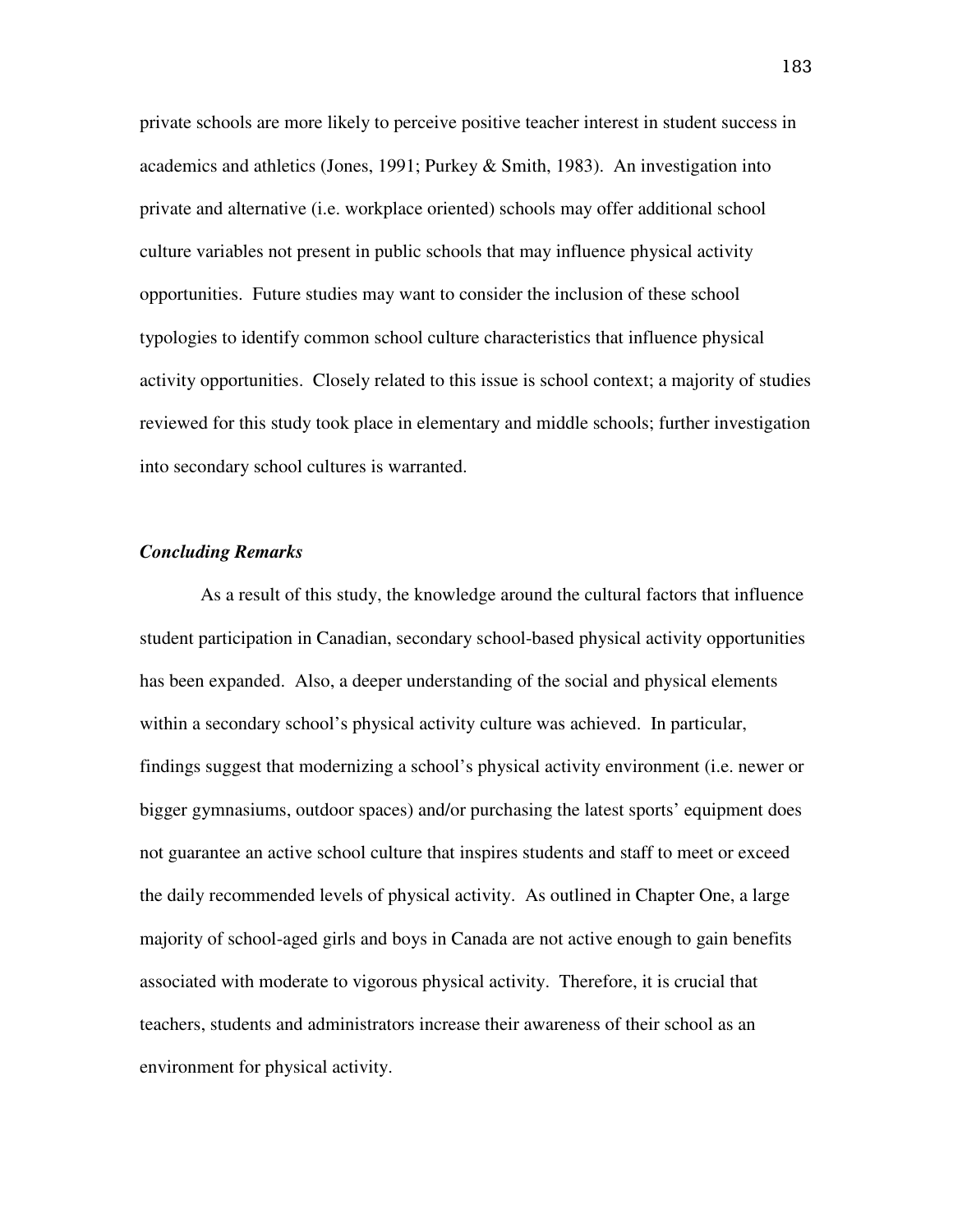private schools are more likely to perceive positive teacher interest in student success in academics and athletics (Jones, 1991; Purkey & Smith, 1983). An investigation into private and alternative (i.e. workplace oriented) schools may offer additional school culture variables not present in public schools that may influence physical activity opportunities. Future studies may want to consider the inclusion of these school typologies to identify common school culture characteristics that influence physical activity opportunities. Closely related to this issue is school context; a majority of studies reviewed for this study took place in elementary and middle schools; further investigation into secondary school cultures is warranted.

# *Concluding Remarks*

 As a result of this study, the knowledge around the cultural factors that influence student participation in Canadian, secondary school-based physical activity opportunities has been expanded. Also, a deeper understanding of the social and physical elements within a secondary school's physical activity culture was achieved. In particular, findings suggest that modernizing a school's physical activity environment (i.e. newer or bigger gymnasiums, outdoor spaces) and/or purchasing the latest sports' equipment does not guarantee an active school culture that inspires students and staff to meet or exceed the daily recommended levels of physical activity. As outlined in Chapter One, a large majority of school-aged girls and boys in Canada are not active enough to gain benefits associated with moderate to vigorous physical activity. Therefore, it is crucial that teachers, students and administrators increase their awareness of their school as an environment for physical activity.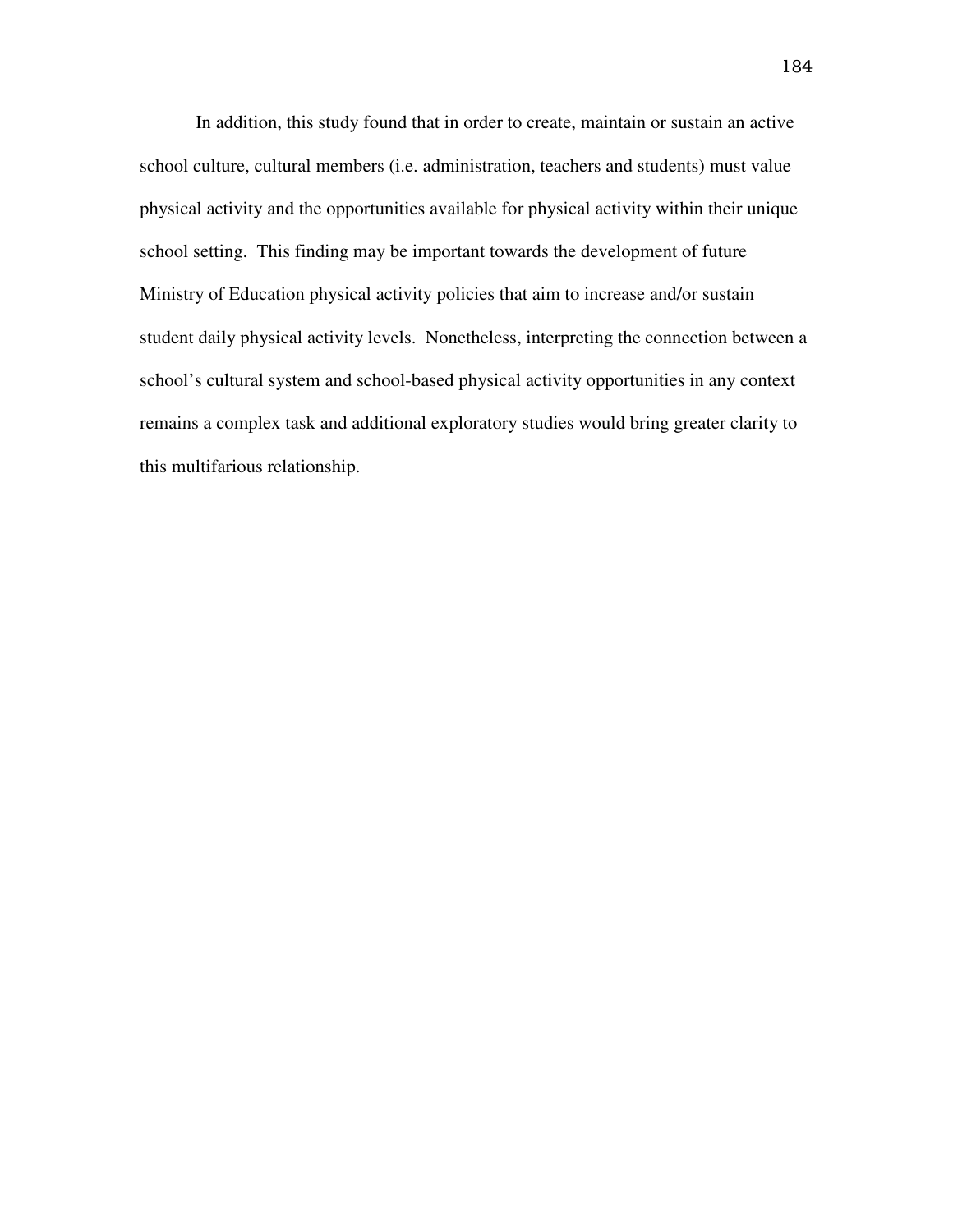In addition, this study found that in order to create, maintain or sustain an active school culture, cultural members (i.e. administration, teachers and students) must value physical activity and the opportunities available for physical activity within their unique school setting. This finding may be important towards the development of future Ministry of Education physical activity policies that aim to increase and/or sustain student daily physical activity levels. Nonetheless, interpreting the connection between a school's cultural system and school-based physical activity opportunities in any context remains a complex task and additional exploratory studies would bring greater clarity to this multifarious relationship.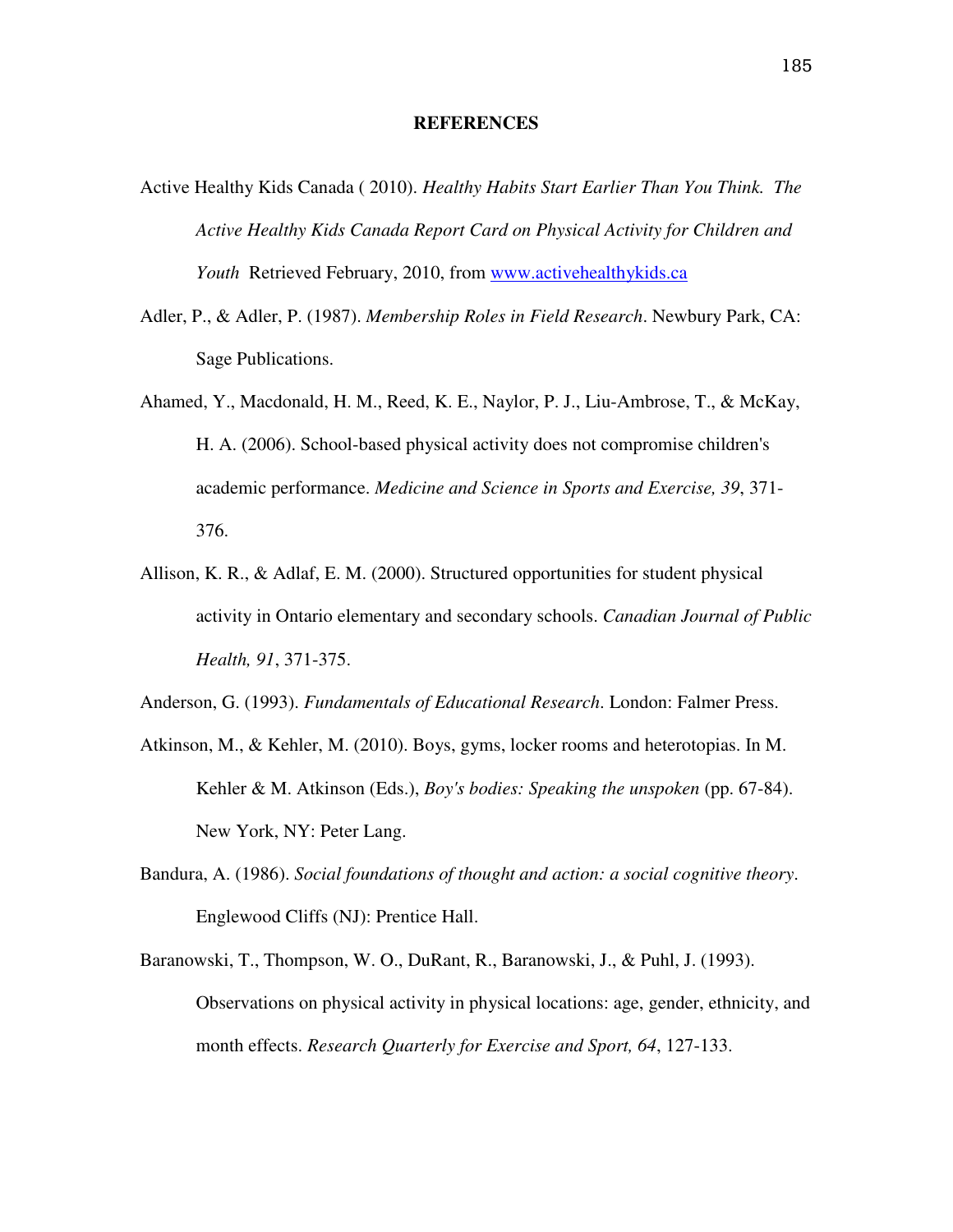### **REFERENCES**

- Active Healthy Kids Canada ( 2010). *Healthy Habits Start Earlier Than You Think. The Active Healthy Kids Canada Report Card on Physical Activity for Children and Youth* Retrieved February, 2010, from www.activehealthykids.ca
- Adler, P., & Adler, P. (1987). *Membership Roles in Field Research*. Newbury Park, CA: Sage Publications.
- Ahamed, Y., Macdonald, H. M., Reed, K. E., Naylor, P. J., Liu-Ambrose, T., & McKay, H. A. (2006). School-based physical activity does not compromise children's academic performance. *Medicine and Science in Sports and Exercise, 39*, 371- 376.
- Allison, K. R., & Adlaf, E. M. (2000). Structured opportunities for student physical activity in Ontario elementary and secondary schools. *Canadian Journal of Public Health, 91*, 371-375.

Anderson, G. (1993). *Fundamentals of Educational Research*. London: Falmer Press.

- Atkinson, M., & Kehler, M. (2010). Boys, gyms, locker rooms and heterotopias. In M. Kehler & M. Atkinson (Eds.), *Boy's bodies: Speaking the unspoken* (pp. 67-84). New York, NY: Peter Lang.
- Bandura, A. (1986). *Social foundations of thought and action: a social cognitive theory*. Englewood Cliffs (NJ): Prentice Hall.
- Baranowski, T., Thompson, W. O., DuRant, R., Baranowski, J., & Puhl, J. (1993). Observations on physical activity in physical locations: age, gender, ethnicity, and month effects. *Research Quarterly for Exercise and Sport, 64*, 127-133.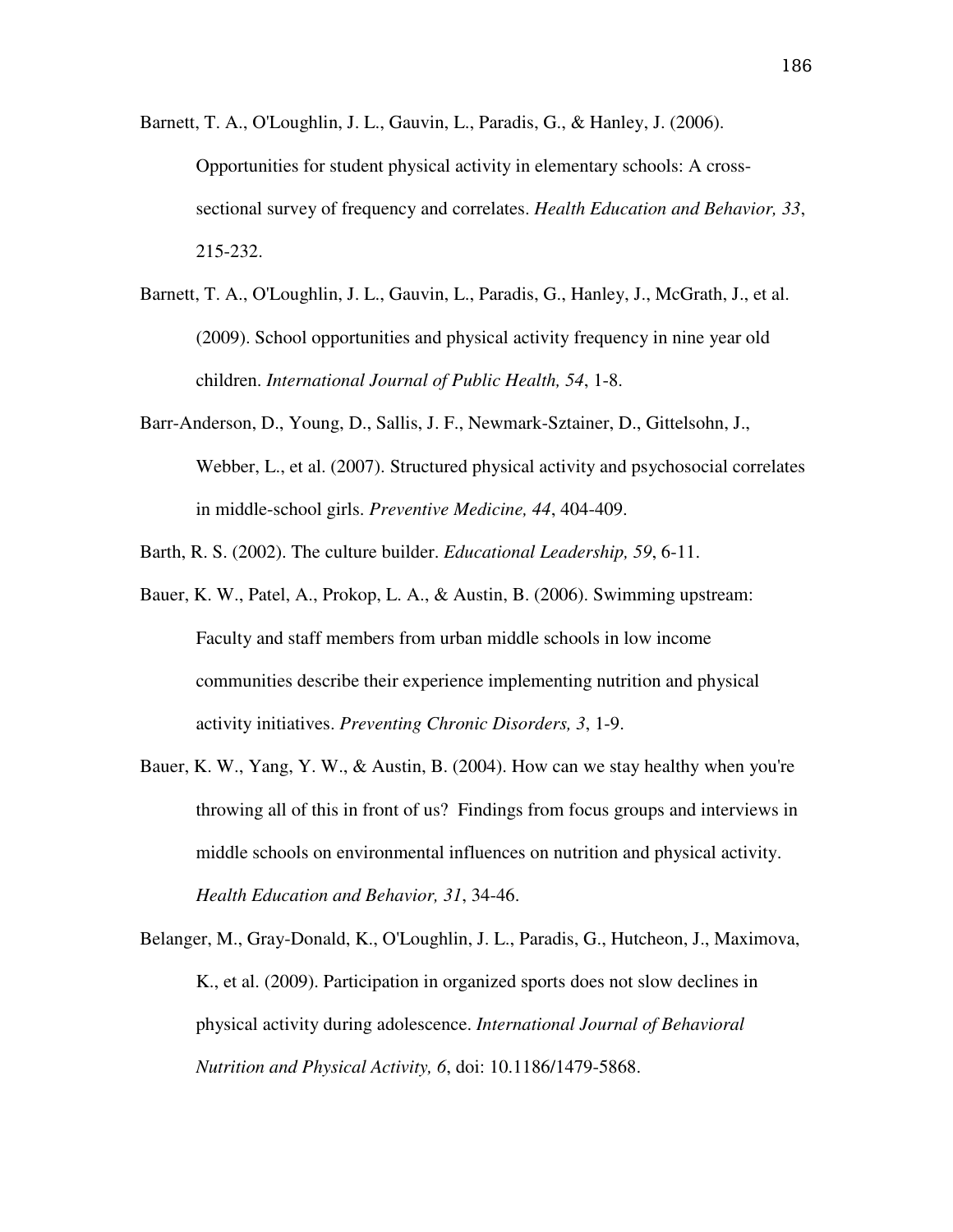- Barnett, T. A., O'Loughlin, J. L., Gauvin, L., Paradis, G., & Hanley, J. (2006). Opportunities for student physical activity in elementary schools: A crosssectional survey of frequency and correlates. *Health Education and Behavior, 33*, 215-232.
- Barnett, T. A., O'Loughlin, J. L., Gauvin, L., Paradis, G., Hanley, J., McGrath, J., et al. (2009). School opportunities and physical activity frequency in nine year old children. *International Journal of Public Health, 54*, 1-8.
- Barr-Anderson, D., Young, D., Sallis, J. F., Newmark-Sztainer, D., Gittelsohn, J., Webber, L., et al. (2007). Structured physical activity and psychosocial correlates in middle-school girls. *Preventive Medicine, 44*, 404-409.

Barth, R. S. (2002). The culture builder. *Educational Leadership, 59*, 6-11.

- Bauer, K. W., Patel, A., Prokop, L. A., & Austin, B. (2006). Swimming upstream: Faculty and staff members from urban middle schools in low income communities describe their experience implementing nutrition and physical activity initiatives. *Preventing Chronic Disorders, 3*, 1-9.
- Bauer, K. W., Yang, Y. W., & Austin, B. (2004). How can we stay healthy when you're throwing all of this in front of us? Findings from focus groups and interviews in middle schools on environmental influences on nutrition and physical activity. *Health Education and Behavior, 31*, 34-46.

Belanger, M., Gray-Donald, K., O'Loughlin, J. L., Paradis, G., Hutcheon, J., Maximova, K., et al. (2009). Participation in organized sports does not slow declines in physical activity during adolescence. *International Journal of Behavioral Nutrition and Physical Activity, 6*, doi: 10.1186/1479-5868.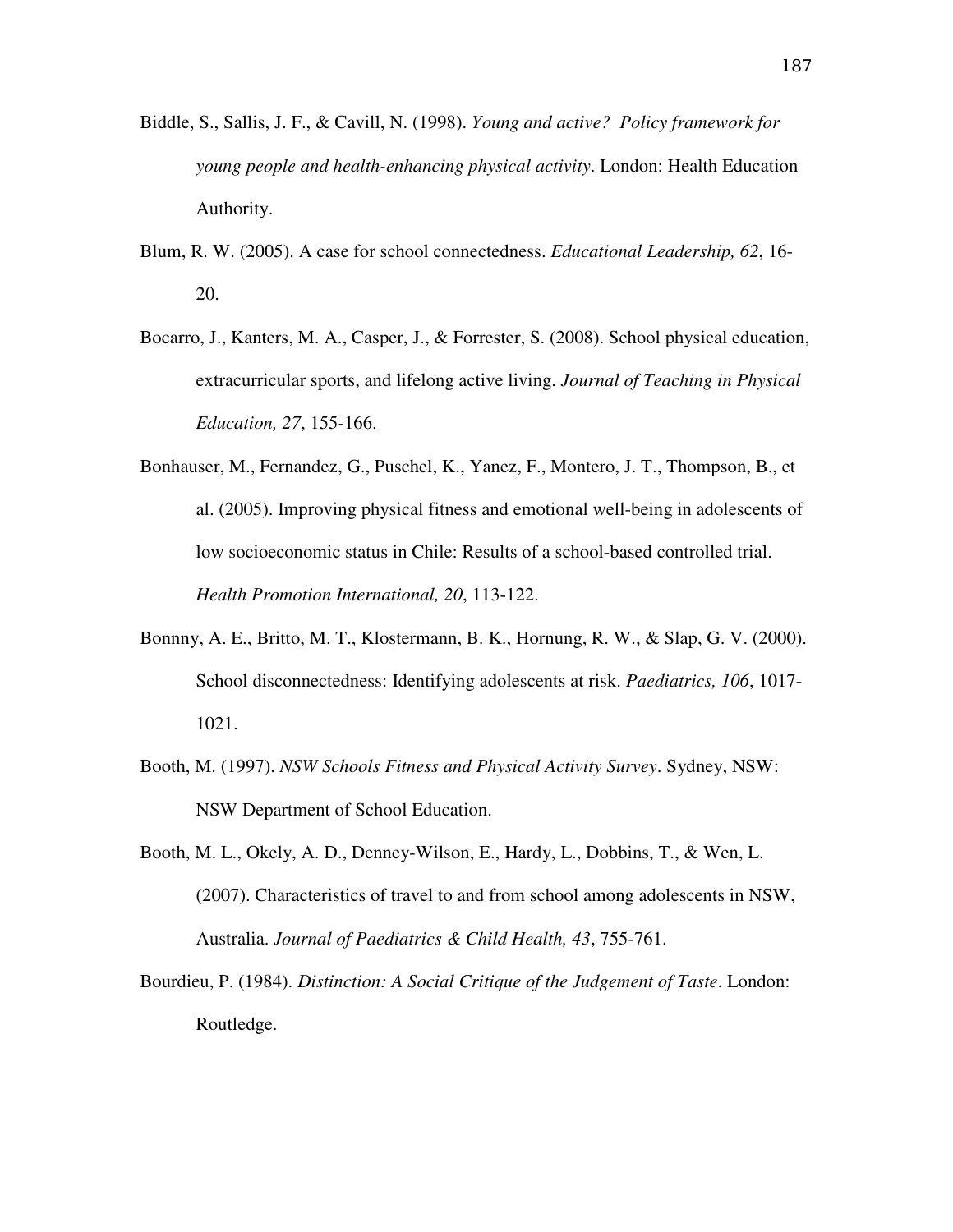- Biddle, S., Sallis, J. F., & Cavill, N. (1998). *Young and active? Policy framework for young people and health-enhancing physical activity*. London: Health Education Authority.
- Blum, R. W. (2005). A case for school connectedness. *Educational Leadership, 62*, 16- 20.
- Bocarro, J., Kanters, M. A., Casper, J., & Forrester, S. (2008). School physical education, extracurricular sports, and lifelong active living. *Journal of Teaching in Physical Education, 27*, 155-166.
- Bonhauser, M., Fernandez, G., Puschel, K., Yanez, F., Montero, J. T., Thompson, B., et al. (2005). Improving physical fitness and emotional well-being in adolescents of low socioeconomic status in Chile: Results of a school-based controlled trial. *Health Promotion International, 20*, 113-122.
- Bonnny, A. E., Britto, M. T., Klostermann, B. K., Hornung, R. W., & Slap, G. V. (2000). School disconnectedness: Identifying adolescents at risk. *Paediatrics, 106*, 1017- 1021.
- Booth, M. (1997). *NSW Schools Fitness and Physical Activity Survey*. Sydney, NSW: NSW Department of School Education.
- Booth, M. L., Okely, A. D., Denney-Wilson, E., Hardy, L., Dobbins, T., & Wen, L. (2007). Characteristics of travel to and from school among adolescents in NSW, Australia. *Journal of Paediatrics & Child Health, 43*, 755-761.
- Bourdieu, P. (1984). *Distinction: A Social Critique of the Judgement of Taste*. London: Routledge.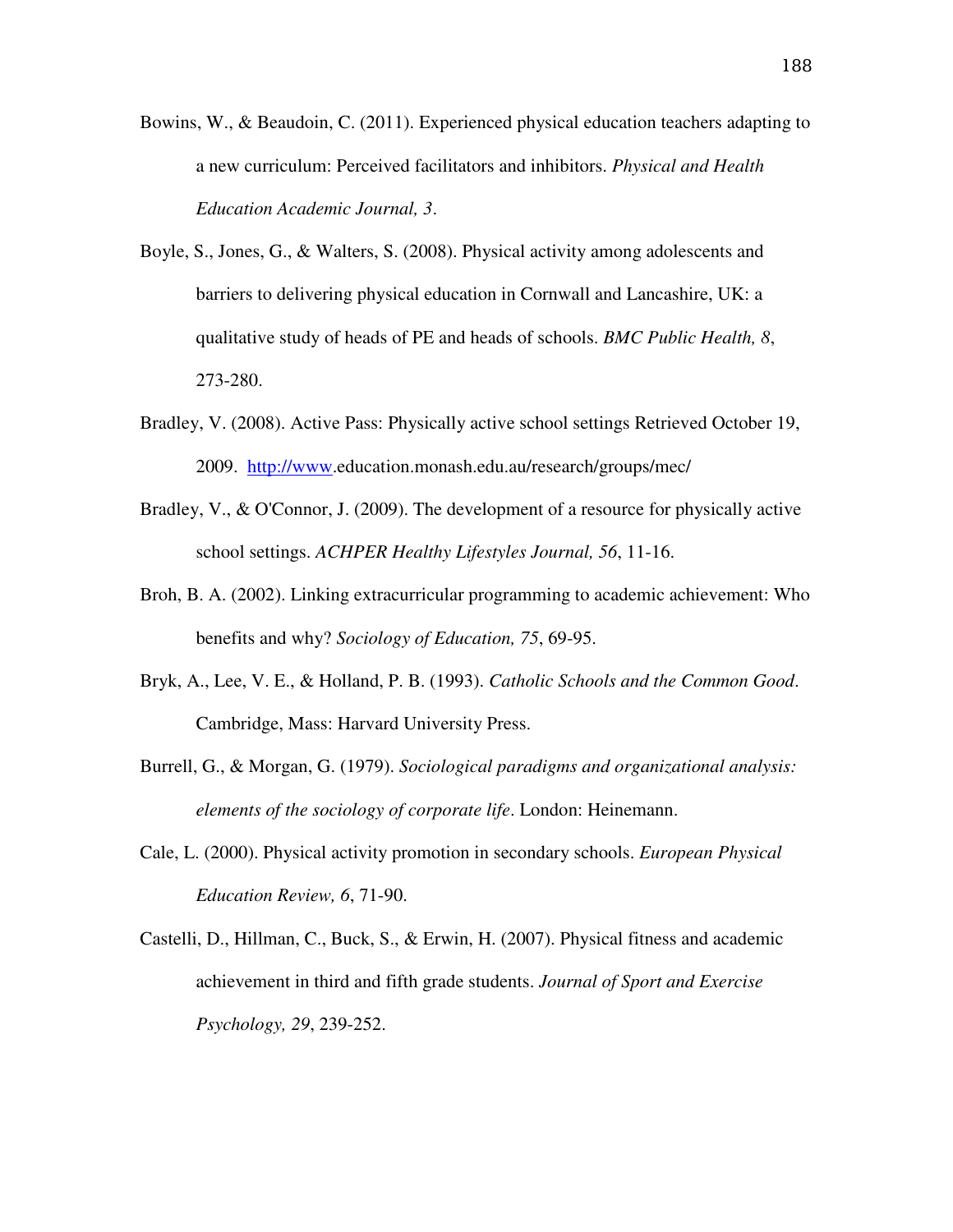- Bowins, W., & Beaudoin, C. (2011). Experienced physical education teachers adapting to a new curriculum: Perceived facilitators and inhibitors. *Physical and Health Education Academic Journal, 3*.
- Boyle, S., Jones, G., & Walters, S. (2008). Physical activity among adolescents and barriers to delivering physical education in Cornwall and Lancashire, UK: a qualitative study of heads of PE and heads of schools. *BMC Public Health, 8*, 273-280.
- Bradley, V. (2008). Active Pass: Physically active school settings Retrieved October 19, 2009. http://www.education.monash.edu.au/research/groups/mec/
- Bradley, V., & O'Connor, J. (2009). The development of a resource for physically active school settings. *ACHPER Healthy Lifestyles Journal, 56*, 11-16.
- Broh, B. A. (2002). Linking extracurricular programming to academic achievement: Who benefits and why? *Sociology of Education, 75*, 69-95.
- Bryk, A., Lee, V. E., & Holland, P. B. (1993). *Catholic Schools and the Common Good*. Cambridge, Mass: Harvard University Press.
- Burrell, G., & Morgan, G. (1979). *Sociological paradigms and organizational analysis: elements of the sociology of corporate life*. London: Heinemann.
- Cale, L. (2000). Physical activity promotion in secondary schools. *European Physical Education Review, 6*, 71-90.
- Castelli, D., Hillman, C., Buck, S., & Erwin, H. (2007). Physical fitness and academic achievement in third and fifth grade students. *Journal of Sport and Exercise Psychology, 29*, 239-252.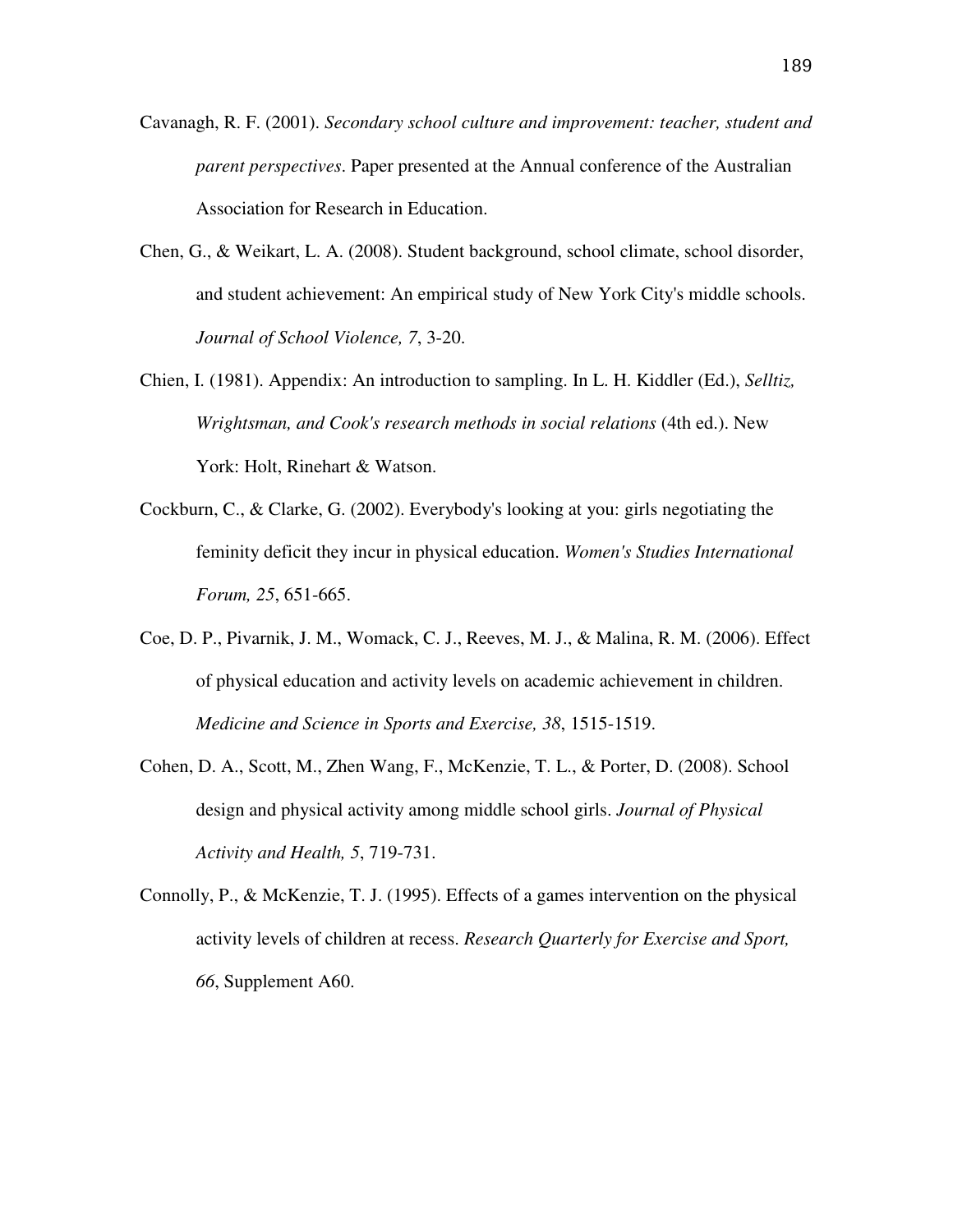- Cavanagh, R. F. (2001). *Secondary school culture and improvement: teacher, student and parent perspectives*. Paper presented at the Annual conference of the Australian Association for Research in Education.
- Chen, G., & Weikart, L. A. (2008). Student background, school climate, school disorder, and student achievement: An empirical study of New York City's middle schools. *Journal of School Violence, 7*, 3-20.
- Chien, I. (1981). Appendix: An introduction to sampling. In L. H. Kiddler (Ed.), *Selltiz, Wrightsman, and Cook's research methods in social relations* (4th ed.). New York: Holt, Rinehart & Watson.
- Cockburn, C., & Clarke, G. (2002). Everybody's looking at you: girls negotiating the feminity deficit they incur in physical education. *Women's Studies International Forum, 25*, 651-665.
- Coe, D. P., Pivarnik, J. M., Womack, C. J., Reeves, M. J., & Malina, R. M. (2006). Effect of physical education and activity levels on academic achievement in children. *Medicine and Science in Sports and Exercise, 38*, 1515-1519.
- Cohen, D. A., Scott, M., Zhen Wang, F., McKenzie, T. L., & Porter, D. (2008). School design and physical activity among middle school girls. *Journal of Physical Activity and Health, 5*, 719-731.
- Connolly, P., & McKenzie, T. J. (1995). Effects of a games intervention on the physical activity levels of children at recess. *Research Quarterly for Exercise and Sport, 66*, Supplement A60.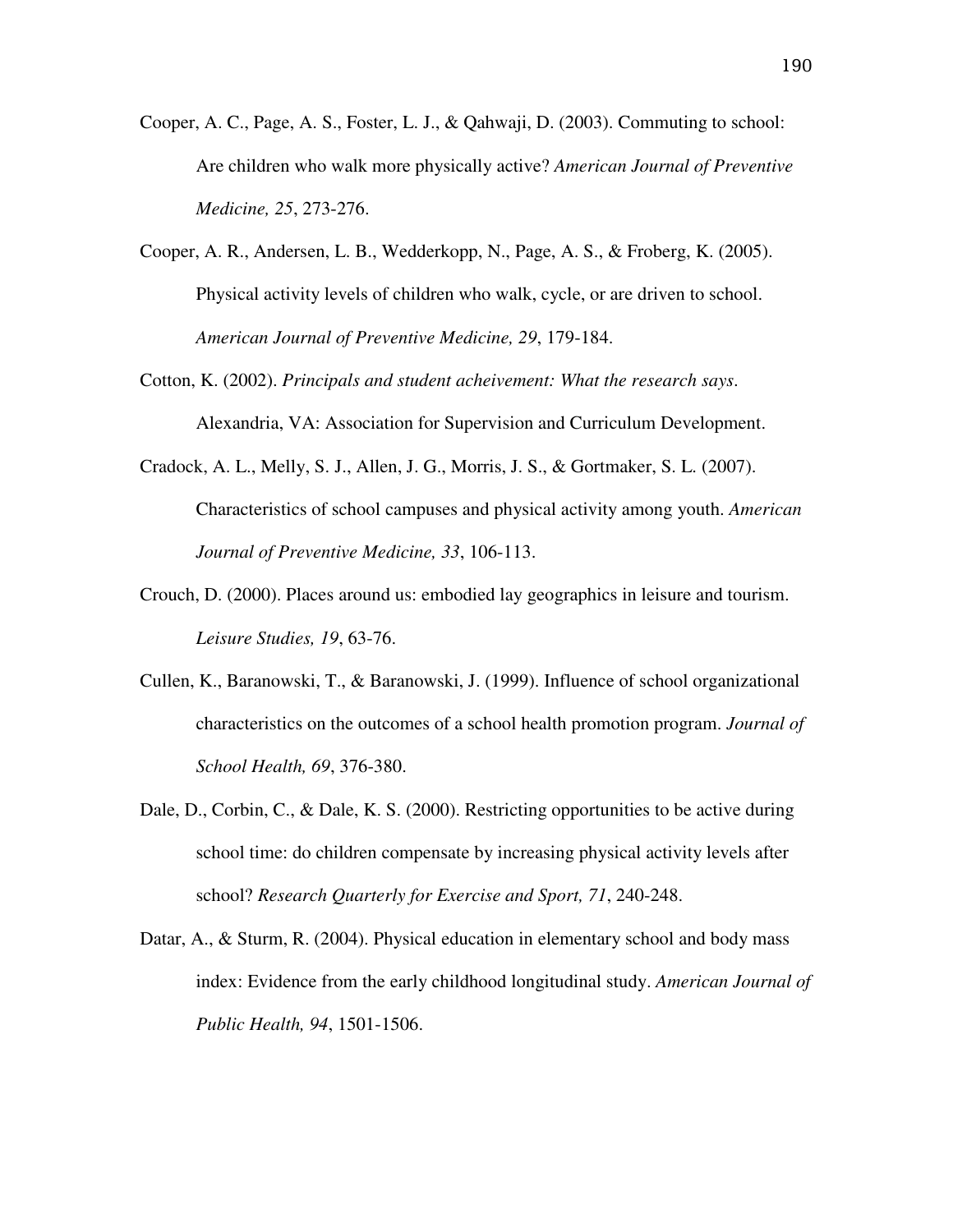- Cooper, A. C., Page, A. S., Foster, L. J., & Qahwaji, D. (2003). Commuting to school: Are children who walk more physically active? *American Journal of Preventive Medicine, 25*, 273-276.
- Cooper, A. R., Andersen, L. B., Wedderkopp, N., Page, A. S., & Froberg, K. (2005). Physical activity levels of children who walk, cycle, or are driven to school. *American Journal of Preventive Medicine, 29*, 179-184.
- Cotton, K. (2002). *Principals and student acheivement: What the research says*. Alexandria, VA: Association for Supervision and Curriculum Development.
- Cradock, A. L., Melly, S. J., Allen, J. G., Morris, J. S., & Gortmaker, S. L. (2007). Characteristics of school campuses and physical activity among youth. *American Journal of Preventive Medicine, 33*, 106-113.
- Crouch, D. (2000). Places around us: embodied lay geographics in leisure and tourism. *Leisure Studies, 19*, 63-76.
- Cullen, K., Baranowski, T., & Baranowski, J. (1999). Influence of school organizational characteristics on the outcomes of a school health promotion program. *Journal of School Health, 69*, 376-380.
- Dale, D., Corbin, C., & Dale, K. S. (2000). Restricting opportunities to be active during school time: do children compensate by increasing physical activity levels after school? *Research Quarterly for Exercise and Sport, 71*, 240-248.
- Datar, A., & Sturm, R. (2004). Physical education in elementary school and body mass index: Evidence from the early childhood longitudinal study. *American Journal of Public Health, 94*, 1501-1506.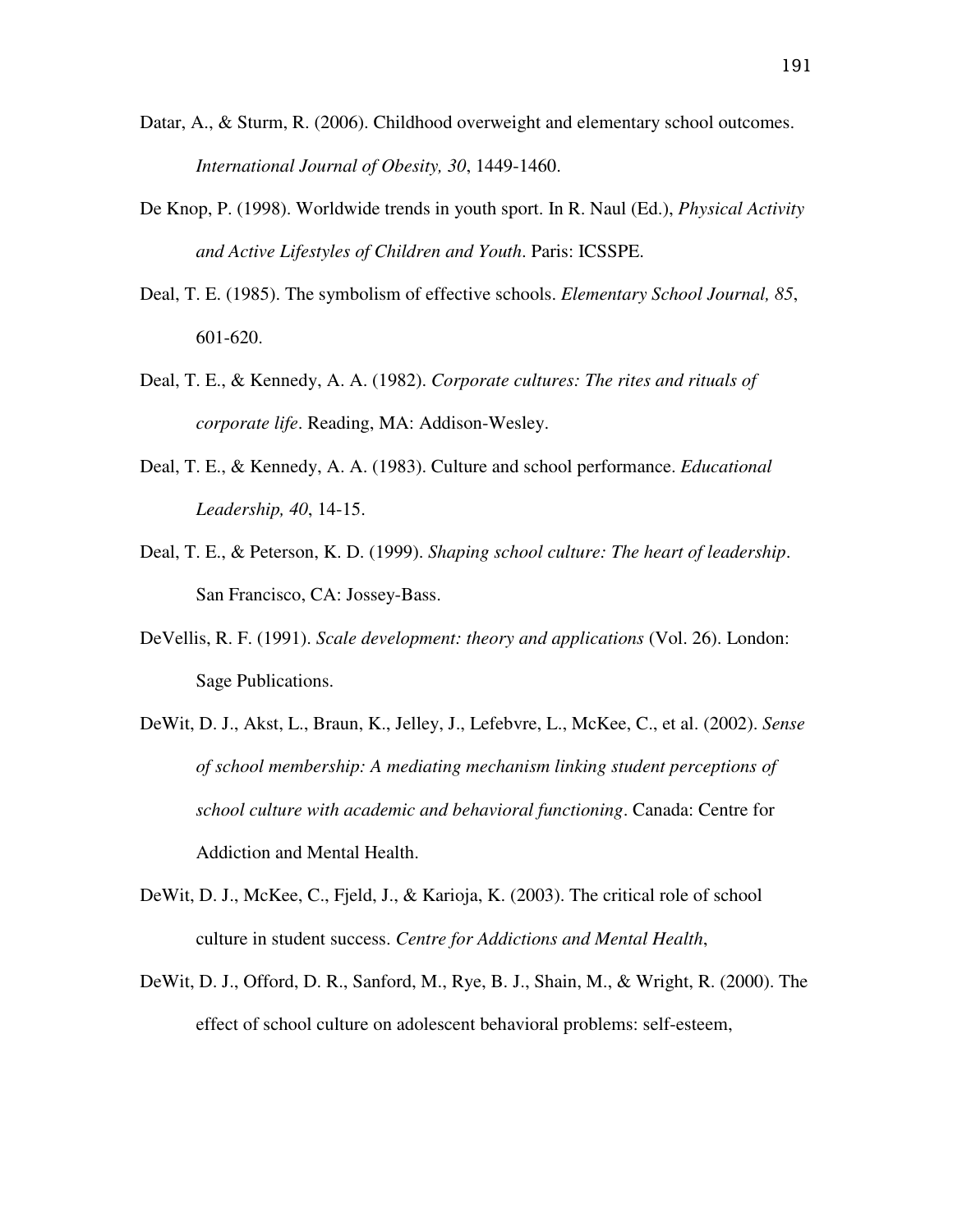- Datar, A., & Sturm, R. (2006). Childhood overweight and elementary school outcomes. *International Journal of Obesity, 30*, 1449-1460.
- De Knop, P. (1998). Worldwide trends in youth sport. In R. Naul (Ed.), *Physical Activity and Active Lifestyles of Children and Youth*. Paris: ICSSPE.
- Deal, T. E. (1985). The symbolism of effective schools. *Elementary School Journal, 85*, 601-620.
- Deal, T. E., & Kennedy, A. A. (1982). *Corporate cultures: The rites and rituals of corporate life*. Reading, MA: Addison-Wesley.
- Deal, T. E., & Kennedy, A. A. (1983). Culture and school performance. *Educational Leadership, 40*, 14-15.
- Deal, T. E., & Peterson, K. D. (1999). *Shaping school culture: The heart of leadership*. San Francisco, CA: Jossey-Bass.
- DeVellis, R. F. (1991). *Scale development: theory and applications* (Vol. 26). London: Sage Publications.
- DeWit, D. J., Akst, L., Braun, K., Jelley, J., Lefebvre, L., McKee, C., et al. (2002). *Sense of school membership: A mediating mechanism linking student perceptions of school culture with academic and behavioral functioning*. Canada: Centre for Addiction and Mental Health.
- DeWit, D. J., McKee, C., Fjeld, J., & Karioja, K. (2003). The critical role of school culture in student success. *Centre for Addictions and Mental Health*,
- DeWit, D. J., Offord, D. R., Sanford, M., Rye, B. J., Shain, M., & Wright, R. (2000). The effect of school culture on adolescent behavioral problems: self-esteem,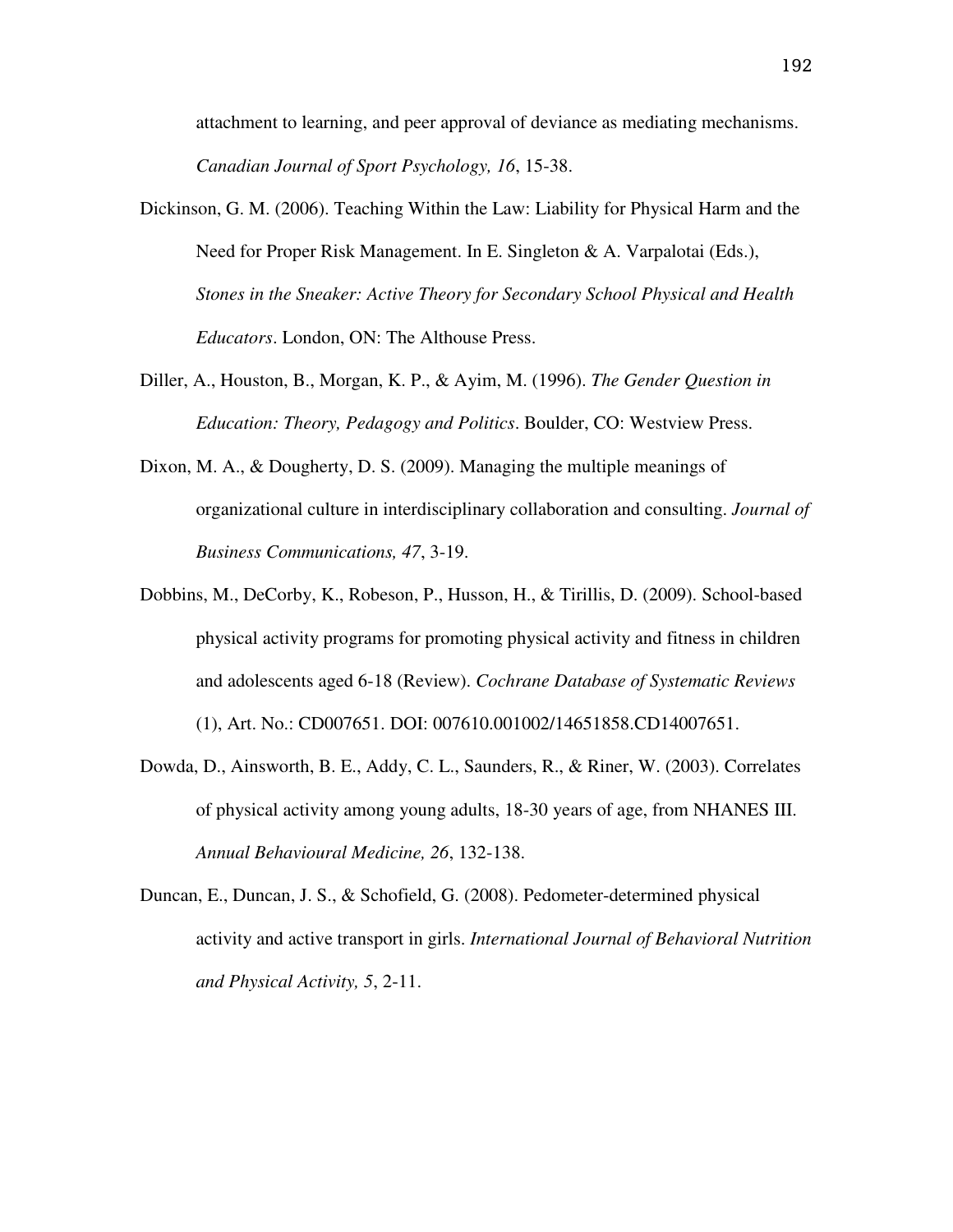attachment to learning, and peer approval of deviance as mediating mechanisms. *Canadian Journal of Sport Psychology, 16*, 15-38.

- Dickinson, G. M. (2006). Teaching Within the Law: Liability for Physical Harm and the Need for Proper Risk Management. In E. Singleton & A. Varpalotai (Eds.), *Stones in the Sneaker: Active Theory for Secondary School Physical and Health Educators*. London, ON: The Althouse Press.
- Diller, A., Houston, B., Morgan, K. P., & Ayim, M. (1996). *The Gender Question in Education: Theory, Pedagogy and Politics*. Boulder, CO: Westview Press.
- Dixon, M. A., & Dougherty, D. S. (2009). Managing the multiple meanings of organizational culture in interdisciplinary collaboration and consulting. *Journal of Business Communications, 47*, 3-19.
- Dobbins, M., DeCorby, K., Robeson, P., Husson, H., & Tirillis, D. (2009). School-based physical activity programs for promoting physical activity and fitness in children and adolescents aged 6-18 (Review). *Cochrane Database of Systematic Reviews*  (1), Art. No.: CD007651. DOI: 007610.001002/14651858.CD14007651.
- Dowda, D., Ainsworth, B. E., Addy, C. L., Saunders, R., & Riner, W. (2003). Correlates of physical activity among young adults, 18-30 years of age, from NHANES III. *Annual Behavioural Medicine, 26*, 132-138.
- Duncan, E., Duncan, J. S., & Schofield, G. (2008). Pedometer-determined physical activity and active transport in girls. *International Journal of Behavioral Nutrition and Physical Activity, 5*, 2-11.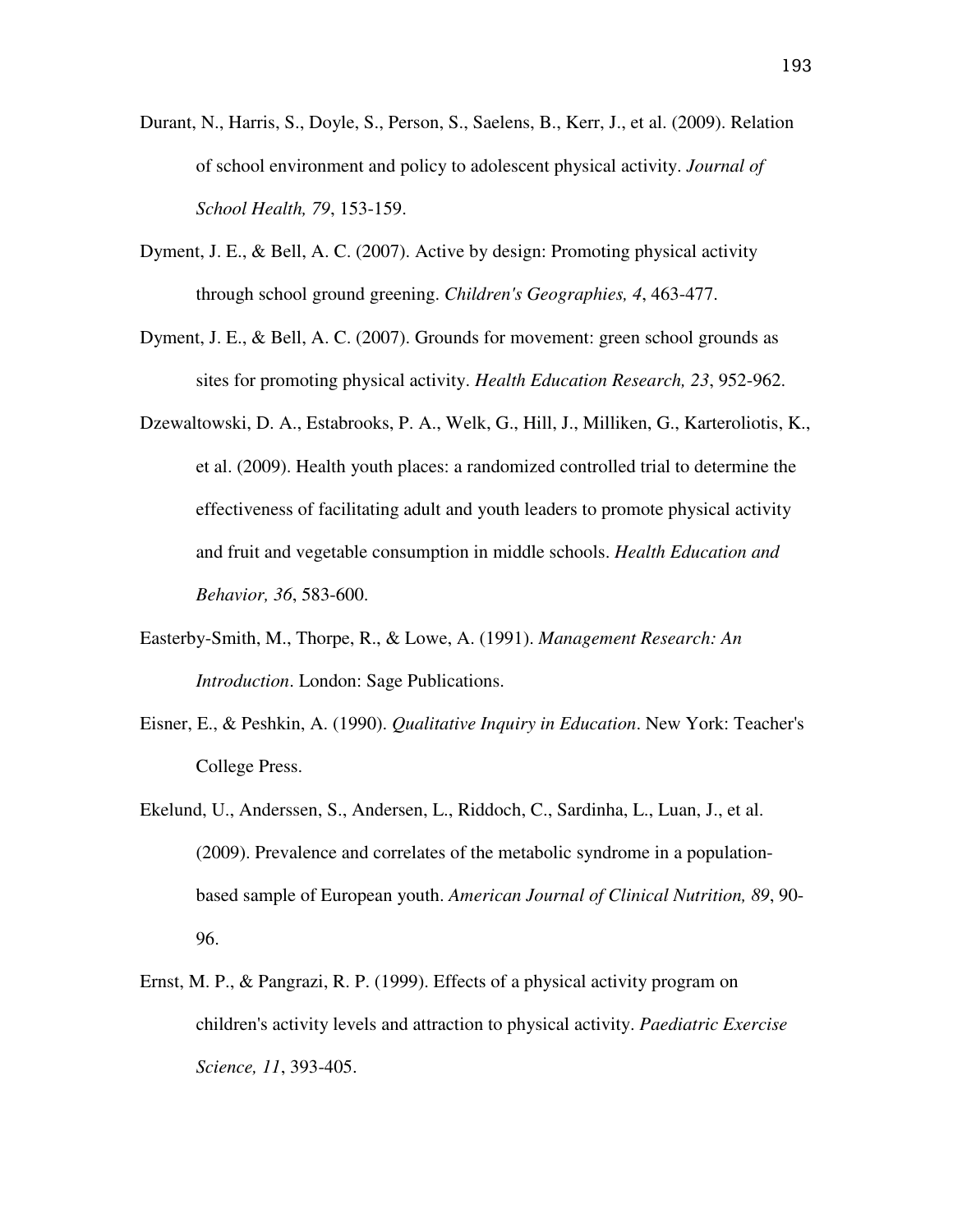- Durant, N., Harris, S., Doyle, S., Person, S., Saelens, B., Kerr, J., et al. (2009). Relation of school environment and policy to adolescent physical activity. *Journal of School Health, 79*, 153-159.
- Dyment, J. E., & Bell, A. C. (2007). Active by design: Promoting physical activity through school ground greening. *Children's Geographies, 4*, 463-477.
- Dyment, J. E., & Bell, A. C. (2007). Grounds for movement: green school grounds as sites for promoting physical activity. *Health Education Research, 23*, 952-962.
- Dzewaltowski, D. A., Estabrooks, P. A., Welk, G., Hill, J., Milliken, G., Karteroliotis, K., et al. (2009). Health youth places: a randomized controlled trial to determine the effectiveness of facilitating adult and youth leaders to promote physical activity and fruit and vegetable consumption in middle schools. *Health Education and Behavior, 36*, 583-600.
- Easterby-Smith, M., Thorpe, R., & Lowe, A. (1991). *Management Research: An Introduction*. London: Sage Publications.
- Eisner, E., & Peshkin, A. (1990). *Qualitative Inquiry in Education*. New York: Teacher's College Press.
- Ekelund, U., Anderssen, S., Andersen, L., Riddoch, C., Sardinha, L., Luan, J., et al. (2009). Prevalence and correlates of the metabolic syndrome in a populationbased sample of European youth. *American Journal of Clinical Nutrition, 89*, 90- 96.
- Ernst, M. P., & Pangrazi, R. P. (1999). Effects of a physical activity program on children's activity levels and attraction to physical activity. *Paediatric Exercise Science, 11*, 393-405.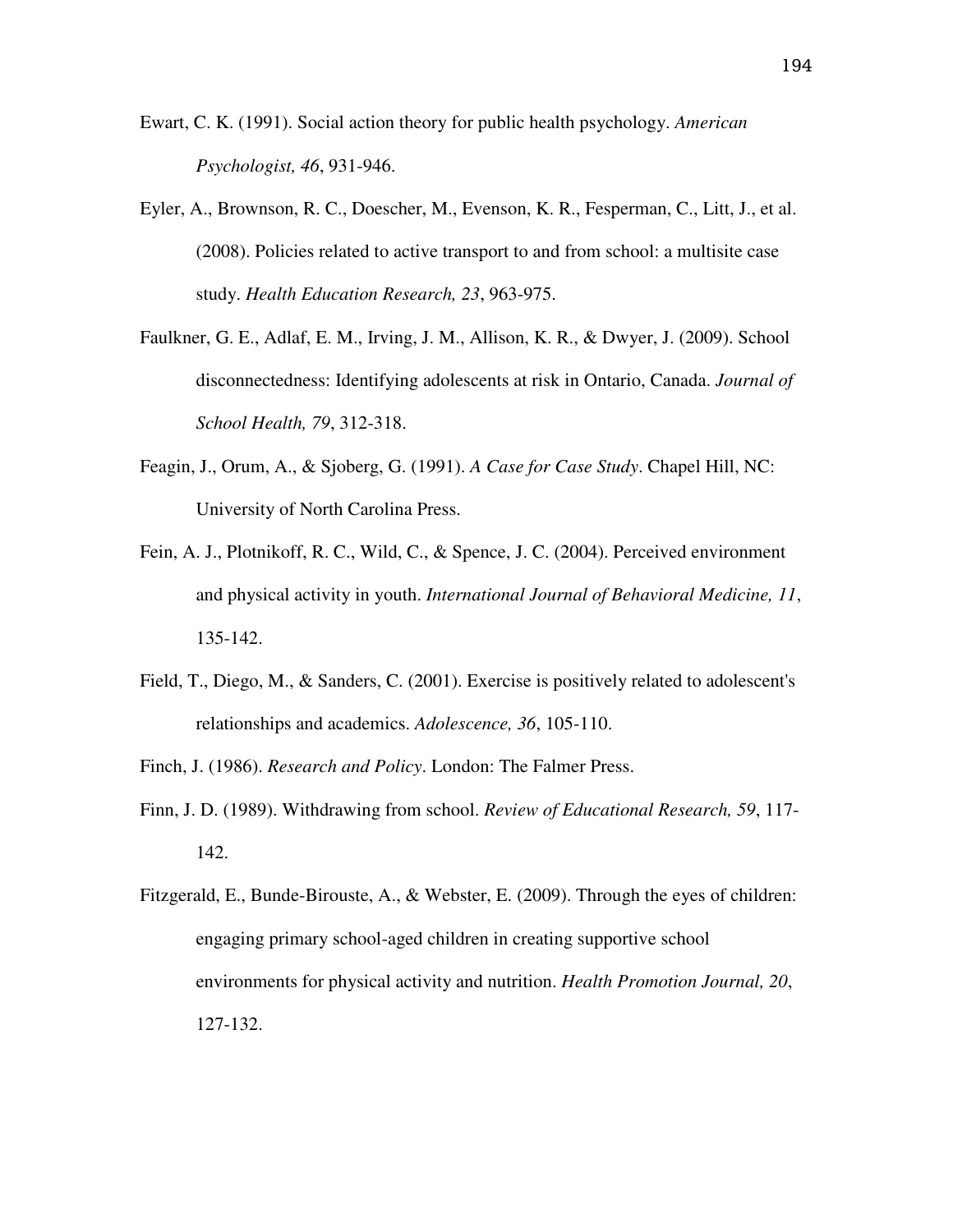Ewart, C. K. (1991). Social action theory for public health psychology. *American Psychologist, 46*, 931-946.

- Eyler, A., Brownson, R. C., Doescher, M., Evenson, K. R., Fesperman, C., Litt, J., et al. (2008). Policies related to active transport to and from school: a multisite case study. *Health Education Research, 23*, 963-975.
- Faulkner, G. E., Adlaf, E. M., Irving, J. M., Allison, K. R., & Dwyer, J. (2009). School disconnectedness: Identifying adolescents at risk in Ontario, Canada. *Journal of School Health, 79*, 312-318.
- Feagin, J., Orum, A., & Sjoberg, G. (1991). *A Case for Case Study*. Chapel Hill, NC: University of North Carolina Press.
- Fein, A. J., Plotnikoff, R. C., Wild, C., & Spence, J. C. (2004). Perceived environment and physical activity in youth. *International Journal of Behavioral Medicine, 11*, 135-142.
- Field, T., Diego, M., & Sanders, C. (2001). Exercise is positively related to adolescent's relationships and academics. *Adolescence, 36*, 105-110.
- Finch, J. (1986). *Research and Policy*. London: The Falmer Press.
- Finn, J. D. (1989). Withdrawing from school. *Review of Educational Research, 59*, 117- 142.

Fitzgerald, E., Bunde-Birouste, A., & Webster, E. (2009). Through the eyes of children: engaging primary school-aged children in creating supportive school environments for physical activity and nutrition. *Health Promotion Journal, 20*, 127-132.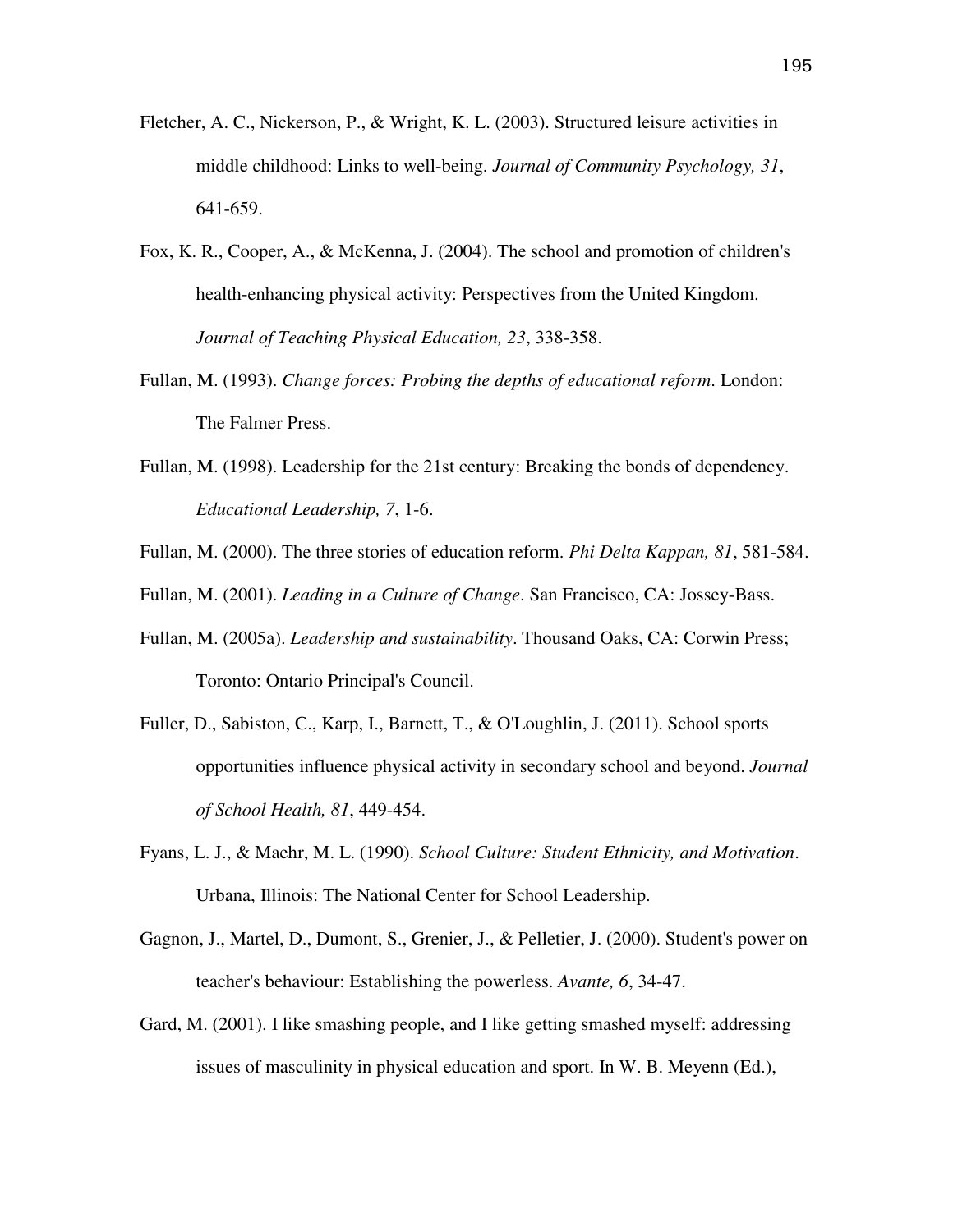- Fletcher, A. C., Nickerson, P., & Wright, K. L. (2003). Structured leisure activities in middle childhood: Links to well-being. *Journal of Community Psychology, 31*, 641-659.
- Fox, K. R., Cooper, A., & McKenna, J. (2004). The school and promotion of children's health-enhancing physical activity: Perspectives from the United Kingdom. *Journal of Teaching Physical Education, 23*, 338-358.
- Fullan, M. (1993). *Change forces: Probing the depths of educational reform*. London: The Falmer Press.
- Fullan, M. (1998). Leadership for the 21st century: Breaking the bonds of dependency. *Educational Leadership, 7*, 1-6.
- Fullan, M. (2000). The three stories of education reform. *Phi Delta Kappan, 81*, 581-584.
- Fullan, M. (2001). *Leading in a Culture of Change*. San Francisco, CA: Jossey-Bass.
- Fullan, M. (2005a). *Leadership and sustainability*. Thousand Oaks, CA: Corwin Press; Toronto: Ontario Principal's Council.
- Fuller, D., Sabiston, C., Karp, I., Barnett, T., & O'Loughlin, J. (2011). School sports opportunities influence physical activity in secondary school and beyond. *Journal of School Health, 81*, 449-454.
- Fyans, L. J., & Maehr, M. L. (1990). *School Culture: Student Ethnicity, and Motivation*. Urbana, Illinois: The National Center for School Leadership.
- Gagnon, J., Martel, D., Dumont, S., Grenier, J., & Pelletier, J. (2000). Student's power on teacher's behaviour: Establishing the powerless. *Avante, 6*, 34-47.
- Gard, M. (2001). I like smashing people, and I like getting smashed myself: addressing issues of masculinity in physical education and sport. In W. B. Meyenn (Ed.),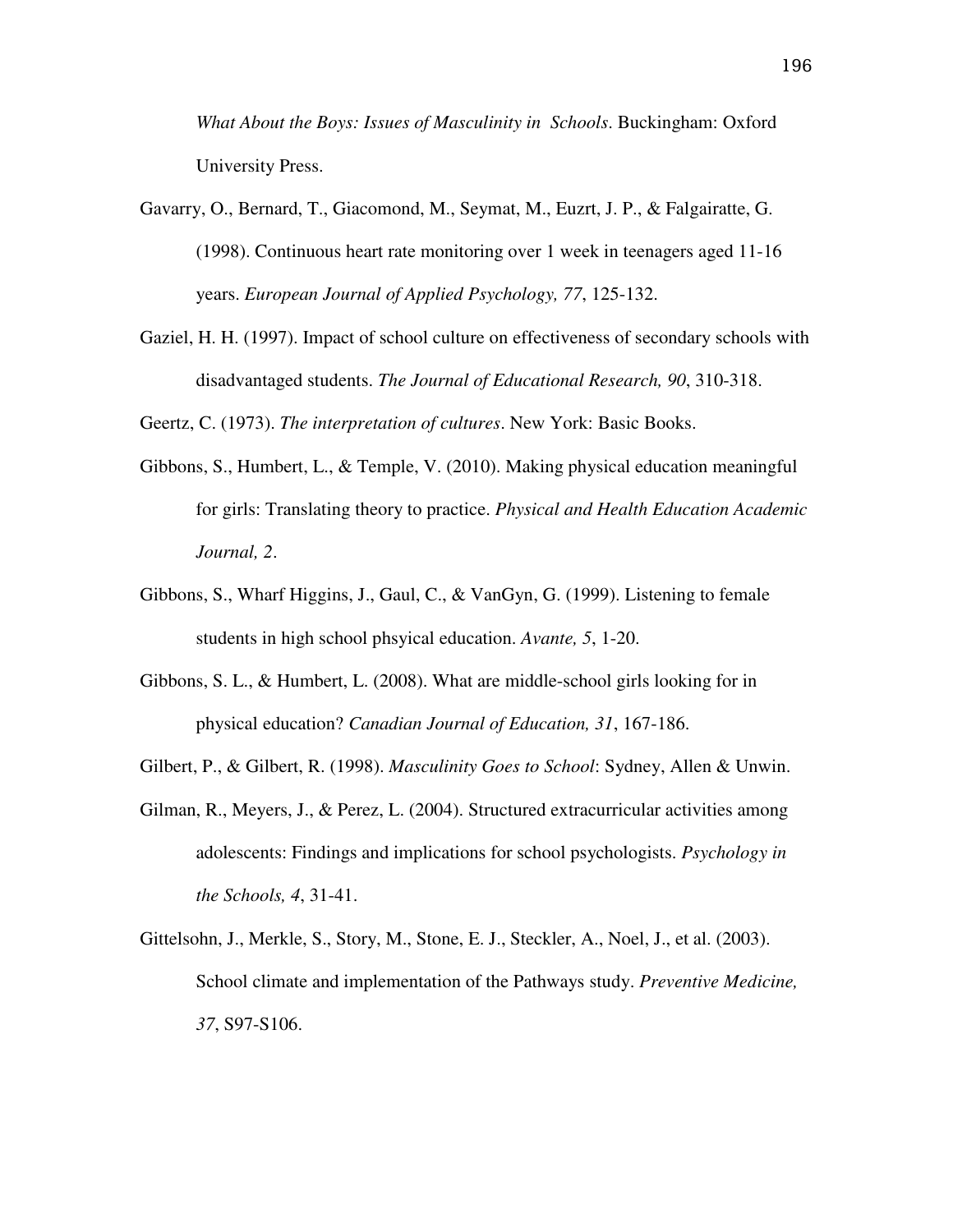*What About the Boys: Issues of Masculinity in Schools*. Buckingham: Oxford University Press.

- Gavarry, O., Bernard, T., Giacomond, M., Seymat, M., Euzrt, J. P., & Falgairatte, G. (1998). Continuous heart rate monitoring over 1 week in teenagers aged 11-16 years. *European Journal of Applied Psychology, 77*, 125-132.
- Gaziel, H. H. (1997). Impact of school culture on effectiveness of secondary schools with disadvantaged students. *The Journal of Educational Research, 90*, 310-318.

Geertz, C. (1973). *The interpretation of cultures*. New York: Basic Books.

- Gibbons, S., Humbert, L., & Temple, V. (2010). Making physical education meaningful for girls: Translating theory to practice. *Physical and Health Education Academic Journal, 2*.
- Gibbons, S., Wharf Higgins, J., Gaul, C., & VanGyn, G. (1999). Listening to female students in high school phsyical education. *Avante, 5*, 1-20.
- Gibbons, S. L., & Humbert, L. (2008). What are middle-school girls looking for in physical education? *Canadian Journal of Education, 31*, 167-186.
- Gilbert, P., & Gilbert, R. (1998). *Masculinity Goes to School*: Sydney, Allen & Unwin.
- Gilman, R., Meyers, J., & Perez, L. (2004). Structured extracurricular activities among adolescents: Findings and implications for school psychologists. *Psychology in the Schools, 4*, 31-41.
- Gittelsohn, J., Merkle, S., Story, M., Stone, E. J., Steckler, A., Noel, J., et al. (2003). School climate and implementation of the Pathways study. *Preventive Medicine, 37*, S97-S106.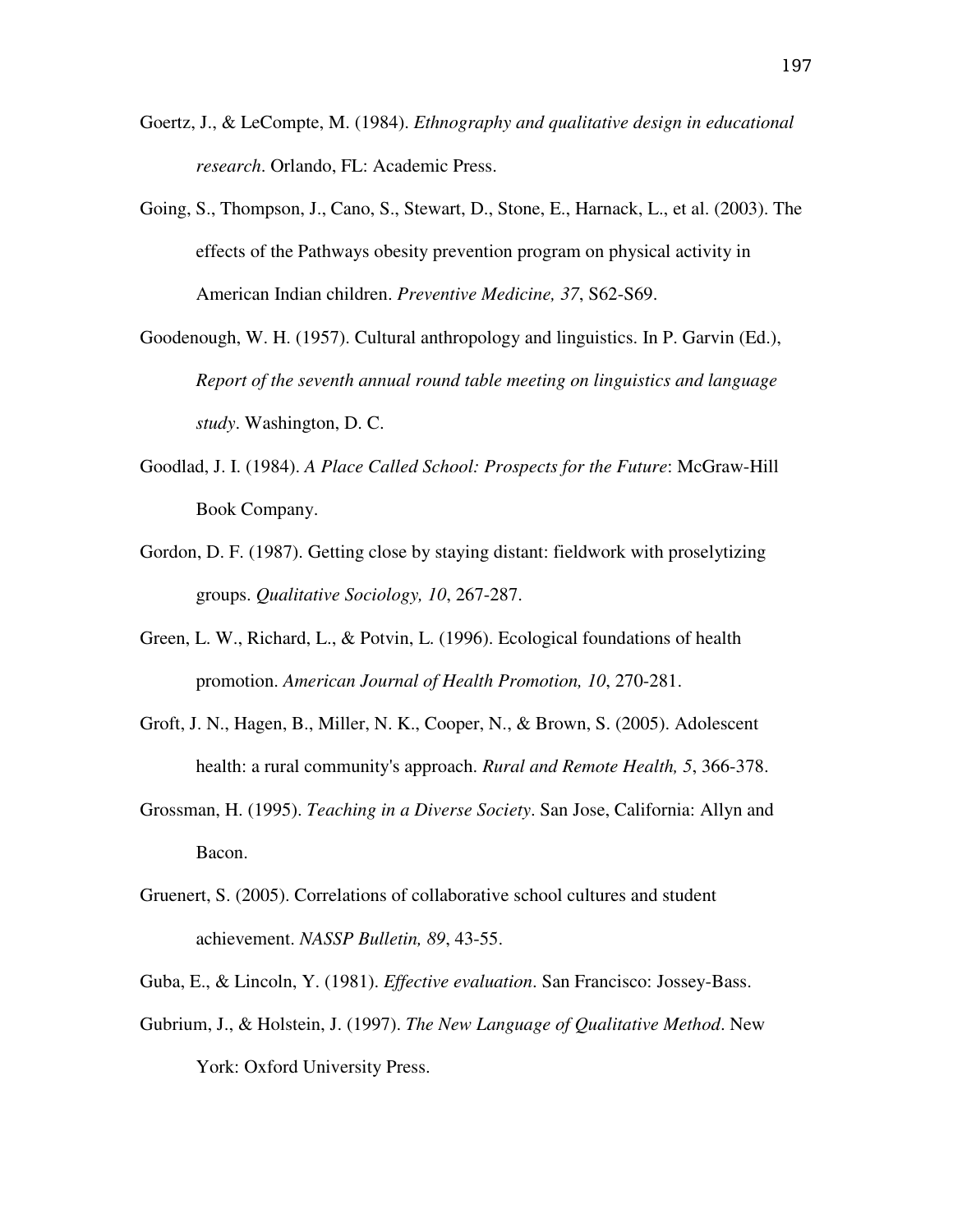- Goertz, J., & LeCompte, M. (1984). *Ethnography and qualitative design in educational research*. Orlando, FL: Academic Press.
- Going, S., Thompson, J., Cano, S., Stewart, D., Stone, E., Harnack, L., et al. (2003). The effects of the Pathways obesity prevention program on physical activity in American Indian children. *Preventive Medicine, 37*, S62-S69.
- Goodenough, W. H. (1957). Cultural anthropology and linguistics. In P. Garvin (Ed.), *Report of the seventh annual round table meeting on linguistics and language study*. Washington, D. C.
- Goodlad, J. I. (1984). *A Place Called School: Prospects for the Future*: McGraw-Hill Book Company.
- Gordon, D. F. (1987). Getting close by staying distant: fieldwork with proselytizing groups. *Qualitative Sociology, 10*, 267-287.
- Green, L. W., Richard, L., & Potvin, L. (1996). Ecological foundations of health promotion. *American Journal of Health Promotion, 10*, 270-281.
- Groft, J. N., Hagen, B., Miller, N. K., Cooper, N., & Brown, S. (2005). Adolescent health: a rural community's approach. *Rural and Remote Health, 5*, 366-378.
- Grossman, H. (1995). *Teaching in a Diverse Society*. San Jose, California: Allyn and Bacon.
- Gruenert, S. (2005). Correlations of collaborative school cultures and student achievement. *NASSP Bulletin, 89*, 43-55.
- Guba, E., & Lincoln, Y. (1981). *Effective evaluation*. San Francisco: Jossey-Bass.
- Gubrium, J., & Holstein, J. (1997). *The New Language of Qualitative Method*. New York: Oxford University Press.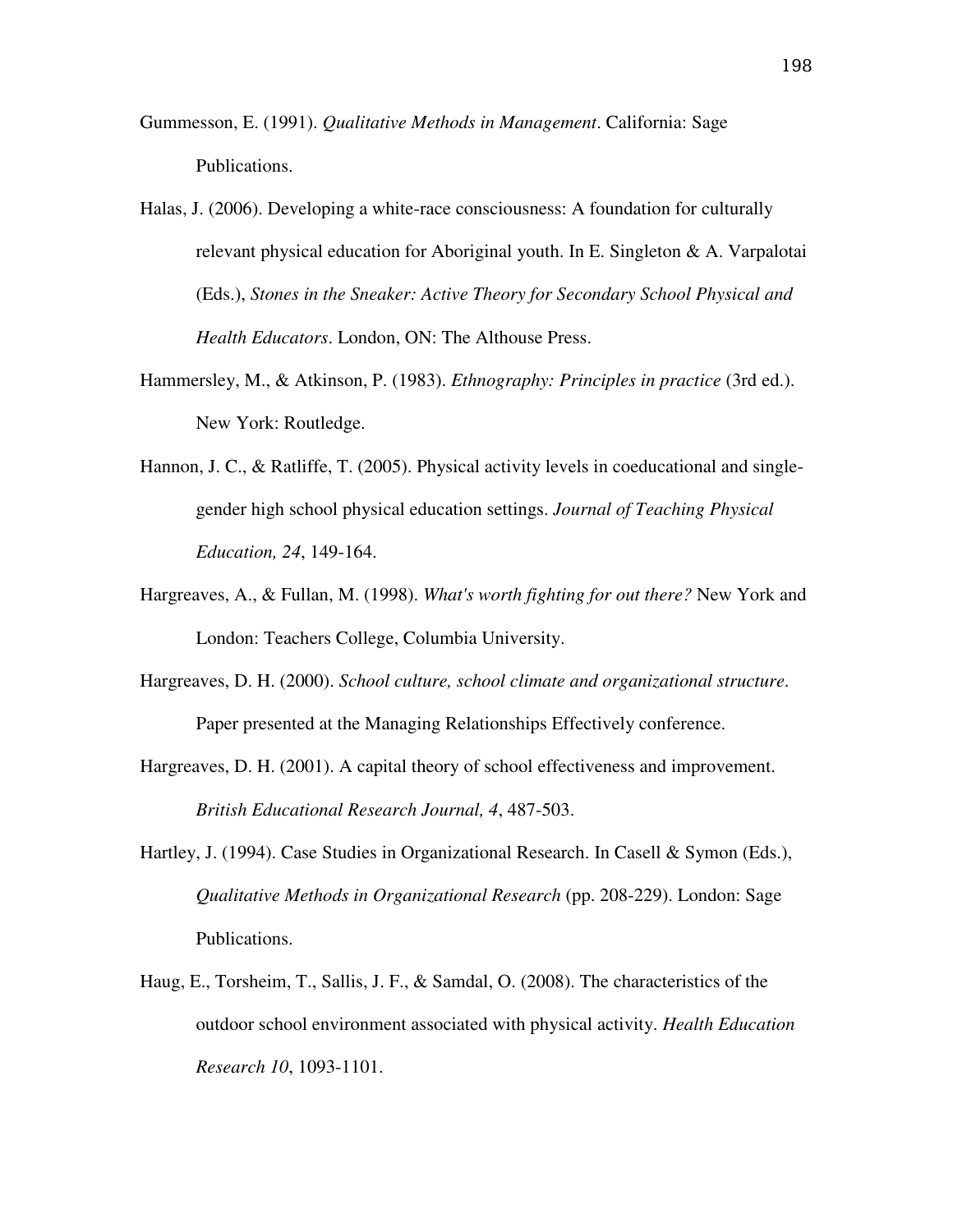- Gummesson, E. (1991). *Qualitative Methods in Management*. California: Sage Publications.
- Halas, J. (2006). Developing a white-race consciousness: A foundation for culturally relevant physical education for Aboriginal youth. In E. Singleton & A. Varpalotai (Eds.), *Stones in the Sneaker: Active Theory for Secondary School Physical and Health Educators*. London, ON: The Althouse Press.
- Hammersley, M., & Atkinson, P. (1983). *Ethnography: Principles in practice* (3rd ed.). New York: Routledge.
- Hannon, J. C., & Ratliffe, T. (2005). Physical activity levels in coeducational and singlegender high school physical education settings. *Journal of Teaching Physical Education, 24*, 149-164.
- Hargreaves, A., & Fullan, M. (1998). *What's worth fighting for out there?* New York and London: Teachers College, Columbia University.
- Hargreaves, D. H. (2000). *School culture, school climate and organizational structure*. Paper presented at the Managing Relationships Effectively conference.
- Hargreaves, D. H. (2001). A capital theory of school effectiveness and improvement. *British Educational Research Journal, 4*, 487-503.
- Hartley, J. (1994). Case Studies in Organizational Research. In Casell & Symon (Eds.), *Qualitative Methods in Organizational Research* (pp. 208-229). London: Sage Publications.
- Haug, E., Torsheim, T., Sallis, J. F., & Samdal, O. (2008). The characteristics of the outdoor school environment associated with physical activity. *Health Education Research 10*, 1093-1101.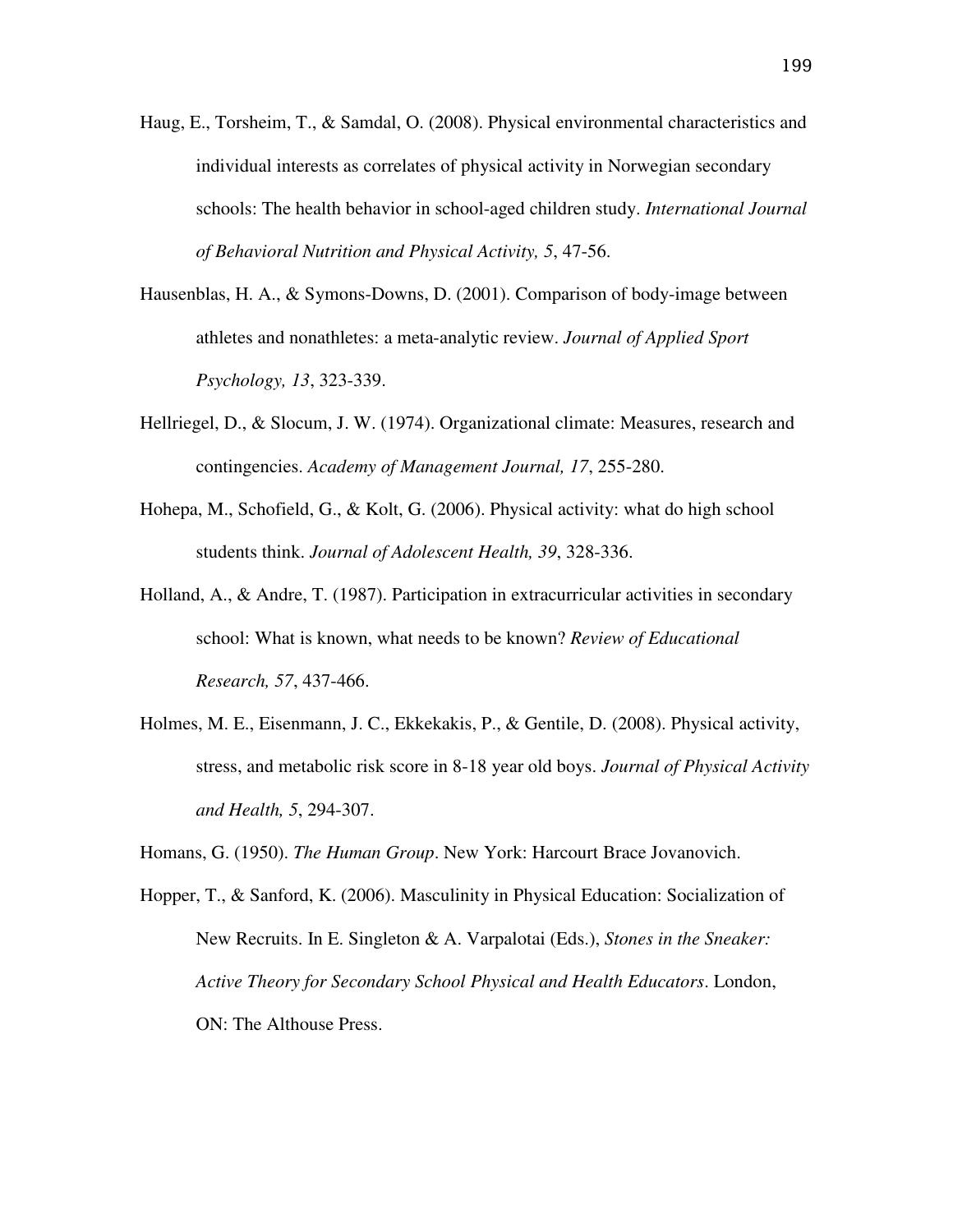- Haug, E., Torsheim, T., & Samdal, O. (2008). Physical environmental characteristics and individual interests as correlates of physical activity in Norwegian secondary schools: The health behavior in school-aged children study. *International Journal of Behavioral Nutrition and Physical Activity, 5*, 47-56.
- Hausenblas, H. A., & Symons-Downs, D. (2001). Comparison of body-image between athletes and nonathletes: a meta-analytic review. *Journal of Applied Sport Psychology, 13*, 323-339.
- Hellriegel, D., & Slocum, J. W. (1974). Organizational climate: Measures, research and contingencies. *Academy of Management Journal, 17*, 255-280.
- Hohepa, M., Schofield, G., & Kolt, G. (2006). Physical activity: what do high school students think. *Journal of Adolescent Health, 39*, 328-336.
- Holland, A., & Andre, T. (1987). Participation in extracurricular activities in secondary school: What is known, what needs to be known? *Review of Educational Research, 57*, 437-466.
- Holmes, M. E., Eisenmann, J. C., Ekkekakis, P., & Gentile, D. (2008). Physical activity, stress, and metabolic risk score in 8-18 year old boys. *Journal of Physical Activity and Health, 5*, 294-307.
- Homans, G. (1950). *The Human Group*. New York: Harcourt Brace Jovanovich.
- Hopper, T., & Sanford, K. (2006). Masculinity in Physical Education: Socialization of New Recruits. In E. Singleton & A. Varpalotai (Eds.), *Stones in the Sneaker: Active Theory for Secondary School Physical and Health Educators*. London, ON: The Althouse Press.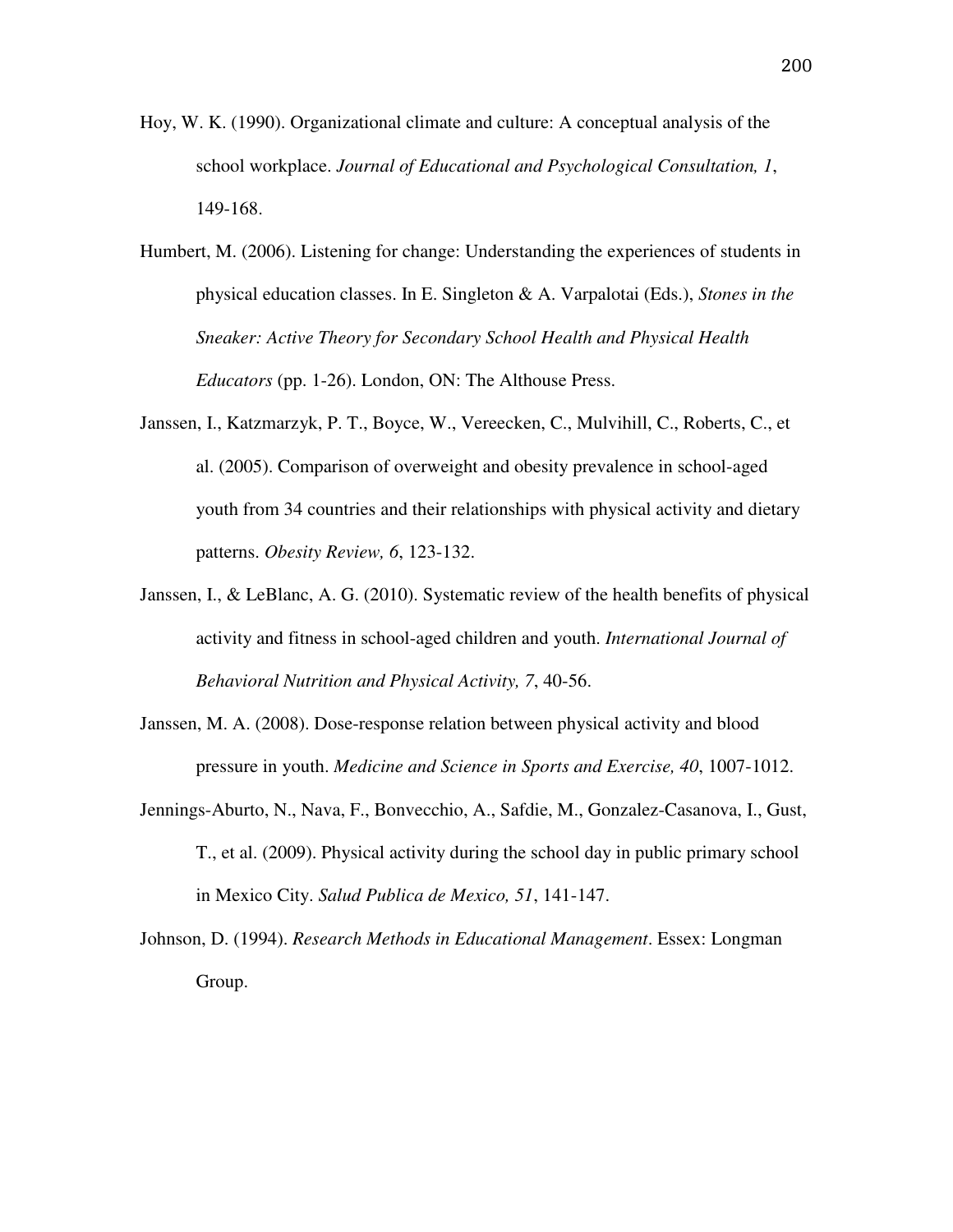- Hoy, W. K. (1990). Organizational climate and culture: A conceptual analysis of the school workplace. *Journal of Educational and Psychological Consultation, 1*, 149-168.
- Humbert, M. (2006). Listening for change: Understanding the experiences of students in physical education classes. In E. Singleton & A. Varpalotai (Eds.), *Stones in the Sneaker: Active Theory for Secondary School Health and Physical Health Educators* (pp. 1-26). London, ON: The Althouse Press.
- Janssen, I., Katzmarzyk, P. T., Boyce, W., Vereecken, C., Mulvihill, C., Roberts, C., et al. (2005). Comparison of overweight and obesity prevalence in school-aged youth from 34 countries and their relationships with physical activity and dietary patterns. *Obesity Review, 6*, 123-132.
- Janssen, I., & LeBlanc, A. G. (2010). Systematic review of the health benefits of physical activity and fitness in school-aged children and youth. *International Journal of Behavioral Nutrition and Physical Activity, 7*, 40-56.
- Janssen, M. A. (2008). Dose-response relation between physical activity and blood pressure in youth. *Medicine and Science in Sports and Exercise, 40*, 1007-1012.
- Jennings-Aburto, N., Nava, F., Bonvecchio, A., Safdie, M., Gonzalez-Casanova, I., Gust, T., et al. (2009). Physical activity during the school day in public primary school in Mexico City. *Salud Publica de Mexico, 51*, 141-147.
- Johnson, D. (1994). *Research Methods in Educational Management*. Essex: Longman Group.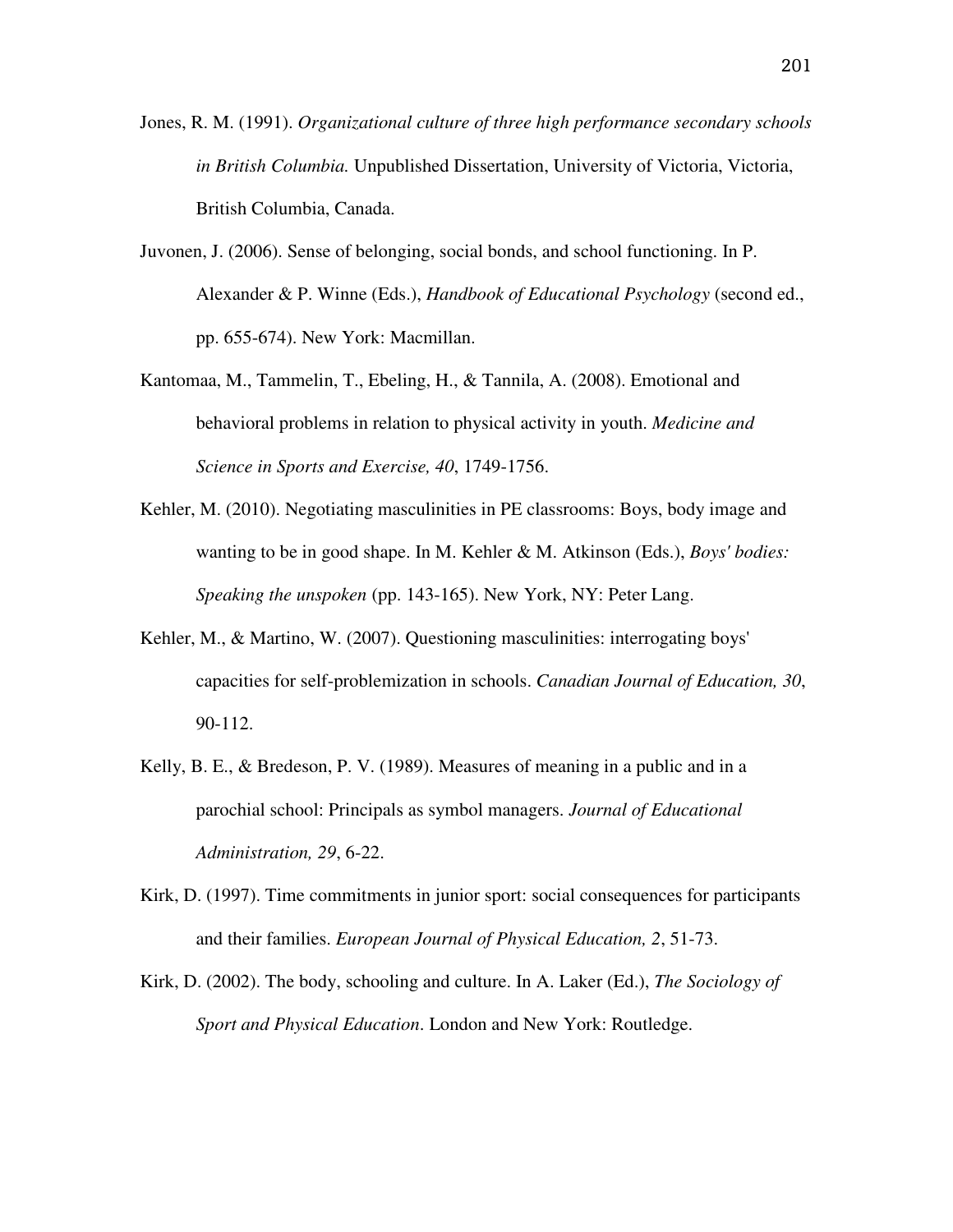- Jones, R. M. (1991). *Organizational culture of three high performance secondary schools in British Columbia.* Unpublished Dissertation, University of Victoria, Victoria, British Columbia, Canada.
- Juvonen, J. (2006). Sense of belonging, social bonds, and school functioning. In P. Alexander & P. Winne (Eds.), *Handbook of Educational Psychology* (second ed., pp. 655-674). New York: Macmillan.
- Kantomaa, M., Tammelin, T., Ebeling, H., & Tannila, A. (2008). Emotional and behavioral problems in relation to physical activity in youth. *Medicine and Science in Sports and Exercise, 40*, 1749-1756.
- Kehler, M. (2010). Negotiating masculinities in PE classrooms: Boys, body image and wanting to be in good shape. In M. Kehler & M. Atkinson (Eds.), *Boys' bodies: Speaking the unspoken* (pp. 143-165). New York, NY: Peter Lang.
- Kehler, M., & Martino, W. (2007). Questioning masculinities: interrogating boys' capacities for self-problemization in schools. *Canadian Journal of Education, 30*, 90-112.
- Kelly, B. E., & Bredeson, P. V. (1989). Measures of meaning in a public and in a parochial school: Principals as symbol managers. *Journal of Educational Administration, 29*, 6-22.
- Kirk, D. (1997). Time commitments in junior sport: social consequences for participants and their families. *European Journal of Physical Education, 2*, 51-73.
- Kirk, D. (2002). The body, schooling and culture. In A. Laker (Ed.), *The Sociology of Sport and Physical Education*. London and New York: Routledge.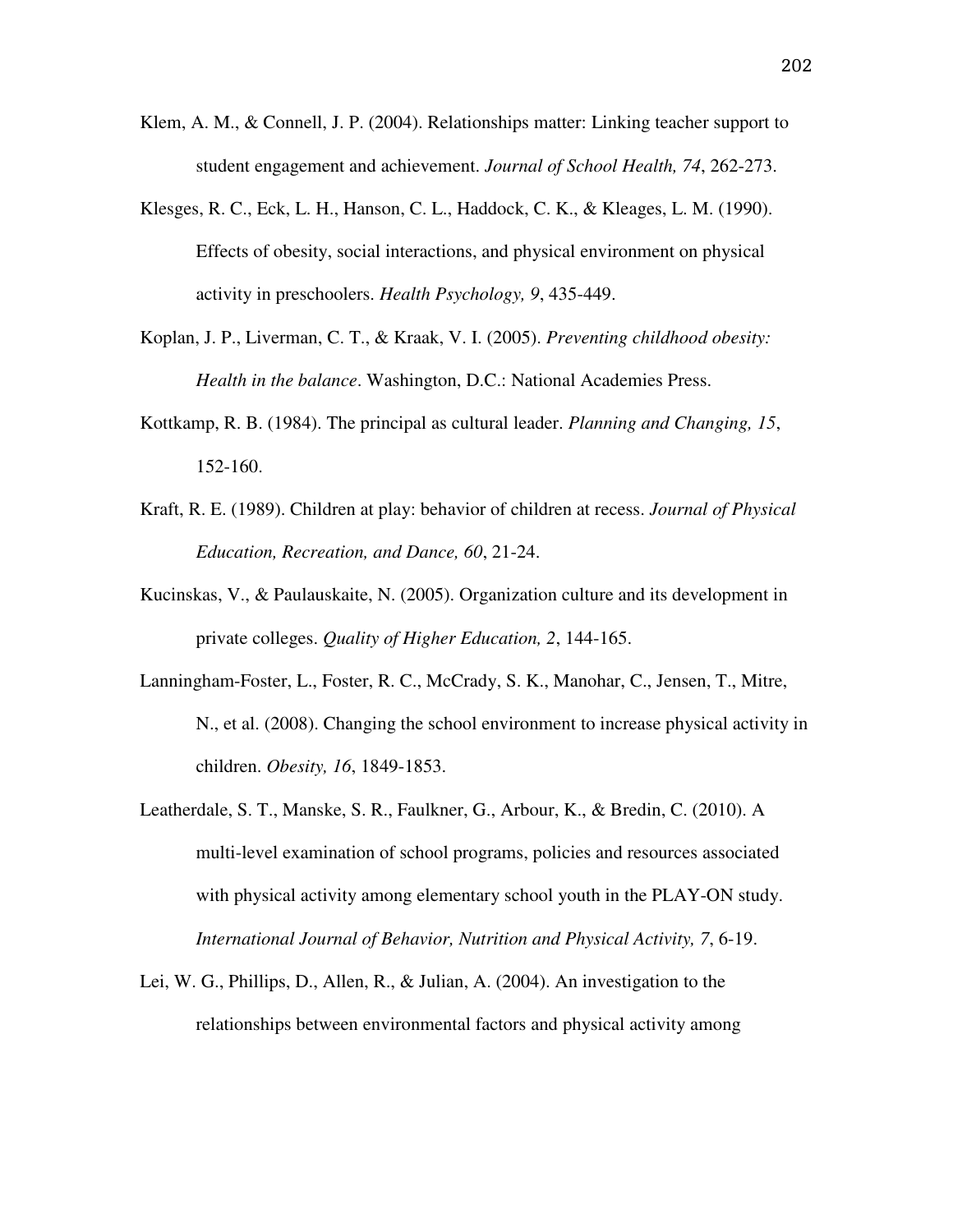- Klem, A. M., & Connell, J. P. (2004). Relationships matter: Linking teacher support to student engagement and achievement. *Journal of School Health, 74*, 262-273.
- Klesges, R. C., Eck, L. H., Hanson, C. L., Haddock, C. K., & Kleages, L. M. (1990). Effects of obesity, social interactions, and physical environment on physical activity in preschoolers. *Health Psychology, 9*, 435-449.
- Koplan, J. P., Liverman, C. T., & Kraak, V. I. (2005). *Preventing childhood obesity: Health in the balance*. Washington, D.C.: National Academies Press.
- Kottkamp, R. B. (1984). The principal as cultural leader. *Planning and Changing, 15*, 152-160.
- Kraft, R. E. (1989). Children at play: behavior of children at recess. *Journal of Physical Education, Recreation, and Dance, 60*, 21-24.
- Kucinskas, V., & Paulauskaite, N. (2005). Organization culture and its development in private colleges. *Quality of Higher Education, 2*, 144-165.
- Lanningham-Foster, L., Foster, R. C., McCrady, S. K., Manohar, C., Jensen, T., Mitre, N., et al. (2008). Changing the school environment to increase physical activity in children. *Obesity, 16*, 1849-1853.
- Leatherdale, S. T., Manske, S. R., Faulkner, G., Arbour, K., & Bredin, C. (2010). A multi-level examination of school programs, policies and resources associated with physical activity among elementary school youth in the PLAY-ON study. *International Journal of Behavior, Nutrition and Physical Activity, 7*, 6-19.
- Lei, W. G., Phillips, D., Allen, R., & Julian, A. (2004). An investigation to the relationships between environmental factors and physical activity among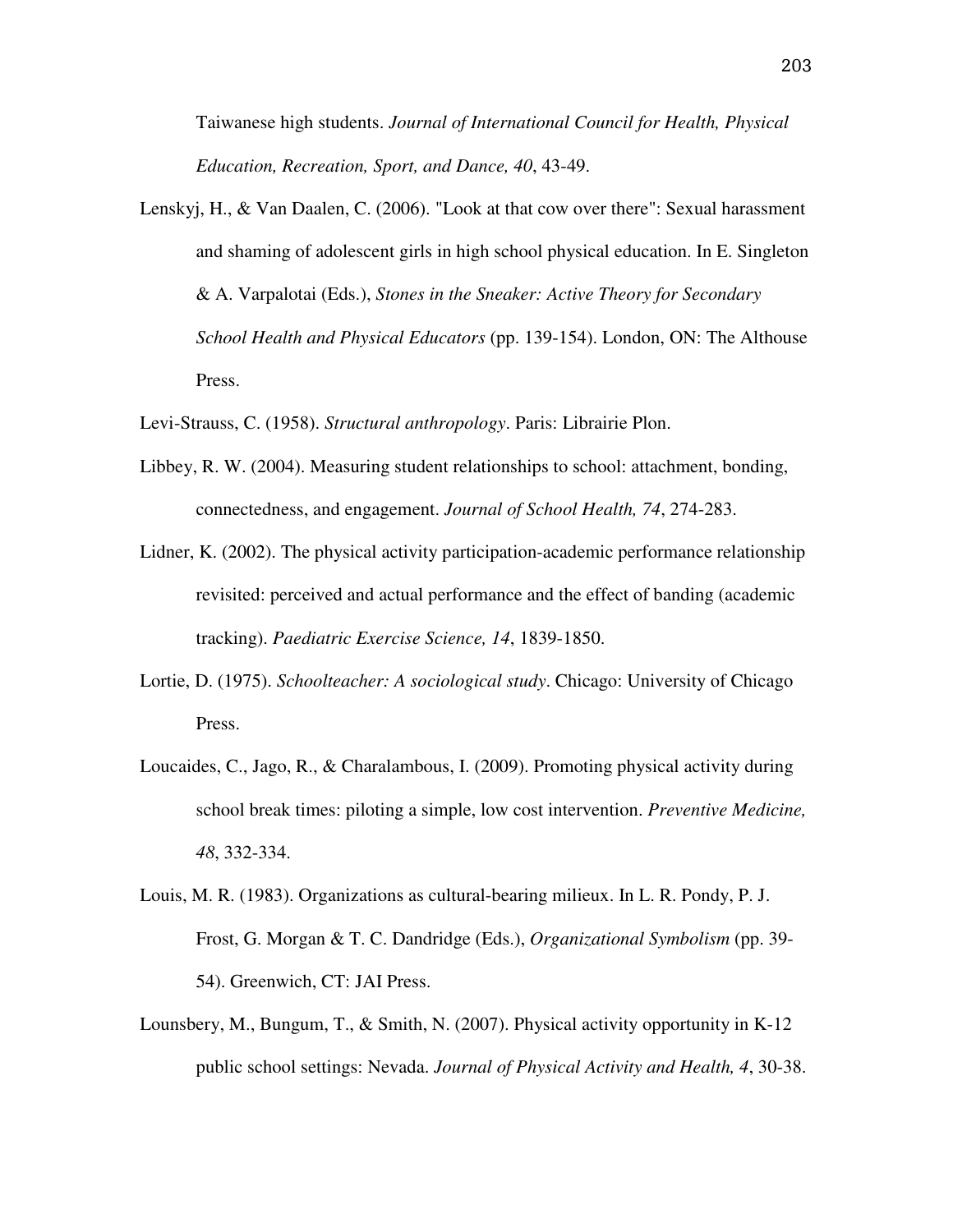Taiwanese high students. *Journal of International Council for Health, Physical Education, Recreation, Sport, and Dance, 40*, 43-49.

- Lenskyj, H., & Van Daalen, C. (2006). "Look at that cow over there": Sexual harassment and shaming of adolescent girls in high school physical education. In E. Singleton & A. Varpalotai (Eds.), *Stones in the Sneaker: Active Theory for Secondary School Health and Physical Educators* (pp. 139-154). London, ON: The Althouse Press.
- Levi-Strauss, C. (1958). *Structural anthropology*. Paris: Librairie Plon.
- Libbey, R. W. (2004). Measuring student relationships to school: attachment, bonding, connectedness, and engagement. *Journal of School Health, 74*, 274-283.
- Lidner, K. (2002). The physical activity participation-academic performance relationship revisited: perceived and actual performance and the effect of banding (academic tracking). *Paediatric Exercise Science, 14*, 1839-1850.
- Lortie, D. (1975). *Schoolteacher: A sociological study*. Chicago: University of Chicago Press.
- Loucaides, C., Jago, R., & Charalambous, I. (2009). Promoting physical activity during school break times: piloting a simple, low cost intervention. *Preventive Medicine, 48*, 332-334.
- Louis, M. R. (1983). Organizations as cultural-bearing milieux. In L. R. Pondy, P. J. Frost, G. Morgan & T. C. Dandridge (Eds.), *Organizational Symbolism* (pp. 39- 54). Greenwich, CT: JAI Press.
- Lounsbery, M., Bungum, T., & Smith, N. (2007). Physical activity opportunity in K-12 public school settings: Nevada. *Journal of Physical Activity and Health, 4*, 30-38.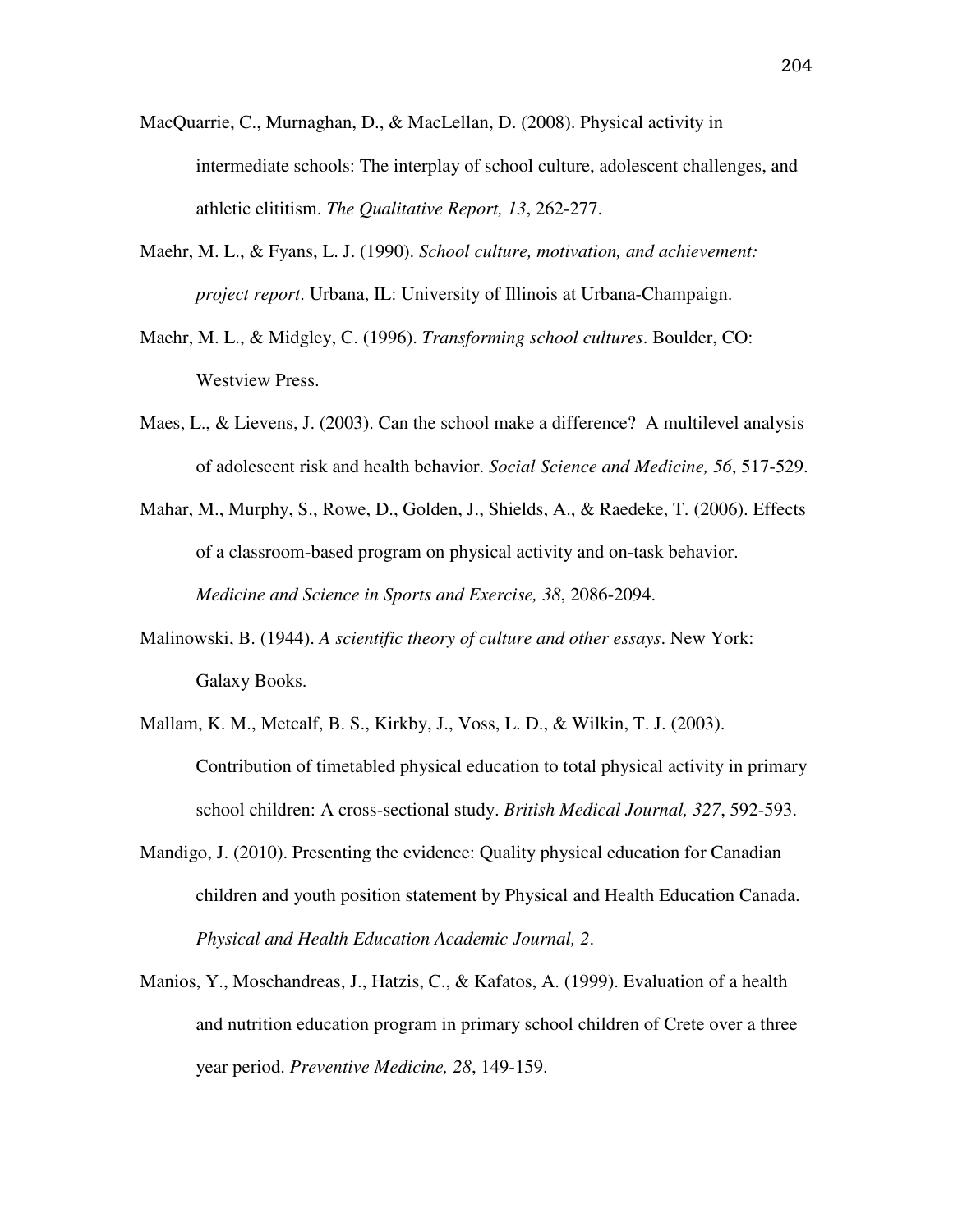- MacQuarrie, C., Murnaghan, D., & MacLellan, D. (2008). Physical activity in intermediate schools: The interplay of school culture, adolescent challenges, and athletic elititism. *The Qualitative Report, 13*, 262-277.
- Maehr, M. L., & Fyans, L. J. (1990). *School culture, motivation, and achievement: project report*. Urbana, IL: University of Illinois at Urbana-Champaign.
- Maehr, M. L., & Midgley, C. (1996). *Transforming school cultures*. Boulder, CO: Westview Press.
- Maes, L., & Lievens, J. (2003). Can the school make a difference? A multilevel analysis of adolescent risk and health behavior. *Social Science and Medicine, 56*, 517-529.
- Mahar, M., Murphy, S., Rowe, D., Golden, J., Shields, A., & Raedeke, T. (2006). Effects of a classroom-based program on physical activity and on-task behavior. *Medicine and Science in Sports and Exercise, 38*, 2086-2094.
- Malinowski, B. (1944). *A scientific theory of culture and other essays*. New York: Galaxy Books.
- Mallam, K. M., Metcalf, B. S., Kirkby, J., Voss, L. D., & Wilkin, T. J. (2003). Contribution of timetabled physical education to total physical activity in primary school children: A cross-sectional study. *British Medical Journal, 327*, 592-593.
- Mandigo, J. (2010). Presenting the evidence: Quality physical education for Canadian children and youth position statement by Physical and Health Education Canada. *Physical and Health Education Academic Journal, 2*.
- Manios, Y., Moschandreas, J., Hatzis, C., & Kafatos, A. (1999). Evaluation of a health and nutrition education program in primary school children of Crete over a three year period. *Preventive Medicine, 28*, 149-159.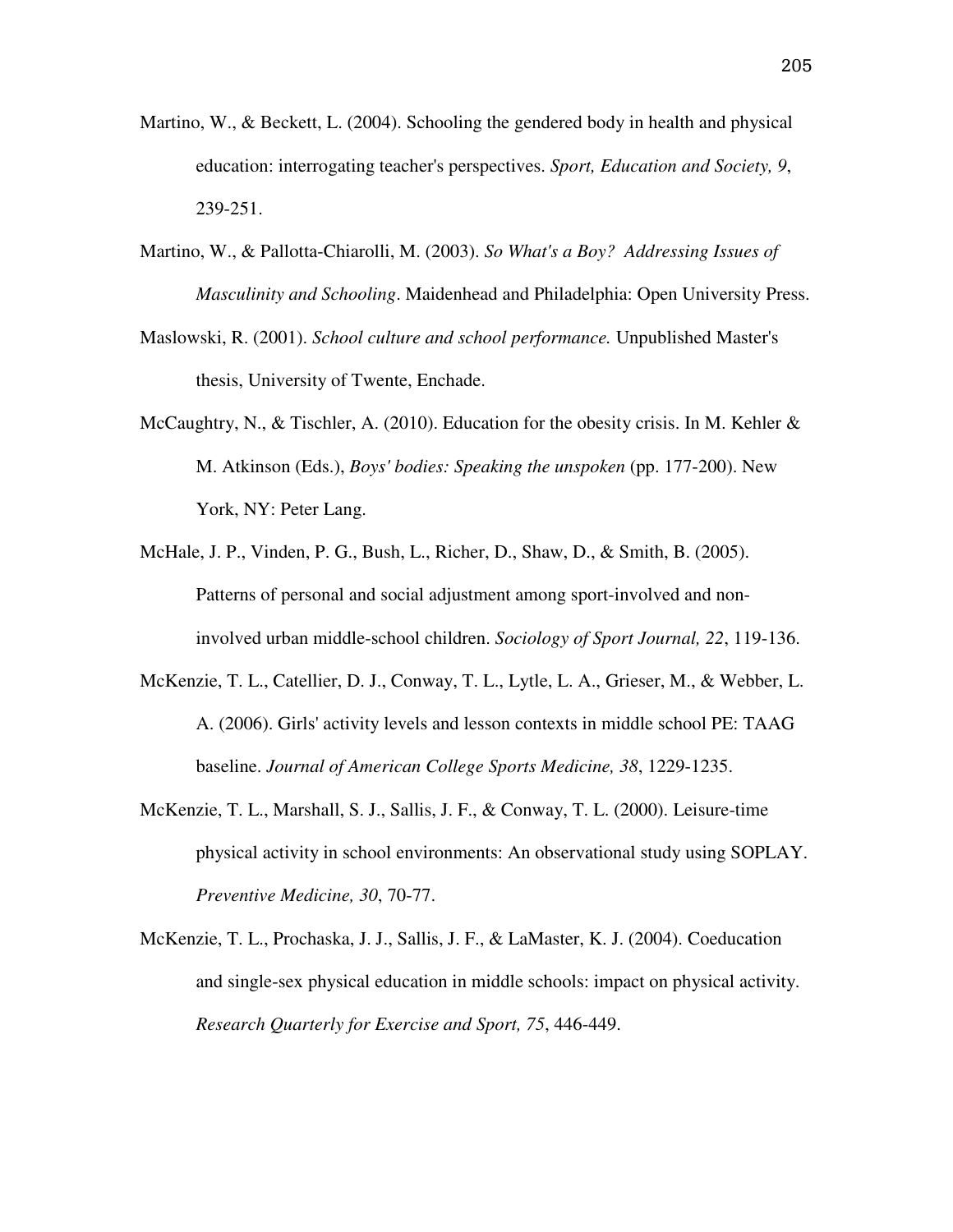- Martino, W., & Beckett, L. (2004). Schooling the gendered body in health and physical education: interrogating teacher's perspectives. *Sport, Education and Society, 9*, 239-251.
- Martino, W., & Pallotta-Chiarolli, M. (2003). *So What's a Boy? Addressing Issues of Masculinity and Schooling*. Maidenhead and Philadelphia: Open University Press.
- Maslowski, R. (2001). *School culture and school performance.* Unpublished Master's thesis, University of Twente, Enchade.
- McCaughtry, N., & Tischler, A. (2010). Education for the obesity crisis. In M. Kehler  $\&$ M. Atkinson (Eds.), *Boys' bodies: Speaking the unspoken* (pp. 177-200). New York, NY: Peter Lang.
- McHale, J. P., Vinden, P. G., Bush, L., Richer, D., Shaw, D., & Smith, B. (2005). Patterns of personal and social adjustment among sport-involved and noninvolved urban middle-school children. *Sociology of Sport Journal, 22*, 119-136.
- McKenzie, T. L., Catellier, D. J., Conway, T. L., Lytle, L. A., Grieser, M., & Webber, L. A. (2006). Girls' activity levels and lesson contexts in middle school PE: TAAG baseline. *Journal of American College Sports Medicine, 38*, 1229-1235.
- McKenzie, T. L., Marshall, S. J., Sallis, J. F., & Conway, T. L. (2000). Leisure-time physical activity in school environments: An observational study using SOPLAY. *Preventive Medicine, 30*, 70-77.
- McKenzie, T. L., Prochaska, J. J., Sallis, J. F., & LaMaster, K. J. (2004). Coeducation and single-sex physical education in middle schools: impact on physical activity. *Research Quarterly for Exercise and Sport, 75*, 446-449.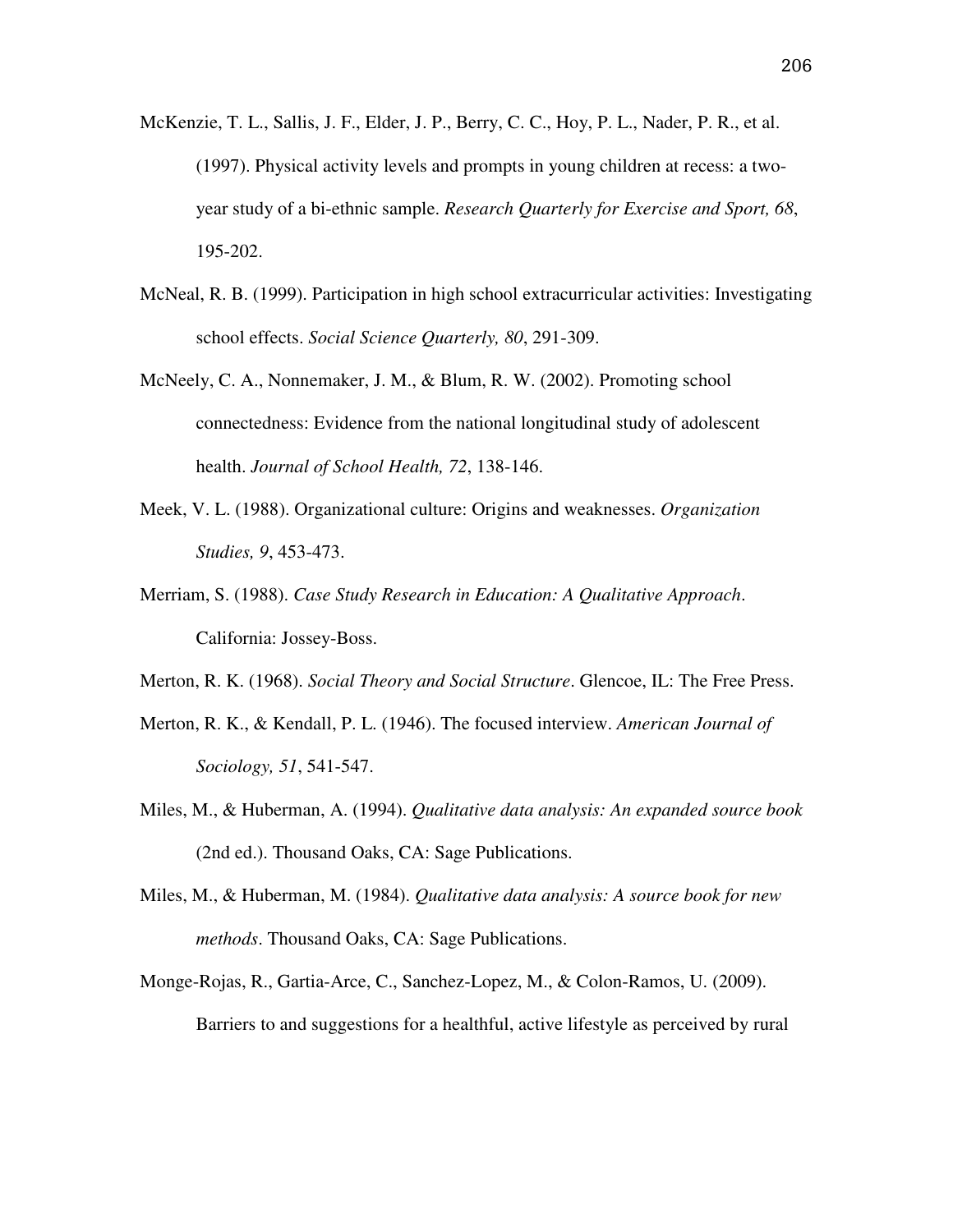- McKenzie, T. L., Sallis, J. F., Elder, J. P., Berry, C. C., Hoy, P. L., Nader, P. R., et al. (1997). Physical activity levels and prompts in young children at recess: a twoyear study of a bi-ethnic sample. *Research Quarterly for Exercise and Sport, 68*, 195-202.
- McNeal, R. B. (1999). Participation in high school extracurricular activities: Investigating school effects. *Social Science Quarterly, 80*, 291-309.
- McNeely, C. A., Nonnemaker, J. M., & Blum, R. W. (2002). Promoting school connectedness: Evidence from the national longitudinal study of adolescent health. *Journal of School Health, 72*, 138-146.
- Meek, V. L. (1988). Organizational culture: Origins and weaknesses. *Organization Studies, 9*, 453-473.
- Merriam, S. (1988). *Case Study Research in Education: A Qualitative Approach*. California: Jossey-Boss.

Merton, R. K. (1968). *Social Theory and Social Structure*. Glencoe, IL: The Free Press.

- Merton, R. K., & Kendall, P. L. (1946). The focused interview. *American Journal of Sociology, 51*, 541-547.
- Miles, M., & Huberman, A. (1994). *Qualitative data analysis: An expanded source book* (2nd ed.). Thousand Oaks, CA: Sage Publications.
- Miles, M., & Huberman, M. (1984). *Qualitative data analysis: A source book for new methods*. Thousand Oaks, CA: Sage Publications.
- Monge-Rojas, R., Gartia-Arce, C., Sanchez-Lopez, M., & Colon-Ramos, U. (2009). Barriers to and suggestions for a healthful, active lifestyle as perceived by rural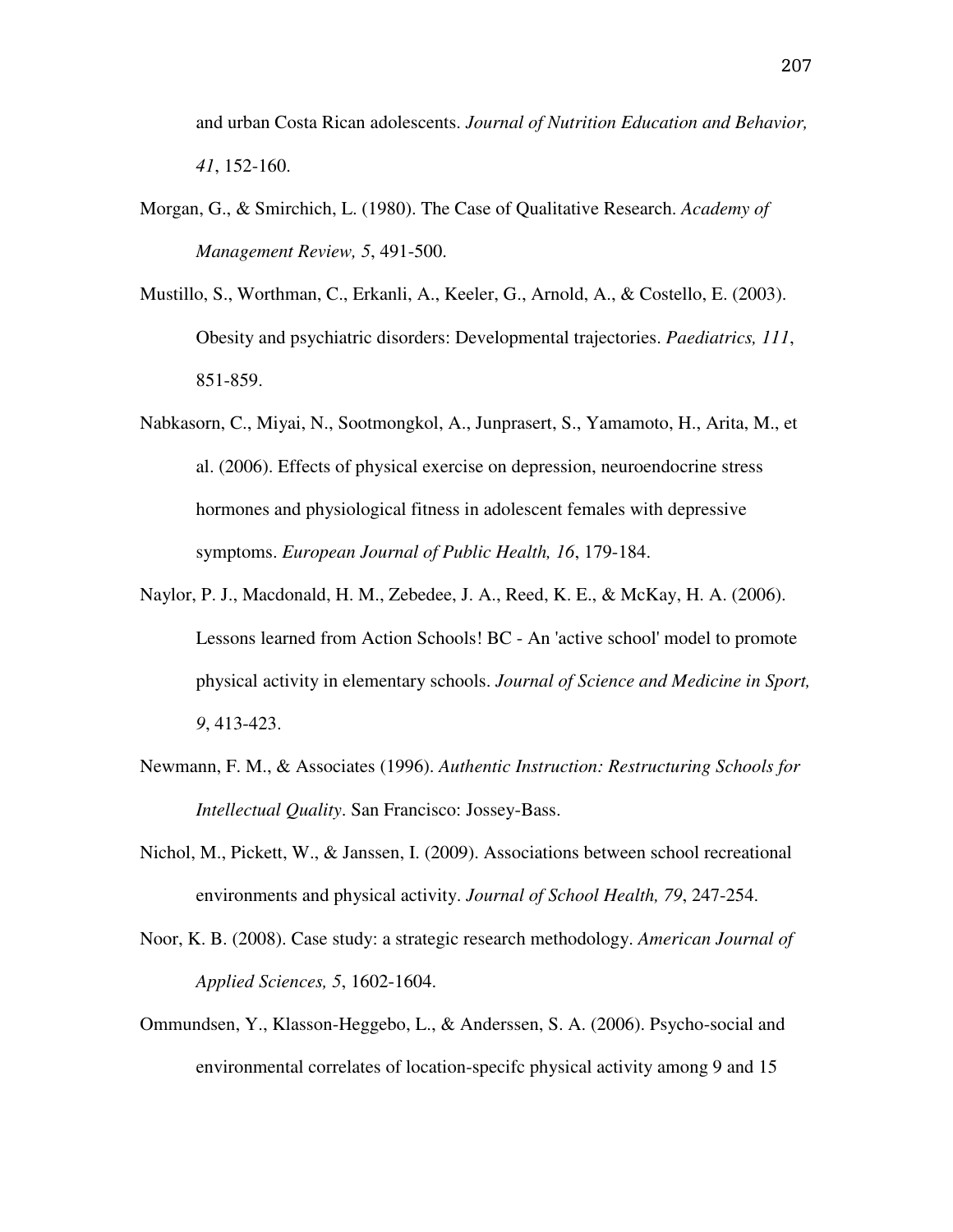and urban Costa Rican adolescents. *Journal of Nutrition Education and Behavior, 41*, 152-160.

- Morgan, G., & Smirchich, L. (1980). The Case of Qualitative Research. *Academy of Management Review, 5*, 491-500.
- Mustillo, S., Worthman, C., Erkanli, A., Keeler, G., Arnold, A., & Costello, E. (2003). Obesity and psychiatric disorders: Developmental trajectories. *Paediatrics, 111*, 851-859.
- Nabkasorn, C., Miyai, N., Sootmongkol, A., Junprasert, S., Yamamoto, H., Arita, M., et al. (2006). Effects of physical exercise on depression, neuroendocrine stress hormones and physiological fitness in adolescent females with depressive symptoms. *European Journal of Public Health, 16*, 179-184.
- Naylor, P. J., Macdonald, H. M., Zebedee, J. A., Reed, K. E., & McKay, H. A. (2006). Lessons learned from Action Schools! BC - An 'active school' model to promote physical activity in elementary schools. *Journal of Science and Medicine in Sport, 9*, 413-423.
- Newmann, F. M., & Associates (1996). *Authentic Instruction: Restructuring Schools for Intellectual Quality*. San Francisco: Jossey-Bass.
- Nichol, M., Pickett, W., & Janssen, I. (2009). Associations between school recreational environments and physical activity. *Journal of School Health, 79*, 247-254.
- Noor, K. B. (2008). Case study: a strategic research methodology. *American Journal of Applied Sciences, 5*, 1602-1604.
- Ommundsen, Y., Klasson-Heggebo, L., & Anderssen, S. A. (2006). Psycho-social and environmental correlates of location-specifc physical activity among 9 and 15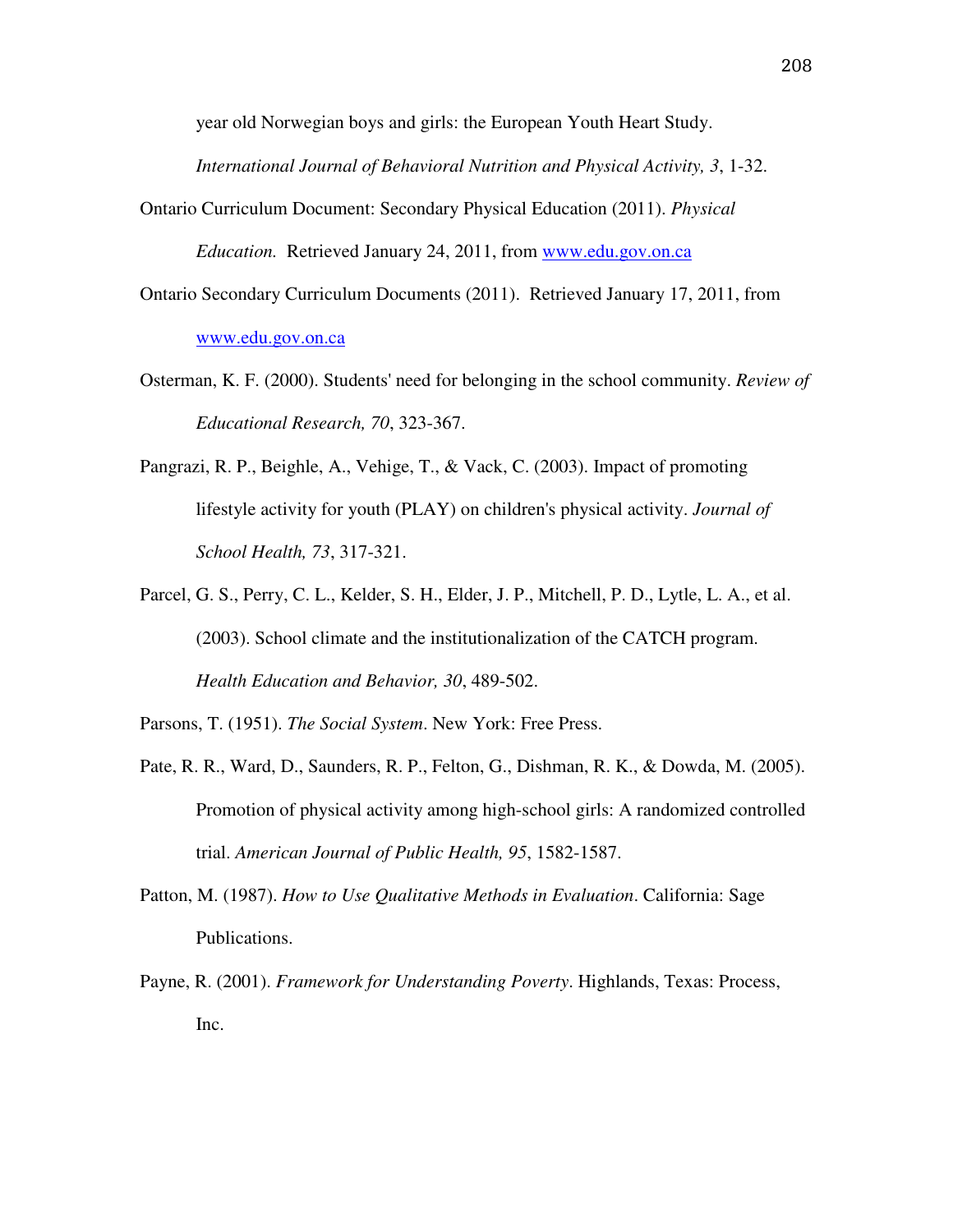year old Norwegian boys and girls: the European Youth Heart Study.

*International Journal of Behavioral Nutrition and Physical Activity, 3*, 1-32.

Ontario Curriculum Document: Secondary Physical Education (2011). *Physical* 

*Education.* Retrieved January 24, 2011, from www.edu.gov.on.ca

- Ontario Secondary Curriculum Documents (2011). Retrieved January 17, 2011, from www.edu.gov.on.ca
- Osterman, K. F. (2000). Students' need for belonging in the school community. *Review of Educational Research, 70*, 323-367.
- Pangrazi, R. P., Beighle, A., Vehige, T., & Vack, C. (2003). Impact of promoting lifestyle activity for youth (PLAY) on children's physical activity. *Journal of School Health, 73*, 317-321.
- Parcel, G. S., Perry, C. L., Kelder, S. H., Elder, J. P., Mitchell, P. D., Lytle, L. A., et al. (2003). School climate and the institutionalization of the CATCH program. *Health Education and Behavior, 30*, 489-502.

Parsons, T. (1951). *The Social System*. New York: Free Press.

- Pate, R. R., Ward, D., Saunders, R. P., Felton, G., Dishman, R. K., & Dowda, M. (2005). Promotion of physical activity among high-school girls: A randomized controlled trial. *American Journal of Public Health, 95*, 1582-1587.
- Patton, M. (1987). *How to Use Qualitative Methods in Evaluation*. California: Sage Publications.
- Payne, R. (2001). *Framework for Understanding Poverty*. Highlands, Texas: Process, Inc.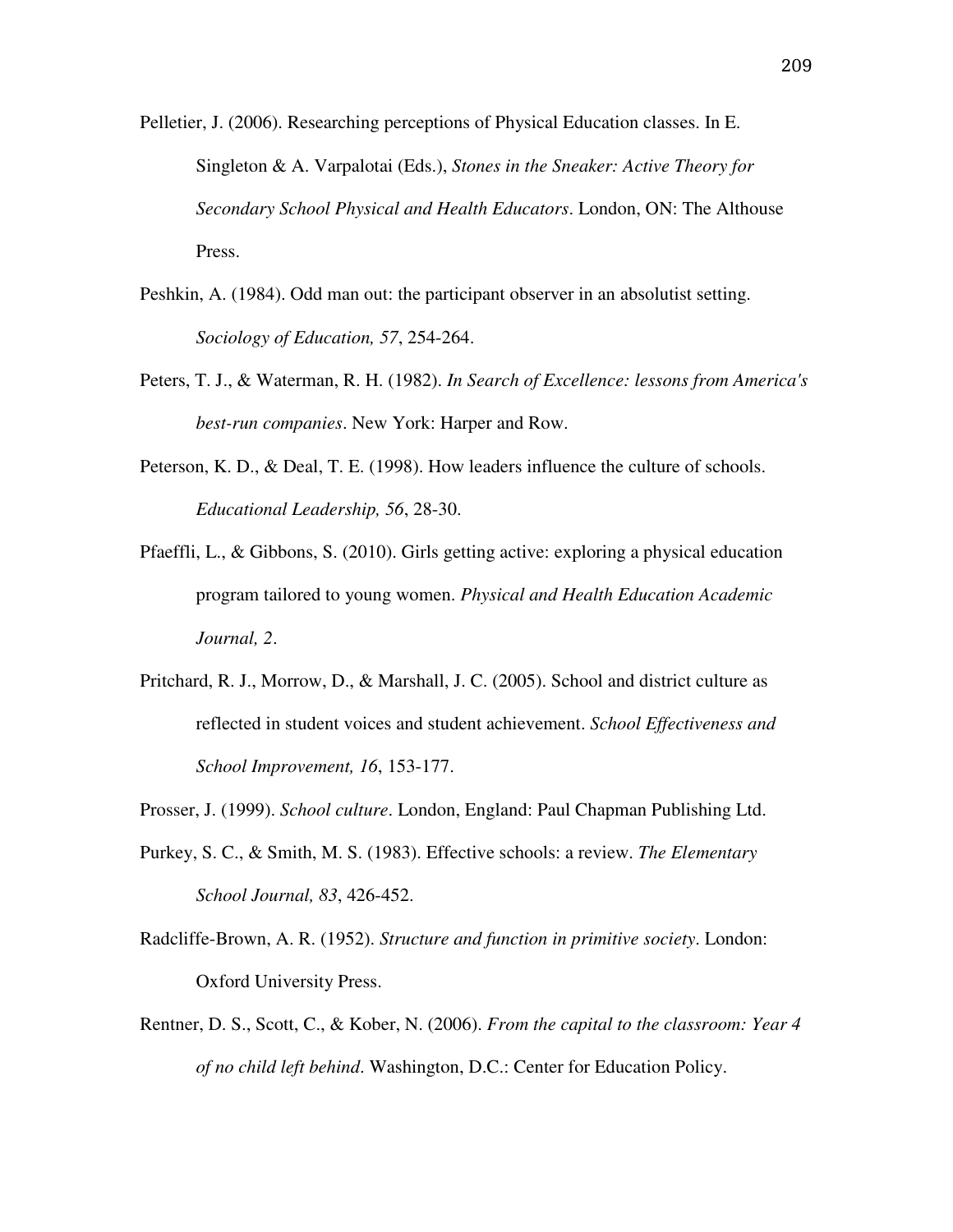- Pelletier, J. (2006). Researching perceptions of Physical Education classes. In E. Singleton & A. Varpalotai (Eds.), *Stones in the Sneaker: Active Theory for Secondary School Physical and Health Educators*. London, ON: The Althouse Press.
- Peshkin, A. (1984). Odd man out: the participant observer in an absolutist setting. *Sociology of Education, 57*, 254-264.
- Peters, T. J., & Waterman, R. H. (1982). *In Search of Excellence: lessons from America's best-run companies*. New York: Harper and Row.
- Peterson, K. D., & Deal, T. E. (1998). How leaders influence the culture of schools. *Educational Leadership, 56*, 28-30.
- Pfaeffli, L., & Gibbons, S. (2010). Girls getting active: exploring a physical education program tailored to young women. *Physical and Health Education Academic Journal, 2*.
- Pritchard, R. J., Morrow, D., & Marshall, J. C. (2005). School and district culture as reflected in student voices and student achievement. *School Effectiveness and School Improvement, 16*, 153-177.
- Prosser, J. (1999). *School culture*. London, England: Paul Chapman Publishing Ltd.
- Purkey, S. C., & Smith, M. S. (1983). Effective schools: a review. *The Elementary School Journal, 83*, 426-452.
- Radcliffe-Brown, A. R. (1952). *Structure and function in primitive society*. London: Oxford University Press.
- Rentner, D. S., Scott, C., & Kober, N. (2006). *From the capital to the classroom: Year 4 of no child left behind*. Washington, D.C.: Center for Education Policy.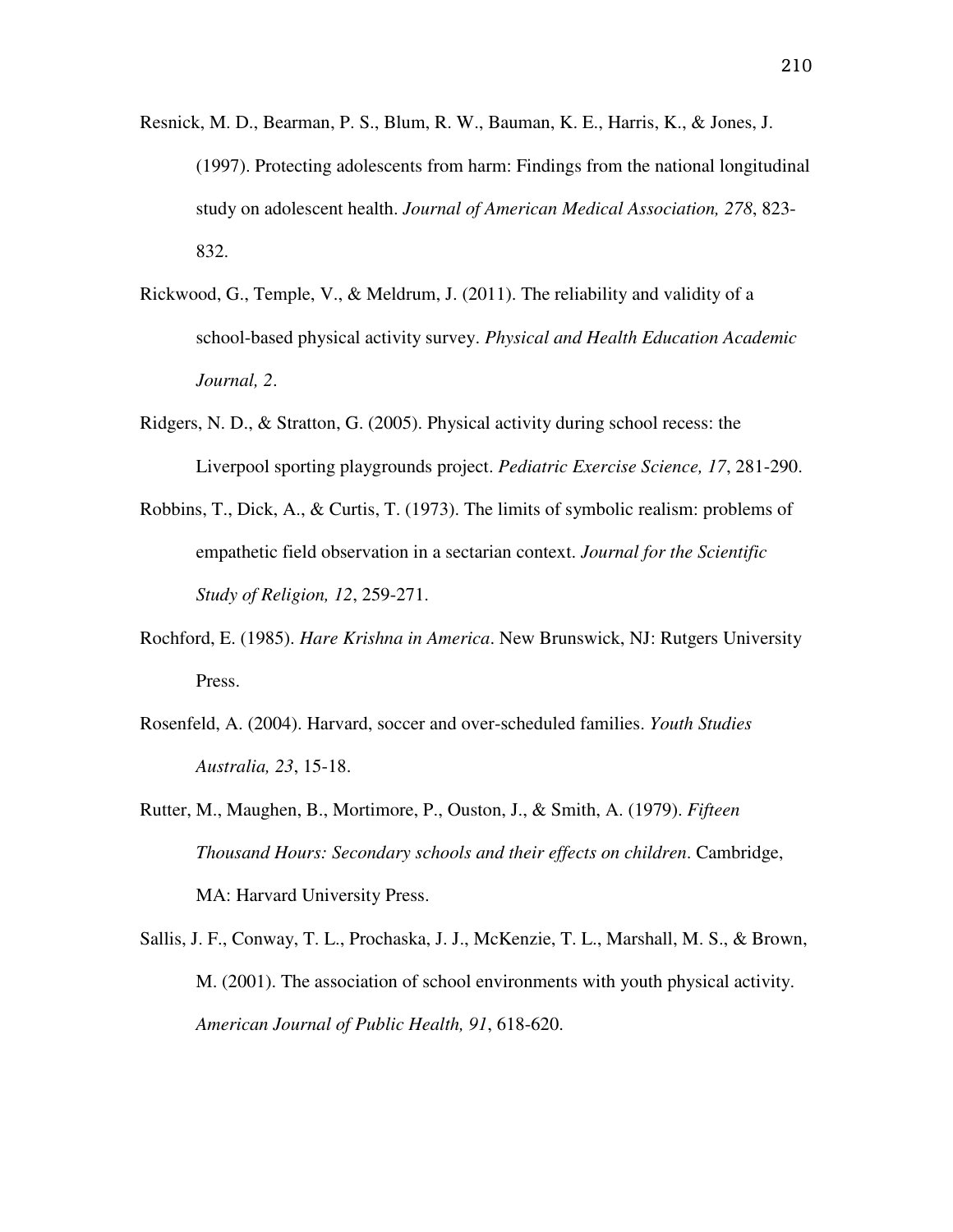- Resnick, M. D., Bearman, P. S., Blum, R. W., Bauman, K. E., Harris, K., & Jones, J. (1997). Protecting adolescents from harm: Findings from the national longitudinal study on adolescent health. *Journal of American Medical Association, 278*, 823- 832.
- Rickwood, G., Temple, V., & Meldrum, J. (2011). The reliability and validity of a school-based physical activity survey. *Physical and Health Education Academic Journal, 2*.
- Ridgers, N. D., & Stratton, G. (2005). Physical activity during school recess: the Liverpool sporting playgrounds project. *Pediatric Exercise Science, 17*, 281-290.
- Robbins, T., Dick, A., & Curtis, T. (1973). The limits of symbolic realism: problems of empathetic field observation in a sectarian context. *Journal for the Scientific Study of Religion, 12*, 259-271.
- Rochford, E. (1985). *Hare Krishna in America*. New Brunswick, NJ: Rutgers University Press.
- Rosenfeld, A. (2004). Harvard, soccer and over-scheduled families. *Youth Studies Australia, 23*, 15-18.
- Rutter, M., Maughen, B., Mortimore, P., Ouston, J., & Smith, A. (1979). *Fifteen Thousand Hours: Secondary schools and their effects on children*. Cambridge, MA: Harvard University Press.
- Sallis, J. F., Conway, T. L., Prochaska, J. J., McKenzie, T. L., Marshall, M. S., & Brown, M. (2001). The association of school environments with youth physical activity. *American Journal of Public Health, 91*, 618-620.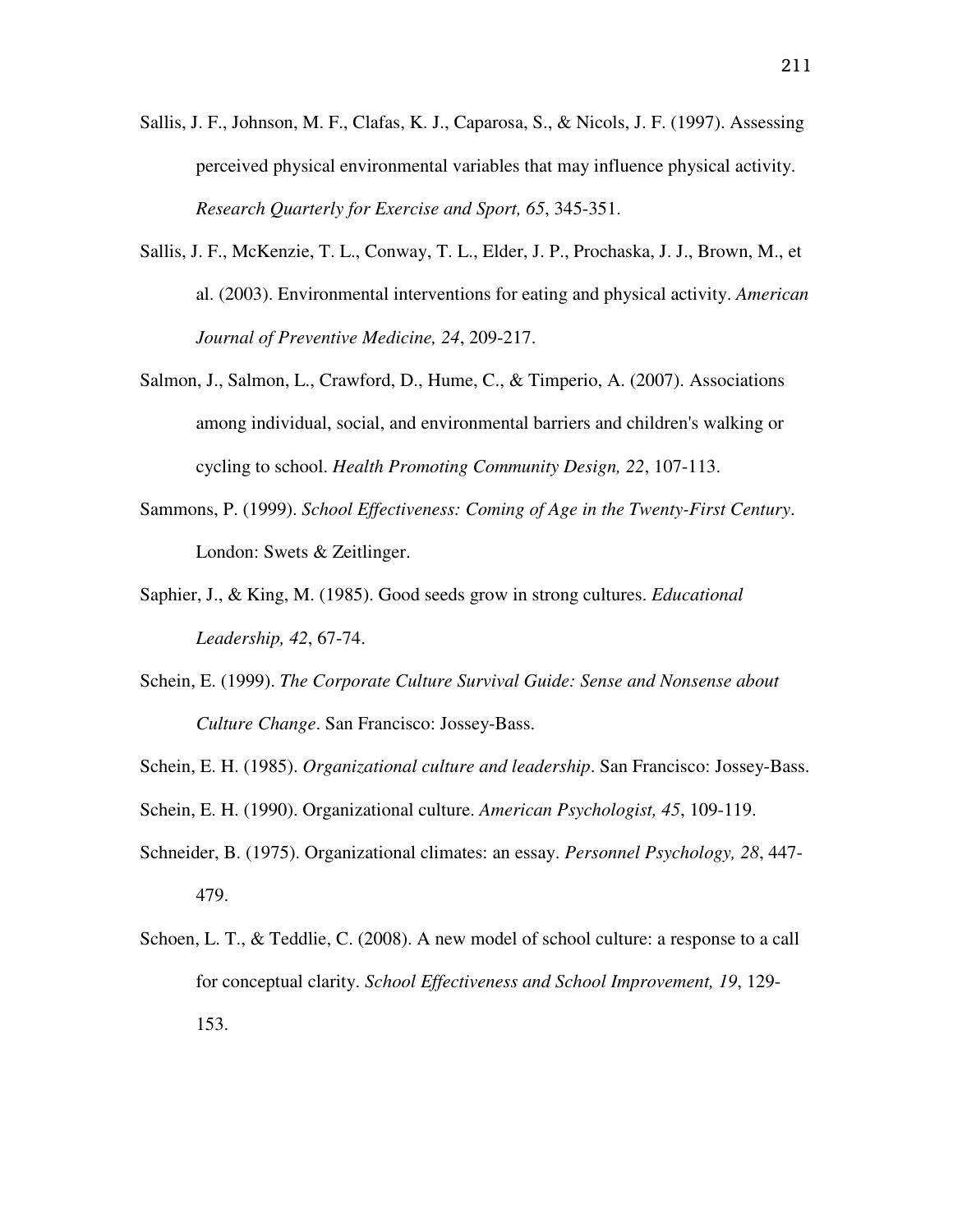- Sallis, J. F., Johnson, M. F., Clafas, K. J., Caparosa, S., & Nicols, J. F. (1997). Assessing perceived physical environmental variables that may influence physical activity. *Research Quarterly for Exercise and Sport, 65*, 345-351.
- Sallis, J. F., McKenzie, T. L., Conway, T. L., Elder, J. P., Prochaska, J. J., Brown, M., et al. (2003). Environmental interventions for eating and physical activity. *American Journal of Preventive Medicine, 24*, 209-217.
- Salmon, J., Salmon, L., Crawford, D., Hume, C., & Timperio, A. (2007). Associations among individual, social, and environmental barriers and children's walking or cycling to school. *Health Promoting Community Design, 22*, 107-113.
- Sammons, P. (1999). *School Effectiveness: Coming of Age in the Twenty-First Century*. London: Swets & Zeitlinger.
- Saphier, J., & King, M. (1985). Good seeds grow in strong cultures. *Educational Leadership, 42*, 67-74.
- Schein, E. (1999). *The Corporate Culture Survival Guide: Sense and Nonsense about Culture Change*. San Francisco: Jossey-Bass.
- Schein, E. H. (1985). *Organizational culture and leadership*. San Francisco: Jossey-Bass.
- Schein, E. H. (1990). Organizational culture. *American Psychologist, 45*, 109-119.
- Schneider, B. (1975). Organizational climates: an essay. *Personnel Psychology, 28*, 447- 479.
- Schoen, L. T., & Teddlie, C. (2008). A new model of school culture: a response to a call for conceptual clarity. *School Effectiveness and School Improvement, 19*, 129- 153.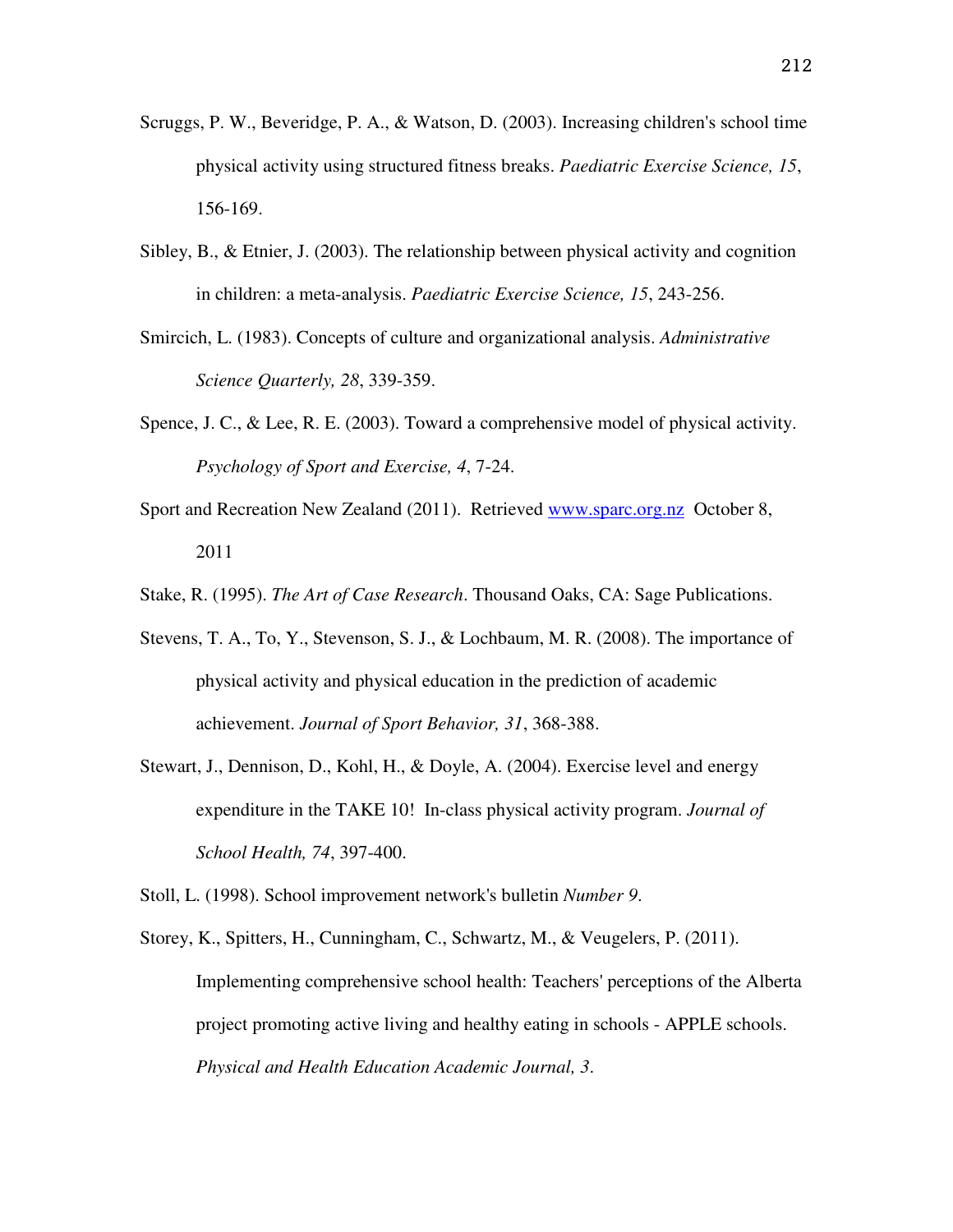- Scruggs, P. W., Beveridge, P. A., & Watson, D. (2003). Increasing children's school time physical activity using structured fitness breaks. *Paediatric Exercise Science, 15*, 156-169.
- Sibley, B., & Etnier, J. (2003). The relationship between physical activity and cognition in children: a meta-analysis. *Paediatric Exercise Science, 15*, 243-256.
- Smircich, L. (1983). Concepts of culture and organizational analysis. *Administrative Science Quarterly, 28*, 339-359.
- Spence, J. C., & Lee, R. E. (2003). Toward a comprehensive model of physical activity. *Psychology of Sport and Exercise, 4*, 7-24.
- Sport and Recreation New Zealand (2011). Retrieved www.sparc.org.nz October 8, 2011
- Stake, R. (1995). *The Art of Case Research*. Thousand Oaks, CA: Sage Publications.
- Stevens, T. A., To, Y., Stevenson, S. J., & Lochbaum, M. R. (2008). The importance of physical activity and physical education in the prediction of academic achievement. *Journal of Sport Behavior, 31*, 368-388.
- Stewart, J., Dennison, D., Kohl, H., & Doyle, A. (2004). Exercise level and energy expenditure in the TAKE 10! In-class physical activity program. *Journal of School Health, 74*, 397-400.

Stoll, L. (1998). School improvement network's bulletin *Number 9*.

Storey, K., Spitters, H., Cunningham, C., Schwartz, M., & Veugelers, P. (2011). Implementing comprehensive school health: Teachers' perceptions of the Alberta project promoting active living and healthy eating in schools - APPLE schools. *Physical and Health Education Academic Journal, 3*.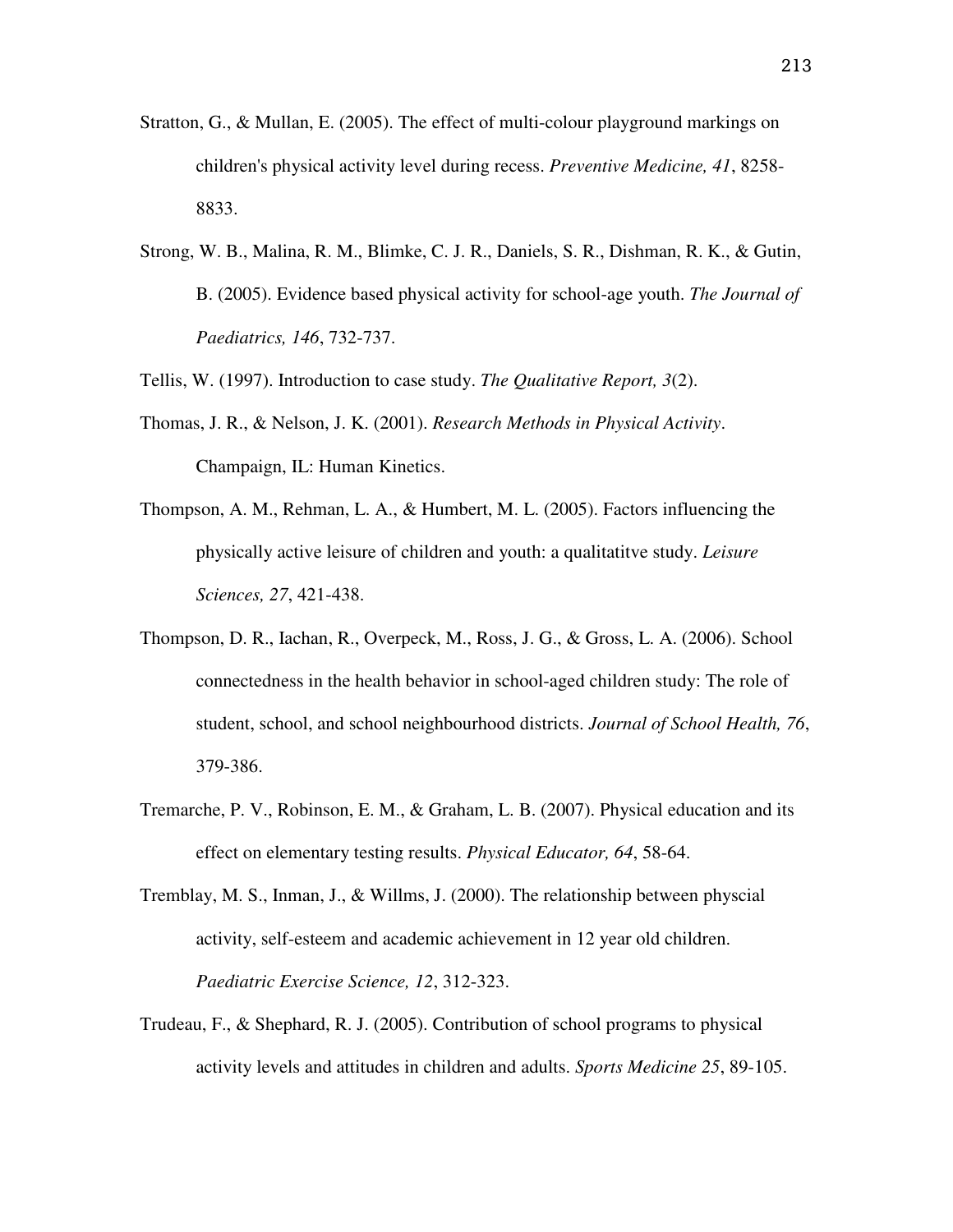- Stratton, G., & Mullan, E. (2005). The effect of multi-colour playground markings on children's physical activity level during recess. *Preventive Medicine, 41*, 8258- 8833.
- Strong, W. B., Malina, R. M., Blimke, C. J. R., Daniels, S. R., Dishman, R. K., & Gutin, B. (2005). Evidence based physical activity for school-age youth. *The Journal of Paediatrics, 146*, 732-737.

Tellis, W. (1997). Introduction to case study. *The Qualitative Report, 3*(2).

- Thomas, J. R., & Nelson, J. K. (2001). *Research Methods in Physical Activity*. Champaign, IL: Human Kinetics.
- Thompson, A. M., Rehman, L. A., & Humbert, M. L. (2005). Factors influencing the physically active leisure of children and youth: a qualitatitve study. *Leisure Sciences, 27*, 421-438.
- Thompson, D. R., Iachan, R., Overpeck, M., Ross, J. G., & Gross, L. A. (2006). School connectedness in the health behavior in school-aged children study: The role of student, school, and school neighbourhood districts. *Journal of School Health, 76*, 379-386.
- Tremarche, P. V., Robinson, E. M., & Graham, L. B. (2007). Physical education and its effect on elementary testing results. *Physical Educator, 64*, 58-64.
- Tremblay, M. S., Inman, J., & Willms, J. (2000). The relationship between physcial activity, self-esteem and academic achievement in 12 year old children. *Paediatric Exercise Science, 12*, 312-323.
- Trudeau, F., & Shephard, R. J. (2005). Contribution of school programs to physical activity levels and attitudes in children and adults. *Sports Medicine 25*, 89-105.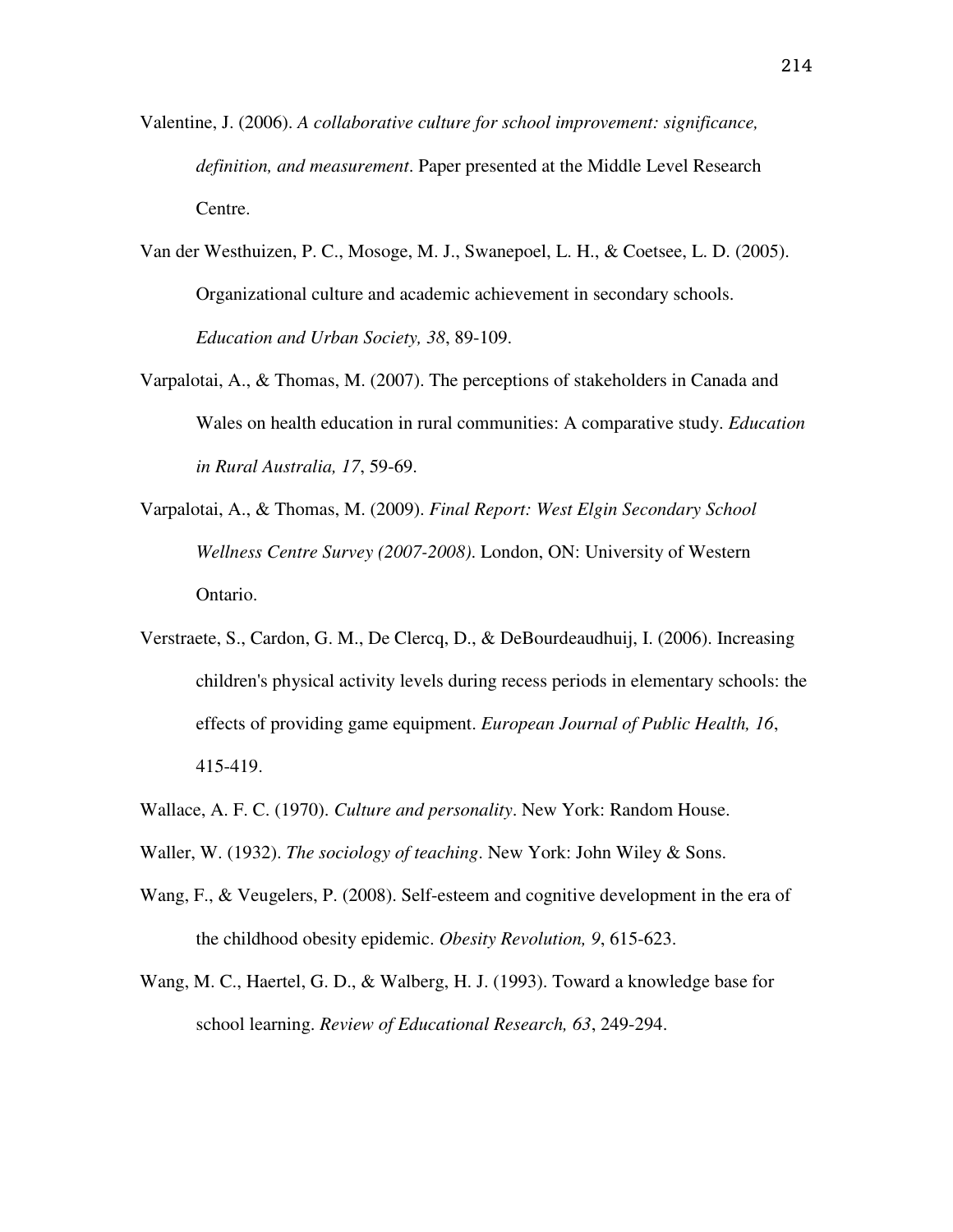- Valentine, J. (2006). *A collaborative culture for school improvement: significance, definition, and measurement*. Paper presented at the Middle Level Research Centre.
- Van der Westhuizen, P. C., Mosoge, M. J., Swanepoel, L. H., & Coetsee, L. D. (2005). Organizational culture and academic achievement in secondary schools. *Education and Urban Society, 38*, 89-109.
- Varpalotai, A., & Thomas, M. (2007). The perceptions of stakeholders in Canada and Wales on health education in rural communities: A comparative study. *Education in Rural Australia, 17*, 59-69.
- Varpalotai, A., & Thomas, M. (2009). *Final Report: West Elgin Secondary School Wellness Centre Survey (2007-2008)*. London, ON: University of Western Ontario.
- Verstraete, S., Cardon, G. M., De Clercq, D., & DeBourdeaudhuij, I. (2006). Increasing children's physical activity levels during recess periods in elementary schools: the effects of providing game equipment. *European Journal of Public Health, 16*, 415-419.
- Wallace, A. F. C. (1970). *Culture and personality*. New York: Random House.
- Waller, W. (1932). *The sociology of teaching*. New York: John Wiley & Sons.
- Wang, F., & Veugelers, P. (2008). Self-esteem and cognitive development in the era of the childhood obesity epidemic. *Obesity Revolution, 9*, 615-623.
- Wang, M. C., Haertel, G. D., & Walberg, H. J. (1993). Toward a knowledge base for school learning. *Review of Educational Research, 63*, 249-294.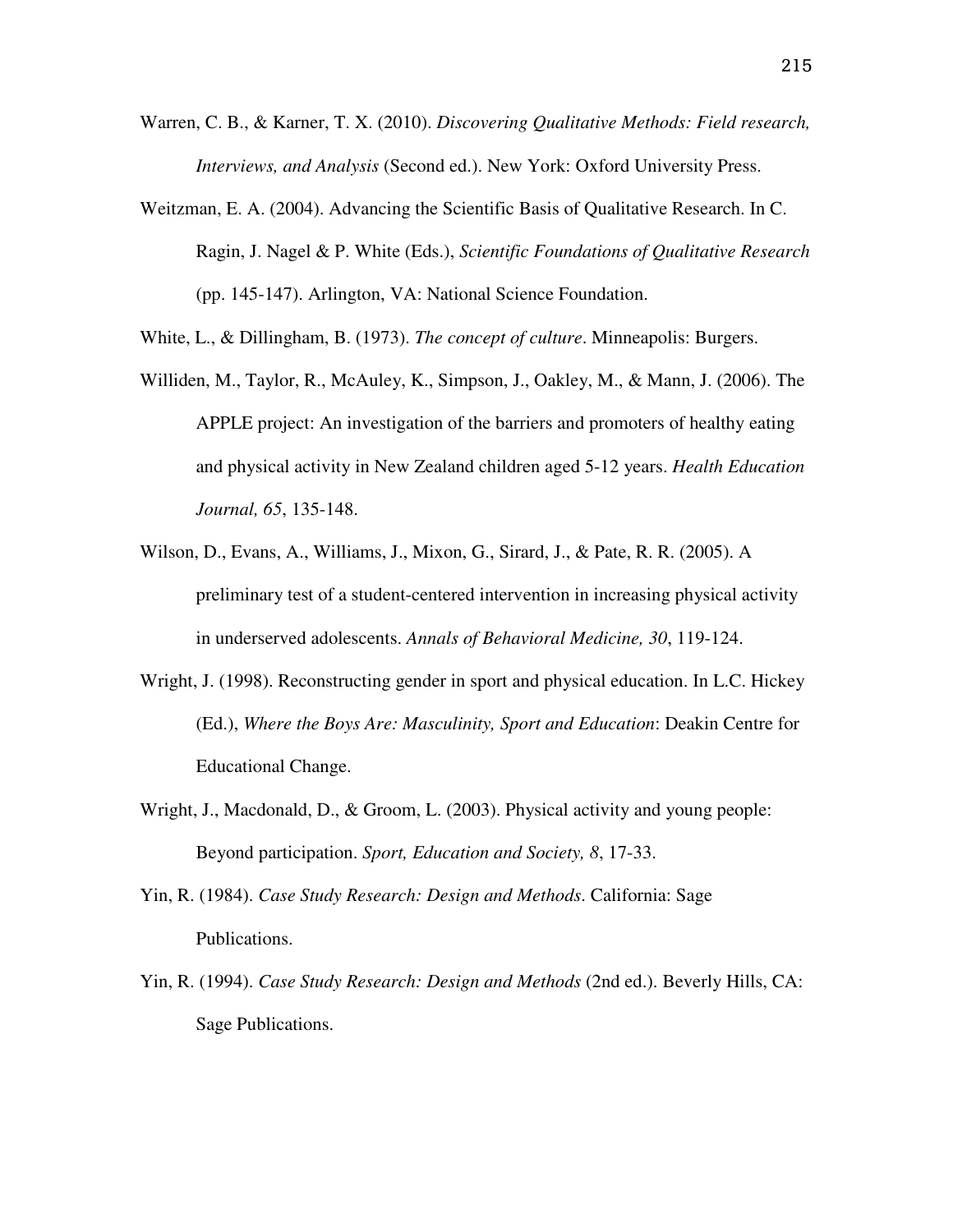- Warren, C. B., & Karner, T. X. (2010). *Discovering Qualitative Methods: Field research, Interviews, and Analysis* (Second ed.). New York: Oxford University Press.
- Weitzman, E. A. (2004). Advancing the Scientific Basis of Qualitative Research. In C. Ragin, J. Nagel & P. White (Eds.), *Scientific Foundations of Qualitative Research* (pp. 145-147). Arlington, VA: National Science Foundation.

White, L., & Dillingham, B. (1973). *The concept of culture*. Minneapolis: Burgers.

- Williden, M., Taylor, R., McAuley, K., Simpson, J., Oakley, M., & Mann, J. (2006). The APPLE project: An investigation of the barriers and promoters of healthy eating and physical activity in New Zealand children aged 5-12 years. *Health Education Journal, 65*, 135-148.
- Wilson, D., Evans, A., Williams, J., Mixon, G., Sirard, J., & Pate, R. R. (2005). A preliminary test of a student-centered intervention in increasing physical activity in underserved adolescents. *Annals of Behavioral Medicine, 30*, 119-124.
- Wright, J. (1998). Reconstructing gender in sport and physical education. In L.C. Hickey (Ed.), *Where the Boys Are: Masculinity, Sport and Education*: Deakin Centre for Educational Change.
- Wright, J., Macdonald, D., & Groom, L. (2003). Physical activity and young people: Beyond participation. *Sport, Education and Society, 8*, 17-33.
- Yin, R. (1984). *Case Study Research: Design and Methods*. California: Sage Publications.
- Yin, R. (1994). *Case Study Research: Design and Methods* (2nd ed.). Beverly Hills, CA: Sage Publications.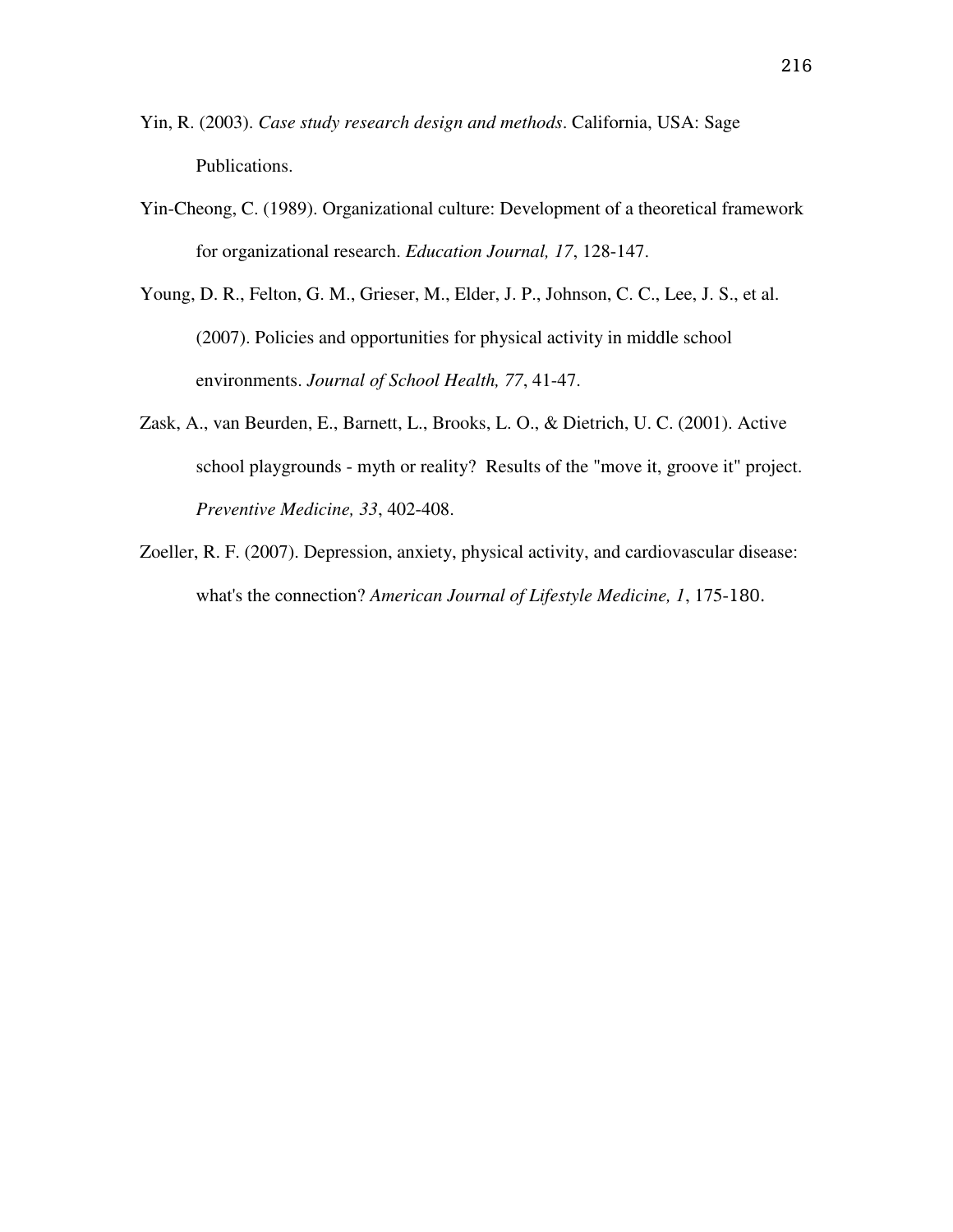- Yin, R. (2003). *Case study research design and methods*. California, USA: Sage Publications.
- Yin-Cheong, C. (1989). Organizational culture: Development of a theoretical framework for organizational research. *Education Journal, 17*, 128-147.
- Young, D. R., Felton, G. M., Grieser, M., Elder, J. P., Johnson, C. C., Lee, J. S., et al. (2007). Policies and opportunities for physical activity in middle school environments. *Journal of School Health, 77*, 41-47.
- Zask, A., van Beurden, E., Barnett, L., Brooks, L. O., & Dietrich, U. C. (2001). Active school playgrounds - myth or reality? Results of the "move it, groove it" project. *Preventive Medicine, 33*, 402-408.
- Zoeller, R. F. (2007). Depression, anxiety, physical activity, and cardiovascular disease: what's the connection? *American Journal of Lifestyle Medicine, 1*, 175-180.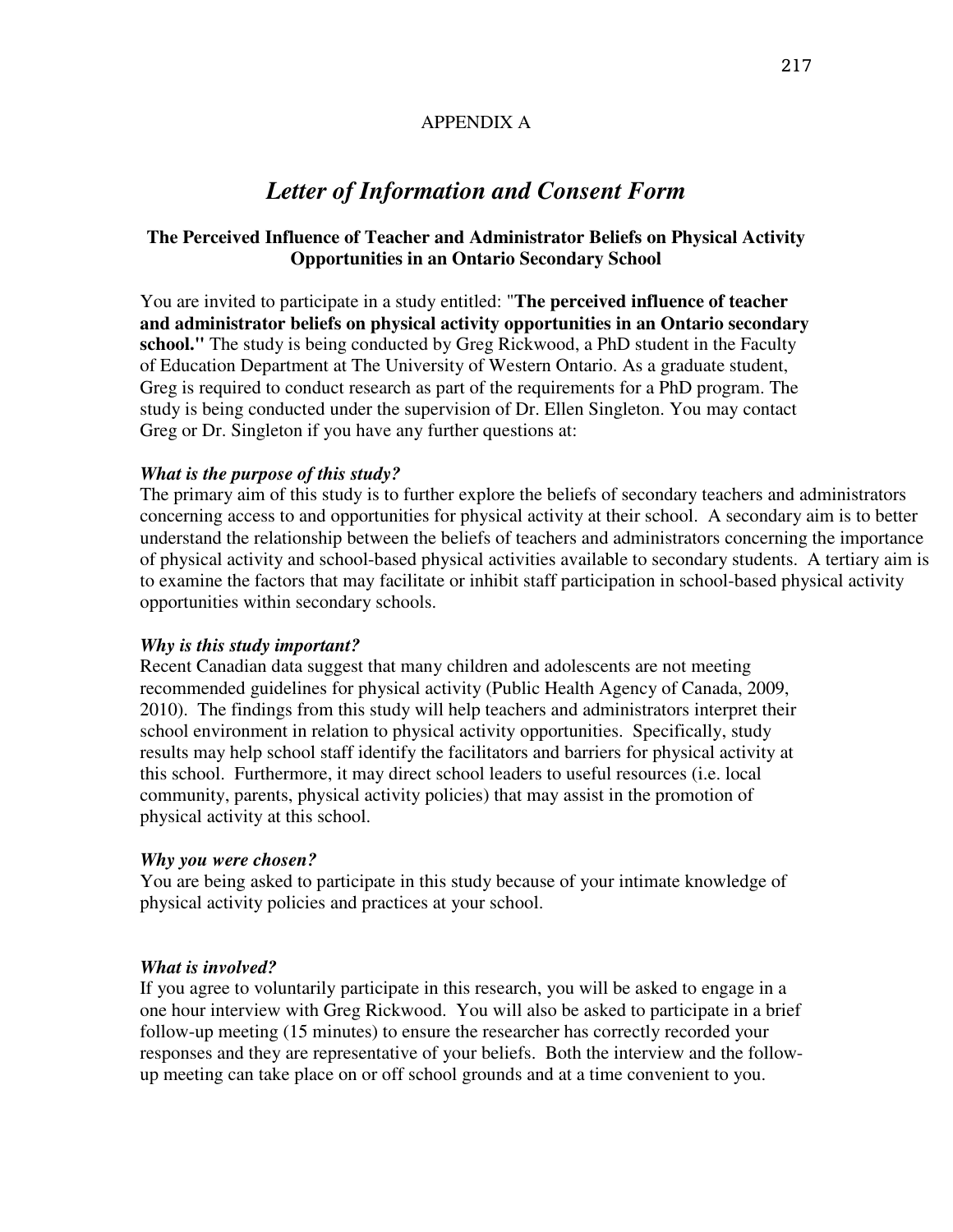## APPENDIX A

# *Letter of Information and Consent Form*

## **The Perceived Influence of Teacher and Administrator Beliefs on Physical Activity Opportunities in an Ontario Secondary School**

You are invited to participate in a study entitled: "**The perceived influence of teacher and administrator beliefs on physical activity opportunities in an Ontario secondary school."** The study is being conducted by Greg Rickwood, a PhD student in the Faculty of Education Department at The University of Western Ontario. As a graduate student, Greg is required to conduct research as part of the requirements for a PhD program. The study is being conducted under the supervision of Dr. Ellen Singleton. You may contact Greg or Dr. Singleton if you have any further questions at:

## *What is the purpose of this study?*

The primary aim of this study is to further explore the beliefs of secondary teachers and administrators concerning access to and opportunities for physical activity at their school. A secondary aim is to better understand the relationship between the beliefs of teachers and administrators concerning the importance of physical activity and school-based physical activities available to secondary students. A tertiary aim is to examine the factors that may facilitate or inhibit staff participation in school-based physical activity opportunities within secondary schools.

#### *Why is this study important?*

Recent Canadian data suggest that many children and adolescents are not meeting recommended guidelines for physical activity (Public Health Agency of Canada, 2009, 2010). The findings from this study will help teachers and administrators interpret their school environment in relation to physical activity opportunities. Specifically, study results may help school staff identify the facilitators and barriers for physical activity at this school. Furthermore, it may direct school leaders to useful resources (i.e. local community, parents, physical activity policies) that may assist in the promotion of physical activity at this school.

#### *Why you were chosen?*

You are being asked to participate in this study because of your intimate knowledge of physical activity policies and practices at your school.

## *What is involved?*

If you agree to voluntarily participate in this research, you will be asked to engage in a one hour interview with Greg Rickwood. You will also be asked to participate in a brief follow-up meeting (15 minutes) to ensure the researcher has correctly recorded your responses and they are representative of your beliefs. Both the interview and the followup meeting can take place on or off school grounds and at a time convenient to you.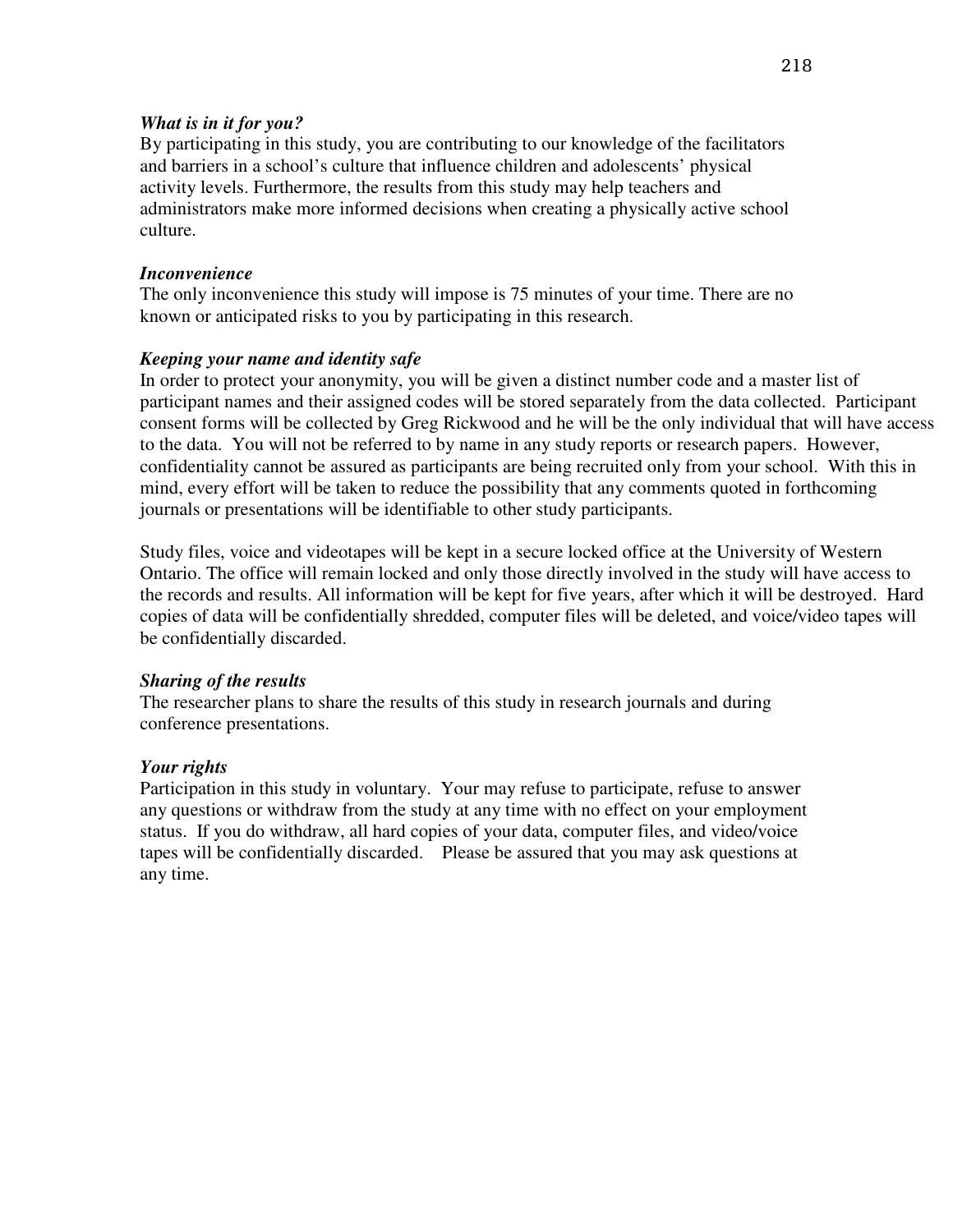## *What is in it for you?*

By participating in this study, you are contributing to our knowledge of the facilitators and barriers in a school's culture that influence children and adolescents' physical activity levels. Furthermore, the results from this study may help teachers and administrators make more informed decisions when creating a physically active school culture.

## *Inconvenience*

The only inconvenience this study will impose is 75 minutes of your time. There are no known or anticipated risks to you by participating in this research.

## *Keeping your name and identity safe*

In order to protect your anonymity, you will be given a distinct number code and a master list of participant names and their assigned codes will be stored separately from the data collected. Participant consent forms will be collected by Greg Rickwood and he will be the only individual that will have access to the data. You will not be referred to by name in any study reports or research papers. However, confidentiality cannot be assured as participants are being recruited only from your school. With this in mind, every effort will be taken to reduce the possibility that any comments quoted in forthcoming journals or presentations will be identifiable to other study participants.

Study files, voice and videotapes will be kept in a secure locked office at the University of Western Ontario. The office will remain locked and only those directly involved in the study will have access to the records and results. All information will be kept for five years, after which it will be destroyed. Hard copies of data will be confidentially shredded, computer files will be deleted, and voice/video tapes will be confidentially discarded.

## *Sharing of the results*

The researcher plans to share the results of this study in research journals and during conference presentations.

# *Your rights*

Participation in this study in voluntary. Your may refuse to participate, refuse to answer any questions or withdraw from the study at any time with no effect on your employment status. If you do withdraw, all hard copies of your data, computer files, and video/voice tapes will be confidentially discarded. Please be assured that you may ask questions at any time.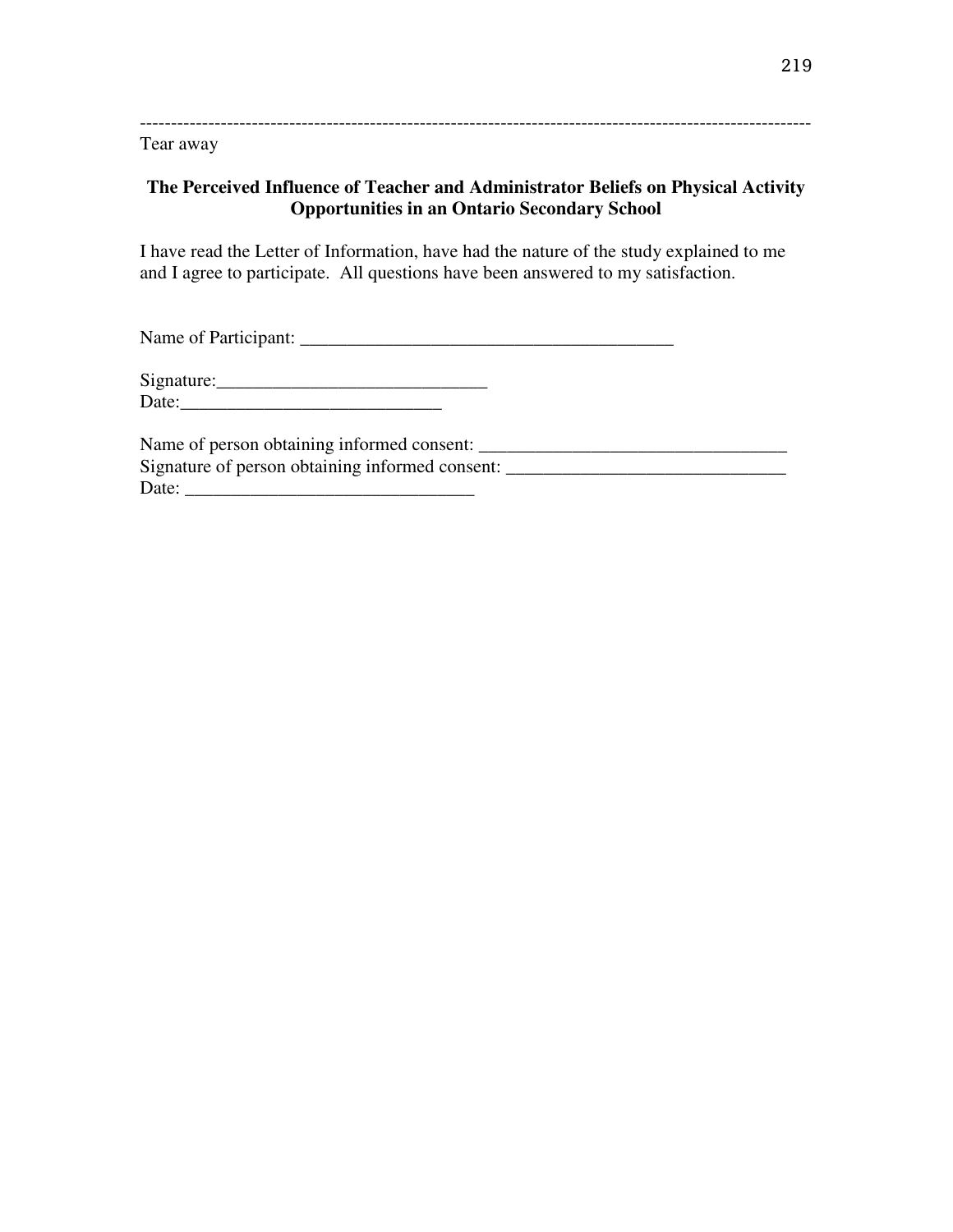Tear away

# **The Perceived Influence of Teacher and Administrator Beliefs on Physical Activity Opportunities in an Ontario Secondary School**

------------------------------------------------------------------------------------------------------------

I have read the Letter of Information, have had the nature of the study explained to me and I agree to participate. All questions have been answered to my satisfaction.

Name of Participant:

 $Signature:$ Date:

Name of person obtaining informed consent: \_\_\_\_\_\_\_\_\_\_\_\_\_\_\_\_\_\_\_\_\_\_\_\_\_\_\_\_\_\_\_\_\_ Signature of person obtaining informed consent: \_\_\_\_\_\_\_\_\_\_\_\_\_\_\_\_\_\_\_\_\_\_\_\_\_\_\_\_\_\_\_\_ Date: